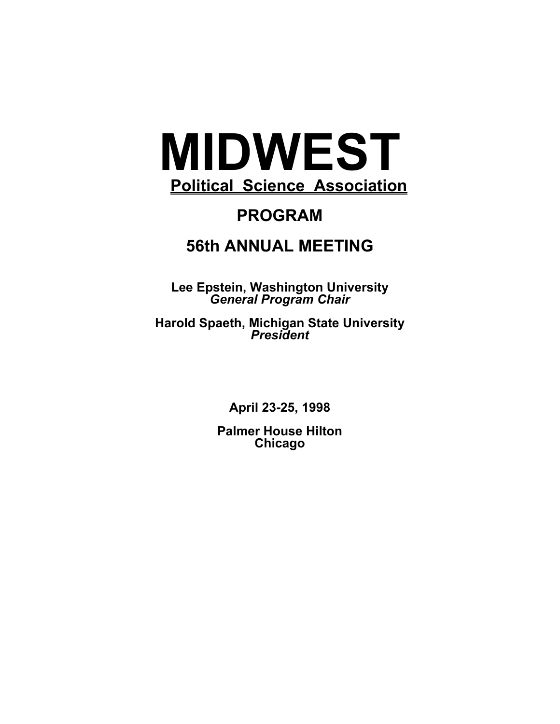# **MIDWEST Political Science Association**

# **PROGRAM**

# **56th ANNUAL MEETING**

**Lee Epstein, Washington University** *General Program Chair*

**Harold Spaeth, Michigan State University**  *President*

**April 23-25, 1998** 

**Palmer House Hilton Chicago**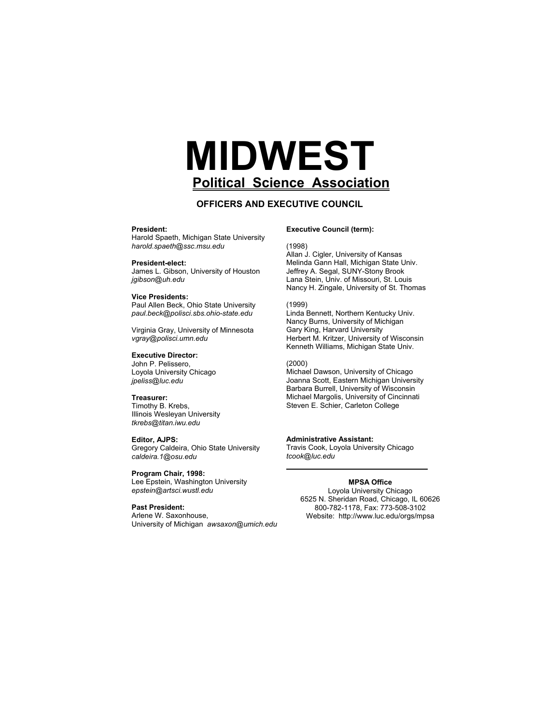# **MIDWEST Political Science Association**

#### **OFFICERS AND EXECUTIVE COUNCIL**

#### **President:**

Harold Spaeth, Michigan State University *harold.spaeth@ssc.msu.edu*

#### **President-elect:**

James L. Gibson, University of Houston *jgibson@uh.edu* 

#### **Vice Presidents:**

Paul Allen Beck, Ohio State University *paul.beck@polisci.sbs.ohio-state.edu*

Virginia Gray, University of Minnesota *vgray@polisci.umn.edu*

#### **Executive Director:**

John P. Pelissero, Loyola University Chicago *jpeliss@luc.edu*

#### **Treasurer:**

Timothy B. Krebs, Illinois Wesleyan University *tkrebs@titan.iwu.edu*

#### **Editor, AJPS:**

Gregory Caldeira, Ohio State University *caldeira.1@osu.edu*

#### **Program Chair, 1998:**

Lee Epstein, Washington University *epstein@artsci.wustl.edu*

#### **Past President:**

Arlene W. Saxonhouse, University of Michigan *awsaxon@umich.edu*

#### **Executive Council (term):**

#### (1998)

Allan J. Cigler, University of Kansas Melinda Gann Hall, Michigan State Univ. Jeffrey A. Segal, SUNY-Stony Brook Lana Stein, Univ. of Missouri, St. Louis Nancy H. Zingale, University of St. Thomas

#### (1999)

Linda Bennett, Northern Kentucky Univ. Nancy Burns, University of Michigan Gary King, Harvard University Herbert M. Kritzer, University of Wisconsin Kenneth Williams, Michigan State Univ.

#### (2000)

Michael Dawson, University of Chicago Joanna Scott, Eastern Michigan University Barbara Burrell, University of Wisconsin Michael Margolis, University of Cincinnati Steven E. Schier, Carleton College

#### **Administrative Assistant:**

Travis Cook, Loyola University Chicago *tcook@luc.edu*

#### **MPSA Office**

Loyola University Chicago 6525 N. Sheridan Road, Chicago, IL 60626 800-782-1178, Fax: 773-508-3102 Website: http://www.luc.edu/orgs/mpsa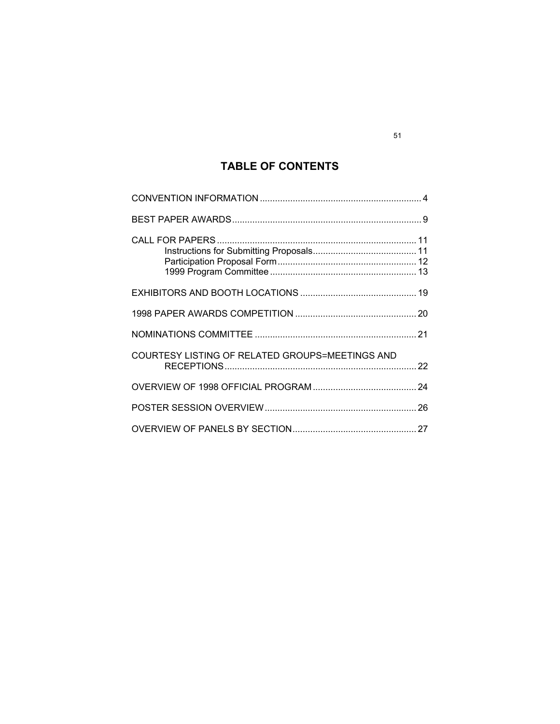# **TABLE OF CONTENTS**

| COURTESY LISTING OF RELATED GROUPS=MEETINGS AND |  |
|-------------------------------------------------|--|
|                                                 |  |
|                                                 |  |
|                                                 |  |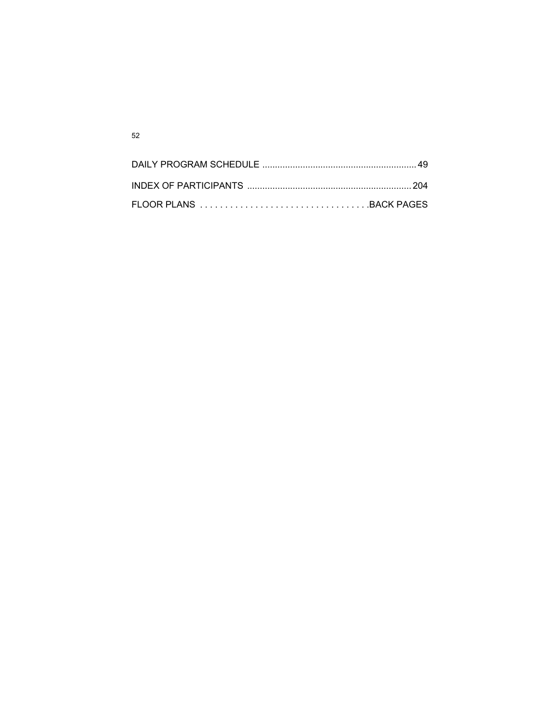# FLOOR PLANS ................................BACK PAGES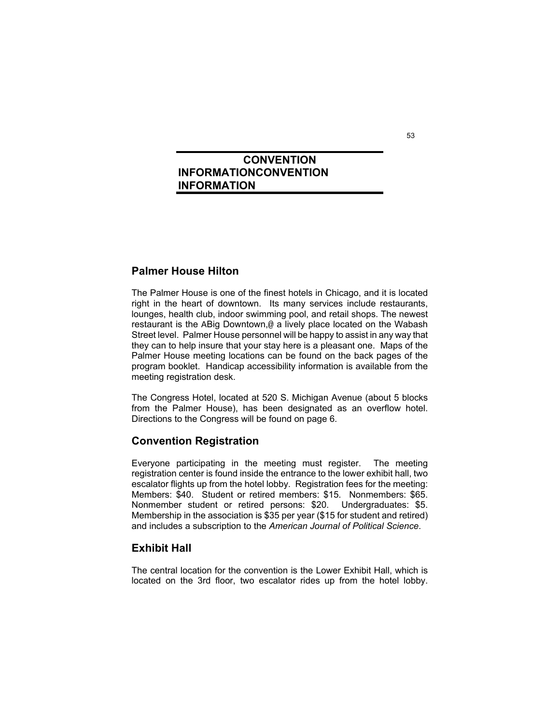# **CONVENTION INFORMATIONCONVENTION INFORMATION**

# **Palmer House Hilton**

The Palmer House is one of the finest hotels in Chicago, and it is located right in the heart of downtown. Its many services include restaurants, lounges, health club, indoor swimming pool, and retail shops. The newest restaurant is the ABig Downtown,@ a lively place located on the Wabash Street level. Palmer House personnel will be happy to assist in any way that they can to help insure that your stay here is a pleasant one. Maps of the Palmer House meeting locations can be found on the back pages of the program booklet. Handicap accessibility information is available from the meeting registration desk.

The Congress Hotel, located at 520 S. Michigan Avenue (about 5 blocks from the Palmer House), has been designated as an overflow hotel. Directions to the Congress will be found on page 6.

#### **Convention Registration**

Everyone participating in the meeting must register. The meeting registration center is found inside the entrance to the lower exhibit hall, two escalator flights up from the hotel lobby. Registration fees for the meeting: Members: \$40. Student or retired members: \$15. Nonmembers: \$65. Nonmember student or retired persons: \$20. Undergraduates: \$5. Membership in the association is \$35 per year (\$15 for student and retired) and includes a subscription to the *American Journal of Political Science*.

#### **Exhibit Hall**

The central location for the convention is the Lower Exhibit Hall, which is located on the 3rd floor, two escalator rides up from the hotel lobby.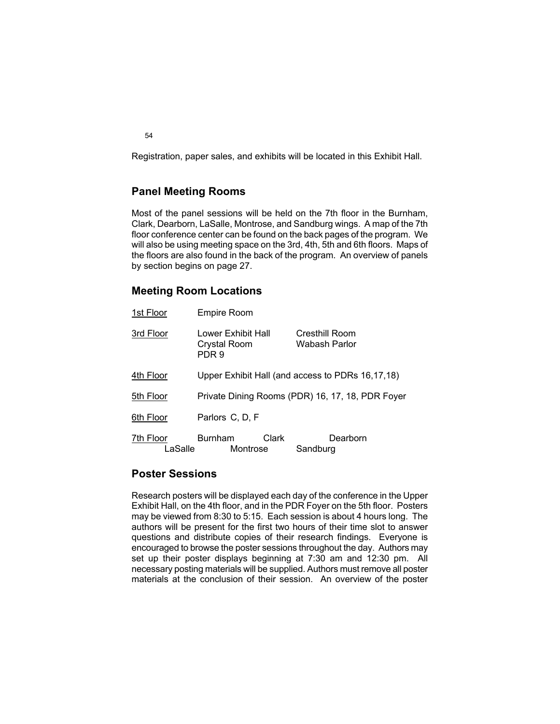Registration, paper sales, and exhibits will be located in this Exhibit Hall.

#### **Panel Meeting Rooms**

Most of the panel sessions will be held on the 7th floor in the Burnham, Clark, Dearborn, LaSalle, Montrose, and Sandburg wings. A map of the 7th floor conference center can be found on the back pages of the program. We will also be using meeting space on the 3rd, 4th, 5th and 6th floors. Maps of the floors are also found in the back of the program. An overview of panels by section begins on page 27.

#### **Meeting Room Locations**

| 1st Floor            | <b>Empire Room</b>                               |                                                  |
|----------------------|--------------------------------------------------|--------------------------------------------------|
| 3rd Floor            | Lower Exhibit Hall<br>Crystal Room<br>PDR 9      | <b>Cresthill Room</b><br>Wabash Parlor           |
| 4th Floor            | Upper Exhibit Hall (and access to PDRs 16,17,18) |                                                  |
| 5th Floor            |                                                  | Private Dining Rooms (PDR) 16, 17, 18, PDR Foyer |
| 6th Floor            | Parlors C, D, F                                  |                                                  |
| 7th Floor<br>_aSalle | <b>Burnham</b><br>Clark<br>Montrose              | Dearborn<br>Sandburg                             |

## **Poster Sessions**

Research posters will be displayed each day of the conference in the Upper Exhibit Hall, on the 4th floor, and in the PDR Foyer on the 5th floor. Posters may be viewed from 8:30 to 5:15. Each session is about 4 hours long. The authors will be present for the first two hours of their time slot to answer questions and distribute copies of their research findings. Everyone is encouraged to browse the poster sessions throughout the day. Authors may set up their poster displays beginning at 7:30 am and 12:30 pm. All necessary posting materials will be supplied. Authors must remove all poster materials at the conclusion of their session. An overview of the poster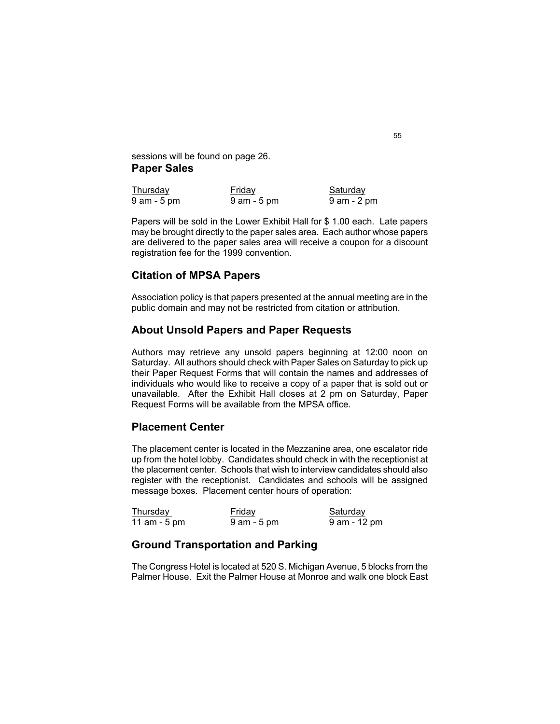sessions will be found on page 26. **Paper Sales**

| Thursday    | Friday         | Saturday       |
|-------------|----------------|----------------|
| 9 am - 5 pm | $9$ am $-5$ pm | $9$ am $-2$ pm |

Papers will be sold in the Lower Exhibit Hall for \$ 1.00 each. Late papers may be brought directly to the paper sales area. Each author whose papers are delivered to the paper sales area will receive a coupon for a discount registration fee for the 1999 convention.

## **Citation of MPSA Papers**

Association policy is that papers presented at the annual meeting are in the public domain and may not be restricted from citation or attribution.

#### **About Unsold Papers and Paper Requests**

Authors may retrieve any unsold papers beginning at 12:00 noon on Saturday. All authors should check with Paper Sales on Saturday to pick up their Paper Request Forms that will contain the names and addresses of individuals who would like to receive a copy of a paper that is sold out or unavailable. After the Exhibit Hall closes at 2 pm on Saturday, Paper Request Forms will be available from the MPSA office.

#### **Placement Center**

The placement center is located in the Mezzanine area, one escalator ride up from the hotel lobby. Candidates should check in with the receptionist at the placement center. Schools that wish to interview candidates should also register with the receptionist. Candidates and schools will be assigned message boxes. Placement center hours of operation:

| Thursday               | <b>Friday</b>  | Saturday     |
|------------------------|----------------|--------------|
| 11 am - $5 \text{ pm}$ | $9$ am $-5$ pm | 9 am - 12 pm |

### **Ground Transportation and Parking**

The Congress Hotel is located at 520 S. Michigan Avenue, 5 blocks from the Palmer House. Exit the Palmer House at Monroe and walk one block East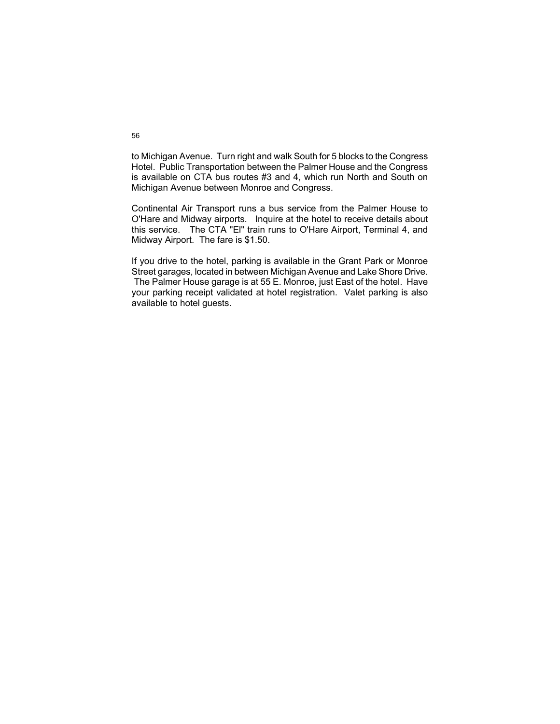to Michigan Avenue. Turn right and walk South for 5 blocks to the Congress Hotel. Public Transportation between the Palmer House and the Congress is available on CTA bus routes #3 and 4, which run North and South on Michigan Avenue between Monroe and Congress.

Continental Air Transport runs a bus service from the Palmer House to O'Hare and Midway airports. Inquire at the hotel to receive details about this service. The CTA "El" train runs to O'Hare Airport, Terminal 4, and Midway Airport. The fare is \$1.50.

If you drive to the hotel, parking is available in the Grant Park or Monroe Street garages, located in between Michigan Avenue and Lake Shore Drive. The Palmer House garage is at 55 E. Monroe, just East of the hotel. Have your parking receipt validated at hotel registration. Valet parking is also available to hotel guests.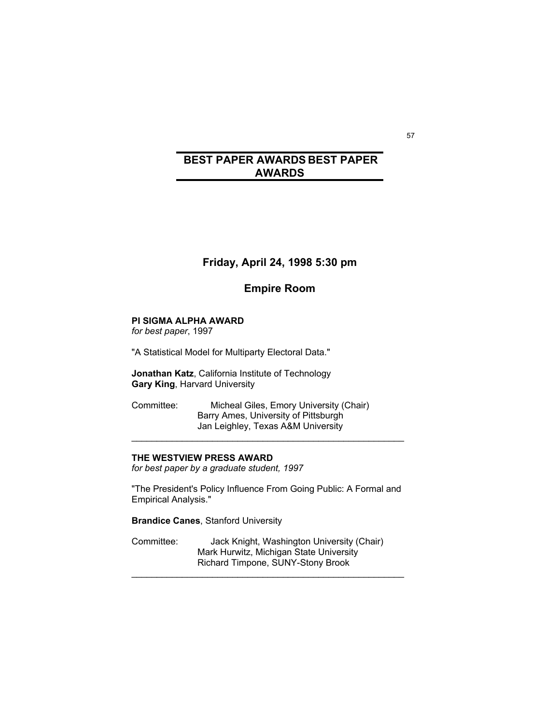# **BEST PAPER AWARDS BEST PAPER AWARDS**

# **Friday, April 24, 1998 5:30 pm**

# **Empire Room**

# **PI SIGMA ALPHA AWARD**

*for best paper*, 1997

"A Statistical Model for Multiparty Electoral Data."

**Jonathan Katz**, California Institute of Technology **Gary King**, Harvard University

Committee: Micheal Giles, Emory University (Chair) Barry Ames, University of Pittsburgh Jan Leighley, Texas A&M University

#### **THE WESTVIEW PRESS AWARD**

*for best paper by a graduate student, 1997*

"The President's Policy Influence From Going Public: A Formal and Empirical Analysis."

\_\_\_\_\_\_\_\_\_\_\_\_\_\_\_\_\_\_\_\_\_\_\_\_\_\_\_\_\_\_\_\_\_\_\_\_\_\_\_\_\_\_\_\_\_\_\_\_\_\_\_\_\_\_

**Brandice Canes**, Stanford University

Committee: Jack Knight, Washington University (Chair) Mark Hurwitz, Michigan State University Richard Timpone, SUNY-Stony Brook

 $\_$  , and the set of the set of the set of the set of the set of the set of the set of the set of the set of the set of the set of the set of the set of the set of the set of the set of the set of the set of the set of th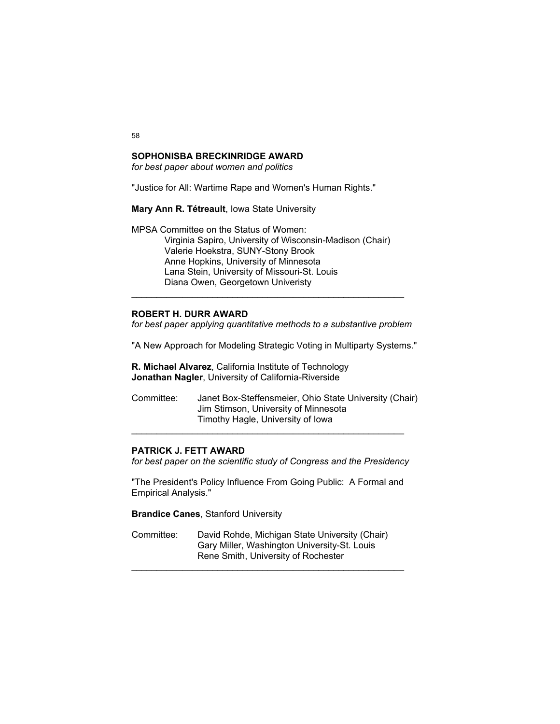#### **SOPHONISBA BRECKINRIDGE AWARD**

*for best paper about women and politics*

"Justice for All: Wartime Rape and Women's Human Rights."

**Mary Ann R. Tétreault**, Iowa State University

MPSA Committee on the Status of Women: Virginia Sapiro, University of Wisconsin-Madison (Chair) Valerie Hoekstra, SUNY-Stony Brook Anne Hopkins, University of Minnesota Lana Stein, University of Missouri-St. Louis Diana Owen, Georgetown Univeristy

#### **ROBERT H. DURR AWARD**

*for best paper applying quantitative methods to a substantive problem*

\_\_\_\_\_\_\_\_\_\_\_\_\_\_\_\_\_\_\_\_\_\_\_\_\_\_\_\_\_\_\_\_\_\_\_\_\_\_\_\_\_\_\_\_\_\_\_\_\_\_\_\_\_\_

"A New Approach for Modeling Strategic Voting in Multiparty Systems."

**R. Michael Alvarez**, California Institute of Technology **Jonathan Nagler**, University of California-Riverside

Committee: Janet Box-Steffensmeier, Ohio State University (Chair) Jim Stimson, University of Minnesota Timothy Hagle, University of Iowa

#### **PATRICK J. FETT AWARD**

*for best paper on the scientific study of Congress and the Presidency*

\_\_\_\_\_\_\_\_\_\_\_\_\_\_\_\_\_\_\_\_\_\_\_\_\_\_\_\_\_\_\_\_\_\_\_\_\_\_\_\_\_\_\_\_\_\_\_\_\_\_\_\_\_\_

"The President's Policy Influence From Going Public: A Formal and Empirical Analysis."

**Brandice Canes**, Stanford University

Committee: David Rohde, Michigan State University (Chair) Gary Miller, Washington University-St. Louis Rene Smith, University of Rochester

\_\_\_\_\_\_\_\_\_\_\_\_\_\_\_\_\_\_\_\_\_\_\_\_\_\_\_\_\_\_\_\_\_\_\_\_\_\_\_\_\_\_\_\_\_\_\_\_\_\_\_\_\_\_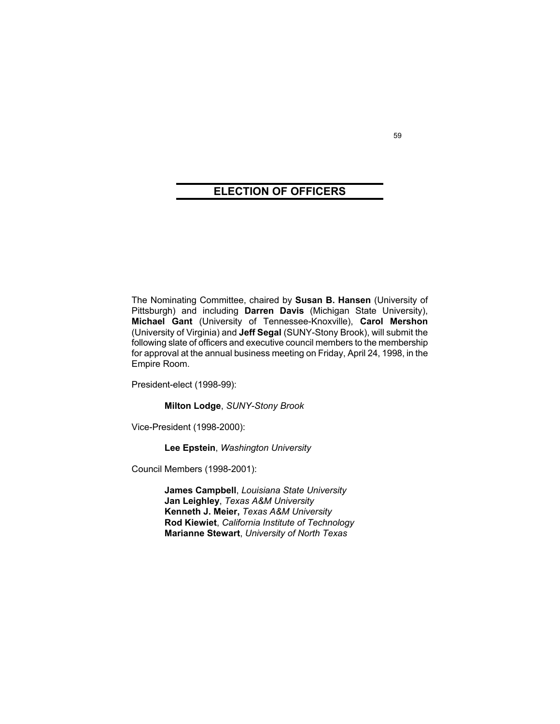# **ELECTION OF OFFICERS**

The Nominating Committee, chaired by **Susan B. Hansen** (University of Pittsburgh) and including **Darren Davis** (Michigan State University), **Michael Gant** (University of Tennessee-Knoxville), **Carol Mershon** (University of Virginia) and **Jeff Segal** (SUNY-Stony Brook), will submit the following slate of officers and executive council members to the membership for approval at the annual business meeting on Friday, April 24, 1998, in the Empire Room.

President-elect (1998-99):

**Milton Lodge**, *SUNY-Stony Brook*

Vice-President (1998-2000):

**Lee Epstein**, *Washington University*

Council Members (1998-2001):

**James Campbell**, *Louisiana State University* **Jan Leighley**, *Texas A&M University* **Kenneth J. Meier,** *Texas A&M University* **Rod Kiewiet**, *California Institute of Technology* **Marianne Stewart**, *University of North Texas*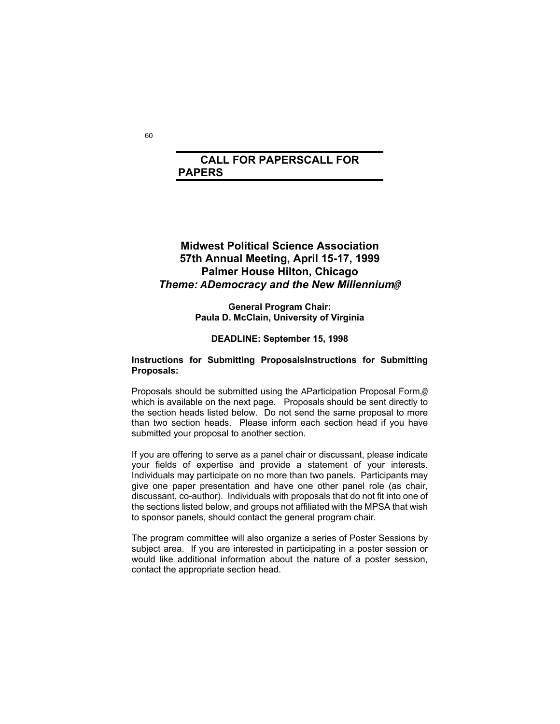# **CALL FOR PAPERSCALL FOR PAPERS**

# **Midwest Political Science Association 57th Annual Meeting, April 15-17, 1999 Palmer House Hilton, Chicago**  *Theme:* **A***Democracy and the New Millennium***@**

**General Program Chair: Paula D. McClain, University of Virginia** 

#### **DEADLINE: September 15, 1998**

#### **Instructions for Submitting ProposalsInstructions for Submitting Proposals:**

Proposals should be submitted using the AParticipation Proposal Form,@ which is available on the next page. Proposals should be sent directly to the section heads listed below. Do not send the same proposal to more than two section heads. Please inform each section head if you have submitted your proposal to another section.

If you are offering to serve as a panel chair or discussant, please indicate your fields of expertise and provide a statement of your interests. Individuals may participate on no more than two panels. Participants may give one paper presentation and have one other panel role (as chair, discussant, co-author). Individuals with proposals that do not fit into one of the sections listed below, and groups not affiliated with the MPSA that wish to sponsor panels, should contact the general program chair.

The program committee will also organize a series of Poster Sessions by subject area. If you are interested in participating in a poster session or would like additional information about the nature of a poster session, contact the appropriate section head.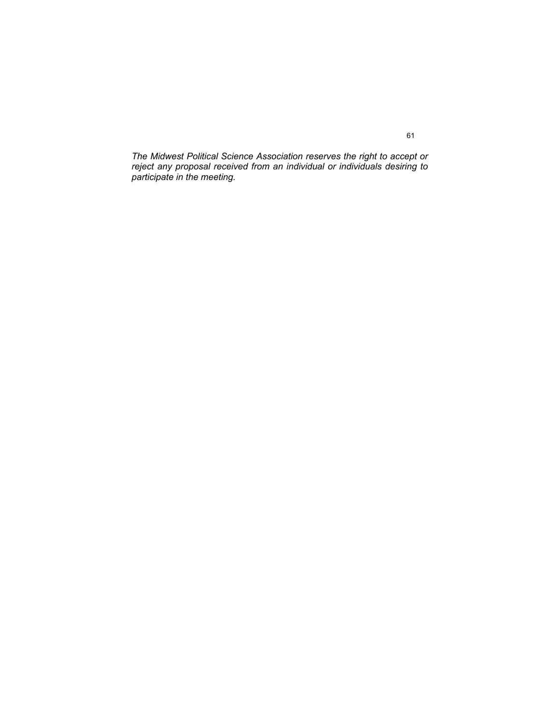*The Midwest Political Science Association reserves the right to accept or reject any proposal received from an individual or individuals desiring to participate in the meeting.*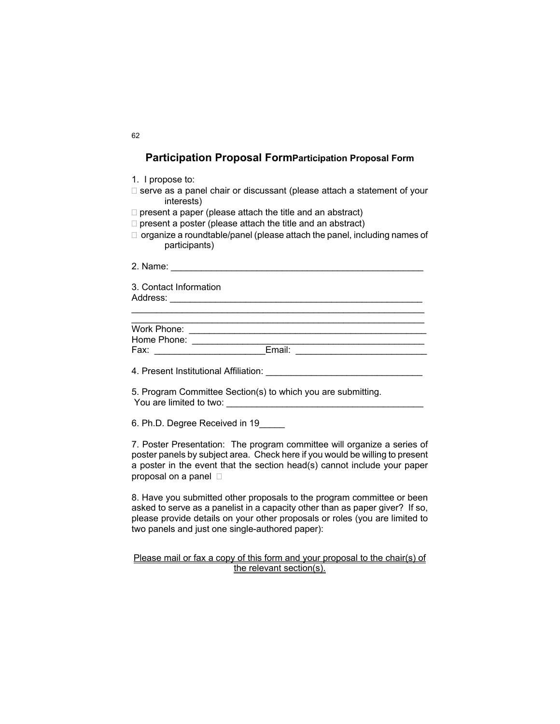# **Participation Proposal FormParticipation Proposal Form**

- 1. I propose to:
- $\square$  serve as a panel chair or discussant (please attach a statement of your interests)
- $\Box$  present a paper (please attach the title and an abstract)
- $\Box$  present a poster (please attach the title and an abstract)
- $\Box$  organize a roundtable/panel (please attach the panel, including names of participants)

2. Name: \_\_\_\_\_\_\_\_\_\_\_\_\_\_\_\_\_\_\_\_\_\_\_\_\_\_\_\_\_\_\_\_\_\_\_\_\_\_\_\_\_\_\_\_\_\_\_\_\_\_

3. Contact Information Address:

| Work Phone: |        |
|-------------|--------|
| Home Phone: |        |
| Fax:        | Email: |

\_\_\_\_\_\_\_\_\_\_\_\_\_\_\_\_\_\_\_\_\_\_\_\_\_\_\_\_\_\_\_\_\_\_\_\_\_\_\_\_\_\_\_\_\_\_\_\_\_\_\_\_\_\_\_\_\_\_

4. Present Institutional Affiliation: \_\_\_\_\_\_\_\_\_\_\_\_\_\_\_\_\_\_\_\_\_\_\_\_\_\_\_\_\_\_\_

5. Program Committee Section(s) to which you are submitting. You are limited to two:

6. Ph.D. Degree Received in 19\_\_\_\_\_

7. Poster Presentation: The program committee will organize a series of poster panels by subject area. Check here if you would be willing to present a poster in the event that the section head(s) cannot include your paper proposal on a panel

8. Have you submitted other proposals to the program committee or been asked to serve as a panelist in a capacity other than as paper giver? If so, please provide details on your other proposals or roles (you are limited to two panels and just one single-authored paper):

Please mail or fax a copy of this form and your proposal to the chair(s) of the relevant section(s).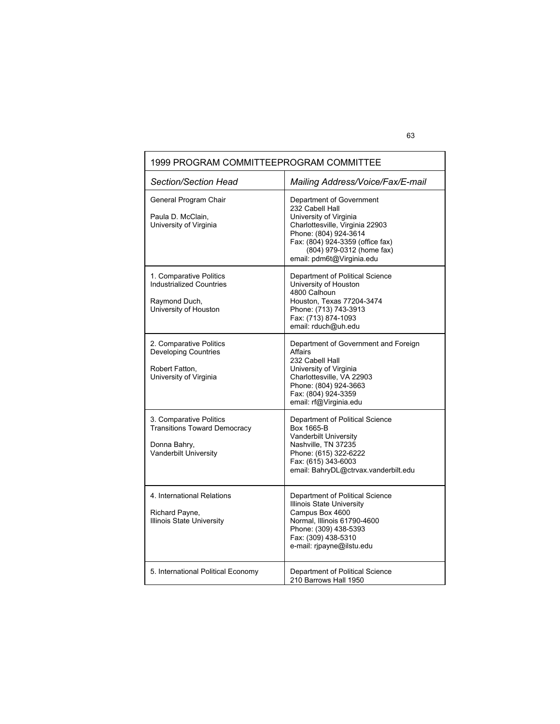| 1999 PROGRAM COMMITTEEPROGRAM COMMITTEE                                                                 |                                                                                                                                                                                                                                 |  |
|---------------------------------------------------------------------------------------------------------|---------------------------------------------------------------------------------------------------------------------------------------------------------------------------------------------------------------------------------|--|
| Section/Section Head                                                                                    | Mailing Address/Voice/Fax/E-mail                                                                                                                                                                                                |  |
| General Program Chair<br>Paula D. McClain,<br>University of Virginia                                    | Department of Government<br>232 Cabell Hall<br>University of Virginia<br>Charlottesville, Virginia 22903<br>Phone: (804) 924-3614<br>Fax: (804) 924-3359 (office fax)<br>(804) 979-0312 (home fax)<br>email: pdm6t@Virginia.edu |  |
| 1. Comparative Politics<br><b>Industrialized Countries</b><br>Raymond Duch,<br>University of Houston    | Department of Political Science<br>University of Houston<br>4800 Calhoun<br>Houston, Texas 77204-3474<br>Phone: (713) 743-3913<br>Fax: (713) 874-1093<br>email: rduch@uh.edu                                                    |  |
| 2. Comparative Politics<br><b>Developing Countries</b><br>Robert Fatton,<br>University of Virginia      | Department of Government and Foreign<br>Affairs<br>232 Cabell Hall<br>University of Virginia<br>Charlottesville, VA 22903<br>Phone: (804) 924-3663<br>Fax: (804) 924-3359<br>email: rf@Virginia.edu                             |  |
| 3. Comparative Politics<br><b>Transitions Toward Democracy</b><br>Donna Bahry,<br>Vanderbilt University | Department of Political Science<br>Box 1665-B<br>Vanderbilt University<br>Nashville, TN 37235<br>Phone: (615) 322-6222<br>Fax: (615) 343-6003<br>email: BahryDL@ctrvax.vanderbilt.edu                                           |  |
| 4. International Relations<br>Richard Payne,<br>Illinois State University                               | Department of Political Science<br>Illinois State University<br>Campus Box 4600<br>Normal, Illinois 61790-4600<br>Phone: (309) 438-5393<br>Fax: (309) 438-5310<br>e-mail: rjpayne@ilstu.edu                                     |  |
| 5. International Political Economy                                                                      | Department of Political Science<br>210 Barrows Hall 1950                                                                                                                                                                        |  |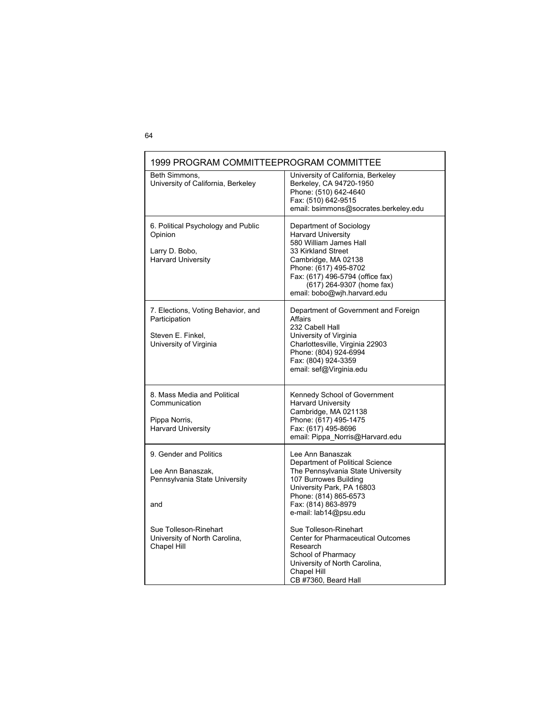| 1999 PROGRAM COMMITTEEPROGRAM COMMITTEE                                                            |                                                                                                                                                                                                                                                      |  |
|----------------------------------------------------------------------------------------------------|------------------------------------------------------------------------------------------------------------------------------------------------------------------------------------------------------------------------------------------------------|--|
| Beth Simmons,<br>University of California, Berkeley                                                | University of California, Berkeley<br>Berkeley, CA 94720-1950<br>Phone: (510) 642-4640<br>Fax: (510) 642-9515<br>email: bsimmons@socrates.berkeley.edu                                                                                               |  |
| 6. Political Psychology and Public<br>Opinion<br>Larry D. Bobo,<br><b>Harvard University</b>       | Department of Sociology<br><b>Harvard University</b><br>580 William James Hall<br>33 Kirkland Street<br>Cambridge, MA 02138<br>Phone: (617) 495-8702<br>Fax: (617) 496-5794 (office fax)<br>(617) 264-9307 (home fax)<br>email: bobo@wjh.harvard.edu |  |
| 7. Elections, Voting Behavior, and<br>Participation<br>Steven E. Finkel,<br>University of Virginia | Department of Government and Foreign<br>Affairs<br>232 Cabell Hall<br>University of Virginia<br>Charlottesville, Virginia 22903<br>Phone: (804) 924-6994<br>Fax: (804) 924-3359<br>email: sef@Virginia.edu                                           |  |
| 8. Mass Media and Political<br>Communication<br>Pippa Norris,<br><b>Harvard University</b>         | Kennedy School of Government<br><b>Harvard University</b><br>Cambridge, MA 021138<br>Phone: (617) 495-1475<br>Fax: (617) 495-8696<br>email: Pippa_Norris@Harvard.edu                                                                                 |  |
| 9. Gender and Politics<br>Lee Ann Banaszak,<br>Pennsylvania State University<br>and                | Lee Ann Banaszak<br>Department of Political Science<br>The Pennsylvania State University<br>107 Burrowes Building<br>University Park, PA 16803<br>Phone: (814) 865-6573<br>Fax: (814) 863-8979<br>e-mail: lab14@psu.edu                              |  |
| Sue Tolleson-Rinehart<br>University of North Carolina,<br>Chapel Hill                              | Sue Tolleson-Rinehart<br><b>Center for Pharmaceutical Outcomes</b><br>Research<br>School of Pharmacy<br>University of North Carolina,<br>Chapel Hill<br>CB #7360, Beard Hall                                                                         |  |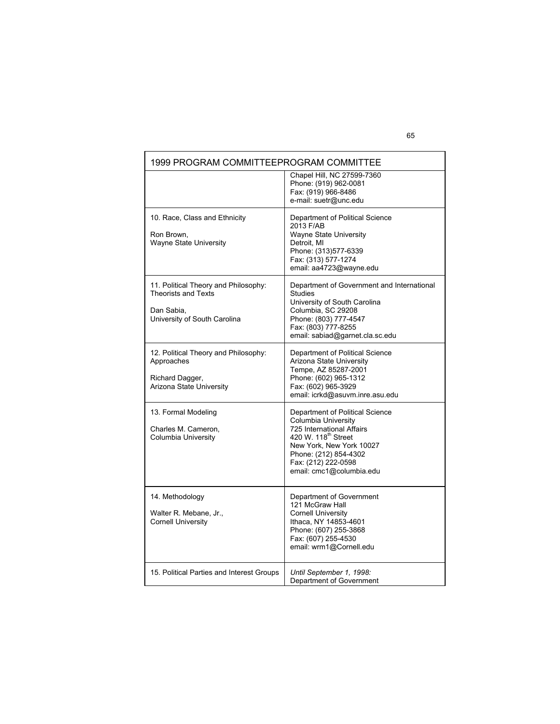| 1999 PROGRAM COMMITTEEPROGRAM COMMITTEE                                                                          |                                                                                                                                                                                                                                |  |
|------------------------------------------------------------------------------------------------------------------|--------------------------------------------------------------------------------------------------------------------------------------------------------------------------------------------------------------------------------|--|
|                                                                                                                  | Chapel Hill, NC 27599-7360<br>Phone: (919) 962-0081<br>Fax: (919) 966-8486<br>e-mail: suetr@unc.edu                                                                                                                            |  |
| 10. Race, Class and Ethnicity<br>Ron Brown,<br>Wayne State University                                            | Department of Political Science<br>2013 F/AB<br>Wayne State University<br>Detroit, MI<br>Phone: (313)577-6339<br>Fax: (313) 577-1274<br>email: aa4723@wayne.edu                                                                |  |
| 11. Political Theory and Philosophy:<br><b>Theorists and Texts</b><br>Dan Sabia,<br>University of South Carolina | Department of Government and International<br><b>Studies</b><br>University of South Carolina<br>Columbia, SC 29208<br>Phone: (803) 777-4547<br>Fax: (803) 777-8255<br>email: sabiad@garnet.cla.sc.edu                          |  |
| 12. Political Theory and Philosophy:<br>Approaches<br>Richard Dagger,<br>Arizona State University                | Department of Political Science<br>Arizona State University<br>Tempe, AZ 85287-2001<br>Phone: (602) 965-1312<br>Fax: (602) 965-3929<br>email: icrkd@asuvm.inre.asu.edu                                                         |  |
| 13. Formal Modeling<br>Charles M. Cameron,<br>Columbia University                                                | Department of Political Science<br>Columbia University<br>725 International Affairs<br>420 W. 118 <sup>th</sup> Street<br>New York, New York 10027<br>Phone: (212) 854-4302<br>Fax: (212) 222-0598<br>email: cmc1@columbia.edu |  |
| 14. Methodology<br>Walter R. Mebane, Jr.,<br><b>Cornell University</b>                                           | Department of Government<br>121 McGraw Hall<br><b>Cornell University</b><br>Ithaca, NY 14853-4601<br>Phone: (607) 255-3868<br>Fax: (607) 255-4530<br>email: wrm1@Cornell.edu                                                   |  |
| 15. Political Parties and Interest Groups                                                                        | Until September 1, 1998:<br>Department of Government                                                                                                                                                                           |  |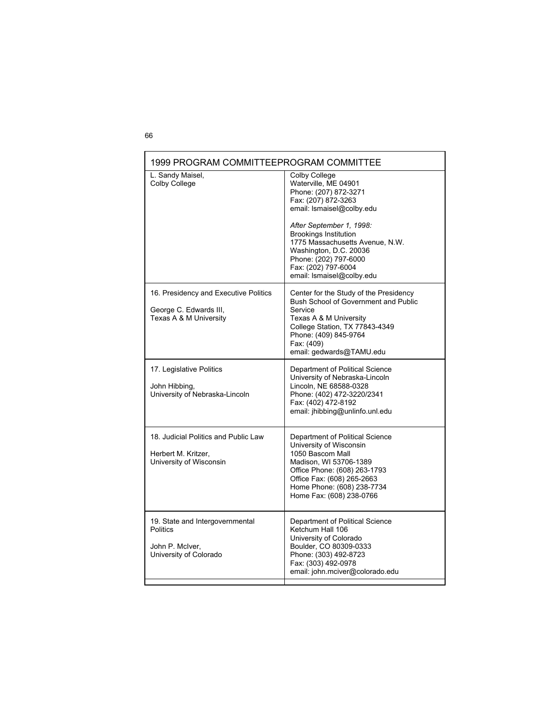| 1999 PROGRAM COMMITTEEPROGRAM COMMITTEE                                                                                                                                                                                                                                                                           |
|-------------------------------------------------------------------------------------------------------------------------------------------------------------------------------------------------------------------------------------------------------------------------------------------------------------------|
|                                                                                                                                                                                                                                                                                                                   |
| Colby College<br>Waterville, ME 04901<br>Phone: (207) 872-3271<br>Fax: (207) 872-3263<br>email: Ismaisel@colby.edu<br>After September 1, 1998:<br>Brookings Institution<br>1775 Massachusetts Avenue, N.W.<br>Washington, D.C. 20036<br>Phone: (202) 797-6000<br>Fax: (202) 797-6004<br>email: Ismaisel@colby.edu |
| Center for the Study of the Presidency<br><b>Bush School of Government and Public</b><br>Service<br>Texas A & M University<br>College Station, TX 77843-4349<br>Phone: (409) 845-9764<br>Fax: (409)<br>email: gedwards@TAMU.edu                                                                                   |
| Department of Political Science<br>University of Nebraska-Lincoln<br>Lincoln, NE 68588-0328<br>Phone: (402) 472-3220/2341<br>Fax: (402) 472-8192<br>email: jhibbing@unlinfo.unl.edu                                                                                                                               |
| Department of Political Science<br>University of Wisconsin<br>1050 Bascom Mall<br>Madison, WI 53706-1389<br>Office Phone: (608) 263-1793<br>Office Fax: (608) 265-2663<br>Home Phone: (608) 238-7734<br>Home Fax: (608) 238-0766                                                                                  |
| Department of Political Science<br>Ketchum Hall 106<br>University of Colorado<br>Boulder, CO 80309-0333<br>Phone: (303) 492-8723<br>Fax: (303) 492-0978<br>email: john.mciver@colorado.edu                                                                                                                        |
|                                                                                                                                                                                                                                                                                                                   |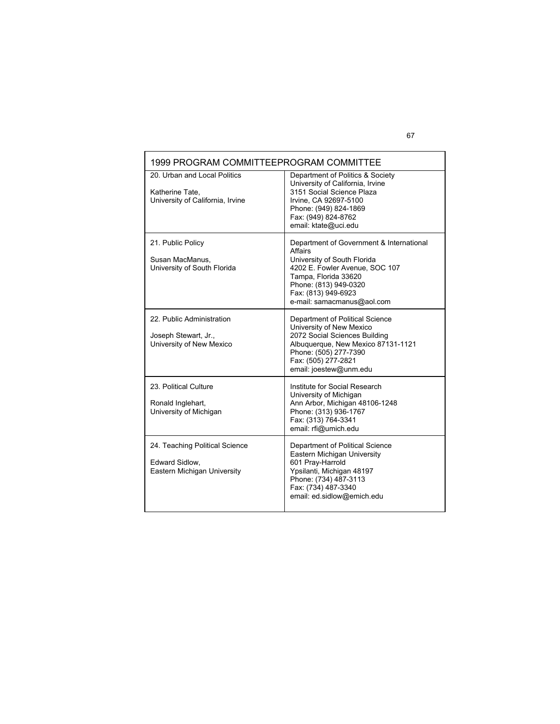| 1999 PROGRAM COMMITTEEPROGRAM COMMITTEE                                             |                                                                                                                                                                                                                            |  |
|-------------------------------------------------------------------------------------|----------------------------------------------------------------------------------------------------------------------------------------------------------------------------------------------------------------------------|--|
| 20. Urban and Local Politics<br>Katherine Tate,<br>University of California, Irvine | Department of Politics & Society<br>University of California, Irvine<br>3151 Social Science Plaza<br>Irvine, CA 92697-5100<br>Phone: (949) 824-1869<br>Fax: (949) 824-8762<br>email: ktate@uci.edu                         |  |
| 21. Public Policy<br>Susan MacManus,<br>University of South Florida                 | Department of Government & International<br>Affairs<br>University of South Florida<br>4202 E. Fowler Avenue, SOC 107<br>Tampa, Florida 33620<br>Phone: (813) 949-0320<br>Fax: (813) 949-6923<br>e-mail: samacmanus@aol.com |  |
| 22. Public Administration<br>Joseph Stewart, Jr.,<br>University of New Mexico       | Department of Political Science<br>University of New Mexico<br>2072 Social Sciences Building<br>Albuquerque, New Mexico 87131-1121<br>Phone: (505) 277-7390<br>Fax: (505) 277-2821<br>email: joestew@unm.edu               |  |
| 23. Political Culture<br>Ronald Inglehart,<br>University of Michigan                | Institute for Social Research<br>University of Michigan<br>Ann Arbor, Michigan 48106-1248<br>Phone: (313) 936-1767<br>Fax: (313) 764-3341<br>email: rfi@umich.edu                                                          |  |
| 24. Teaching Political Science<br>Edward Sidlow,<br>Eastern Michigan University     | Department of Political Science<br>Eastern Michigan University<br>601 Pray-Harrold<br>Ypsilanti, Michigan 48197<br>Phone: (734) 487-3113<br>Fax: (734) 487-3340<br>email: ed.sidlow@emich.edu                              |  |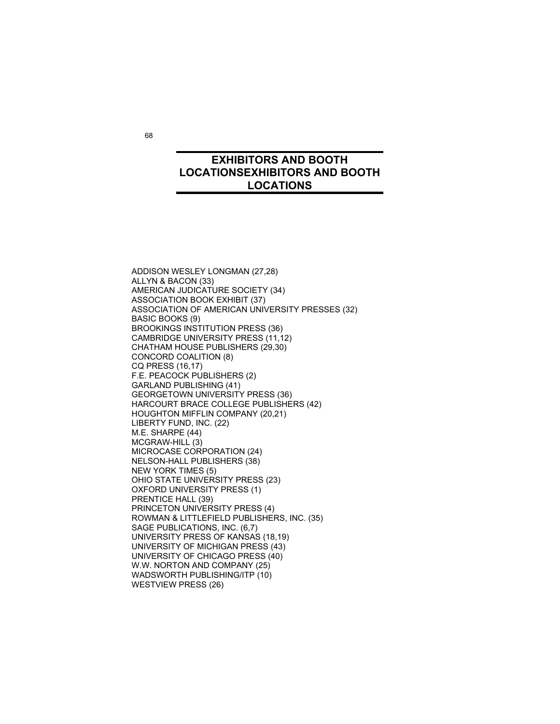# **EXHIBITORS AND BOOTH LOCATIONSEXHIBITORS AND BOOTH LOCATIONS**

ADDISON WESLEY LONGMAN (27,28) ALLYN & BACON (33) AMERICAN JUDICATURE SOCIETY (34) ASSOCIATION BOOK EXHIBIT (37) ASSOCIATION OF AMERICAN UNIVERSITY PRESSES (32) BASIC BOOKS (9) BROOKINGS INSTITUTION PRESS (36) CAMBRIDGE UNIVERSITY PRESS (11,12) CHATHAM HOUSE PUBLISHERS (29,30) CONCORD COALITION (8) CQ PRESS (16,17) F.E. PEACOCK PUBLISHERS (2) GARLAND PUBLISHING (41) GEORGETOWN UNIVERSITY PRESS (36) HARCOURT BRACE COLLEGE PUBLISHERS (42) HOUGHTON MIFFLIN COMPANY (20,21) LIBERTY FUND, INC. (22) M.E. SHARPE (44) MCGRAW-HILL (3) MICROCASE CORPORATION (24) NELSON-HALL PUBLISHERS (38) NEW YORK TIMES (5) OHIO STATE UNIVERSITY PRESS (23) OXFORD UNIVERSITY PRESS (1) PRENTICE HALL (39) PRINCETON UNIVERSITY PRESS (4) ROWMAN & LITTLEFIELD PUBLISHERS, INC. (35) SAGE PUBLICATIONS, INC. (6,7) UNIVERSITY PRESS OF KANSAS (18,19) UNIVERSITY OF MICHIGAN PRESS (43) UNIVERSITY OF CHICAGO PRESS (40) W.W. NORTON AND COMPANY (25) WADSWORTH PUBLISHING/ITP (10) WESTVIEW PRESS (26)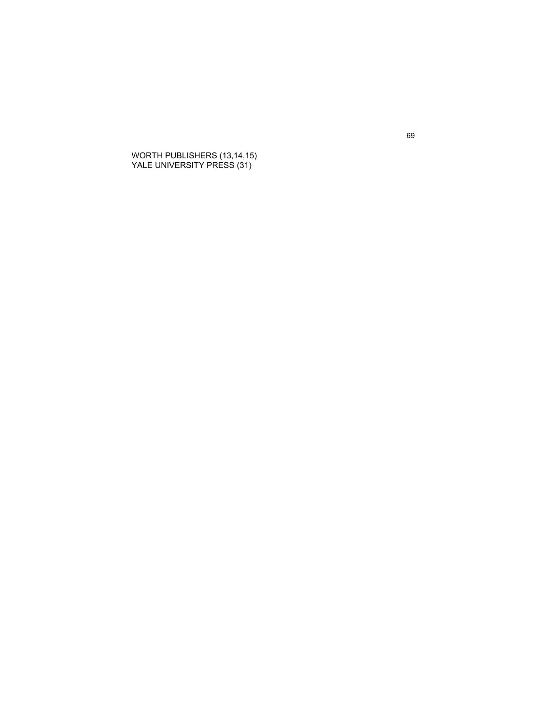WORTH PUBLISHERS (13,14,15) YALE UNIVERSITY PRESS (31)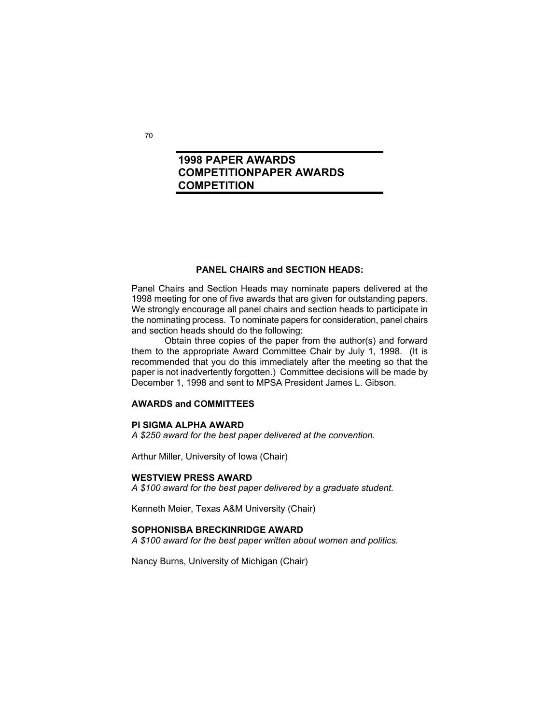# **1998 PAPER AWARDS COMPETITIONPAPER AWARDS COMPETITION**

#### **PANEL CHAIRS and SECTION HEADS:**

Panel Chairs and Section Heads may nominate papers delivered at the 1998 meeting for one of five awards that are given for outstanding papers. We strongly encourage all panel chairs and section heads to participate in the nominating process. To nominate papers for consideration, panel chairs and section heads should do the following:

Obtain three copies of the paper from the author(s) and forward them to the appropriate Award Committee Chair by July 1, 1998. (It is recommended that you do this immediately after the meeting so that the paper is not inadvertently forgotten.) Committee decisions will be made by December 1, 1998 and sent to MPSA President James L. Gibson.

#### **AWARDS and COMMITTEES**

#### **PI SIGMA ALPHA AWARD**

*A \$250 award for the best paper delivered at the convention*.

Arthur Miller, University of Iowa (Chair)

#### **WESTVIEW PRESS AWARD**

*A \$100 award for the best paper delivered by a graduate student.*

Kenneth Meier, Texas A&M University (Chair)

#### **SOPHONISBA BRECKINRIDGE AWARD**

*A \$100 award for the best paper written about women and politics.*

Nancy Burns, University of Michigan (Chair)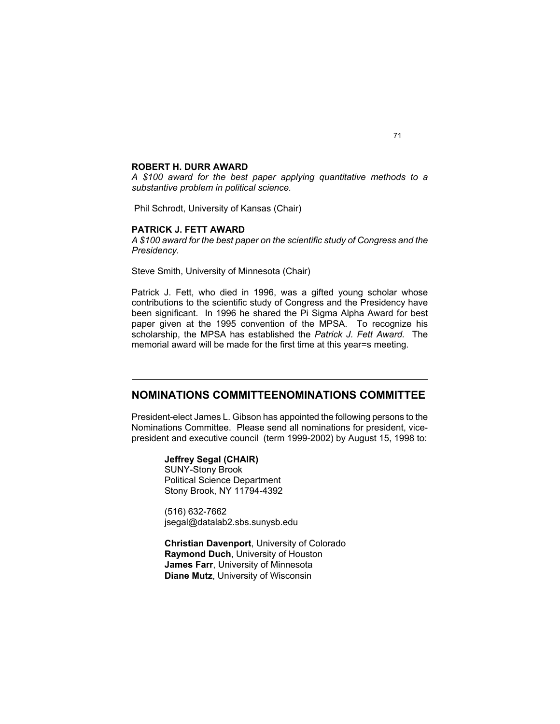#### **ROBERT H. DURR AWARD**

*A \$100 award for the best paper applying quantitative methods to a substantive problem in political science.*

Phil Schrodt, University of Kansas (Chair)

#### **PATRICK J. FETT AWARD**

*A \$100 award for the best paper on the scientific study of Congress and the Presidency.*

Steve Smith, University of Minnesota (Chair)

Patrick J. Fett, who died in 1996, was a gifted young scholar whose contributions to the scientific study of Congress and the Presidency have been significant. In 1996 he shared the Pi Sigma Alpha Award for best paper given at the 1995 convention of the MPSA. To recognize his scholarship, the MPSA has established the *Patrick J. Fett Award.* The memorial award will be made for the first time at this year=s meeting.

#### **NOMINATIONS COMMITTEENOMINATIONS COMMITTEE**

President-elect James L. Gibson has appointed the following persons to the Nominations Committee. Please send all nominations for president, vicepresident and executive council (term 1999-2002) by August 15, 1998 to:

#### **Jeffrey Segal (CHAIR)**

SUNY-Stony Brook Political Science Department Stony Brook, NY 11794-4392

(516) 632-7662 jsegal@datalab2.sbs.sunysb.edu

**Christian Davenport**, University of Colorado **Raymond Duch**, University of Houston **James Farr**, University of Minnesota **Diane Mutz**, University of Wisconsin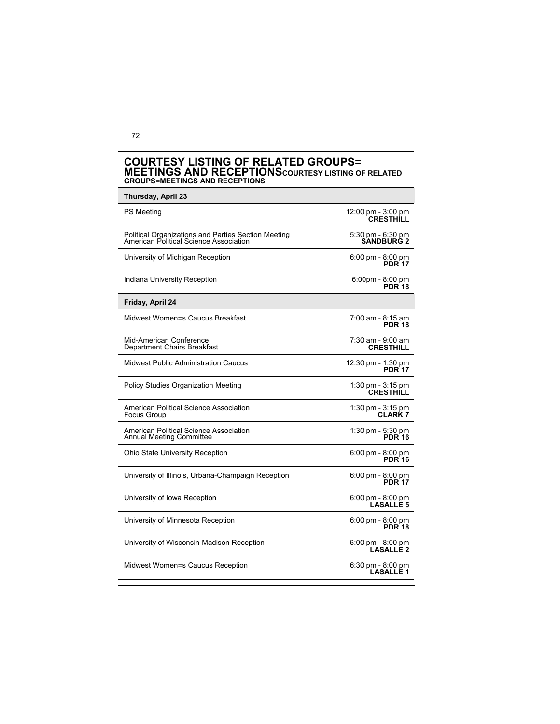# **COURTESY LISTING OF RELATED GROUPS<sup>=</sup> MEETINGS AND RECEPTIONSCOURTESY LISTING OF RELATED GROUPS=MEETINGS AND RECEPTIONS**

| Thursday, April 23                                                                            |                                                      |
|-----------------------------------------------------------------------------------------------|------------------------------------------------------|
| <b>PS Meeting</b>                                                                             | 12:00 pm - 3:00 pm<br><b>CRESTHILL</b>               |
| Political Organizations and Parties Section Meeting<br>American Political Science Association | 5:30 pm - 6:30 pm<br><b>SANDBURG 2</b>               |
| University of Michigan Reception                                                              | 6:00 pm - 8:00 pm<br><b>PDR 17</b>                   |
| Indiana University Reception                                                                  | $6:00 \text{pm} - 8:00 \text{pm}$<br><b>PDR 18</b>   |
| Friday, April 24                                                                              |                                                      |
| Midwest Women=s Caucus Breakfast                                                              | 7:00 am - 8:15 am<br><b>PDR 18</b>                   |
| Mid-American Conference<br>Department Chairs Breakfast                                        | 7:30 am - 9:00 am<br><b>CRESTHILL</b>                |
| Midwest Public Administration Caucus                                                          | 12:30 pm - 1:30 pm<br><b>PDR 17</b>                  |
| Policy Studies Organization Meeting                                                           | 1:30 pm - 3:15 pm<br><b>CRESTHILL</b>                |
| American Political Science Association<br>Focus Group                                         | 1:30 pm $-3:15$ pm<br><b>CLARK7</b>                  |
| American Political Science Association<br>Annual Meeting Committee                            | 1:30 pm - 5:30 pm<br><b>PDR 16</b>                   |
| Ohio State University Reception                                                               | 6:00 pm - 8:00 pm<br><b>PDR 16</b>                   |
| University of Illinois, Urbana-Champaign Reception                                            | $6:00 \text{ pm} - 8:00 \text{ pm}$<br><b>PDR 17</b> |
| University of Iowa Reception                                                                  | 6:00 pm - 8:00 pm<br><b>LASALLE 5</b>                |
| University of Minnesota Reception                                                             | $6:00 \text{ pm} - 8:00 \text{ pm}$<br><b>PDR 18</b> |
| University of Wisconsin-Madison Reception                                                     | 6:00 pm - 8:00 pm<br><b>LASALLE 2</b>                |
| Midwest Women=s Caucus Reception                                                              | 6:30 pm - 8:00 pm<br><b>LASALLE 1</b>                |
|                                                                                               |                                                      |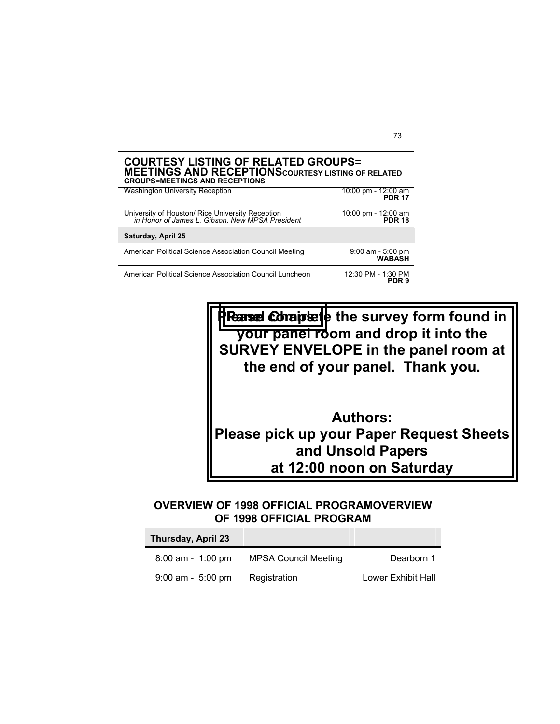# **COURTESY LISTING OF RELATED GROUPS<sup>=</sup> MEETINGS AND RECEPTIONSCOURTESY LISTING OF RELATED GROUPS=MEETINGS AND RECEPTIONS**

| Washington University Reception                                                                     | 10:00 pm - 12:00 am<br><b>PDR 17</b>   |
|-----------------------------------------------------------------------------------------------------|----------------------------------------|
| University of Houston/ Rice University Reception<br>in Honor of James L. Gibson, New MPSA President | 10:00 pm - 12:00 am<br><b>PDR 18</b>   |
| Saturday, April 25                                                                                  |                                        |
| American Political Science Association Council Meeting                                              | 9:00 am - 5:00 pm<br><b>WABASH</b>     |
| American Political Science Association Council Luncheon                                             | 12:30 PM - 1:30 PM<br>PDR <sub>9</sub> |

**Please Conaiglets** the survey form found in **your panel room and drop it into the SURVEY ENVELOPE in the panel room at the end of your panel. Thank you.** 

# **Authors: Please pick up your Paper Request Sheets and Unsold Papers at 12:00 noon on Saturday**

# **OVERVIEW OF 1998 OFFICIAL PROGRAMOVERVIEW OF 1998 OFFICIAL PROGRAM**

| <b>Thursday, April 23</b> |                             |                    |
|---------------------------|-----------------------------|--------------------|
| $8:00$ am - 1:00 pm       | <b>MPSA Council Meeting</b> | Dearborn 1         |
| $9:00$ am - $5:00$ pm     | Registration                | Lower Exhibit Hall |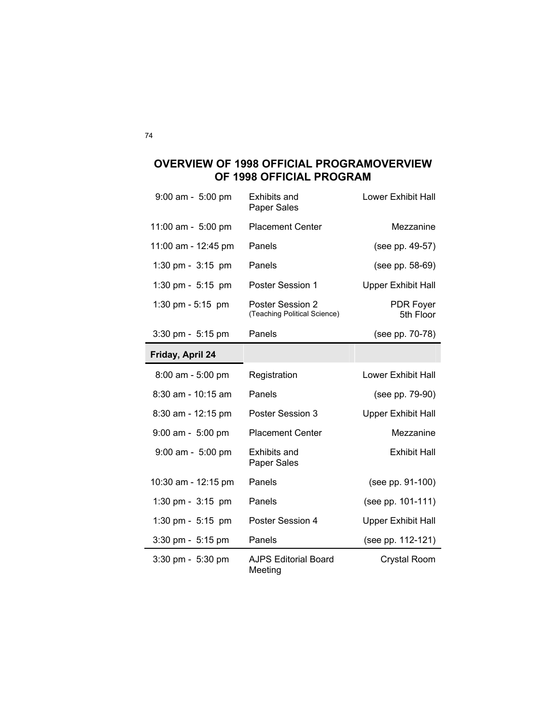# **OVERVIEW OF 1998 OFFICIAL PROGRAMOVERVIEW OF 1998 OFFICIAL PROGRAM**

| 9:00 am - 5:00 pm     | <b>Exhibits and</b><br>Paper Sales               | Lower Exhibit Hall            |
|-----------------------|--------------------------------------------------|-------------------------------|
| 11:00 am - 5:00 pm    | <b>Placement Center</b>                          | Mezzanine                     |
| 11:00 am - 12:45 pm   | Panels                                           | (see pp. 49-57)               |
| 1:30 pm - 3:15 pm     | Panels                                           | (see pp. 58-69)               |
| 1:30 pm - 5:15 pm     | Poster Session 1                                 | <b>Upper Exhibit Hall</b>     |
| 1:30 pm $-5:15$ pm    | Poster Session 2<br>(Teaching Political Science) | <b>PDR Foyer</b><br>5th Floor |
| $3:30$ pm - $5:15$ pm | Panels                                           | (see pp. 70-78)               |
| Friday, April 24      |                                                  |                               |
| $8:00$ am - 5:00 pm   | Registration                                     | Lower Exhibit Hall            |
| $8:30$ am - 10:15 am  | Panels                                           | (see pp. 79-90)               |
| 8:30 am - 12:15 pm    | Poster Session 3                                 | <b>Upper Exhibit Hall</b>     |
| $9:00$ am - $5:00$ pm | <b>Placement Center</b>                          | Mezzanine                     |
| $9:00$ am - $5:00$ pm | <b>Exhibits and</b><br>Paper Sales               | <b>Exhibit Hall</b>           |
| 10:30 am - 12:15 pm   | Panels                                           | (see pp. 91-100)              |
| 1:30 pm - $3:15$ pm   | Panels                                           | (see pp. 101-111)             |
| 1:30 pm - 5:15 pm     | Poster Session 4                                 | <b>Upper Exhibit Hall</b>     |
| 3:30 pm - 5:15 pm     | Panels                                           | (see pp. 112-121)             |
| 3:30 pm - 5:30 pm     | <b>AJPS Editorial Board</b><br>Meeting           | Crystal Room                  |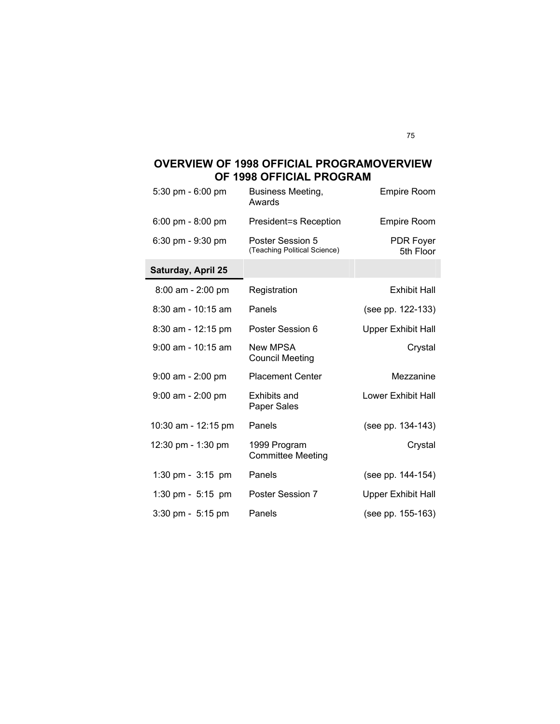# **OVERVIEW OF 1998 OFFICIAL PROGRAMOVERVIEW OF 1998 OFFICIAL PROGRAM**

| 5:30 pm $-6:00$ pm                  | Business Meeting,<br>Awards                      | <b>Empire Room</b>            |
|-------------------------------------|--------------------------------------------------|-------------------------------|
| 6:00 pm - 8:00 pm                   | President=s Reception                            | <b>Empire Room</b>            |
| $6:30 \text{ pm} - 9:30 \text{ pm}$ | Poster Session 5<br>(Teaching Political Science) | <b>PDR Foyer</b><br>5th Floor |
| <b>Saturday, April 25</b>           |                                                  |                               |
| $8:00$ am - 2:00 pm                 | Registration                                     | <b>Exhibit Hall</b>           |
| $8:30$ am - 10:15 am                | Panels                                           | (see pp. 122-133)             |
| 8:30 am - 12:15 pm                  | Poster Session 6                                 | <b>Upper Exhibit Hall</b>     |
| $9:00$ am - 10:15 am                | New MPSA<br><b>Council Meeting</b>               | Crystal                       |
| $9:00$ am - 2:00 pm                 | <b>Placement Center</b>                          | Mezzanine                     |
| $9:00$ am - 2:00 pm                 | Exhibits and<br>Paper Sales                      | Lower Exhibit Hall            |
| 10:30 am - 12:15 pm                 | Panels                                           | (see pp. 134-143)             |
| 12:30 pm - 1:30 pm                  | 1999 Program<br><b>Committee Meeting</b>         | Crystal                       |
| 1:30 pm - $3:15$ pm                 | Panels                                           | (see pp. 144-154)             |
| 1:30 pm - 5:15 pm                   | Poster Session 7                                 | <b>Upper Exhibit Hall</b>     |
| $3:30$ pm - $5:15$ pm               | Panels                                           | (see pp. 155-163)             |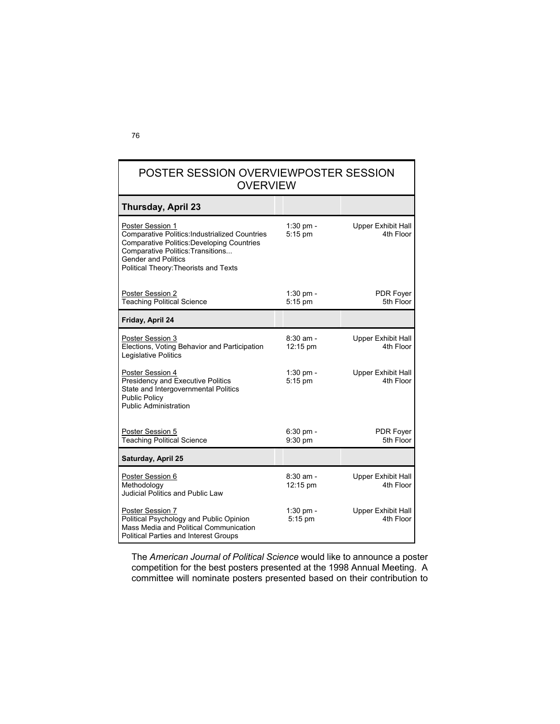# POSTER SESSION OVERVIEWPOSTER SESSION OVERVIEW

| <b>Thursday, April 23</b>                                                                                                                                                                                                                 |                                   |                                        |
|-------------------------------------------------------------------------------------------------------------------------------------------------------------------------------------------------------------------------------------------|-----------------------------------|----------------------------------------|
| Poster Session 1<br><b>Comparative Politics:Industrialized Countries</b><br><b>Comparative Politics: Developing Countries</b><br>Comparative Politics: Transitions<br><b>Gender and Politics</b><br>Political Theory: Theorists and Texts | $1:30$ pm -<br>$5:15$ pm          | Upper Exhibit Hall<br>4th Floor        |
| Poster Session 2<br><b>Teaching Political Science</b>                                                                                                                                                                                     | $1:30$ pm -<br>$5:15$ pm          | <b>PDR Fover</b><br>5th Floor          |
| Friday, April 24                                                                                                                                                                                                                          |                                   |                                        |
| Poster Session 3<br>Elections, Voting Behavior and Participation<br>Legislative Politics                                                                                                                                                  | $8:30$ am -<br>$12:15 \text{ pm}$ | <b>Upper Exhibit Hall</b><br>4th Floor |
| Poster Session 4<br>Presidency and Executive Politics<br>State and Intergovernmental Politics<br><b>Public Policy</b><br><b>Public Administration</b>                                                                                     | $1:30$ pm -<br>$5:15$ pm          | <b>Upper Exhibit Hall</b><br>4th Floor |
| Poster Session 5<br><b>Teaching Political Science</b>                                                                                                                                                                                     | $6:30$ pm -<br>9:30 pm            | <b>PDR Fover</b><br>5th Floor          |
| Saturday, April 25                                                                                                                                                                                                                        |                                   |                                        |
| Poster Session 6<br>Methodology<br>Judicial Politics and Public Law                                                                                                                                                                       | $8:30$ am -<br>12:15 pm           | <b>Upper Exhibit Hall</b><br>4th Floor |
| Poster Session 7<br>Political Psychology and Public Opinion<br>Mass Media and Political Communication<br><b>Political Parties and Interest Groups</b>                                                                                     | $1:30$ pm -<br>$5:15$ pm          | <b>Upper Exhibit Hall</b><br>4th Floor |

The *American Journal of Political Science* would like to announce a poster competition for the best posters presented at the 1998 Annual Meeting. A committee will nominate posters presented based on their contribution to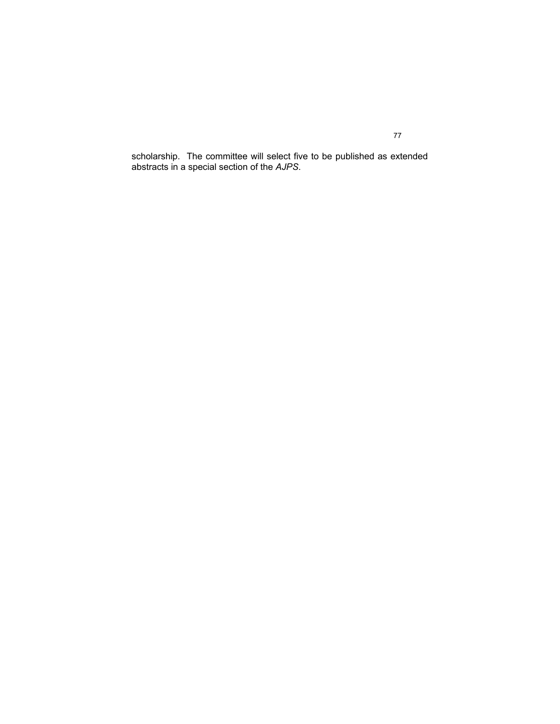scholarship. The committee will select five to be published as extended abstracts in a special section of the *AJPS*.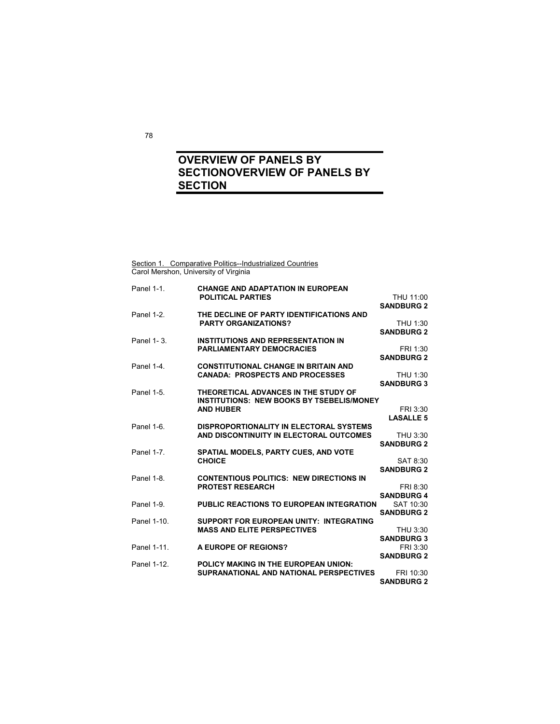# **OVERVIEW OF PANELS BY SECTIONOVERVIEW OF PANELS BY SECTION**

Section 1. Comparative Politics--Industrialized Countries Carol Mershon, University of Virginia

| Panel 1-1.  | <b>CHANGE AND ADAPTATION IN EUROPEAN</b>         |                   |
|-------------|--------------------------------------------------|-------------------|
|             | <b>POLITICAL PARTIES</b>                         | THU 11:00         |
|             |                                                  | <b>SANDBURG 2</b> |
| Panel 1-2.  | THE DECLINE OF PARTY IDENTIFICATIONS AND         |                   |
|             | <b>PARTY ORGANIZATIONS?</b>                      | THU 1:30          |
|             |                                                  | <b>SANDBURG 2</b> |
| Panel 1-3.  | <b>INSTITUTIONS AND REPRESENTATION IN</b>        |                   |
|             | <b>PARLIAMENTARY DEMOCRACIES</b>                 | FRI 1:30          |
|             |                                                  | <b>SANDBURG 2</b> |
| Panel 1-4.  | <b>CONSTITUTIONAL CHANGE IN BRITAIN AND</b>      |                   |
|             | <b>CANADA: PROSPECTS AND PROCESSES</b>           | THU 1:30          |
|             |                                                  | <b>SANDBURG 3</b> |
| Panel 1-5.  | THEORETICAL ADVANCES IN THE STUDY OF             |                   |
|             | <b>INSTITUTIONS: NEW BOOKS BY TSEBELIS/MONEY</b> |                   |
|             | <b>AND HUBER</b>                                 | FRI 3:30          |
|             |                                                  | <b>LASALLE 5</b>  |
| Panel 1-6.  | <b>DISPROPORTIONALITY IN ELECTORAL SYSTEMS</b>   |                   |
|             | AND DISCONTINUITY IN ELECTORAL OUTCOMES          | THU 3:30          |
|             |                                                  | <b>SANDBURG 2</b> |
| Panel 1-7.  | SPATIAL MODELS, PARTY CUES, AND VOTE             |                   |
|             | <b>CHOICE</b>                                    | SAT 8:30          |
|             |                                                  | <b>SANDBURG 2</b> |
| Panel 1-8   | <b>CONTENTIOUS POLITICS: NEW DIRECTIONS IN</b>   |                   |
|             | <b>PROTEST RESEARCH</b>                          | FRI 8:30          |
|             |                                                  | <b>SANDBURG 4</b> |
| Panel 1-9.  | PUBLIC REACTIONS TO EUROPEAN INTEGRATION         | SAT 10:30         |
|             |                                                  | <b>SANDBURG 2</b> |
| Panel 1-10. | <b>SUPPORT FOR EUROPEAN UNITY: INTEGRATING</b>   |                   |
|             | <b>MASS AND ELITE PERSPECTIVES</b>               | THU 3:30          |
|             |                                                  | <b>SANDBURG 3</b> |
| Panel 1-11. | A EUROPE OF REGIONS?                             | FRI 3:30          |
|             |                                                  |                   |
|             |                                                  | <b>SANDBURG 2</b> |
| Panel 1-12. | POLICY MAKING IN THE EUROPEAN UNION:             |                   |
|             | SUPRANATIONAL AND NATIONAL PERSPECTIVES          | FRI 10:30         |
|             |                                                  | <b>SANDBURG 2</b> |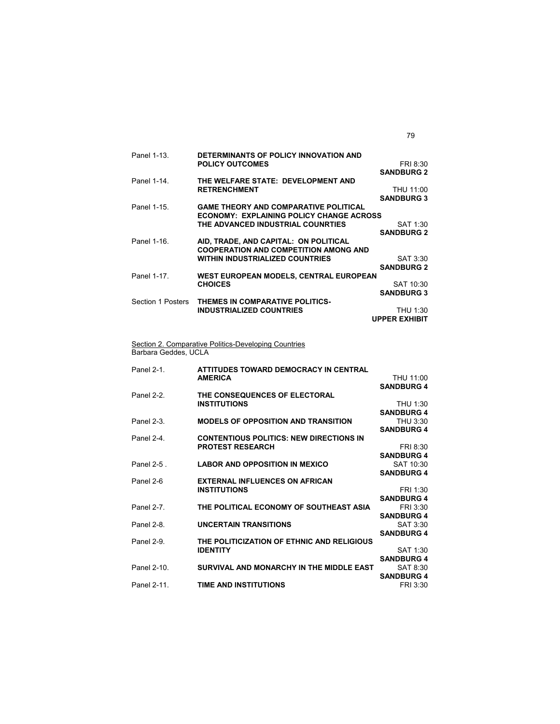| Panel 1-13.       | DETERMINANTS OF POLICY INNOVATION AND           |                      |
|-------------------|-------------------------------------------------|----------------------|
|                   | <b>POLICY OUTCOMES</b>                          | FRI 8:30             |
|                   |                                                 | <b>SANDBURG 2</b>    |
| Panel 1-14.       | THE WELFARE STATE: DEVELOPMENT AND              |                      |
|                   | <b>RETRENCHMENT</b>                             | THU 11:00            |
|                   |                                                 | <b>SANDBURG 3</b>    |
| Panel 1-15.       | <b>GAME THEORY AND COMPARATIVE POLITICAL</b>    |                      |
|                   | <b>ECONOMY: EXPLAINING POLICY CHANGE ACROSS</b> |                      |
|                   | THE ADVANCED INDUSTRIAL COUNRTIES               | SAT 1:30             |
|                   |                                                 | <b>SANDBURG 2</b>    |
| Panel 1-16        | AID, TRADE, AND CAPITAL: ON POLITICAL           |                      |
|                   | <b>COOPERATION AND COMPETITION AMONG AND</b>    |                      |
|                   | <b>WITHIN INDUSTRIALIZED COUNTRIES</b>          | SAT 3:30             |
|                   |                                                 | <b>SANDBURG 2</b>    |
| Panel 1-17.       | <b>WEST EUROPEAN MODELS, CENTRAL EUROPEAN</b>   |                      |
|                   | <b>CHOICES</b>                                  | SAT 10:30            |
|                   |                                                 | <b>SANDBURG 3</b>    |
| Section 1 Posters | THEMES IN COMPARATIVE POLITICS-                 |                      |
|                   | <b>INDUSTRIALIZED COUNTRIES</b>                 | THU 1:30             |
|                   |                                                 | <b>UPPER EXHIBIT</b> |

Section 2. Comparative Politics-Developing Countries Barbara Geddes, UCLA

| Panel 2-1.  | ATTITUDES TOWARD DEMOCRACY IN CENTRAL          |                   |
|-------------|------------------------------------------------|-------------------|
|             | <b>AMERICA</b>                                 | THU 11:00         |
|             |                                                | <b>SANDBURG 4</b> |
| Panel 2-2.  | THE CONSEQUENCES OF ELECTORAL                  |                   |
|             | <b>INSTITUTIONS</b>                            | THU 1:30          |
|             |                                                | <b>SANDBURG 4</b> |
| Panel 2-3.  | <b>MODELS OF OPPOSITION AND TRANSITION</b>     | THU 3:30          |
|             |                                                | <b>SANDBURG 4</b> |
| Panel 2-4.  | <b>CONTENTIOUS POLITICS: NEW DIRECTIONS IN</b> |                   |
|             | <b>PROTEST RESEARCH</b>                        | FRI 8:30          |
|             |                                                | <b>SANDBURG 4</b> |
| Panel 2-5.  | <b>LABOR AND OPPOSITION IN MEXICO</b>          | SAT 10:30         |
|             |                                                | <b>SANDBURG 4</b> |
| Panel 2-6   | <b>EXTERNAL INFLUENCES ON AFRICAN</b>          |                   |
|             | <b>INSTITUTIONS</b>                            | FRI 1:30          |
|             |                                                | <b>SANDBURG 4</b> |
| Panel 2-7   | THE POLITICAL ECONOMY OF SOUTHEAST ASIA        | FRI 3:30          |
|             |                                                | <b>SANDBURG 4</b> |
| Panel 2-8.  | <b>UNCERTAIN TRANSITIONS</b>                   | SAT 3:30          |
|             |                                                | <b>SANDBURG 4</b> |
| Panel 2-9   | THE POLITICIZATION OF ETHNIC AND RELIGIOUS     |                   |
|             | <b>IDENTITY</b>                                | SAT 1:30          |
|             |                                                | <b>SANDBURG 4</b> |
| Panel 2-10. | SURVIVAL AND MONARCHY IN THE MIDDLE EAST       | SAT 8:30          |
|             |                                                | <b>SANDBURG 4</b> |
| Panel 2-11. | <b>TIME AND INSTITUTIONS</b>                   | FRI 3:30          |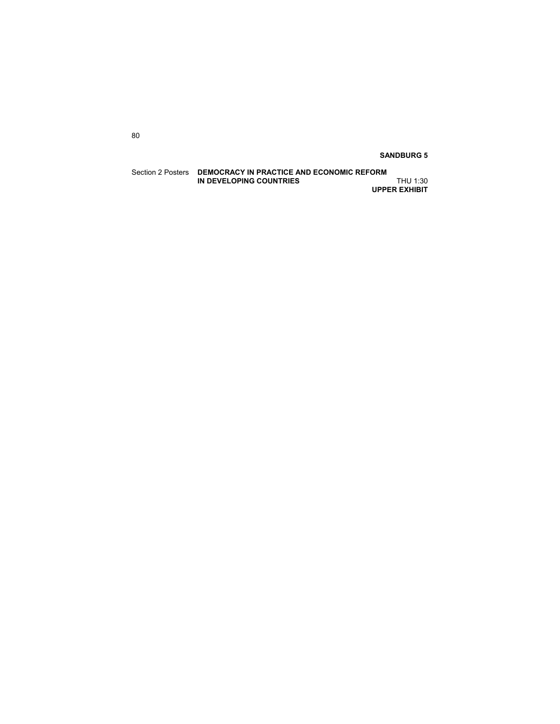#### **SANDBURG 5**

Section 2 Posters **DEMOCRACY IN PRACTICE AND ECONOMIC REFORM IN DEVELOPING COUNTRIES** THU 1:30 THU 1:30<br>**UPPER EXHIBIT**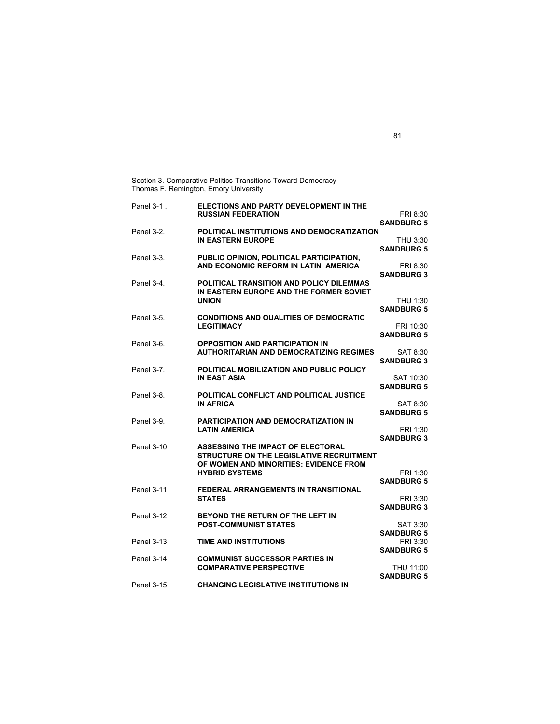Section 3. Comparative Politics-Transitions Toward Democracy Thomas F. Remington, Emory University

| Panel 3-1.  | ELECTIONS AND PARTY DEVELOPMENT IN THE<br><b>RUSSIAN FEDERATION</b>                                                                              | FRI 8:30                                            |
|-------------|--------------------------------------------------------------------------------------------------------------------------------------------------|-----------------------------------------------------|
| Panel 3-2.  | POLITICAL INSTITUTIONS AND DEMOCRATIZATION<br><b>IN EASTERN EUROPE</b>                                                                           | <b>SANDBURG 5</b><br>THU 3:30                       |
| Panel 3-3.  | PUBLIC OPINION, POLITICAL PARTICIPATION,<br>AND ECONOMIC REFORM IN LATIN AMERICA                                                                 | <b>SANDBURG 5</b><br>FRI 8:30                       |
| Panel 3-4.  | POLITICAL TRANSITION AND POLICY DILEMMAS<br>IN EASTERN EUROPE AND THE FORMER SOVIET<br><b>UNION</b>                                              | <b>SANDBURG 3</b><br>THU 1:30                       |
| Panel 3-5.  | <b>CONDITIONS AND QUALITIES OF DEMOCRATIC</b><br><b>LEGITIMACY</b>                                                                               | <b>SANDBURG 5</b><br>FRI 10:30<br><b>SANDBURG 5</b> |
| Panel 3-6.  | <b>OPPOSITION AND PARTICIPATION IN</b><br><b>AUTHORITARIAN AND DEMOCRATIZING REGIMES</b>                                                         | SAT 8:30<br><b>SANDBURG 3</b>                       |
| Panel 3-7.  | POLITICAL MOBILIZATION AND PUBLIC POLICY<br><b>IN EAST ASIA</b>                                                                                  | SAT 10:30<br><b>SANDBURG 5</b>                      |
| Panel 3-8.  | POLITICAL CONFLICT AND POLITICAL JUSTICE<br><b>IN AFRICA</b>                                                                                     | SAT 8:30                                            |
| Panel 3-9.  | <b>PARTICIPATION AND DEMOCRATIZATION IN</b><br><b>LATIN AMERICA</b>                                                                              | <b>SANDBURG 5</b><br>FRI 1:30                       |
| Panel 3-10. | ASSESSING THE IMPACT OF ELECTORAL<br>STRUCTURE ON THE LEGISLATIVE RECRUITMENT<br>OF WOMEN AND MINORITIES: EVIDENCE FROM<br><b>HYBRID SYSTEMS</b> | <b>SANDBURG 3</b><br>FRI 1:30<br><b>SANDBURG 5</b>  |
| Panel 3-11. | <b>FEDERAL ARRANGEMENTS IN TRANSITIONAL</b><br><b>STATES</b>                                                                                     | FRI 3:30                                            |
| Panel 3-12. | BEYOND THE RETURN OF THE LEFT IN<br><b>POST-COMMUNIST STATES</b>                                                                                 | <b>SANDBURG 3</b><br>SAT 3:30                       |
| Panel 3-13. | <b>TIME AND INSTITUTIONS</b>                                                                                                                     | <b>SANDBURG 5</b><br>FRI 3:30<br><b>SANDBURG 5</b>  |
| Panel 3-14. | <b>COMMUNIST SUCCESSOR PARTIES IN</b><br><b>COMPARATIVE PERSPECTIVE</b>                                                                          | THU 11:00<br><b>SANDBURG 5</b>                      |
| Panel 3-15. | <b>CHANGING LEGISLATIVE INSTITUTIONS IN</b>                                                                                                      |                                                     |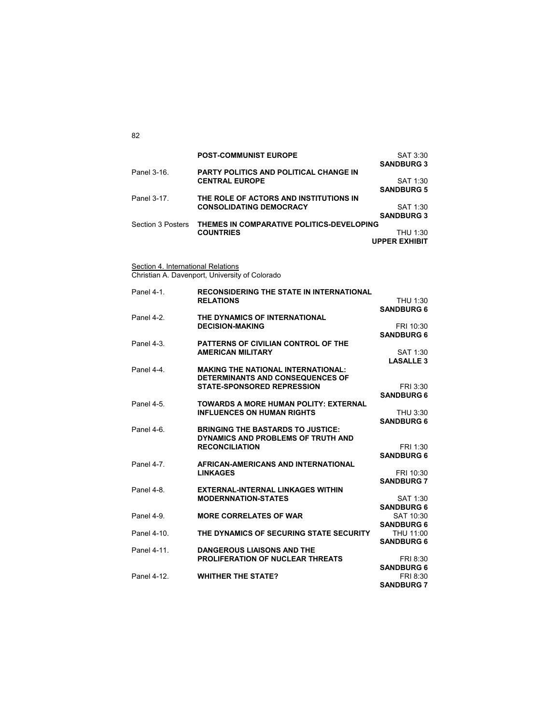|                                    | <b>POST-COMMUNIST EUROPE</b>                                                 | SAT 3:30<br><b>SANDBURG 3</b>    |
|------------------------------------|------------------------------------------------------------------------------|----------------------------------|
| Panel 3-16.                        | <b>PARTY POLITICS AND POLITICAL CHANGE IN</b><br><b>CENTRAL EUROPE</b>       | SAT 1:30<br><b>SANDBURG 5</b>    |
| Panel 3-17.                        | THE ROLE OF ACTORS AND INSTITUTIONS IN<br><b>CONSOLIDATING DEMOCRACY</b>     | SAT 1:30                         |
| Section 3 Posters                  | THEMES IN COMPARATIVE POLITICS-DEVELOPING                                    | <b>SANDBURG 3</b>                |
|                                    | <b>COUNTRIES</b>                                                             | THU 1:30<br><b>UPPER EXHIBIT</b> |
| Section 4. International Relations |                                                                              |                                  |
|                                    | Christian A. Davenport, University of Colorado                               |                                  |
| Panel 4-1.                         | <b>RECONSIDERING THE STATE IN INTERNATIONAL</b>                              |                                  |
|                                    | <b>RELATIONS</b>                                                             | THU 1:30<br><b>SANDBURG 6</b>    |
| Panel 4-2.                         | THE DYNAMICS OF INTERNATIONAL<br><b>DECISION-MAKING</b>                      | FRI 10:30                        |
| Panel 4-3.                         | <b>PATTERNS OF CIVILIAN CONTROL OF THE</b>                                   | <b>SANDBURG 6</b>                |
|                                    | <b>AMERICAN MILITARY</b>                                                     | SAT 1:30                         |
| Panel 4-4.                         | <b>MAKING THE NATIONAL INTERNATIONAL:</b>                                    | <b>LASALLE 3</b>                 |
|                                    | <b>DETERMINANTS AND CONSEQUENCES OF</b><br><b>STATE-SPONSORED REPRESSION</b> | FRI 3:30                         |
| Panel 4-5.                         | <b>TOWARDS A MORE HUMAN POLITY: EXTERNAL</b>                                 | <b>SANDBURG 6</b>                |
|                                    | <b>INFLUENCES ON HUMAN RIGHTS</b>                                            | THU 3:30                         |
| Panel 4-6.                         | <b>BRINGING THE BASTARDS TO JUSTICE:</b>                                     | <b>SANDBURG 6</b>                |
|                                    | DYNAMICS AND PROBLEMS OF TRUTH AND<br><b>RECONCILIATION</b>                  | FRI 1:30                         |
|                                    |                                                                              | <b>SANDBURG 6</b>                |
| Panel 4-7.                         | AFRICAN-AMERICANS AND INTERNATIONAL<br><b>LINKAGES</b>                       | FRI 10:30                        |
| Panel 4-8.                         | <b>EXTERNAL-INTERNAL LINKAGES WITHIN</b>                                     | <b>SANDBURG 7</b>                |
|                                    | <b>MODERNNATION-STATES</b>                                                   | SAT 1:30<br><b>SANDBURG 6</b>    |
| Panel 4-9.                         | <b>MORE CORRELATES OF WAR</b>                                                | SAT 10:30                        |
| Panel 4-10.                        | THE DYNAMICS OF SECURING STATE SECURITY                                      | <b>SANDBURG 6</b><br>THU 11:00   |
| Panel 4-11.                        | <b>DANGEROUS LIAISONS AND THE</b>                                            | <b>SANDBURG 6</b>                |
|                                    | <b>PROLIFERATION OF NUCLEAR THREATS</b>                                      | FRI 8:30                         |
| Panel 4-12.                        | <b>WHITHER THE STATE?</b>                                                    | <b>SANDBURG 6</b><br>FRI 8:30    |
|                                    |                                                                              | <b>SANDBURG 7</b>                |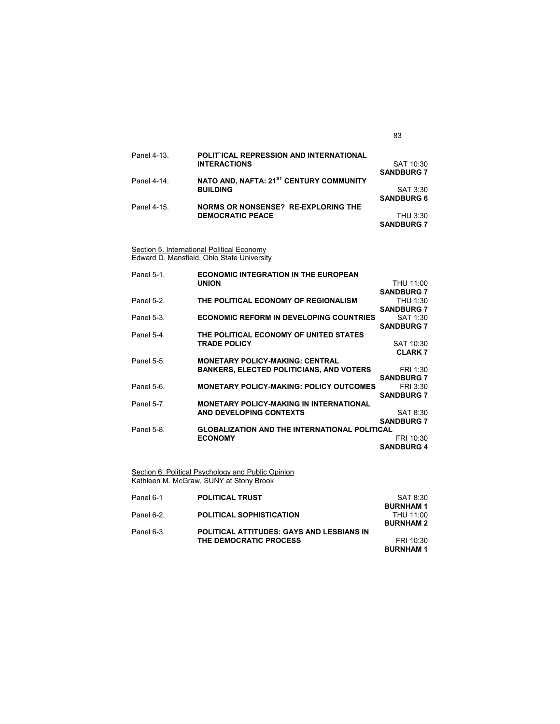| Panel 4-13. | <b>POLIT ICAL REPRESSION AND INTERNATIONAL</b><br><b>INTERACTIONS</b>  | SAT 10:30                     |
|-------------|------------------------------------------------------------------------|-------------------------------|
| Panel 4-14. | NATO AND, NAFTA: 21 <sup>ST</sup> CENTURY COMMUNITY<br><b>BUILDING</b> | <b>SANDBURG 7</b><br>SAT 3:30 |
| Panel 4-15. | NORMS OR NONSENSE? RE-EXPLORING THE                                    | <b>SANDBURG 6</b>             |
|             | <b>DEMOCRATIC PEACE</b>                                                | THU 3:30<br><b>SANDBURG 7</b> |

Section 5. International Political Economy Edward D. Mansfield, Ohio State University

| Panel 5-1. | <b>ECONOMIC INTEGRATION IN THE EUROPEAN</b>          |                   |
|------------|------------------------------------------------------|-------------------|
|            | <b>UNION</b>                                         | THU 11:00         |
|            |                                                      | <b>SANDBURG 7</b> |
| Panel 5-2. | THE POLITICAL ECONOMY OF REGIONALISM                 | THU 1:30          |
|            |                                                      | <b>SANDBURG 7</b> |
| Panel 5-3. | <b>ECONOMIC REFORM IN DEVELOPING COUNTRIES</b>       | SAT 1:30          |
|            |                                                      | <b>SANDBURG 7</b> |
| Panel 5-4. | THE POLITICAL ECONOMY OF UNITED STATES               |                   |
|            | <b>TRADE POLICY</b>                                  | SAT 10:30         |
|            |                                                      | <b>CLARK 7</b>    |
| Panel 5-5. | <b>MONETARY POLICY-MAKING: CENTRAL</b>               |                   |
|            | <b>BANKERS, ELECTED POLITICIANS, AND VOTERS</b>      | FRI 1:30          |
|            |                                                      | <b>SANDBURG 7</b> |
| Panel 5-6. | <b>MONETARY POLICY-MAKING: POLICY OUTCOMES</b>       | FRI 3:30          |
|            |                                                      | <b>SANDBURG 7</b> |
| Panel 5-7. | <b>MONETARY POLICY-MAKING IN INTERNATIONAL</b>       |                   |
|            | AND DEVELOPING CONTEXTS                              | SAT 8:30          |
|            |                                                      | <b>SANDBURG 7</b> |
| Panel 5-8. | <b>GLOBALIZATION AND THE INTERNATIONAL POLITICAL</b> |                   |
|            | <b>ECONOMY</b>                                       | FRI 10:30         |
|            |                                                      | <b>SANDBURG 4</b> |
|            |                                                      |                   |

Section 6. Political Psychology and Public Opinion Kathleen M. McGraw, SUNY at Stony Brook

| Panel 6-1  | <b>POLITICAL TRUST</b>                           | SAT 8:30         |
|------------|--------------------------------------------------|------------------|
|            |                                                  | <b>BURNHAM1</b>  |
| Panel 6-2. | <b>POLITICAL SOPHISTICATION</b>                  | THU 11:00        |
|            |                                                  | <b>BURNHAM 2</b> |
| Panel 6-3. | <b>POLITICAL ATTITUDES: GAYS AND LESBIANS IN</b> |                  |
|            | <b>THE DEMOCRATIC PROCESS</b>                    | FRI 10:30        |
|            |                                                  | <b>BURNHAM1</b>  |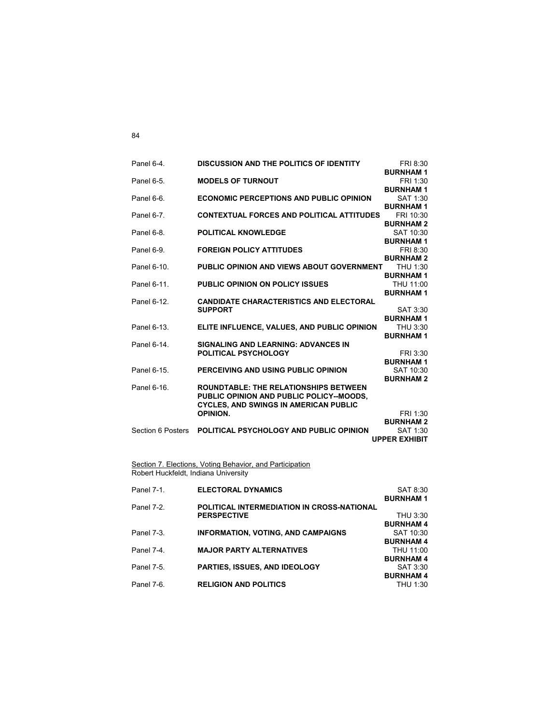| Panel 6-4.        | <b>DISCUSSION AND THE POLITICS OF IDENTITY</b>                  | FRI 8:30                     |
|-------------------|-----------------------------------------------------------------|------------------------------|
|                   |                                                                 | <b>BURNHAM1</b>              |
| Panel 6-5.        | <b>MODELS OF TURNOUT</b>                                        | FRI 1:30                     |
|                   |                                                                 | <b>BURNHAM1</b>              |
| Panel 6-6.        | <b>ECONOMIC PERCEPTIONS AND PUBLIC OPINION</b>                  | SAT 1:30                     |
|                   |                                                                 | <b>BURNHAM1</b>              |
| Panel 6-7.        | <b>CONTEXTUAL FORCES AND POLITICAL ATTITUDES</b>                | FRI 10:30                    |
|                   |                                                                 | <b>BURNHAM2</b>              |
| Panel 6-8.        | <b>POLITICAL KNOWLEDGE</b>                                      | SAT 10:30<br><b>BURNHAM1</b> |
| Panel 6-9.        | <b>FOREIGN POLICY ATTITUDES</b>                                 | FRI 8:30                     |
|                   |                                                                 | <b>BURNHAM2</b>              |
| Panel 6-10.       | PUBLIC OPINION AND VIEWS ABOUT GOVERNMENT                       | THU 1:30                     |
|                   |                                                                 | <b>BURNHAM1</b>              |
| Panel 6-11.       | PUBLIC OPINION ON POLICY ISSUES                                 | THU 11:00                    |
|                   |                                                                 | <b>BURNHAM1</b>              |
| Panel 6-12.       | <b>CANDIDATE CHARACTERISTICS AND ELECTORAL</b>                  |                              |
|                   | <b>SUPPORT</b>                                                  | SAT 3:30                     |
|                   |                                                                 | <b>BURNHAM1</b>              |
| Panel 6-13.       | ELITE INFLUENCE, VALUES, AND PUBLIC OPINION                     | THU 3:30                     |
|                   |                                                                 | <b>BURNHAM1</b>              |
| Panel 6-14.       | <b>SIGNALING AND LEARNING: ADVANCES IN</b>                      |                              |
|                   | POLITICAL PSYCHOLOGY                                            | FRI 3:30                     |
|                   |                                                                 | <b>BURNHAM1</b>              |
| Panel 6-15.       | PERCEIVING AND USING PUBLIC OPINION                             | SAT 10:30                    |
|                   |                                                                 | <b>BURNHAM2</b>              |
| Panel 6-16.       | <b>ROUNDTABLE: THE RELATIONSHIPS BETWEEN</b>                    |                              |
|                   | PUBLIC OPINION AND PUBLIC POLICY--MOODS,                        |                              |
|                   | <b>CYCLES, AND SWINGS IN AMERICAN PUBLIC</b><br><b>OPINION.</b> | FRI 1:30                     |
|                   |                                                                 | <b>BURNHAM2</b>              |
| Section 6 Posters | POLITICAL PSYCHOLOGY AND PUBLIC OPINION                         | SAT 1:30                     |
|                   |                                                                 | <b>UPPER EXHIBIT</b>         |
|                   |                                                                 |                              |

Section 7. Elections, Voting Behavior, and Participation Robert Huckfeldt, Indiana University

| Panel 7-1. | <b>ELECTORAL DYNAMICS</b>                  | SAT 8:30        |
|------------|--------------------------------------------|-----------------|
|            |                                            | <b>BURNHAM1</b> |
| Panel 7-2. | POLITICAL INTERMEDIATION IN CROSS-NATIONAL |                 |
|            | <b>PERSPECTIVE</b>                         | THU 3:30        |
|            |                                            | <b>BURNHAM4</b> |
| Panel 7-3. | <b>INFORMATION, VOTING, AND CAMPAIGNS</b>  | SAT 10:30       |
|            |                                            | <b>BURNHAM4</b> |
| Panel 7-4. | <b>MAJOR PARTY ALTERNATIVES</b>            | THU 11:00       |
|            |                                            | <b>BURNHAM4</b> |
| Panel 7-5. | <b>PARTIES, ISSUES, AND IDEOLOGY</b>       | SAT 3:30        |
|            |                                            | <b>BURNHAM4</b> |
| Panel 7-6. | <b>RELIGION AND POLITICS</b>               | THU 1:30        |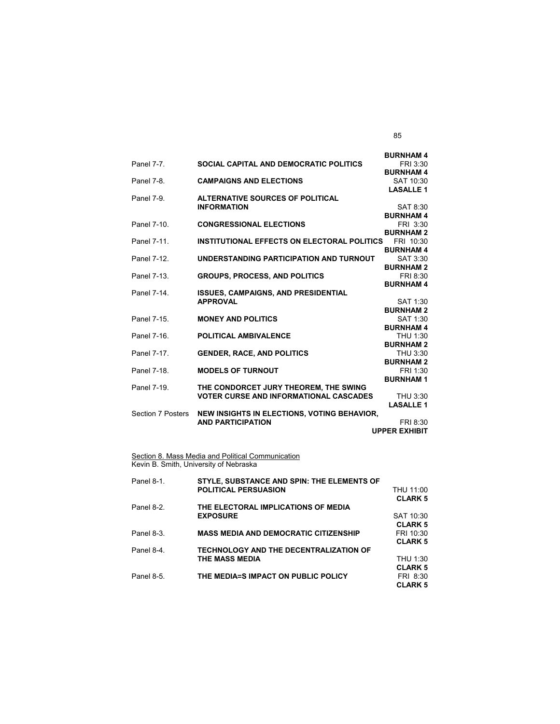|                   |                                                               | <b>BURNHAM4</b>             |
|-------------------|---------------------------------------------------------------|-----------------------------|
| Panel 7-7         | SOCIAL CAPITAL AND DEMOCRATIC POLITICS                        | FRI 3:30<br><b>BURNHAM4</b> |
| Panel 7-8.        | <b>CAMPAIGNS AND ELECTIONS</b>                                | SAT 10:30                   |
|                   |                                                               | <b>LASALLE 1</b>            |
| Panel 7-9.        | ALTERNATIVE SOURCES OF POLITICAL<br><b>INFORMATION</b>        |                             |
|                   |                                                               | SAT 8:30<br><b>BURNHAM4</b> |
| Panel 7-10        | <b>CONGRESSIONAL ELECTIONS</b>                                | FRI 3:30                    |
|                   |                                                               | <b>BURNHAM2</b>             |
| Panel 7-11        | INSTITUTIONAL EFFECTS ON ELECTORAL POLITICS                   | FRI 10:30                   |
|                   |                                                               | <b>BURNHAM4</b>             |
| <b>Panel 7-12</b> | UNDERSTANDING PARTICIPATION AND TURNOUT                       | SAT 3:30                    |
|                   |                                                               | <b>BURNHAM2</b>             |
| Panel 7-13.       | <b>GROUPS, PROCESS, AND POLITICS</b>                          | FRI 8:30                    |
|                   |                                                               | <b>BURNHAM4</b>             |
| Panel 7-14        | <b>ISSUES, CAMPAIGNS, AND PRESIDENTIAL</b><br><b>APPROVAL</b> | SAT 1:30                    |
|                   |                                                               | <b>BURNHAM2</b>             |
| Panel 7-15.       | <b>MONEY AND POLITICS</b>                                     | SAT 1:30                    |
|                   |                                                               | <b>BURNHAM4</b>             |
| Panel 7-16.       | POLITICAL AMBIVALENCE                                         | THU 1:30                    |
|                   |                                                               | <b>BURNHAM2</b>             |
| Panel 7-17.       | <b>GENDER, RACE, AND POLITICS</b>                             | THU 3:30                    |
|                   |                                                               | <b>BURNHAM2</b>             |
| Panel 7-18.       | <b>MODELS OF TURNOUT</b>                                      | FRI 1:30                    |
|                   |                                                               | <b>BURNHAM1</b>             |
| Panel 7-19.       | THE CONDORCET JURY THEOREM, THE SWING                         |                             |
|                   | <b>VOTER CURSE AND INFORMATIONAL CASCADES</b>                 | THU 3:30                    |
|                   |                                                               | <b>LASALLE 1</b>            |
| Section 7 Posters | NEW INSIGHTS IN ELECTIONS, VOTING BEHAVIOR,                   |                             |
|                   | <b>AND PARTICIPATION</b>                                      | FRI 8:30                    |
|                   |                                                               | <b>UPPER EXHIBIT</b>        |

Section 8. Mass Media and Political Communication Kevin B. Smith, University of Nebraska

| Panel 8-1. | STYLE, SUBSTANCE AND SPIN: THE ELEMENTS OF    |                |
|------------|-----------------------------------------------|----------------|
|            | <b>POLITICAL PERSUASION</b>                   | THU 11:00      |
|            |                                               | <b>CLARK 5</b> |
| Panel 8-2. | THE ELECTORAL IMPLICATIONS OF MEDIA           |                |
|            | <b>EXPOSURE</b>                               | SAT 10:30      |
|            |                                               | <b>CLARK 5</b> |
| Panel 8-3  | <b>MASS MEDIA AND DEMOCRATIC CITIZENSHIP</b>  | FRI 10:30      |
|            |                                               | <b>CLARK 5</b> |
| Panel 8-4. | <b>TECHNOLOGY AND THE DECENTRALIZATION OF</b> |                |
|            | THE MASS MEDIA                                | THU 1:30       |
|            |                                               | <b>CLARK 5</b> |
| Panel 8-5. | THE MEDIA=S IMPACT ON PUBLIC POLICY           | FRI 8:30       |
|            |                                               | <b>CLARK 5</b> |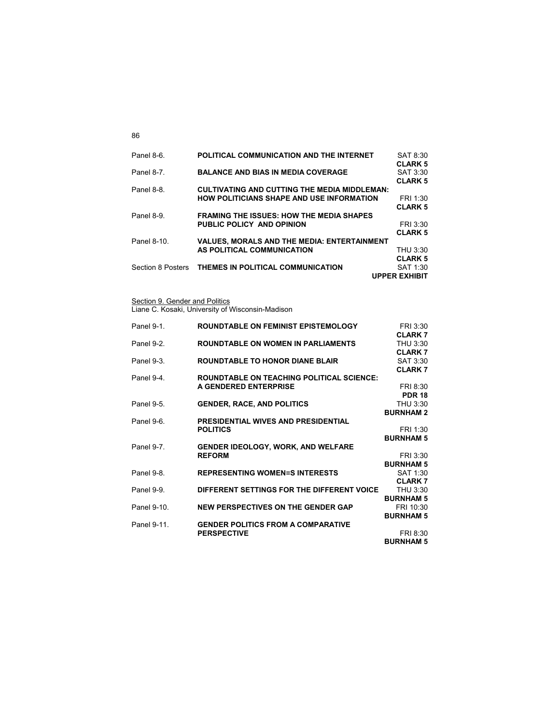| Panel 8-6   | POLITICAL COMMUNICATION AND THE INTERNET                   | SAT 8:30<br><b>CLARK 5</b> |
|-------------|------------------------------------------------------------|----------------------------|
| Panel 8-7   | <b>BALANCE AND BIAS IN MEDIA COVERAGE</b>                  | SAT 3:30<br><b>CLARK 5</b> |
| Panel 8-8.  | <b>CULTIVATING AND CUTTING THE MEDIA MIDDLEMAN:</b>        |                            |
|             | <b>HOW POLITICIANS SHAPE AND USE INFORMATION</b>           | FRI 1:30                   |
|             |                                                            | <b>CLARK 5</b>             |
| Panel 8-9.  | <b>FRAMING THE ISSUES: HOW THE MEDIA SHAPES</b>            |                            |
|             | PUBLIC POLICY AND OPINION                                  | FRI 3:30                   |
|             |                                                            | <b>CLARK 5</b>             |
| Panel 8-10. | <b>VALUES, MORALS AND THE MEDIA: ENTERTAINMENT</b>         |                            |
|             | AS POLITICAL COMMUNICATION                                 | THU 3:30                   |
|             |                                                            | <b>CLARK 5</b>             |
|             | Section 8 Posters <b>THEMES IN POLITICAL COMMUNICATION</b> | SAT 1:30                   |
|             |                                                            | <b>UPPER EXHIBIT</b>       |

| Section 9. Gender and Politics |  |
|--------------------------------|--|
|--------------------------------|--|

Liane C. Kosaki, University of Wisconsin-Madison

| Panel 9-1. | <b>ROUNDTABLE ON FEMINIST EPISTEMOLOGY</b>       | FRI 3:30         |
|------------|--------------------------------------------------|------------------|
|            |                                                  | <b>CLARK 7</b>   |
| Panel 9-2. | <b>ROUNDTABLE ON WOMEN IN PARLIAMENTS</b>        | THU 3:30         |
|            |                                                  | <b>CLARK 7</b>   |
| Panel 9-3. | <b>ROUNDTABLE TO HONOR DIANE BLAIR</b>           | SAT 3:30         |
|            |                                                  | <b>CLARK 7</b>   |
| Panel 9-4. | <b>ROUNDTABLE ON TEACHING POLITICAL SCIENCE:</b> |                  |
|            | A GENDERED ENTERPRISE                            | FRI 8:30         |
|            |                                                  | <b>PDR 18</b>    |
| Panel 9-5. | <b>GENDER, RACE, AND POLITICS</b>                | THU 3:30         |
|            |                                                  | <b>BURNHAM2</b>  |
| Panel 9-6. | PRESIDENTIAL WIVES AND PRESIDENTIAL              |                  |
|            | <b>POLITICS</b>                                  | FRI 1:30         |
|            |                                                  | <b>BURNHAM 5</b> |
| Panel 9-7  | <b>GENDER IDEOLOGY, WORK, AND WELFARE</b>        |                  |
|            | <b>REFORM</b>                                    | FRI 3:30         |
|            |                                                  | <b>BURNHAM 5</b> |
| Panel 9-8. | <b>REPRESENTING WOMEN=S INTERESTS</b>            | SAT 1:30         |
|            |                                                  | <b>CLARK 7</b>   |
| Panel 9-9. | DIFFERENT SETTINGS FOR THE DIFFERENT VOICE       | THU 3:30         |
|            |                                                  | <b>BURNHAM 5</b> |
| Panel 9-10 | NEW PERSPECTIVES ON THE GENDER GAP               | FRI 10:30        |
|            |                                                  | <b>BURNHAM 5</b> |
| Panel 9-11 | <b>GENDER POLITICS FROM A COMPARATIVE</b>        |                  |
|            | <b>PERSPECTIVE</b>                               | FRI 8:30         |
|            |                                                  | <b>BURNHAM 5</b> |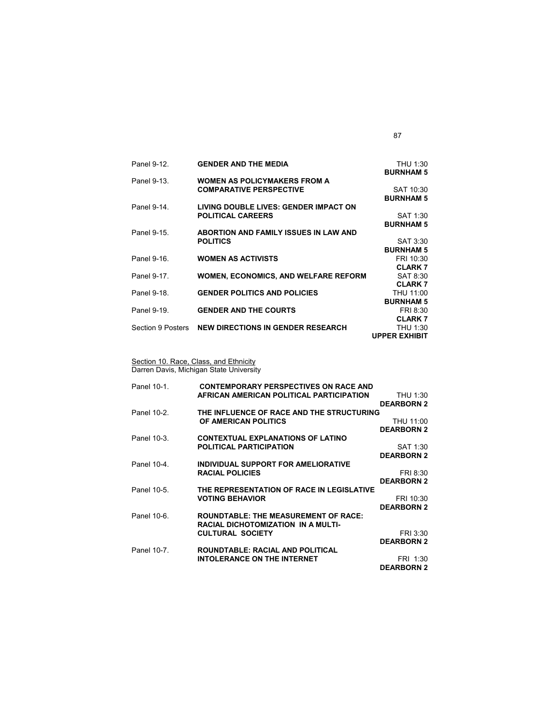| Panel 9-12. | <b>GENDER AND THE MEDIA</b>                                           | THU 1:30<br><b>BURNHAM 5</b> |
|-------------|-----------------------------------------------------------------------|------------------------------|
| Panel 9-13. | <b>WOMEN AS POLICYMAKERS FROM A</b><br><b>COMPARATIVE PERSPECTIVE</b> | SAT 10:30                    |
|             |                                                                       | <b>BURNHAM 5</b>             |
| Panel 9-14. | LIVING DOUBLE LIVES: GENDER IMPACT ON                                 |                              |
|             | <b>POLITICAL CAREERS</b>                                              | SAT 1:30                     |
|             |                                                                       | <b>BURNHAM 5</b>             |
| Panel 9-15. | ABORTION AND FAMILY ISSUES IN LAW AND                                 |                              |
|             | <b>POLITICS</b>                                                       | SAT 3:30                     |
|             |                                                                       | <b>BURNHAM 5</b>             |
| Panel 9-16. | <b>WOMEN AS ACTIVISTS</b>                                             | FRI 10:30                    |
|             |                                                                       | <b>CLARK7</b>                |
| Panel 9-17. | <b>WOMEN, ECONOMICS, AND WELFARE REFORM</b>                           | SAT 8:30                     |
|             |                                                                       | <b>CLARK7</b>                |
| Panel 9-18. | <b>GENDER POLITICS AND POLICIES</b>                                   | THU 11:00                    |
|             |                                                                       | <b>BURNHAM 5</b>             |
| Panel 9-19. | <b>GENDER AND THE COURTS</b>                                          | FRI 8:30                     |
|             |                                                                       | <b>CLARK7</b>                |
|             | Section 9 Posters NEW DIRECTIONS IN GENDER RESEARCH                   | THU 1:30                     |
|             |                                                                       |                              |
|             |                                                                       | <b>UPPER EXHIBIT</b>         |

87

# Section 10. Race, Class, and Ethnicity

Darren Davis, Michigan State University

| Panel 10-1. | <b>CONTEMPORARY PERSPECTIVES ON RACE AND</b> |                   |
|-------------|----------------------------------------------|-------------------|
|             | AFRICAN AMERICAN POLITICAL PARTICIPATION     | THU 1:30          |
|             |                                              | <b>DEARBORN 2</b> |
| Panel 10-2. | THE INFLUENCE OF RACE AND THE STRUCTURING    |                   |
|             | OF AMERICAN POLITICS                         | THU 11:00         |
|             |                                              | <b>DEARBORN 2</b> |
| Panel 10-3. | <b>CONTEXTUAL EXPLANATIONS OF LATINO</b>     |                   |
|             | <b>POLITICAL PARTICIPATION</b>               | SAT 1:30          |
|             |                                              | <b>DEARBORN 2</b> |
| Panel 10-4. | INDIVIDUAL SUPPORT FOR AMELIORATIVE          |                   |
|             | <b>RACIAL POLICIES</b>                       | FRI 8:30          |
|             |                                              | <b>DEARBORN 2</b> |
| Panel 10-5. | THE REPRESENTATION OF RACE IN LEGISLATIVE    |                   |
|             | <b>VOTING BEHAVIOR</b>                       | FRI 10:30         |
|             |                                              | <b>DEARBORN 2</b> |
| Panel 10-6. | <b>ROUNDTABLE: THE MEASUREMENT OF RACE:</b>  |                   |
|             | <b>RACIAL DICHOTOMIZATION IN A MULTI-</b>    |                   |
|             | <b>CULTURAL SOCIETY</b>                      | FRI 3:30          |
|             |                                              | <b>DEARBORN 2</b> |
| Panel 10-7. | <b>ROUNDTABLE: RACIAL AND POLITICAL</b>      |                   |
|             | <b>INTOLERANCE ON THE INTERNET</b>           | FRI 1:30          |
|             |                                              | <b>DEARBORN 2</b> |
|             |                                              |                   |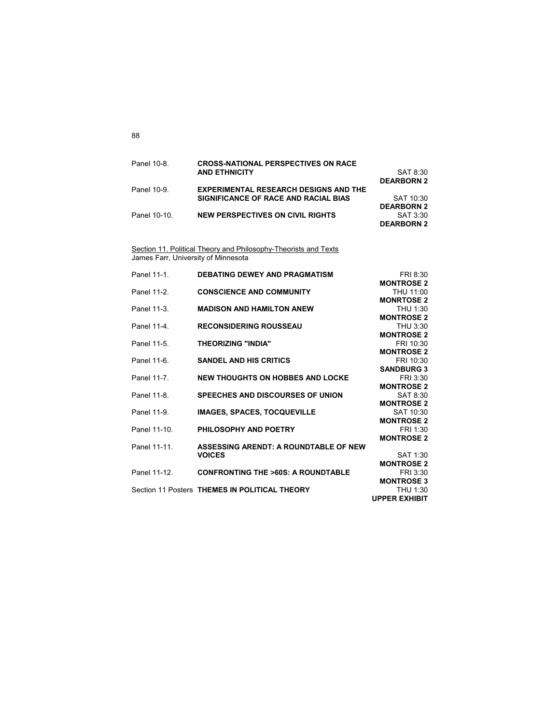| Panel 10-8.  | <b>CROSS-NATIONAL PERSPECTIVES ON RACE</b>   |                   |
|--------------|----------------------------------------------|-------------------|
|              | <b>AND ETHNICITY</b>                         | SAT 8:30          |
|              |                                              | <b>DEARBORN 2</b> |
| Panel 10-9.  | <b>EXPERIMENTAL RESEARCH DESIGNS AND THE</b> |                   |
|              | SIGNIFICANCE OF RACE AND RACIAL BIAS         | SAT 10:30         |
|              |                                              | <b>DEARBORN 2</b> |
| Panel 10-10. | NEW PERSPECTIVES ON CIVIL RIGHTS             | SAT 3:30          |
|              |                                              | <b>DEARBORN 2</b> |

Section 11. Political Theory and Philosophy-Theorists and Texts James Farr, University of Minnesota

| Panel 11-1.  | <b>DEBATING DEWEY AND PRAGMATISM</b>          | FRI 8:30                      |
|--------------|-----------------------------------------------|-------------------------------|
|              |                                               | <b>MONTROSE 2</b>             |
| Panel 11-2.  | <b>CONSCIENCE AND COMMUNITY</b>               | THU 11:00                     |
| Panel 11-3.  | <b>MADISON AND HAMILTON ANEW</b>              | <b>MONRTOSE 2</b><br>THU 1:30 |
|              |                                               | <b>MONTROSE 2</b>             |
| Panel 11-4.  | <b>RECONSIDERING ROUSSEAU</b>                 | THU 3:30                      |
|              |                                               | <b>MONTROSE 2</b>             |
| Panel 11-5.  | <b>THEORIZING "INDIA"</b>                     | FRI 10:30                     |
|              |                                               | <b>MONTROSE 2</b>             |
| Panel 11-6.  | <b>SANDEL AND HIS CRITICS</b>                 | FRI 10:30                     |
|              |                                               | <b>SANDBURG 3</b>             |
| Panel 11-7.  | <b>NEW THOUGHTS ON HOBBES AND LOCKE</b>       | FRI 3:30                      |
|              |                                               | <b>MONTROSE 2</b>             |
| Panel 11-8.  | SPEECHES AND DISCOURSES OF UNION              | SAT 8:30                      |
|              |                                               | <b>MONTROSE 2</b>             |
| Panel 11-9.  | <b>IMAGES, SPACES, TOCQUEVILLE</b>            | SAT 10:30                     |
|              |                                               | <b>MONTROSE 2</b>             |
| Panel 11-10. | PHILOSOPHY AND POETRY                         | FRI 1:30<br><b>MONTROSE 2</b> |
| Panel 11-11  | ASSESSING ARENDT: A ROUNDTABLE OF NEW         |                               |
|              | <b>VOICES</b>                                 | SAT 1:30                      |
|              |                                               | <b>MONTROSE 2</b>             |
| Panel 11-12. | <b>CONFRONTING THE &gt;60S: A ROUNDTABLE</b>  | FRI 3:30                      |
|              |                                               | <b>MONTROSE 3</b>             |
|              | Section 11 Posters THEMES IN POLITICAL THEORY | THU 1:30                      |
|              |                                               | <b>UPPER EXHIBIT</b>          |
|              |                                               |                               |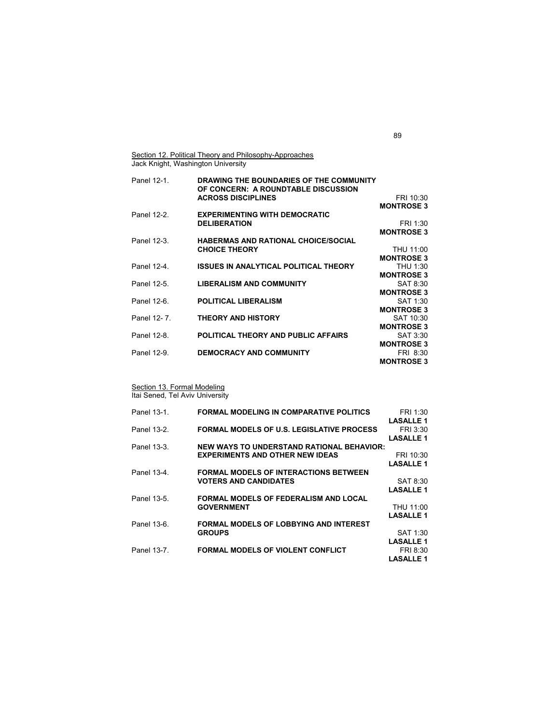Section 12. Political Theory and Philosophy-Approaches Jack Knight, Washington University

| Panel 12-1. | DRAWING THE BOUNDARIES OF THE COMMUNITY<br>OF CONCERN: A ROUNDTABLE DISCUSSION |                   |
|-------------|--------------------------------------------------------------------------------|-------------------|
|             | <b>ACROSS DISCIPLINES</b>                                                      | FRI 10:30         |
|             |                                                                                | <b>MONTROSE 3</b> |
| Panel 12-2. | <b>EXPERIMENTING WITH DEMOCRATIC</b>                                           |                   |
|             | <b>DELIBERATION</b>                                                            | FRI 1:30          |
|             |                                                                                | <b>MONTROSE 3</b> |
| Panel 12-3  | <b>HABERMAS AND RATIONAL CHOICE/SOCIAL</b>                                     |                   |
|             | <b>CHOICE THEORY</b>                                                           | THU 11:00         |
|             |                                                                                | <b>MONTROSE 3</b> |
| Panel 12-4  | <b>ISSUES IN ANALYTICAL POLITICAL THEORY</b>                                   | THU 1:30          |
|             |                                                                                | <b>MONTROSE 3</b> |
| Panel 12-5. | <b>LIBERALISM AND COMMUNITY</b>                                                | SAT 8:30          |
|             |                                                                                | <b>MONTROSE 3</b> |
| Panel 12-6. | <b>POLITICAL LIBERALISM</b>                                                    | SAT 1:30          |
|             |                                                                                | <b>MONTROSE 3</b> |
| Panel 12-7. | <b>THEORY AND HISTORY</b>                                                      | SAT 10:30         |
|             |                                                                                | <b>MONTROSE 3</b> |
| Panel 12-8. | POLITICAL THEORY AND PUBLIC AFFAIRS                                            | SAT 3:30          |
|             |                                                                                | <b>MONTROSE 3</b> |
| Panel 12-9. | <b>DEMOCRACY AND COMMUNITY</b>                                                 | FRI 8:30          |
|             |                                                                                | <b>MONTROSE 3</b> |

# Section 13. Formal Modeling

Itai Sened, Tel Aviv University

| Panel 13-1. | <b>FORMAL MODELING IN COMPARATIVE POLITICS</b>   | FRI 1:30         |
|-------------|--------------------------------------------------|------------------|
|             |                                                  | <b>LASALLE 1</b> |
| Panel 13-2. | <b>FORMAL MODELS OF U.S. LEGISLATIVE PROCESS</b> | FRI 3:30         |
|             |                                                  | <b>LASALLE 1</b> |
| Panel 13-3. | <b>NEW WAYS TO UNDERSTAND RATIONAL BEHAVIOR:</b> |                  |
|             | <b>EXPERIMENTS AND OTHER NEW IDEAS</b>           | FRI 10:30        |
|             |                                                  | <b>LASALLE 1</b> |
| Panel 13-4. | <b>FORMAL MODELS OF INTERACTIONS BETWEEN</b>     |                  |
|             | <b>VOTERS AND CANDIDATES</b>                     | SAT 8:30         |
|             |                                                  | <b>LASALLE 1</b> |
| Panel 13-5. | <b>FORMAL MODELS OF FEDERALISM AND LOCAL</b>     |                  |
|             | <b>GOVERNMENT</b>                                | THU 11:00        |
|             |                                                  | <b>LASALLE 1</b> |
| Panel 13-6. | <b>FORMAL MODELS OF LOBBYING AND INTEREST</b>    |                  |
|             | <b>GROUPS</b>                                    | SAT 1:30         |
|             |                                                  | <b>LASALLE 1</b> |
| Panel 13-7. | <b>FORMAL MODELS OF VIOLENT CONFLICT</b>         | FRI 8:30         |
|             |                                                  | <b>LASALLE 1</b> |
|             |                                                  |                  |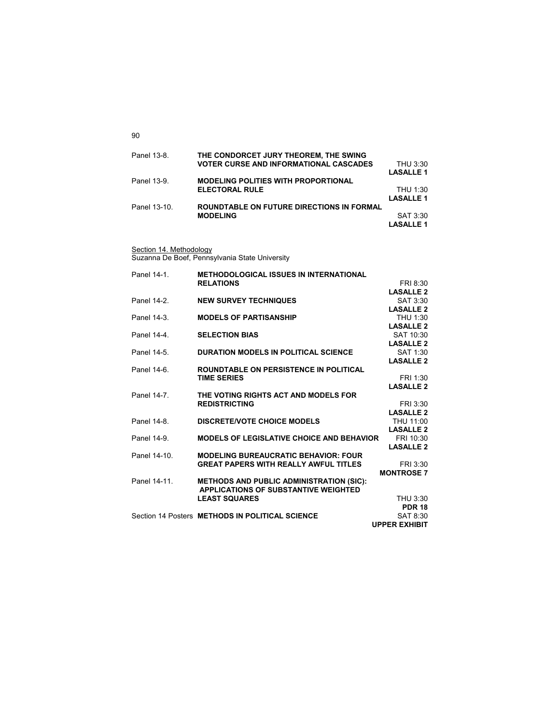| Panel 13-8.  | THE CONDORCET JURY THEOREM, THE SWING            |                  |
|--------------|--------------------------------------------------|------------------|
|              | <b>VOTER CURSE AND INFORMATIONAL CASCADES</b>    | THU 3:30         |
|              |                                                  | <b>LASALLE 1</b> |
| Panel 13-9.  | <b>MODELING POLITIES WITH PROPORTIONAL</b>       |                  |
|              | <b>ELECTORAL RULE</b>                            | THU 1:30         |
|              |                                                  | <b>LASALLE1</b>  |
| Panel 13-10. | <b>ROUNDTABLE ON FUTURE DIRECTIONS IN FORMAL</b> |                  |
|              | <b>MODELING</b>                                  | SAT 3:30         |
|              |                                                  | <b>LASALLE 1</b> |

Section 14. Methodology

Suzanna De Boef, Pennsylvania State University

| Panel 14-1.       | <b>METHODOLOGICAL ISSUES IN INTERNATIONAL</b>    |                              |
|-------------------|--------------------------------------------------|------------------------------|
|                   | <b>RELATIONS</b>                                 | FRI 8:30                     |
|                   |                                                  | <b>LASALLE 2</b>             |
| Panel 14-2.       | <b>NEW SURVEY TECHNIQUES</b>                     | SAT 3:30                     |
|                   |                                                  | <b>LASALLE 2</b>             |
| Panel 14-3.       | <b>MODELS OF PARTISANSHIP</b>                    | THU 1:30                     |
|                   |                                                  | <b>LASALLE 2</b>             |
| Panel 14-4.       | <b>SELECTION BIAS</b>                            | SAT 10:30                    |
|                   |                                                  | <b>LASALLE 2</b>             |
| Panel 14-5.       | <b>DURATION MODELS IN POLITICAL SCIENCE</b>      | SAT 1:30                     |
|                   |                                                  | <b>LASALLE 2</b>             |
| Panel 14-6.       | <b>ROUNDTABLE ON PERSISTENCE IN POLITICAL</b>    |                              |
|                   | <b>TIME SERIES</b>                               | FRI 1:30<br><b>LASALLE 2</b> |
| <b>Panel 14-7</b> | THE VOTING RIGHTS ACT AND MODELS FOR             |                              |
|                   | <b>REDISTRICTING</b>                             | FRI 3:30                     |
|                   |                                                  | <b>LASALLE 2</b>             |
| <b>Panel 14-8</b> | <b>DISCRETE/VOTE CHOICE MODELS</b>               | THU 11:00                    |
|                   |                                                  | <b>LASALLE 2</b>             |
| Panel 14-9.       | <b>MODELS OF LEGISLATIVE CHOICE AND BEHAVIOR</b> | FRI 10:30                    |
|                   |                                                  | <b>LASALLE 2</b>             |
| Panel 14-10       | <b>MODELING BUREAUCRATIC BEHAVIOR: FOUR</b>      |                              |
|                   | <b>GREAT PAPERS WITH REALLY AWFUL TITLES</b>     | FRI 3:30                     |
|                   |                                                  | <b>MONTROSE 7</b>            |
| Panel 14-11.      | <b>METHODS AND PUBLIC ADMINISTRATION (SIC):</b>  |                              |
|                   | <b>APPLICATIONS OF SUBSTANTIVE WEIGHTED</b>      |                              |
|                   | <b>LEAST SQUARES</b>                             | THU 3:30                     |
|                   |                                                  | <b>PDR 18</b>                |
|                   | Section 14 Posters METHODS IN POLITICAL SCIENCE  | SAT 8:30                     |
|                   |                                                  | <b>UPPER EXHIBIT</b>         |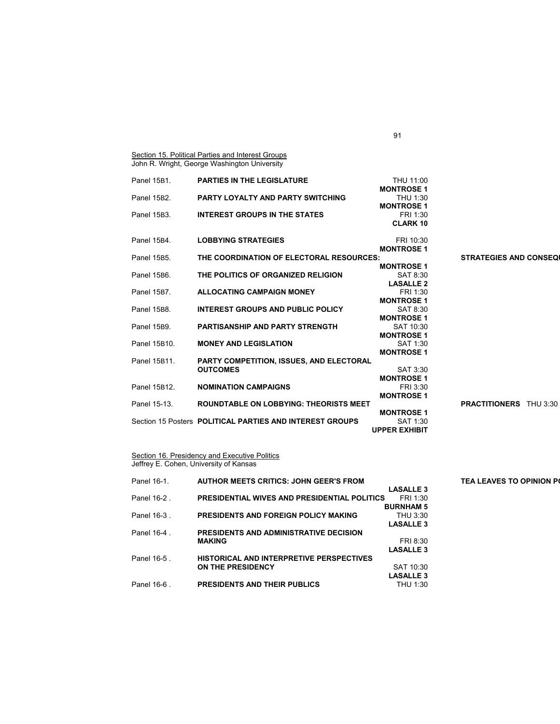| Section 15. Political Parties and Interest Groups |  |
|---------------------------------------------------|--|
| John R. Wright, George Washington University      |  |

| Panel 15B1.              | <b>PARTIES IN THE LEGISLATURE</b>                        | THU 11:00            |                               |  |
|--------------------------|----------------------------------------------------------|----------------------|-------------------------------|--|
|                          |                                                          | <b>MONTROSE 1</b>    |                               |  |
| Panel 15 <sub>B2</sub> . | <b>PARTY LOYALTY AND PARTY SWITCHING</b>                 | THU 1:30             |                               |  |
|                          |                                                          | <b>MONTROSE 1</b>    |                               |  |
| Panel 15B3.              | <b>INTEREST GROUPS IN THE STATES</b>                     | FRI 1:30             |                               |  |
|                          |                                                          | <b>CLARK 10</b>      |                               |  |
| Panel 15B4.              | <b>LOBBYING STRATEGIES</b>                               | FRI 10:30            |                               |  |
|                          |                                                          | <b>MONTROSE 1</b>    |                               |  |
| Panel 15B5.              | THE COORDINATION OF ELECTORAL RESOURCES:                 |                      | <b>STRATEGIES AND CONSEQU</b> |  |
|                          |                                                          | <b>MONTROSE 1</b>    |                               |  |
| Panel 15B6.              | THE POLITICS OF ORGANIZED RELIGION                       | SAT 8:30             |                               |  |
|                          |                                                          | <b>LASALLE 2</b>     |                               |  |
| Panel 15B7.              | <b>ALLOCATING CAMPAIGN MONEY</b>                         | FRI 1:30             |                               |  |
|                          |                                                          | <b>MONTROSE 1</b>    |                               |  |
| Panel 15B8.              | <b>INTEREST GROUPS AND PUBLIC POLICY</b>                 | SAT 8:30             |                               |  |
|                          |                                                          | <b>MONTROSE 1</b>    |                               |  |
| Panel 15B9.              | <b>PARTISANSHIP AND PARTY STRENGTH</b>                   | SAT 10:30            |                               |  |
|                          |                                                          | <b>MONTROSE 1</b>    |                               |  |
| Panel 15B10.             | <b>MONEY AND LEGISLATION</b>                             | SAT 1:30             |                               |  |
|                          |                                                          | <b>MONTROSE 1</b>    |                               |  |
| Panel 15B11.             | PARTY COMPETITION, ISSUES, AND ELECTORAL                 |                      |                               |  |
|                          | <b>OUTCOMES</b>                                          | SAT 3:30             |                               |  |
|                          |                                                          | <b>MONTROSE 1</b>    |                               |  |
| Panel 15B12.             | <b>NOMINATION CAMPAIGNS</b>                              | FRI 3:30             |                               |  |
|                          |                                                          |                      |                               |  |
|                          |                                                          | <b>MONTROSE 1</b>    |                               |  |
| Panel 15-13.             | <b>ROUNDTABLE ON LOBBYING: THEORISTS MEET</b>            |                      | <b>PRACTITIONERS</b> THU 3:30 |  |
|                          |                                                          | <b>MONTROSE 1</b>    |                               |  |
|                          | Section 15 Posters POLITICAL PARTIES AND INTEREST GROUPS | SAT 1:30             |                               |  |
|                          |                                                          | <b>UPPER EXHIBIT</b> |                               |  |

Section 16. Presidency and Executive Politics Jeffrey E. Cohen, University of Kansas

| Panel 16-1. | <b>AUTHOR MEETS CRITICS: JOHN GEER'S FROM</b>       |                  | <b>TEA LEAVES TO OPINION PO</b> |
|-------------|-----------------------------------------------------|------------------|---------------------------------|
|             |                                                     | <b>LASALLE 3</b> |                                 |
| Panel 16-2  | <b>PRESIDENTIAL WIVES AND PRESIDENTIAL POLITICS</b> | FRI 1:30         |                                 |
|             |                                                     | <b>BURNHAM 5</b> |                                 |
| Panel 16-3. | <b>PRESIDENTS AND FOREIGN POLICY MAKING</b>         | THU 3:30         |                                 |
|             |                                                     | <b>LASALLE 3</b> |                                 |
| Panel 16-4. | <b>PRESIDENTS AND ADMINISTRATIVE DECISION</b>       |                  |                                 |
|             | <b>MAKING</b>                                       | FRI 8:30         |                                 |
|             |                                                     | <b>LASALLE 3</b> |                                 |
| Panel 16-5. | HISTORICAL AND INTERPRETIVE PERSPECTIVES            |                  |                                 |
|             | ON THE PRESIDENCY                                   | SAT 10:30        |                                 |
|             |                                                     | <b>LASALLE 3</b> |                                 |
| Panel 16-6  | <b>PRESIDENTS AND THEIR PUBLICS</b>                 | THU 1:30         |                                 |
|             |                                                     |                  |                                 |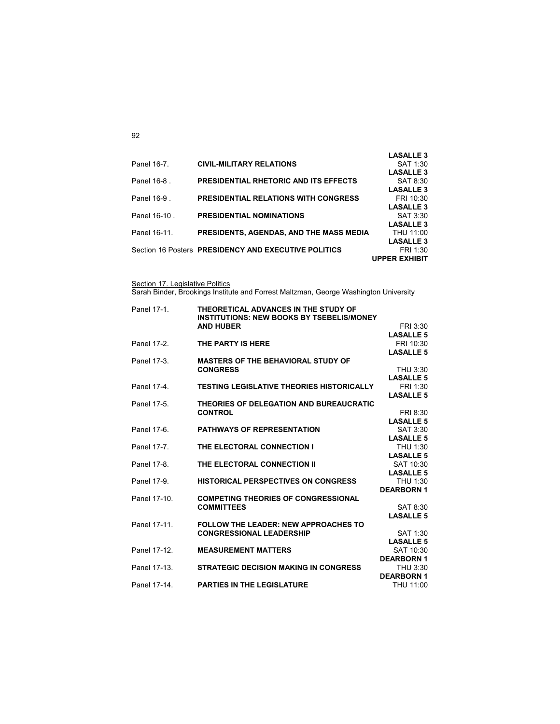|              |                                                             | <b>LASALLE 3</b>     |
|--------------|-------------------------------------------------------------|----------------------|
| Panel 16-7.  | <b>CIVIL-MILITARY RELATIONS</b>                             | SAT 1:30             |
|              |                                                             | <b>LASALLE 3</b>     |
| Panel 16-8.  | <b>PRESIDENTIAL RHETORIC AND ITS EFFECTS</b>                | SAT 8:30             |
|              |                                                             | <b>LASALLE 3</b>     |
| Panel 16-9.  | <b>PRESIDENTIAL RELATIONS WITH CONGRESS</b>                 | FRI 10:30            |
|              |                                                             | <b>LASALLE 3</b>     |
| Panel 16-10. | <b>PRESIDENTIAL NOMINATIONS</b>                             | SAT 3:30             |
|              |                                                             | <b>LASALLE 3</b>     |
| Panel 16-11. | PRESIDENTS, AGENDAS, AND THE MASS MEDIA                     | THU 11:00            |
|              |                                                             | <b>LASALLE 3</b>     |
|              | Section 16 Posters <b>PRESIDENCY AND EXECUTIVE POLITICS</b> | FRI 1:30             |
|              |                                                             | <b>UPPER EXHIBIT</b> |

Section 17. Legislative Politics

Sarah Binder, Brookings Institute and Forrest Maltzman, George Washington University

| Panel 17-1.  | THEORETICAL ADVANCES IN THE STUDY OF<br><b>INSTITUTIONS: NEW BOOKS BY TSEBELIS/MONEY</b> |                   |
|--------------|------------------------------------------------------------------------------------------|-------------------|
|              | <b>AND HUBER</b>                                                                         | FRI 3:30          |
|              |                                                                                          | <b>LASALLE 5</b>  |
| Panel 17-2.  | THE PARTY IS HERE                                                                        | FRI 10:30         |
|              |                                                                                          | <b>LASALLE 5</b>  |
| Panel 17-3.  | <b>MASTERS OF THE BEHAVIORAL STUDY OF</b>                                                |                   |
|              | <b>CONGRESS</b>                                                                          | THU 3:30          |
|              |                                                                                          | <b>LASALLE 5</b>  |
| Panel 17-4.  | <b>TESTING LEGISLATIVE THEORIES HISTORICALLY</b>                                         | FRI 1:30          |
|              |                                                                                          | <b>LASALLE 5</b>  |
| Panel 17-5.  | THEORIES OF DELEGATION AND BUREAUCRATIC                                                  |                   |
|              | <b>CONTROL</b>                                                                           | FRI 8:30          |
|              |                                                                                          | <b>LASALLE 5</b>  |
| Panel 17-6.  | <b>PATHWAYS OF REPRESENTATION</b>                                                        | SAT 3:30          |
|              |                                                                                          | <b>LASALLE 5</b>  |
| Panel 17-7.  | THE ELECTORAL CONNECTION I                                                               | THU 1:30          |
|              |                                                                                          | <b>LASALLE 5</b>  |
| Panel 17-8   | THE ELECTORAL CONNECTION II                                                              | SAT 10:30         |
|              |                                                                                          | <b>LASALLE 5</b>  |
| Panel 17-9.  | <b>HISTORICAL PERSPECTIVES ON CONGRESS</b>                                               | THU 1:30          |
|              |                                                                                          | <b>DEARBORN 1</b> |
|              |                                                                                          |                   |
| Panel 17-10. | <b>COMPETING THEORIES OF CONGRESSIONAL</b>                                               |                   |
|              | <b>COMMITTEES</b>                                                                        | SAT 8:30          |
|              |                                                                                          | <b>LASALLE 5</b>  |
| Panel 17-11  | <b>FOLLOW THE LEADER: NEW APPROACHES TO</b>                                              |                   |
|              | <b>CONGRESSIONAL LEADERSHIP</b>                                                          | SAT 1:30          |
|              |                                                                                          | <b>LASALLE 5</b>  |
| Panel 17-12. | <b>MEASUREMENT MATTERS</b>                                                               | SAT 10:30         |
|              |                                                                                          | <b>DEARBORN 1</b> |
| Panel 17-13. | <b>STRATEGIC DECISION MAKING IN CONGRESS</b>                                             | THU 3:30          |
|              |                                                                                          | <b>DEARBORN 1</b> |
| Panel 17-14. | <b>PARTIES IN THE LEGISLATURE</b>                                                        | THU 11:00         |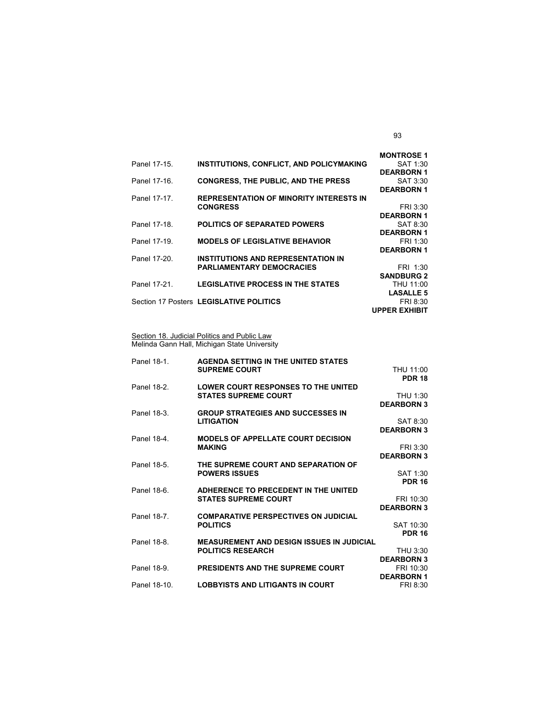|              |                                                | <b>MONTROSE 1</b>    |
|--------------|------------------------------------------------|----------------------|
| Panel 17-15. | INSTITUTIONS, CONFLICT, AND POLICYMAKING       | SAT 1:30             |
|              |                                                | <b>DEARBORN 1</b>    |
| Panel 17-16. | <b>CONGRESS, THE PUBLIC, AND THE PRESS</b>     | SAT 3:30             |
|              |                                                | <b>DEARBORN1</b>     |
| Panel 17-17. | <b>REPRESENTATION OF MINORITY INTERESTS IN</b> |                      |
|              | <b>CONGRESS</b>                                | FRI 3:30             |
|              |                                                | <b>DEARBORN1</b>     |
| Panel 17-18. | <b>POLITICS OF SEPARATED POWERS</b>            | SAT 8:30             |
|              |                                                | <b>DEARBORN1</b>     |
| Panel 17-19. | <b>MODELS OF LEGISLATIVE BEHAVIOR</b>          | FRI 1:30             |
|              |                                                | <b>DEARBORN1</b>     |
| Panel 17-20  | <b>INSTITUTIONS AND REPRESENTATION IN</b>      |                      |
|              | <b>PARLIAMENTARY DEMOCRACIES</b>               | FRI 1:30             |
|              |                                                | <b>SANDBURG 2</b>    |
| Panel 17-21. | <b>LEGISLATIVE PROCESS IN THE STATES</b>       | THU 11:00            |
|              |                                                | <b>LASALLE 5</b>     |
|              | Section 17 Posters LEGISLATIVE POLITICS        | FRI 8:30             |
|              |                                                | <b>UPPER EXHIBIT</b> |

### Section 18. Judicial Politics and Public Law Melinda Gann Hall, Michigan State University

| Panel 18-1   | <b>AGENDA SETTING IN THE UNITED STATES</b>                                |                                |
|--------------|---------------------------------------------------------------------------|--------------------------------|
|              | <b>SUPREME COURT</b>                                                      | THU 11:00                      |
|              |                                                                           | <b>PDR 18</b>                  |
| Panel 18-2   | <b>LOWER COURT RESPONSES TO THE UNITED</b><br><b>STATES SUPREME COURT</b> |                                |
|              |                                                                           | THU 1:30<br><b>DEARBORN 3</b>  |
| Panel 18-3   | <b>GROUP STRATEGIES AND SUCCESSES IN</b>                                  |                                |
|              | <b>LITIGATION</b>                                                         | SAT 8:30                       |
|              |                                                                           | <b>DEARBORN 3</b>              |
| Panel 18-4.  | <b>MODELS OF APPELLATE COURT DECISION</b>                                 |                                |
|              | <b>MAKING</b>                                                             | FRI 3:30                       |
|              |                                                                           | <b>DEARBORN 3</b>              |
| Panel 18-5.  | THE SUPREME COURT AND SEPARATION OF                                       |                                |
|              | <b>POWERS ISSUES</b>                                                      | SAT 1:30                       |
|              |                                                                           | <b>PDR 16</b>                  |
| Panel 18-6.  | ADHERENCE TO PRECEDENT IN THE UNITED                                      |                                |
|              | <b>STATES SUPREME COURT</b>                                               | FRI 10:30<br><b>DEARBORN 3</b> |
| Panel 18-7.  | <b>COMPARATIVE PERSPECTIVES ON JUDICIAL</b>                               |                                |
|              | <b>POLITICS</b>                                                           | SAT 10:30                      |
|              |                                                                           | <b>PDR 16</b>                  |
| Panel 18-8   | <b>MEASUREMENT AND DESIGN ISSUES IN JUDICIAL</b>                          |                                |
|              | <b>POLITICS RESEARCH</b>                                                  | THU 3:30                       |
|              |                                                                           | <b>DEARBORN 3</b>              |
| Panel 18-9   | PRESIDENTS AND THE SUPREME COURT                                          | FRI 10:30                      |
|              |                                                                           | <b>DEARBORN1</b>               |
| Panel 18-10. | <b>LOBBYISTS AND LITIGANTS IN COURT</b>                                   | FRI 8:30                       |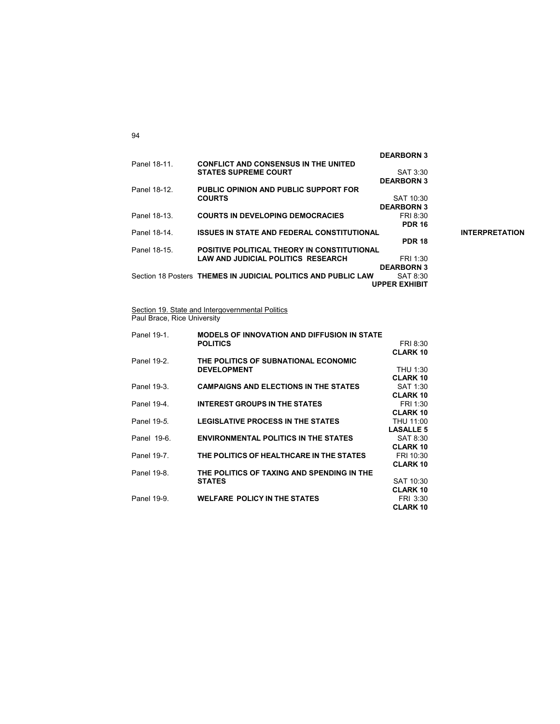|              |                                                               | <b>DEARBORN 3</b>    |                       |
|--------------|---------------------------------------------------------------|----------------------|-----------------------|
| Panel 18-11  | <b>CONFLICT AND CONSENSUS IN THE UNITED</b>                   |                      |                       |
|              | <b>STATES SUPREME COURT</b>                                   | SAT 3:30             |                       |
|              |                                                               | <b>DEARBORN 3</b>    |                       |
| Panel 18-12  | PUBLIC OPINION AND PUBLIC SUPPORT FOR                         |                      |                       |
|              | <b>COURTS</b>                                                 | SAT 10:30            |                       |
|              |                                                               | <b>DEARBORN 3</b>    |                       |
| Panel 18-13. | <b>COURTS IN DEVELOPING DEMOCRACIES</b>                       | FRI 8:30             |                       |
|              |                                                               | <b>PDR 16</b>        |                       |
| Panel 18-14. | <b>ISSUES IN STATE AND FEDERAL CONSTITUTIONAL</b>             |                      | <b>INTERPRETATION</b> |
|              |                                                               | <b>PDR 18</b>        |                       |
| Panel 18-15  | POSITIVE POLITICAL THEORY IN CONSTITUTIONAL                   |                      |                       |
|              | LAW AND JUDICIAL POLITICS RESEARCH                            | FRI 1:30             |                       |
|              |                                                               | <b>DEARBORN 3</b>    |                       |
|              | Section 18 Posters THEMES IN JUDICIAL POLITICS AND PUBLIC LAW | SAT 8:30             |                       |
|              |                                                               | <b>UPPER EXHIBIT</b> |                       |

Section 19. State and Intergovernmental Politics Paul Brace, Rice University

| Panel 19-1. | <b>MODELS OF INNOVATION AND DIFFUSION IN STATE</b> |                  |
|-------------|----------------------------------------------------|------------------|
|             | <b>POLITICS</b>                                    | FRI 8:30         |
|             |                                                    | <b>CLARK 10</b>  |
| Panel 19-2. | THE POLITICS OF SUBNATIONAL ECONOMIC               |                  |
|             | <b>DEVELOPMENT</b>                                 | THU 1:30         |
|             |                                                    | <b>CLARK 10</b>  |
| Panel 19-3. | <b>CAMPAIGNS AND ELECTIONS IN THE STATES</b>       | SAT 1:30         |
|             |                                                    | <b>CLARK 10</b>  |
| Panel 19-4. | <b>INTEREST GROUPS IN THE STATES</b>               | FRI 1:30         |
|             |                                                    | <b>CLARK 10</b>  |
| Panel 19-5. | <b>LEGISLATIVE PROCESS IN THE STATES</b>           | THU 11:00        |
|             |                                                    | <b>LASALLE 5</b> |
| Panel 19-6. | <b>ENVIRONMENTAL POLITICS IN THE STATES</b>        | SAT 8:30         |
|             |                                                    | <b>CLARK 10</b>  |
| Panel 19-7. | THE POLITICS OF HEALTHCARE IN THE STATES           | FRI 10:30        |
|             |                                                    | <b>CLARK10</b>   |
| Panel 19-8. | THE POLITICS OF TAXING AND SPENDING IN THE         |                  |
|             | <b>STATES</b>                                      | SAT 10:30        |
|             |                                                    | <b>CLARK 10</b>  |
| Panel 19-9. | <b>WELFARE POLICY IN THE STATES</b>                | FRI 3:30         |
|             |                                                    | <b>CLARK 10</b>  |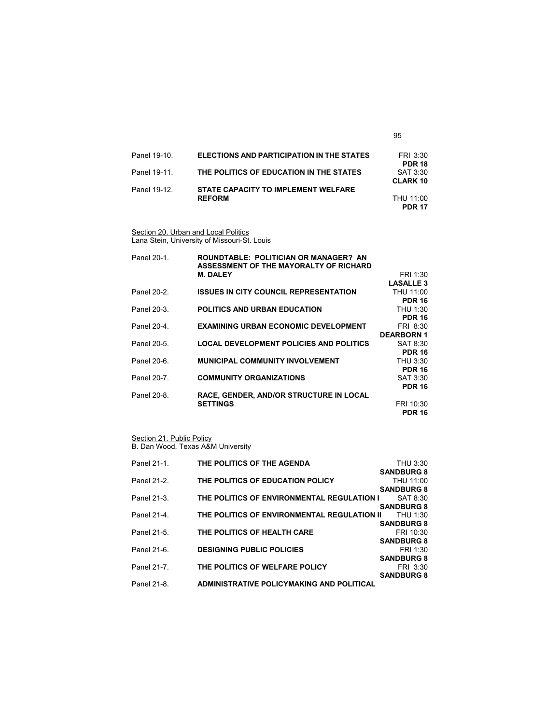| Panel 19-10. | ELECTIONS AND PARTICIPATION IN THE STATES            | FRI 3:30<br><b>PDR 18</b>   |
|--------------|------------------------------------------------------|-----------------------------|
| Panel 19-11. | THE POLITICS OF EDUCATION IN THE STATES              | SAT 3:30<br><b>CLARK 10</b> |
| Panel 19-12. | STATE CAPACITY TO IMPLEMENT WELFARE<br><b>REFORM</b> | THU 11:00                   |
|              |                                                      | <b>PDR 17</b>               |

95

Section 20. Urban and Local Politics Lana Stein, University of Missouri-St. Louis

| Panel 20-1. | <b>ROUNDTABLE: POLITICIAN OR MANAGER? AN</b><br>ASSESSMENT OF THE MAYORALTY OF RICHARD |                  |
|-------------|----------------------------------------------------------------------------------------|------------------|
|             | <b>M. DALEY</b>                                                                        | FRI 1:30         |
|             |                                                                                        | <b>LASALLE 3</b> |
| Panel 20-2  | <b>ISSUES IN CITY COUNCIL REPRESENTATION</b>                                           | THU 11:00        |
|             |                                                                                        | <b>PDR 16</b>    |
| Panel 20-3  | POLITICS AND URBAN EDUCATION                                                           | THU 1:30         |
|             |                                                                                        | <b>PDR 16</b>    |
| Panel 20-4  | <b>EXAMINING URBAN ECONOMIC DEVELOPMENT</b>                                            | FRI 8:30         |
|             |                                                                                        | <b>DEARBORN1</b> |
| Panel 20-5. | <b>LOCAL DEVELOPMENT POLICIES AND POLITICS</b>                                         | SAT 8:30         |
|             |                                                                                        | <b>PDR 16</b>    |
| Panel 20-6. | <b>MUNICIPAL COMMUNITY INVOLVEMENT</b>                                                 | THU 3:30         |
|             |                                                                                        | <b>PDR 16</b>    |
| Panel 20-7. | <b>COMMUNITY ORGANIZATIONS</b>                                                         | SAT 3:30         |
|             |                                                                                        | <b>PDR 16</b>    |
| Panel 20-8. | RACE, GENDER, AND/OR STRUCTURE IN LOCAL                                                |                  |
|             | <b>SETTINGS</b>                                                                        | FRI 10:30        |
|             |                                                                                        | <b>PDR 16</b>    |

### Section 21. Public Policy

B. Dan Wood, Texas A&M University

| Panel 21-1. | THE POLITICS OF THE AGENDA                       | THU 3:30          |
|-------------|--------------------------------------------------|-------------------|
|             |                                                  | <b>SANDBURG 8</b> |
| Panel 21-2. | THE POLITICS OF EDUCATION POLICY                 | THU 11:00         |
|             |                                                  | <b>SANDBURG 8</b> |
| Panel 21-3. | THE POLITICS OF ENVIRONMENTAL REGULATION I       | SAT 8:30          |
|             |                                                  | <b>SANDBURG 8</b> |
| Panel 21-4. | THE POLITICS OF ENVIRONMENTAL REGULATION II      | THU 1:30          |
|             |                                                  | <b>SANDBURG 8</b> |
| Panel 21-5. | THE POLITICS OF HEALTH CARE                      | FRI 10:30         |
|             |                                                  | <b>SANDBURG 8</b> |
| Panel 21-6. | <b>DESIGNING PUBLIC POLICIES</b>                 | FRI 1:30          |
|             |                                                  | <b>SANDBURG 8</b> |
| Panel 21-7. | THE POLITICS OF WELFARE POLICY                   | FRI 3:30          |
|             |                                                  | <b>SANDBURG 8</b> |
| Panel 21-8. | <b>ADMINISTRATIVE POLICYMAKING AND POLITICAL</b> |                   |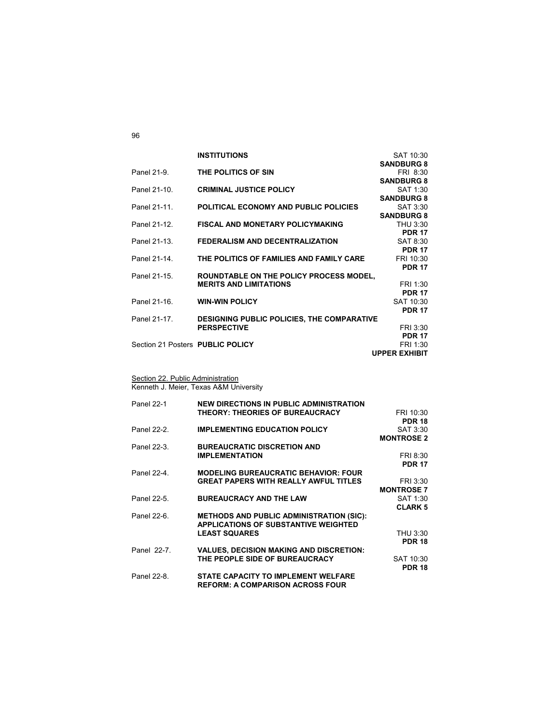|                                  | <b>INSTITUTIONS</b>                               | SAT 10:30            |
|----------------------------------|---------------------------------------------------|----------------------|
|                                  |                                                   | <b>SANDBURG 8</b>    |
| Panel 21-9.                      | THE POLITICS OF SIN                               | FRI 8:30             |
|                                  |                                                   | <b>SANDBURG 8</b>    |
| Panel 21-10.                     | <b>CRIMINAL JUSTICE POLICY</b>                    | SAT 1:30             |
|                                  |                                                   | <b>SANDBURG 8</b>    |
| Panel 21-11.                     | POLITICAL ECONOMY AND PUBLIC POLICIES             | SAT 3:30             |
|                                  |                                                   | <b>SANDBURG 8</b>    |
| Panel 21-12.                     | <b>FISCAL AND MONETARY POLICYMAKING</b>           | THU 3:30             |
|                                  |                                                   | <b>PDR 17</b>        |
| Panel 21-13.                     | <b>FEDERALISM AND DECENTRALIZATION</b>            | SAT 8:30             |
|                                  |                                                   | <b>PDR 17</b>        |
| Panel 21-14.                     | THE POLITICS OF FAMILIES AND FAMILY CARE          | FRI 10:30            |
|                                  |                                                   | <b>PDR 17</b>        |
| Panel 21-15.                     | <b>ROUNDTABLE ON THE POLICY PROCESS MODEL,</b>    |                      |
|                                  | <b>MERITS AND LIMITATIONS</b>                     | FRI 1:30             |
|                                  |                                                   | <b>PDR 17</b>        |
| Panel 21-16.                     | <b>WIN-WIN POLICY</b>                             | SAT 10:30            |
|                                  |                                                   | <b>PDR 17</b>        |
| Panel 21-17.                     | <b>DESIGNING PUBLIC POLICIES, THE COMPARATIVE</b> |                      |
|                                  | <b>PERSPECTIVE</b>                                | FRI 3:30             |
|                                  |                                                   | <b>PDR 17</b>        |
| Section 21 Posters PUBLIC POLICY |                                                   | FRI 1:30             |
|                                  |                                                   | <b>UPPER EXHIBIT</b> |

# Section 22. Public Administration

Kenneth J. Meier, Texas A&M University

| <b>Panel 22-1</b> | <b>NEW DIRECTIONS IN PUBLIC ADMINISTRATION</b>  |                   |
|-------------------|-------------------------------------------------|-------------------|
|                   | <b>THEORY: THEORIES OF BUREAUCRACY</b>          | FRI 10:30         |
|                   |                                                 | <b>PDR 18</b>     |
| Panel 22-2.       | <b>IMPLEMENTING EDUCATION POLICY</b>            | SAT 3:30          |
|                   |                                                 | <b>MONTROSE 2</b> |
| Panel 22-3.       | <b>BUREAUCRATIC DISCRETION AND</b>              |                   |
|                   | <b>IMPLEMENTATION</b>                           | FRI 8:30          |
|                   |                                                 | <b>PDR 17</b>     |
| Panel 22-4.       | <b>MODELING BUREAUCRATIC BEHAVIOR: FOUR</b>     |                   |
|                   | <b>GREAT PAPERS WITH REALLY AWFUL TITLES</b>    | FRI 3:30          |
|                   |                                                 | <b>MONTROSE 7</b> |
| Panel 22-5.       | <b>BUREAUCRACY AND THE LAW</b>                  | SAT 1:30          |
|                   |                                                 | <b>CLARK 5</b>    |
| Panel 22-6.       | <b>METHODS AND PUBLIC ADMINISTRATION (SIC):</b> |                   |
|                   | <b>APPLICATIONS OF SUBSTANTIVE WEIGHTED</b>     |                   |
|                   | <b>LEAST SQUARES</b>                            | THU 3:30          |
|                   |                                                 | <b>PDR 18</b>     |
| Panel 22-7.       | <b>VALUES, DECISION MAKING AND DISCRETION:</b>  |                   |
|                   | THE PEOPLE SIDE OF BUREAUCRACY                  | SAT 10:30         |
|                   |                                                 | <b>PDR 18</b>     |
| Panel 22-8.       | <b>STATE CAPACITY TO IMPLEMENT WELFARE</b>      |                   |
|                   | <b>REFORM: A COMPARISON ACROSS FOUR</b>         |                   |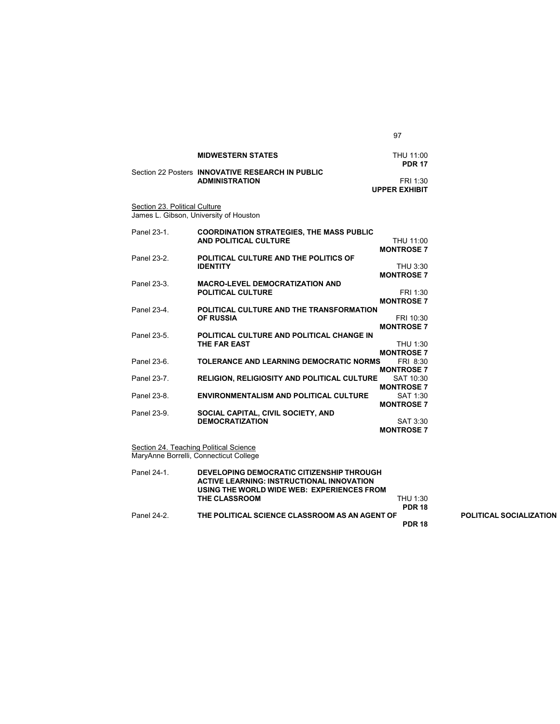|                                                                           | 97                               |
|---------------------------------------------------------------------------|----------------------------------|
| <b>MIDWESTERN STATES</b>                                                  | THU 11:00<br><b>PDR 17</b>       |
| Section 22 Posters INNOVATIVE RESEARCH IN PUBLIC<br><b>ADMINISTRATION</b> | FRI 1:30<br><b>UPPER EXHIBIT</b> |

Section 23. Political Culture James L. Gibson, University of Houston

| Panel 23-1. | <b>COORDINATION STRATEGIES, THE MASS PUBLIC</b>    |                   |
|-------------|----------------------------------------------------|-------------------|
|             | <b>AND POLITICAL CULTURE</b>                       | THU 11:00         |
|             |                                                    | <b>MONTROSE 7</b> |
| Panel 23-2. | POLITICAL CULTURE AND THE POLITICS OF              |                   |
|             | <b>IDENTITY</b>                                    | THU 3:30          |
|             |                                                    | <b>MONTROSE 7</b> |
| Panel 23-3. | <b>MACRO-LEVEL DEMOCRATIZATION AND</b>             |                   |
|             | <b>POLITICAL CULTURE</b>                           | FRI 1:30          |
|             |                                                    | <b>MONTROSE 7</b> |
| Panel 23-4. | POLITICAL CULTURE AND THE TRANSFORMATION           |                   |
|             | <b>OF RUSSIA</b>                                   | FRI 10:30         |
|             |                                                    | <b>MONTROSE 7</b> |
| Panel 23-5. | POLITICAL CULTURE AND POLITICAL CHANGE IN          |                   |
|             | THE FAR EAST                                       | THU 1:30          |
|             |                                                    | <b>MONTROSE 7</b> |
| Panel 23-6. | TOLERANCE AND LEARNING DEMOCRATIC NORMS            | FRI 8:30          |
|             |                                                    | <b>MONTROSE 7</b> |
| Panel 23-7. | <b>RELIGION, RELIGIOSITY AND POLITICAL CULTURE</b> | SAT 10:30         |
|             |                                                    | <b>MONTROSE 7</b> |
| Panel 23-8. | <b>ENVIRONMENTALISM AND POLITICAL CULTURE</b>      | SAT 1:30          |
|             |                                                    | <b>MONTROSE 7</b> |
| Panel 23-9. | SOCIAL CAPITAL, CIVIL SOCIETY, AND                 |                   |
|             | <b>DEMOCRATIZATION</b>                             | SAT 3:30          |
|             |                                                    | <b>MONTROSE 7</b> |

Section 24. Teaching Political Science MaryAnne Borrelli, Connecticut College

| Panel 24-1. | DEVELOPING DEMOCRATIC CITIZENSHIP THROUGH<br>ACTIVE LEARNING: INSTRUCTIONAL INNOVATION<br>USING THE WORLD WIDE WEB: EXPERIENCES FROM |               |
|-------------|--------------------------------------------------------------------------------------------------------------------------------------|---------------|
|             | <b>THE CLASSROOM</b>                                                                                                                 | THU 1:30      |
|             |                                                                                                                                      | <b>PDR 18</b> |
| Panel 24-2  | THE POLITICAL SCIENCE CLASSROOM AS AN AGENT OF                                                                                       |               |
|             |                                                                                                                                      | <b>PDR 18</b> |

Panel 24-2. **THE POLITICAL SCIENCE CLASSROOM AS AN AGENT OF POLITICAL SOCIALIZATION**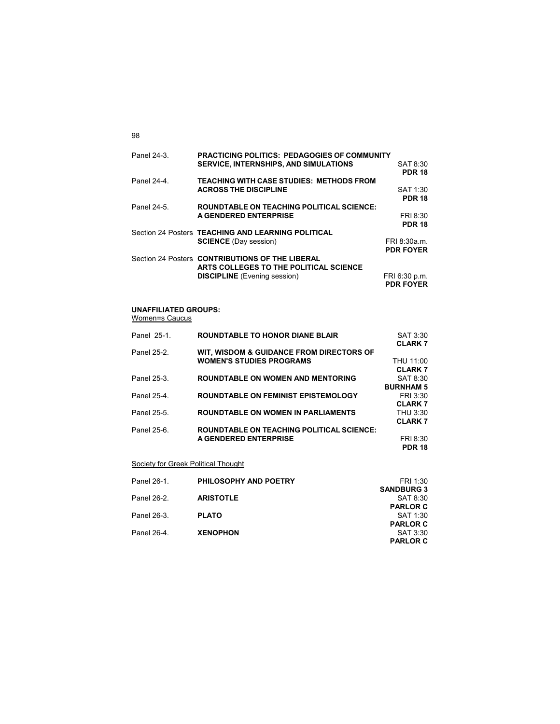| Panel 24-3. | <b>PRACTICING POLITICS: PEDAGOGIES OF COMMUNITY</b> |                  |
|-------------|-----------------------------------------------------|------------------|
|             | <b>SERVICE, INTERNSHIPS, AND SIMULATIONS</b>        | SAT 8:30         |
|             |                                                     | <b>PDR 18</b>    |
| Panel 24-4  | <b>TEACHING WITH CASE STUDIES: METHODS FROM</b>     |                  |
|             | <b>ACROSS THE DISCIPLINE</b>                        | SAT 1:30         |
|             |                                                     | <b>PDR 18</b>    |
| Panel 24-5. | <b>ROUNDTABLE ON TEACHING POLITICAL SCIENCE:</b>    |                  |
|             | A GENDERED ENTERPRISE                               | FRI 8:30         |
|             |                                                     | <b>PDR 18</b>    |
|             | Section 24 Posters TEACHING AND LEARNING POLITICAL  |                  |
|             | <b>SCIENCE</b> (Day session)                        | FRI 8:30a.m.     |
|             |                                                     | <b>PDR FOYER</b> |
|             | Section 24 Posters CONTRIBUTIONS OF THE LIBERAL     |                  |
|             | ARTS COLLEGES TO THE POLITICAL SCIENCE              |                  |
|             | <b>DISCIPLINE</b> (Evening session)                 | FRI 6:30 p.m.    |
|             |                                                     | <b>PDR FOYER</b> |

# **UNAFFILIATED GROUPS:**

Women=s Caucus

| Panel 25-1. | <b>ROUNDTABLE TO HONOR DIANE BLAIR</b>           | SAT 3:30         |
|-------------|--------------------------------------------------|------------------|
|             |                                                  | <b>CLARK7</b>    |
| Panel 25-2  | WIT, WISDOM & GUIDANCE FROM DIRECTORS OF         |                  |
|             | <b>WOMEN'S STUDIES PROGRAMS</b>                  | THU 11:00        |
|             |                                                  | <b>CLARK7</b>    |
| Panel 25-3. | ROUNDTABLE ON WOMEN AND MENTORING                | SAT 8:30         |
|             |                                                  | <b>BURNHAM 5</b> |
| Panel 25-4  | <b>ROUNDTABLE ON FEMINIST EPISTEMOLOGY</b>       | FRI 3:30         |
|             |                                                  | <b>CLARK7</b>    |
| Panel 25-5  | <b>ROUNDTABLE ON WOMEN IN PARLIAMENTS</b>        | THU 3:30         |
|             |                                                  | <b>CLARK7</b>    |
| Panel 25-6  | <b>ROUNDTABLE ON TEACHING POLITICAL SCIENCE:</b> |                  |
|             | A GENDERED ENTERPRISE                            | FRI 8:30         |
|             |                                                  | <b>PDR 18</b>    |

# Society for Greek Political Thought

| Panel 26-1. | PHILOSOPHY AND POETRY | FRI 1:30          |
|-------------|-----------------------|-------------------|
|             |                       | <b>SANDBURG 3</b> |
| Panel 26-2. | <b>ARISTOTLE</b>      | SAT 8:30          |
|             |                       | <b>PARLOR C</b>   |
| Panel 26-3. | <b>PLATO</b>          | SAT 1:30          |
|             |                       | <b>PARLOR C</b>   |
| Panel 26-4. | <b>XENOPHON</b>       | SAT 3:30          |
|             |                       | <b>PARLOR C</b>   |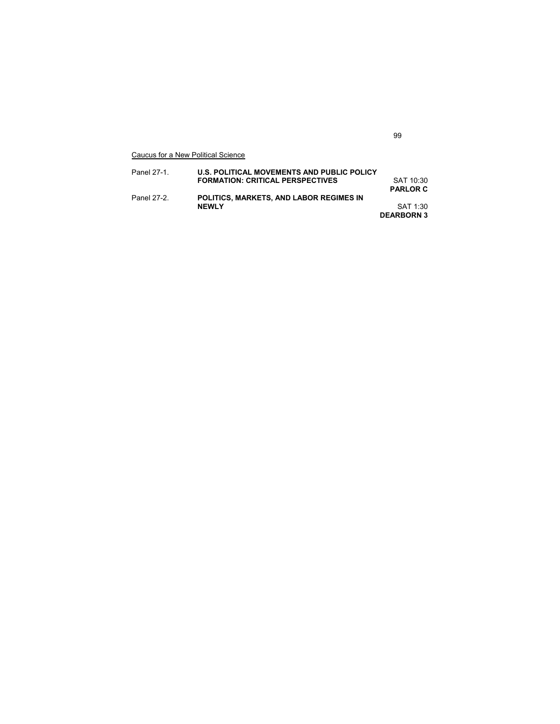Caucus for a New Political Science

| Panel 27-1. | <b>U.S. POLITICAL MOVEMENTS AND PUBLIC POLICY</b> |                   |
|-------------|---------------------------------------------------|-------------------|
|             | <b>FORMATION: CRITICAL PERSPECTIVES</b>           | SAT 10:30         |
|             |                                                   | <b>PARLOR C</b>   |
| Panel 27-2. | <b>POLITICS, MARKETS, AND LABOR REGIMES IN</b>    |                   |
|             | <b>NEWLY</b>                                      | SAT 1:30          |
|             |                                                   | <b>DEARBORN 3</b> |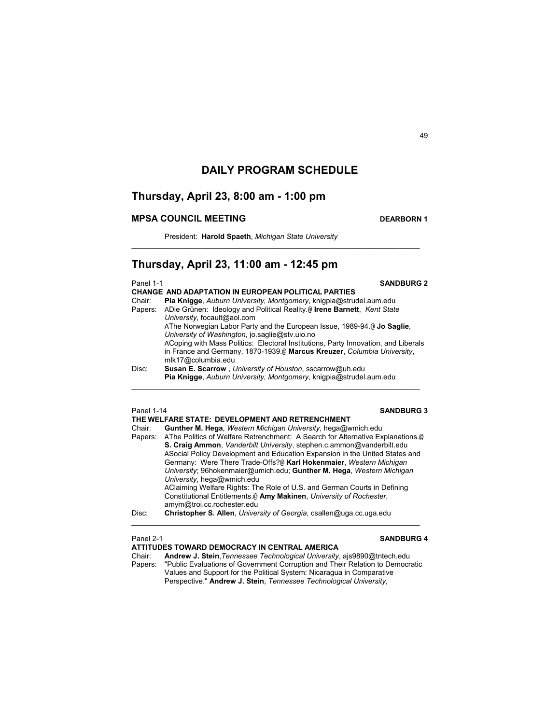# **DAILY PROGRAM SCHEDULE**

 $\mathcal{L}_\text{max}$  , and the set of the set of the set of the set of the set of the set of the set of the set of the set of

# **Thursday, April 23, 8:00 am - 1:00 pm**

# **MPSA COUNCIL MEETING DEARBORN 1**

President: **Harold Spaeth**, *Michigan State University*

# **Thursday, April 23, 11:00 am - 12:45 pm**

| Panel 1-1 | <b>SANDBURG 2</b>                                                                                                                                                                   |
|-----------|-------------------------------------------------------------------------------------------------------------------------------------------------------------------------------------|
|           | <b>CHANGE AND ADAPTATION IN EUROPEAN POLITICAL PARTIES</b>                                                                                                                          |
| Chair:    | Pia Knigge, Auburn University, Montgomery, knigpia@strudel.aum.edu                                                                                                                  |
| Papers:   | ADie Grünen: Ideology and Political Reality @ Irene Barnett, Kent State<br>University, focault@aol.com                                                                              |
|           | AThe Norwegian Labor Party and the European Issue, 1989-94 @ Jo Saglie,<br>University of Washington, jo.saglie@stv.uio.no                                                           |
|           | ACoping with Mass Politics: Electoral Institutions, Party Innovation, and Liberals<br>in France and Germany, 1870-1939.@ Marcus Kreuzer, Columbia University,<br>mlk17@columbia.edu |
| Disc:     | Susan E. Scarrow, University of Houston, sscarrow@uh.edu<br>Pia Knigge, Auburn University, Montgomery, knigpia@strudel.aum.edu                                                      |

### Panel 1-14 **SANDBURG 3**

|         | THE WELFARE STATE: DEVELOPMENT AND RETRENCHMENT                                 |
|---------|---------------------------------------------------------------------------------|
| Chair:  | Gunther M. Hega, Western Michigan University, hega@wmich.edu                    |
| Papers: | AThe Politics of Welfare Retrenchment: A Search for Alternative Explanations.@  |
|         | S. Craig Ammon, Vanderbilt University, stephen.c.ammon@vanderbilt.edu           |
|         | ASocial Policy Development and Education Expansion in the United States and     |
|         | Germany: Were There Trade-Offs?@ Karl Hokenmaier, Western Michigan              |
|         | University: 96hokenmaier@umich.edu: Gunther M. Hega, Western Michigan           |
|         | University, hega@wmich.edu                                                      |
|         | AClaiming Welfare Rights: The Role of U.S. and German Courts in Defining        |
|         | Constitutional Entitlements. <sup>®</sup> Amy Makinen, University of Rochester, |
|         | amym@troi.cc.rochester.edu                                                      |
| Disc:   | Christopher S. Allen, University of Georgia, csallen@uga.cc.uga.edu             |
|         |                                                                                 |

## Panel 2-1 **SANDBURG 4**

# **ATTITUDES TOWARD DEMOCRACY IN CENTRAL AMERICA**

Chair: **Andrew J. Stein**,*Tennessee Technological University*, ajs9890@tntech.edu Papers: "Public Evaluations of Government Corruption and Their Relation to Democratic Values and Support for the Political System: Nicaragua in Comparative Perspective." **Andrew J. Stein**, *Tennessee Technological University*,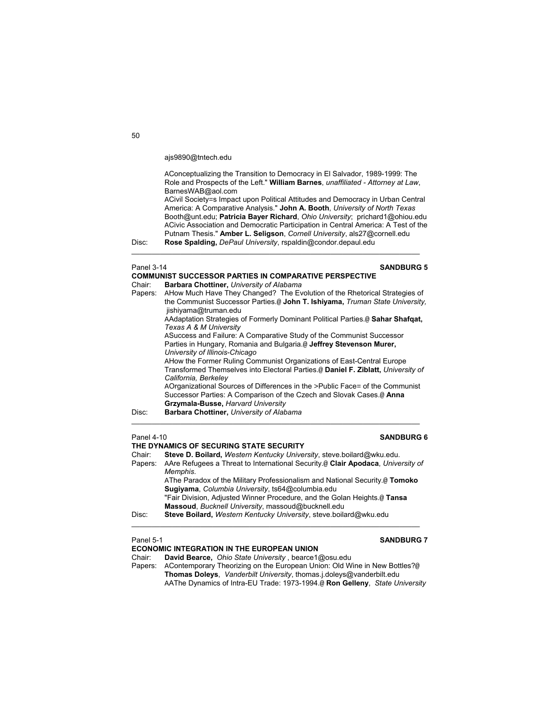ajs9890@tntech.edu

AConceptualizing the Transition to Democracy in El Salvador, 1989-1999: The Role and Prospects of the Left." **William Barnes**, *unaffiliated - Attorney at Law*, BarnesWAB@aol.com ACivil Society=s Impact upon Political Attitudes and Democracy in Urban Central America: A Comparative Analysis." **John A. Booth**, *University of North Texas* Booth@unt.edu; **Patricia Bayer Richard**, *Ohio University*; prichard1@ohiou.edu ACivic Association and Democratic Participation in Central America: A Test of the Putnam Thesis." **Amber L. Seligson**, *Cornell University*, als27@cornell.edu Disc: **Rose Spalding,** *DePaul University*, rspaldin@condor.depaul.edu  $\_$  , and the set of the set of the set of the set of the set of the set of the set of the set of the set of the set of the set of the set of the set of the set of the set of the set of the set of the set of the set of th

# **Panel 3-14** SANDBURG 5

|         | <b>COMMUNIST SUCCESSOR PARTIES IN COMPARATIVE PERSPECTIVE</b>                    |
|---------|----------------------------------------------------------------------------------|
| Chair:  | Barbara Chottiner, University of Alabama                                         |
| Papers: | AHow Much Have They Changed? The Evolution of the Rhetorical Strategies of       |
|         | the Communist Successor Parties.@ John T. Ishiyama, Truman State University.     |
|         | jishiyama@truman.edu                                                             |
|         | AAdaptation Strategies of Formerly Dominant Political Parties @ Sahar Shafqat,   |
|         | Texas A & M University                                                           |
|         | ASuccess and Failure: A Comparative Study of the Communist Successor             |
|         | Parties in Hungary, Romania and Bulgaria.@ Jeffrey Stevenson Murer,              |
|         | University of Illinois-Chicago                                                   |
|         | AHow the Former Ruling Communist Organizations of East-Central Europe            |
|         | Transformed Themselves into Electoral Parties.@ Daniel F. Ziblatt, University of |
|         | California, Berkeley                                                             |
|         | AOrganizational Sources of Differences in the >Public Face= of the Communist     |
|         | Successor Parties: A Comparison of the Czech and Slovak Cases.@ Anna             |
|         | Grzymala-Busse, Harvard University                                               |
| Disc:   | Barbara Chottiner, University of Alabama                                         |
|         |                                                                                  |

## Panel 4-10 **SANDBURG 6**

### **THE DYNAMICS OF SECURING STATE SECURITY**

Chair: **Steve D. Boilard,** *Western Kentucky University*, steve.boilard@wku.edu. Papers: AAre Refugees a Threat to International Security.@ **Clair Apodaca**, *University of Memphis*. AThe Paradox of the Military Professionalism and National Security.@ **Tomoko Sugiyama**, *Columbia University*, ts64@columbia.edu "Fair Division, Adjusted Winner Procedure, and the Golan Heights.@ **Tansa Massoud**, *Bucknell University*, massoud@bucknell.edu Disc: **Steve Boilard,** *Western Kentucky University*, steve.boilard@wku.edu  $\mathcal{L}_\text{max}$  , and the contribution of the contribution of the contribution of the contribution of the contribution of the contribution of the contribution of the contribution of the contribution of the contribution of t

## **Panel 5-1 SANDBURG 7**

**ECONOMIC INTEGRATION IN THE EUROPEAN UNION**

Chair: **David Bearce,** *Ohio State University* , bearce1@osu.edu Papers: AContemporary Theorizing on the European Union: Old Wine in New Bottles?@

**Thomas Doleys**, *Vanderbilt University*, thomas.j.doleys@vanderbilt.edu AAThe Dynamics of Intra-EU Trade: 1973-1994.@ **Ron Gelleny**, *State University*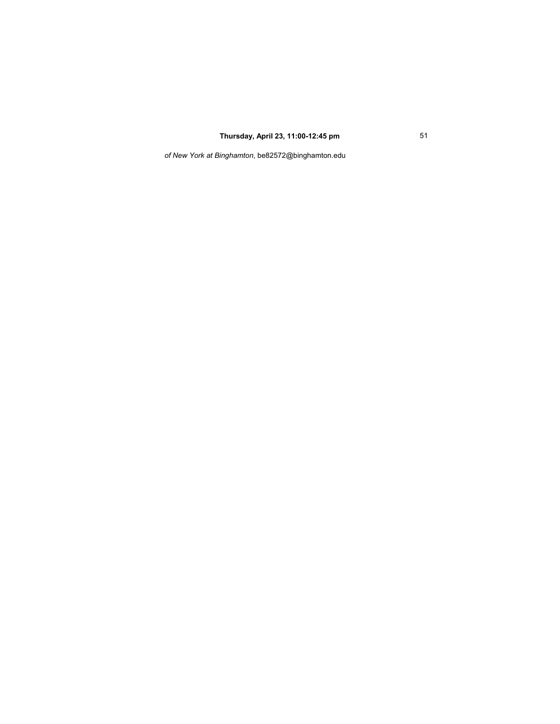*of New York at Binghamton*, be82572@binghamton.edu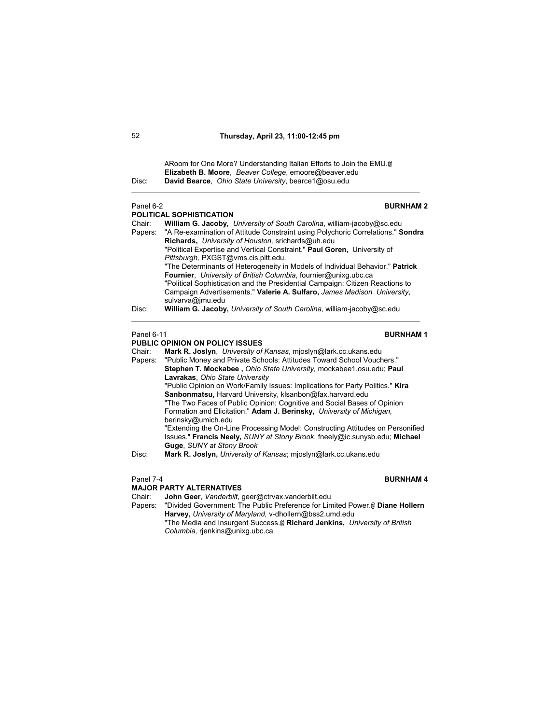\_\_\_\_\_\_\_\_\_\_\_\_\_\_\_\_\_\_\_\_\_\_\_\_\_\_\_\_\_\_\_\_\_\_\_\_\_\_\_\_\_\_\_\_\_\_\_\_\_\_\_\_\_\_\_\_\_\_\_\_\_\_\_\_\_\_\_\_\_\_\_

|       | ARoom for One More? Understanding Italian Efforts to Join the EMU @ |
|-------|---------------------------------------------------------------------|
|       | <b>Elizabeth B. Moore.</b> Beaver College, emoore@beaver.edu        |
| Disc: | David Bearce, Ohio State University, bearce 1@osu.edu               |

# Panel 6-2 **BURNHAM 2**

## **POLITICAL SOPHISTICATION**

| Chair:  | William G. Jacoby, University of South Carolina, william-jacoby@sc.edu                      |
|---------|---------------------------------------------------------------------------------------------|
| Papers: | "A Re-examination of Attitude Constraint using Polychoric Correlations." Sondra             |
|         | Richards, University of Houston, srichards@uh.edu                                           |
|         | "Political Expertise and Vertical Constraint." Paul Goren, University of                    |
|         | Pittsburgh, PXGST@vms.cis.pitt.edu.                                                         |
|         | "The Determinants of Heterogeneity in Models of Individual Behavior." Patrick               |
|         | Fournier, University of British Columbia, fournier@unixg.ubc.ca                             |
|         | "Political Sophistication and the Presidential Campaign: Citizen Reactions to               |
|         | Campaign Advertisements." Valerie A. Sulfaro, James Madison University,<br>sulvarva@imu.edu |
| Disc:   | William G. Jacoby, University of South Carolina, william-jacoby@sc.edu                      |
|         |                                                                                             |

# Panel 6-11 **BURNHAM 1**

**PUBLIC OPINION ON POLICY ISSUES**

| Chair:  | Mark R. Joslyn, University of Kansas, mioslyn@lark.cc.ukans.edu                |
|---------|--------------------------------------------------------------------------------|
| Papers: | "Public Money and Private Schools: Attitudes Toward School Vouchers."          |
|         | Stephen T. Mockabee, Ohio State University, mockabee1.osu.edu; Paul            |
|         | Lavrakas, Ohio State University                                                |
|         | "Public Opinion on Work/Family Issues: Implications for Party Politics." Kira  |
|         | Sanbonmatsu, Harvard University, klsanbon@fax.harvard.edu                      |
|         | "The Two Faces of Public Opinion: Cognitive and Social Bases of Opinion        |
|         | Formation and Elicitation." Adam J. Berinsky, University of Michigan.          |
|         | berinsky@umich.edu                                                             |
|         | "Extending the On-Line Processing Model: Constructing Attitudes on Personified |
|         | Issues." Francis Neely, SUNY at Stony Brook, fneely@ic.sunysb.edu; Michael     |
|         | Guge, SUNY at Stony Brook                                                      |
| Disc:   | Mark R. Joslyn, University of Kansas; mjoslyn@lark.cc.ukans.edu                |
|         |                                                                                |

# Panel 7-4 **BURNHAM 4**

# **MAJOR PARTY ALTERNATIVES**

Chair: **John Geer**, *Vanderbilt*, geer@ctrvax.vanderbilt.edu

Papers: "Divided Government: The Public Preference for Limited Power.@ **Diane Hollern Harvey,** *University of Maryland,* v-dhollern@bss2.umd.edu

 $\_$  , and the set of the set of the set of the set of the set of the set of the set of the set of the set of the set of the set of the set of the set of the set of the set of the set of the set of the set of the set of th

"The Media and Insurgent Success.@ **Richard Jenkins,** *University of British Columbia,* rjenkins@unixg.ubc.ca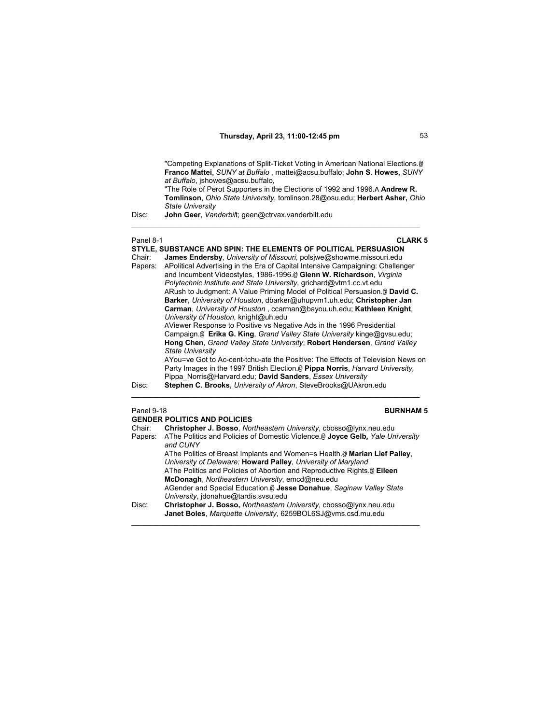"Competing Explanations of Split-Ticket Voting in American National Elections.@ **Franco Mattei**, *SUNY at Buffalo* , mattei@acsu.buffalo; **John S. Howes,** *SUNY at Buffalo*, jshowes@acsu.buffalo,

"The Role of Perot Supporters in the Elections of 1992 and 1996.A **Andrew R. Tomlinson**, *Ohio State University,* tomlinson.28@osu.edu; **Herbert Asher,** *Ohio State University*

\_\_\_\_\_\_\_\_\_\_\_\_\_\_\_\_\_\_\_\_\_\_\_\_\_\_\_\_\_\_\_\_\_\_\_\_\_\_\_\_\_\_\_\_\_\_\_\_\_\_\_\_\_\_\_\_\_\_\_\_\_\_\_\_\_\_\_\_\_\_\_

Disc: **John Geer**, *Vanderbil*t; geen@ctrvax.vanderbilt.edu

## Panel 8-1 **CLARK 5 STYLE, SUBSTANCE AND SPIN: THE ELEMENTS OF POLITICAL PERSUASION** Chair: **James Endersby**, *University of Missouri,* polsjwe@showme.missouri.edu APolitical Advertising in the Era of Capital Intensive Campaigning: Challenger and Incumbent Videostyles, 1986-1996.@ **Glenn W. Richardson**, *Virginia Polytechnic Institute and State University,* grichard@vtm1.cc.vt.edu ARush to Judgment: A Value Priming Model of Political Persuasion.@ **David C. Barker**, *University of Houston*, dbarker@uhupvm1.uh.edu; **Christopher Jan Carman**, *University of Houston* , ccarman@bayou.uh.edu; **Kathleen Knight**, *University of Houston,* knight@uh.edu AViewer Response to Positive vs Negative Ads in the 1996 Presidential Campaign.@ **Erika G. King**, *Grand Valley State University* kinge@gvsu.edu; **Hong Chen**, *Grand Valley State University*; **Robert Hendersen**, *Grand Valley State University*  AYou=ve Got to Ac-cent-tchu-ate the Positive: The Effects of Television News on Party Images in the 1997 British Election.@ **Pippa Norris**, *Harvard University,*  Pippa\_Norris@Harvard.edu; **David Sanders**, *Essex University* Disc: **Stephen C. Brooks,** *University of Akron*, SteveBrooks@UAkron.edu \_\_\_\_\_\_\_\_\_\_\_\_\_\_\_\_\_\_\_\_\_\_\_\_\_\_\_\_\_\_\_\_\_\_\_\_\_\_\_\_\_\_\_\_\_\_\_\_\_\_\_\_\_\_\_\_\_\_\_\_\_\_\_\_\_\_\_\_\_\_\_

### Panel 9-18 **BURNHAM 5**

|         | <b>GENDER POLITICS AND POLICIES</b>                                                                                                |
|---------|------------------------------------------------------------------------------------------------------------------------------------|
| Chair:  | Christopher J. Bosso, Northeastern University, cbosso@lynx.neu.edu                                                                 |
| Papers: | AThe Politics and Policies of Domestic Violence.@ Joyce Gelb, Yale University<br>and CUNY                                          |
|         | AThe Politics of Breast Implants and Women=s Health.@ Marian Lief Palley.                                                          |
|         | University of Delaware: Howard Palley, University of Maryland                                                                      |
|         | AThe Politics and Policies of Abortion and Reproductive Rights. <sup>®</sup> Eileen                                                |
|         | McDonagh, Northeastern University, emcd@neu.edu                                                                                    |
|         | AGender and Special Education.@ Jesse Donahue, Saginaw Valley State<br>University, idonahue@tardis.svsu.edu                        |
| Disc:   | Christopher J. Bosso, Northeastern University, cbosso@lynx.neu.edu<br>Janet Boles, Marquette University, 6259BOL6SJ@vms.csd.mu.edu |
|         |                                                                                                                                    |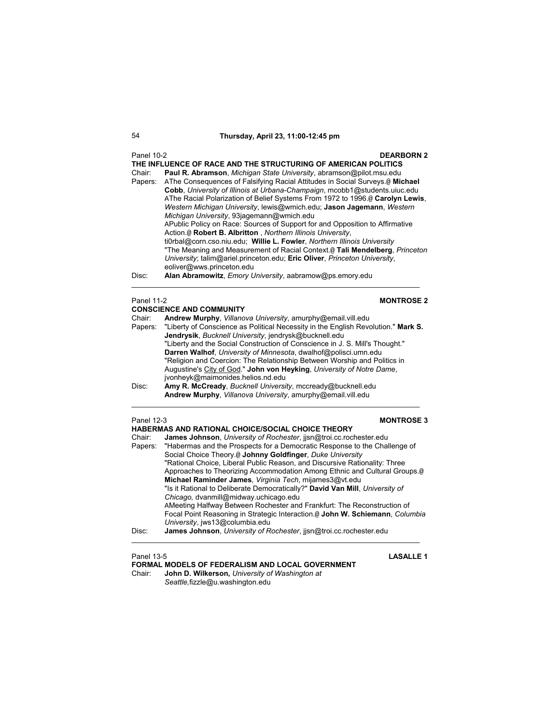| Panel 10-2 | <b>DEARBORN 2</b>                                                             |
|------------|-------------------------------------------------------------------------------|
|            | THE INFLUENCE OF RACE AND THE STRUCTURING OF AMERICAN POLITICS                |
| Chair:     | <b>Paul R. Abramson, Michigan State University, abramson@pilot.msu.edu</b>    |
| Papers:    | AThe Consequences of Falsifying Racial Attitudes in Social Surveys.@ Michael  |
|            | Cobb, University of Illinois at Urbana-Champaign, mcobb1@students.uiuc.edu    |
|            | AThe Racial Polarization of Belief Systems From 1972 to 1996.@ Carolyn Lewis, |
|            | Western Michigan University, lewis@wmich.edu; Jason Jagemann, Western         |
|            | Michigan University, 93jagemann@wmich.edu                                     |
|            | APublic Policy on Race: Sources of Support for and Opposition to Affirmative  |
|            | Action.@ Robert B. Albritton, Northern Illinois University,                   |
|            | ti0rbal@corn.cso.niu.edu; Willie L. Fowler, Northern Illinois University      |
|            | "The Meaning and Measurement of Racial Context.@ Tali Mendelberg, Princeton   |
|            | University; talim@ariel.princeton.edu; Eric Oliver, Princeton University,     |
|            | eoliver@wws.princeton.edu                                                     |
| Disc:      | Alan Abramowitz, Emory University, aabramow@ps.emory.edu                      |
|            |                                                                               |

| Panel 11-2 | <b>MONTROSE 2</b><br><b>CONSCIENCE AND COMMUNITY</b>                                      |
|------------|-------------------------------------------------------------------------------------------|
| Chair:     | Andrew Murphy, Villanova University, amurphy@email.vill.edu                               |
|            | Papers: "Liberty of Conscience as Political Necessity in the English Revolution." Mark S. |
|            | Jendrysik, Bucknell University, jendrysk@bucknell.edu                                     |
|            | "Liberty and the Social Construction of Conscience in J. S. Mill's Thought."              |
|            | Darren Walhof, University of Minnesota, dwalhof@polisci.umn.edu                           |
|            | "Religion and Coercion: The Relationship Between Worship and Politics in                  |
|            | Augustine's City of God." John von Heyking, University of Notre Dame,                     |
|            | jvonheyk@maimonides.helios.nd.edu                                                         |
| Disc:      | Amy R. McCready, Bucknell University, mccready@bucknell.edu                               |
|            | Andrew Murphy, Villanova University, amurphy@email.vill.edu                               |

# Panel 12-3 **MONTROSE 3**

|        | <b>HABERMAS AND RATIONAL CHOICE/SOCIAL CHOICE THEORY</b>                                 |
|--------|------------------------------------------------------------------------------------------|
| Chair: | James Johnson, University of Rochester, jjsn@troi.cc.rochester.edu                       |
|        | Papers: "Habermas and the Prospects for a Democratic Response to the Challenge of        |
|        | Social Choice Theory.@ Johnny Goldfinger, Duke University                                |
|        | "Rational Choice, Liberal Public Reason, and Discursive Rationality: Three               |
|        | Approaches to Theorizing Accommodation Among Ethnic and Cultural Groups. <sup>@</sup>    |
|        | Michael Raminder James, Virginia Tech, mijames3@vt.edu                                   |
|        | "Is it Rational to Deliberate Democratically?" David Van Mill, University of             |
|        | Chicago, dvanmill@midway.uchicago.edu                                                    |
|        | AMeeting Halfway Between Rochester and Frankfurt: The Reconstruction of                  |
|        | Focal Point Reasoning in Strategic Interaction. <sup>®</sup> John W. Schiemann, Columbia |
|        | University, jws13@columbia.edu                                                           |
| Disc:  | James Johnson, University of Rochester, jjsn@troi.cc.rochester.edu                       |
|        |                                                                                          |

Panel 13-5 **LASALLE 1**

### **FORMAL MODELS OF FEDERALISM AND LOCAL GOVERNMENT**

Chair: **John D. Wilkerson,** *University of Washington at Seattle,*fizzle@u.washington.edu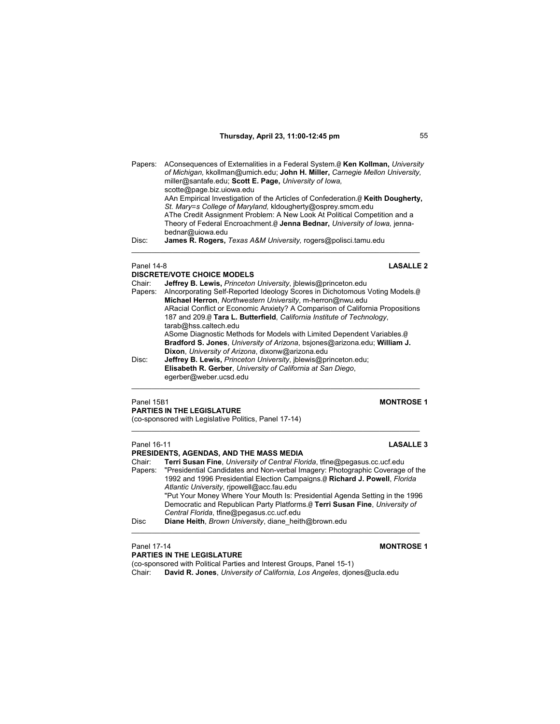| Papers: | AConsequences of Externalities in a Federal System.@ Ken Kollman, University<br>of Michigan, kkollman@umich.edu; John H. Miller, Carnegie Mellon University.<br>miller@santafe.edu; Scott E. Page, University of Iowa.<br>scotte@page.biz.uiowa.edu<br>AAn Empirical Investigation of the Articles of Confederation @ Keith Dougherty, |
|---------|----------------------------------------------------------------------------------------------------------------------------------------------------------------------------------------------------------------------------------------------------------------------------------------------------------------------------------------|
| Disc:   | St. Mary=s College of Maryland, kldougherty@osprey.smcm.edu<br>AThe Credit Assignment Problem: A New Look At Political Competition and a<br>Theory of Federal Encroachment @ Jenna Bednar, University of Iowa, jenna-<br>bednar@uiowa.edu<br>James R. Rogers, Texas A&M University, rogers@polisci.tamu.edu                            |

# Panel 14-8 **LASALLE 2**

# **DISCRETE/VOTE CHOICE MODELS**<br>Chair: **Jeffrev B. Lewis.** Princeton

### Jeffrey B. Lewis, *Princeton University*, jblewis@princeton.edu Papers: AIncorporating Self-Reported Ideology Scores in Dichotomous Voting Models.@ **Michael Herron**, *Northwestern University*, m-herron@nwu.edu ARacial Conflict or Economic Anxiety? A Comparison of California Propositions 187 and 209.@ **Tara L. Butterfield**, *California Institute of Technology*, tarab@hss.caltech.edu ASome Diagnostic Methods for Models with Limited Dependent Variables.@ **Bradford S. Jones**, *University of Arizona*, bsjones@arizona.edu; **William J. Dixon**, *University of Arizona*, dixonw@arizona.edu Disc: **Jeffrey B. Lewis,** *Princeton University*, jblewis@princeton.edu; **Elisabeth R. Gerber**, *University of California at San Diego*, egerber@weber.ucsd.edu

\_\_\_\_\_\_\_\_\_\_\_\_\_\_\_\_\_\_\_\_\_\_\_\_\_\_\_\_\_\_\_\_\_\_\_\_\_\_\_\_\_\_\_\_\_\_\_\_\_\_\_\_\_\_\_\_\_\_\_\_\_\_\_\_\_\_\_\_\_\_\_

 $\mathcal{L}_\text{G} = \{ \mathcal{L}_\text{G} \mid \mathcal{L}_\text{G} \mid \mathcal{L}_\text{G} \mid \mathcal{L}_\text{G} \mid \mathcal{L}_\text{G} \mid \mathcal{L}_\text{G} \mid \mathcal{L}_\text{G} \mid \mathcal{L}_\text{G} \mid \mathcal{L}_\text{G} \mid \mathcal{L}_\text{G} \mid \mathcal{L}_\text{G} \mid \mathcal{L}_\text{G} \mid \mathcal{L}_\text{G} \mid \mathcal{L}_\text{G} \mid \mathcal{L}_\text{G} \mid \mathcal{L}_\text{G}$ 

# Panel 15<sup>B1</sup> MONTROSE 1 **PARTIES IN THE LEGISLATURE**

(co-sponsored with Legislative Politics, Panel 17-14)

# Panel 16-11 **LASALLE 3**

# **PRESIDENTS, AGENDAS, AND THE MASS MEDIA**

| Chair:  | Terri Susan Fine, University of Central Florida, tfine@pegasus.cc.ucf.edu     |
|---------|-------------------------------------------------------------------------------|
| Papers: | "Presidential Candidates and Non-verbal Imagery: Photographic Coverage of the |
|         | 1992 and 1996 Presidential Election Campaigns @ Richard J. Powell, Florida    |
|         | Atlantic University, ripowell@acc.fau.edu                                     |
|         | "Put Your Money Where Your Mouth Is: Presidential Agenda Setting in the 1996  |
|         | Democratic and Republican Party Platforms.@ Terri Susan Fine, University of   |
|         | Central Florida, tfine@pegasus.cc.ucf.edu                                     |
| Disc    | Diane Heith, Brown University, diane heith@brown.edu                          |
|         |                                                                               |

Panel 17-14 **MONTROSE 1**

**PARTIES IN THE LEGISLATURE** (co-sponsored with Political Parties and Interest Groups, Panel 15-1)<br>Chair: David R. Jones, University of California, Los Angeles, dion Chair: **David R. Jones**, *University of California, Los Angeles*, djones@ucla.edu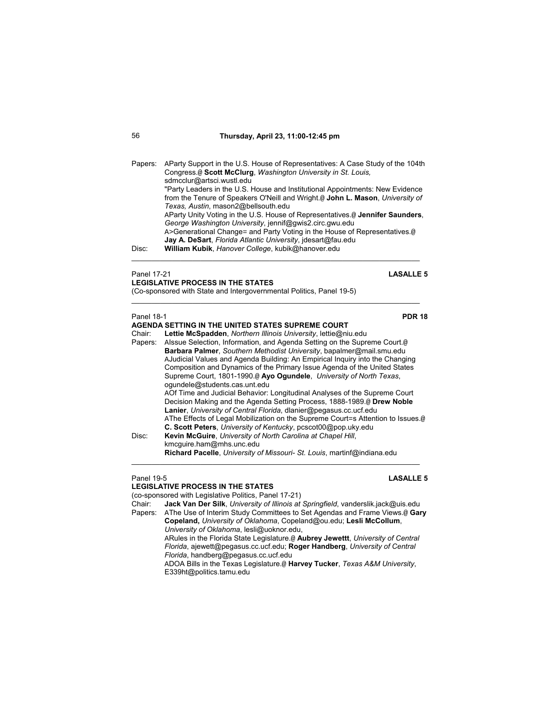Papers: AParty Support in the U.S. House of Representatives: A Case Study of the 104th Congress.@ **Scott McClurg**, *Washington University in St. Louis,* sdmcclur@artsci.wustl.edu "Party Leaders in the U.S. House and Institutional Appointments: New Evidence from the Tenure of Speakers O'Neill and Wright.@ **John L. Mason**, *University of Texas, Austin*, mason2@bellsouth.edu AParty Unity Voting in the U.S. House of Representatives.@ **Jennifer Saunders**, *George Washington University*, jennif@gwis2.circ.gwu.edu A>Generational Change= and Party Voting in the House of Representatives.@ **Jay A. DeSart**, *Florida Atlantic University*, jdesart@fau.edu Disc: **William Kubik**, *Hanover College*, kubik@hanover.edu  $\_$  , and the set of the set of the set of the set of the set of the set of the set of the set of the set of the set of the set of the set of the set of the set of the set of the set of the set of the set of the set of th

# **Panel 17-21 LASALLE 5**

**LEGISLATIVE PROCESS IN THE STATES**

(Co-sponsored with State and Intergovernmental Politics, Panel 19-5)

| <b>Panel 18-1</b> | <b>PDR 18</b> |
|-------------------|---------------|
|                   |               |

|         | <b>AGENDA SETTING IN THE UNITED STATES SUPREME COURT</b>                        |
|---------|---------------------------------------------------------------------------------|
| Chair:  | Lettie McSpadden, Northern Illinois University, lettie@niu.edu                  |
| Papers: | Alssue Selection, Information, and Agenda Setting on the Supreme Court.@        |
|         | Barbara Palmer, Southern Methodist University, bapalmer@mail.smu.edu            |
|         | AJudicial Values and Agenda Building: An Empirical Inquiry into the Changing    |
|         | Composition and Dynamics of the Primary Issue Agenda of the United States       |
|         | Supreme Court, 1801-1990.@ Ayo Ogundele, University of North Texas,             |
|         | oqundele@students.cas.unt.edu                                                   |
|         | AOf Time and Judicial Behavior: Longitudinal Analyses of the Supreme Court      |
|         | Decision Making and the Agenda Setting Process, 1888-1989.@ Drew Noble          |
|         | Lanier, University of Central Florida, dlanier@pegasus.cc.ucf.edu               |
|         | AThe Effects of Legal Mobilization on the Supreme Court=s Attention to Issues.@ |
|         | C. Scott Peters, University of Kentucky, pcscot00@pop.uky.edu                   |
| Disc:   | Kevin McGuire, University of North Carolina at Chapel Hill,                     |
|         | kmcquire.ham@mhs.unc.edu                                                        |
|         | Richard Pacelle, University of Missouri- St. Louis, martinf@indiana.edu         |

\_\_\_\_\_\_\_\_\_\_\_\_\_\_\_\_\_\_\_\_\_\_\_\_\_\_\_\_\_\_\_\_\_\_\_\_\_\_\_\_\_\_\_\_\_\_\_\_\_\_\_\_\_\_\_\_\_\_\_\_\_\_\_\_\_\_\_\_\_\_\_

### Panel 19-5 **LASALLE 5**

### **LEGISLATIVE PROCESS IN THE STATES**

(co-sponsored with Legislative Politics, Panel 17-21)

Chair: **Jack Van Der Silk**, *University of Illinois at Springfield*, vanderslik.jack@uis.edu

Papers: AThe Use of Interim Study Committees to Set Agendas and Frame Views.@ **Gary Copeland,** *University of Oklahoma*, Copeland@ou.edu; **Lesli McCollum**, *University of Oklahoma*, lesli@uoknor.edu, ARules in the Florida State Legislature.@ **Aubrey Jewettt**, *University of Central* 

 $\_$  , and the set of the set of the set of the set of the set of the set of the set of the set of the set of the set of the set of the set of the set of the set of the set of the set of the set of the set of the set of th

*Florida*, ajewett@pegasus.cc.ucf.edu; **Roger Handberg**, *University of Central Florida*, handberg@pegasus.cc.ucf.edu

ADOA Bills in the Texas Legislature.@ **Harvey Tucker**, *Texas A&M University*, E339ht@politics.tamu.edu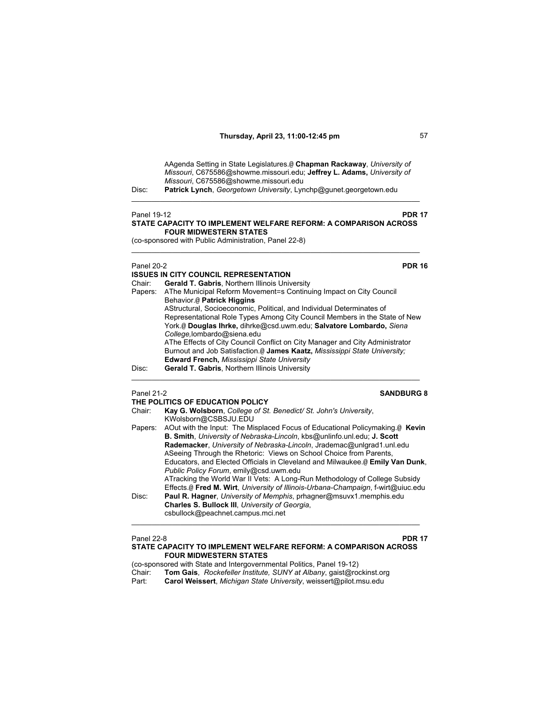AAgenda Setting in State Legislatures.@ **Chapman Rackaway**, *University of Missouri*, C675586@showme.missouri.edu; **Jeffrey L. Adams,** *University of Missouri*, C675586@showme.missouri.edu Disc: **Patrick Lynch**, *Georgetown University*, Lynchp@gunet.georgetown.edu \_\_\_\_\_\_\_\_\_\_\_\_\_\_\_\_\_\_\_\_\_\_\_\_\_\_\_\_\_\_\_\_\_\_\_\_\_\_\_\_\_\_\_\_\_\_\_\_\_\_\_\_\_\_\_\_\_\_\_\_\_\_\_\_\_\_\_\_\_\_\_ Panel 19-12 **PDR 17 STATE CAPACITY TO IMPLEMENT WELFARE REFORM: A COMPARISON ACROSS FOUR MIDWESTERN STATES** (co-sponsored with Public Administration, Panel 22-8)  $\mathcal{L}_\text{max}$  , and the contribution of the contribution of the contribution of the contribution of the contribution of the contribution of the contribution of the contribution of the contribution of the contribution of t Panel 20-2 **PDR 16 ISSUES IN CITY COUNCIL REPRESENTATION** Chair: **Gerald T. Gabris**, Northern Illinois University Papers: AThe Municipal Reform Movement=s Continuing Impact on City Council Behavior.@ **Patrick Higgins**  AStructural, Socioeconomic, Political, and Individual Determinates of Representational Role Types Among City Council Members in the State of New York.@ **Douglas Ihrke,** dihrke@csd.uwm.edu; **Salvatore Lombardo,** *Siena College,*lombardo@siena.edu AThe Effects of City Council Conflict on City Manager and City Administrator Burnout and Job Satisfaction.@ **James Kaatz,** *Mississippi State University;*  **Edward French,** *Mississippi State University* Disc: **Gerald T. Gabris**, Northern Illinois University \_\_\_\_\_\_\_\_\_\_\_\_\_\_\_\_\_\_\_\_\_\_\_\_\_\_\_\_\_\_\_\_\_\_\_\_\_\_\_\_\_\_\_\_\_\_\_\_\_\_\_\_\_\_\_\_\_\_\_\_\_\_\_\_\_\_\_\_\_\_\_ Panel 21-2 **SANDBURG 8 THE POLITICS OF EDUCATION POLICY** Chair: **Kay G. Wolsborn**, *College of St. Benedict/ St. John's University*, KWolsborn@CSBSJU.EDU Papers: AOut with the Input: The Misplaced Focus of Educational Policymaking.@ **Kevin B. Smith**, *University of Nebraska-Lincoln*, kbs@unlinfo.unl.edu; **J. Scott Rademacker**, *University of Nebraska-Lincoln*, Jrademac@unlgrad1.unl.edu ASeeing Through the Rhetoric: Views on School Choice from Parents, Educators, and Elected Officials in Cleveland and Milwaukee.@ **Emily Van Dunk**, *Public Policy Forum*, emily@csd.uwm.edu ATracking the World War II Vets: A Long-Run Methodology of College Subsidy Effects.@ **Fred M. Wirt**, *University of Illinois-Urbana-Champaign*, f-wirt@uiuc.edu Disc: **Paul R. Hagner**, *University of Memphis*, prhagner@msuvx1.memphis.edu **Charles S. Bullock III**, *University of Georgia*, csbullock@peachnet.campus.mci.net  $\mathcal{L}_\text{max}$  , and the contribution of the contribution of the contribution of the contribution of the contribution of the contribution of the contribution of the contribution of the contribution of the contribution of t Panel 22-8 **PDR 17 STATE CAPACITY TO IMPLEMENT WELFARE REFORM: A COMPARISON ACROSS** 

# **FOUR MIDWESTERN STATES**

(co-sponsored with State and Intergovernmental Politics, Panel 19-12)<br>Chair: **Tom Gais**, *Rockefeller Institute, SUNY at Albany,* gaist@ro Chair: **Tom Gais**, *Rockefeller Institute, SUNY at Albany*, gaist@rockinst.org Part: **Carol Weissert**, *Michigan State University*, weissert@pilot.msu.edu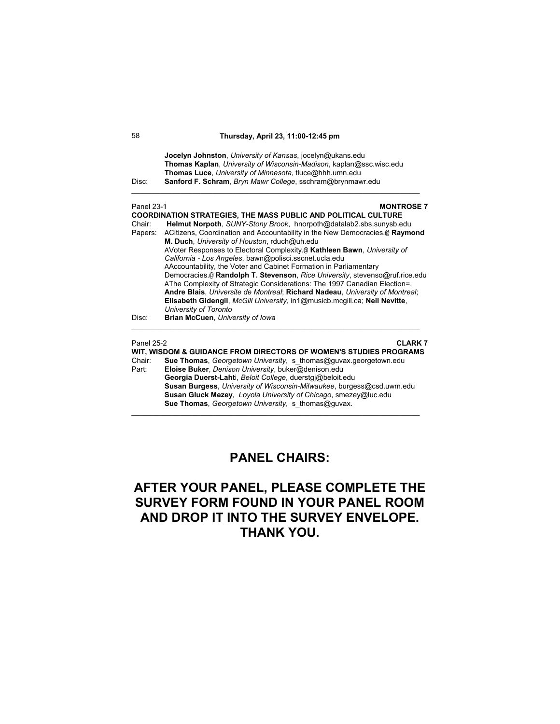| Disc:             | <b>Jocelyn Johnston</b> , University of Kansas, jocelyn@ukans.edu<br>Thomas Kaplan, University of Wisconsin-Madison, kaplan@ssc.wisc.edu<br>Thomas Luce, University of Minnesota, tluce@hhh.umn.edu<br>Sanford F. Schram, Bryn Mawr College, sschram@brynmawr.edu |
|-------------------|-------------------------------------------------------------------------------------------------------------------------------------------------------------------------------------------------------------------------------------------------------------------|
| <b>Panel 23-1</b> | <b>MONTROSE 7</b>                                                                                                                                                                                                                                                 |
|                   | <b>COORDINATION STRATEGIES, THE MASS PUBLIC AND POLITICAL CULTURE</b>                                                                                                                                                                                             |
| Chair:<br>Papers: | Helmut Norpoth, SUNY-Stony Brook, hnorpoth@datalab2.sbs.sunysb.edu<br>ACitizens, Coordination and Accountability in the New Democracies.@ Raymond<br>M. Duch, University of Houston, rduch@uh.edu                                                                 |
|                   | AVoter Responses to Electoral Complexity.@ Kathleen Bawn, University of<br>California - Los Angeles, bawn@polisci.sscnet.ucla.edu                                                                                                                                 |
|                   | AAccountability, the Voter and Cabinet Formation in Parliamentary<br>Democracies.@ Randolph T. Stevenson, Rice University, stevenso@ruf.rice.edu                                                                                                                  |
|                   | AThe Complexity of Strategic Considerations: The 1997 Canadian Election=,<br>Andre Blais, Universite de Montreal; Richard Nadeau, University of Montreal;<br>Elisabeth Gidengil, McGill University, in1@musicb.mcgill.ca; Neil Nevitte,                           |
|                   | University of Toronto                                                                                                                                                                                                                                             |
| Disc:             | Brian McCuen, University of Iowa                                                                                                                                                                                                                                  |
| <b>Panel 25-2</b> | <b>CLARK 7</b>                                                                                                                                                                                                                                                    |
|                   | WIT, WISDOM & GUIDANCE FROM DIRECTORS OF WOMEN'S STUDIES PROGRAMS                                                                                                                                                                                                 |
| Chair:            | Sue Thomas, Georgetown University, s thomas@guvax.georgetown.edu                                                                                                                                                                                                  |
| Part:             | Eloise Buker, Denison University, buker@denison.edu                                                                                                                                                                                                               |
|                   | Georgia Duerst-Lahti, Beloit College, duerstgj@beloit.edu                                                                                                                                                                                                         |
|                   | Susan Burgess, University of Wisconsin-Milwaukee, burgess@csd.uwm.edu                                                                                                                                                                                             |
|                   | Susan Gluck Mezey, Loyola University of Chicago, smezey@luc.edu                                                                                                                                                                                                   |
|                   | Sue Thomas, Georgetown University, s_thomas@guvax.                                                                                                                                                                                                                |

# **PANEL CHAIRS:**

 $\mathcal{L}_\text{G} = \{ \mathcal{L}_\text{G} \mid \mathcal{L}_\text{G} \mid \mathcal{L}_\text{G} \mid \mathcal{L}_\text{G} \mid \mathcal{L}_\text{G} \mid \mathcal{L}_\text{G} \mid \mathcal{L}_\text{G} \mid \mathcal{L}_\text{G} \mid \mathcal{L}_\text{G} \mid \mathcal{L}_\text{G} \mid \mathcal{L}_\text{G} \mid \mathcal{L}_\text{G} \mid \mathcal{L}_\text{G} \mid \mathcal{L}_\text{G} \mid \mathcal{L}_\text{G} \mid \mathcal{L}_\text{G}$ 

# **AFTER YOUR PANEL, PLEASE COMPLETE THE SURVEY FORM FOUND IN YOUR PANEL ROOM AND DROP IT INTO THE SURVEY ENVELOPE. THANK YOU.**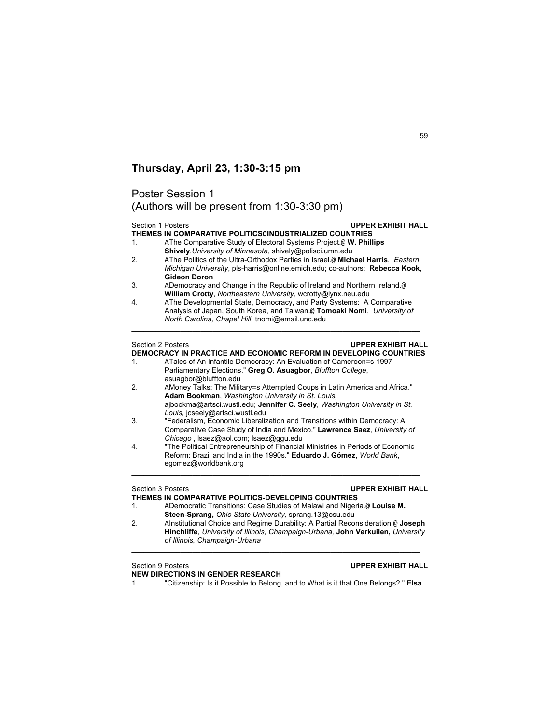# Poster Session 1

(Authors will be present from 1:30-3:30 pm)

### Section 1 Posters **UPPER EXHIBIT HALL**

- **THEMES IN COMPARATIVE POLITICSCINDUSTRIALIZED COUNTRIES** 1. AThe Comparative Study of Electoral Systems Project.@ **W. Phillips**
- **Shively**,*University of Minnesota*, shively@polisci.umn.edu
- 2. AThe Politics of the Ultra-Orthodox Parties in Israel.@ **Michael Harris**, *Eastern Michigan University*, pls-harris@online.emich.edu; co-authors: **Rebecca Kook**, **Gideon Doron**
- 3. ADemocracy and Change in the Republic of Ireland and Northern Ireland.@ **William Crotty**, *Northeastern University*, wcrotty@lynx.neu.edu
- 4. AThe Developmental State, Democracy, and Party Systems: A Comparative Analysis of Japan, South Korea, and Taiwan.@ **Tomoaki Nomi**, *University of North Carolina, Chapel Hill*, tnomi@email.unc.edu  $\mathcal{L}_\text{max}$  , and the contribution of the contribution of the contribution of the contribution of the contribution of the contribution of the contribution of the contribution of the contribution of the contribution of t

# Section 2 Posters **UPPER EXHIBIT HALL**

- **DEMOCRACY IN PRACTICE AND ECONOMIC REFORM IN DEVELOPING COUNTRIES**
- 1. ATales of An Infantile Democracy: An Evaluation of Cameroon=s 1997 Parliamentary Elections." **Greg O. Asuagbor**, *Bluffton College*, asuagbor@bluffton.edu
- 2. AMoney Talks: The Military=s Attempted Coups in Latin America and Africa." **Adam Bookman**, *Washington University in St. Louis,* ajbookma@artsci.wustl.edu; **Jennifer C. Seely**, *Washington University in St. Louis,* jcseely@artsci.wustl.edu
- 3. "Federalism, Economic Liberalization and Transitions within Democracy: A Comparative Case Study of India and Mexico." **Lawrence Saez**, *University of Chicago* , lsaez@aol.com; lsaez@ggu.edu
- 4. "The Political Entrepreneurship of Financial Ministries in Periods of Economic Reform: Brazil and India in the 1990s." **Eduardo J. Gómez**, *World Bank*, egomez@worldbank.org  $\mathcal{L}_\text{G} = \{ \mathcal{L}_\text{G} \mid \mathcal{L}_\text{G} \mid \mathcal{L}_\text{G} \mid \mathcal{L}_\text{G} \mid \mathcal{L}_\text{G} \mid \mathcal{L}_\text{G} \mid \mathcal{L}_\text{G} \mid \mathcal{L}_\text{G} \mid \mathcal{L}_\text{G} \mid \mathcal{L}_\text{G} \mid \mathcal{L}_\text{G} \mid \mathcal{L}_\text{G} \mid \mathcal{L}_\text{G} \mid \mathcal{L}_\text{G} \mid \mathcal{L}_\text{G} \mid \mathcal{L}_\text{G}$

# Section 3 Posters **UPPER EXHIBIT HALL**

- **THEMES IN COMPARATIVE POLITICS-DEVELOPING COUNTRIES** 1. ADemocratic Transitions: Case Studies of Malawi and Nigeria.@ **Louise M. Steen-Sprang,** *Ohio State University,* sprang.13@osu.edu
- 2. AInstitutional Choice and Regime Durability: A Partial Reconsideration.@ **Joseph Hinchliffe**, *University of Illinois, Champaign-Urbana,* **John Verkuilen,** *University of Illinois, Champaign*-*Urbana*

\_\_\_\_\_\_\_\_\_\_\_\_\_\_\_\_\_\_\_\_\_\_\_\_\_\_\_\_\_\_\_\_\_\_\_\_\_\_\_\_\_\_\_\_\_\_\_\_\_\_\_\_\_\_\_\_\_\_\_\_\_\_\_\_\_\_\_\_\_\_\_

# Section 9 Posters **UPPER EXHIBIT HALL**

**NEW DIRECTIONS IN GENDER RESEARCH**

1. "Citizenship: Is it Possible to Belong, and to What is it that One Belongs? " **Elsa**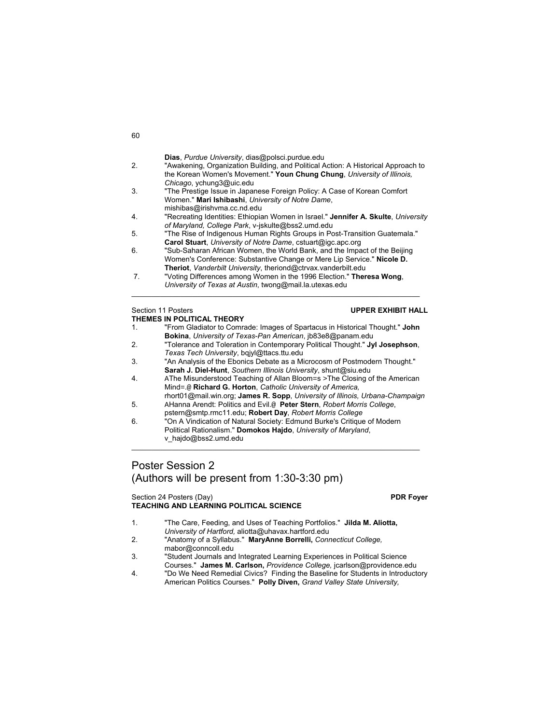|    | Dias, Purdue University, dias@polsci.purdue.edu                                                                                            |
|----|--------------------------------------------------------------------------------------------------------------------------------------------|
| 2. | "Awakening, Organization Building, and Political Action: A Historical Approach to                                                          |
|    | the Korean Women's Movement." Youn Chung Chung, University of Illinois.                                                                    |
|    | Chicago, ychung3@uic.edu                                                                                                                   |
| 3. | "The Prestige Issue in Japanese Foreign Policy: A Case of Korean Comfort                                                                   |
|    | Women." Mari Ishibashi, University of Notre Dame,                                                                                          |
|    | mishibas@irishvma.cc.nd.edu                                                                                                                |
| 4. | "Recreating Identities: Ethiopian Women in Israel." Jennifer A. Skulte, University                                                         |
|    | of Maryland, College Park, v-jskulte@bss2.umd.edu                                                                                          |
| 5. | "The Rise of Indigenous Human Rights Groups in Post-Transition Guatemala."                                                                 |
|    | Carol Stuart, University of Notre Dame, cstuart@igc.apc.org                                                                                |
| 6. | "Sub-Saharan African Women, the World Bank, and the Impact of the Beijing                                                                  |
|    | Women's Conference: Substantive Change or Mere Lip Service." Nicole D.                                                                     |
|    | Theriot, Vanderbilt University, theriond@ctrvax.vanderbilt.edu                                                                             |
| 7. | "Voting Differences among Women in the 1996 Election." Theresa Wong,                                                                       |
|    |                                                                                                                                            |
|    | University of Texas at Austin, twong@mail.la.utexas.edu                                                                                    |
|    |                                                                                                                                            |
|    | Section 11 Posters<br><b>UPPER EXHIBIT HALL</b>                                                                                            |
|    | THEMES IN POLITICAL THEORY                                                                                                                 |
| 1. |                                                                                                                                            |
|    | "From Gladiator to Comrade: Images of Spartacus in Historical Thought." John<br>Bokina, University of Texas-Pan American, ib83e8@panam.edu |
| 2. | "Tolerance and Toleration in Contemporary Political Thought." Jyl Josephson,                                                               |
|    | Texas Tech University, bqjyl@ttacs.ttu.edu                                                                                                 |
| 3. | "An Analysis of the Ebonics Debate as a Microcosm of Postmodern Thought."                                                                  |
|    | Sarah J. Diel-Hunt, Southern Illinois University, shunt@siu.edu                                                                            |
| 4. | AThe Misunderstood Teaching of Allan Bloom=s > The Closing of the American                                                                 |
|    | Mind=.@ Richard G. Horton, Catholic University of America.                                                                                 |
|    | rhort01@mail.win.org; James R. Sopp, University of Illinois, Urbana-Champaign                                                              |
| 5. | AHanna Arendt: Politics and Evil.@ Peter Stern, Robert Morris College,                                                                     |
| 6. | pstern@smtp.rmc11.edu; Robert Day, Robert Morris College<br>"On A Vindication of Natural Society: Edmund Burke's Critique of Modern        |

Political Rationalism." **Domokos Hajdo**, *University of Maryland*, v\_hajdo@bss2.umd.edu  $\_$  , and the set of the set of the set of the set of the set of the set of the set of the set of the set of the set of the set of the set of the set of the set of the set of the set of the set of the set of the set of th

# Poster Session 2 (Authors will be present from 1:30-3:30 pm)

# Section 24 Posters (Day) **PDR Foyer TEACHING AND LEARNING POLITICAL SCIENCE**

- 1. "The Care, Feeding, and Uses of Teaching Portfolios." **Jilda M. Aliotta,** *University of Hartford,* aliotta@uhavax.hartford.edu
- 2. "Anatomy of a Syllabus." **MaryAnne Borrelli,** *Connecticut College,* mabor@conncoll.edu
- 3. "Student Journals and Integrated Learning Experiences in Political Science Courses." **James M. Carlson,** *Providence College,* jcarlson@providence.edu
- 4. "Do We Need Remedial Civics? Finding the Baseline for Students in Introductory American Politics Courses." **Polly Diven,** *Grand Valley State University,*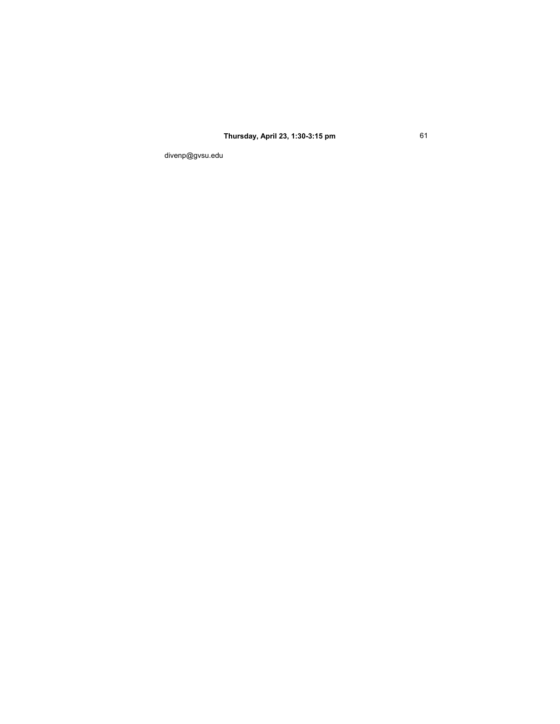divenp@gvsu.edu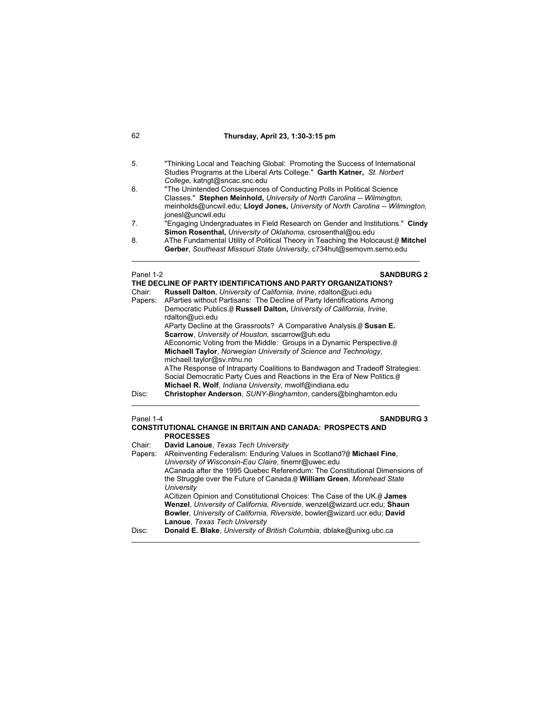| -62 | Thursday, April 23, 1:30-3:15 pm |  |
|-----|----------------------------------|--|
|-----|----------------------------------|--|

| 5.        | "Thinking Local and Teaching Global: Promoting the Success of International                                                                               |
|-----------|-----------------------------------------------------------------------------------------------------------------------------------------------------------|
|           | Studies Programs at the Liberal Arts College." Garth Katner, St. Norbert                                                                                  |
|           | College, katngt@sncac.snc.edu                                                                                                                             |
| 6.        | "The Unintended Consequences of Conducting Polls in Political Science                                                                                     |
|           | Classes." Stephen Meinhold, University of North Carolina -- Wilmington,<br>meinholds@uncwil.edu; Lloyd Jones, University of North Carolina -- Wilmington, |
|           | jonesl@uncwil.edu                                                                                                                                         |
| 7.        | "Engaging Undergraduates in Field Research on Gender and Institutions." Cindy                                                                             |
|           | Simon Rosenthal, University of Oklahoma, csrosenthal@ou.edu                                                                                               |
| 8.        | AThe Fundamental Utility of Political Theory in Teaching the Holocaust.@ Mitchel                                                                          |
|           | Gerber, Southeast Missouri State University, c734hut@semovm.semo.edu                                                                                      |
| Panel 1-2 | <b>SANDBURG 2</b>                                                                                                                                         |
|           | THE DECLINE OF PARTY IDENTIFICATIONS AND PARTY ORGANIZATIONS?                                                                                             |
| Chair:    | Russell Dalton, University of California, Irvine, rdalton@uci.edu                                                                                         |
| Papers:   | AParties without Partisans: The Decline of Party Identifications Among                                                                                    |
|           | Democratic Publics. <sup>®</sup> Russell Dalton, University of California, Irvine,                                                                        |
|           | rdalton@uci.edu                                                                                                                                           |
|           | AParty Decline at the Grassroots? A Comparative Analysis.@ Susan E.                                                                                       |
|           | Scarrow, University of Houston, sscarrow@uh.edu                                                                                                           |
|           | AEconomic Voting from the Middle: Groups in a Dynamic Perspective.@<br>Michaell Taylor, Norwegian University of Science and Technology,                   |
|           | michaell.taylor@sv.ntnu.no                                                                                                                                |
|           | AThe Response of Intraparty Coalitions to Bandwagon and Tradeoff Strategies:                                                                              |
|           | Social Democratic Party Cues and Reactions in the Era of New Politics.@                                                                                   |
|           | Michael R. Wolf, Indiana University, mwolf@indiana.edu                                                                                                    |
| Disc:     | Christopher Anderson, SUNY-Binghamton, canders@binghamton.edu                                                                                             |
| Panel 1-4 | <b>SANDBURG 3</b>                                                                                                                                         |
|           | <b>CONSTITUTIONAL CHANGE IN BRITAIN AND CANADA: PROSPECTS AND</b>                                                                                         |
|           | <b>PROCESSES</b>                                                                                                                                          |
| Chair:    | David Lanoue, Texas Tech University                                                                                                                       |
| Papers:   | AReinventing Federalism: Enduring Values in Scotland?@ Michael Fine,                                                                                      |
|           | University of Wisconsin-Eau Claire, finemr@uwec.edu                                                                                                       |
|           | ACanada after the 1995 Quebec Referendum: The Constitutional Dimensions of                                                                                |
|           | the Struggle over the Future of Canada. <sup>®</sup> William Green, Morehead State                                                                        |
|           | University<br>ACitizen Opinion and Constitutional Choices: The Case of the UK.@ James                                                                     |
|           | Wenzel, University of California, Riverside, wenzel@wizard.ucr.edu; Shaun                                                                                 |
|           | Bowler, University of California, Riverside, bowler@wizard.ucr.edu; David                                                                                 |
|           | Lanoue, Texas Tech University                                                                                                                             |
| Disc:     | Donald E. Blake, University of British Columbia, dblake@unixg.ubc.ca                                                                                      |

 $\mathcal{L}_\text{max}$  , and the contribution of the contribution of the contribution of the contribution of the contribution of the contribution of the contribution of the contribution of the contribution of the contribution of t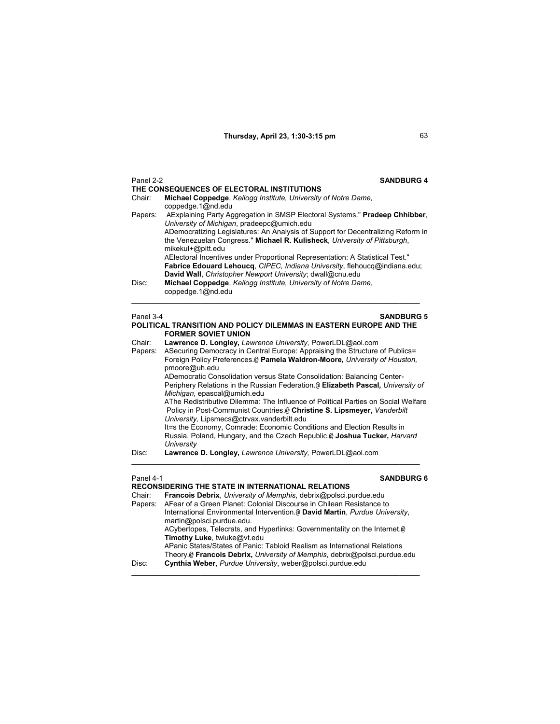### Panel 2-2 **SANDBURG 4 THE CONSEQUENCES OF ELECTORAL INSTITUTIONS** Chair: **Michael Coppedge**, *Kellogg Institute, University of Notre Dame,* coppedge.1@nd.edu Papers: AExplaining Party Aggregation in SMSP Electoral Systems." **Pradeep Chhibber**, *University of Michigan*, pradeepc@umich.edu ADemocratizing Legislatures: An Analysis of Support for Decentralizing Reform in the Venezuelan Congress." **Michael R. Kulisheck**, *University of Pittsburgh*, mikekul+@pitt.edu AElectoral Incentives under Proportional Representation: A Statistical Test." **Fabrice Edouard Lehoucq**, *CIPEC, Indiana University*, flehoucq@indiana.edu; **David Wall**, *Christopher Newport University*; dwall@cnu.edu Disc: **Michael Coppedge**, *Kellogg Institute, University of Notre Dame*, coppedge.1@nd.edu  $\mathcal{L}_\text{G} = \{ \mathcal{L}_\text{G} \mid \mathcal{L}_\text{G} \mid \mathcal{L}_\text{G} \mid \mathcal{L}_\text{G} \mid \mathcal{L}_\text{G} \mid \mathcal{L}_\text{G} \mid \mathcal{L}_\text{G} \mid \mathcal{L}_\text{G} \mid \mathcal{L}_\text{G} \mid \mathcal{L}_\text{G} \mid \mathcal{L}_\text{G} \mid \mathcal{L}_\text{G} \mid \mathcal{L}_\text{G} \mid \mathcal{L}_\text{G} \mid \mathcal{L}_\text{G} \mid \mathcal{L}_\text{G}$ Panel 3-4 **SANDBURG 5 POLITICAL TRANSITION AND POLICY DILEMMAS IN EASTERN EUROPE AND THE FORMER SOVIET UNION** Chair: **Lawrence D. Longley,** *Lawrence University,* PowerLDL@aol.com Papers: ASecuring Democracy in Central Europe: Appraising the Structure of Publics= Foreign Policy Preferences.@ **Pamela Waldron-Moore,** *University of Houston,* pmoore@uh.edu ADemocratic Consolidation versus State Consolidation: Balancing Center-Periphery Relations in the Russian Federation.@ **Elizabeth Pascal***, University of Michigan,* epascal@umich.edu AThe Redistributive Dilemma: The Influence of Political Parties on Social Welfare Policy in Post-Communist Countries.@ **Christine S. Lipsmeyer,** *Vanderbilt University,* Lipsmecs@ctrvax.vanderbilt.edu It=s the Economy, Comrade: Economic Conditions and Election Results in Russia, Poland, Hungary, and the Czech Republic.@ **Joshua Tucker,** *Harvard University*

Disc: **Lawrence D. Longley,** *Lawrence University,* PowerLDL@aol.com

### Panel 4-1 **SANDBURG 6**

|         | <b>RECONSIDERING THE STATE IN INTERNATIONAL RELATIONS</b>                             |
|---------|---------------------------------------------------------------------------------------|
| Chair:  | Francois Debrix, University of Memphis, debrix@polsci.purdue.edu                      |
| Papers: | AFear of a Green Planet: Colonial Discourse in Chilean Resistance to                  |
|         | International Environmental Intervention @ David Martin, Purdue University,           |
|         | martin@polsci.purdue.edu.                                                             |
|         | ACybertopes, Telecrats, and Hyperlinks: Governmentality on the Internet.@             |
|         | Timothy Luke, twluke@vt.edu                                                           |
|         | APanic States/States of Panic: Tabloid Realism as International Relations             |
|         | Theory. <sup>®</sup> Francois Debrix, University of Memphis, debrix@polsci.purdue.edu |
| Disc:   | Cynthia Weber, Purdue University, weber@polsci.purdue.edu                             |
|         |                                                                                       |

 $\mathcal{L}_\text{max}$  , and the set of the set of the set of the set of the set of the set of the set of the set of the set of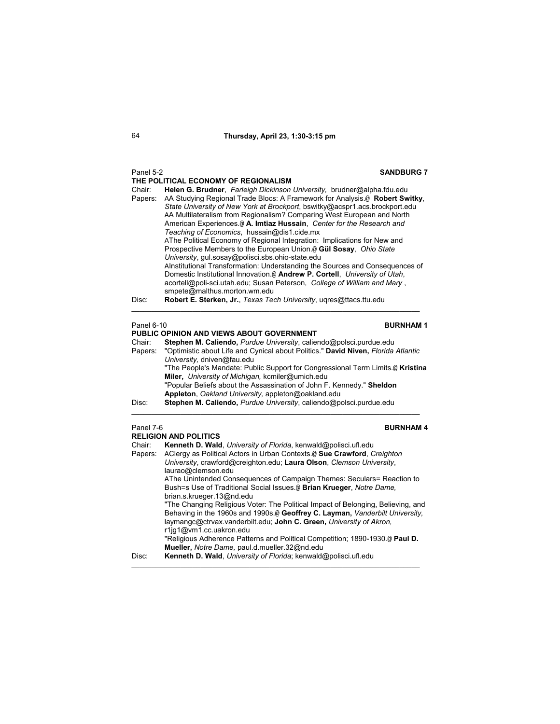### Panel 5-2 **SANDBURG 7 THE POLITICAL ECONOMY OF REGIONALISM** Chair: **Helen G. Brudner**, *Farleigh Dickinson University,* brudner@alpha.fdu.edu Papers: AA Studying Regional Trade Blocs: A Framework for Analysis.@ **Robert Switky**, *State University of New York at Brockport*, bswitky@acspr1.acs.brockport.edu AA Multilateralism from Regionalism? Comparing West European and North American Experiences.@ **A. Imtiaz Hussain**, *Center for the Research and Teaching of Economics*, hussain@dis1.cide.mx AThe Political Economy of Regional Integration: Implications for New and Prospective Members to the European Union.@ **Gül Sosay**, *Ohio State University*, gul.sosay@polisci.sbs.ohio-state.edu AInstitutional Transformation: Understanding the Sources and Consequences of Domestic Institutional Innovation.@ **Andrew P. Cortell**, *University of Utah*, acortell@poli-sci.utah.edu; Susan Peterson, *College of William and Mary* , smpete@malthus.morton.wm.edu Disc: **Robert E. Sterken, Jr.**, *Texas Tech University*, uqres@ttacs.ttu.edu  $\mathcal{L}_\text{max}$  , and the contribution of the contribution of the contribution of the contribution of the contribution of the contribution of the contribution of the contribution of the contribution of the contribution of t

### Panel 6-10 **BURNHAM 1**

# **PUBLIC OPINION AND VIEWS ABOUT GOVERNMENT**

Chair: **Stephen M. Caliendo,** *Purdue University*, caliendo@polsci.purdue.edu Papers: "Optimistic about Life and Cynical about Politics." **David Niven,** *Florida Atlantic University,* dniven@fau.edu "The People's Mandate: Public Support for Congressional Term Limits.@ **Kristina Miler,** *University of Michigan,* kcmiler@umich.edu "Popular Beliefs about the Assassination of John F. Kennedy." **Sheldon Appleton**, *Oakland University,* appleton@oakland.edu Disc: **Stephen M. Caliendo,** *Purdue University*, caliendo@polsci.purdue.edu  $\mathcal{L}_\text{G} = \{ \mathcal{L}_\text{G} \mid \mathcal{L}_\text{G} \mid \mathcal{L}_\text{G} \mid \mathcal{L}_\text{G} \mid \mathcal{L}_\text{G} \mid \mathcal{L}_\text{G} \mid \mathcal{L}_\text{G} \mid \mathcal{L}_\text{G} \mid \mathcal{L}_\text{G} \mid \mathcal{L}_\text{G} \mid \mathcal{L}_\text{G} \mid \mathcal{L}_\text{G} \mid \mathcal{L}_\text{G} \mid \mathcal{L}_\text{G} \mid \mathcal{L}_\text{G} \mid \mathcal{L}_\text{G}$ 

# Panel 7-6 **BURNHAM 4**

|         | <b>RELIGION AND POLITICS</b>                                                     |
|---------|----------------------------------------------------------------------------------|
| Chair:  | Kenneth D. Wald, University of Florida, kenwald@polisci.ufl.edu                  |
| Papers: | AClergy as Political Actors in Urban Contexts @ Sue Crawford, Creighton          |
|         | University, crawford@creighton.edu; Laura Olson, Clemson University,             |
|         | laurao@clemson.edu                                                               |
|         | AThe Unintended Consequences of Campaign Themes: Seculars= Reaction to           |
|         | Bush=s Use of Traditional Social Issues @ Brian Krueger, Notre Dame.             |
|         | brian.s.krueger.13@nd.edu                                                        |
|         | "The Changing Religious Voter: The Political Impact of Belonging, Believing, and |
|         | Behaving in the 1960s and 1990s @ Geoffrey C. Layman, Vanderbilt University.     |
|         | laymangc@ctrvax.vanderbilt.edu; John C. Green, University of Akron.              |
|         | r1jq1@vm1.cc.uakron.edu                                                          |
|         | "Religious Adherence Patterns and Political Competition: 1890-1930.@ Paul D.     |
|         | Mueller, Notre Dame, paul.d.mueller.32@nd.edu                                    |
| Disc:   | Kenneth D. Wald, University of Florida; kenwald@polisci.ufl.edu                  |

 $\mathcal{L}_\text{max}$  , and the set of the set of the set of the set of the set of the set of the set of the set of the set of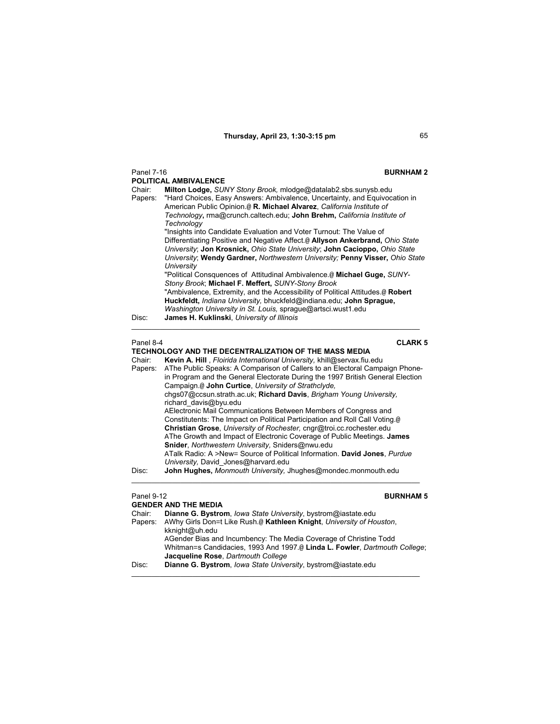# Panel 7-16 **BURNHAM 2**

**POLITICAL AMBIVALENCE** Chair: **Milton Lodge,** *SUNY Stony Brook,* mlodge@datalab2.sbs.sunysb.edu Papers: "Hard Choices, Easy Answers: Ambivalence, Uncertainty, and Equivocation in American Public Opinion.@ **R. Michael Alvarez**, *California Institute of Technology***,** rma@crunch.caltech.edu; **John Brehm,** *California Institute of Technology*  "Insights into Candidate Evaluation and Voter Turnout: The Value of Differentiating Positive and Negative Affect.@ **Allyson Ankerbrand,** *Ohio State University*; **Jon Krosnick,** *Ohio State University*; **John Cacioppo,** *Ohio State University*; **Wendy Gardner,** *Northwestern University;* **Penny Visser,** *Ohio State University*  "Political Consquences of Attitudinal Ambivalence.@ **Michael Guge,** *SUNY-Stony Brook*; **Michael F. Meffert,** *SUNY-Stony Brook*  "Ambivalence, Extremity, and the Accessibility of Political Attitudes.@ **Robert Huckfeldt,** *Indiana University,* bhuckfeld@indiana.edu; **John Sprague,**

Disc: **James H. Kuklinski**, *University of Illinois*

### Panel 8-4 **CLARK 5**

### **TECHNOLOGY AND THE DECENTRALIZATION OF THE MASS MEDIA**

*Washington University in St. Louis,* sprague@artsci.wust1.edu

\_\_\_\_\_\_\_\_\_\_\_\_\_\_\_\_\_\_\_\_\_\_\_\_\_\_\_\_\_\_\_\_\_\_\_\_\_\_\_\_\_\_\_\_\_\_\_\_\_\_\_\_\_\_\_\_\_\_\_\_\_\_\_\_\_\_\_\_\_\_\_

Chair: **Kevin A. Hill** , *Floirida International University,* khill@servax.fiu.edu Papers: AThe Public Speaks: A Comparison of Callers to an Electoral Campaign Phonein Program and the General Electorate During the 1997 British General Election Campaign.@ **John Curtice**, *University of Strathclyde,* chgs07@ccsun.strath.ac.uk; **Richard Davis**, *Brigham Young University,* richard\_davis@byu.edu AElectronic Mail Communications Between Members of Congress and Constitutents: The Impact on Political Participation and Roll Call Voting.@ **Christian Grose**, *University of Rochester,* cngr@troi.cc.rochester.edu AThe Growth and Impact of Electronic Coverage of Public Meetings. **James Snider**, *Northwestern University,* Sniders@nwu.edu ATalk Radio: A >New= Source of Political Information. **David Jones**, *Purdue University,* David\_Jones@harvard.edu Disc: **John Hughes,** *Monmouth University,* Jhughes@mondec.monmouth.edu

### **Panel 9-12 BURNHAM 5**

|         | <b>GENDER AND THE MEDIA</b>                                                                                      |
|---------|------------------------------------------------------------------------------------------------------------------|
| Chair:  | Dianne G. Bystrom, Iowa State University, bystrom@iastate.edu                                                    |
| Papers: | AWhy Girls Don=t Like Rush @ Kathleen Knight, University of Houston,<br>kknight@uh.edu                           |
|         | A Gender Bias and Incumbency: The Media Coverage of Christine Todd                                               |
|         | Whitman=s Candidacies, 1993 And 1997.@ Linda L. Fowler, Dartmouth College;<br>Jacqueline Rose, Dartmouth College |
| Disc:   | Dianne G. Bystrom, Iowa State University, bystrom@iastate.edu                                                    |

\_\_\_\_\_\_\_\_\_\_\_\_\_\_\_\_\_\_\_\_\_\_\_\_\_\_\_\_\_\_\_\_\_\_\_\_\_\_\_\_\_\_\_\_\_\_\_\_\_\_\_\_\_\_\_\_\_\_\_\_\_\_\_\_\_\_\_\_\_\_\_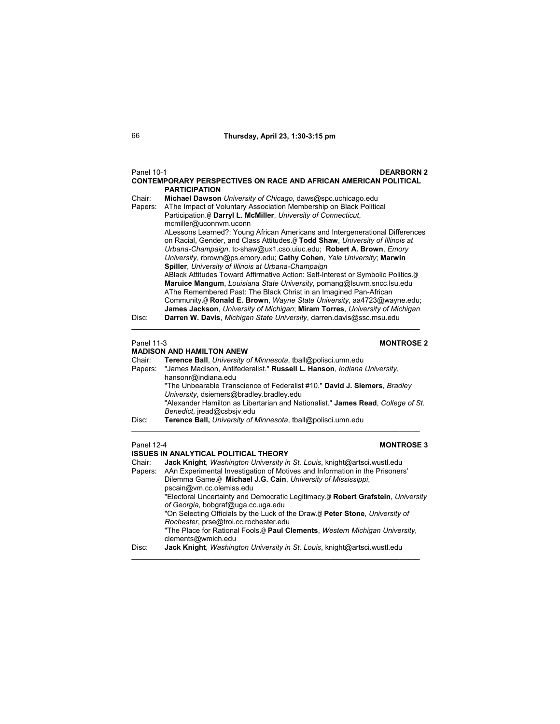| Panel 10-1        | <b>DEARBORN 2</b><br><b>CONTEMPORARY PERSPECTIVES ON RACE AND AFRICAN AMERICAN POLITICAL</b><br><b>PARTICIPATION</b>                                                                                                                                                                                                                                                            |
|-------------------|---------------------------------------------------------------------------------------------------------------------------------------------------------------------------------------------------------------------------------------------------------------------------------------------------------------------------------------------------------------------------------|
| Chair:<br>Papers: | Michael Dawson University of Chicago, daws@spc.uchicago.edu<br>AThe Impact of Voluntary Association Membership on Black Political<br>Participation.@ Darryl L. McMiller, University of Connecticut,<br>mcmiller@uconnvm.uconn                                                                                                                                                   |
|                   | ALessons Learned?: Young African Americans and Intergenerational Differences<br>on Racial, Gender, and Class Attitudes. <sup>®</sup> Todd Shaw, University of Illinois at<br>Urbana-Champaign, tc-shaw@ux1.cso.uiuc.edu; Robert A. Brown, Emory<br>University, rbrown@ps.emory.edu; Cathy Cohen, Yale University; Marwin<br>Spiller, University of Illinois at Urbana-Champaign |
|                   | ABlack Attitudes Toward Affirmative Action: Self-Interest or Symbolic Politics.@<br>Maruice Mangum, Louisiana State University, pomang@Isuvm.sncc.Isu.edu<br>AThe Remembered Past: The Black Christ in an Imagined Pan-African<br>Community.@ Ronald E. Brown, Wayne State University, aa4723@wayne.edu;                                                                        |
| Disc:             | James Jackson, University of Michigan; Miram Torres, University of Michigan<br>Darren W. Davis, Michigan State University, darren.davis@ssc.msu.edu                                                                                                                                                                                                                             |
| <b>Panel 11-3</b> | <b>MONTROSE 2</b><br><b>MADISON AND HAMILTON ANEW</b>                                                                                                                                                                                                                                                                                                                           |
| Chair:            | Terence Ball, University of Minnesota, tball@polisci.umn.edu                                                                                                                                                                                                                                                                                                                    |
| Papers:           | "James Madison, Antifederalist." Russell L. Hanson, Indiana University,<br>hansonr@indiana.edu                                                                                                                                                                                                                                                                                  |
|                   | "The Unbearable Transcience of Federalist #10." David J. Siemers, Bradley<br>University, dsiemers@bradley.bradley.edu                                                                                                                                                                                                                                                           |
|                   | "Alexander Hamilton as Libertarian and Nationalist." James Read, College of St.<br>Benedict, jread@csbsjv.edu                                                                                                                                                                                                                                                                   |
| Disc:             | Terence Ball, University of Minnesota, tball@polisci.umn.edu                                                                                                                                                                                                                                                                                                                    |
| <b>Panel 12-4</b> | <b>MONTROSE 3</b><br><b>ISSUES IN ANALYTICAL POLITICAL THEORY</b>                                                                                                                                                                                                                                                                                                               |

|         | BOULD IN ANALT HUAL FULHIUAL THEUNT                                             |
|---------|---------------------------------------------------------------------------------|
| Chair:  | Jack Knight, Washington University in St. Louis, knight@artsci.wustl.edu        |
| Papers: | AAn Experimental Investigation of Motives and Information in the Prisoners'     |
|         | Dilemma Game. <sup>®</sup> Michael J.G. Cain, University of Mississippi,        |
|         | pscain@vm.cc.olemiss.edu                                                        |
|         | "Electoral Uncertainty and Democratic Legitimacy @ Robert Grafstein, University |
|         | of Georgia, bobgraf@uga.cc.uga.edu                                              |
|         | "On Selecting Officials by the Luck of the Draw.@ Peter Stone, University of    |
|         | Rochester, prse@troi.cc.rochester.edu                                           |
|         | "The Place for Rational Fools.@ Paul Clements, Western Michigan University,     |
|         | clements@wmich.edu                                                              |
| Disc:   | Jack Knight, Washington University in St. Louis, knight@artsci.wustl.edu        |
|         |                                                                                 |

\_\_\_\_\_\_\_\_\_\_\_\_\_\_\_\_\_\_\_\_\_\_\_\_\_\_\_\_\_\_\_\_\_\_\_\_\_\_\_\_\_\_\_\_\_\_\_\_\_\_\_\_\_\_\_\_\_\_\_\_\_\_\_\_\_\_\_\_\_\_\_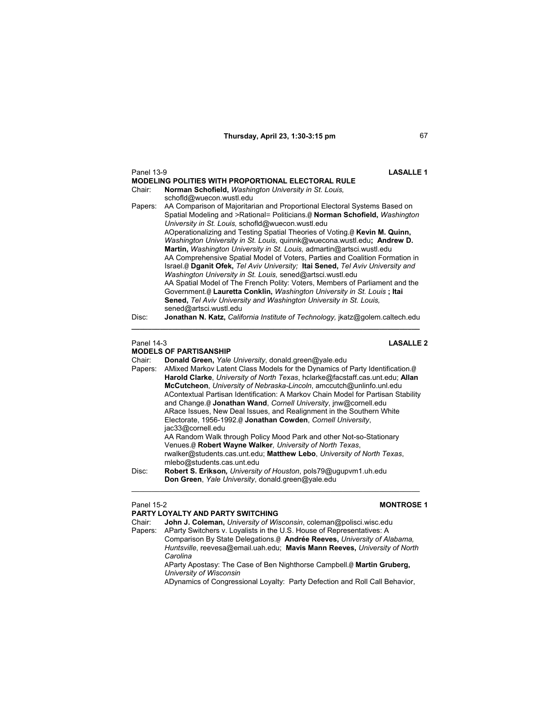# Panel 13-9 **LASALLE 1**

**MODELING POLITIES WITH PROPORTIONAL ELECTORAL RULE** Chair: **Norman Schofield,** *Washington University in St. Louis,*  schofld@wuecon.wustl.edu Papers: AA Comparison of Majoritarian and Proportional Electoral Systems Based on Spatial Modeling and >Rational= Politicians.@ **Norman Schofield,** *Washington University in St. Louis,* schofld@wuecon.wustl.edu AOperationalizing and Testing Spatial Theories of Voting.@ **Kevin M. Quinn,**  *Washington University in St. Louis,* quinnk@wuecona.wustl.edu**; Andrew D. Martin,** *Washington University in St. Louis,* admartin@artsci.wustl.edu AA Comprehensive Spatial Model of Voters, Parties and Coalition Formation in Israel.@ **Dganit Ofek,** *Tel Aviv University;* **Itai Sened,** *Tel Aviv University and Washington University in St. Louis,* sened@artsci.wustl.edu AA Spatial Model of The French Polity: Voters, Members of Parliament and the Government.@ **Lauretta Conklin,** *Washington University in St. Louis* **; Itai Sened,** *Tel Aviv University and Washington University in St. Louis,*  sened@artsci.wustl.edu Disc: **Jonathan N. Katz,** *California Institute of Technology,* jkatz@golem.caltech.edu

# **\_\_\_\_\_\_\_\_\_\_\_\_\_\_\_\_\_\_\_\_\_\_\_\_\_\_\_\_\_\_\_\_\_\_\_\_\_\_\_\_\_\_\_\_\_\_\_\_\_\_\_\_\_\_\_\_\_\_\_\_\_\_\_\_\_\_\_\_\_\_\_**

# Panel 14-3 **LASALLE 2**

# **MODELS OF PARTISANSHIP**

Chair: **Donald Green,** *Yale University*, donald.green@yale.edu

- Papers: AMixed Markov Latent Class Models for the Dynamics of Party Identification.@ **Harold Clarke**, *University of North Texas*, hclarke@facstaff.cas.unt.edu; **Allan McCutcheon**, *University of Nebraska-Lincoln*, amccutch@unlinfo.unl.edu AContextual Partisan Identification: A Markov Chain Model for Partisan Stability and Change.@ **Jonathan Wand**, *Cornell University*, jnw@cornell.edu ARace Issues, New Deal Issues, and Realignment in the Southern White Electorate, 1956-1992.@ **Jonathan Cowden**, *Cornell University*, jac33@cornell.edu AA Random Walk through Policy Mood Park and other Not-so-Stationary Venues.@ **Robert Wayne Walker***, University of North Texas*, rwalker@students.cas.unt.edu; **Matthew Lebo**, *University of North Texas*, mlebo@students.cas.unt.edu Disc: **Robert S. Erikson***, University of Houston*, pols79@ugupvm1.uh.edu
- **Don Green**, *Yale University*, donald.green@yale.edu  $\mathcal{L}_\text{max}$  , and the contribution of the contribution of the contribution of the contribution of the contribution of the contribution of the contribution of the contribution of the contribution of the contribution of t

### Panel 15-2 **MONTROSE 1**

# **PARTY LOYALTY AND PARTY SWITCHING**

John J. Coleman, *University of Wisconsin*, coleman@polisci.wisc.edu

Papers: AParty Switchers v. Loyalists in the U.S. House of Representatives: A Comparison By State Delegations.@ **Andrée Reeves,** *University of Alabama, Huntsville*, reevesa@email.uah.edu; **Mavis Mann Reeves,** *University of North Carolina* 

AParty Apostasy: The Case of Ben Nighthorse Campbell.@ **Martin Gruberg,**  *University of Wisconsin* 

ADynamics of Congressional Loyalty: Party Defection and Roll Call Behavior,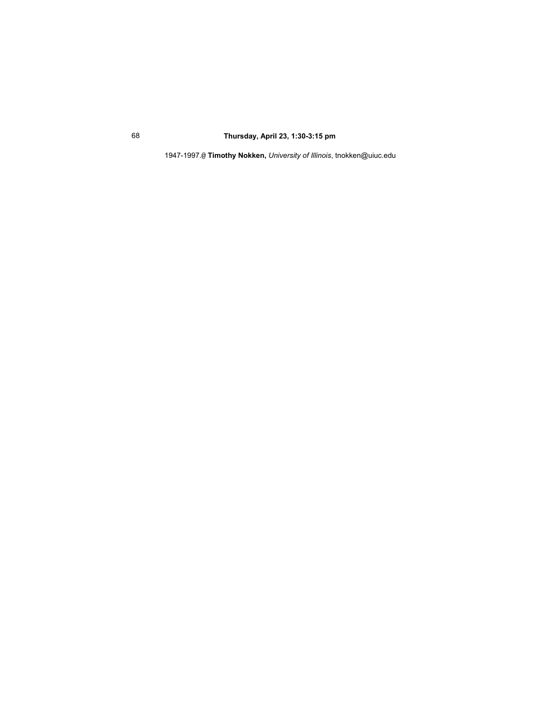1947-1997.@ **Timothy Nokken,** *University of Illinois*, tnokken@uiuc.edu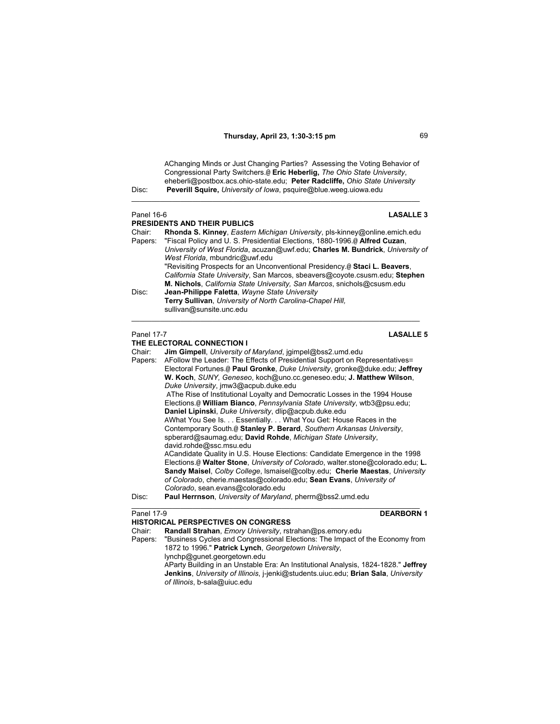AChanging Minds or Just Changing Parties? Assessing the Voting Behavior of Congressional Party Switchers.@ **Eric Heberlig,** *The Ohio State University*, eheberli@postbox.acs.ohio-state.edu; **Peter Radcliffe,** *Ohio State University* Disc: **Peverill Squire,** *University of Iowa*, psquire@blue.weeg.uiowa.edu \_\_\_\_\_\_\_\_\_\_\_\_\_\_\_\_\_\_\_\_\_\_\_\_\_\_\_\_\_\_\_\_\_\_\_\_\_\_\_\_\_\_\_\_\_\_\_\_\_\_\_\_\_\_\_\_\_\_\_\_\_\_\_\_\_\_\_\_\_\_\_

### Panel 16-6 **LASALLE 3**

### **PRESIDENTS AND THEIR PUBLICS**

Chair: **Rhonda S. Kinney**, *Eastern Michigan University*, pls-kinney@online.emich.edu Papers: "Fiscal Policy and U. S. Presidential Elections, 1880-1996.@ **Alfred Cuzan**, *University of West Florida*, acuzan@uwf.edu; **Charles M. Bundrick**, *University of West Florida*, mbundric@uwf.edu "Revisiting Prospects for an Unconventional Presidency.@ **Staci L. Beavers**, *California State University*, San Marcos, sbeavers@coyote.csusm.edu; **Stephen M. Nichols**, *California State University, San Marcos*, snichols@csusm.edu Disc: **Jean-Philippe Faletta**, *Wayne State University*  **Terry Sullivan**, *University of North Carolina-Chapel Hill,* sullivan@sunsite.unc.edu

\_\_\_\_\_\_\_\_\_\_\_\_\_\_\_\_\_\_\_\_\_\_\_\_\_\_\_\_\_\_\_\_\_\_\_\_\_\_\_\_\_\_\_\_\_\_\_\_\_\_\_\_\_\_\_\_\_\_\_\_\_\_\_\_\_\_\_\_\_\_\_

### Panel 17-7 **LASALLE 5**

## **THE ELECTORAL CONNECTION I**

- Chair: **Jim Gimpell**, *University of Maryland*, jgimpel@bss2.umd.edu Papers: AFollow the Leader: The Effects of Presidential Support on Representatives= Electoral Fortunes.@ **Paul Gronke**, *Duke University*, gronke@duke.edu; **Jeffrey W. Koch**, *SUNY, Geneseo*, koch@uno.cc.geneseo.edu; **J. Matthew Wilson**, *Duke University*, jmw3@acpub.duke.edu AThe Rise of Institutional Loyalty and Democratic Losses in the 1994 House Elections.@ **William Bianco**, *Pennsylvania State University*, wtb3@psu.edu; **Daniel Lipinski**, *Duke University*, dlip@acpub.duke.edu AWhat You See Is. . . Essentially. . . What You Get: House Races in the Contemporary South.@ **Stanley P. Berard**, *Southern Arkansas University*, spberard@saumag.edu; **David Rohde**, *Michigan State University*, david.rohde@ssc.msu.edu ACandidate Quality in U.S. House Elections: Candidate Emergence in the 1998 Elections.@ **Walter Stone**, *University of Colorado*, walter.stone@colorado.edu; **L. Sandy Maisel**, *Colby College*, lsmaisel@colby.edu; **Cherie Maestas**, *University of Colorado*, cherie.maestas@colorado.edu; **Sean Evans**, *University of Colorado*, sean.evans@colorado.edu
- Disc: **Paul Herrnson**, *University of Maryland*, pherrn@bss2.umd.edu

# **HISTORICAL PERSPECTIVES ON CONGRESS**

### **Panel 17-9 DEARBORN 1**

Chair: **Randall Strahan**, *Emory University*, rstrahan@ps.emory.edu

"Business Cycles and Congressional Elections: The Impact of the Economy from 1872 to 1996." **Patrick Lynch**, *Georgetown University*, lynchp@gunet.georgetown.edu

 $\mathcal{L}_\text{G}$  , and the set of the set of the set of the set of the set of the set of the set of the set of the set of the set of the set of the set of the set of the set of the set of the set of the set of the set of the

AParty Building in an Unstable Era: An Institutional Analysis, 1824-1828." **Jeffrey Jenkins**, *University of Illinois*, j-jenki@students.uiuc.edu; **Brian Sala**, *University of Illinois*, b-sala@uiuc.edu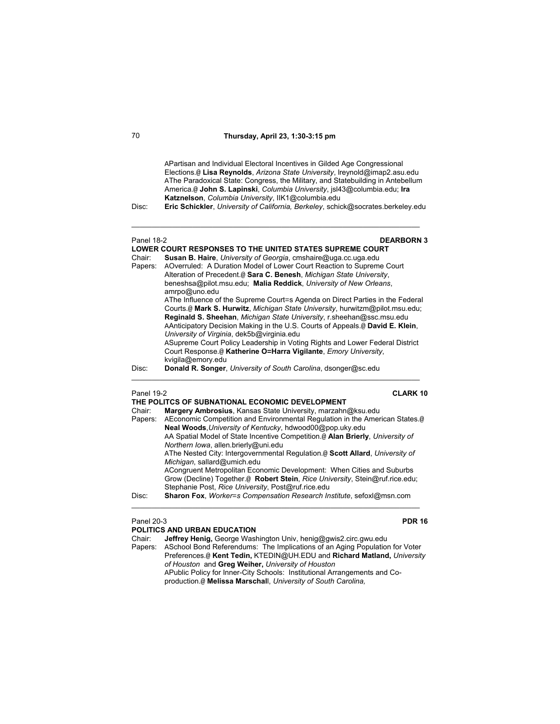APartisan and Individual Electoral Incentives in Gilded Age Congressional Elections.@ **Lisa Reynolds**, *Arizona State University*, lreynold@imap2.asu.edu AThe Paradoxical State: Congress, the Military, and Statebuilding in Antebellum America.@ **John S. Lapinski**, *Columbia University*, jsl43@columbia.edu; **Ira Katznelson**, *Columbia University*, IIK1@columbia.edu

Disc: **Eric Schickler**, *University of California, Berkeley*, schick@socrates.berkeley.edu

| <b>Panel 18-2</b> | <b>DEARBORN 3</b><br>LOWER COURT RESPONSES TO THE UNITED STATES SUPREME COURT                                               |
|-------------------|-----------------------------------------------------------------------------------------------------------------------------|
| Chair:            | Susan B. Haire, University of Georgia, cmshaire@uga.cc.uga.edu                                                              |
| Papers:           | AOverruled: A Duration Model of Lower Court Reaction to Supreme Court                                                       |
|                   | Alteration of Precedent @ Sara C. Benesh, Michigan State University,                                                        |
|                   | beneshsa@pilot.msu.edu; Malia Reddick, University of New Orleans,<br>amrpo@uno.edu                                          |
|                   | AThe Influence of the Supreme Court=s Agenda on Direct Parties in the Federal                                               |
|                   | Courts.@ Mark S. Hurwitz, Michigan State University, hurwitzm@pilot.msu.edu;                                                |
|                   | Reginald S. Sheehan, Michigan State University, r.sheehan@ssc.msu.edu                                                       |
|                   | AAnticipatory Decision Making in the U.S. Courts of Appeals @ David E. Klein,<br>University of Virginia, dek5b@virginia.edu |
|                   |                                                                                                                             |
|                   | ASupreme Court Policy Leadership in Voting Rights and Lower Federal District                                                |
|                   | Court Response.@ Katherine O=Harra Vigilante, Emory University,                                                             |
|                   | kvigila@emory.edu                                                                                                           |
| Disc:             | <b>Donald R. Songer, University of South Carolina, dsonger@sc.edu</b>                                                       |

\_\_\_\_\_\_\_\_\_\_\_\_\_\_\_\_\_\_\_\_\_\_\_\_\_\_\_\_\_\_\_\_\_\_\_\_\_\_\_\_\_\_\_\_\_\_\_\_\_\_\_\_\_\_\_\_\_\_\_\_\_\_\_\_\_\_\_\_\_\_\_

 $\mathcal{L}_\text{G} = \{ \mathcal{L}_\text{G} \mid \mathcal{L}_\text{G} \mid \mathcal{L}_\text{G} \mid \mathcal{L}_\text{G} \mid \mathcal{L}_\text{G} \mid \mathcal{L}_\text{G} \mid \mathcal{L}_\text{G} \mid \mathcal{L}_\text{G} \mid \mathcal{L}_\text{G} \mid \mathcal{L}_\text{G} \mid \mathcal{L}_\text{G} \mid \mathcal{L}_\text{G} \mid \mathcal{L}_\text{G} \mid \mathcal{L}_\text{G} \mid \mathcal{L}_\text{G} \mid \mathcal{L}_\text{G}$ 

Panel 19-2 **CLARK 10 THE POLITCS OF SUBNATIONAL ECONOMIC DEVELOPMENT** Chair: **Margery Ambrosius**, Kansas State University, marzahn@ksu.edu Papers: AEconomic Competition and Environmental Regulation in the American States.@ **Neal Woods**,*University of Kentucky*, hdwood00@pop.uky.edu AA Spatial Model of State Incentive Competition.@ **Alan Brierly**, *University of Northern Iowa*, allen.brierly@uni.edu AThe Nested City: Intergovernmental Regulation.@ **Scott Allard**, *University of Michigan*, sallard@umich.edu ACongruent Metropolitan Economic Development: When Cities and Suburbs Grow (Decline) Together.@ **Robert Stein**, *Rice University*, Stein@ruf.rice.edu; Stephanie Post, *Rice University*, Post@ruf.rice.edu Disc: **Sharon Fox**, *Worker*=*s Compensation Research Institute*, sefoxl@msn.com

### Panel 20-3 **PDR 16 POLITICS AND URBAN EDUCATION**

Chair: **Jeffrey Henig,** George Washington Univ, henig@gwis2.circ.gwu.edu ASchool Bond Referendums: The Implications of an Aging Population for Voter Preferences.@ **Kent Tedin,** KTEDIN@UH.EDU and **Richard Matland,** *University of Houston* and **Greg Weiher,** *University of Houston* APublic Policy for Inner-City Schools: Institutional Arrangements and Coproduction.@ **Melissa Marschal**l, *University of South Carolina,* 

 $\mathcal{L}_\text{max}$  , and the set of the set of the set of the set of the set of the set of the set of the set of the set of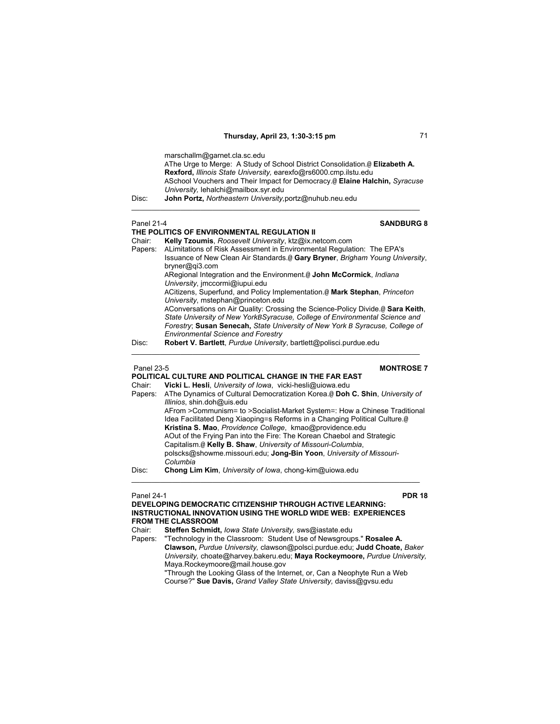

| Papers: | AThe Dynamics of Cultural Democratization Korea. <sup>®</sup> Doh C. Shin, University of |
|---------|------------------------------------------------------------------------------------------|
|         | Illinios, shin.doh@uis.edu                                                               |
|         | AFrom > Communism= to > Socialist-Market System=: How a Chinese Traditional              |
|         | Idea Facilitated Deng Xiaoping=s Reforms in a Changing Political Culture.@               |
|         | Kristina S. Mao, Providence College, kmao@providence.edu                                 |
|         | AOut of the Frying Pan into the Fire: The Korean Chaebol and Strategic                   |
|         | Capitalism.@ Kelly B. Shaw, University of Missouri-Columbia,                             |
|         | polscks@showme.missouri.edu; Jong-Bin Yoon, University of Missouri-                      |
|         | Columbia                                                                                 |
| Disc:   | Chong Lim Kim, University of Iowa, chong-kim@uiowa.edu                                   |
|         |                                                                                          |

 $\mathcal{L}_\text{G}$  , and the set of the set of the set of the set of the set of the set of the set of the set of the set of the set of the set of the set of the set of the set of the set of the set of the set of the set of the

Panel 24-1 **PDR 18**

### **DEVELOPING DEMOCRATIC CITIZENSHIP THROUGH ACTIVE LEARNING: INSTRUCTIONAL INNOVATION USING THE WORLD WIDE WEB: EXPERIENCES FROM THE CLASSROOM**

Chair: **Steffen Schmidt,** *Iowa State University,* sws@iastate.edu

Papers: "Technology in the Classroom: Student Use of Newsgroups." **Rosalee A. Clawson,** *Purdue University,* clawson@polsci.purdue.edu; **Judd Choate,** *Baker University,* choate@harvey.bakeru.edu; **Maya Rockeymoore,** *Purdue University,* Maya.Rockeymoore@mail.house.gov

"Through the Looking Glass of the Internet, or, Can a Neophyte Run a Web Course?" **Sue Davis,** *Grand Valley State University,* daviss@gvsu.edu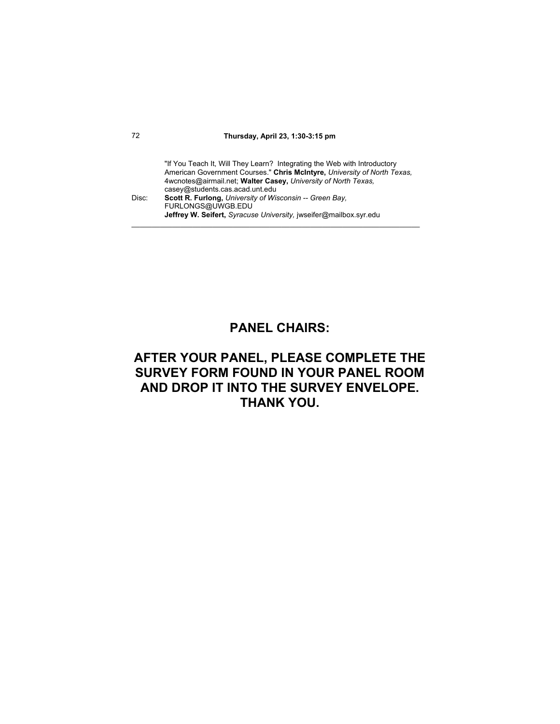"If You Teach It, Will They Learn? Integrating the Web with Introductory American Government Courses." **Chris McIntyre,** *University of North Texas,* 4wcnotes@airmail.net; **Walter Casey,** *University of North Texas,* casey@students.cas.acad.unt.edu Disc: **Scott R. Furlong,** *University of Wisconsin -- Green Bay,* FURLONGS@UWGB.EDU **Jeffrey W. Seifert,** *Syracuse University,* jwseifer@mailbox.syr.edu  $\mathcal{L}_\text{G} = \{ \mathcal{L}_\text{G} \mid \mathcal{L}_\text{G} \mid \mathcal{L}_\text{G} \mid \mathcal{L}_\text{G} \mid \mathcal{L}_\text{G} \mid \mathcal{L}_\text{G} \mid \mathcal{L}_\text{G} \mid \mathcal{L}_\text{G} \mid \mathcal{L}_\text{G} \mid \mathcal{L}_\text{G} \mid \mathcal{L}_\text{G} \mid \mathcal{L}_\text{G} \mid \mathcal{L}_\text{G} \mid \mathcal{L}_\text{G} \mid \mathcal{L}_\text{G} \mid \mathcal{L}_\text{G}$ 

# **PANEL CHAIRS:**

# **AFTER YOUR PANEL, PLEASE COMPLETE THE SURVEY FORM FOUND IN YOUR PANEL ROOM AND DROP IT INTO THE SURVEY ENVELOPE. THANK YOU.**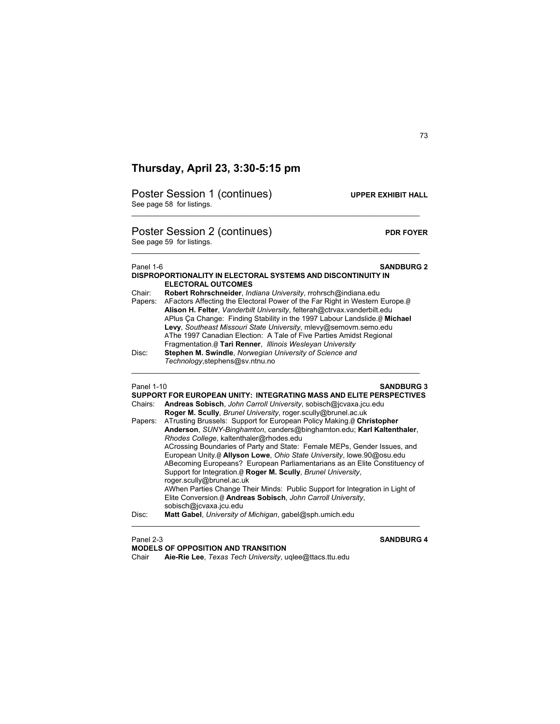**Poster Session 1 (continues)** UPPER EXHIBIT HALL See page 58 for listings.

 $\mathcal{L}_\text{G} = \{ \mathcal{L}_\text{G} \mid \mathcal{L}_\text{G} \mid \mathcal{L}_\text{G} \mid \mathcal{L}_\text{G} \mid \mathcal{L}_\text{G} \mid \mathcal{L}_\text{G} \mid \mathcal{L}_\text{G} \mid \mathcal{L}_\text{G} \mid \mathcal{L}_\text{G} \mid \mathcal{L}_\text{G} \mid \mathcal{L}_\text{G} \mid \mathcal{L}_\text{G} \mid \mathcal{L}_\text{G} \mid \mathcal{L}_\text{G} \mid \mathcal{L}_\text{G} \mid \mathcal{L}_\text{G}$ 

Poster Session 2 (continues) **PDR FOYER** See page 59 for listings.

\_\_\_\_\_\_\_\_\_\_\_\_\_\_\_\_\_\_\_\_\_\_\_\_\_\_\_\_\_\_\_\_\_\_\_\_\_\_\_\_\_\_\_\_\_\_\_\_\_\_\_\_\_\_\_\_\_\_\_\_\_\_\_\_\_\_\_\_\_\_\_

### Panel 1-6 **SANDBURG 2 DISPROPORTIONALITY IN ELECTORAL SYSTEMS AND DISCONTINUITY IN ELECTORAL OUTCOMES** Chair: **Robert Rohrschneider**, *Indiana University*, rrohrsch@indiana.edu

| Chair:  | Robert Rohrschneider, <i>Indiana University</i> , rrohrsch@indiana.edu      |
|---------|-----------------------------------------------------------------------------|
| Papers: | AFactors Affecting the Electoral Power of the Far Right in Western Europe.@ |
|         | Alison H. Felter, Vanderbilt University, felterah@ctrvax.vanderbilt.edu     |
|         | APlus Ca Change: Finding Stability in the 1997 Labour Landslide.@ Michael   |
|         | Levy, Southeast Missouri State University, mlevy@semovm.semo.edu            |
|         | AThe 1997 Canadian Election: A Tale of Five Parties Amidst Regional         |
|         | Fragmentation.@ Tari Renner, Illinois Wesleyan University                   |
| Disc:   | Stephen M. Swindle, Norwegian University of Science and                     |
|         | Technology, stephens@sv.ntnu.no                                             |

 $\mathcal{L}_\text{max}$  , and the contribution of the contribution of the contribution of the contribution of the contribution of the contribution of the contribution of the contribution of the contribution of the contribution of t

### Panel 1-10 **SANDBURG 3**

### **SUPPORT FOR EUROPEAN UNITY: INTEGRATING MASS AND ELITE PERSPECTIVES** Chairs: **Andreas Sobisch**, *John Carroll University*, sobisch@jcvaxa.jcu.edu **Roger M. Scully**, *Brunel University*, roger.scully@brunel.ac.uk Papers: ATrusting Brussels: Support for European Policy Making.@ **Christopher Anderson**, *SUNY-Binghamton*, canders@binghamton.edu; **Karl Kaltenthaler**, *Rhodes College*, kaltenthaler@rhodes.edu ACrossing Boundaries of Party and State: Female MEPs, Gender Issues, and European Unity.@ **Allyson Lowe**, *Ohio State University*, lowe.90@osu.edu ABecoming Europeans? European Parliamentarians as an Elite Constituency of Support for Integration.@ **Roger M. Scully**, *Brunel University*, roger.scully@brunel.ac.uk AWhen Parties Change Their Minds: Public Support for Integration in Light of Elite Conversion.@ **Andreas Sobisch**, *John Carroll University*, sobisch@jcvaxa.jcu.edu Disc: **Matt Gabel**, *University of Michigan*, gabel@sph.umich.edu  $\_$  , and the set of the set of the set of the set of the set of the set of the set of the set of the set of the set of the set of the set of the set of the set of the set of the set of the set of the set of the set of th

### Panel 2-3 **SANDBURG 4**

### **MODELS OF OPPOSITION AND TRANSITION**

Chair **Aie-Rie Lee**, *Texas Tech University*, uqlee@ttacs.ttu.edu

73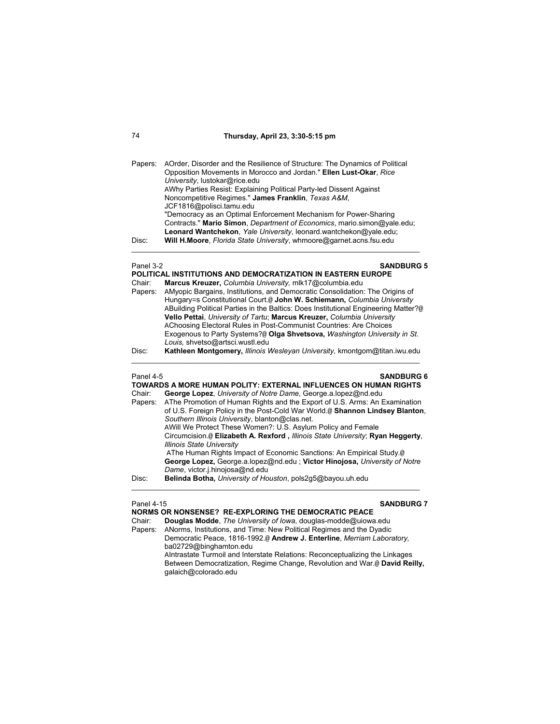| Papers: | AOrder, Disorder and the Resilience of Structure: The Dynamics of Political |
|---------|-----------------------------------------------------------------------------|
|         | Opposition Movements in Morocco and Jordan." Ellen Lust-Okar, Rice          |
|         | University, lustokar@rice.edu                                               |
|         | AWhy Parties Resist: Explaining Political Party-led Dissent Against         |
|         | Noncompetitive Regimes." James Franklin, Texas A&M.                         |
|         | JCF1816@polisci.tamu.edu                                                    |
|         | "Democracy as an Optimal Enforcement Mechanism for Power-Sharing            |
|         | Contracts." Mario Simon, Department of Economics, mario.simon@yale.edu;     |
|         | Leonard Wantchekon, Yale University, leonard wantchekon@yale.edu;           |
| Disc:   | Will H.Moore, Florida State University, whmoore@garnet.acns.fsu.edu         |
|         |                                                                             |

### Panel 3-2 **SANDBURG 5**

|         | POLITICAL INSTITUTIONS AND DEMOCRATIZATION IN EASTERN EUROPE                          |
|---------|---------------------------------------------------------------------------------------|
| Chair:  | Marcus Kreuzer, Columbia University, mlk17@columbia.edu                               |
| Papers: | AMyopic Bargains, Institutions, and Democratic Consolidation: The Origins of          |
|         | Hungary=s Constitutional Court. <sup>®</sup> John W. Schiemann, Columbia University   |
|         | ABuilding Political Parties in the Baltics: Does Institutional Engineering Matter?@   |
|         | Vello Pettai, University of Tartu; Marcus Kreuzer, Columbia University                |
|         | AChoosing Electoral Rules in Post-Communist Countries: Are Choices                    |
|         | Exogenous to Party Systems? <sup>®</sup> Olga Shvetsova, Washington University in St. |
|         | Louis, shvetso@artsci.wustl.edu                                                       |
| Disc:   | Kathleen Montgomery, Illinois Wesleyan University, kmontgom@titan.iwu.edu             |

 $\mathcal{L}_\text{G} = \{ \mathcal{L}_\text{G} \mid \mathcal{L}_\text{G} \mid \mathcal{L}_\text{G} \mid \mathcal{L}_\text{G} \mid \mathcal{L}_\text{G} \mid \mathcal{L}_\text{G} \mid \mathcal{L}_\text{G} \mid \mathcal{L}_\text{G} \mid \mathcal{L}_\text{G} \mid \mathcal{L}_\text{G} \mid \mathcal{L}_\text{G} \mid \mathcal{L}_\text{G} \mid \mathcal{L}_\text{G} \mid \mathcal{L}_\text{G} \mid \mathcal{L}_\text{G} \mid \mathcal{L}_\text{G}$ 

## Panel 4-5 **SANDBURG 6**

|         | TOWARDS A MORE HUMAN POLITY: EXTERNAL INFLUENCES ON HUMAN RIGHTS               |
|---------|--------------------------------------------------------------------------------|
| Chair:  | George Lopez, University of Notre Dame, George.a.lopez@nd.edu                  |
| Papers: | AThe Promotion of Human Rights and the Export of U.S. Arms: An Examination     |
|         | of U.S. Foreign Policy in the Post-Cold War World. @ Shannon Lindsey Blanton,  |
|         | Southern Illinois University, blanton@clas.net.                                |
|         | AWill We Protect These Women?: U.S. Asylum Policy and Female                   |
|         | Circumcision.@ Elizabeth A. Rexford, Illinois State University: Ryan Heggerty, |
|         | <b>Illinois State University</b>                                               |
|         | AThe Human Rights Impact of Economic Sanctions: An Empirical Study.@           |
|         | George Lopez, George.a.lopez@nd.edu ; Victor Hinojosa, University of Notre     |
|         | Dame, victor i hinojosa@nd.edu                                                 |
| Disc:   | Belinda Botha, University of Houston, pols2q5@bayou.uh.edu                     |
|         |                                                                                |

| Panel 4-15 | <b>SANDBURG 7</b><br>NORMS OR NONSENSE? RE-EXPLORING THE DEMOCRATIC PEACE                          |
|------------|----------------------------------------------------------------------------------------------------|
| Chair:     | <b>Douglas Modde.</b> The University of Iowa, douglas-modde@uiowa.edu                              |
| Papers:    | ANorms, Institutions, and Time: New Political Regimes and the Dyadic                               |
|            | Democratic Peace, 1816-1992.@ Andrew J. Enterline, Merriam Laboratory,                             |
|            | ba02729@binghamton.edu                                                                             |
|            | Alntrastate Turmoil and Interstate Relations: Reconceptualizing the Linkages                       |
|            | Between Democratization, Regime Change, Revolution and War @ David Reilly,<br>galaich@colorado.edu |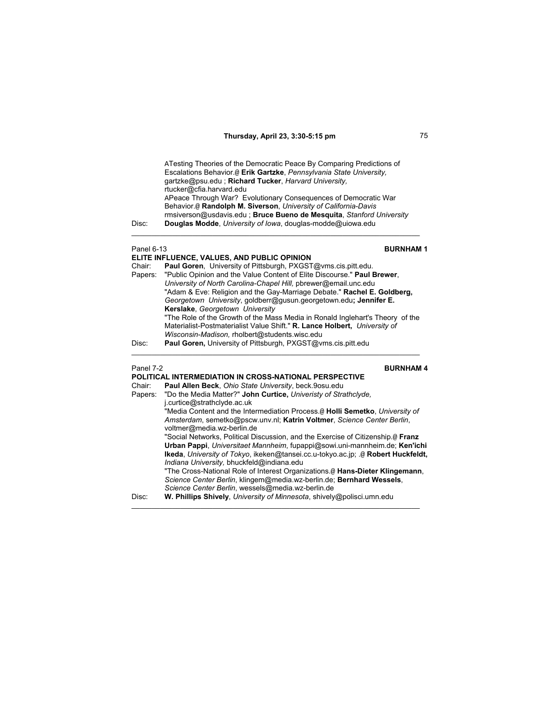ATesting Theories of the Democratic Peace By Comparing Predictions of Escalations Behavior.@ **Erik Gartzke**, *Pennsylvania State University,*  gartzke@psu.edu ; **Richard Tucker**, *Harvard University,*  rtucker@cfia.harvard.edu APeace Through War? Evolutionary Consequences of Democratic War Behavior.@ **Randolph M. Siverson**, *University of California-Davis* rmsiverson@usdavis.edu ; **Bruce Bueno de Mesquita**, *Stanford University* Disc: **Douglas Modde**, *University of Iowa*, douglas-modde@uiowa.edu

\_\_\_\_\_\_\_\_\_\_\_\_\_\_\_\_\_\_\_\_\_\_\_\_\_\_\_\_\_\_\_\_\_\_\_\_\_\_\_\_\_\_\_\_\_\_\_\_\_\_\_\_\_\_\_\_\_\_\_\_\_\_\_\_\_\_\_\_\_\_\_

### Panel 6-13 **BURNHAM 1**

|        | ELITE INFLUENCE, VALUES, AND PUBLIC OPINION                                     |
|--------|---------------------------------------------------------------------------------|
| Chair: | Paul Goren, University of Pittsburgh, PXGST@vms.cis.pitt.edu.                   |
|        | Papers: "Public Opinion and the Value Content of Elite Discourse." Paul Brewer, |
|        | University of North Carolina-Chapel Hill, pbrewer@email.unc.edu                 |
|        | "Adam & Eve: Religion and the Gay-Marriage Debate." Rachel E. Goldberg,         |
|        | Georgetown University, goldberr@gusun.georgetown.edu; Jennifer E.               |
|        | Kerslake, Georgetown University                                                 |
|        | "The Role of the Growth of the Mass Media in Ronald Inglehart's Theory of the   |
|        | Materialist-Postmaterialist Value Shift." R. Lance Holbert, University of       |
|        | Wisconsin-Madison, rholbert@students.wisc.edu                                   |
| Disc:  | <b>Paul Goren, University of Pittsburgh, PXGST@vms.cis.pitt.edu</b>             |

 $\mathcal{L}_\text{max}$  , and the contribution of the contribution of the contribution of the contribution of the contribution of the contribution of the contribution of the contribution of the contribution of the contribution of t

Panel 7-2 **BURNHAM 4**

### **POLITICAL INTERMEDIATION IN CROSS-NATIONAL PERSPECTIVE** Chair: **Paul Allen Beck**, *Ohio State University*, beck.9osu.edu

Papers: "Do the Media Matter?" **John Curtice,** *Univeristy of Strathclyde,*  j.curtice@strathclyde.ac.uk "Media Content and the Intermediation Process.@ **Holli Semetko**, *University of Amsterdam*, semetko@pscw.unv.nl; **Katrin Voltmer**, *Science Center Berlin*, voltmer@media.wz-berlin.de "Social Networks, Political Discussion, and the Exercise of Citizenship.@ **Franz Urban Pappi**, *Universitaet Mannheim*, fupappi@sowi.uni-mannheim.de; **Ken'ichi Ikeda**, *University of Tokyo*, ikeken@tansei.cc.u-tokyo.ac.jp; .@ **Robert Huckfeldt,** *Indiana University,* bhuckfeld@indiana.edu "The Cross-National Role of Interest Organizations.@ **Hans-Dieter Klingemann**, *Science Center Berlin*, klingem@media.wz-berlin.de; **Bernhard Wessels**, *Science Center Berlin*, wessels@media.wz-berlin.de Disc: **W. Phillips Shively**, *University of Minnesota*, shively@polisci.umn.edu  $\mathcal{L}_\text{G} = \{ \mathcal{L}_\text{G} \mid \mathcal{L}_\text{G} \mid \mathcal{L}_\text{G} \mid \mathcal{L}_\text{G} \mid \mathcal{L}_\text{G} \mid \mathcal{L}_\text{G} \mid \mathcal{L}_\text{G} \mid \mathcal{L}_\text{G} \mid \mathcal{L}_\text{G} \mid \mathcal{L}_\text{G} \mid \mathcal{L}_\text{G} \mid \mathcal{L}_\text{G} \mid \mathcal{L}_\text{G} \mid \mathcal{L}_\text{G} \mid \mathcal{L}_\text{G} \mid \mathcal{L}_\text{G}$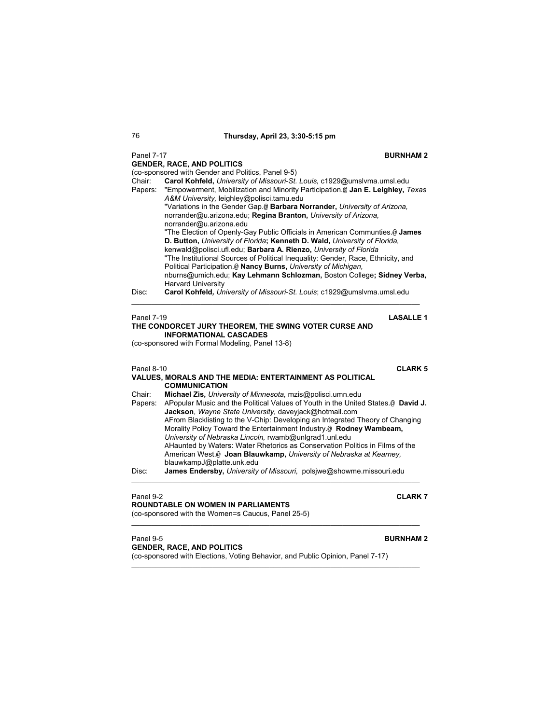**Panel 7-17 BURNHAM 2 GENDER, RACE, AND POLITICS** (co-sponsored with Gender and Politics, Panel 9-5) Chair: **Carol Kohfeld,** *University of Missouri-St. Louis,* c1929@umslvma.umsl.edu Papers: "Empowerment, Mobilization and Minority Participation.@ **Jan E. Leighley,** *Texas A&M University,* leighley@polisci.tamu.edu "Variations in the Gender Gap.@ **Barbara Norrander,** *University of Arizona,*  norrander@u.arizona.edu; **Regina Branton,** *University of Arizona,*  norrander@u.arizona.edu "The Election of Openly-Gay Public Officials in American Communties.@ **James D. Button,** *University of Florida***; Kenneth D. Wald,** *University of Florida,*  kenwald@polisci.ufl.edu; **Barbara A. Rienzo,** *University of Florida*  "The Institutional Sources of Political Inequality: Gender, Race, Ethnicity, and Political Participation.@ **Nancy Burns,** *University of Michigan,*  nburns@umich.edu; **Kay Lehmann Schlozman,** Boston College**; Sidney Verba,**  Harvard University Disc: **Carol Kohfeld***, University of Missouri-St. Louis*; c1929@umslvma.umsl.edu  $\mathcal{L}_\text{max}$  , and the contribution of the contribution of the contribution of the contribution of the contribution of the contribution of the contribution of the contribution of the contribution of the contribution of t Panel 7-19 **LASALLE 1** 

### **THE CONDORCET JURY THEOREM, THE SWING VOTER CURSE AND INFORMATIONAL CASCADES**

**VALUES, MORALS AND THE MEDIA: ENTERTAINMENT AS POLITICAL**

(co-sponsored with Formal Modeling, Panel 13-8)

### Panel 8-10 **CLARK 5**

**COMMUNICATION** Chair: **Michael Zis,** *University of Minnesota,* mzis@polisci.umn.edu Papers: APopular Music and the Political Values of Youth in the United States.@ **David J. Jackson**, *Wayne State University,* daveyjack@hotmail.com AFrom Blacklisting to the V-Chip: Developing an Integrated Theory of Changing Morality Policy Toward the Entertainment Industry.@ **Rodney Wambeam,**  *University of Nebraska Lincoln,* rwamb@unlgrad1.unl.edu AHaunted by Waters: Water Rhetorics as Conservation Politics in Films of the American West.@ **Joan Blauwkamp,** *University of Nebraska at Kearney,* blauwkampJ@platte.unk.edu Disc: **James Endersby,** *University of Missouri,* polsjwe@showme.missouri.edu

\_\_\_\_\_\_\_\_\_\_\_\_\_\_\_\_\_\_\_\_\_\_\_\_\_\_\_\_\_\_\_\_\_\_\_\_\_\_\_\_\_\_\_\_\_\_\_\_\_\_\_\_\_\_\_\_\_\_\_\_\_\_\_\_\_\_\_\_\_\_\_

 $\mathcal{L}_\text{max}$  , and the set of the set of the set of the set of the set of the set of the set of the set of the set of the set of the set of the set of the set of the set of the set of the set of the set of the set of the

 $\mathcal{L}_\text{max}$  , and the set of the set of the set of the set of the set of the set of the set of the set of the set of

\_\_\_\_\_\_\_\_\_\_\_\_\_\_\_\_\_\_\_\_\_\_\_\_\_\_\_\_\_\_\_\_\_\_\_\_\_\_\_\_\_\_\_\_\_\_\_\_\_\_\_\_\_\_\_\_\_\_\_\_\_\_\_\_\_\_\_\_\_\_\_

### Panel 9-2 **CLARK 7**

### **ROUNDTABLE ON WOMEN IN PARLIAMENTS**

(co-sponsored with the Women=s Caucus, Panel 25-5)

**GENDER, RACE, AND POLITICS**

Panel 9-5 **BURNHAM 2**

(co-sponsored with Elections, Voting Behavior, and Public Opinion, Panel 7-17)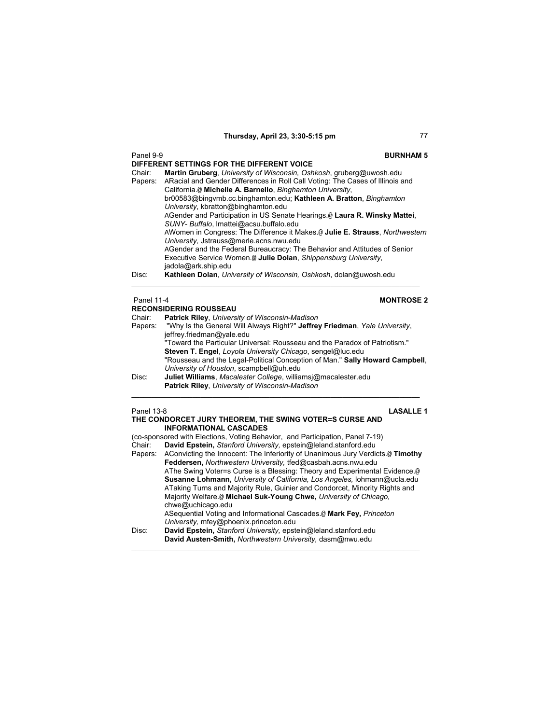| Panel 9-9         | <b>BURNHAM 5</b>                                                                                                                                                                                                                                                                                                                                                                                                                                                                                                                                                                                                                                                |
|-------------------|-----------------------------------------------------------------------------------------------------------------------------------------------------------------------------------------------------------------------------------------------------------------------------------------------------------------------------------------------------------------------------------------------------------------------------------------------------------------------------------------------------------------------------------------------------------------------------------------------------------------------------------------------------------------|
|                   | DIFFERENT SETTINGS FOR THE DIFFERENT VOICE                                                                                                                                                                                                                                                                                                                                                                                                                                                                                                                                                                                                                      |
| Chair:<br>Papers: | Martin Gruberg, University of Wisconsin, Oshkosh, gruberg@uwosh.edu<br>ARacial and Gender Differences in Roll Call Voting: The Cases of Illinois and<br>California.@ Michelle A. Barnello, Binghamton University,<br>br00583@bingvmb.cc.binghamton.edu; Kathleen A. Bratton, Binghamton<br>University, kbratton@binghamton.edu<br>AGender and Participation in US Senate Hearings.@ Laura R. Winsky Mattei,<br>SUNY- Buffalo, Imattei@acsu.buffalo.edu<br>AWomen in Congress: The Difference it Makes.@ Julie E. Strauss, Northwestern<br>University, Jstrauss@merle.acns.nwu.edu<br>A Gender and the Federal Bureaucracy: The Behavior and Attitudes of Senior |
| Disc:             | Executive Service Women.@ Julie Dolan, Shippensburg University,<br>jadola@ark.ship.edu<br>Kathleen Dolan, University of Wisconsin, Oshkosh, dolan@uwosh.edu                                                                                                                                                                                                                                                                                                                                                                                                                                                                                                     |
| Panel 11-4        | <b>MONTROSE 2</b><br>RECONSIDERING ROUSSEAU                                                                                                                                                                                                                                                                                                                                                                                                                                                                                                                                                                                                                     |

### **RECONSIDERING ROUSSEAU** Chair: **Patrick Riley**, *University of Wisconsin-Madison* Papers: "Why Is the General Will Always Right?" **Jeffrey Friedman**, *Yale University*, jeffrey.friedman@yale.edu "Toward the Particular Universal: Rousseau and the Paradox of Patriotism." **Steven T. Engel**, *Loyola University Chicago*, sengel@luc.edu "Rousseau and the Legal-Political Conception of Man." **Sally Howard Campbell**, *University of Houston*, scampbell@uh.edu Disc: **Juliet Williams**, *Macalester College*, williamsj@macalester.edu **Patrick Riley**, *University of Wisconsin-Madison*

 $\mathcal{L}_\text{G} = \{ \mathcal{L}_\text{G} \mid \mathcal{L}_\text{G} \mid \mathcal{L}_\text{G} \mid \mathcal{L}_\text{G} \mid \mathcal{L}_\text{G} \mid \mathcal{L}_\text{G} \mid \mathcal{L}_\text{G} \mid \mathcal{L}_\text{G} \mid \mathcal{L}_\text{G} \mid \mathcal{L}_\text{G} \mid \mathcal{L}_\text{G} \mid \mathcal{L}_\text{G} \mid \mathcal{L}_\text{G} \mid \mathcal{L}_\text{G} \mid \mathcal{L}_\text{G} \mid \mathcal{L}_\text{G}$ 

**THE CONDORCET JURY THEOREM, THE SWING VOTER=S CURSE AND** 

**INFORMATIONAL CASCADES**

### Panel 13-8 **LASALLE 1**

|         | <b>INFORMATIONAL CASCADES</b>                                                   |
|---------|---------------------------------------------------------------------------------|
|         | (co-sponsored with Elections, Voting Behavior, and Participation, Panel 7-19)   |
| Chair:  | David Epstein, Stanford University, epstein@leland.stanford.edu                 |
| Papers: | AConvicting the Innocent: The Inferiority of Unanimous Jury Verdicts.@ Timothy  |
|         | Feddersen, Northwestern University, tfed@casbah.acns.nwu.edu                    |
|         | AThe Swing Voter=s Curse is a Blessing: Theory and Experimental Evidence.@      |
|         | <b>Susanne Lohmann, University of California, Los Angeles, Iohmann@ucla.edu</b> |
|         | ATaking Turns and Majority Rule, Guinier and Condorcet, Minority Rights and     |
|         | Majority Welfare @ Michael Suk-Young Chwe, University of Chicago.               |
|         | chwe@uchicago.edu                                                               |
|         | ASequential Voting and Informational Cascades. <sup>®</sup> Mark Fey, Princeton |
|         | University, mfey@phoenix.princeton.edu                                          |
| Disc:   | David Epstein, Stanford University, epstein@leland.stanford.edu                 |
|         | David Austen-Smith, Northwestern University, dasm@nwu.edu                       |

 $\mathcal{L}_\text{max}$  , and the contribution of the contribution of the contribution of the contribution of the contribution of the contribution of the contribution of the contribution of the contribution of the contribution of t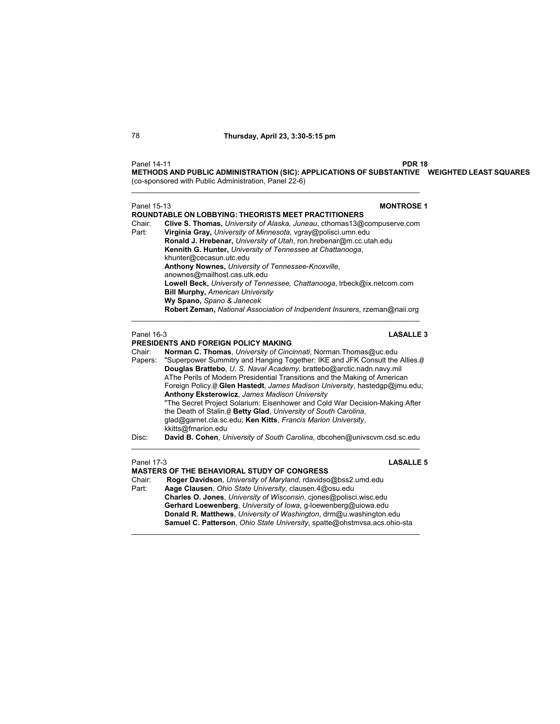$\mathcal{L}_\text{G} = \{ \mathcal{L}_\text{G} \mid \mathcal{L}_\text{G} \mid \mathcal{L}_\text{G} \mid \mathcal{L}_\text{G} \mid \mathcal{L}_\text{G} \mid \mathcal{L}_\text{G} \mid \mathcal{L}_\text{G} \mid \mathcal{L}_\text{G} \mid \mathcal{L}_\text{G} \mid \mathcal{L}_\text{G} \mid \mathcal{L}_\text{G} \mid \mathcal{L}_\text{G} \mid \mathcal{L}_\text{G} \mid \mathcal{L}_\text{G} \mid \mathcal{L}_\text{G} \mid \mathcal{L}_\text{G}$ 

### Panel 14-11 **PDR 18 METHODS AND PUBLIC ADMINISTRATION (SIC): APPLICATIONS OF SUBSTANTIVE WEIGHTED LEAST SQUARES** (co-sponsored with Public Administration, Panel 22-6)

| Panel 15-13<br><b>MONTROSE 1</b> |                                                                                                                                                                                                                                                                                                                                                                        |
|----------------------------------|------------------------------------------------------------------------------------------------------------------------------------------------------------------------------------------------------------------------------------------------------------------------------------------------------------------------------------------------------------------------|
| Chair:<br>Part:                  | <b>ROUNDTABLE ON LOBBYING: THEORISTS MEET PRACTITIONERS</b><br>Clive S. Thomas, University of Alaska, Juneau, cthomas13@compuserve.com<br>Virginia Gray, University of Minnesota, vgray@polisci.umn.edu<br>Ronald J. Hrebenar, University of Utah, ron.hrebenar@m.cc.utah.edu<br>Kennith G. Hunter, University of Tennessee at Chattanooga,<br>khunter@cecasun.utc.edu |
|                                  | Anthony Nownes, University of Tennessee-Knoxville,<br>anownes@mailhost.cas.utk.edu<br>Lowell Beck, University of Tennessee, Chattanooga, Irbeck@ix.netcom.com<br><b>Bill Murphy, American University</b>                                                                                                                                                               |
|                                  | Wy Spano, Spano & Janecek<br>Robert Zeman, National Association of Indpendent Insurers, rzeman@naii.org                                                                                                                                                                                                                                                                |
| Panel 16-3                       | <b>LASALLE 3</b>                                                                                                                                                                                                                                                                                                                                                       |
|                                  | PRESIDENTS AND FOREIGN POLICY MAKING                                                                                                                                                                                                                                                                                                                                   |
| Chair:                           | Norman C. Thomas, University of Cincinnati, Norman. Thomas@uc.edu                                                                                                                                                                                                                                                                                                      |
| Papers:                          | "Superpower Summitry and Hanging Together: IKE and JFK Consult the Allies.@<br>Douglas Brattebo, U. S. Naval Academy, brattebo@arctic.nadn.navy.mil<br>AThe Perils of Modern Presidential Transitions and the Making of American<br>Foreign Policy.@ Glen Hastedt, James Madison University, hastedgp@jmu.edu;<br>Anthony Eksterowicz, James Madison University        |
|                                  | "The Secret Project Solarium: Eisenhower and Cold War Decision-Making After<br>the Death of Stalin.@ Betty Glad, University of South Carolina,<br>glad@garnet.cla.sc.edu; Ken Kitts, Francis Marion University,                                                                                                                                                        |
| Disc:                            | kkitts@fmarion.edu<br><b>David B. Cohen, University of South Carolina, dbcohen@univscym.csd.sc.edu</b>                                                                                                                                                                                                                                                                 |
| <b>Panel 17-3</b>                | <b>LASALLE 5</b>                                                                                                                                                                                                                                                                                                                                                       |
|                                  | <b>MASTERS OF THE BEHAVIORAL STUDY OF CONGRESS</b>                                                                                                                                                                                                                                                                                                                     |
| Chair:                           | Roger Davidson, University of Maryland, rdavidso@bss2.umd.edu                                                                                                                                                                                                                                                                                                          |
| Part:                            | Aage Clausen, Ohio State University, clausen.4@osu.edu                                                                                                                                                                                                                                                                                                                 |
|                                  | Charles O. Jones, University of Wisconsin, ciones@polisci.wisc.edu                                                                                                                                                                                                                                                                                                     |
|                                  | Gerhard Loewenberg, University of Iowa, g-loewenberg@uiowa.edu                                                                                                                                                                                                                                                                                                         |
|                                  | Donald R. Matthews, University of Washington, drm@u.washington.edu                                                                                                                                                                                                                                                                                                     |
|                                  | Samuel C. Patterson, Ohio State University, spatte@ohstmysa.acs.ohio-sta                                                                                                                                                                                                                                                                                               |

\_\_\_\_\_\_\_\_\_\_\_\_\_\_\_\_\_\_\_\_\_\_\_\_\_\_\_\_\_\_\_\_\_\_\_\_\_\_\_\_\_\_\_\_\_\_\_\_\_\_\_\_\_\_\_\_\_\_\_\_\_\_\_\_\_\_\_\_\_\_\_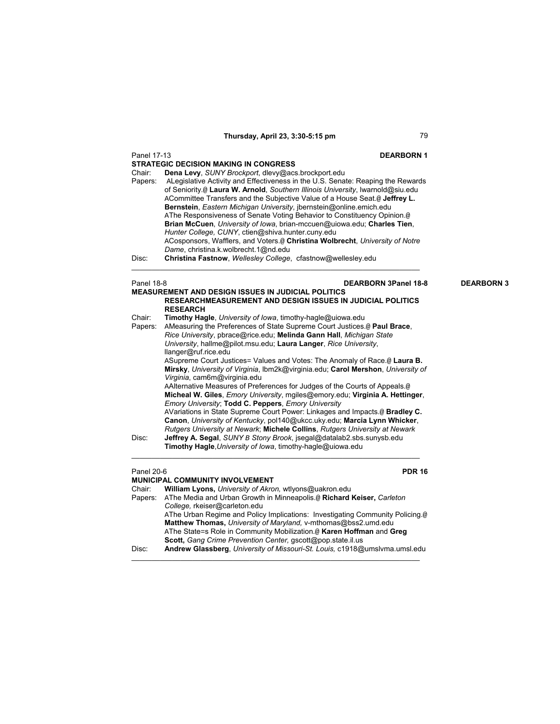Panel 17-13 **DEARBORN 1 STRATEGIC DECISION MAKING IN CONGRESS** Chair: **Dena Levy**, *SUNY Brockport*, dlevy@acs.brockport.edu Papers: ALegislative Activity and Effectiveness in the U.S. Senate: Reaping the Rewards of Seniority.@ **Laura W. Arnold**, *Southern Illinois University*, lwarnold@siu.edu ACommittee Transfers and the Subjective Value of a House Seat.@ **Jeffrey L. Bernstein**, *Eastern Michigan University*, jbernstein@online.emich.edu AThe Responsiveness of Senate Voting Behavior to Constituency Opinion.@ **Brian McCuen**, *University of Iowa*, brian-mccuen@uiowa.edu; **Charles Tien**, *Hunter College, CUNY*, ctien@shiva.hunter.cuny.edu ACosponsors, Wafflers, and Voters.@ **Christina Wolbrecht**, *University of Notre Dame*, christina.k.wolbrecht.1@nd.edu Disc: **Christina Fastnow**, *Wellesley College*, cfastnow@wellesley.edu  $\_$  , and the set of the set of the set of the set of the set of the set of the set of the set of the set of the set of the set of the set of the set of the set of the set of the set of the set of the set of the set of th Panel 18-8 **DEARBORN 3Panel 18-8 DEARBORN 3 MEASUREMENT AND DESIGN ISSUES IN JUDICIAL POLITICS RESEARCHMEASUREMENT AND DESIGN ISSUES IN JUDICIAL POLITICS RESEARCH** Chair: **Timothy Hagle**, *University of Iowa*, timothy-hagle@uiowa.edu Papers: AMeasuring the Preferences of State Supreme Court Justices.@ **Paul Brace**, *Rice University*, pbrace@rice.edu; **Melinda Gann Hall**, *Michigan State University*, hallme@pilot.msu.edu; **Laura Langer**, *Rice University*, llanger@ruf.rice.edu ASupreme Court Justices= Values and Votes: The Anomaly of Race.@ **Laura B. Mirsky**, *University of Virginia*, lbm2k@virginia.edu; **Carol Mershon**, *University of Virginia*, cam6m@virginia.edu AAlternative Measures of Preferences for Judges of the Courts of Appeals.@ **Micheal W. Giles**, *Emory University*, mgiles@emory.edu; **Virginia A. Hettinger**, *Emory University*; **Todd C. Peppers**, *Emory University* AVariations in State Supreme Court Power: Linkages and Impacts.@ **Bradley C. Canon**, *University of Kentucky*, pol140@ukcc.uky.edu; **Marcia Lynn Whicker**, *Rutgers University at Newark*; **Michele Collins**, *Rutgers University at Newark* Disc: **Jeffrey A. Segal**, *SUNY* B *Stony Brook*, jsegal@datalab2.sbs.sunysb.edu **Timothy Hagle**,*University of Iowa*, timothy-hagle@uiowa.edu \_\_\_\_\_\_\_\_\_\_\_\_\_\_\_\_\_\_\_\_\_\_\_\_\_\_\_\_\_\_\_\_\_\_\_\_\_\_\_\_\_\_\_\_\_\_\_\_\_\_\_\_\_\_\_\_\_\_\_\_\_\_\_\_\_\_\_\_\_\_\_ Panel 20-6 **PDR 16 MUNICIPAL COMMUNITY INVOLVEMENT** Chair: **William Lyons,** *University of Akron,* wtlyons@uakron.edu AThe Media and Urban Growth in Minneapolis.@ Richard Keiser, Carleton *College,* rkeiser@carleton.edu AThe Urban Regime and Policy Implications: Investigating Community Policing.@ **Matthew Thomas,** *University of Maryland,* v-mthomas@bss2.umd.edu AThe State=s Role in Community Mobilization.@ **Karen Hoffman** and **Greg Scott,** *Gang Crime Prevention Center,* gscott@pop.state.il.us Disc: **Andrew Glassberg**, *University of Missouri-St. Louis,* c1918@umslvma.umsl.edu

\_\_\_\_\_\_\_\_\_\_\_\_\_\_\_\_\_\_\_\_\_\_\_\_\_\_\_\_\_\_\_\_\_\_\_\_\_\_\_\_\_\_\_\_\_\_\_\_\_\_\_\_\_\_\_\_\_\_\_\_\_\_\_\_\_\_\_\_\_\_\_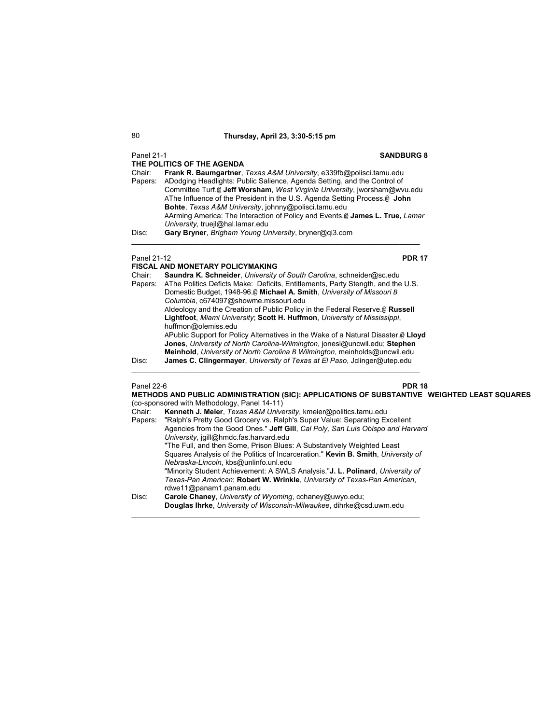Panel 21-1 **SANDBURG 8 THE POLITICS OF THE AGENDA**  Chair: **Frank R. Baumgartner**, *Texas A&M University*, e339fb@polisci.tamu.edu Papers: ADodging Headlights: Public Salience, Agenda Setting, and the Control of Committee Turf.@ **Jeff Worsham**, *West Virginia University*, jworsham@wvu.edu AThe Influence of the President in the U.S. Agenda Setting Process.@ **John Bohte**, *Texas A&M University*, johnny@polisci.tamu.edu AArming America: The Interaction of Policy and Events.@ **James L. True,** *Lamar University*, truejl@hal.lamar.edu Disc: **Gary Bryner**, *Brigham Young University*, bryner@qi3.com  $\mathcal{L}_\mathcal{L} = \{ \mathcal{L}_\mathcal{L} = \{ \mathcal{L}_\mathcal{L} = \{ \mathcal{L}_\mathcal{L} = \{ \mathcal{L}_\mathcal{L} = \{ \mathcal{L}_\mathcal{L} = \{ \mathcal{L}_\mathcal{L} = \{ \mathcal{L}_\mathcal{L} = \{ \mathcal{L}_\mathcal{L} = \{ \mathcal{L}_\mathcal{L} = \{ \mathcal{L}_\mathcal{L} = \{ \mathcal{L}_\mathcal{L} = \{ \mathcal{L}_\mathcal{L} = \{ \mathcal{L}_\mathcal{L} = \{ \mathcal{L}_\mathcal{$ 

### Panel 21-12 **PDR 17**

## **FISCAL AND MONETARY POLICYMAKING**

| Chair:  | Saundra K. Schneider, University of South Carolina, schneider@sc.edu                     |
|---------|------------------------------------------------------------------------------------------|
| Papers: | AThe Politics Deficts Make: Deficits, Entitlements, Party Stength, and the U.S.          |
|         | Domestic Budget, 1948-96.@ Michael A. Smith, University of Missouri B                    |
|         | Columbia, c674097@showme.missouri.edu                                                    |
|         | Aldeology and the Creation of Public Policy in the Federal Reserve. <sup>@</sup> Russell |
|         | Lightfoot, Miami University; Scott H. Huffmon, University of Mississippi,                |
|         | huffmon@olemiss.edu                                                                      |
|         | APublic Support for Policy Alternatives in the Wake of a Natural Disaster.@ Lloyd        |
|         | Jones, University of North Carolina-Wilmington, jonesl@uncwil.edu; Stephen               |
|         | Meinhold, University of North Carolina B Wilmington, meinholds@uncwil.edu                |
| Disc:   | James C. Clingermayer, University of Texas at El Paso, Jolinger@utep.edu                 |

\_\_\_\_\_\_\_\_\_\_\_\_\_\_\_\_\_\_\_\_\_\_\_\_\_\_\_\_\_\_\_\_\_\_\_\_\_\_\_\_\_\_\_\_\_\_\_\_\_\_\_\_\_\_\_\_\_\_\_\_\_\_\_\_\_\_\_\_\_\_\_

### Panel 22-6 **PDR 18**

**METHODS AND PUBLIC ADMINISTRATION (SIC): APPLICATIONS OF SUBSTANTIVE WEIGHTED LEAST SQUARES** (co-sponsored with Methodology, Panel 14-11)

| Chair:  | Kenneth J. Meier, Texas A&M University, kmeier@politics.tamu.edu                  |
|---------|-----------------------------------------------------------------------------------|
| Papers: | "Ralph's Pretty Good Grocery vs. Ralph's Super Value: Separating Excellent        |
|         | Agencies from the Good Ones." Jeff Gill, Cal Poly, San Luis Obispo and Harvard    |
|         | University, jqill@hmdc.fas.harvard.edu                                            |
|         | "The Full, and then Some, Prison Blues: A Substantively Weighted Least            |
|         | Squares Analysis of the Politics of Incarceration." Kevin B. Smith, University of |
|         | Nebraska-Lincoln, kbs@unlinfo.unl.edu                                             |
|         | "Minority Student Achievement: A SWLS Analysis."J. L. Polinard, University of     |
|         | Texas-Pan American; Robert W. Wrinkle, University of Texas-Pan American,          |
|         | rdwe11@panam1.panam.edu                                                           |
| Disc:   | Carole Chaney, University of Wyoming, cchaney@uwyo.edu;                           |
|         | Douglas Ihrke, University of Wisconsin-Milwaukee, dihrke@csd.uwm.edu              |
|         |                                                                                   |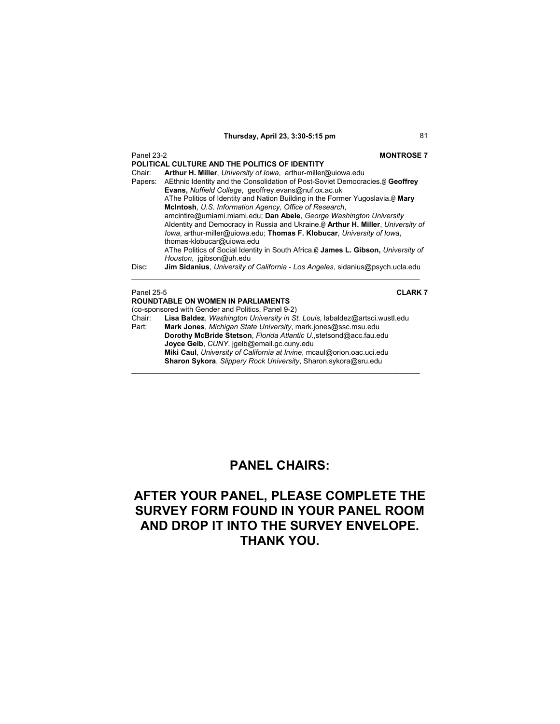Panel 23-2 **MONTROSE 7 POLITICAL CULTURE AND THE POLITICS OF IDENTITY** Chair: **Arthur H. Miller**, *University of Iowa*, arthur-miller@uiowa.edu Papers: AEthnic Identity and the Consolidation of Post-Soviet Democracies.@ **Geoffrey Evans,** *Nuffield College*, geoffrey.evans@nuf.ox.ac.uk AThe Politics of Identity and Nation Building in the Former Yugoslavia.@ **Mary McIntosh**, *U.S. Information Agency, Office of Research*, amcintire@umiami.miami.edu; **Dan Abele**, *George Washington University*  AIdentity and Democracy in Russia and Ukraine.@ **Arthur H. Miller**, *University of Iowa*, arthur-miller@uiowa.edu; **Thomas F. Klobucar**, *University of Iowa*, thomas-klobucar@uiowa.edu AThe Politics of Social Identity in South Africa.@ **James L. Gibson,** *University of Houston*, jgibson@uh.edu Disc: **Jim Sidanius**, *University of California - Los Angeles*, sidanius@psych.ucla.edu  $\mathcal{L}_\text{G} = \{ \mathcal{L}_\text{G} \mid \mathcal{L}_\text{G} \mid \mathcal{L}_\text{G} \mid \mathcal{L}_\text{G} \mid \mathcal{L}_\text{G} \mid \mathcal{L}_\text{G} \mid \mathcal{L}_\text{G} \mid \mathcal{L}_\text{G} \mid \mathcal{L}_\text{G} \mid \mathcal{L}_\text{G} \mid \mathcal{L}_\text{G} \mid \mathcal{L}_\text{G} \mid \mathcal{L}_\text{G} \mid \mathcal{L}_\text{G} \mid \mathcal{L}_\text{G} \mid \mathcal{L}_\text{G}$ Panel 25-5 **CLARK 7 ROUNDTABLE ON WOMEN IN PARLIAMENTS** (co-sponsored with Gender and Politics, Panel 9-2)

### Chair: **Lisa Baldez**, *Washington University in St. Louis*, labaldez@artsci.wustl.edu Part: **Mark Jones**, *Michigan State University*, mark.jones@ssc.msu.edu **Dorothy McBride Stetson**, *Florida Atlantic U.*,stetsond@acc.fau.edu **Joyce Gelb**, *CUNY*, jgelb@email.gc.cuny.edu **Miki Caul**, *University of California at Irvine*, mcaul@orion.oac.uci.edu **Sharon Sykora**, *Slippery Rock University*, Sharon.sykora@sru.edu  $\mathcal{L}_\text{max}$  , and the contribution of the contribution of the contribution of the contribution of the contribution of the contribution of the contribution of the contribution of the contribution of the contribution of t

# **PANEL CHAIRS:**

# **AFTER YOUR PANEL, PLEASE COMPLETE THE SURVEY FORM FOUND IN YOUR PANEL ROOM AND DROP IT INTO THE SURVEY ENVELOPE. THANK YOU.**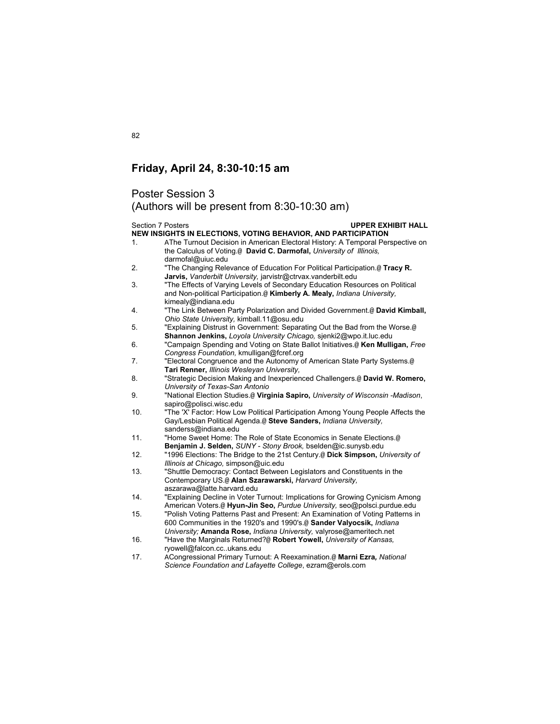## Poster Session 3

## (Authors will be present from 8:30-10:30 am)

Section 7 Posters **UPPER EXHIBIT HALL NEW INSIGHTS IN ELECTIONS, VOTING BEHAVIOR, AND PARTICIPATION** 1. AThe Turnout Decision in American Electoral History: A Temporal Perspective on the Calculus of Voting.@ **David C. Darmofal,** *University of Illinois,*  darmofal@uiuc.edu 2. "The Changing Relevance of Education For Political Participation.@ **Tracy R. Jarvis,** *Vanderbilt University,* jarvistr@ctrvax.vanderbilt.edu 3. "The Effects of Varying Levels of Secondary Education Resources on Political and Non-political Participation.@ **Kimberly A. Mealy,** *Indiana University,*  kimealy@indiana.edu 4. "The Link Between Party Polarization and Divided Government.@ **David Kimball,**  *Ohio State University,* kimball.11@osu.edu 5. "Explaining Distrust in Government: Separating Out the Bad from the Worse.@ **Shannon Jenkins,** *Loyola University Chicago,* sjenki2@wpo.it.luc.edu 6. "Campaign Spending and Voting on State Ballot Initiatives.@ **Ken Mulligan,** *Free Congress Foundation,* kmulligan@fcref.org 7. "Electoral Congruence and the Autonomy of American State Party Systems.@ **Tari Renner,** *Illinois Wesleyan University,*  8. "Strategic Decision Making and Inexperienced Challengers.@ **David W. Romero,**  *University of Texas-San Antonio* 9. "National Election Studies.@ **Virginia Sapiro,** *University of Wisconsin -Madison*, sapiro@polisci.wisc.edu 10. "The 'X' Factor: How Low Political Participation Among Young People Affects the Gay/Lesbian Political Agenda.@ **Steve Sanders,** *Indiana University,*  sanderss@indiana.edu 11. "Home Sweet Home: The Role of State Economics in Senate Elections.@ **Benjamin J. Selden,** *SUNY - Stony Brook,* bselden@ic.sunysb.edu 12. "1996 Elections: The Bridge to the 21st Century.@ **Dick Simpson,** *University of Illinois at Chicago,* simpson@uic.edu 13. "Shuttle Democracy: Contact Between Legislators and Constituents in the Contemporary US.@ **Alan Szarawarski,** *Harvard University,*  aszarawa@latte.harvard.edu 14. "Explaining Decline in Voter Turnout: Implications for Growing Cynicism Among American Voters.@ **Hyun-Jin Seo,** *Purdue University,* seo@polsci.purdue.edu 15. "Polish Voting Patterns Past and Present: An Examination of Voting Patterns in 600 Communities in the 1920's and 1990's.@ **Sander Valyocsik,** *Indiana University;* **Amanda Rose,** *Indiana University,* valyrose@ameritech.net 16. "Have the Marginals Returned?@ **Robert Yowell,** *University of Kansas,*  ryowell@falcon.cc..ukans.edu 17. ACongressional Primary Turnout: A Reexamination.@ **Marni Ezra***, National Science Foundation and Lafayette College*, ezram@erols.com

82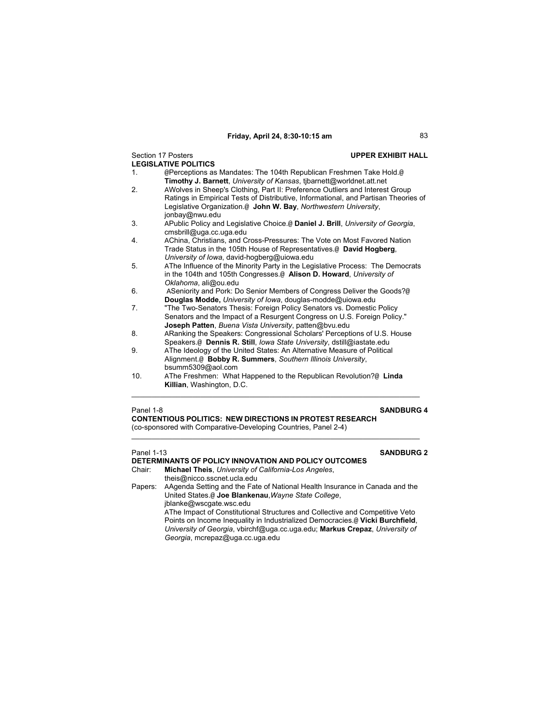# Section 17 Posters **UPPER EXHIBIT HALL**

- **LEGISLATIVE POLITICS** 1. @Perceptions as Mandates: The 104th Republican Freshmen Take Hold.@ **Timothy J. Barnett**, *University of Kansas*, tjbarnett@worldnet.att.net 2. AWolves in Sheep's Clothing, Part II: Preference Outliers and Interest Group Ratings in Empirical Tests of Distributive, Informational, and Partisan Theories of Legislative Organization.@ **John W. Bay**, *Northwestern University*, jonbay@nwu.edu 3. APublic Policy and Legislative Choice.@ **Daniel J. Brill**, *University of Georgia*, cmsbrill@uga.cc.uga.edu 4. AChina, Christians, and Cross-Pressures: The Vote on Most Favored Nation Trade Status in the 105th House of Representatives.@ **David Hogberg**, *University of Iowa*, david-hogberg@uiowa.edu 5. AThe Influence of the Minority Party in the Legislative Process: The Democrats in the 104th and 105th Congresses.@ **Alison D. Howard**, *University of Oklahoma*, ali@ou.edu 6. ASeniority and Pork: Do Senior Members of Congress Deliver the Goods?@ **Douglas Modde,** *University of Iowa*, douglas-modde@uiowa.edu 7. "The Two-Senators Thesis: Foreign Policy Senators vs. Domestic Policy Senators and the Impact of a Resurgent Congress on U.S. Foreign Policy." **Joseph Patten**, *Buena Vista University*, patten@bvu.edu
- 8. ARanking the Speakers: Congressional Scholars' Perceptions of U.S. House Speakers.@ **Dennis R. Still**, *Iowa State University*, dstill@iastate.edu
- 9. AThe Ideology of the United States: An Alternative Measure of Political Alignment.@ **Bobby R. Summers**, *Southern Illinois University*, bsumm5309@aol.com
- 10. AThe Freshmen: What Happened to the Republican Revolution?@ **Linda Killian**, Washington, D.C.

 $\mathcal{L}_\text{max}$  , and the contribution of the contribution of the contribution of the contribution of the contribution of the contribution of the contribution of the contribution of the contribution of the contribution of t

 $\mathcal{L}_\text{G} = \{ \mathcal{L}_\text{G} \mid \mathcal{L}_\text{G} \mid \mathcal{L}_\text{G} \mid \mathcal{L}_\text{G} \mid \mathcal{L}_\text{G} \mid \mathcal{L}_\text{G} \mid \mathcal{L}_\text{G} \mid \mathcal{L}_\text{G} \mid \mathcal{L}_\text{G} \mid \mathcal{L}_\text{G} \mid \mathcal{L}_\text{G} \mid \mathcal{L}_\text{G} \mid \mathcal{L}_\text{G} \mid \mathcal{L}_\text{G} \mid \mathcal{L}_\text{G} \mid \mathcal{L}_\text{G}$ 

## Panel 1-8 **SANDBURG 4**

**CONTENTIOUS POLITICS: NEW DIRECTIONS IN PROTEST RESEARCH** (co-sponsored with Comparative-Developing Countries, Panel 2-4)

| <b>Panel 1-13</b> | <b>SANDBURG 2</b><br>DETERMINANTS OF POLICY INNOVATION AND POLICY OUTCOMES                |
|-------------------|-------------------------------------------------------------------------------------------|
| Chair:            | <b>Michael Theis.</b> University of California-Los Angeles.                               |
|                   | theis@nicco.sscnet.ucla.edu                                                               |
| Papers:           | AAgenda Setting and the Fate of National Health Insurance in Canada and the               |
|                   | United States.@ Joe Blankenau, Wayne State College,                                       |
|                   | jblanke@wscqate.wsc.edu                                                                   |
|                   | AThe Impact of Constitutional Structures and Collective and Competitive Veto              |
|                   | Points on Income Inequality in Industrialized Democracies. <sup>®</sup> Vicki Burchfield, |
|                   | University of Georgia, vbirchf@uga.cc.uga.edu; Markus Crepaz, University of               |
|                   | Georgia, mcrepaz@uga.cc.uga.edu                                                           |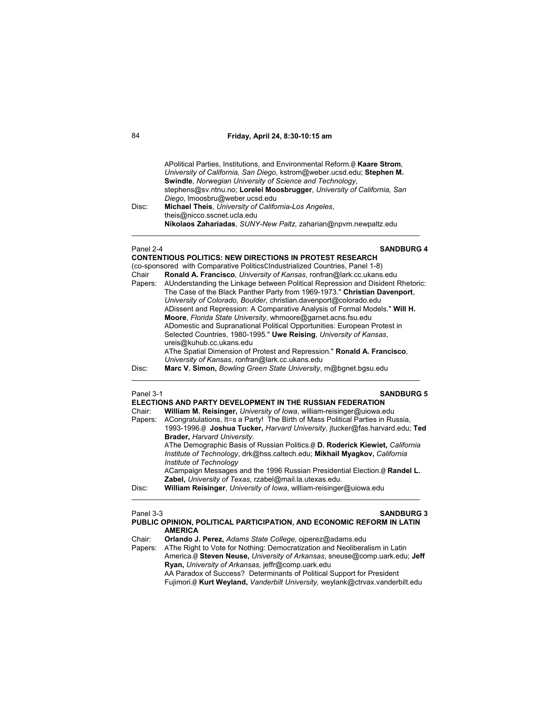APolitical Parties, Institutions, and Environmental Reform.@ **Kaare Strom**, *University of California, San Diego*, kstrom@weber.ucsd.edu; **Stephen M. Swindle**, *Norwegian University of Science and Technology*, stephens@sv.ntnu.no; **Lorelei Moosbrugger**, *University of California, San Diego*, lmoosbru@weber.ucsd.edu Disc: **Michael Theis**, *University of California-Los Angeles*, theis@nicco.sscnet.ucla.edu **Nikolaos Zahariadas**, *SUNY-New Paltz*, zaharian@npvm.newpaltz.edu

 $\mathcal{L}_\text{max}$  , and the contribution of the contribution of the contribution of the contribution of the contribution of the contribution of the contribution of the contribution of the contribution of the contribution of t

### Panel 2-4 **SANDBURG 4**

|       | <b>CONTENTIOUS POLITICS: NEW DIRECTIONS IN PROTEST RESEARCH</b>                        |
|-------|----------------------------------------------------------------------------------------|
|       | (co-sponsored with Comparative Politics cindustrialized Countries, Panel 1-8)          |
| Chair | Ronald A. Francisco, University of Kansas, ronfran@lark.cc.ukans.edu                   |
|       | Papers: AUnderstanding the Linkage between Political Repression and Disident Rhetoric: |
|       | The Case of the Black Panther Party from 1969-1973." Christian Davenport,              |
|       | University of Colorado, Boulder, christian.davenport@colorado.edu                      |
|       | ADissent and Repression: A Comparative Analysis of Formal Models." Will H.             |
|       | Moore, Florida State University, whmoore@garnet.acns.fsu.edu                           |
|       | ADomestic and Supranational Political Opportunities: European Protest in               |
|       | Selected Countries, 1980-1995." Uwe Reising, University of Kansas,                     |
|       | ureis@kuhub.cc.ukans.edu                                                               |
|       | AThe Spatial Dimension of Protest and Repression." Ronald A. Francisco.                |
|       | University of Kansas, ronfran@lark.cc.ukans.edu                                        |
| Disc: | Marc V. Simon, Bowling Green State University, m@bgnet.bgsu.edu                        |

 $\mathcal{L}_\text{max}$  , and the contribution of the contribution of the contribution of the contribution of the contribution of the contribution of the contribution of the contribution of the contribution of the contribution of t

### Panel 3-1 **SANDBURG 5**

|         | ELECTIONS AND PARTY DEVELOPMENT IN THE RUSSIAN FEDERATION                      |
|---------|--------------------------------------------------------------------------------|
| Chair:  | William M. Reisinger, University of Iowa, william-reisinger@uiowa.edu          |
| Papers: | ACongratulations, It=s a Party! The Birth of Mass Political Parties in Russia, |
|         | 1993-1996.@ Joshua Tucker, Harvard University, jtucker@fas.harvard.edu; Ted    |
|         | Brader, Harvard University.                                                    |
|         | AThe Demographic Basis of Russian Politics.@ D. Roderick Kiewiet, California   |
|         | Institute of Technology, drk@hss.caltech.edu; Mikhail Myagkov, California      |
|         | Institute of Technology                                                        |
|         | ACampaign Messages and the 1996 Russian Presidential Election @ Randel L.      |
|         | Zabel, University of Texas, rzabel@mail.la.utexas.edu.                         |
| Disc:   | William Reisinger, University of Iowa, william-reisinger@uiowa.edu             |
|         |                                                                                |

Panel 3-3 **SANDBURG 3**

|                | PUBLIC OPINION, POLITICAL PARTICIPATION, AND ECONOMIC REFORM IN LATIN |  |
|----------------|-----------------------------------------------------------------------|--|
| <b>AMERICA</b> |                                                                       |  |

Chair: **Orlando J. Perez,** *Adams State College,* ojperez@adams.edu AThe Right to Vote for Nothing: Democratization and Neoliberalism in Latin America.@ **Steven Neuse,** *University of Arkansas*, sneuse@comp.uark.edu; **Jeff Ryan,** *University of Arkansas,* jeffr@comp.uark.edu AA Paradox of Success? Determinants of Political Support for President Fujimori.@ **Kurt Weyland,** *Vanderbilt University,* weylank@ctrvax.vanderbilt.edu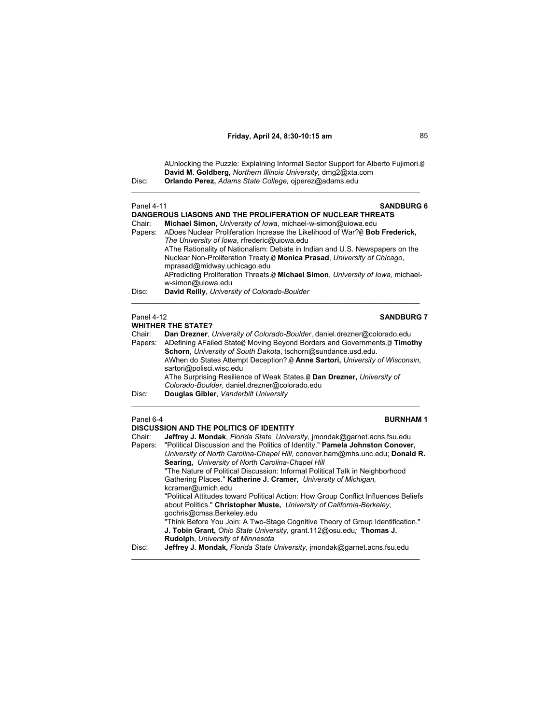|       | AUnlocking the Puzzle: Explaining Informal Sector Support for Alberto Fujimori.@ |
|-------|----------------------------------------------------------------------------------|
|       | David M. Goldberg, Northern Illinois University, dmg2@xta.com                    |
| Disc: | <b>Orlando Perez, Adams State College, oiperez@adams.edu</b>                     |
|       |                                                                                  |

### Panel 4-11 **SANDBURG 6 DANGEROUS LIASONS AND THE PROLIFERATION OF NUCLEAR THREATS** Chair: **Michael Simon,** *University of Iowa*, michael-w-simon@uiowa.edu Papers: ADoes Nuclear Proliferation Increase the Likelihood of War?@ **Bob Frederick,**  *The University of Iowa*, rfrederic@uiowa.edu AThe Rationality of Nationalism: Debate in Indian and U.S. Newspapers on the Nuclear Non-Proliferation Treaty.@ **Monica Prasad**, *University of Chicago*, mprasad@midway.uchicago.edu APredicting Proliferation Threats.@ **Michael Simon**, *University of Iowa*, michaelw-simon@uiowa.edu Disc: **David Reilly**, *University of Colorado-Boulder*  $\mathcal{L}_\text{max}$  , and the contribution of the contribution of the contribution of the contribution of the contribution of the contribution of the contribution of the contribution of the contribution of the contribution of t

## **WHITHER THE STATE?**

**DISCUSSION AND THE POLITICS OF IDENTITY**

## Panel 4-12 **SANDBURG 7**

| Chair:  | Dan Drezner, University of Colorado-Boulder, daniel.drezner@colorado.edu           |
|---------|------------------------------------------------------------------------------------|
| Papers: | ADefining AFailed State® Moving Beyond Borders and Governments.® Timothy           |
|         | Schorn, University of South Dakota, tschorn@sundance.usd.edu.                      |
|         | AWhen do States Attempt Deception? @ Anne Sartori, University of Wisconsin,        |
|         | sartori@polisci.wisc.edu                                                           |
|         | AThe Surprising Resilience of Weak States. <sup>®</sup> Dan Drezner, University of |
|         | Colorado-Boulder, daniel.drezner@colorado.edu                                      |
| Disc:   | Douglas Gibler, Vanderbilt University                                              |
|         |                                                                                    |

 $\mathcal{L}_\text{max}$  , and the set of the set of the set of the set of the set of the set of the set of the set of the set of

### **Panel 6-4 BURNHAM 1**

|        | DISCOSSION AND THE FOLITICS OF IDENTITY                                               |
|--------|---------------------------------------------------------------------------------------|
| Chair: | <b>Jeffrey J. Mondak, Florida State University, imondak@garnet acns fsu edu</b>       |
|        | Papers: "Political Discussion and the Politics of Identity." Pamela Johnston Conover, |
|        | University of North Carolina-Chapel Hill, conover ham@mhs.unc.edu; Donald R.          |
|        | Searing, University of North Carolina-Chapel Hill                                     |
|        | "The Nature of Political Discussion: Informal Political Talk in Neighborhood          |
|        | Gathering Places." Katherine J. Cramer, University of Michigan.                       |
|        | kcramer@umich.edu                                                                     |
|        | "Political Attitudes toward Political Action: How Group Conflict Influences Beliefs   |
|        | about Politics." Christopher Muste, University of California-Berkeley,                |
|        | qochris@cmsa.Berkeley.edu                                                             |
|        | "Think Before You Join: A Two-Stage Cognitive Theory of Group Identification."        |
|        | J. Tobin Grant, Ohio State University, grant 112@osu.edu: Thomas J.                   |
|        | Rudolph, University of Minnesota                                                      |
| Disc:  | <b>Jeffrey J. Mondak, Florida State University, imondak@garnet.acns.fsu.edu</b>       |
|        |                                                                                       |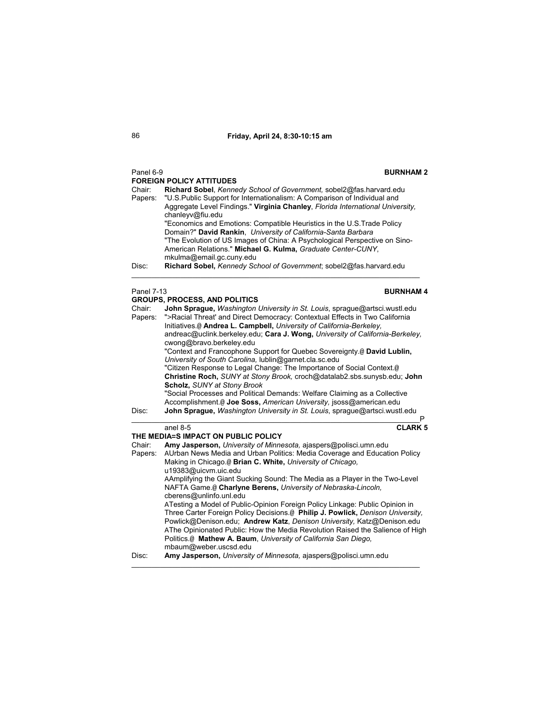### Panel 6-9 **BURNHAM 2**

|         | <b>FOREIGN POLICY ATTITUDES</b>                                                |
|---------|--------------------------------------------------------------------------------|
| Chair:  | Richard Sobel, Kennedy School of Government, sobel2@fas.harvard.edu            |
| Papers: | "U.S. Public Support for Internationalism: A Comparison of Individual and      |
|         | Aggregate Level Findings." Virginia Chanley, Florida International University, |
|         | chanleyv@fiu.edu                                                               |
|         | "Economics and Emotions: Compatible Heuristics in the U.S. Trade Policy        |
|         | Domain?" David Rankin, University of California-Santa Barbara                  |
|         | "The Evolution of US Images of China: A Psychological Perspective on Sino-     |
|         | American Relations." Michael G. Kulma, Graduate Center-CUNY,                   |
|         | mkulma@email.gc.cuny.edu                                                       |
| Disc:   | Richard Sobel, Kennedy School of Government; sobel2@fas.harvard.edu            |
|         |                                                                                |

## **Panel 7-13 BURNHAM 4**

|                   | <b>GROUPS, PROCESS, AND POLITICS</b>                                                                                                                                                                                                                                                                                                                                                                                 |
|-------------------|----------------------------------------------------------------------------------------------------------------------------------------------------------------------------------------------------------------------------------------------------------------------------------------------------------------------------------------------------------------------------------------------------------------------|
| Chair:<br>Papers: | John Sprague, Washington University in St. Louis, sprague@artsci.wustl.edu<br>">Racial Threat' and Direct Democracy: Contextual Effects in Two California                                                                                                                                                                                                                                                            |
|                   | Initiatives.@ Andrea L. Campbell, University of California-Berkeley,                                                                                                                                                                                                                                                                                                                                                 |
|                   | andreac@uclink.berkeley.edu; Cara J. Wong, University of California-Berkeley.<br>cwong@bravo.berkeley.edu                                                                                                                                                                                                                                                                                                            |
|                   | "Context and Francophone Support for Quebec Sovereignty.@ David Lublin,<br>University of South Carolina, lublin@garnet.cla.sc.edu                                                                                                                                                                                                                                                                                    |
|                   | "Citizen Response to Legal Change: The Importance of Social Context.@                                                                                                                                                                                                                                                                                                                                                |
|                   | Christine Roch, SUNY at Stony Brook, croch@datalab2.sbs.sunysb.edu; John                                                                                                                                                                                                                                                                                                                                             |
|                   | Scholz, SUNY at Stony Brook                                                                                                                                                                                                                                                                                                                                                                                          |
|                   | "Social Processes and Political Demands: Welfare Claiming as a Collective<br>Accomplishment @ Joe Soss, American University, jsoss@american.edu                                                                                                                                                                                                                                                                      |
| Disc:             | John Sprague, Washington University in St. Louis, sprague@artsci.wustl.edu                                                                                                                                                                                                                                                                                                                                           |
|                   |                                                                                                                                                                                                                                                                                                                                                                                                                      |
|                   | anel $8-5$<br><b>CLARK 5</b>                                                                                                                                                                                                                                                                                                                                                                                         |
|                   | THE MEDIA=S IMPACT ON PUBLIC POLICY                                                                                                                                                                                                                                                                                                                                                                                  |
| Chair:<br>Papers: | Amy Jasperson, University of Minnesota, ajaspers@polisci.umn.edu<br>AUrban News Media and Urban Politics: Media Coverage and Education Policy<br>Making in Chicago.@ Brian C. White, University of Chicago,                                                                                                                                                                                                          |
|                   | u19383@uicvm.uic.edu                                                                                                                                                                                                                                                                                                                                                                                                 |
|                   | AAmplifying the Giant Sucking Sound: The Media as a Player in the Two-Level                                                                                                                                                                                                                                                                                                                                          |
|                   | NAFTA Game.@ Charlyne Berens, University of Nebraska-Lincoln,<br>cberens@unlinfo.unl.edu                                                                                                                                                                                                                                                                                                                             |
|                   | ATesting a Model of Public-Opinion Foreign Policy Linkage: Public Opinion in<br>Three Carter Foreign Policy Decisions.@ Philip J. Powlick, Denison University,<br>Powlick@Denison.edu: Andrew Katz, Denison University, Katz@Denison.edu<br>AThe Opinionated Public: How the Media Revolution Raised the Salience of High<br>Politics.@ Mathew A. Baum, University of California San Diego,<br>mbaum@weber.uscsd.edu |
| Disc:             | Amy Jasperson, University of Minnesota, ajaspers@polisci.umn.edu                                                                                                                                                                                                                                                                                                                                                     |
|                   |                                                                                                                                                                                                                                                                                                                                                                                                                      |

 $\mathcal{L}_\text{max}$  , and the contribution of the contribution of the contribution of the contribution of the contribution of the contribution of the contribution of the contribution of the contribution of the contribution of t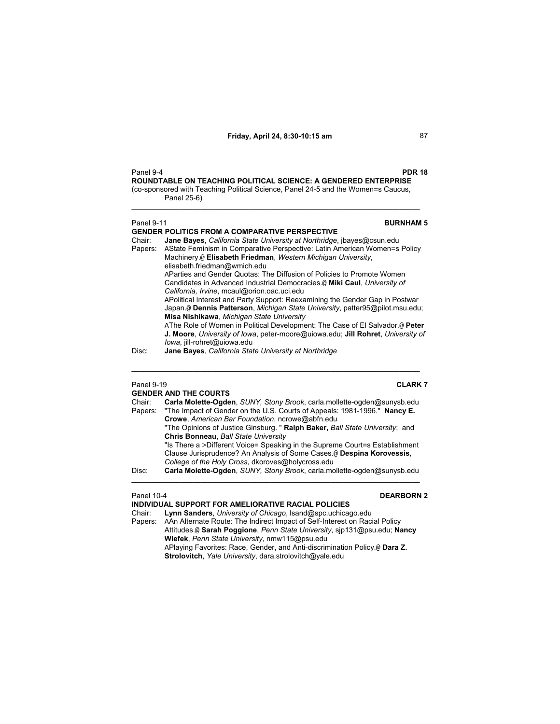### Panel 9-4 **PDR 18**

**ROUNDTABLE ON TEACHING POLITICAL SCIENCE: A GENDERED ENTERPRISE** (co-sponsored with Teaching Political Science, Panel 24-5 and the Women=s Caucus, Panel 25-6)  $\mathcal{L}_\text{max}$  , and the set of the set of the set of the set of the set of the set of the set of the set of the set of

## Panel 9-11 **BURNHAM 5**

### **GENDER POLITICS FROM A COMPARATIVE PERSPECTIVE**

Chair: **Jane Bayes**, *California State University at Northridge*, jbayes@csun.edu

Papers: AState Feminism in Comparative Perspective: Latin American Women=s Policy Machinery.@ **Elisabeth Friedman**, *Western Michigan University*, elisabeth.friedman@wmich.edu AParties and Gender Quotas: The Diffusion of Policies to Promote Women

Candidates in Advanced Industrial Democracies.@ **Miki Caul**, *University of California, Irvine*, mcaul@orion.oac.uci.edu

APolitical Interest and Party Support: Reexamining the Gender Gap in Postwar Japan.@ **Dennis Patterson**, *Michigan State University*, patter95@pilot.msu.edu; **Misa Nishikawa**, *Michigan State University* 

AThe Role of Women in Political Development: The Case of El Salvador.@ **Peter J. Moore**, *University of Iowa*, peter-moore@uiowa.edu; **Jill Rohret**, *University of Iowa*, jill-rohret@uiowa.edu

Disc: **Jane Bayes**, *California State Univ*e*rsity at Northridge*

### Panel 9-19 **CLARK 7**

**GENDER AND THE COURTS** Chair: **Carla Molette-Ogden**, *SUNY, Stony Brook*, carla.mollette-ogden@sunysb.edu Papers: "The Impact of Gender on the U.S. Courts of Appeals: 1981-1996." **Nancy E. Crowe**, *American Bar Foundation*, ncrowe@abfn.edu "The Opinions of Justice Ginsburg. " **Ralph Baker,** *Ball State University*; and **Chris Bonneau**, *Ball State University* "Is There a >Different Voice= Speaking in the Supreme Court=s Establishment Clause Jurisprudence? An Analysis of Some Cases.@ **Despina Korovessis**, *College of the Holy Cross*, dkoroves@holycross.edu Disc: **Carla Molette-Ogden**, *SUNY, Stony Brook*, carla.mollette-ogden@sunysb.edu  $\mathcal{L}_\text{max}$  , and the set of the set of the set of the set of the set of the set of the set of the set of the set of

\_\_\_\_\_\_\_\_\_\_\_\_\_\_\_\_\_\_\_\_\_\_\_\_\_\_\_\_\_\_\_\_\_\_\_\_\_\_\_\_\_\_\_\_\_\_\_\_\_\_\_\_\_\_\_\_\_\_\_\_\_\_\_\_\_\_\_\_\_\_\_

## Panel 10-4 **DEARBORN 2**

**INDIVIDUAL SUPPORT FOR AMELIORATIVE RACIAL POLICIES** Chair: **Lynn Sanders**, *University of Chicago*, lsand@spc.uchicago.edu AAn Alternate Route: The Indirect Impact of Self-Interest on Racial Policy Attitudes.@ **Sarah Poggione**, *Penn State University*, sjp131@psu.edu; **Nancy Wiefek**, *Penn State University*, nmw115@psu.edu APlaying Favorites: Race, Gender, and Anti-discrimination Policy.@ **Dara Z. Strolovitch**, *Yale University*, dara.strolovitch@yale.edu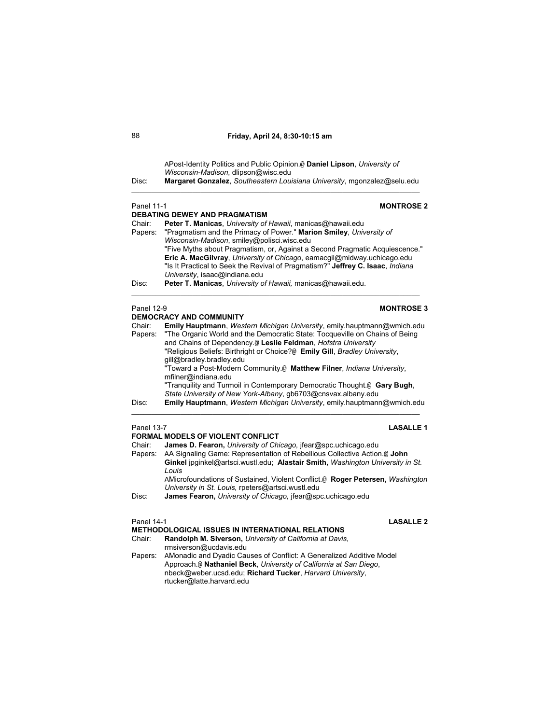| Disc:                       | APost-Identity Politics and Public Opinion.@ Daniel Lipson, University of<br>Wisconsin-Madison, dlipson@wisc.edu<br>Margaret Gonzalez, Southeastern Louisiana University, mgonzalez@selu.edu                                                                                                                                                                                                                                                                                                                                                                                   |
|-----------------------------|--------------------------------------------------------------------------------------------------------------------------------------------------------------------------------------------------------------------------------------------------------------------------------------------------------------------------------------------------------------------------------------------------------------------------------------------------------------------------------------------------------------------------------------------------------------------------------|
| <b>Panel 11-1</b>           | <b>MONTROSE 2</b>                                                                                                                                                                                                                                                                                                                                                                                                                                                                                                                                                              |
| Chair:                      | <b>DEBATING DEWEY AND PRAGMATISM</b><br>Peter T. Manicas, University of Hawaii, manicas@hawaii.edu                                                                                                                                                                                                                                                                                                                                                                                                                                                                             |
| Papers:                     | "Pragmatism and the Primacy of Power." Marion Smiley, University of                                                                                                                                                                                                                                                                                                                                                                                                                                                                                                            |
|                             | Wisconsin-Madison, smiley@polisci.wisc.edu                                                                                                                                                                                                                                                                                                                                                                                                                                                                                                                                     |
|                             | "Five Myths about Pragmatism, or, Against a Second Pragmatic Acquiescence."<br>Eric A. MacGilvray, University of Chicago, eamacgil@midway.uchicago.edu<br>"Is It Practical to Seek the Revival of Pragmatism?" Jeffrey C. Isaac, Indiana<br>University, isaac@indiana.edu                                                                                                                                                                                                                                                                                                      |
| Disc:                       | Peter T. Manicas, University of Hawaii, manicas@hawaii.edu.                                                                                                                                                                                                                                                                                                                                                                                                                                                                                                                    |
| Panel 12-9                  | <b>MONTROSE 3</b>                                                                                                                                                                                                                                                                                                                                                                                                                                                                                                                                                              |
|                             | <b>DEMOCRACY AND COMMUNITY</b>                                                                                                                                                                                                                                                                                                                                                                                                                                                                                                                                                 |
| Chair:<br>Papers:           | Emily Hauptmann, Western Michigan University, emily hauptmann@wmich.edu<br>"The Organic World and the Democratic State: Tocqueville on Chains of Being<br>and Chains of Dependency.@ Leslie Feldman, Hofstra University<br>"Religious Beliefs: Birthright or Choice?@ Emily Gill, Bradley University,<br>gill@bradley.bradley.edu<br>"Toward a Post-Modern Community.@ Matthew Filner, Indiana University,<br>mfilner@indiana.edu<br>"Tranquility and Turmoil in Contemporary Democratic Thought.@ Gary Bugh,<br>State University of New York-Albany, gb6703@cnsvax.albany.edu |
| Disc:                       | Emily Hauptmann, Western Michigan University, emily.hauptmann@wmich.edu                                                                                                                                                                                                                                                                                                                                                                                                                                                                                                        |
| <b>Panel 13-7</b>           | <b>LASALLE 1</b>                                                                                                                                                                                                                                                                                                                                                                                                                                                                                                                                                               |
|                             | <b>FORMAL MODELS OF VIOLENT CONFLICT</b>                                                                                                                                                                                                                                                                                                                                                                                                                                                                                                                                       |
| Chair:<br>Papers:           | James D. Fearon, University of Chicago, jfear@spc.uchicago.edu<br>AA Signaling Game: Representation of Rebellious Collective Action.@ John<br>Ginkel jpginkel@artsci.wustl.edu; Alastair Smith, Washington University in St.<br>Louis                                                                                                                                                                                                                                                                                                                                          |
|                             | AMicrofoundations of Sustained, Violent Conflict.@ Roger Petersen, Washington<br>University in St. Louis, rpeters@artsci.wustl.edu                                                                                                                                                                                                                                                                                                                                                                                                                                             |
| Disc:                       | James Fearon, University of Chicago, jfear@spc.uchicago.edu                                                                                                                                                                                                                                                                                                                                                                                                                                                                                                                    |
| <b>Panel 14-1</b><br>Chair: | <b>LASALLE 2</b><br><b>METHODOLOGICAL ISSUES IN INTERNATIONAL RELATIONS</b><br>Randolph M. Siverson, University of California at Davis,                                                                                                                                                                                                                                                                                                                                                                                                                                        |

rmsiverson@ucdavis.edu Papers: AMonadic and Dyadic Causes of Conflict: A Generalized Additive Model Approach.@ **Nathaniel Beck**, *University of California at San Diego*, nbeck@weber.ucsd.edu; **Richard Tucker**, *Harvard University*, rtucker@latte.harvard.edu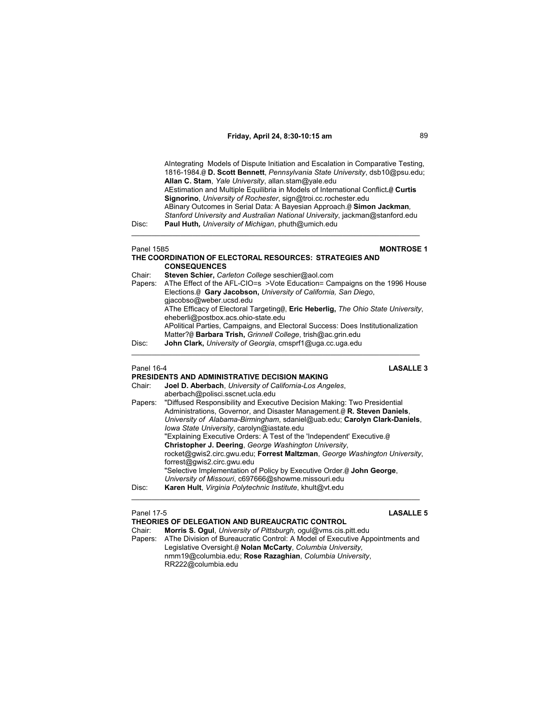

## **THEORIES OF DELEGATION AND BUREAUCRATIC CONTROL**

Chair: **Morris S. Ogul**, *University of Pittsburgh,* ogul@vms.cis.pitt.edu Papers: AThe Division of Bureaucratic Control: A Model of Executive Appointments and Legislative Oversight.@ **Nolan McCarty**, *Columbia University,*  nmm19@columbia.edu; **Rose Razaghian**, *Columbia University*, RR222@columbia.edu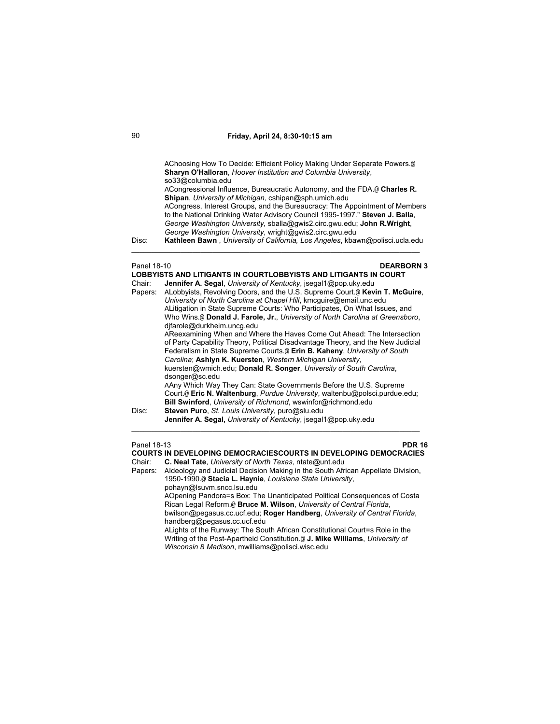|       | AChoosing How To Decide: Efficient Policy Making Under Separate Powers.@<br>Sharyn O'Halloran, Hoover Institution and Columbia University,<br>so33@columbia.edu |
|-------|-----------------------------------------------------------------------------------------------------------------------------------------------------------------|
|       | ACongressional Influence, Bureaucratic Autonomy, and the FDA.@ Charles R.                                                                                       |
|       | Shipan, University of Michigan, cshipan@sph.umich.edu                                                                                                           |
|       | ACongress, Interest Groups, and the Bureaucracy: The Appointment of Members                                                                                     |
|       | to the National Drinking Water Advisory Council 1995-1997." Steven J. Balla.                                                                                    |
|       | George Washington University, sballa@qwis2.circ.qwu.edu; John R.Wright,                                                                                         |
|       | George Washington University, wright@gwis2.circ.gwu.edu                                                                                                         |
| Disc: | Kathleen Bawn, University of California, Los Angeles, kbawn@polisci.ucla.edu                                                                                    |
|       |                                                                                                                                                                 |

## Panel 18-10 **DEARBORN 3**

|         | LOBBYISTS AND LITIGANTS IN COURTLOBBYISTS AND LITIGANTS IN COURT                          |  |  |
|---------|-------------------------------------------------------------------------------------------|--|--|
| Chair:  | Jennifer A. Segal, University of Kentucky, jsegal1@pop.uky.edu                            |  |  |
| Papers: | ALobbyists, Revolving Doors, and the U.S. Supreme Court.@ Kevin T. McGuire,               |  |  |
|         | University of North Carolina at Chapel Hill, kmcquire@email.unc.edu                       |  |  |
|         | ALitigation in State Supreme Courts: Who Participates, On What Issues, and                |  |  |
|         | Who Wins. <sup>®</sup> Donald J. Farole, Jr., University of North Carolina at Greensboro, |  |  |
|         | difarole@durkheim.uncq.edu                                                                |  |  |
|         | AReexamining When and Where the Haves Come Out Ahead: The Intersection                    |  |  |
|         | of Party Capability Theory, Political Disadvantage Theory, and the New Judicial           |  |  |
|         | Federalism in State Supreme Courts. <sup>®</sup> Erin B. Kaheny, University of South      |  |  |
|         | Carolina: Ashlyn K. Kuersten, Western Michigan University,                                |  |  |
|         | kuersten@wmich.edu; Donald R. Songer, University of South Carolina,                       |  |  |
|         | dsonger@sc.edu                                                                            |  |  |
|         | AAny Which Way They Can: State Governments Before the U.S. Supreme                        |  |  |
|         | Court.@ Eric N. Waltenburg, Purdue University, waltenbu@polsci.purdue.edu;                |  |  |
|         | Bill Swinford, University of Richmond, wswinfor@richmond.edu                              |  |  |
| Disc:   | Steven Puro, St. Louis University, puro@slu.edu                                           |  |  |
|         | Jennifer A. Segal, University of Kentucky, jsegal1@pop.uky.edu                            |  |  |
|         |                                                                                           |  |  |

### Panel 18-13 **PDR 16**

**COURTS IN DEVELOPING DEMOCRACIESCOURTS IN DEVELOPING DEMOCRACIES** Chair: **C. Neal Tate**, *University of North Texas*, ntate@unt.edu

Papers: AIdeology and Judicial Decision Making in the South African Appellate Division, 1950-1990.@ **Stacia L. Haynie**, *Louisiana State University*, pohayn@lsuvm.sncc.lsu.edu AOpening Pandora=s Box: The Unanticipated Political Consequences of Costa

Rican Legal Reform.@ **Bruce M. Wilson**, *University of Central Florida*, bwilson@pegasus.cc.ucf.edu; **Roger Handberg**, *University of Central Florida*, handberg@pegasus.cc.ucf.edu

ALights of the Runway: The South African Constitutional Court=s Role in the Writing of the Post-Apartheid Constitution.@ **J. Mike Williams**, *University of Wisconsin* B *Madison*, mwilliams@polisci.wisc.edu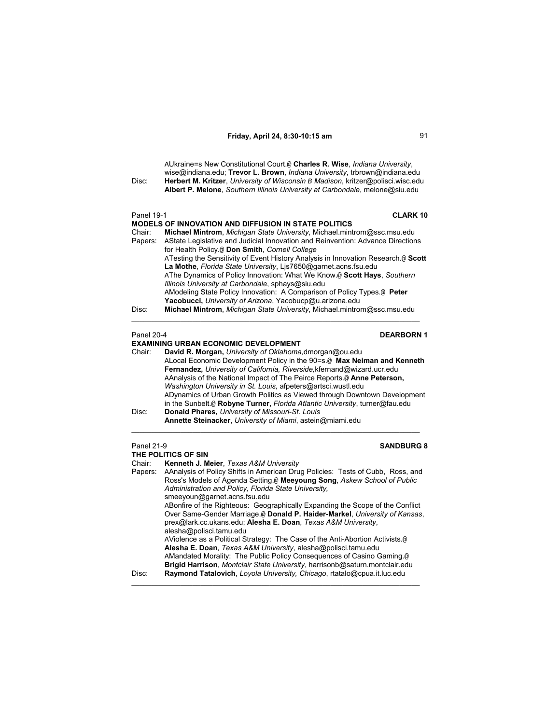AUkraine=s New Constitutional Court.@ **Charles R. Wise**, *Indiana University*, wise@indiana.edu; **Trevor L. Brown**, *Indiana University*, trbrown@indiana.edu Disc: **Herbert M. Kritzer**, *University of Wisconsin* B *Madison*, kritzer@polisci.wisc.edu **Albert P. Melone**, *Southern Illinois University at Carbondale*, melone@siu.edu  $\mathcal{L}_\text{max}$  , and the set of the set of the set of the set of the set of the set of the set of the set of the set of Panel 19-1 **CLARK 10 MODELS OF INNOVATION AND DIFFUSION IN STATE POLITICS** Chair: **Michael Mintrom**, *Michigan State University*, Michael.mintrom@ssc.msu.edu Papers: AState Legislative and Judicial Innovation and Reinvention: Advance Directions for Health Policy.@ **Don Smith**, *Cornell College* ATesting the Sensitivity of Event History Analysis in Innovation Research.@ **Scott La Mothe**, *Florida State University*, Ljs7650@garnet.acns.fsu.edu AThe Dynamics of Policy Innovation: What We Know.@ **Scott Hays**, *Southern Illinois University at Carbondale*, sphays@siu.edu AModeling State Policy Innovation: A Comparison of Policy Types.@ **Peter Yacobucci,** *University of Arizona*, Yacobucp@u.arizona.edu Disc: **Michael Mintrom**, *Michigan State University*, Michael.mintrom@ssc.msu.edu  $\mathcal{L}_\text{max}$  , and the set of the set of the set of the set of the set of the set of the set of the set of the set of Panel 20-4 **DEARBORN 1 EXAMINING URBAN ECONOMIC DEVELOPMENT** Chair: **David R. Morgan,** *University of Oklahoma,*dmorgan@ou.edu ALocal Economic Development Policy in the 90=s.@ **Max Neiman and Kenneth Fernandez,** *University of California, Riverside,*kfernand@wizard.ucr.edu AAnalysis of the National Impact of The Peirce Reports.@ **Anne Peterson,**  *Washington University in St. Louis,* afpeters@artsci.wustl.edu ADynamics of Urban Growth Politics as Viewed through Downtown Development in the Sunbelt.@ **Robyne Turner,** *Florida Atlantic University*, turner@fau.edu Disc: **Donald Phares,** *University of Missouri-St. Louis* **Annette Steinacker**, *University of Miami*, astein@miami.edu  $\mathcal{L}_\text{max}$  , and the set of the set of the set of the set of the set of the set of the set of the set of the set of Panel 21-9 **SANDBURG 8 THE POLITICS OF SIN**

| Chair:  | <b>Kenneth J. Meier. Texas A&amp;M University</b>                              |
|---------|--------------------------------------------------------------------------------|
| Papers: | AAnalysis of Policy Shifts in American Drug Policies: Tests of Cubb, Ross, and |
|         | Ross's Models of Agenda Setting @ Meeyoung Song, Askew School of Public        |
|         | Administration and Policy, Florida State University,                           |
|         | smeeyoun@garnet.acns.fsu.edu                                                   |
|         | ABonfire of the Righteous: Geographically Expanding the Scope of the Conflict  |
|         | Over Same-Gender Marriage.@ Donald P. Haider-Markel, University of Kansas,     |
|         | prex@lark.cc.ukans.edu; Alesha E. Doan, Texas A&M University,                  |
|         | alesha@polisci.tamu.edu                                                        |
|         | AViolence as a Political Strategy: The Case of the Anti-Abortion Activists.@   |
|         | Alesha E. Doan, Texas A&M University, alesha@polisci.tamu.edu                  |
|         | AMandated Morality: The Public Policy Consequences of Casino Gaming.@          |
|         | Brigid Harrison, Montclair State University, harrisonb@saturn.montclair.edu    |
| Disc:   | Raymond Tatalovich, Loyola University, Chicago, rtatalo@cpua.it.luc.edu        |
|         |                                                                                |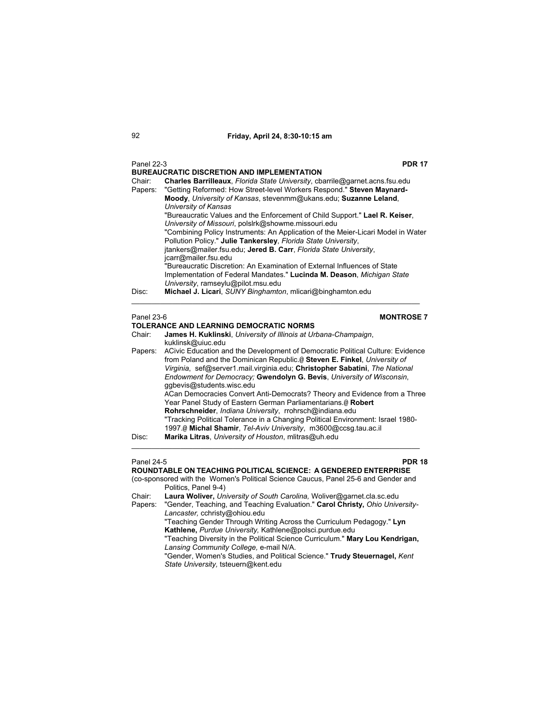| Panel 22-3<br>Chair:<br>Papers:<br>Disc: | <b>PDR 17</b><br><b>BUREAUCRATIC DISCRETION AND IMPLEMENTATION</b><br>Charles Barrilleaux, Florida State University, cbarrile@garnet.acns.fsu.edu<br>"Getting Reformed: How Street-level Workers Respond." Steven Maynard-<br>Moody, University of Kansas, stevenmm@ukans.edu; Suzanne Leland,<br>University of Kansas<br>"Bureaucratic Values and the Enforcement of Child Support." Lael R. Keiser.<br>University of Missouri, polsirk@showme.missouri.edu<br>"Combining Policy Instruments: An Application of the Meier-Licari Model in Water<br>Pollution Policy." Julie Tankersley, Florida State University,<br>jtankers@mailer.fsu.edu; Jered B. Carr, Florida State University,<br>jcarr@mailer.fsu.edu<br>"Bureaucratic Discretion: An Examination of External Influences of State<br>Implementation of Federal Mandates." Lucinda M. Deason, Michigan State<br>University, ramseylu@pilot.msu.edu<br>Michael J. Licari, SUNY Binghamton, mlicari@binghamton.edu |
|------------------------------------------|---------------------------------------------------------------------------------------------------------------------------------------------------------------------------------------------------------------------------------------------------------------------------------------------------------------------------------------------------------------------------------------------------------------------------------------------------------------------------------------------------------------------------------------------------------------------------------------------------------------------------------------------------------------------------------------------------------------------------------------------------------------------------------------------------------------------------------------------------------------------------------------------------------------------------------------------------------------------------|
| Panel 23-6<br>Chair:<br>Papers:          | <b>MONTROSE 7</b><br>TOLERANCE AND LEARNING DEMOCRATIC NORMS<br>James H. Kuklinski, University of Illinois at Urbana-Champaign,<br>kuklinsk@uiuc.edu<br>ACivic Education and the Development of Democratic Political Culture: Evidence<br>from Poland and the Dominican Republic. <sup>@</sup> Steven E. Finkel, University of                                                                                                                                                                                                                                                                                                                                                                                                                                                                                                                                                                                                                                            |

*Virginia*, sef@server1.mail.virginia.edu; **Christopher Sabatini**, *The National Endowment for Democracy;* **Gwendolyn G. Bevis**, *University of Wisconsin*, ggbevis@students.wisc.edu ACan Democracies Convert Anti-Democrats? Theory and Evidence from a Three Year Panel Study of Eastern German Parliamentarians.@ **Robert Rohrschneider**, *Indiana University*, rrohrsch@indiana.edu "Tracking Political Tolerance in a Changing Political Environment: Israel 1980- 1997.@ **Michal Shamir**, *Tel-Aviv University*, m3600@ccsg.tau.ac.il

Disc: **Marika Litras**, *University of Houston*, mlitras@uh.edu

### Panel 24-5 **PDR 18**

### **ROUNDTABLE ON TEACHING POLITICAL SCIENCE: A GENDERED ENTERPRISE** (co-sponsored with the Women's Political Science Caucus, Panel 25-6 and Gender and

 $\mathcal{L}_\text{max}$  , and the set of the set of the set of the set of the set of the set of the set of the set of the set of

Politics, Panel 9-4)

Chair: **Laura Woliver,** *University of South Carolina,* Woliver@garnet.cla.sc.edu

Papers: "Gender, Teaching, and Teaching Evaluation." **Carol Christy,** *Ohio University-Lancaster,* cchristy@ohiou.edu

"Teaching Gender Through Writing Across the Curriculum Pedagogy." **Lyn Kathlene,** *Purdue University,* Kathlene@polsci.purdue.edu

"Teaching Diversity in the Political Science Curriculum." **Mary Lou Kendrigan,** *Lansing Community College,* e-mail N/A.

"Gender, Women's Studies, and Political Science." **Trudy Steuernagel,** *Kent State University,* tsteuern@kent.edu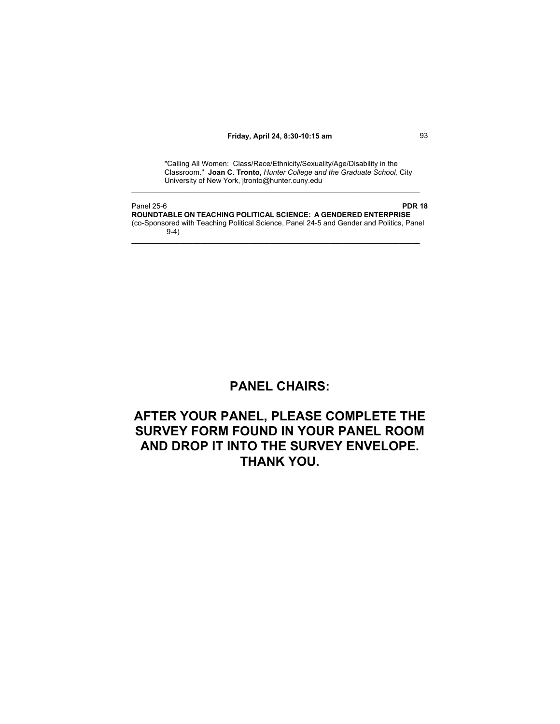"Calling All Women: Class/Race/Ethnicity/Sexuality/Age/Disability in the Classroom." **Joan C. Tronto,** *Hunter College and the Graduate School,* City University of New York, jtronto@hunter.cuny.edu

Panel 25-6 **PDR 18 ROUNDTABLE ON TEACHING POLITICAL SCIENCE: A GENDERED ENTERPRISE** (co-Sponsored with Teaching Political Science, Panel 24-5 and Gender and Politics, Panel 9-4)  $\_$  , and the set of the set of the set of the set of the set of the set of the set of the set of the set of the set of the set of the set of the set of the set of the set of the set of the set of the set of the set of th

\_\_\_\_\_\_\_\_\_\_\_\_\_\_\_\_\_\_\_\_\_\_\_\_\_\_\_\_\_\_\_\_\_\_\_\_\_\_\_\_\_\_\_\_\_\_\_\_\_\_\_\_\_\_\_\_\_\_\_\_\_\_\_\_\_\_\_\_\_\_\_

# **PANEL CHAIRS:**

# **AFTER YOUR PANEL, PLEASE COMPLETE THE SURVEY FORM FOUND IN YOUR PANEL ROOM AND DROP IT INTO THE SURVEY ENVELOPE. THANK YOU.**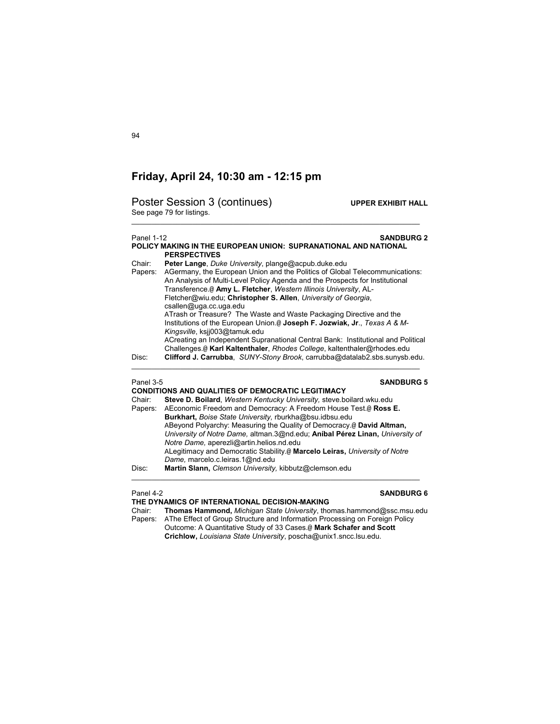# Poster Session 3 (continues) UPPER EXHIBIT HALL

See page 79 for listings.

### Panel 1-12 **SANDBURG 2 POLICY MAKING IN THE EUROPEAN UNION: SUPRANATIONAL AND NATIONAL PERSPECTIVES**

 $\mathcal{L}_\text{max}$  , and the set of the set of the set of the set of the set of the set of the set of the set of the set of

| Chair:  | Peter Lange, Duke University, plange@acpub.duke.edu                              |
|---------|----------------------------------------------------------------------------------|
| Papers: | AGermany, the European Union and the Politics of Global Telecommunications:      |
|         | An Analysis of Multi-Level Policy Agenda and the Prospects for Institutional     |
|         | Transference.@ Amy L. Fletcher, Western Illinois University, AL-                 |
|         | Fletcher@wiu.edu; Christopher S. Allen, University of Georgia,                   |
|         | csallen@uga.cc.uga.edu                                                           |
|         | ATrash or Treasure? The Waste and Waste Packaging Directive and the              |
|         | Institutions of the European Union @ Joseph F. Jozwiak, Jr., Texas A & M-        |
|         | Kingsville, ksji003@tamuk.edu                                                    |
|         | ACreating an Independent Supranational Central Bank: Institutional and Political |
|         | Challenges.@ Karl Kaltenthaler, Rhodes College, kaltenthaler@rhodes.edu          |
| Disc:   | Clifford J. Carrubba, SUNY-Stony Brook, carrubba@datalab2.sbs.sunysb.edu.        |
|         |                                                                                  |

### Panel 3-5 **SANDBURG 5**

|         | CONDITIONS AND QUALITIES OF DEMOCRATIC LEGITIMACY                            |
|---------|------------------------------------------------------------------------------|
| Chair:  | Steve D. Boilard, Western Kentucky University, steve boilard wku edu         |
| Papers: | AEconomic Freedom and Democracy: A Freedom House Test.@ Ross E.              |
|         | Burkhart, Boise State University, rburkha@bsu.idbsu.edu                      |
|         | ABeyond Polyarchy: Measuring the Quality of Democracy @ David Altman,        |
|         | University of Notre Dame, altman.3@nd.edu; Anibal Pérez Linan, University of |
|         | Notre Dame, aperezli@artin.helios.nd.edu                                     |
|         | ALegitimacy and Democratic Stability @ Marcelo Leiras, University of Notre   |
|         | Dame, marcelo.c.leiras.1@nd.edu                                              |
| Disc:   | Martin Slann, Clemson University, kibbutz@clemson.edu                        |
|         |                                                                              |

### **THE DYNAMICS OF INTERNATIONAL DECISION-MAKING**

Panel 4-2 **SANDBURG 6** 

Chair: **Thomas Hammond,** *Michigan State University*, thomas.hammond@ssc.msu.edu Papers: AThe Effect of Group Structure and Information Processing on Foreign Policy Outcome: A Quantitative Study of 33 Cases.@ **Mark Schafer and Scott Crichlow,** *Louisiana State University*, poscha@unix1.sncc.lsu.edu.

### 94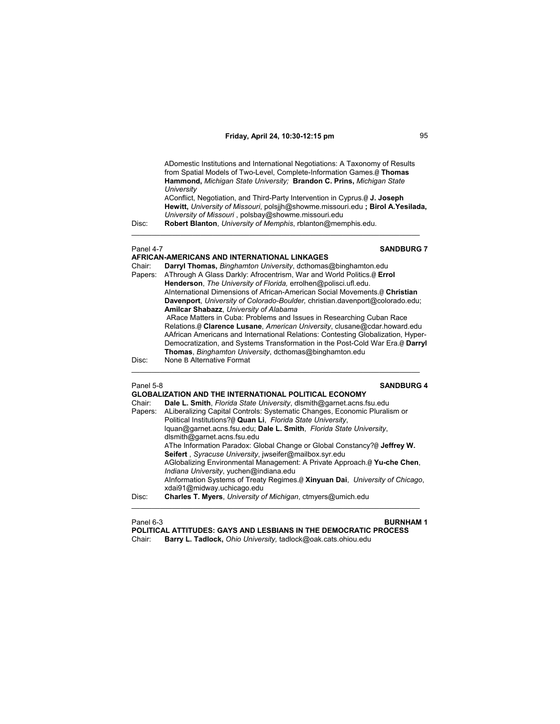ADomestic Institutions and International Negotiations: A Taxonomy of Results from Spatial Models of Two-Level, Complete-Information Games.@ **Thomas Hammond,** *Michigan State University;* **Brandon C. Prins,** *Michigan State University* AConflict, Negotiation, and Third-Party Intervention in Cyprus.@ **J. Joseph Hewitt,** *University of Missouri*, polsjjh@showme.missouri.edu **; Birol A.Yesilada,**  *University of Missouri* , polsbay@showme.missouri.edu Disc: **Robert Blanton**, *University of Memphis*, rblanton@memphis.edu.

# **AFRICAN-AMERICANS AND INTERNATIONAL LINKAGES**

### Panel 4-7 **SANDBURG 7**

| Chair:  | Darryl Thomas, Binghamton University, dcthomas@binghamton.edu                    |
|---------|----------------------------------------------------------------------------------|
| Papers: | AThrough A Glass Darkly: Afrocentrism, War and World Politics.@ Errol            |
|         | Henderson, The University of Florida, errolhen@polisci.ufl.edu.                  |
|         | AInternational Dimensions of African-American Social Movements.@ Christian       |
|         | Davenport, University of Colorado-Boulder, christian.davenport@colorado.edu;     |
|         | Amilcar Shabazz, University of Alabama                                           |
|         | ARace Matters in Cuba: Problems and Issues in Researching Cuban Race             |
|         | Relations @ Clarence Lusane, American University, clusane@cdar.howard.edu        |
|         | AAfrican Americans and International Relations: Contesting Globalization, Hyper- |
|         | Democratization, and Systems Transformation in the Post-Cold War Era.@ Darryl    |
|         | Thomas, Binghamton University, dcthomas@binghamton.edu                           |
| Disc:   | None B Alternative Format                                                        |
|         |                                                                                  |

 $\mathcal{L}_\text{max}$  , and the set of the set of the set of the set of the set of the set of the set of the set of the set of

 $\mathcal{L}_\text{G} = \{ \mathcal{L}_\text{G} \mid \mathcal{L}_\text{G} \mid \mathcal{L}_\text{G} \mid \mathcal{L}_\text{G} \mid \mathcal{L}_\text{G} \mid \mathcal{L}_\text{G} \mid \mathcal{L}_\text{G} \mid \mathcal{L}_\text{G} \mid \mathcal{L}_\text{G} \mid \mathcal{L}_\text{G} \mid \mathcal{L}_\text{G} \mid \mathcal{L}_\text{G} \mid \mathcal{L}_\text{G} \mid \mathcal{L}_\text{G} \mid \mathcal{L}_\text{G} \mid \mathcal{L}_\text{G}$ 

| Panel 5-8 | <b>SANDBURG 4</b><br><b>GLOBALIZATION AND THE INTERNATIONAL POLITICAL ECONOMY</b> |
|-----------|-----------------------------------------------------------------------------------|
| Chair:    | Dale L. Smith, Florida State University, dismith@garnet.acns.fsu.edu              |
| Papers:   | ALiberalizing Capital Controls: Systematic Changes, Economic Pluralism or         |
|           | Political Institutions?@ Quan Li, Florida State University,                       |
|           | Iquan@garnet.acns.fsu.edu; Dale L. Smith, Florida State University,               |
|           | dlsmith@garnet.acns.fsu.edu                                                       |
|           | AThe Information Paradox: Global Change or Global Constancy?@ Jeffrey W.          |
|           | Seifert, Syracuse University, iwseifer@mailbox.syr.edu                            |

AGlobalizing Environmental Management: A Private Approach.@ **Yu-che Chen**, *Indiana University*, yuchen@indiana.edu

AInformation Systems of Treaty Regimes.@ **Xinyuan Dai**, *University of Chicago*, xdai91@midway.uchicago.edu

Disc: **Charles T. Myers**, *University of Michigan*, ctmyers@umich.edu  $\mathcal{L}_\text{G} = \{ \mathcal{L}_\text{G} \mid \mathcal{L}_\text{G} \mid \mathcal{L}_\text{G} \mid \mathcal{L}_\text{G} \mid \mathcal{L}_\text{G} \mid \mathcal{L}_\text{G} \mid \mathcal{L}_\text{G} \mid \mathcal{L}_\text{G} \mid \mathcal{L}_\text{G} \mid \mathcal{L}_\text{G} \mid \mathcal{L}_\text{G} \mid \mathcal{L}_\text{G} \mid \mathcal{L}_\text{G} \mid \mathcal{L}_\text{G} \mid \mathcal{L}_\text{G} \mid \mathcal{L}_\text{G}$ 

Panel 6-3 **BURNHAM 1** 

**POLITICAL ATTITUDES: GAYS AND LESBIANS IN THE DEMOCRATIC PROCESS** Chair: **Barry L. Tadlock,** *Ohio University,* tadlock@oak.cats.ohiou.edu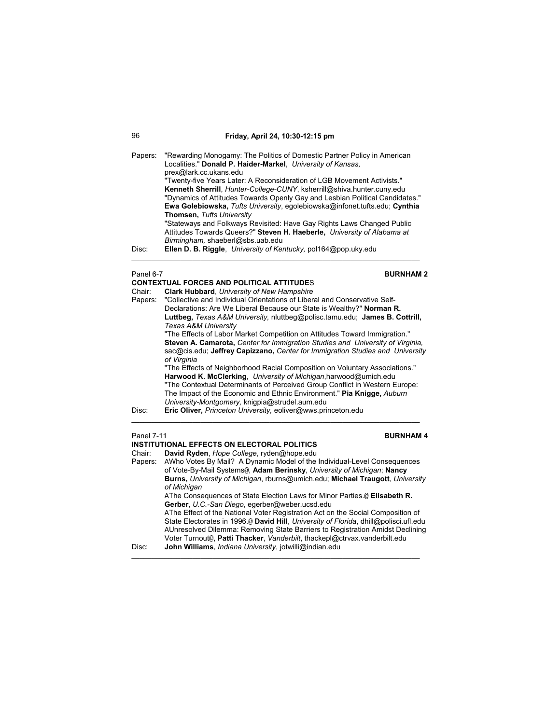| Papers: | "Rewarding Monogamy: The Politics of Domestic Partner Policy in American<br>Localities." Donald P. Haider-Markel, University of Kansas.<br>prex@lark.cc.ukans.edu |
|---------|-------------------------------------------------------------------------------------------------------------------------------------------------------------------|
|         | "Twenty-five Years Later: A Reconsideration of LGB Movement Activists."                                                                                           |
|         | Kenneth Sherrill, Hunter-College-CUNY, ksherrill@shiva.hunter.cuny.edu<br>"Dynamics of Attitudes Towards Openly Gay and Lesbian Political Candidates."            |
|         | Ewa Golebiowska, Tufts University, egolebiowska@infonet.tufts.edu; Cynthia                                                                                        |
|         | Thomsen, Tufts University                                                                                                                                         |
|         | "Stateways and Folkways Revisited: Have Gay Rights Laws Changed Public                                                                                            |
|         | Attitudes Towards Queers?" Steven H. Haeberle, University of Alabama at                                                                                           |
|         | Birmingham, shaeberl@sbs.uab.edu                                                                                                                                  |
| Disc:   | <b>Ellen D. B. Riggle.</b> University of Kentucky, pol164@pop.uky.edu                                                                                             |

\_\_\_\_\_\_\_\_\_\_\_\_\_\_\_\_\_\_\_\_\_\_\_\_\_\_\_\_\_\_\_\_\_\_\_\_\_\_\_\_\_\_\_\_\_\_\_\_\_\_\_\_\_\_\_\_\_\_\_\_\_\_\_\_\_\_\_\_\_\_\_

### Panel 6-7 **BURNHAM 2**

|            | CONTEXTUAL FORCES AND POLITICAL ATTITUDES                                      |
|------------|--------------------------------------------------------------------------------|
| Chair:     | <b>Clark Hubbard, University of New Hampshire</b>                              |
| Papers:    | "Collective and Individual Orientations of Liberal and Conservative Self-      |
|            | Declarations: Are We Liberal Because our State is Wealthy?" Norman R.          |
|            | Luttbeg, Texas A&M University, nluttbeg@polisc.tamu.edu; James B. Cottrill,    |
|            | Texas A&M University                                                           |
|            | "The Effects of Labor Market Competition on Attitudes Toward Immigration."     |
|            | Steven A. Camarota, Center for Immigration Studies and University of Virginia. |
|            | sac@cis.edu; Jeffrey Capizzano, Center for Immigration Studies and University  |
|            | of Virginia                                                                    |
|            | "The Effects of Neighborhood Racial Composition on Voluntary Associations."    |
|            | Harwood K. McClerking, University of Michigan, harwood@umich.edu               |
|            | "The Contextual Determinants of Perceived Group Conflict in Western Europe:    |
|            | The Impact of the Economic and Ethnic Environment." Pia Knigge, Auburn         |
|            | University-Montgomery, knigpia@strudel.aum.edu                                 |
| Disc:      | Eric Oliver, Princeton University, eoliver@wws.princeton.edu                   |
|            |                                                                                |
| Panel 7-11 | <b>BURNHAM 4</b>                                                               |
|            |                                                                                |

**INSTITUTIONAL EFFECTS ON ELECTORAL POLITICS** Chair: **David Ryden**, *Hope College*, ryden@hope.edu Papers: AWho Votes By Mail? A Dynamic Model of the Individual-Level Consequences of Vote-By-Mail Systems@, **Adam Berinsky**, *University of Michigan*; **Nancy Burns,** *University of Michigan*, rburns@umich.edu; **Michael Traugott**, *University of Michigan* AThe Consequences of State Election Laws for Minor Parties.@ **Elisabeth R. Gerber**, *U.C.-San Diego*, egerber@weber.ucsd.edu AThe Effect of the National Voter Registration Act on the Social Composition of State Electorates in 1996.@ **David Hill**, *University of Florida*, dhill@polisci.ufl.edu AUnresolved Dilemma: Removing State Barriers to Registration Amidst Declining Voter Turnout@, **Patti Thacker**, *Vanderbilt*, thackepl@ctrvax.vanderbilt.edu

 $\mathcal{L}_\text{max}$  , and the set of the set of the set of the set of the set of the set of the set of the set of the set of

Disc: **John Williams**, *Indiana University*, jotwilli@indian.edu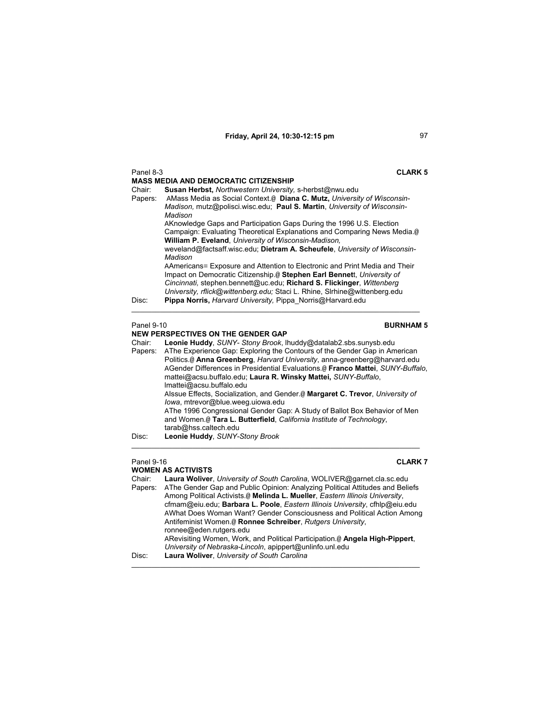### Panel 8-3 **CLARK 5**

|         | <b>MASS MEDIA AND DEMOCRATIC CITIZENSHIP</b>                                                                                                                                                                                   |
|---------|--------------------------------------------------------------------------------------------------------------------------------------------------------------------------------------------------------------------------------|
| Chair:  | Susan Herbst, Northwestern University, s-herbst@nwu.edu                                                                                                                                                                        |
| Papers: | AMass Media as Social Context @ Diana C. Mutz, University of Wisconsin-                                                                                                                                                        |
|         | Madison, mutz@polisci.wisc.edu: Paul S. Martin, University of Wisconsin-<br>Madison                                                                                                                                            |
|         | AKnowledge Gaps and Participation Gaps During the 1996 U.S. Election                                                                                                                                                           |
|         | Campaign: Evaluating Theoretical Explanations and Comparing News Media.@<br>William P. Eveland, University of Wisconsin-Madison,                                                                                               |
|         | weveland@factsaff.wisc.edu; Dietram A. Scheufele, University of Wisconsin-<br>Madison                                                                                                                                          |
|         | AAmericans = Exposure and Attention to Electronic and Print Media and Their<br>Impact on Democratic Citizenship.@ Stephen Earl Bennett, University of<br>Cincinnati, stephen bennett@uc.edu; Richard S. Flickinger, Wittenberg |
|         | University, rflick@wittenberg.edu: Staci L. Rhine, SIrhine@wittenberg.edu                                                                                                                                                      |
| Disc:   | Pippa Norris, Harvard University, Pippa Norris@Harvard.edu                                                                                                                                                                     |
|         |                                                                                                                                                                                                                                |

## Panel 9-10 **BURNHAM 5**

## **NEW PERSPECTIVES ON THE GENDER GAP**

| Chair:  | Leonie Huddy, SUNY- Stony Brook, Ihuddy@datalab2.sbs.sunysb.edu                            |
|---------|--------------------------------------------------------------------------------------------|
| Papers: | AThe Experience Gap: Exploring the Contours of the Gender Gap in American                  |
|         | Politics.@ Anna Greenberg, Harvard University, anna-greenberg@harvard.edu                  |
|         | AGender Differences in Presidential Evaluations. <sup>®</sup> Franco Mattei, SUNY-Buffalo, |
|         | mattei@acsu.buffalo.edu; Laura R. Winsky Mattei, SUNY-Buffalo,                             |
|         | Imattei@acsu.buffalo.edu                                                                   |
|         | Alssue Effects, Socialization, and Gender @ Margaret C. Trevor, University of              |
|         | lowa, mtrevor@blue.weeg.uiowa.edu                                                          |
|         | AThe 1996 Congressional Gender Gap: A Study of Ballot Box Behavior of Men                  |
|         | and Women.@ Tara L. Butterfield, California Institute of Technology,                       |
|         | tarab@hss.caltech.edu                                                                      |
| Disc:   | Leonie Huddy, SUNY-Stony Brook                                                             |

 $\mathcal{L}_\text{G} = \{ \mathcal{L}_\text{G} \mid \mathcal{L}_\text{G} \mid \mathcal{L}_\text{G} \mid \mathcal{L}_\text{G} \mid \mathcal{L}_\text{G} \mid \mathcal{L}_\text{G} \mid \mathcal{L}_\text{G} \mid \mathcal{L}_\text{G} \mid \mathcal{L}_\text{G} \mid \mathcal{L}_\text{G} \mid \mathcal{L}_\text{G} \mid \mathcal{L}_\text{G} \mid \mathcal{L}_\text{G} \mid \mathcal{L}_\text{G} \mid \mathcal{L}_\text{G} \mid \mathcal{L}_\text{G}$ 

### Panel 9-16 **CLARK 7**

**WOMEN AS ACTIVISTS** Laura Woliver, *University of South Carolina*, WOLIVER@garnet.cla.sc.edu Papers: AThe Gender Gap and Public Opinion: Analyzing Political Attitudes and Beliefs Among Political Activists.@ **Melinda L. Mueller**, *Eastern Illinois University*, cfmam@eiu.edu; **Barbara L. Poole**, *Eastern Illinois University*, cfhlp@eiu.edu AWhat Does Woman Want? Gender Consciousness and Political Action Among Antifeminist Women.@ **Ronnee Schreiber**, *Rutgers University*, ronnee@eden.rutgers.edu ARevisiting Women, Work, and Political Participation.@ **Angela High-Pippert**, *University of Nebraska-Lincoln*, apippert@unlinfo.unl.edu Disc: **Laura Woliver**, *University of South Carolina*

 $\mathcal{L}_\text{max}$  , and the set of the set of the set of the set of the set of the set of the set of the set of the set of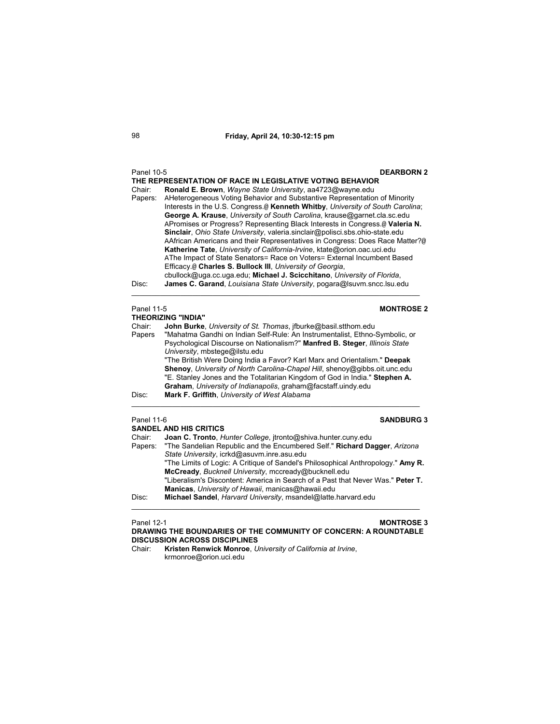| Panel 10-5<br><b>DEARBORN 2</b> |                                                                                                                                                                                                                                                                                                                                                                                                                                                                                                                                                                                                                                                                                                                                                                                                                                                                                                                                                                                                        |
|---------------------------------|--------------------------------------------------------------------------------------------------------------------------------------------------------------------------------------------------------------------------------------------------------------------------------------------------------------------------------------------------------------------------------------------------------------------------------------------------------------------------------------------------------------------------------------------------------------------------------------------------------------------------------------------------------------------------------------------------------------------------------------------------------------------------------------------------------------------------------------------------------------------------------------------------------------------------------------------------------------------------------------------------------|
| Chair:<br>Papers:<br>Disc:      | THE REPRESENTATION OF RACE IN LEGISLATIVE VOTING BEHAVIOR<br>Ronald E. Brown, Wayne State University, aa4723@wayne.edu<br>AHeterogeneous Voting Behavior and Substantive Representation of Minority<br>Interests in the U.S. Congress. <sup>®</sup> Kenneth Whitby, University of South Carolina;<br>George A. Krause, University of South Carolina, krause@garnet.cla.sc.edu<br>APromises or Progress? Representing Black Interests in Congress.@ Valeria N.<br>Sinclair, Ohio State University, valeria sinclair@polisci sbs ohio-state edu<br>AAfrican Americans and their Representatives in Congress: Does Race Matter?@<br>Katherine Tate, University of California-Irvine, ktate@orion.oac.uci.edu<br>AThe Impact of State Senators= Race on Voters= External Incumbent Based<br>Efficacy.@ Charles S. Bullock III, University of Georgia,<br>cbullock@uga.cc.uga.edu; Michael J. Scicchitano, University of Florida,<br>James C. Garand, Louisiana State University, pogara@Isuvm.sncc.Isu.edu |
|                                 |                                                                                                                                                                                                                                                                                                                                                                                                                                                                                                                                                                                                                                                                                                                                                                                                                                                                                                                                                                                                        |
| Panel 11-5                      | <b>MONTROSE 2</b>                                                                                                                                                                                                                                                                                                                                                                                                                                                                                                                                                                                                                                                                                                                                                                                                                                                                                                                                                                                      |
| Chair:                          | <b>THEORIZING "INDIA"</b><br>John Burke, University of St. Thomas, ifburke@basil.stthom.edu                                                                                                                                                                                                                                                                                                                                                                                                                                                                                                                                                                                                                                                                                                                                                                                                                                                                                                            |
| Papers                          | "Mahatma Gandhi on Indian Self-Rule: An Instrumentalist, Ethno-Symbolic, or<br>Psychological Discourse on Nationalism?" Manfred B. Steger, Illinois State<br>University, mbstege@ilstu.edu                                                                                                                                                                                                                                                                                                                                                                                                                                                                                                                                                                                                                                                                                                                                                                                                             |
|                                 | "The British Were Doing India a Favor? Karl Marx and Orientalism." Deepak<br>Shenoy, University of North Carolina-Chapel Hill, shenoy@gibbs.oit.unc.edu                                                                                                                                                                                                                                                                                                                                                                                                                                                                                                                                                                                                                                                                                                                                                                                                                                                |
| Disc:                           | "E. Stanley Jones and the Totalitarian Kingdom of God in India." Stephen A.<br>Graham, University of Indianapolis, graham@facstaff.uindy.edu<br>Mark F. Griffith, University of West Alabama                                                                                                                                                                                                                                                                                                                                                                                                                                                                                                                                                                                                                                                                                                                                                                                                           |
| Panel 11-6                      | <b>SANDBURG 3</b>                                                                                                                                                                                                                                                                                                                                                                                                                                                                                                                                                                                                                                                                                                                                                                                                                                                                                                                                                                                      |
|                                 | <b>SANDEL AND HIS CRITICS</b>                                                                                                                                                                                                                                                                                                                                                                                                                                                                                                                                                                                                                                                                                                                                                                                                                                                                                                                                                                          |
| Chair:                          | Joan C. Tronto, Hunter College, jtronto@shiva.hunter.cuny.edu                                                                                                                                                                                                                                                                                                                                                                                                                                                                                                                                                                                                                                                                                                                                                                                                                                                                                                                                          |
| Papers:                         | "The Sandelian Republic and the Encumbered Self." Richard Dagger, Arizona<br>State University, icrkd@asuvm.inre.asu.edu                                                                                                                                                                                                                                                                                                                                                                                                                                                                                                                                                                                                                                                                                                                                                                                                                                                                                |
|                                 | "The Limits of Logic: A Critique of Sandel's Philosophical Anthropology." Amy R.                                                                                                                                                                                                                                                                                                                                                                                                                                                                                                                                                                                                                                                                                                                                                                                                                                                                                                                       |
|                                 | McCready, Bucknell University, mccready@bucknell.edu                                                                                                                                                                                                                                                                                                                                                                                                                                                                                                                                                                                                                                                                                                                                                                                                                                                                                                                                                   |
|                                 | "Liberalism's Discontent: America in Search of a Past that Never Was." Peter T.                                                                                                                                                                                                                                                                                                                                                                                                                                                                                                                                                                                                                                                                                                                                                                                                                                                                                                                        |
|                                 | Manicas, University of Hawaii, manicas@hawaii.edu                                                                                                                                                                                                                                                                                                                                                                                                                                                                                                                                                                                                                                                                                                                                                                                                                                                                                                                                                      |
| Disc:                           | Michael Sandel, Harvard University, msandel@latte.harvard.edu                                                                                                                                                                                                                                                                                                                                                                                                                                                                                                                                                                                                                                                                                                                                                                                                                                                                                                                                          |
|                                 |                                                                                                                                                                                                                                                                                                                                                                                                                                                                                                                                                                                                                                                                                                                                                                                                                                                                                                                                                                                                        |

### Panel 12-1 **MONTROSE 3 DRAWING THE BOUNDARIES OF THE COMMUNITY OF CONCERN: A ROUNDTABLE**

## **DISCUSSION ACROSS DISCIPLINES**

Chair: **Kristen Renwick Monroe**, *University of California at Irvine*, krmonroe@orion.uci.edu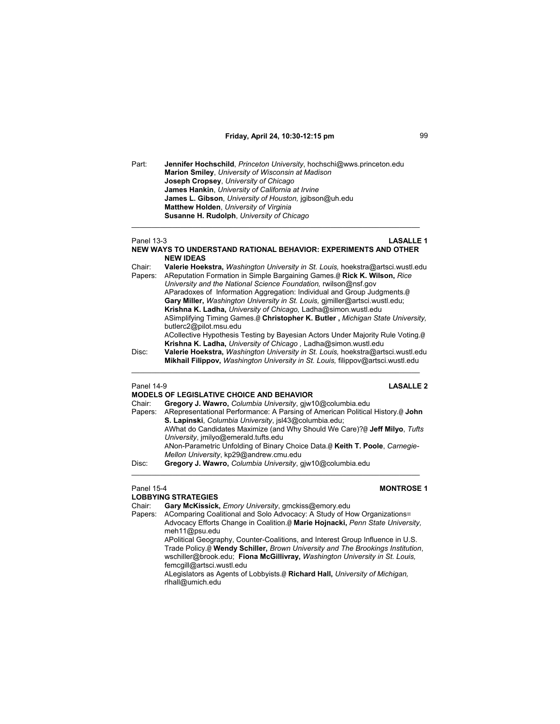Part: **Jennifer Hochschild**, *Princeton University*, hochschi@wws.princeton.edu **Marion Smiley**, *University of Wisconsin at Madison* **Joseph Cropsey**, *University of Chicago* **James Hankin**, *University of California at Irvine* **James L. Gibson**, *University of Houston,* jgibson@uh.edu **Matthew Holden**, *University of Virginia* **Susanne H. Rudolph**, *University of Chicago* 

## Panel 13-3 **LASALLE 1**

### **NEW WAYS TO UNDERSTAND RATIONAL BEHAVIOR: EXPERIMENTS AND OTHER NEW IDEAS** Chair: **Valerie Hoekstra,** *Washington University in St. Louis,* hoekstra@artsci.wustl.edu

 $\mathcal{L}_\text{G} = \{ \mathcal{L}_\text{G} \mid \mathcal{L}_\text{G} \mid \mathcal{L}_\text{G} \mid \mathcal{L}_\text{G} \mid \mathcal{L}_\text{G} \mid \mathcal{L}_\text{G} \mid \mathcal{L}_\text{G} \mid \mathcal{L}_\text{G} \mid \mathcal{L}_\text{G} \mid \mathcal{L}_\text{G} \mid \mathcal{L}_\text{G} \mid \mathcal{L}_\text{G} \mid \mathcal{L}_\text{G} \mid \mathcal{L}_\text{G} \mid \mathcal{L}_\text{G} \mid \mathcal{L}_\text{G}$ 

| UI Idil . | <b>Valefie Hoekstra,</b> <i>Viashington Only ersity in St. Louis</i> , noekstra@artscr.wusti.edu |  |  |  |
|-----------|--------------------------------------------------------------------------------------------------|--|--|--|
| Papers:   | AReputation Formation in Simple Bargaining Games @ Rick K. Wilson, Rice                          |  |  |  |
|           | University and the National Science Foundation, rwilson@nsf.gov                                  |  |  |  |
|           | AParadoxes of Information Aggregation: Individual and Group Judgments.@                          |  |  |  |
|           | Gary Miller, <i>Washington University in St. Louis</i> , gimiller@artsci.wustl.edu;              |  |  |  |
|           | Krishna K. Ladha, University of Chicago, Ladha@simon.wustl.edu                                   |  |  |  |
|           | ASimplifying Timing Games.@ Christopher K. Butler, Michigan State University.                    |  |  |  |
|           | butlerc2@pilot.msu.edu                                                                           |  |  |  |
|           | ACollective Hypothesis Testing by Bayesian Actors Under Majority Rule Voting.@                   |  |  |  |
|           | Krishna K. Ladha, University of Chicago, Ladha@simon.wustl.edu                                   |  |  |  |
| Disc:     | Valerie Hoekstra, Washington University in St. Louis, hoekstra@artsci.wustl.edu                  |  |  |  |
|           | Mikhail Filippov, Washington University in St. Louis, filippov@artsci.wustl.edu                  |  |  |  |

### Panel 14-9 **LASALLE 2**

### **MODELS OF LEGISLATIVE CHOICE AND BEHAVIOR**

| Chair:  | Gregory J. Wawro, Columbia University, giw10@columbia.edu                     |  |  |  |
|---------|-------------------------------------------------------------------------------|--|--|--|
| Papers: | ARepresentational Performance: A Parsing of American Political History.@ John |  |  |  |
|         | S. Lapinski, Columbia University, jsl43@columbia.edu;                         |  |  |  |
|         | AWhat do Candidates Maximize (and Why Should We Care)?@ Jeff Milyo, Tufts     |  |  |  |
|         | University, imilyo@emerald.tufts.edu                                          |  |  |  |
|         | ANon-Parametric Unfolding of Binary Choice Data @ Keith T. Poole, Carnegie-   |  |  |  |
|         | Mellon University, kp29@andrew.cmu.edu                                        |  |  |  |
| Disc:   | Gregory J. Wawro, Columbia University, giw10@columbia.edu                     |  |  |  |

 $\mathcal{L}_\text{G} = \{ \mathcal{L}_\text{G} \mid \mathcal{L}_\text{G} \mid \mathcal{L}_\text{G} \mid \mathcal{L}_\text{G} \mid \mathcal{L}_\text{G} \mid \mathcal{L}_\text{G} \mid \mathcal{L}_\text{G} \mid \mathcal{L}_\text{G} \mid \mathcal{L}_\text{G} \mid \mathcal{L}_\text{G} \mid \mathcal{L}_\text{G} \mid \mathcal{L}_\text{G} \mid \mathcal{L}_\text{G} \mid \mathcal{L}_\text{G} \mid \mathcal{L}_\text{G} \mid \mathcal{L}_\text{G}$ 

\_\_\_\_\_\_\_\_\_\_\_\_\_\_\_\_\_\_\_\_\_\_\_\_\_\_\_\_\_\_\_\_\_\_\_\_\_\_\_\_\_\_\_\_\_\_\_\_\_\_\_\_\_\_\_\_\_\_\_\_\_\_\_\_\_\_\_\_\_\_\_

## Panel 15-4 **MONTROSE 1**

**LOBBYING STRATEGIES** Chair: **Gary McKissick,** *Emory University*, gmckiss@emory.edu Papers: AComparing Coalitional and Solo Advocacy: A Study of How Organizations= Advocacy Efforts Change in Coalition.@ **Marie Hojnacki,** *Penn State University,*  meh11@psu.edu APolitical Geography, Counter-Coalitions, and Interest Group Influence in U.S. Trade Policy.@ **Wendy Schiller,** *Brown University and The Brookings Institution*, wschiller@brook.edu; **Fiona McGillivray,** *Washington University in St. Louis,*  femcgill@artsci.wustl.edu ALegislators as Agents of Lobbyists.@ **Richard Hall,** *University of Michigan,*

rlhall@umich.edu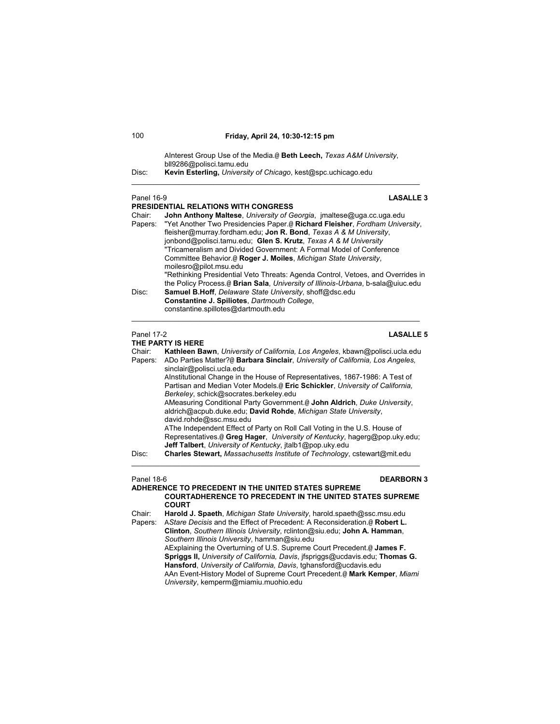|       | Alnterest Group Use of the Media.@ Beth Leech, Texas A&M University, |
|-------|----------------------------------------------------------------------|
|       | bll9286@polisci.tamu.edu                                             |
| Disc: | <b>Kevin Esterling, University of Chicago, kest@spc.uchicago.edu</b> |

 $\mathcal{L}_\text{max}$  , and the set of the set of the set of the set of the set of the set of the set of the set of the set of

### Panel 16-9 **LASALLE 3**

### **PRESIDENTIAL RELATIONS WITH CONGRESS**

| John Anthony Maltese, University of Georgia, jmaltese@uga.cc.uga.edu<br>"Yet Another Two Presidencies Paper.@ Richard Fleisher, Fordham University,<br>Papers:                 |
|--------------------------------------------------------------------------------------------------------------------------------------------------------------------------------|
| fleisher@murray.fordham.edu; Jon R. Bond, Texas A & M University,                                                                                                              |
| jonbond@polisci.tamu.edu; Glen S. Krutz, Texas A & M University                                                                                                                |
| "Tricameralism and Divided Government: A Formal Model of Conference                                                                                                            |
| Committee Behavior.@ Roger J. Moiles, Michigan State University,                                                                                                               |
| moilesro@pilot.msu.edu                                                                                                                                                         |
| "Rethinking Presidential Veto Threats: Agenda Control, Vetoes, and Overrides in<br>the Policy Process. <sup>®</sup> Brian Sala, University of Illinois-Urbana, b-sala@uiuc.edu |
| <b>Samuel B.Hoff, Delaware State University, shoff@dsc.edu</b>                                                                                                                 |
| Constantine J. Spiliotes, Dartmouth College,<br>constantine.spillotes@dartmouth.edu                                                                                            |
|                                                                                                                                                                                |

### Panel 17-2 **LASALLE 5**

**THE PARTY IS HERE**

Chair: **Kathleen Bawn**, *University of California, Los Angeles*, kbawn@polisci.ucla.edu Papers: ADo Parties Matter?@ **Barbara Sinclair**, *University of California, Los Angeles,* sinclair@polisci.ucla.edu AInstitutional Change in the House of Representatives, 1867-1986: A Test of Partisan and Median Voter Models.@ **Eric Schickler**, *University of California, Berkeley*, schick@socrates.berkeley.edu AMeasuring Conditional Party Government.@ **John Aldrich**, *Duke University*, aldrich@acpub.duke.edu; **David Rohde**, *Michigan State University*, david.rohde@ssc.msu.edu AThe Independent Effect of Party on Roll Call Voting in the U.S. House of Representatives.@ **Greg Hager**, *University of Kentucky*, hagerg@pop.uky.edu; **Jeff Talbert**, *University of Kentucky*, jtalb1@pop.uky.edu Disc: **Charles Stewart,** *Massachusetts Institute of Technology*, cstewart@mit.edu

Panel 18-6 **DEARBORN 3** 

### **ADHERENCE TO PRECEDENT IN THE UNITED STATES SUPREME COURTADHERENCE TO PRECEDENT IN THE UNITED STATES SUPREME COURT**

 $\mathcal{L}_\text{G} = \{ \mathcal{L}_\text{G} \mid \mathcal{L}_\text{G} \mid \mathcal{L}_\text{G} \mid \mathcal{L}_\text{G} \mid \mathcal{L}_\text{G} \mid \mathcal{L}_\text{G} \mid \mathcal{L}_\text{G} \mid \mathcal{L}_\text{G} \mid \mathcal{L}_\text{G} \mid \mathcal{L}_\text{G} \mid \mathcal{L}_\text{G} \mid \mathcal{L}_\text{G} \mid \mathcal{L}_\text{G} \mid \mathcal{L}_\text{G} \mid \mathcal{L}_\text{G} \mid \mathcal{L}_\text{G}$ 

Chair: **Harold J. Spaeth**, *Michigan State University*, harold.spaeth@ssc.msu.edu Papers: A*Stare Decisis* and the Effect of Precedent: A Reconsideration.@ **Robert L. Clinton**, *Southern Illinois University*, rclinton@siu.edu; **John A. Hamman**, *Southern Illinois University*, hamman@siu.edu AExplaining the Overturning of U.S. Supreme Court Precedent.@ **James F. Spriggs II,** *University of California, Davis*, jfspriggs@ucdavis.edu; **Thomas G. Hansford**, *University of California, Davis*, tghansford@ucdavis.edu AAn Event-History Model of Supreme Court Precedent.@ **Mark Kemper**, *Miami University*, kemperm@miamiu.muohio.edu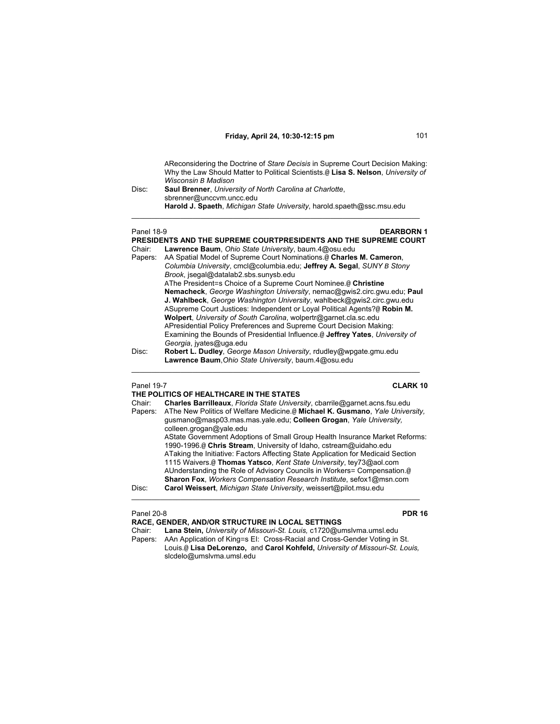AReconsidering the Doctrine of *Stare Decisis* in Supreme Court Decision Making: Why the Law Should Matter to Political Scientists.@ **Lisa S. Nelson**, *University of Wisconsin* B *Madison* Disc: **Saul Brenner**, *University of North Carolina at Charlotte*, sbrenner@unccvm.uncc.edu **Harold J. Spaeth**, *Michigan State University*, harold.spaeth@ssc.msu.edu  $\mathcal{L}_\text{max}$  , and the set of the set of the set of the set of the set of the set of the set of the set of the set of Panel 18-9 **DEARBORN 1 PRESIDENTS AND THE SUPREME COURTPRESIDENTS AND THE SUPREME COURT** Chair: **Lawrence Baum**, *Ohio State University*, baum.4@osu.edu Papers: AA Spatial Model of Supreme Court Nominations.@ **Charles M. Cameron**, *Columbia University*, cmcl@columbia.edu; **Jeffrey A. Segal**, *SUNY* B *Stony Brook*, jsegal@datalab2.sbs.sunysb.edu AThe President=s Choice of a Supreme Court Nominee.@ **Christine Nemacheck**, *George Washington University*, nemac@gwis2.circ.gwu.edu; **Paul J. Wahlbeck**, *George Washington University*, wahlbeck@gwis2.circ.gwu.edu ASupreme Court Justices: Independent or Loyal Political Agents?@ **Robin M. Wolpert**, *University of South Carolina*, wolpertr@garnet.cla.sc.edu APresidential Policy Preferences and Supreme Court Decision Making: Examining the Bounds of Presidential Influence.@ **Jeffrey Yates**, *University of Georgia*, jyates@uga.edu Disc: **Robert L. Dudley**, *George Mason University*, rdudley@wpgate.gmu.edu **Lawrence Baum**,*Ohio State University*, baum.4@osu.edu  $\mathcal{L}_\text{max}$  , and the set of the set of the set of the set of the set of the set of the set of the set of the set of Panel 19-7 **CLARK 10 THE POLITICS OF HEALTHCARE IN THE STATES** Chair: **Charles Barrilleaux**, *Florida State University*, cbarrile@garnet.acns.fsu.edu Papers: AThe New Politics of Welfare Medicine.@ **Michael K. Gusmano**, *Yale University,* gusmano@masp03.mas.mas.yale.edu; **Colleen Grogan**, *Yale University,*  colleen.grogan@yale.edu AState Government Adoptions of Small Group Health Insurance Market Reforms: 1990-1996.@ **Chris Stream**, University of Idaho, cstream@uidaho.edu ATaking the Initiative: Factors Affecting State Application for Medicaid Section 1115 Waivers.@ **Thomas Yatsco**, *Kent State University*, tey73@aol.com AUnderstanding the Role of Advisory Councils in Workers= Compensation.@ **Sharon Fox**, *Workers Compensation Research Institute*, sefox1@msn.com

Disc: **Carol Weissert**, *Michigan State University*, weissert@pilot.msu.edu

| Panel 20-8 | <b>PDR 16</b>                                                                            |
|------------|------------------------------------------------------------------------------------------|
|            | RACE, GENDER, AND/OR STRUCTURE IN LOCAL SETTINGS                                         |
| Chair:     | Lana Stein, University of Missouri-St. Louis, c1720@umslyma.umsl.edu                     |
|            | Papers: AAn Application of King=s EI: Cross-Racial and Cross-Gender Voting in St.        |
|            | Louis. <sup>®</sup> Lisa DeLorenzo, and Carol Kohfeld, University of Missouri-St. Louis. |
|            | sicdelo@umslvma.umsl.edu                                                                 |

 $\mathcal{L}_\text{max}$  , and the set of the set of the set of the set of the set of the set of the set of the set of the set of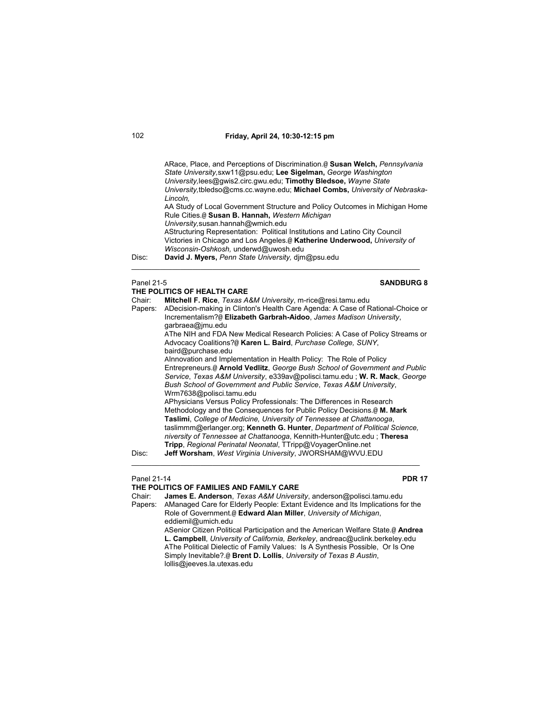ARace, Place, and Perceptions of Discrimination.@ **Susan Welch,** *Pennsylvania State University,*sxw11@psu.edu; **Lee Sigelman,** *George Washington University,*lees@gwis2.circ.gwu.edu; **Timothy Bledsoe,** *Wayne State University,*tbledso@cms.cc.wayne.edu; **Michael Combs,** *University of Nebraska-Lincoln,* AA Study of Local Government Structure and Policy Outcomes in Michigan Home Rule Cities.@ **Susan B. Hannah,** *Western Michigan University,*susan.hannah@wmich.edu AStructuring Representation: Political Institutions and Latino City Council Victories in Chicago and Los Angeles.@ **Katherine Underwood,** *University of Wisconsin-Oshkosh,* underwd@uwosh.edu Disc: **David J. Myers,** *Penn State University,* djm@psu.edu

\_\_\_\_\_\_\_\_\_\_\_\_\_\_\_\_\_\_\_\_\_\_\_\_\_\_\_\_\_\_\_\_\_\_\_\_\_\_\_\_\_\_\_\_\_\_\_\_\_\_\_\_\_\_\_\_\_\_\_\_\_\_\_\_\_\_\_\_\_\_\_

### Panel 21-5 **SANDBURG 8**

|         | THE POLITICS OF HEALTH CARE                                                                                                                                                                                                                                                                                                                                                                                                                     |
|---------|-------------------------------------------------------------------------------------------------------------------------------------------------------------------------------------------------------------------------------------------------------------------------------------------------------------------------------------------------------------------------------------------------------------------------------------------------|
| Chair:  | Mitchell F. Rice, Texas A&M University, m-rice@resi.tamu.edu                                                                                                                                                                                                                                                                                                                                                                                    |
| Papers: | ADecision-making in Clinton's Health Care Agenda: A Case of Rational-Choice or<br>Incrementalism?@ Elizabeth Garbrah-Aidoo, James Madison University,<br>garbraea@jmu.edu                                                                                                                                                                                                                                                                       |
|         | AThe NIH and FDA New Medical Research Policies: A Case of Policy Streams or<br>Advocacy Coalitions?@ Karen L. Baird, Purchase College, SUNY,<br>baird@purchase.edu                                                                                                                                                                                                                                                                              |
|         | Alnnovation and Implementation in Health Policy: The Role of Policy<br>Entrepreneurs. <sup>®</sup> Arnold Vedlitz, George Bush School of Government and Public<br>Service, Texas A&M University, e339av@polisci.tamu.edu; W. R. Mack, George<br>Bush School of Government and Public Service, Texas A&M University,<br>Wrm7638@polisci.tamu.edu                                                                                                 |
|         | APhysicians Versus Policy Professionals: The Differences in Research<br>Methodology and the Consequences for Public Policy Decisions.@ M. Mark<br>Taslimi, College of Medicine, University of Tennessee at Chattanooga,<br>taslimmm@erlanger.org; Kenneth G. Hunter, Department of Political Science,<br>niversity of Tennessee at Chattanooga, Kennith-Hunter@utc.edu; Theresa<br>Tripp, Regional Perinatal Neonatal, TTripp@VoyagerOnline.net |
| Disc:   | Jeff Worsham, West Virginia University, JWORSHAM@WVU.EDU                                                                                                                                                                                                                                                                                                                                                                                        |

### Panel 21-14 **PDR 17**

### **THE POLITICS OF FAMILIES AND FAMILY CARE**

Chair: **James E. Anderson**, *Texas A&M University*, anderson@polisci.tamu.edu Papers: AManaged Care for Elderly People: Extant Evidence and Its Implications for the Role of Government.@ **Edward Alan Miller**, *University of Michigan*, eddiemil@umich.edu ASenior Citizen Political Participation and the American Welfare State.@ **Andrea L. Campbell**, *University of California, Berkeley*, andreac@uclink.berkeley.edu

AThe Political Dielectic of Family Values: Is A Synthesis Possible, Or Is One Simply Inevitable?.@ **Brent D. Lollis**, *University of Texas* B *Austin*, lollis@jeeves.la.utexas.edu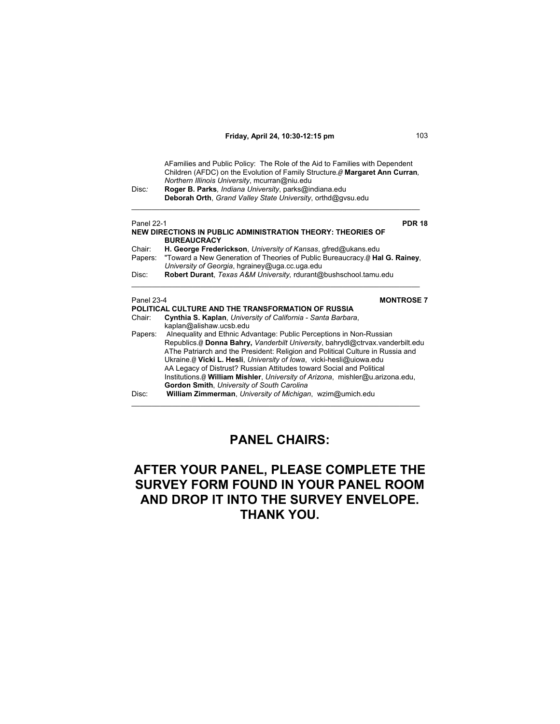| Disc:             | AFamilies and Public Policy: The Role of the Aid to Families with Dependent<br>Children (AFDC) on the Evolution of Family Structure.@ Margaret Ann Curran,<br>Northern Illinois University, mcurran@niu.edu<br>Roger B. Parks, Indiana University, parks@indiana.edu<br>Deborah Orth, Grand Valley State University, orthd@gysu.edu                                                                                                                                                                                  |  |  |  |
|-------------------|----------------------------------------------------------------------------------------------------------------------------------------------------------------------------------------------------------------------------------------------------------------------------------------------------------------------------------------------------------------------------------------------------------------------------------------------------------------------------------------------------------------------|--|--|--|
| <b>Panel 22-1</b> | <b>PDR 18</b>                                                                                                                                                                                                                                                                                                                                                                                                                                                                                                        |  |  |  |
|                   | NEW DIRECTIONS IN PUBLIC ADMINISTRATION THEORY: THEORIES OF<br><b>BUREAUCRACY</b>                                                                                                                                                                                                                                                                                                                                                                                                                                    |  |  |  |
| Chair:<br>Papers: | H. George Frederickson, University of Kansas, gfred@ukans.edu<br>"Toward a New Generation of Theories of Public Bureaucracy.@ Hal G. Rainey,<br>University of Georgia, hgrainey@uga.cc.uga.edu                                                                                                                                                                                                                                                                                                                       |  |  |  |
| Disc:             | Robert Durant, Texas A&M University, rdurant@bushschool.tamu.edu                                                                                                                                                                                                                                                                                                                                                                                                                                                     |  |  |  |
| Panel 23-4        | <b>MONTROSE 7</b>                                                                                                                                                                                                                                                                                                                                                                                                                                                                                                    |  |  |  |
|                   | POLITICAL CULTURE AND THE TRANSFORMATION OF RUSSIA                                                                                                                                                                                                                                                                                                                                                                                                                                                                   |  |  |  |
| Chair:            | Cynthia S. Kaplan, University of California - Santa Barbara,<br>kaplan@alishaw.ucsb.edu                                                                                                                                                                                                                                                                                                                                                                                                                              |  |  |  |
| Papers:           | Alnequality and Ethnic Advantage: Public Perceptions in Non-Russian<br>Republics.@ Donna Bahry, Vanderbilt University, bahrydl@ctrvax.vanderbilt.edu<br>AThe Patriarch and the President: Religion and Political Culture in Russia and<br>Ukraine.@ Vicki L. Hesli, University of lowa, vicki-hesli@uiowa.edu<br>AA Legacy of Distrust? Russian Attitudes toward Social and Political<br>Institutions.@ William Mishler, University of Arizona, mishler@u.arizona.edu,<br>Gordon Smith, University of South Carolina |  |  |  |
| Disc:             | William Zimmerman, University of Michigan, wzim@umich.edu                                                                                                                                                                                                                                                                                                                                                                                                                                                            |  |  |  |

# **PANEL CHAIRS:**

# **AFTER YOUR PANEL, PLEASE COMPLETE THE SURVEY FORM FOUND IN YOUR PANEL ROOM AND DROP IT INTO THE SURVEY ENVELOPE. THANK YOU.**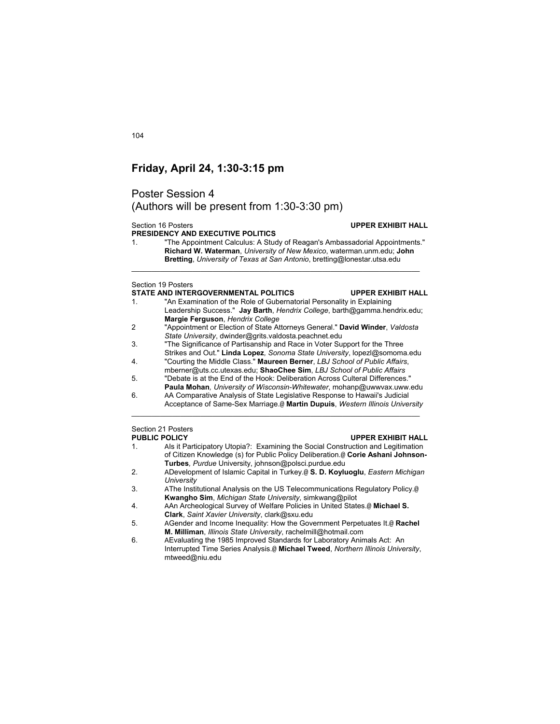Poster Session 4

(Authors will be present from 1:30-3:30 pm)

Section 16 Posters **UPPER EXHIBIT HALL**

### **PRESIDENCY AND EXECUTIVE POLITICS**

1. "The Appointment Calculus: A Study of Reagan's Ambassadorial Appointments." **Richard W. Waterman**, *University of New Mexico*, waterman.unm.edu; **John Bretting**, *University of Texas at San Antonio*, bretting@lonestar.utsa.edu  $\mathcal{L}_\text{max}$  , and the set of the set of the set of the set of the set of the set of the set of the set of the set of

### Section 19 Posters

|                  | <b>STATE AND INTERGOVERNMENTAL POLITICS</b>                                   | <b>UPPER EXHIBIT HALL</b> |  |
|------------------|-------------------------------------------------------------------------------|---------------------------|--|
| $\mathbf{1}$ .   | "An Examination of the Role of Gubernatorial Personality in Explaining        |                           |  |
|                  | Leadership Success." Jay Barth, Hendrix College, barth@gamma.hendrix.edu;     |                           |  |
|                  | Margie Ferguson, Hendrix College                                              |                           |  |
| 2                | "Appointment or Election of State Attorneys General." David Winder, Valdosta  |                           |  |
|                  | State University, dwinder@grits.valdosta.peachnet.edu                         |                           |  |
| 3.               | "The Significance of Partisanship and Race in Voter Support for the Three     |                           |  |
|                  | Strikes and Out." Linda Lopez, Sonoma State University, lopezl@somoma.edu     |                           |  |
| $\overline{4}$ . | "Courting the Middle Class." Maureen Berner, LBJ School of Public Affairs,    |                           |  |
|                  | mberner@uts.cc.utexas.edu; ShaoChee Sim, LBJ School of Public Affairs         |                           |  |
| 5.               | "Debate is at the End of the Hook: Deliberation Across Culteral Differences." |                           |  |
|                  | Paula Mohan, University of Wisconsin-Whitewater, mohanp@uwwyax.uww.edu        |                           |  |
| 6.               | AA Comparative Analysis of State Legislative Response to Hawaii's Judicial    |                           |  |
|                  | Acceptance of Same-Sex Marriage.@ Martin Dupuis, Western Illinois University  |                           |  |
|                  |                                                                               |                           |  |
|                  |                                                                               |                           |  |

# Section 21 Posters<br>PUBLIC POLICY

### **UPPER EXHIBIT HALL**

- 1. AIs it Participatory Utopia?: Examining the Social Construction and Legitimation of Citizen Knowledge (s) for Public Policy Deliberation.@ **Corie Ashani Johnson-Turbes***, Purdue* University, johnson@polsci.purdue.edu
- 2. ADevelopment of Islamic Capital in Turkey.@ **S. D. Koyluoglu**, *Eastern Michigan University*
- 3. AThe Institutional Analysis on the US Telecommunications Regulatory Policy.@ **Kwangho Sim**, *Michigan State University*, simkwang@pilot
- 4. AAn Archeological Survey of Welfare Policies in United States.@ **Michael S. Clark**, *Saint Xavier University*, clark@sxu.edu
- 5. AGender and Income Inequality: How the Government Perpetuates It.@ **Rachel M. Milliman**, *Illinois State University*, rachelmill@hotmail.com
- 6. AEvaluating the 1985 Improved Standards for Laboratory Animals Act: An Interrupted Time Series Analysis.@ **Michael Tweed**, *Northern Illinois University*, mtweed@niu.edu

104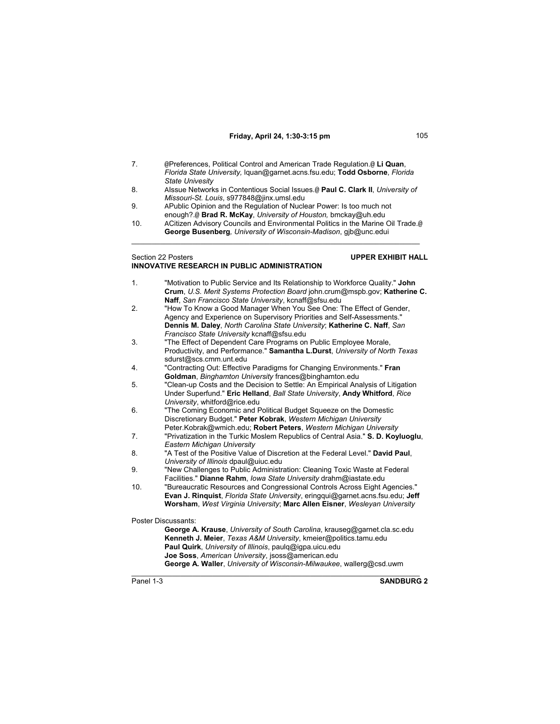| 7.  | @Preferences, Political Control and American Trade Regulation.@ Li Quan,<br>Florida State University, Iquan@garnet.acns.fsu.edu; Todd Osborne, Florida                                                                                                                                                         |  |  |
|-----|----------------------------------------------------------------------------------------------------------------------------------------------------------------------------------------------------------------------------------------------------------------------------------------------------------------|--|--|
| 8.  | State Univesity<br>Alssue Networks in Contentious Social Issues.@ Paul C. Clark II, University of                                                                                                                                                                                                              |  |  |
|     | Missouri-St. Louis, s977848@jinx.umsl.edu                                                                                                                                                                                                                                                                      |  |  |
| 9.  | APublic Opinion and the Regulation of Nuclear Power: Is too much not                                                                                                                                                                                                                                           |  |  |
| 10. | enough?.@ Brad R. McKay, University of Houston, bmckay@uh.edu<br>ACitizen Advisory Councils and Environmental Politics in the Marine Oil Trade. <sup>@</sup><br>George Busenberg, University of Wisconsin-Madison, gjb@unc.edui                                                                                |  |  |
|     | Section 22 Posters<br><b>UPPER EXHIBIT HALL</b><br><b>INNOVATIVE RESEARCH IN PUBLIC ADMINISTRATION</b>                                                                                                                                                                                                         |  |  |
|     |                                                                                                                                                                                                                                                                                                                |  |  |
| 1.  | "Motivation to Public Service and Its Relationship to Workforce Quality." John<br>Crum, U.S. Merit Systems Protection Board john.crum@mspb.gov: Katherine C.<br>Naff, San Francisco State University, kcnaff@sfsu.edu                                                                                          |  |  |
| 2.  | "How To Know a Good Manager When You See One: The Effect of Gender,<br>Agency and Experience on Supervisory Priorities and Self-Assessments."<br>Dennis M. Daley, North Carolina State University; Katherine C. Naff, San                                                                                      |  |  |
| 3.  | Francisco State University kcnaff@sfsu.edu<br>"The Effect of Dependent Care Programs on Public Employee Morale,<br>Productivity, and Performance." Samantha L.Durst, University of North Texas<br>sdurst@scs.cmm.unt.edu                                                                                       |  |  |
| 4.  | "Contracting Out: Effective Paradigms for Changing Environments." Fran                                                                                                                                                                                                                                         |  |  |
| 5.  | Goldman, Binghamton University frances@binghamton.edu<br>"Clean-up Costs and the Decision to Settle: An Empirical Analysis of Litigation<br>Under Superfund." Eric Helland, Ball State University, Andy Whitford, Rice                                                                                         |  |  |
| 6.  | University, whitford@rice.edu<br>"The Coming Economic and Political Budget Squeeze on the Domestic<br>Discretionary Budget." Peter Kobrak, Western Michigan University                                                                                                                                         |  |  |
| 7.  | Peter.Kobrak@wmich.edu; Robert Peters, Western Michigan University<br>"Privatization in the Turkic Moslem Republics of Central Asia." S. D. Koyluoglu.<br>Eastern Michigan University                                                                                                                          |  |  |
| 8.  | "A Test of the Positive Value of Discretion at the Federal Level." David Paul,                                                                                                                                                                                                                                 |  |  |
| 9.  | University of Illinois dpaul@uiuc.edu<br>"New Challenges to Public Administration: Cleaning Toxic Waste at Federal                                                                                                                                                                                             |  |  |
| 10. | Facilities." Dianne Rahm, Iowa State University drahm@iastate.edu<br>"Bureaucratic Resources and Congressional Controls Across Eight Agencies."<br>Evan J. Ringuist, Florida State University, eringgui@garnet.acns.fsu.edu; Jeff<br>Worsham, West Virginia University; Marc Allen Eisner, Wesleyan University |  |  |
|     | Poster Discussants:<br>George A. Krause, University of South Carolina, krauseg@garnet.cla.sc.edu<br>Kenneth J. Meier, Texas A&M University, kmeier@politics.tamu.edu<br>Paul Quirk, University of Illinois, paulq@igpa.uicu.edu<br>Joe Soss, American University, jsoss@american.edu                           |  |  |

**George A. Waller**, *University of Wisconsin-Milwaukee*, wallerg@csd.uwm \_\_\_\_\_\_\_\_\_\_\_\_\_\_\_\_\_\_\_\_\_\_\_\_\_\_\_\_\_\_\_\_\_\_\_\_\_\_\_\_\_\_\_\_\_\_\_\_\_\_\_\_\_\_\_\_\_\_\_\_\_\_\_\_\_\_\_\_\_\_\_

**Panel 1-3 SANDBURG 2**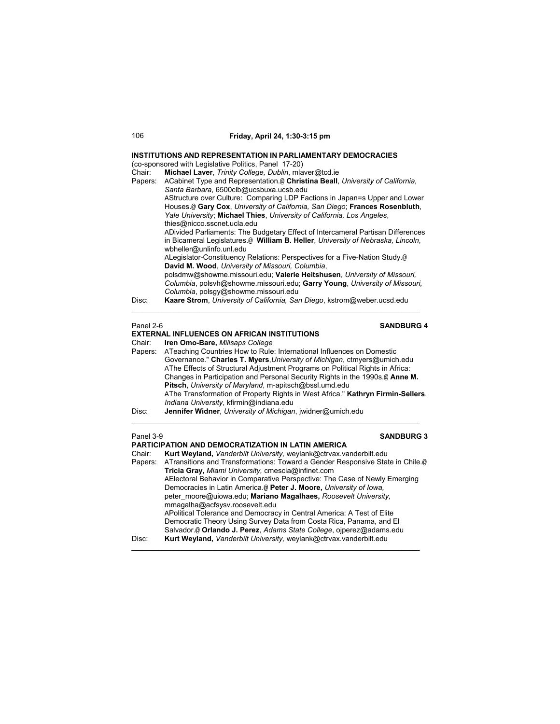| Chair:<br>Papers: | INSTITUTIONS AND REPRESENTATION IN PARLIAMENTARY DEMOCRACIES<br>(co-sponsored with Legislative Politics, Panel 17-20)<br>Michael Laver, Trinity College, Dublin, mlaver@tcd.ie<br>ACabinet Type and Representation.@ Christina Beall, University of California,<br>Santa Barbara, 6500clb@ucsbuxa.ucsb.edu<br>AStructure over Culture: Comparing LDP Factions in Japan=s Upper and Lower<br>Houses @ Gary Cox, University of California, San Diego; Frances Rosenbluth,<br>Yale University: Michael Thies, University of California, Los Angeles,<br>thies@nicco.sscnet.ucla.edu<br>ADivided Parliaments: The Budgetary Effect of Intercameral Partisan Differences<br>in Bicameral Legislatures.@ William B. Heller, University of Nebraska, Lincoln,<br>wbheller@unlinfo.unl.edu<br>ALegislator-Constituency Relations: Perspectives for a Five-Nation Study. <sup>@</sup><br>David M. Wood, University of Missouri, Columbia,<br>polsdmw@showme.missouri.edu; Valerie Heitshusen, University of Missouri, |
|-------------------|--------------------------------------------------------------------------------------------------------------------------------------------------------------------------------------------------------------------------------------------------------------------------------------------------------------------------------------------------------------------------------------------------------------------------------------------------------------------------------------------------------------------------------------------------------------------------------------------------------------------------------------------------------------------------------------------------------------------------------------------------------------------------------------------------------------------------------------------------------------------------------------------------------------------------------------------------------------------------------------------------------------|
|                   | Columbia, polsvh@showme.missouri.edu; Garry Young, University of Missouri,<br>Columbia, polsgy@showme.missouri.edu                                                                                                                                                                                                                                                                                                                                                                                                                                                                                                                                                                                                                                                                                                                                                                                                                                                                                           |
| Disc:             | Kaare Strom, University of California, San Diego, kstrom@weber.ucsd.edu                                                                                                                                                                                                                                                                                                                                                                                                                                                                                                                                                                                                                                                                                                                                                                                                                                                                                                                                      |

## Panel 2-6 **SANDBURG 4**

- **EXTERNAL INFLUENCES ON AFRICAN INSTITUTIONS**<br>Chair: **Iren Omo-Bare**, *Millsaps College*
- **Iren Omo-Bare, Millsaps College**
- Papers: ATeaching Countries How to Rule: International Influences on Domestic Governance." **Charles T. Myers**,*University of Michigan*, ctmyers@umich.edu AThe Effects of Structural Adjustment Programs on Political Rights in Africa: Changes in Participation and Personal Security Rights in the 1990s.@ **Anne M. Pitsch**, *University of Maryland*, m-apitsch@bssl.umd.edu AThe Transformation of Property Rights in West Africa." **Kathryn Firmin-Sellers**, *Indiana University*, kfirmin@indiana.edu Disc: **Jennifer Widner**, *University of Michigan*, jwidner@umich.edu

 $\mathcal{L}_\text{G} = \{ \mathcal{L}_\text{G} \mid \mathcal{L}_\text{G} \mid \mathcal{L}_\text{G} \mid \mathcal{L}_\text{G} \mid \mathcal{L}_\text{G} \mid \mathcal{L}_\text{G} \mid \mathcal{L}_\text{G} \mid \mathcal{L}_\text{G} \mid \mathcal{L}_\text{G} \mid \mathcal{L}_\text{G} \mid \mathcal{L}_\text{G} \mid \mathcal{L}_\text{G} \mid \mathcal{L}_\text{G} \mid \mathcal{L}_\text{G} \mid \mathcal{L}_\text{G} \mid \mathcal{L}_\text{G}$ 

## Panel 3-9 **SANDBURG 3**

| Chair:  | Kurt Weyland, Vanderbilt University, weylank@ctrvax.vanderbilt.edu            |
|---------|-------------------------------------------------------------------------------|
| Papers: | ATransitions and Transformations: Toward a Gender Responsive State in Chile.@ |
|         | Tricia Gray, Miami University, cmescia@infinet.com                            |
|         | A Electoral Behavior in Comparative Perspective: The Case of Newly Emerging   |
|         | Democracies in Latin America.@ Peter J. Moore, University of Iowa.            |
|         | peter moore@uiowa.edu; Mariano Magalhaes, Roosevelt University,               |
|         | mmagalha@acfsysv.roosevelt.edu                                                |
|         | APolitical Tolerance and Democracy in Central America: A Test of Elite        |
|         | Democratic Theory Using Survey Data from Costa Rica, Panama, and El           |
|         | Salvador @ Orlando J. Perez, Adams State College, oiperez@adams.edu           |
| Disc:   | Kurt Weyland, Vanderbilt University, weylank@ctrvax.vanderbilt.edu            |
|         |                                                                               |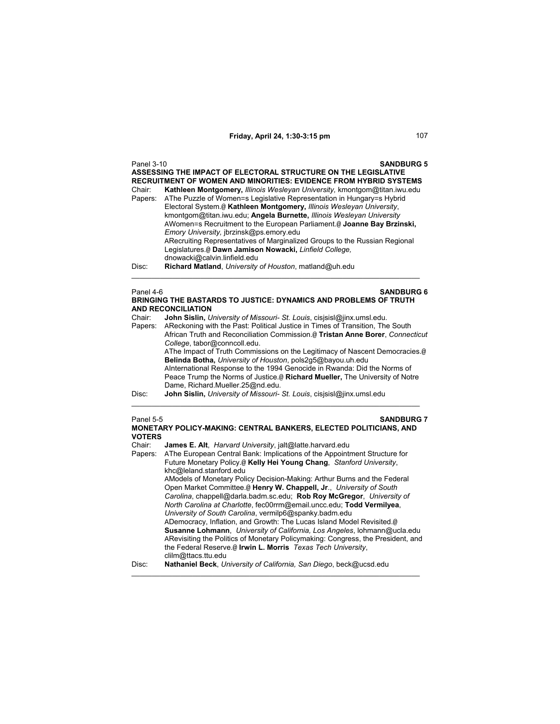| Panel 3-10 | <b>SANDBURG 5</b><br>ASSESSING THE IMPACT OF ELECTORAL STRUCTURE ON THE LEGISLATIVE<br><b>RECRUITMENT OF WOMEN AND MINORITIES: EVIDENCE FROM HYBRID SYSTEMS</b> |
|------------|-----------------------------------------------------------------------------------------------------------------------------------------------------------------|
| Chair:     | Kathleen Montgomery, Illinois Wesleyan University, kmontgom@titan.iwu.edu                                                                                       |
| Papers:    | AThe Puzzle of Women=s Legislative Representation in Hungary=s Hybrid                                                                                           |
|            | Electoral System @ Kathleen Montgomery, Illinois Wesleyan University,                                                                                           |
|            | kmontgom@titan.iwu.edu; Angela Burnette, Illinois Wesleyan University                                                                                           |
|            | AWomen=s Recruitment to the European Parliament.@ Joanne Bay Brzinski,                                                                                          |
|            | Emory University, jbrzinsk@ps.emory.edu                                                                                                                         |
|            | ARecruiting Representatives of Marginalized Groups to the Russian Regional                                                                                      |
|            | Legislatures.@ Dawn Jamison Nowacki, Linfield College.                                                                                                          |
|            | dnowacki@calvin.linfield.edu                                                                                                                                    |
| Disc:      | Richard Matland, University of Houston, matland@uh.edu                                                                                                          |
|            |                                                                                                                                                                 |
| Panel 4-6  | <b>SANDBURG 6</b>                                                                                                                                               |

## **BRINGING THE BASTARDS TO JUSTICE: DYNAMICS AND PROBLEMS OF TRUTH AND RECONCILIATION**

| Chair:  | John Sislin, University of Missouri- St. Louis, cisisis @jinx.umsl.edu.                   |
|---------|-------------------------------------------------------------------------------------------|
| Papers: | AReckoning with the Past: Political Justice in Times of Transition, The South             |
|         | African Truth and Reconciliation Commission. <sup>@</sup> Tristan Anne Borer, Connecticut |
|         | College, tabor@conncoll.edu.                                                              |
|         | AThe Impact of Truth Commissions on the Legitimacy of Nascent Democracies. <sup>@</sup>   |
|         | Belinda Botha, University of Houston, pols2g5@bayou.uh.edu                                |
|         | Alnternational Response to the 1994 Genocide in Rwanda: Did the Norms of                  |
|         | Peace Trump the Norms of Justice @ Richard Mueller, The University of Notre               |
|         | Dame, Richard Mueller 25@nd.edu.                                                          |
| Disc:   | John Sislin, University of Missouri- St. Louis, cisisis @jinx.umsl.edu                    |

| Panel 5-5                                                                |  |  |                                                                                         | <b>SANDBURG 7</b> |
|--------------------------------------------------------------------------|--|--|-----------------------------------------------------------------------------------------|-------------------|
| <b>MONETARY POLICY-MAKING: CENTRAL BANKERS, ELECTED POLITICIANS, AND</b> |  |  |                                                                                         |                   |
| <b>VOTERS</b>                                                            |  |  |                                                                                         |                   |
| $\bigcap$ $\bigcap$                                                      |  |  | $L$ ames $E$ Alt $L$ expand University $L$ $\mathbb{R}$ of $\mathbb{R}$ has parameters. |                   |

 $\mathcal{L}_\text{max}$  , and the set of the set of the set of the set of the set of the set of the set of the set of the set of

| Chair:  | James E. Alt. Harvard University, jalt@latte.harvard.edu                                                                                                                                                                    |
|---------|-----------------------------------------------------------------------------------------------------------------------------------------------------------------------------------------------------------------------------|
| Papers: | AThe European Central Bank: Implications of the Appointment Structure for                                                                                                                                                   |
|         | Future Monetary Policy.@ Kelly Hei Young Chang, Stanford University,<br>khc@leland.stanford.edu                                                                                                                             |
|         | AModels of Monetary Policy Decision-Making: Arthur Burns and the Federal                                                                                                                                                    |
|         | Open Market Committee.@ Henry W. Chappell, Jr., University of South                                                                                                                                                         |
|         | Carolina, chappell@darla.badm.sc.edu; Rob Roy McGregor, University of                                                                                                                                                       |
|         | North Carolina at Charlotte, fec00rrm@email.uncc.edu: Todd Vermilvea.                                                                                                                                                       |
|         | University of South Carolina, vermilp6@spanky.badm.edu                                                                                                                                                                      |
|         | ADemocracy, Inflation, and Growth: The Lucas Island Model Revisited.@                                                                                                                                                       |
|         | Susanne Lohmann, University of California, Los Angeles, lohmann@ucla.edu<br>ARevisiting the Politics of Monetary Policymaking: Congress, the President, and<br>the Federal Reserve.@ Irwin L. Morris Texas Tech University. |
|         | clilm@ttacs.ttu.edu                                                                                                                                                                                                         |
| Disc:   | Nathaniel Beck, University of California, San Diego, beck@ucsd.edu                                                                                                                                                          |
|         |                                                                                                                                                                                                                             |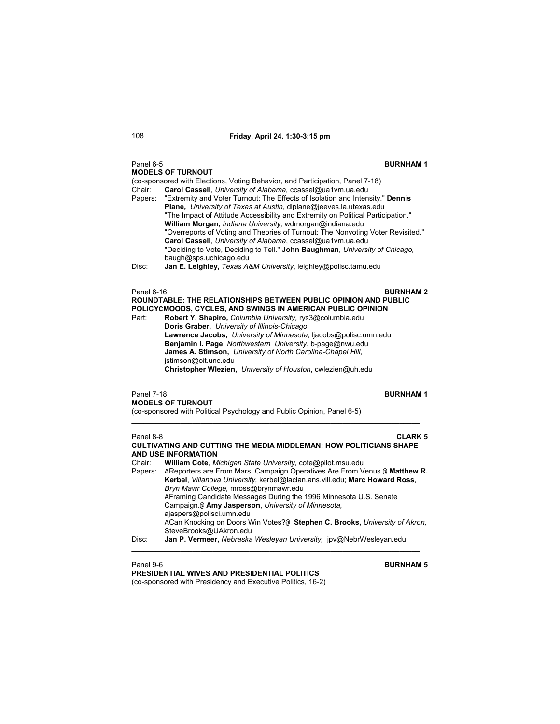Panel 6-5 **BURNHAM 1 MODELS OF TURNOUT** (co-sponsored with Elections, Voting Behavior, and Participation, Panel 7-18) Chair: **Carol Cassell**, *University of Alabama,* ccassel@ua1vm.ua.edu Papers: "Extremity and Voter Turnout: The Effects of Isolation and Intensity." **Dennis Plane,** *University of Texas at Austin,* dlplane@jeeves.la.utexas.edu "The Impact of Attitude Accessibility and Extremity on Political Participation." **William Morgan,** *Indiana University,* wdmorgan@indiana.edu "Overreports of Voting and Theories of Turnout: The Nonvoting Voter Revisited." **Carol Cassell**, *University of Alabama*, ccassel@ua1vm.ua.edu "Deciding to Vote, Deciding to Tell." **John Baughman**, *University of Chicago,* baugh@sps.uchicago.edu Disc: **Jan E. Leighley,** *Texas A&M University*, leighley@polisc.tamu.edu \_\_\_\_\_\_\_\_\_\_\_\_\_\_\_\_\_\_\_\_\_\_\_\_\_\_\_\_\_\_\_\_\_\_\_\_\_\_\_\_\_\_\_\_\_\_\_\_\_\_\_\_\_\_\_\_\_\_\_\_\_\_\_\_\_\_\_\_\_\_\_ Panel 6-16 **BURNHAM 2 ROUNDTABLE: THE RELATIONSHIPS BETWEEN PUBLIC OPINION AND PUBLIC POLICYCMOODS, CYCLES, AND SWINGS IN AMERICAN PUBLIC OPINION** Part: **Robert Y. Shapiro,** *Columbia University,* rys3@columbia.edu **Doris Graber,** *University of Illinois-Chicago*  **Lawrence Jacobs,** *University of Minnesota*, ljacobs@polisc.umn.edu **Benjamin I. Page**, *Northwestern University*, b-page@nwu.edu **James A. Stimson,** *University of North Carolina-Chapel Hill,* jstimson@oit.unc.edu **Christopher Wlezien,** *University of Houston*, cwlezien@uh.edu  $\mathcal{L}_\text{max}$  , and the set of the set of the set of the set of the set of the set of the set of the set of the set of **Panel 7-18 BURNHAM 1 MODELS OF TURNOUT** (co-sponsored with Political Psychology and Public Opinion, Panel 6-5) \_\_\_\_\_\_\_\_\_\_\_\_\_\_\_\_\_\_\_\_\_\_\_\_\_\_\_\_\_\_\_\_\_\_\_\_\_\_\_\_\_\_\_\_\_\_\_\_\_\_\_\_\_\_\_\_\_\_\_\_\_\_\_\_\_\_\_\_\_\_\_ Panel 8-8 **CLARK 5 CULTIVATING AND CUTTING THE MEDIA MIDDLEMAN: HOW POLITICIANS SHAPE AND USE INFORMATION** Chair: **William Cote**, *Michigan State University,* cote@pilot.msu.edu Papers: AReporters are From Mars, Campaign Operatives Are From Venus.@ **Matthew R. Kerbel**, *Villanova University,* kerbel@laclan.ans.vill.edu; **Marc Howard Ross**, *Bryn Mawr College,* mross@brynmawr.edu AFraming Candidate Messages During the 1996 Minnesota U.S. Senate Campaign.@ **Amy Jasperson**, *University of Minnesota,*  ajaspers@polisci.umn.edu ACan Knocking on Doors Win Votes?@ **Stephen C. Brooks,** *University of Akron,*

SteveBrooks@UAkron.edu

Disc: **Jan P. Vermeer,** *Nebraska Wesleyan University,* jpv@NebrWesleyan.edu \_\_\_\_\_\_\_\_\_\_\_\_\_\_\_\_\_\_\_\_\_\_\_\_\_\_\_\_\_\_\_\_\_\_\_\_\_\_\_\_\_\_\_\_\_\_\_\_\_\_\_\_\_\_\_\_\_\_\_\_\_\_\_\_\_\_\_\_\_\_\_

Panel 9-6 **BURNHAM 5**

**PRESIDENTIAL WIVES AND PRESIDENTIAL POLITICS** (co-sponsored with Presidency and Executive Politics, 16-2)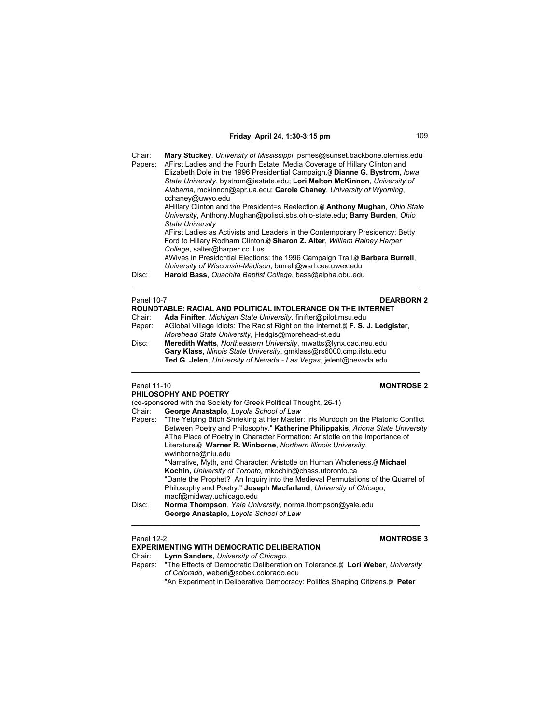Chair: **Mary Stuckey**, *University of Mississippi*, psmes@sunset.backbone.olemiss.edu Papers: AFirst Ladies and the Fourth Estate: Media Coverage of Hillary Clinton and Elizabeth Dole in the 1996 Presidential Campaign.@ **Dianne G. Bystrom**, *Iowa State University*, bystrom@iastate.edu; **Lori Melton McKinnon**, *University of Alabama*, mckinnon@apr.ua.edu; **Carole Chaney**, *University of Wyoming*, cchaney@uwyo.edu AHillary Clinton and the President=s Reelection.@ **Anthony Mughan**, *Ohio State University*, Anthony.Mughan@polisci.sbs.ohio-state.edu; **Barry Burden**, *Ohio State University*  AFirst Ladies as Activists and Leaders in the Contemporary Presidency: Betty Ford to Hillary Rodham Clinton.@ **Sharon Z. Alter**, *William Rainey Harper College*, salter@harper.cc.il.us AWives in Presidcntial Elections: the 1996 Campaign Trail.@ **Barbara Burrell**, *University of Wisconsin-Madison*, burrell@wsrl.cee.uwex.edu Disc: **Harold Bass**, *Ouachita Baptist College*, bass@alpha.obu.edu  $\mathcal{L}_\text{max}$  , and the set of the set of the set of the set of the set of the set of the set of the set of the set of

## Panel 10-7 **DEARBORN 2**

|        | ROUNDTABLE: RACIAL AND POLITICAL INTOLERANCE ON THE INTERNET                   |  |  |
|--------|--------------------------------------------------------------------------------|--|--|
| Chair: | Ada Finifter, Michigan State University, finifter@pilot.msu.edu                |  |  |
| Paper: | AGlobal Village Idiots: The Racist Right on the Internet @ F. S. J. Ledgister. |  |  |
|        | Morehead State University, j-ledgis@morehead-st.edu                            |  |  |
| Disc:  | Meredith Watts, Northeastern University, mwatts@lynx.dac.neu.edu               |  |  |
|        | Gary Klass, Illinois State University, gmklass@rs6000.cmp.ilstu.edu            |  |  |
|        | Ted G. Jelen, University of Nevada - Las Vegas, jelent@nevada.edu              |  |  |
|        |                                                                                |  |  |

### Panel 11-10 **MONTROSE 2**

|         | PHILOSOPHY AND POETRY                                                             |
|---------|-----------------------------------------------------------------------------------|
|         | (co-sponsored with the Society for Greek Political Thought, 26-1)                 |
| Chair:  | George Anastaplo, Loyola School of Law                                            |
| Papers: | "The Yelping Bitch Shrieking at Her Master: Iris Murdoch on the Platonic Conflict |
|         | Between Poetry and Philosophy." Katherine Philippakis, Ariona State University    |
|         | AThe Place of Poetry in Character Formation: Aristotle on the Importance of       |
|         | Literature.@ Warner R. Winborne, Northern Illinois University,                    |
|         | wwinborne@niu.edu                                                                 |
|         | "Narrative, Myth, and Character: Aristotle on Human Wholeness.@ Michael           |
|         | Kochin, University of Toronto, mkochin@chass.utoronto.ca                          |
|         | "Dante the Prophet? An Inquiry into the Medieval Permutations of the Quarrel of   |
|         | Philosophy and Poetry." Joseph Macfarland, University of Chicago,                 |
|         | macf@midway.uchicago.edu                                                          |
| Disc:   | Norma Thompson, Yale University, norma.thompson@yale.edu                          |
|         | George Anastaplo, Loyola School of Law                                            |
|         |                                                                                   |

## Panel 12-2 **MONTROSE 3**

## **EXPERIMENTING WITH DEMOCRATIC DELIBERATION**

Chair: **Lynn Sanders**, *University of Chicago*,

Papers: "The Effects of Democratic Deliberation on Tolerance.@ **Lori Weber**, *University of Colorado*, weberl@sobek.colorado.edu

"An Experiment in Deliberative Democracy: Politics Shaping Citizens.@ **Peter**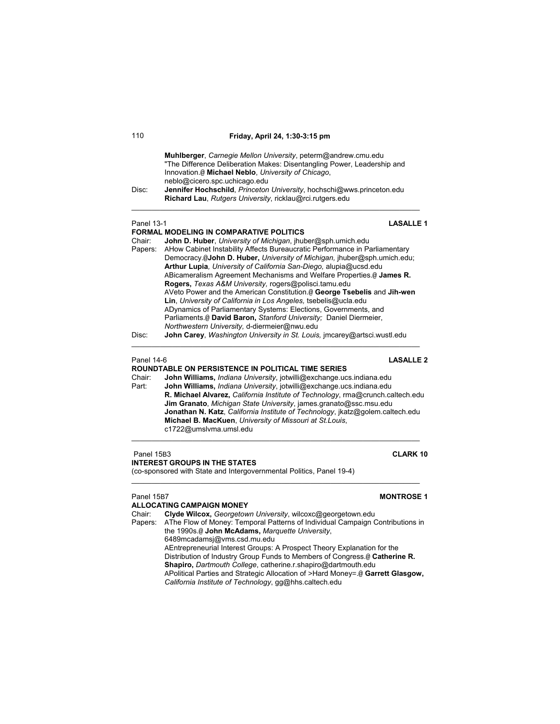| Disc:                                                                                                                                                                                                                                                                                                                                                                                                                                                                                                                                               | <b>Muhlberger, Carnegie Mellon University, peterm@andrew.cmu.edu</b><br>"The Difference Deliberation Makes: Disentangling Power, Leadership and<br>Innovation.@ Michael Neblo, University of Chicago,<br>neblo@cicero.spc.uchicago.edu<br>Jennifer Hochschild, Princeton University, hochschi@wws.princeton.edu<br>Richard Lau, Rutgers University, ricklau@rci.rutgers.edu |  |  |
|-----------------------------------------------------------------------------------------------------------------------------------------------------------------------------------------------------------------------------------------------------------------------------------------------------------------------------------------------------------------------------------------------------------------------------------------------------------------------------------------------------------------------------------------------------|-----------------------------------------------------------------------------------------------------------------------------------------------------------------------------------------------------------------------------------------------------------------------------------------------------------------------------------------------------------------------------|--|--|
| Panel 13-1<br>Chair:                                                                                                                                                                                                                                                                                                                                                                                                                                                                                                                                | <b>LASALLE 1</b><br>FORMAL MODELING IN COMPARATIVE POLITICS<br>John D. Huber, University of Michigan, jhuber@sph.umich.edu                                                                                                                                                                                                                                                  |  |  |
| Papers:                                                                                                                                                                                                                                                                                                                                                                                                                                                                                                                                             | AHow Cabinet Instability Affects Bureaucratic Performance in Parliamentary<br>Democracy.@John D. Huber, University of Michigan, jhuber@sph.umich.edu;<br>Arthur Lupia, University of California San-Diego, alupia@ucsd.edu<br>ABicameralism Agreement Mechanisms and Welfare Properties.@ James R.<br>Rogers, Texas A&M University, rogers@polisci.tamu.edu                 |  |  |
|                                                                                                                                                                                                                                                                                                                                                                                                                                                                                                                                                     | AVeto Power and the American Constitution.@ George Tsebelis and Jih-wen                                                                                                                                                                                                                                                                                                     |  |  |
|                                                                                                                                                                                                                                                                                                                                                                                                                                                                                                                                                     | Lin, University of California in Los Angeles, tsebelis@ucla.edu<br>ADynamics of Parliamentary Systems: Elections, Governments, and                                                                                                                                                                                                                                          |  |  |
|                                                                                                                                                                                                                                                                                                                                                                                                                                                                                                                                                     | Parliaments.@ David Baron, Stanford University; Daniel Diermeier,                                                                                                                                                                                                                                                                                                           |  |  |
| Disc:                                                                                                                                                                                                                                                                                                                                                                                                                                                                                                                                               | Northwestern University, d-diermeier@nwu.edu<br>John Carey, Washington University in St. Louis, jmcarey@artsci.wustl.edu                                                                                                                                                                                                                                                    |  |  |
| Panel 14-6                                                                                                                                                                                                                                                                                                                                                                                                                                                                                                                                          | <b>LASALLE 2</b>                                                                                                                                                                                                                                                                                                                                                            |  |  |
| ROUNDTABLE ON PERSISTENCE IN POLITICAL TIME SERIES<br>John Williams, Indiana University, jotwilli@exchange.ucs.indiana.edu<br>Chair:<br>Part:<br>John Williams, Indiana University, jotwilli@exchange.ucs.indiana.edu<br>R. Michael Alvarez, California Institute of Technology, rma@crunch.caltech.edu<br>Jim Granato, Michigan State University, james.granato@ssc.msu.edu<br>Jonathan N. Katz, California Institute of Technology, jkatz@golem.caltech.edu<br>Michael B. MacKuen, University of Missouri at St. Louis,<br>c1722@umslvma.umsl.edu |                                                                                                                                                                                                                                                                                                                                                                             |  |  |
| Panel 15B3                                                                                                                                                                                                                                                                                                                                                                                                                                                                                                                                          | <b>CLARK 10</b><br><b>INTEREST GROUPS IN THE STATES</b>                                                                                                                                                                                                                                                                                                                     |  |  |
|                                                                                                                                                                                                                                                                                                                                                                                                                                                                                                                                                     | (co-sponsored with State and Intergovernmental Politics, Panel 19-4)                                                                                                                                                                                                                                                                                                        |  |  |
| Panel 15B7                                                                                                                                                                                                                                                                                                                                                                                                                                                                                                                                          | <b>MONTROSE 1</b>                                                                                                                                                                                                                                                                                                                                                           |  |  |
| Chair:                                                                                                                                                                                                                                                                                                                                                                                                                                                                                                                                              | ALLOCATING CAMPAIGN MONEY<br>Clyde Wilcox, Georgetown University, wilcoxc@georgetown.edu                                                                                                                                                                                                                                                                                    |  |  |
| Papers:                                                                                                                                                                                                                                                                                                                                                                                                                                                                                                                                             | AThe Flow of Money: Temporal Patterns of Individual Campaign Contributions in<br>the 1990s.@ John McAdams, Marquette University,                                                                                                                                                                                                                                            |  |  |
|                                                                                                                                                                                                                                                                                                                                                                                                                                                                                                                                                     | 6489mcadamsj@vms.csd.mu.edu                                                                                                                                                                                                                                                                                                                                                 |  |  |
|                                                                                                                                                                                                                                                                                                                                                                                                                                                                                                                                                     | AEntrepreneurial Interest Groups: A Prospect Theory Explanation for the                                                                                                                                                                                                                                                                                                     |  |  |
|                                                                                                                                                                                                                                                                                                                                                                                                                                                                                                                                                     | Distribution of Industry Group Funds to Members of Congress.@ Catherine R.<br>Shapiro, Dartmouth College, catherine.r.shapiro@dartmouth.edu                                                                                                                                                                                                                                 |  |  |

APolitical Parties and Strategic Allocation of >Hard Money=.@ **Garrett Glasgow,**  *California Institute of Technology*, gg@hhs.caltech.edu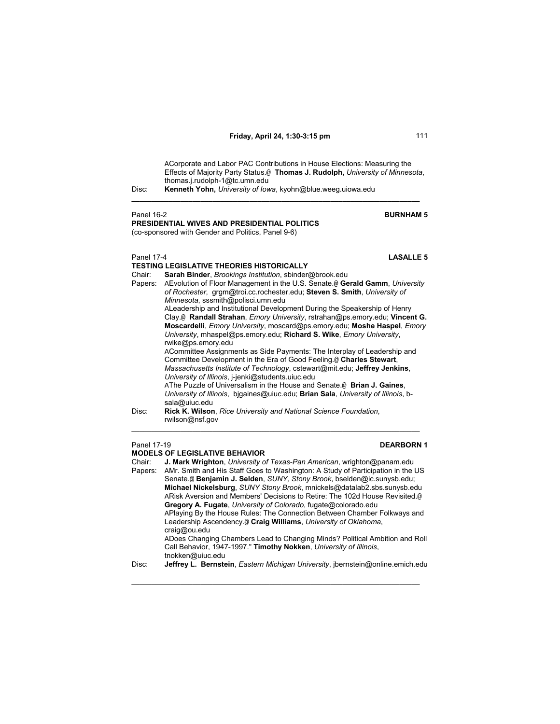ACorporate and Labor PAC Contributions in House Elections: Measuring the Effects of Majority Party Status.@ **Thomas J. Rudolph,** *University of Minnesota*, thomas.j.rudolph-1@tc.umn.edu Disc: **Kenneth Yohn,** *University of Iowa*, kyohn@blue.weeg.uiowa.edu **\_\_\_\_\_\_\_\_\_\_\_\_\_\_\_\_\_\_\_\_\_\_\_\_\_\_\_\_\_\_\_\_\_\_\_\_\_\_\_\_\_\_\_\_\_\_\_\_\_\_\_\_\_\_\_\_\_\_\_\_\_\_\_\_\_\_\_\_\_\_\_** Panel 16-2 **BURNHAM 5 PRESIDENTIAL WIVES AND PRESIDENTIAL POLITICS** (co-sponsored with Gender and Politics, Panel 9-6)  $\_$  , and the set of the set of the set of the set of the set of the set of the set of the set of the set of the set of the set of the set of the set of the set of the set of the set of the set of the set of the set of th Panel 17-4 **LASALLE 5 TESTING LEGISLATIVE THEORIES HISTORICALLY** Chair: **Sarah Binder**, *Brookings Institution*, sbinder@brook.edu Papers: AEvolution of Floor Management in the U.S. Senate.@ **Gerald Gamm**, *University of Rochester*, grgm@troi.cc.rochester.edu; **Steven S. Smith**, *University of Minnesota*, sssmith@polisci.umn.edu ALeadership and Institutional Development During the Speakership of Henry Clay.@ **Randall Strahan**, *Emory University*, rstrahan@ps.emory.edu; **Vincent G. Moscardelli**, *Emory University*, moscard@ps.emory.edu; **Moshe Haspel**, *Emory University*, mhaspel@ps.emory.edu; **Richard S. Wike**, *Emory University*, rwike@ps.emory.edu ACommittee Assignments as Side Payments: The Interplay of Leadership and Committee Development in the Era of Good Feeling.@ **Charles Stewart**, *Massachusetts Institute of Technology*, cstewart@mit.edu; **Jeffrey Jenkins**, *University of Illinois*, j-jenki@students.uiuc.edu AThe Puzzle of Universalism in the House and Senate.@ **Brian J. Gaines**, *University of Illinois*, bjgaines@uiuc.edu; **Brian Sala**, *University of Illinois*, bsala@uiuc.edu Disc: **Rick K. Wilson**, *Rice University and National Science Foundation*, rwilson@nsf.gov  $\mathcal{L}_\text{max}$  , and the set of the set of the set of the set of the set of the set of the set of the set of the set of Panel 17-19 **DEARBORN 1**

**MODELS OF LEGISLATIVE BEHAVIOR** Chair: **J. Mark Wrighton**, *University of Texas-Pan American*, wrighton@panam.edu Papers: AMr. Smith and His Staff Goes to Washington: A Study of Participation in the US Senate.@ **Benjamin J. Selden**, *SUNY, Stony Brook*, bselden@ic.sunysb.edu; **Michael Nickelsburg**, *SUNY Stony Brook*, mnickels@datalab2.sbs.sunysb.edu ARisk Aversion and Members' Decisions to Retire: The 102d House Revisited.@ **Gregory A. Fugate**, *University of Colorado*, fugate@colorado.edu APlaying By the House Rules: The Connection Between Chamber Folkways and Leadership Ascendency.@ **Craig Williams**, *University of Oklahoma*, craig@ou.edu ADoes Changing Chambers Lead to Changing Minds? Political Ambition and Roll Call Behavior, 1947-1997." **Timothy Nokken**, *University of Illinois*, tnokken@uiuc.edu Disc: **Jeffrey L. Bernstein**, *Eastern Michigan University*, jbernstein@online.emich.edu

 $\mathcal{L}_\text{G} = \{ \mathcal{L}_\text{G} \mid \mathcal{L}_\text{G} \mid \mathcal{L}_\text{G} \mid \mathcal{L}_\text{G} \mid \mathcal{L}_\text{G} \mid \mathcal{L}_\text{G} \mid \mathcal{L}_\text{G} \mid \mathcal{L}_\text{G} \mid \mathcal{L}_\text{G} \mid \mathcal{L}_\text{G} \mid \mathcal{L}_\text{G} \mid \mathcal{L}_\text{G} \mid \mathcal{L}_\text{G} \mid \mathcal{L}_\text{G} \mid \mathcal{L}_\text{G} \mid \mathcal{L}_\text{G}$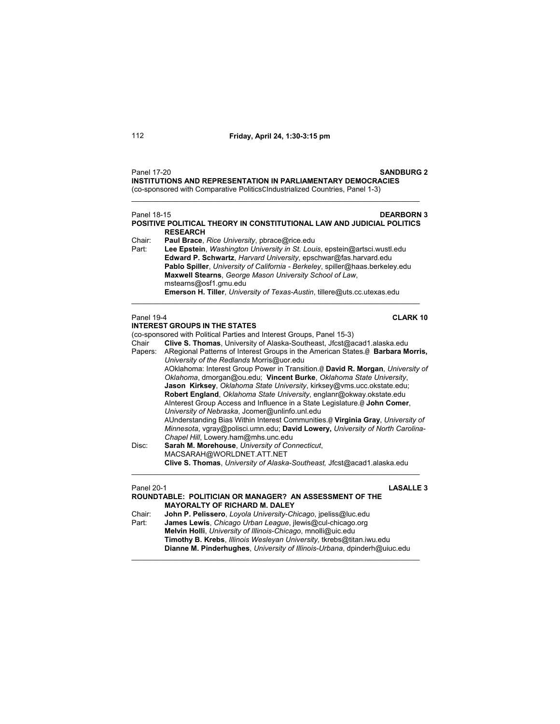\_\_\_\_\_\_\_\_\_\_\_\_\_\_\_\_\_\_\_\_\_\_\_\_\_\_\_\_\_\_\_\_\_\_\_\_\_\_\_\_\_\_\_\_\_\_\_\_\_\_\_\_\_\_\_\_\_\_\_\_\_\_\_\_\_\_\_\_\_\_\_

Panel 17-20 **SANDBURG 2**

**INSTITUTIONS AND REPRESENTATION IN PARLIAMENTARY DEMOCRACIES** (co-sponsored with Comparative PoliticsCIndustrialized Countries, Panel 1-3)

## Panel 18-15 **DEARBORN 3 POSITIVE POLITICAL THEORY IN CONSTITUTIONAL LAW AND JUDICIAL POLITICS RESEARCH** Chair: **Paul Brace**, *Rice University*, pbrace@rice.edu Part: **Lee Epstein**, *Washington University in St. Louis*, epstein@artsci.wustl.edu **Edward P. Schwartz**, *Harvard University*, epschwar@fas.harvard.edu **Pablo Spiller**, *University of California - Berkeley*, spiller@haas.berkeley.edu **Maxwell Stearns**, *George Mason University School of Law*, mstearns@osf1.gmu.edu **Emerson H. Tiller**, *University of Texas-Austin*, tillere@uts.cc.utexas.edu  $\mathcal{L}_\text{G} = \{ \mathcal{L}_\text{G} \mid \mathcal{L}_\text{G} \mid \mathcal{L}_\text{G} \mid \mathcal{L}_\text{G} \mid \mathcal{L}_\text{G} \mid \mathcal{L}_\text{G} \mid \mathcal{L}_\text{G} \mid \mathcal{L}_\text{G} \mid \mathcal{L}_\text{G} \mid \mathcal{L}_\text{G} \mid \mathcal{L}_\text{G} \mid \mathcal{L}_\text{G} \mid \mathcal{L}_\text{G} \mid \mathcal{L}_\text{G} \mid \mathcal{L}_\text{G} \mid \mathcal{L}_\text{G}$ Panel 19-4 **CLARK 10 INTEREST GROUPS IN THE STATES** (co-sponsored with Political Parties and Interest Groups, Panel 15-3) Chair **Clive S. Thomas**, University of Alaska-Southeast, Jfcst@acad1.alaska.edu

Papers: ARegional Patterns of Interest Groups in the American States.@ **Barbara Morris,** *University of the Redlands* Morris@uor.edu AOklahoma: Interest Group Power in Transition.@ **David R. Morgan**, *University of Oklahoma*, dmorgan@ou.edu; **Vincent Burke**, *Oklahoma State University*, **Jason Kirksey**, *Oklahoma State University*, kirksey@vms.ucc.okstate.edu; **Robert England**, *Oklahoma State University*, englanr@okway.okstate.edu AInterest Group Access and Influence in a State Legislature.@ **John Comer**, *University of Nebraska*, Jcomer@unlinfo.unl.edu AUnderstanding Bias Within Interest Communities.@ **Virginia Gray**, *University of Minnesota*, vgray@polisci.umn.edu; **David Lowery,** *University of North Carolina-Chapel Hill*, Lowery.ham@mhs.unc.edu Disc: **Sarah M. Morehouse**, *University of Connecticut*, MACSARAH@WORLDNET.ATT.NET **Clive S. Thomas**, *University of Alaska-Southeast,* Jfcst@acad1.alaska.edu

Panel 20-1 **LASALLE 3**

|        | ROUNDTABLE: POLITICIAN OR MANAGER? AN ASSESSMENT OF THE                  |
|--------|--------------------------------------------------------------------------|
|        | <b>MAYORALTY OF RICHARD M. DALEY</b>                                     |
| Chair: | John P. Pelissero, Loyola University-Chicago, ipeliss@luc.edu            |
| Part:  | James Lewis, Chicago Urban League, ilewis@cul-chicago.org                |
|        | Melvin Holli, University of Illinois-Chicago, mnolli@uic.edu             |
|        | Timothy B. Krebs, Illinois Wesleyan University, tkrebs@titan.iwu.edu     |
|        | Dianne M. Pinderhughes, University of Illinois-Urbana, dpinderh@uiuc.edu |
|        |                                                                          |

 $\mathcal{L}_\text{max}$  , and the set of the set of the set of the set of the set of the set of the set of the set of the set of

 $\mathcal{L}_\text{max}$  , and the set of the set of the set of the set of the set of the set of the set of the set of the set of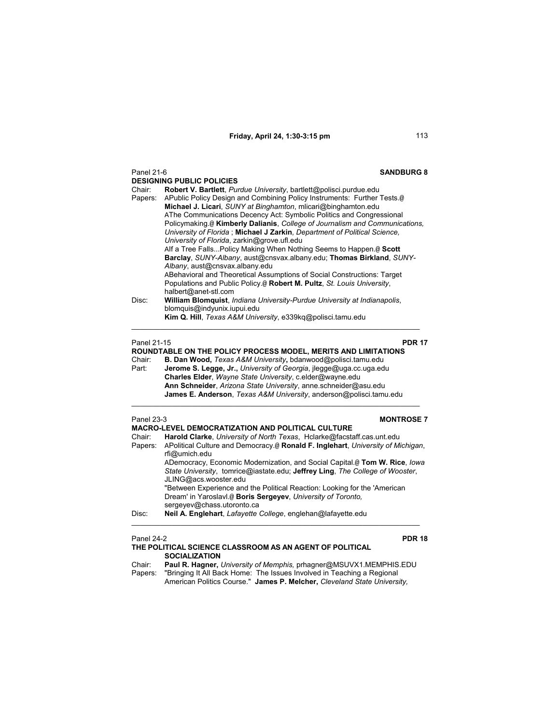## Panel 21-6 **SANDBURG 8**

|         | <b>DESIGNING PUBLIC POLICIES</b>                                                        |
|---------|-----------------------------------------------------------------------------------------|
| Chair:  | Robert V. Bartlett, Purdue University, bartlett@polisci.purdue.edu                      |
| Papers: | APublic Policy Design and Combining Policy Instruments: Further Tests.@                 |
|         | Michael J. Licari, SUNY at Binghamton, mlicari@binghamton.edu                           |
|         | AThe Communications Decency Act: Symbolic Politics and Congressional                    |
|         | Policymaking. <sup>®</sup> Kimberly Dalianis, College of Journalism and Communications. |
|         | University of Florida; Michael J Zarkin, Department of Political Science,               |
|         | University of Florida, zarkin@grove.ufl.edu                                             |
|         | Alf a Tree Falls Policy Making When Nothing Seems to Happen.@ Scott                     |
|         | Barclay, SUNY-Albany, aust@cnsvax.albany.edu; Thomas Birkland, SUNY-                    |
|         | Albany, aust@cnsvax.albany.edu                                                          |
|         | ABehavioral and Theoretical Assumptions of Social Constructions: Target                 |
|         | Populations and Public Policy @ Robert M. Pultz, St. Louis University,                  |
|         | halbert@anet-stl.com                                                                    |
| Disc:   | William Blomquist, Indiana University-Purdue University at Indianapolis.                |
|         | blomquis@indyunix.iupui.edu                                                             |
|         | Kim Q. Hill, Texas A&M University, e339kq@polisci.tamu.edu                              |

### Panel 21-15 **PDR 17**

## **ROUNDTABLE ON THE POLICY PROCESS MODEL, MERITS AND LIMITATIONS**

\_\_\_\_\_\_\_\_\_\_\_\_\_\_\_\_\_\_\_\_\_\_\_\_\_\_\_\_\_\_\_\_\_\_\_\_\_\_\_\_\_\_\_\_\_\_\_\_\_\_\_\_\_\_\_\_\_\_\_\_\_\_\_\_\_\_\_\_\_\_\_

| Chair: | <b>B. Dan Wood, Texas A&amp;M University, bdanwood@polisci.tamu.edu</b>   |
|--------|---------------------------------------------------------------------------|
| Part:  | <b>Jerome S. Legge, Jr., University of Georgia, ilegge@uga.cc.uga.edu</b> |
|        | Charles Elder, Wayne State University, c.elder@wayne.edu                  |
|        | Ann Schneider, Arizona State University, anne schneider@asu.edu           |
|        | James E. Anderson, Texas A&M University, anderson@polisci.tamu.edu        |
|        |                                                                           |

### **Panel 23-3 MONTROSE 7**

|         | <b>MACRO-LEVEL DEMOCRATIZATION AND POLITICAL CULTURE</b>                                                                                                                            |
|---------|-------------------------------------------------------------------------------------------------------------------------------------------------------------------------------------|
| Chair:  | Harold Clarke, University of North Texas, Hclarke@facstaff.cas.unt.edu                                                                                                              |
| Papers: | APolitical Culture and Democracy @ Ronald F. Inglehart, University of Michigan,<br>rfi@umich.edu                                                                                    |
|         | ADemocracy, Economic Modernization, and Social Capital @ Tom W. Rice, lowa<br>State University, tomrice@iastate.edu; Jeffrey Ling, The College of Wooster,<br>JLING@acs.wooster.edu |
|         | "Between Experience and the Political Reaction: Looking for the 'American<br>Dream' in Yaroslavl.@ Boris Sergeyev, University of Toronto.<br>sergevev@chass.utoronto.ca             |
| Disc:   | Neil A. Englehart, Lafayette College, englehan@lafayette.edu                                                                                                                        |

**SOCIALIZATION**

### Panel 24-2 **PDR 18 THE POLITICAL SCIENCE CLASSROOM AS AN AGENT OF POLITICAL**

Chair: **Paul R. Hagner,** *University of Memphis,* prhagner@MSUVX1.MEMPHIS.EDU Papers: "Bringing It All Back Home: The Issues Involved in Teaching a Regional American Politics Course." **James P. Melcher,** *Cleveland State University,*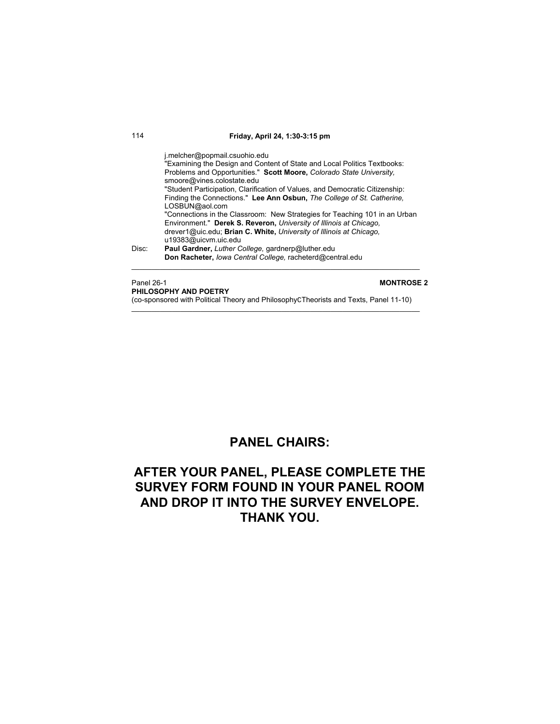j.melcher@popmail.csuohio.edu "Examining the Design and Content of State and Local Politics Textbooks: Problems and Opportunities." **Scott Moore,** *Colorado State University,* smoore@vines.colostate.edu "Student Participation, Clarification of Values, and Democratic Citizenship: Finding the Connections." **Lee Ann Osbun,** *The College of St. Catherine,* LOSBUN@aol.com "Connections in the Classroom: New Strategies for Teaching 101 in an Urban Environment." **Derek S. Reveron,** *University of Illinois at Chicago,* drever1@uic.edu; **Brian C. White,** *University of Illinois at Chicago,* u19383@uicvm.uic.edu Disc: **Paul Gardner,** *Luther College,* gardnerp@luther.edu **Don Racheter,** *Iowa Central College,* racheterd@central.edu  $\mathcal{L}_\text{max}$  , and the set of the set of the set of the set of the set of the set of the set of the set of the set of

## Panel 26-1 **MONTROSE 2 PHILOSOPHY AND POETRY**

(co-sponsored with Political Theory and PhilosophyCTheorists and Texts, Panel 11-10)  $\mathcal{L}_\text{max}$  , and the set of the set of the set of the set of the set of the set of the set of the set of the set of

## **PANEL CHAIRS:**

# **AFTER YOUR PANEL, PLEASE COMPLETE THE SURVEY FORM FOUND IN YOUR PANEL ROOM AND DROP IT INTO THE SURVEY ENVELOPE. THANK YOU.**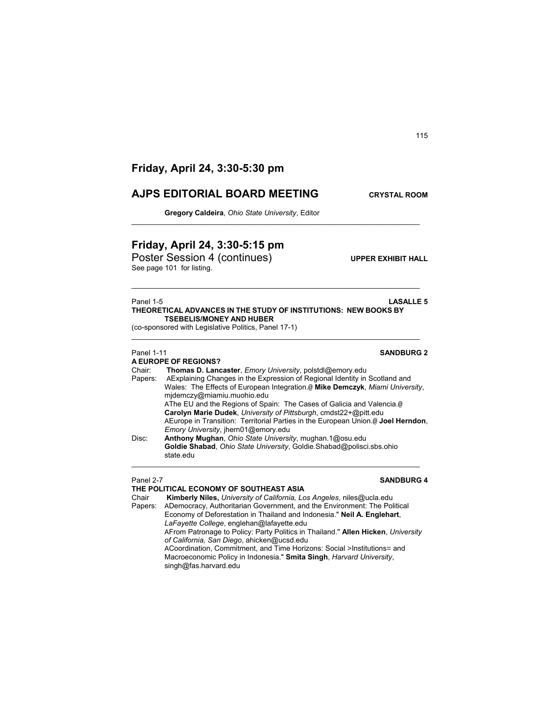## **AJPS EDITORIAL BOARD MEETING CRYSTAL ROOM**

**Gregory Caldeira**, *Ohio State University*, Editor

\_\_\_\_\_\_\_\_\_\_\_\_\_\_\_\_\_\_\_\_\_\_\_\_\_\_\_\_\_\_\_\_\_\_\_\_\_\_\_\_\_\_\_\_\_\_\_\_\_\_\_\_\_\_\_\_\_\_\_\_\_\_\_\_\_\_\_\_\_\_\_

 $\mathcal{L}_\text{max}$  , and the set of the set of the set of the set of the set of the set of the set of the set of the set of

\_\_\_\_\_\_\_\_\_\_\_\_\_\_\_\_\_\_\_\_\_\_\_\_\_\_\_\_\_\_\_\_\_\_\_\_\_\_\_\_\_\_\_\_\_\_\_\_\_\_\_\_\_\_\_\_\_\_\_\_\_\_\_\_\_\_\_\_\_\_\_

## **Friday, April 24, 3:30-5:15 pm**

**Poster Session 4 (continues)** UPPER EXHIBIT HALL See page 101 for listing.

Panel 1-5 **LASALLE 5 THEORETICAL ADVANCES IN THE STUDY OF INSTITUTIONS: NEW BOOKS BY TSEBELIS/MONEY AND HUBER** 

(co-sponsored with Legislative Politics, Panel 17-1)

### Panel 1-11 **SANDBURG 2**

**A EUROPE OF REGIONS?** Chair: **Thomas D. Lancaster**, *Emory University*, polstdl@emory.edu Papers: AExplaining Changes in the Expression of Regional Identity in Scotland and Wales: The Effects of European Integration.@ **Mike Demczyk**, *Miami University*, mjdemczy@miamiu.muohio.edu AThe EU and the Regions of Spain: The Cases of Galicia and Valencia.@ **Carolyn Marie Dudek**, *University of Pittsburgh*, cmdst22+@pitt.edu AEurope in Transition: Territorial Parties in the European Union.@ **Joel Herndon**, *Emory University*, jhern01@emory.edu Disc: **Anthony Mughan**, *Ohio State University*, mughan.1@osu.edu **Goldie Shabad**, *Ohio State University*, Goldie.Shabad@polisci.sbs.ohio state.edu

Panel 2-7 **SANDBURG 4**

**THE POLITICAL ECONOMY OF SOUTHEAST ASIA**<br>Chair **Kimberly Niles.** University of California. Lo Kimberly Niles, University of California, Los Angeles, niles@ucla.edu Papers: ADemocracy, Authoritarian Government, and the Environment: The Political Economy of Deforestation in Thailand and Indonesia." **Neil A. Englehart**, *LaFayette College*, englehan@lafayette.edu AFrom Patronage to Policy: Party Politics in Thailand." **Allen Hicken**, *University of California, San Diego*, ahicken@ucsd.edu ACoordination, Commitment, and Time Horizons: Social >Institutions= and Macroeconomic Policy in Indonesia." **Smita Singh**, *Harvard University*, singh@fas.harvard.edu

 $\mathcal{L}_\text{max}$  , and the set of the set of the set of the set of the set of the set of the set of the set of the set of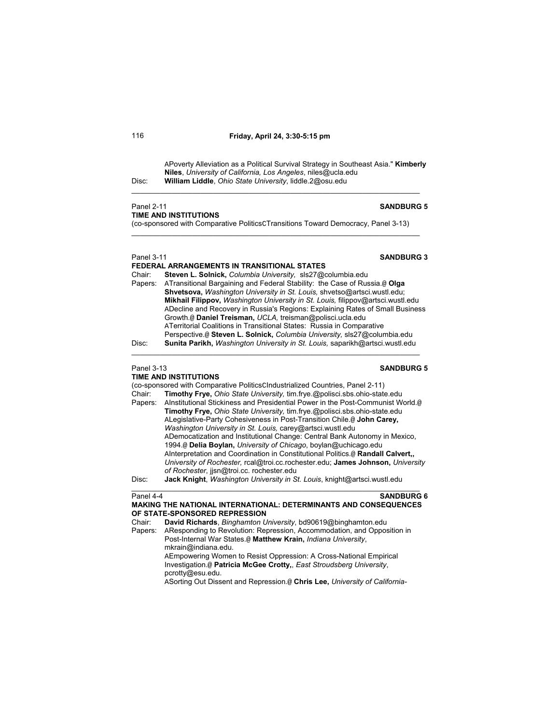APoverty Alleviation as a Political Survival Strategy in Southeast Asia." **Kimberly Niles**, *University of California, Los Angeles*, niles@ucla.edu Disc: **William Liddle**, *Ohio State University*, liddle.2@osu.edu  $\mathcal{L}_\text{max}$  , and the set of the set of the set of the set of the set of the set of the set of the set of the set of

## Panel 2-11 **SANDBURG 5 TIME AND INSTITUTIONS**  (co-sponsored with Comparative PoliticsCTransitions Toward Democracy, Panel 3-13)

\_\_\_\_\_\_\_\_\_\_\_\_\_\_\_\_\_\_\_\_\_\_\_\_\_\_\_\_\_\_\_\_\_\_\_\_\_\_\_\_\_\_\_\_\_\_\_\_\_\_\_\_\_\_\_\_\_\_\_\_\_\_\_\_\_\_\_\_\_\_\_

## Panel 3-11 **SANDBURG 3**

|         | FEDERAL ARRANGEMENTS IN TRANSITIONAL STATES                                     |
|---------|---------------------------------------------------------------------------------|
| Chair:  | Steven L. Solnick, Columbia University, sls27@columbia.edu                      |
| Papers: | ATransitional Bargaining and Federal Stability: the Case of Russia.@ Olga       |
|         | Shvetsova, Washington University in St. Louis, shvetso@artsci.wustl.edu;        |
|         | Mikhail Filippov, Washington University in St. Louis, filippov@artsci.wustl.edu |
|         | ADecline and Recovery in Russia's Regions: Explaining Rates of Small Business   |
|         | Growth.@ Daniel Treisman, UCLA, treisman@polisci.ucla.edu                       |
|         | ATerritorial Coalitions in Transitional States: Russia in Comparative           |
|         | Perspective.@ Steven L. Solnick, Columbia University, sls27@columbia.edu        |
| Disc:   | Sunita Parikh, Washington University in St. Louis, saparikh@artsci.wustl.edu    |
|         |                                                                                 |

 $\mathcal{L}_\text{max}$  , and the set of the set of the set of the set of the set of the set of the set of the set of the set of

## Panel 3-13 **SANDBURG 5**

|         | TIME AND INSTITUTIONS                                                            |
|---------|----------------------------------------------------------------------------------|
|         | (co-sponsored with Comparative PoliticscIndustrialized Countries, Panel 2-11)    |
| Chair:  | <b>Timothy Frye, Ohio State University, tim frye @polisci.sbs.ohio-state.edu</b> |
| Papers: | Alnstitutional Stickiness and Presidential Power in the Post-Communist World.@   |
|         | Timothy Frye, Ohio State University, tim.frye.@polisci.sbs.ohio-state.edu        |
|         | ALegislative-Party Cohesiveness in Post-Transition Chile.@ John Carey,           |
|         | Washington University in St. Louis, carey@artsci.wustl.edu                       |
|         | ADemocatization and Institutional Change: Central Bank Autonomy in Mexico.       |
|         | 1994.@ Delia Boylan, University of Chicago, boylan@uchicago.edu                  |
|         | Alnterpretation and Coordination in Constitutional Politics @ Randall Calvert    |
|         | University of Rochester, rcal@troi.cc.rochester.edu; James Johnson, University   |
|         | of Rochester, jisn@troi.cc. rochester.edu                                        |
| Disc:   | Jack Knight, Washington University in St. Louis, knight@artsci.wustl.edu         |

| Panel 4-4                                                               | <b>SANDBURG 6</b> |
|-------------------------------------------------------------------------|-------------------|
| <b>MAKING THE NATIONAL INTERNATIONAL: DETERMINANTS AND CONSEQUENCES</b> |                   |
| OF STATE-SPONSORED REPRESSION                                           |                   |

\_\_\_\_\_\_\_\_\_\_\_\_\_\_\_\_\_\_\_\_\_\_\_\_\_\_\_\_\_\_\_\_\_\_\_\_\_\_\_\_\_\_\_\_\_\_\_\_\_\_\_\_\_\_\_\_\_\_\_\_\_\_\_\_\_\_\_\_\_\_\_

Chair: **David Richards**, *Binghamton University*, bd90619@binghamton.edu Papers: AResponding to Revolution: Repression, Accommodation, and Opposition in Post-Internal War States.@ **Matthew Krain,** *Indiana University*, mkrain@indiana.edu. AEmpowering Women to Resist Oppression: A Cross-National Empirical Investigation.@ **Patricia McGee Crotty,**, *East Stroudsberg University*, pcrotty@esu.edu.

ASorting Out Dissent and Repression.@ **Chris Lee,** *University of California-*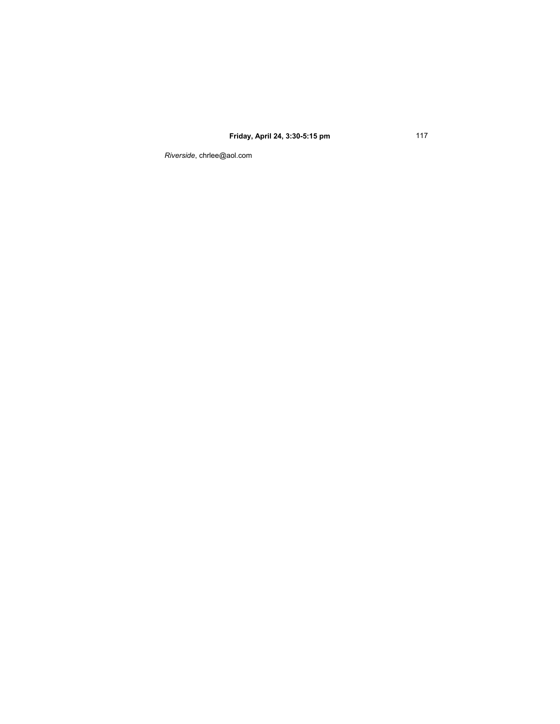*Riverside*, chrlee@aol.com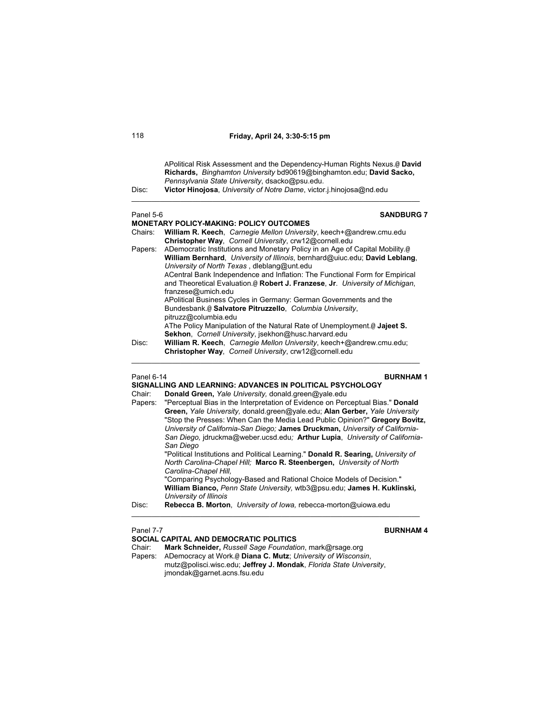APolitical Risk Assessment and the Dependency-Human Rights Nexus.@ **David Richards,** *Binghamton University* bd90619@binghamton.edu; **David Sacko,**  *Pennsylvania State University*, dsacko@psu.edu. Disc: **Victor Hinojosa**, *University of Notre Dame*, victor.j.hinojosa@nd.edu  $\mathcal{L}_\text{G} = \{ \mathcal{L}_\text{G} \mid \mathcal{L}_\text{G} \mid \mathcal{L}_\text{G} \mid \mathcal{L}_\text{G} \mid \mathcal{L}_\text{G} \mid \mathcal{L}_\text{G} \mid \mathcal{L}_\text{G} \mid \mathcal{L}_\text{G} \mid \mathcal{L}_\text{G} \mid \mathcal{L}_\text{G} \mid \mathcal{L}_\text{G} \mid \mathcal{L}_\text{G} \mid \mathcal{L}_\text{G} \mid \mathcal{L}_\text{G} \mid \mathcal{L}_\text{G} \mid \mathcal{L}_\text{G}$ Panel 5-6 **SANDBURG 7 MONETARY POLICY-MAKING: POLICY OUTCOMES** Chairs: **William R. Keech**, *Carnegie Mellon University*, keech+@andrew.cmu.edu **Christopher Way**, *Cornell University*, crw12@cornell.edu Papers: ADemocratic Institutions and Monetary Policy in an Age of Capital Mobility.@ **William Bernhard**, *University of Illinois*, bernhard@uiuc.edu; **David Leblang**, *University of North Texas* , dleblang@unt.edu ACentral Bank Independence and Inflation: The Functional Form for Empirical and Theoretical Evaluation.@ **Robert J. Franzese**, **Jr**. *University of Michigan*, franzese@umich.edu APolitical Business Cycles in Germany: German Governments and the Bundesbank.@ **Salvatore Pitruzzello**, *Columbia University*, pitruzz@columbia.edu AThe Policy Manipulation of the Natural Rate of Unemployment.@ **Jajeet S. Sekhon**, *Cornell University*, jsekhon@husc.harvard.edu Disc: **William R. Keech**, *Carnegie Mellon University*, keech+@andrew.cmu.edu; **Christopher Way**, *Cornell University*, crw12@cornell.edu \_\_\_\_\_\_\_\_\_\_\_\_\_\_\_\_\_\_\_\_\_\_\_\_\_\_\_\_\_\_\_\_\_\_\_\_\_\_\_\_\_\_\_\_\_\_\_\_\_\_\_\_\_\_\_\_\_\_\_\_\_\_\_\_\_\_\_\_\_\_\_

**Panel 6-14 BURNHAM 1** 

|         | SIGNALLING AND LEARNING: ADVANCES IN POLITICAL PSYCHOLOGY                         |
|---------|-----------------------------------------------------------------------------------|
| Chair:  | Donald Green, Yale University, donald green@yale.edu                              |
| Papers: | "Perceptual Bias in the Interpretation of Evidence on Perceptual Bias." Donald    |
|         | Green, Yale University, donald green@yale.edu; Alan Gerber, Yale University       |
|         | "Stop the Presses: When Can the Media Lead Public Opinion?" Gregory Bovitz,       |
|         | University of California-San Diego: James Druckman, University of California-     |
|         | San Diego, jdruckma@weber.ucsd.edu; Arthur Lupia, University of California-       |
|         | San Diego                                                                         |
|         | "Political Institutions and Political Learning." Donald R. Searing, University of |
|         | North Carolina-Chapel Hill: Marco R. Steenbergen, University of North             |
|         | Carolina-Chapel Hill,                                                             |
|         | "Comparing Psychology-Based and Rational Choice Models of Decision."              |
|         | William Bianco, Penn State University, wtb3@psu.edu; James H. Kuklinski,          |
|         | University of Illinois                                                            |
| Disc:   | Rebecca B. Morton, University of Iowa, rebecca-morton@uiowa.edu                   |
|         |                                                                                   |

**SOCIAL CAPITAL AND DEMOCRATIC POLITICS**

Chair: **Mark Schneider,** *Russell Sage Foundation*, mark@rsage.org

Panel 7-7 **BURNHAM 4**

Papers: ADemocracy at Work.@ **Diana C. Mutz**; *University of Wisconsin*,

mutz@polisci.wisc.edu; **Jeffrey J. Mondak**, *Florida State University*, jmondak@garnet.acns.fsu.edu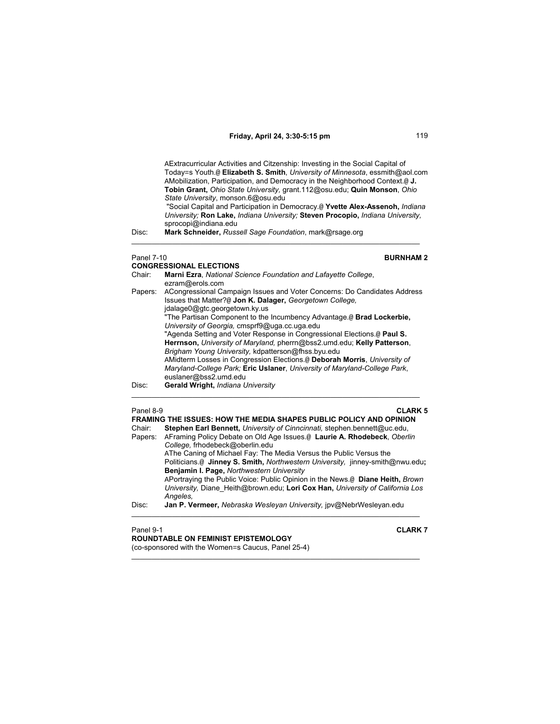AExtracurricular Activities and Citzenship: Investing in the Social Capital of Today=s Youth.@ **Elizabeth S. Smith**, *University of Minnesota*, essmith@aol.com AMobilization, Participation, and Democracy in the Neighborhood Context.@ **J. Tobin Grant,** *Ohio State University,* grant.112@osu.edu; **Quin Monson**, *Ohio State University*, monson.6@osu.edu "Social Capital and Participation in Democracy.@ **Yvette Alex-Assenoh,** *Indiana University;* **Ron Lake,** *Indiana University;* **Steven Procopio,** *Indiana University,*  sprocopi@indiana.edu

Disc: **Mark Schneider,** *Russell Sage Foundation*, mark@rsage.org

### Panel 7-10 **BURNHAM 2**

## **CONGRESSIONAL ELECTIONS**

| <b>Marni Ezra, National Science Foundation and Lafayette College,</b><br>ezram@erols.com                                                                                                   |
|--------------------------------------------------------------------------------------------------------------------------------------------------------------------------------------------|
| ACongressional Campaign Issues and Voter Concerns: Do Candidates Address<br>Issues that Matter?@ Jon K. Dalager, Georgetown College,<br>idalage0@gtc.georgetown.ky.us                      |
| "The Partisan Component to the Incumbency Advantage.@ Brad Lockerbie,<br>University of Georgia, cmsprf9@uga.cc.uga.edu                                                                     |
| "Agenda Setting and Voter Response in Congressional Elections @ Paul S.                                                                                                                    |
| Herrnson, University of Maryland, pherm@bss2.umd.edu; Kelly Patterson,<br>Brigham Young University, kdpatterson@fhss.byu.edu                                                               |
| AMidterm Losses in Congression Elections. <sup>®</sup> Deborah Morris, University of<br>Maryland-College Park; Eric Uslaner, University of Maryland-College Park,<br>euslaner@bss2.umd.edu |
| Gerald Wright, Indiana University                                                                                                                                                          |
|                                                                                                                                                                                            |

\_\_\_\_\_\_\_\_\_\_\_\_\_\_\_\_\_\_\_\_\_\_\_\_\_\_\_\_\_\_\_\_\_\_\_\_\_\_\_\_\_\_\_\_\_\_\_\_\_\_\_\_\_\_\_\_\_\_\_\_\_\_\_\_\_\_\_\_\_\_\_

## Panel 8-9 **CLARK 5**

|         | <b>FRAMING THE ISSUES: HOW THE MEDIA SHAPES PUBLIC POLICY AND OPINION</b>                        |
|---------|--------------------------------------------------------------------------------------------------|
| Chair:  | Stephen Earl Bennett, University of Cinncinnati, stephen.bennett@uc.edu,                         |
| Papers: | AFraming Policy Debate on Old Age Issues.@ Laurie A. Rhodebeck, Oberlin                          |
|         | College, frhodebeck@oberlin.edu                                                                  |
|         | AThe Caning of Michael Fay: The Media Versus the Public Versus the                               |
|         | Politicians. <sup>®</sup> Jinney S. Smith, Northwestern University, jinney-smith@nwu.edu;        |
|         | Benjamin I. Page, Northwestern University                                                        |
|         | APortraying the Public Voice: Public Opinion in the News. <sup>@</sup> Diane Heith, <i>Brown</i> |
|         | University, Diane Heith@brown.edu: Lori Cox Han, University of California Los                    |
|         | Angeles,                                                                                         |
| Disc:   | Jan P. Vermeer, Nebraska Wesleyan University, jpv@NebrWesleyan.edu                               |
|         |                                                                                                  |

 $\mathcal{L}_\text{max}$  , and the set of the set of the set of the set of the set of the set of the set of the set of the set of

Panel 9-1 **CLARK 7 ROUNDTABLE ON FEMINIST EPISTEMOLOGY** (co-sponsored with the Women=s Caucus, Panel 25-4)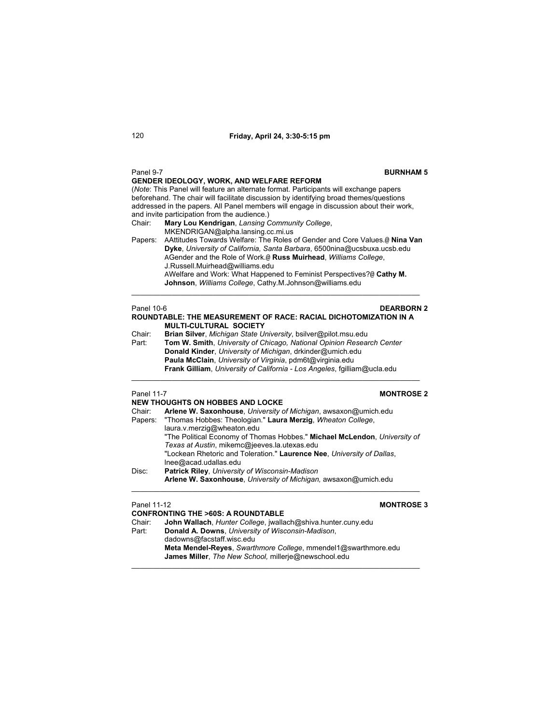## Panel 9-7 **BURNHAM 5**

**GENDER IDEOLOGY, WORK, AND WELFARE REFORM** (*Note*: This Panel will feature an alternate format. Participants will exchange papers beforehand. The chair will facilitate discussion by identifying broad themes/questions addressed in the papers. All Panel members will engage in discussion about their work, and invite participation from the audience.)<br>Chair: **Mary Lou Kendrigan**, Lansing C

Mary Lou Kendrigan, Lansing Community College, MKENDRIGAN@alpha.lansing.cc.mi.us

Papers: AAttitudes Towards Welfare: The Roles of Gender and Core Values.@ **Nina Van Dyke**, *University of California, Santa Barbara*, 6500nina@ucsbuxa.ucsb.edu AGender and the Role of Work.@ **Russ Muirhead**, *Williams College*, J.Russell.Muirhead@williams.edu AWelfare and Work: What Happened to Feminist Perspectives?@ **Cathy M. Johnson**, *Williams College*, Cathy.M.Johnson@williams.edu

 $\mathcal{L}_\text{max}$  , and the set of the set of the set of the set of the set of the set of the set of the set of the set of

## Panel 10-6 **DEARBORN 2**

**ROUNDTABLE: THE MEASUREMENT OF RACE: RACIAL DICHOTOMIZATION IN A MULTI-CULTURAL SOCIETY** 

 $\mathcal{L}_\text{max}$  , and the set of the set of the set of the set of the set of the set of the set of the set of the set of

Chair: **Brian Silver**, *Michigan State University*, bsilver@pilot.msu.edu **Tom W. Smith,** *University of Chicago*, National Opinion Research Center **Donald Kinder**, *University of Michigan*, drkinder@umich.edu **Paula McClain**, *University of Virginia*, pdm6t@virginia.edu **Frank Gilliam**, *University of California - Los Angeles*, fgilliam@ucla.edu

## Panel 11-7 **MONTROSE 2**

|         | <b>NEW THOUGHTS ON HOBBES AND LOCKE</b>                                   |
|---------|---------------------------------------------------------------------------|
| Chair:  | Arlene W. Saxonhouse, University of Michigan, awsaxon@umich.edu           |
| Papers: | "Thomas Hobbes: Theologian." Laura Merzig, Wheaton College,               |
|         | laura.v.merzig@wheaton.edu                                                |
|         | "The Political Economy of Thomas Hobbes." Michael McLendon, University of |
|         | Texas at Austin, mikemc@jeeves.la.utexas.edu                              |
|         | "Lockean Rhetoric and Toleration." Laurence Nee, University of Dallas,    |
|         | Inee@acad.udallas.edu                                                     |
| Disc:   | <b>Patrick Riley, University of Wisconsin-Madison</b>                     |
|         | Arlene W. Saxonhouse, University of Michigan, awsaxon@umich.edu           |
|         |                                                                           |

## Panel 11-12 **MONTROSE 3**

|        | <b>CONFRONTING THE &gt;60S: A ROUNDTABLE</b>                   |
|--------|----------------------------------------------------------------|
| Chair: | John Wallach, Hunter College, jwallach@shiva.hunter.cuny.edu   |
| Part:  | Donald A. Downs, University of Wisconsin-Madison,              |
|        | dadowns@facstaff.wisc.edu                                      |
|        | Meta Mendel-Reyes, Swarthmore College, mmendel1@swarthmore.edu |
|        | James Miller, The New School, millerje@newschool.edu           |
|        |                                                                |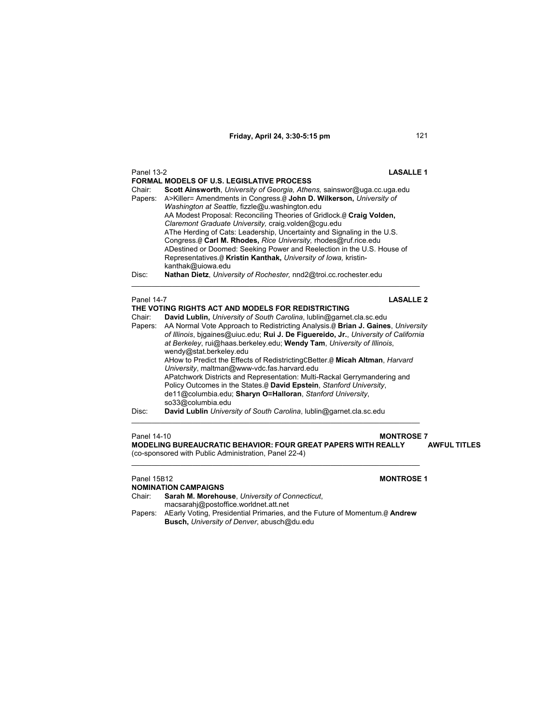## Panel 13-2 **LASALLE 1**

|                   | <b>FORMAL MODELS OF U.S. LEGISLATIVE PROCESS</b>                                    |
|-------------------|-------------------------------------------------------------------------------------|
| Chair:            | Scott Ainsworth, University of Georgia, Athens, sainswor@uga.cc.uga.edu             |
| Papers:           | A>Killer= Amendments in Congress.@ John D. Wilkerson, University of                 |
|                   | Washington at Seattle, fizzle@u.washington.edu                                      |
|                   | AA Modest Proposal: Reconciling Theories of Gridlock.@ Craig Volden,                |
|                   | Claremont Graduate University, craig.volden@cqu.edu                                 |
|                   | AThe Herding of Cats: Leadership, Uncertainty and Signaling in the U.S.             |
|                   | Congress.@ Carl M. Rhodes, Rice University, rhodes@ruf.rice.edu                     |
|                   | ADestined or Doomed: Seeking Power and Reelection in the U.S. House of              |
|                   | Representatives. <sup>®</sup> Kristin Kanthak, University of Iowa, kristin-         |
|                   | kanthak@uiowa.edu                                                                   |
| Disc:             | Nathan Dietz, University of Rochester, nnd2@troi.cc.rochester.edu                   |
|                   |                                                                                     |
|                   |                                                                                     |
| <b>Panel 14-7</b> | <b>LASALLE 2</b>                                                                    |
|                   | THE VOTING RIGHTS ACT AND MODELS FOR REDISTRICTING                                  |
| Chair:            | David Lublin, University of South Carolina, lublin@garnet.cla.sc.edu                |
| Papers:           | AA Normal Vote Approach to Redistricting Analysis.@ Brian J. Gaines, University     |
|                   | of Illinois, bigaines@uiuc.edu; Rui J. De Figuereido, Jr., University of California |
|                   | at Berkeley, rui@haas.berkeley.edu; Wendy Tam, University of Illinois,              |
|                   | wendy@stat.berkeley.edu                                                             |
|                   | AHow to Predict the Effects of Redistricting CBetter @ Micah Altman, Harvard        |
|                   | University, maltman@www-vdc.fas.harvard.edu                                         |
|                   | APatchwork Districts and Representation: Multi-Rackal Gerrymandering and            |
|                   | Policy Outcomes in the States @ David Epstein, Stanford University,                 |

so33@columbia.edu

Disc: **David Lublin** *University of South Carolina*, lublin@garnet.cla.sc.edu

 $\mathcal{L}_\text{G} = \{ \mathcal{L}_\text{G} \mid \mathcal{L}_\text{G} \mid \mathcal{L}_\text{G} \mid \mathcal{L}_\text{G} \mid \mathcal{L}_\text{G} \mid \mathcal{L}_\text{G} \mid \mathcal{L}_\text{G} \mid \mathcal{L}_\text{G} \mid \mathcal{L}_\text{G} \mid \mathcal{L}_\text{G} \mid \mathcal{L}_\text{G} \mid \mathcal{L}_\text{G} \mid \mathcal{L}_\text{G} \mid \mathcal{L}_\text{G} \mid \mathcal{L}_\text{G} \mid \mathcal{L}_\text{G}$ 

## Panel 14-10<br>**MONTROSE 7** MODELING BUREAUCRATIC BEHAVIOR: FOUR GREAT PAPERS WITH REALLY AWFUL TITLES **MODELING BUREAUCRATIC BEHAVIOR: FOUR GREAT PAPERS WITH REALLY**

(co-sponsored with Public Administration, Panel 22-4)  $\mathcal{L}_\text{max}$  , and the set of the set of the set of the set of the set of the set of the set of the set of the set of

## Panel 15B12 **MONTROSE 1**

### **NOMINATION CAMPAIGNS**<br>Chair: **Sarah M. Morehou** Sarah M. Morehouse, University of Connecticut, macsarahj@postoffice.worldnet.att.net

Papers: AEarly Voting, Presidential Primaries, and the Future of Momentum.@ **Andrew Busch,** *University of Denver*, abusch@du.edu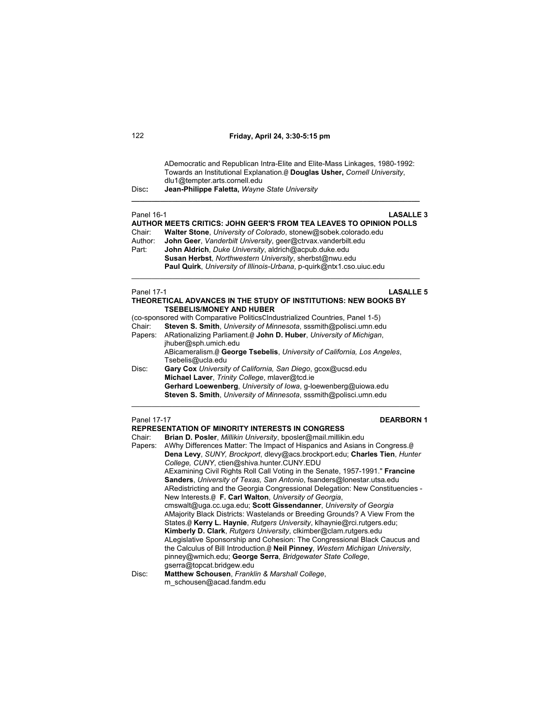ADemocratic and Republican Intra-Elite and Elite-Mass Linkages, 1980-1992: Towards an Institutional Explanation.@ **Douglas Usher,** *Cornell University*, dlu1@tempter.arts.cornell.edu Disc**: Jean-Philippe Faletta,** *Wayne State University* **\_\_\_\_\_\_\_\_\_\_\_\_\_\_\_\_\_\_\_\_\_\_\_\_\_\_\_\_\_\_\_\_\_\_\_\_\_\_\_\_\_\_\_\_\_\_\_\_\_\_\_\_\_\_\_\_\_\_\_\_\_\_\_\_\_\_\_\_\_\_\_**  Panel 16-1 **LASALLE 3 AUTHOR MEETS CRITICS: JOHN GEER'S FROM TEA LEAVES TO OPINION POLLS** Chair: **Walter Stone**, *University of Colorado*, stonew@sobek.colorado.edu Author: **John Geer**, *Vanderbilt University*, geer@ctrvax.vanderbilt.edu Part: **John Aldrich**, *Duke University*, aldrich@acpub.duke.edu **Susan Herbst**, *Northwestern University*, sherbst@nwu.edu **Paul Quirk**, *University of Illinois-Urbana*, p-quirk@ntx1.cso.uiuc.edu  $\mathcal{L}_\text{max}$  , and the set of the set of the set of the set of the set of the set of the set of the set of the set of Panel 17-1 **LASALLE 5 THEORETICAL ADVANCES IN THE STUDY OF INSTITUTIONS: NEW BOOKS BY TSEBELIS/MONEY AND HUBER** (co-sponsored with Comparative PoliticsCIndustrialized Countries, Panel 1-5) Chair: **Steven S. Smith**, *University of Minnesota*, sssmith@polisci.umn.edu Papers: ARationalizing Parliament.@ **John D. Huber**, *University of Michigan*, jhuber@sph.umich.edu ABicameralism.@ **George Tsebelis**, *University of California, Los Angeles*, Tsebelis@ucla.edu Disc: **Gary Cox** *University of California, San Diego*, gcox@ucsd.edu **Michael Laver**, *Trinity College*, mlaver@tcd.ie **Gerhard Loewenberg**, *University of Iowa*, g-loewenberg@uiowa.edu **Steven S. Smith**, *University of Minnesota*, sssmith@polisci.umn.edu  $\mathcal{L}_\text{max}$  , and the set of the set of the set of the set of the set of the set of the set of the set of the set of Panel 17-17 **DEARBORN 1 REPRESENTATION OF MINORITY INTERESTS IN CONGRESS** Chair: **Brian D. Posler**, *Millikin University*, bposler@mail.millikin.edu Papers: AWhy Differences Matter: The Impact of Hispanics and Asians in Congress.@ **Dena Levy**, *SUNY, Brockport*, dlevy@acs.brockport.edu; **Charles Tien**, *Hunter College, CUNY*, ctien@shiva.hunter.CUNY.EDU AExamining Civil Rights Roll Call Voting in the Senate, 1957-1991." **Francine Sanders**, *University of Texas, San Antonio*, fsanders@lonestar.utsa.edu ARedistricting and the Georgia Congressional Delegation: New Constituencies -

New Interests.@ **F. Carl Walton**, *University of Georgia*,

gserra@topcat.bridgew.edu

Disc: **Matthew Schousen**, *Franklin & Marshall College*, m\_schousen@acad.fandm.edu

cmswalt@uga.cc.uga.edu; **Scott Gissendanner**, *University of Georgia*  AMajority Black Districts: Wastelands or Breeding Grounds? A View From the States.@ **Kerry L. Haynie**, *Rutgers University*, klhaynie@rci.rutgers.edu; **Kimberly D. Clark**, *Rutgers University*, clkimber@clam.rutgers.edu

pinney@wmich.edu; **George Serra**, *Bridgewater State College*,

ALegislative Sponsorship and Cohesion: The Congressional Black Caucus and the Calculus of Bill Introduction.@ **Neil Pinney**, *Western Michigan University*,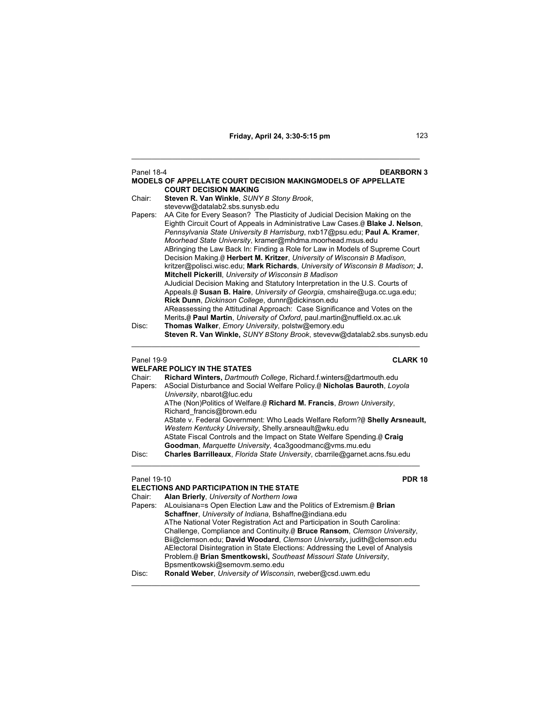$\mathcal{L}_\text{max}$  , and the set of the set of the set of the set of the set of the set of the set of the set of the set of

| Panel 18-4<br><b>DEARBORN 3</b><br>MODELS OF APPELLATE COURT DECISION MAKINGMODELS OF APPELLATE<br><b>COURT DECISION MAKING</b> |                                                                                                                                                                                                                                                                                                                                                                                                                                                                                                                                                                                                                                                                                                                                                                                                                                                                                                                                                               |  |  |
|---------------------------------------------------------------------------------------------------------------------------------|---------------------------------------------------------------------------------------------------------------------------------------------------------------------------------------------------------------------------------------------------------------------------------------------------------------------------------------------------------------------------------------------------------------------------------------------------------------------------------------------------------------------------------------------------------------------------------------------------------------------------------------------------------------------------------------------------------------------------------------------------------------------------------------------------------------------------------------------------------------------------------------------------------------------------------------------------------------|--|--|
| Chair:                                                                                                                          | Steven R. Van Winkle, SUNY B Stony Brook,                                                                                                                                                                                                                                                                                                                                                                                                                                                                                                                                                                                                                                                                                                                                                                                                                                                                                                                     |  |  |
| Papers:                                                                                                                         | stevevw@datalab2.sbs.sunysb.edu<br>AA Cite for Every Season? The Plasticity of Judicial Decision Making on the<br>Eighth Circuit Court of Appeals in Administrative Law Cases.@ Blake J. Nelson,<br>Pennsylvania State University B Harrisburg, nxb17@psu.edu; Paul A. Kramer,<br>Moorhead State University, kramer@mhdma.moorhead.msus.edu<br>ABringing the Law Back In: Finding a Role for Law in Models of Supreme Court<br>Decision Making.@ Herbert M. Kritzer, University of Wisconsin B Madison,<br>kritzer@polisci.wisc.edu: Mark Richards, University of Wisconsin B Madison; J.<br>Mitchell Pickerill, University of Wisconsin B Madison<br>AJudicial Decision Making and Statutory Interpretation in the U.S. Courts of<br>Appeals. <sup>®</sup> Susan B. Haire, University of Georgia, cmshaire@uga.cc.uga.edu;<br>Rick Dunn, Dickinson College, dunnr@dickinson.edu<br>AReassessing the Attitudinal Approach: Case Significance and Votes on the |  |  |
|                                                                                                                                 | Merits.@ Paul Martin, University of Oxford, paul.martin@nuffield.ox.ac.uk                                                                                                                                                                                                                                                                                                                                                                                                                                                                                                                                                                                                                                                                                                                                                                                                                                                                                     |  |  |
| Disc:                                                                                                                           | Thomas Walker, Emory University, polstw@emory.edu<br>Steven R. Van Winkle, SUNY BStony Brook, stevevw@datalab2.sbs.sunysb.edu                                                                                                                                                                                                                                                                                                                                                                                                                                                                                                                                                                                                                                                                                                                                                                                                                                 |  |  |
|                                                                                                                                 | Panel 19-9<br><b>CLARK 10</b><br><b>WELFARE POLICY IN THE STATES</b>                                                                                                                                                                                                                                                                                                                                                                                                                                                                                                                                                                                                                                                                                                                                                                                                                                                                                          |  |  |
| Chair:<br>Papers:                                                                                                               | Richard Winters, Dartmouth College, Richard.f.winters@dartmouth.edu<br>ASocial Disturbance and Social Welfare Policy.@ Nicholas Bauroth, Loyola                                                                                                                                                                                                                                                                                                                                                                                                                                                                                                                                                                                                                                                                                                                                                                                                               |  |  |
|                                                                                                                                 | University, nbarot@luc.edu                                                                                                                                                                                                                                                                                                                                                                                                                                                                                                                                                                                                                                                                                                                                                                                                                                                                                                                                    |  |  |
|                                                                                                                                 | AThe (Non)Politics of Welfare.@ Richard M. Francis, Brown University,                                                                                                                                                                                                                                                                                                                                                                                                                                                                                                                                                                                                                                                                                                                                                                                                                                                                                         |  |  |
|                                                                                                                                 | Richard francis@brown.edu<br>AState v. Federal Government: Who Leads Welfare Reform?@ Shelly Arsneault,                                                                                                                                                                                                                                                                                                                                                                                                                                                                                                                                                                                                                                                                                                                                                                                                                                                       |  |  |
|                                                                                                                                 | Western Kentucky University, Shelly arsneault@wku.edu                                                                                                                                                                                                                                                                                                                                                                                                                                                                                                                                                                                                                                                                                                                                                                                                                                                                                                         |  |  |
|                                                                                                                                 | AState Fiscal Controls and the Impact on State Welfare Spending @ Craig<br>Goodman, Marquette University, 4ca3goodmanc@vms.mu.edu                                                                                                                                                                                                                                                                                                                                                                                                                                                                                                                                                                                                                                                                                                                                                                                                                             |  |  |
| Disc:                                                                                                                           | Charles Barrilleaux, Florida State University, cbarrile@garnet.acns.fsu.edu                                                                                                                                                                                                                                                                                                                                                                                                                                                                                                                                                                                                                                                                                                                                                                                                                                                                                   |  |  |
| Panel 19-10                                                                                                                     | <b>PDR 18</b>                                                                                                                                                                                                                                                                                                                                                                                                                                                                                                                                                                                                                                                                                                                                                                                                                                                                                                                                                 |  |  |
| Chair:                                                                                                                          | <b>ELECTIONS AND PARTICIPATION IN THE STATE</b><br>Alan Brierly, University of Northern Iowa                                                                                                                                                                                                                                                                                                                                                                                                                                                                                                                                                                                                                                                                                                                                                                                                                                                                  |  |  |
| Papers:                                                                                                                         | ALouisiana=s Open Election Law and the Politics of Extremism.@ Brian                                                                                                                                                                                                                                                                                                                                                                                                                                                                                                                                                                                                                                                                                                                                                                                                                                                                                          |  |  |
|                                                                                                                                 | Schaffner, University of Indiana, Bshaffne@indiana.edu<br>AThe National Voter Registration Act and Participation in South Carolina:<br>Challenge, Compliance and Continuity @ Bruce Ransom, Clemson University,<br>Bii@clemson.edu; David Woodard, Clemson University, judith@clemson.edu<br>AElectoral Disintegration in State Elections: Addressing the Level of Analysis<br>Problem.@ Brian Smentkowski, Southeast Missouri State University,<br>Bpsmentkowski@semovm.semo.edu                                                                                                                                                                                                                                                                                                                                                                                                                                                                             |  |  |
| Disc:                                                                                                                           | Ronald Weber, University of Wisconsin, rweber@csd.uwm.edu                                                                                                                                                                                                                                                                                                                                                                                                                                                                                                                                                                                                                                                                                                                                                                                                                                                                                                     |  |  |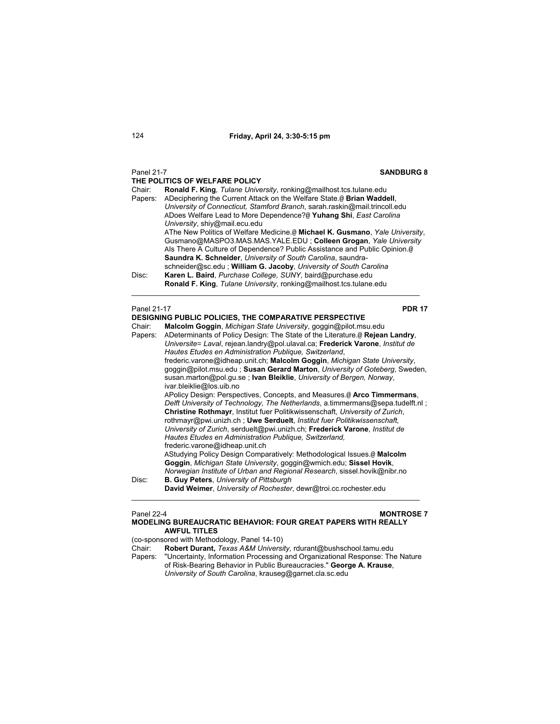## Panel 21-7 **SANDBURG 8**

|         | THE POLITICS OF WELFARE POLICY                                               |
|---------|------------------------------------------------------------------------------|
| Chair:  | <b>Ronald F. King.</b> Tulane University, ronking@mailhost.tcs.tulane.edu    |
| Papers: | ADeciphering the Current Attack on the Welfare State.@ Brian Waddell.        |
|         | University of Connecticut, Stamford Branch, sarah.raskin@mail.trincoll.edu   |
|         | ADoes Welfare Lead to More Dependence?@ Yuhang Shi, East Carolina            |
|         | University, shiy@mail.ecu.edu                                                |
|         | AThe New Politics of Welfare Medicine @ Michael K. Gusmano, Yale University, |
|         | Gusmano@MASPO3.MAS.MAS.YALE.EDU : Colleen Grogan, Yale University            |
|         | Als There A Culture of Dependence? Public Assistance and Public Opinion.@    |
|         | Saundra K. Schneider, University of South Carolina, saundra-                 |
|         | schneider@sc.edu; William G. Jacoby, University of South Carolina            |
| Disc:   | Karen L. Baird, Purchase College, SUNY, baird@purchase.edu                   |
|         | <b>Ronald F. King.</b> Tulane University, ronking@mailhost.tcs.tulane.edu    |

 $\mathcal{L}_\text{max}$  , and the set of the set of the set of the set of the set of the set of the set of the set of the set of

### Panel 21-17 **PDR 17**

|         | <b>DESIGNING PUBLIC POLICIES. THE COMPARATIVE PERSPECTIVE</b>                       |
|---------|-------------------------------------------------------------------------------------|
| Chair:  | Malcolm Goggin, Michigan State University, goggin@pilot.msu.edu                     |
| Papers: | ADeterminants of Policy Design: The State of the Literature.@ Rejean Landry,        |
|         | Universite= Laval, rejean.landry@pol.ulaval.ca; Frederick Varone, Institut de       |
|         | Hautes Etudes en Administration Publique, Switzerland,                              |
|         | frederic.varone@idheap.unit.ch; Malcolm Goggin, Michigan State University,          |
|         | goggin@pilot.msu.edu; Susan Gerard Marton, University of Goteberg, Sweden,          |
|         | susan.marton@pol.qu.se; Ivan Bleiklie, University of Bergen, Norway,                |
|         | ivar.bleiklie@los.uib.no                                                            |
|         | APolicy Design: Perspectives, Concepts, and Measures.@ Arco Timmermans,             |
|         | Delft University of Technology. The Netherlands, a timmermans@sepa.tudelft.nl;      |
|         | <b>Christine Rothmayr, Institut fuer Politikwissenschaft, University of Zurich,</b> |
|         | rothmayr@pwi.unizh.ch: Uwe Serduelt, Institut fuer Politikwissenschaft,             |
|         | University of Zurich, serduelt@pwi.unizh.ch; Frederick Varone, Institut de          |
|         | Hautes Etudes en Administration Publique, Switzerland,                              |
|         | frederic.varone@idheap.unit.ch                                                      |
|         | AStudying Policy Design Comparatively: Methodological Issues.@ Malcolm              |
|         | Goggin, Michigan State University, goggin@wmich.edu; Sissel Hovik,                  |
|         | Norwegian Institute of Urban and Regional Research, sissel.hovik@nibr.no            |
| Disc:   | <b>B. Guy Peters, University of Pittsburgh</b>                                      |
|         |                                                                                     |
|         | David Weimer, University of Rochester, dewr@troi.cc.rochester.edu                   |
|         |                                                                                     |

Panel 22-4 **MONTROSE 7** 

## **MODELING BUREAUCRATIC BEHAVIOR: FOUR GREAT PAPERS WITH REALLY AWFUL TITLES**

(co-sponsored with Methodology, Panel 14-10)

Chair: **Robert Durant,** *Texas A&M University,* rdurant@bushschool.tamu.edu

Papers: "Uncertainty, Information Processing and Organizational Response: The Nature of Risk-Bearing Behavior in Public Bureaucracies." **George A. Krause**, *University of South Carolina*, krauseg@garnet.cla.sc.edu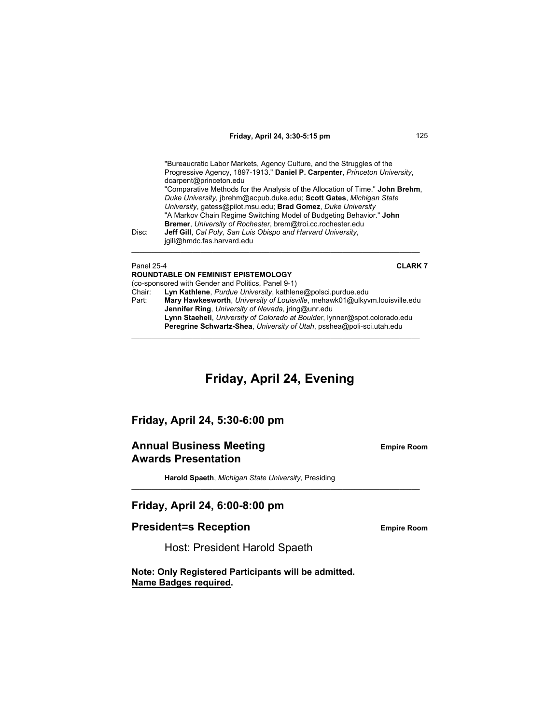|       | "Bureaucratic Labor Markets, Agency Culture, and the Struggles of the         |
|-------|-------------------------------------------------------------------------------|
|       | Progressive Agency, 1897-1913." Daniel P. Carpenter, Princeton University,    |
|       | dcarpent@princeton.edu                                                        |
|       | "Comparative Methods for the Analysis of the Allocation of Time." John Brehm, |
|       | Duke University, jbrehm@acpub.duke.edu; Scott Gates, Michigan State           |
|       | University, gatess@pilot.msu.edu; Brad Gomez, Duke University                 |
|       | "A Markov Chain Regime Switching Model of Budgeting Behavior." John           |
|       | Bremer, University of Rochester, brem@troi.cc.rochester.edu                   |
| Disc: | Jeff Gill, Cal Poly, San Luis Obispo and Harvard University,                  |
|       | jqill@hmdc.fas.harvard.edu                                                    |
|       |                                                                               |

Panel 25-4 **CLARK 7**

**ROUNDTABLE ON FEMINIST EPISTEMOLOGY** (co-sponsored with Gender and Politics, Panel 9-1) Chair: **Lyn Kathlene**, *Purdue University*, kathlene@polsci.purdue.edu Mary Hawkesworth, *University of Louisville*, mehawk01@ulkyvm.louisville.edu **Jennifer Ring**, *University of Nevada*, jring@unr.edu **Lynn Staeheli**, *University of Colorado at Boulder*, lynner@spot.colorado.edu **Peregrine Schwartz-Shea**, *University of Utah*, psshea@poli-sci.utah.edu  $\mathcal{L}_\text{max}$  , and the contribution of the contribution of the contribution of the contribution of the contribution of the contribution of the contribution of the contribution of the contribution of the contribution of t

# **Friday, April 24, Evening**

 $\mathcal{L}_\text{max}$  , and the set of the set of the set of the set of the set of the set of the set of the set of the set of

**Friday, April 24, 5:30-6:00 pm** 

## **Annual Business Meeting Empire Room Empire Room Awards Presentation**

**Harold Spaeth**, *Michigan State University*, Presiding

## **Friday, April 24, 6:00-8:00 pm**

## **President=s Reception** Empire Room

Host: President Harold Spaeth

**Note: Only Registered Participants will be admitted. Name Badges required.**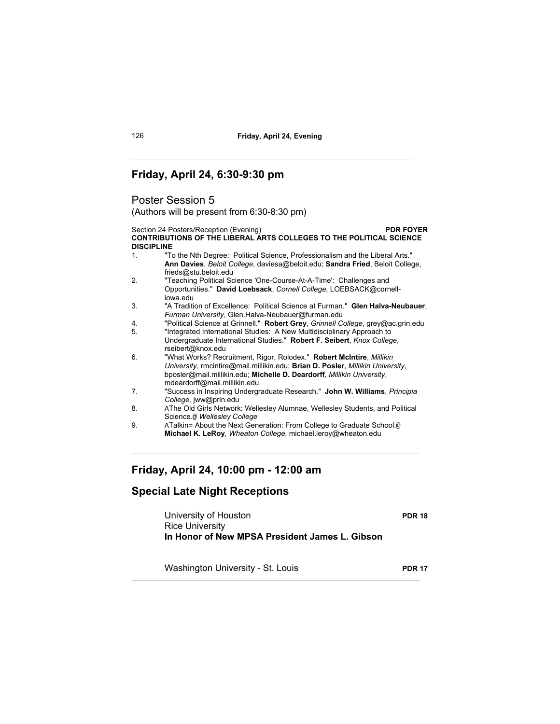$\mathcal{L}_\text{max}$  , and the contribution of the contribution of the contribution of the contribution of the contribution of the contribution of the contribution of the contribution of the contribution of the contribution of t

## **Friday, April 24, 6:30-9:30 pm**

Poster Session 5 (Authors will be present from 6:30-8:30 pm)

Section 24 Posters/Reception (Evening) **PDR FOYER CONTRIBUTIONS OF THE LIBERAL ARTS COLLEGES TO THE POLITICAL SCIENCE DISCIPLINE**

- 1. "To the Nth Degree: Political Science, Professionalism and the Liberal Arts." **Ann Davies**, *Beloit College*, daviesa@beloit.edu; **Sandra Fried**, Beloit College, frieds@stu.beloit.edu
- 2. "Teaching Political Science 'One-Course-At-A-Time': Challenges and Opportunities." **David Loebsack**, *Cornell College*, LOEBSACK@cornelliowa.edu
- 3. "A Tradition of Excellence: Political Science at Furman." **Glen Halva-Neubauer**, *Furman University*, Glen.Halva-Neubauer@furman.edu
- 4. "Political Science at Grinnell." **Robert Grey**, *Grinnell College*, grey@ac.grin.edu
- 5. "Integrated International Studies: A New Multidisciplinary Approach to Undergraduate International Studies." **Robert F. Seibert**, *Knox College*, rseibert@knox.edu
- 6. "What Works? Recruitment, Rigor, Rolodex." **Robert McIntire**, *Millikin University*, rmcintire@mail.millikin.edu; **Brian D. Posler**, *Millikin University*, bposler@mail.millikin.edu; **Michelle D. Deardorff**, *Millikin University*, mdeardorff@mail.millikin.edu
- 7. "Success in Inspiring Undergraduate Research." **John W. Williams**, *Principia College,* jww@prin.edu
- 8. AThe Old Girls Network: Wellesley Alumnae, Wellesley Students, and Political Science.@ *Wellesley College*

 $\mathcal{L}_\text{max}$  , and the set of the set of the set of the set of the set of the set of the set of the set of the set of

9. ATalkin= About the Next Generation: From College to Graduate School.@ **Michael K. LeRoy**, *Wheaton College*, michael.leroy@wheaton.edu

## **Friday, April 24, 10:00 pm - 12:00 am**

## **Special Late Night Receptions**

University of Houston **PDR 18** Rice University **In Honor of New MPSA President James L. Gibson**

Washington University - St. Louis **PDR 17** 

 $\mathcal{L}_\text{max}$  , and the set of the set of the set of the set of the set of the set of the set of the set of the set of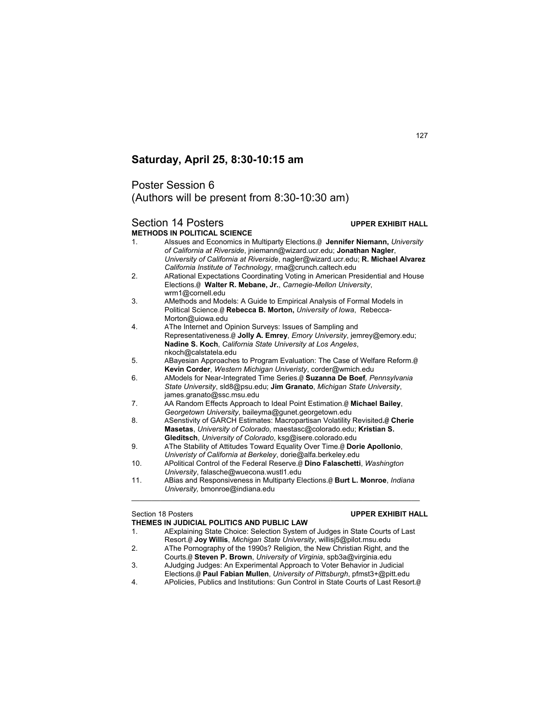## Poster Session 6

(Authors will be present from 8:30-10:30 am)

## Section 14 Posters **The Contract Section 14 Posters METHODS IN POLITICAL SCIENCE**

- 1. AIssues and Economics in Multiparty Elections.@ **Jennifer Niemann,** *University of California at Riverside*, jniemann@wizard.ucr.edu; **Jonathan Nagler**, *University of California at Riverside*, nagler@wizard.ucr.edu; **R. Michael Alvarez** *California Institute of Technology*, rma@crunch.caltech.edu
- 2. ARational Expectations Coordinating Voting in American Presidential and House Elections.@ **Walter R. Mebane, Jr.**, *Carnegie-Mellon University*, wrm1@cornell.edu
- 3. AMethods and Models: A Guide to Empirical Analysis of Formal Models in Political Science.@ **Rebecca B. Morton,** *University of Iowa*, Rebecca-Morton@uiowa.edu
- 4. AThe Internet and Opinion Surveys: Issues of Sampling and Representativeness.@ **Jolly A. Emrey**, *Emory University*, jemrey@emory.edu; **Nadine S. Koch**, *California State University at Los Angeles*, nkoch@calstatela.edu
- 5. ABayesian Approaches to Program Evaluation: The Case of Welfare Reform.@ **Kevin Corder**, *Western Michigan Univeristy*, corder@wmich.edu
- 6. AModels for Near-Integrated Time Series.@ **Suzanna De Boef***, Pennsylvania State University*, sld8@psu.edu; **Jim Granato**, *Michigan State University*, james.granato@ssc.msu.edu
- 7. AA Random Effects Approach to Ideal Point Estimation.@ **Michael Bailey**, *Georgetown University*, baileyma@gunet.georgetown.edu
- 8. ASenstivity of GARCH Estimates: Macropartisan Volatility Revisited**.@ Cherie Masetas**, *University of Colorado*, maestasc@colorado.edu; **Kristian S. Gleditsch**, *University of Colorado*, ksg@isere.colorado.edu
- 9. AThe Stability of Attitudes Toward Equality Over Time.@ **Dorie Apollonio**, *Univeristy of California at Berkeley*, dorie@alfa.berkeley.edu
- 10. APolitical Control of the Federal Reserve.@ **Dino Falaschetti**, *Washington University*, falasche@wuecona.wustl1.edu
- 11. ABias and Responsiveness in Multiparty Elections.@ **Burt L. Monroe**, *Indiana University,* bmonroe@indiana.edu \_\_\_\_\_\_\_\_\_\_\_\_\_\_\_\_\_\_\_\_\_\_\_\_\_\_\_\_\_\_\_\_\_\_\_\_\_\_\_\_\_\_\_\_\_\_\_\_\_\_\_\_\_\_\_\_\_\_\_\_\_\_\_\_\_\_\_\_\_\_\_

# **THEMES IN JUDICIAL POLITICS AND PUBLIC LAW**

### Section 18 Posters **UPPER EXHIBIT HALL**

- 1. AExplaining State Choice: Selection System of Judges in State Courts of Last Resort.@ **Joy Willis**, *Michigan State University*, willisj5@pilot.msu.edu
- 2. AThe Pornography of the 1990s? Religion, the New Christian Right, and the Courts.@ **Steven P. Brown**, *University of Virginia*, spb3a@virginia.edu
- 3. AJudging Judges: An Experimental Approach to Voter Behavior in Judicial Elections.@ **Paul Fabian Mullen**, *University of Pittsburgh*, pfmst3+@pitt.edu
- 4. APolicies, Publics and Institutions: Gun Control in State Courts of Last Resort.@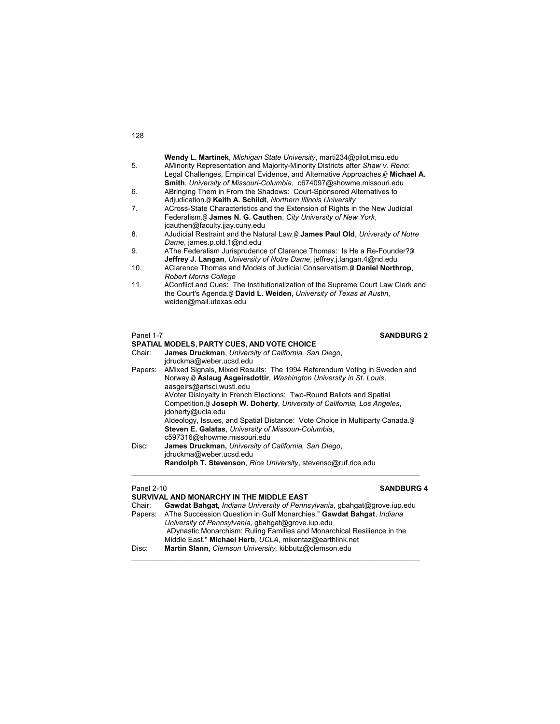| 5.             | Wendy L. Martinek, Michigan State University, marti234@pilot.msu.edu<br>AMinority Representation and Majority-Minority Districts after Shaw v. Reno:<br>Legal Challenges, Empirical Evidence, and Alternative Approaches.@ Michael A.<br>Smith, University of Missouri-Columbia, c674097@showme.missouri.edu |
|----------------|--------------------------------------------------------------------------------------------------------------------------------------------------------------------------------------------------------------------------------------------------------------------------------------------------------------|
| 6.             | ABringing Them in From the Shadows: Court-Sponsored Alternatives to<br>Adjudication.@ Keith A. Schildt, Northern Illinois University                                                                                                                                                                         |
| 7 <sub>1</sub> | ACross-State Characteristics and the Extension of Rights in the New Judicial<br>Federalism.@ James N. G. Cauthen, City University of New York,<br>jcauthen@faculty.jjay.cuny.edu                                                                                                                             |
| 8.             | AJudicial Restraint and the Natural Law @ James Paul Old, University of Notre<br>Dame, james.p.old.1@nd.edu                                                                                                                                                                                                  |
| 9.             | AThe Federalism Jurisprudence of Clarence Thomas: Is He a Re-Founder?@<br><b>Jeffrey J. Langan, University of Notre Dame, jeffrey illangan 4@nd.edu</b>                                                                                                                                                      |
| 10.            | AClarence Thomas and Models of Judicial Conservatism. <sup>®</sup> Daniel Northrop.<br><b>Robert Morris College</b>                                                                                                                                                                                          |
| 11.            | AConflict and Cues: The Institutionalization of the Supreme Court Law Clerk and<br>the Court's Agenda. <sup>®</sup> David L. Weiden, University of Texas at Austin,<br>weiden@mail.utexas.edu                                                                                                                |

\_\_\_\_\_\_\_\_\_\_\_\_\_\_\_\_\_\_\_\_\_\_\_\_\_\_\_\_\_\_\_\_\_\_\_\_\_\_\_\_\_\_\_\_\_\_\_\_\_\_\_\_\_\_\_\_\_\_\_\_\_\_\_\_\_\_\_\_\_\_\_

### Panel 1-7 **SANDBURG 2**

### **SPATIAL MODELS, PARTY CUES, AND VOTE CHOICE** James Druckman, *University of California, San Diego*, jdruckma@weber.ucsd.edu Papers: AMixed Signals, Mixed Results: The 1994 Referendum Voting in Sweden and Norway.@ **Aslaug Asgeirsdottir**, *Washington University in St. Louis*, aasgeirs@artsci.wustl.edu AVoter Disloyalty in French Elections: Two-Round Ballots and Spatial Competition.@ **Joseph W. Doherty**, *University of California, Los Angeles*, jdoherty@ucla.edu AIdeology, Issues, and Spatial Distance: Vote Choice in Multiparty Canada.@ **Steven E. Galatas**, *University of Missouri-Columbia*, c597316@showme.missouri.edu Disc: **James Druckman,** *University of California, San Diego*, jdruckma@weber.ucsd.edu **Randolph T. Stevenson**, *Rice University*, stevenso@ruf.rice.edu  $\mathcal{L}_\text{max}$  , and the set of the set of the set of the set of the set of the set of the set of the set of the set of

## Panel 2-10 **SANDBURG 4**

| SURVIVAL AND MONARCHY IN THE MIDDLE EAST |                                                                              |  |
|------------------------------------------|------------------------------------------------------------------------------|--|
| Chair:                                   | Gawdat Bahgat, Indiana University of Pennsylvania, gbahgat@grove.iup.edu     |  |
|                                          | Papers: AThe Succession Question in Gulf Monarchies." Gawdat Bahgat, Indiana |  |
|                                          | University of Pennsylvania, gbahgat@grove.iup.edu                            |  |
|                                          | ADynastic Monarchism: Ruling Families and Monarchical Resilience in the      |  |
|                                          | Middle East." Michael Herb, UCLA, mikentaz@earthlink.net                     |  |
| Disc:                                    | Martin Slann, Clemson University, kibbutz@clemson.edu                        |  |
|                                          |                                                                              |  |

## 128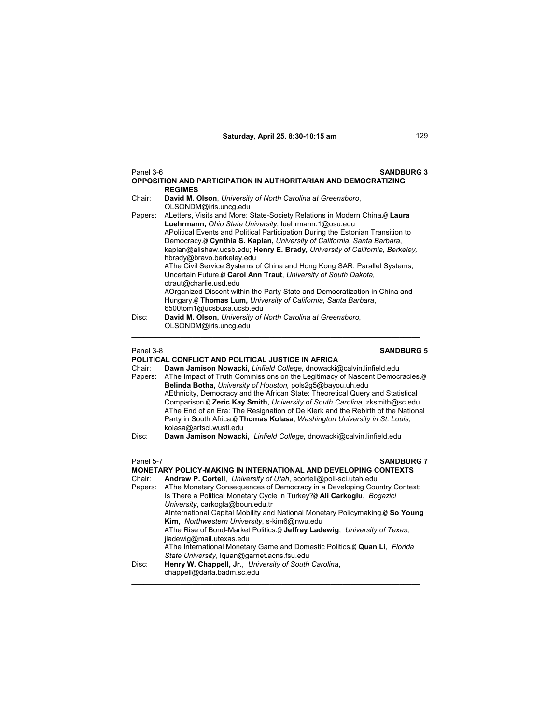| Panel 3-6<br><b>SANDBURG 3</b><br><b>OPPOSITION AND PARTICIPATION IN AUTHORITARIAN AND DEMOCRATIZING</b> |                                                                                                                                                                                                                                                                                                                                                                                                                                                                                                                                                                                                                                                                                                                                                                 |  |
|----------------------------------------------------------------------------------------------------------|-----------------------------------------------------------------------------------------------------------------------------------------------------------------------------------------------------------------------------------------------------------------------------------------------------------------------------------------------------------------------------------------------------------------------------------------------------------------------------------------------------------------------------------------------------------------------------------------------------------------------------------------------------------------------------------------------------------------------------------------------------------------|--|
| Chair:                                                                                                   | <b>REGIMES</b><br>David M. Olson, University of North Carolina at Greensboro,<br>OLSONDM@iris.uncg.edu                                                                                                                                                                                                                                                                                                                                                                                                                                                                                                                                                                                                                                                          |  |
| Papers:                                                                                                  | ALetters, Visits and More: State-Society Relations in Modern China.@ Laura<br>Luehrmann, Ohio State University, luehrmann.1@osu.edu<br>APolitical Events and Political Participation During the Estonian Transition to<br>Democracy. <sup>®</sup> Cynthia S. Kaplan, University of California, Santa Barbara,<br>kaplan@alishaw.ucsb.edu: Henry E. Brady, University of California, Berkeley.<br>hbrady@bravo.berkeley.edu<br>AThe Civil Service Systems of China and Hong Kong SAR: Parallel Systems,<br>Uncertain Future.@ Carol Ann Traut, University of South Dakota.<br>ctraut@charlie.usd.edu<br>AOrganized Dissent within the Party-State and Democratization in China and<br>Hungary. <sup>®</sup> Thomas Lum, University of California, Santa Barbara, |  |
| Disc:                                                                                                    | 6500tom1@ucsbuxa.ucsb.edu<br>David M. Olson, University of North Carolina at Greensboro,<br>OLSONDM@iris.uncg.edu                                                                                                                                                                                                                                                                                                                                                                                                                                                                                                                                                                                                                                               |  |
| Panel 3-8                                                                                                | <b>SANDBURG 5</b>                                                                                                                                                                                                                                                                                                                                                                                                                                                                                                                                                                                                                                                                                                                                               |  |
|                                                                                                          | POLITICAL CONFLICT AND POLITICAL JUSTICE IN AFRICA                                                                                                                                                                                                                                                                                                                                                                                                                                                                                                                                                                                                                                                                                                              |  |
| Chair:<br>Papers:                                                                                        | Dawn Jamison Nowacki, Linfield College, dnowacki@calvin.linfield.edu<br>AThe Impact of Truth Commissions on the Legitimacy of Nascent Democracies.@<br>Belinda Botha, University of Houston, pols2g5@bayou.uh.edu<br>AEthnicity, Democracy and the African State: Theoretical Query and Statistical<br>Comparison.@ Zeric Kay Smith, University of South Carolina, zksmith@sc.edu<br>AThe End of an Era: The Resignation of De Klerk and the Rebirth of the National<br>Party in South Africa.@ Thomas Kolasa, Washington University in St. Louis,<br>kolasa@artsci.wustl.edu                                                                                                                                                                                   |  |
| Disc:                                                                                                    | Dawn Jamison Nowacki, Linfield College, dnowacki@calvin.linfield.edu                                                                                                                                                                                                                                                                                                                                                                                                                                                                                                                                                                                                                                                                                            |  |
| Panel 5-7                                                                                                | <b>SANDBURG 7</b><br>MONETARY POLICY-MAKING IN INTERNATIONAL AND DEVELOPING CONTEXTS                                                                                                                                                                                                                                                                                                                                                                                                                                                                                                                                                                                                                                                                            |  |
| Chair:<br>Papers:                                                                                        | Andrew P. Cortell, University of Utah, acortell@poli-sci.utah.edu<br>AThe Monetary Consequences of Democracy in a Developing Country Context:<br>Is There a Political Monetary Cycle in Turkey?@ Ali Carkoglu, Bogazici<br>University, carkogla@boun.edu.tr<br>AInternational Capital Mobility and National Monetary Policymaking.@ So Young<br>Kim, Northwestern University, s-kim6@nwu.edu<br>AThe Rise of Bond-Market Politics.@ Jeffrey Ladewig, University of Texas,<br>jladewig@mail.utexas.edu<br>AThe International Monetary Game and Domestic Politics.@ Quan Li, Florida<br>State University, Iquan@garnet.acns.fsu.edu                                                                                                                               |  |
| Disc:                                                                                                    | Henry W. Chappell, Jr., University of South Carolina,<br>chappell@darla.badm.sc.edu                                                                                                                                                                                                                                                                                                                                                                                                                                                                                                                                                                                                                                                                             |  |

\_\_\_\_\_\_\_\_\_\_\_\_\_\_\_\_\_\_\_\_\_\_\_\_\_\_\_\_\_\_\_\_\_\_\_\_\_\_\_\_\_\_\_\_\_\_\_\_\_\_\_\_\_\_\_\_\_\_\_\_\_\_\_\_\_\_\_\_\_\_\_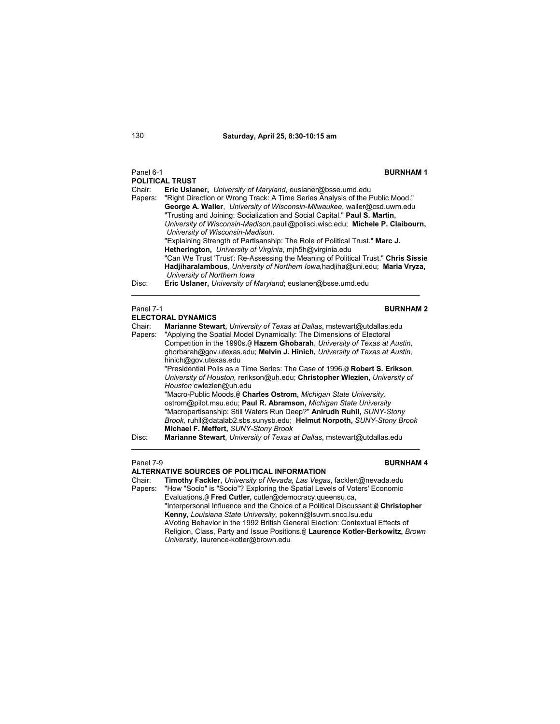## Panel 6-1 **BURNHAM 1**

**POLITICAL TRUST** Chair: **Eric Uslaner,** *University of Maryland*, euslaner@bsse.umd.edu Papers: "Right Direction or Wrong Track: A Time Series Analysis of the Public Mood." **George A. Waller**, *University of Wisconsin-Milwaukee*, waller@csd.uwm.edu "Trusting and Joining: Socialization and Social Capital." **Paul S. Martin,**  *University of Wisconsin-Madison,*pauli@polisci.wisc.edu; **Michele P. Claibourn,**   *University of Wisconsin-Madison*. "Explaining Strength of Partisanship: The Role of Political Trust." **Marc J. Hetherington,** *University of Virginia*, mjh5h@virginia.edu "Can We Trust 'Trust': Re-Assessing the Meaning of Political Trust." **Chris Sissie Hadjiharalambous**, *University of Northern Iowa,*hadjiha@uni.edu; **Maria Vryza,**  *University of Northern Iowa* Disc: **Eric Uslaner,** *University of Maryland*; euslaner@bsse.umd.edu \_\_\_\_\_\_\_\_\_\_\_\_\_\_\_\_\_\_\_\_\_\_\_\_\_\_\_\_\_\_\_\_\_\_\_\_\_\_\_\_\_\_\_\_\_\_\_\_\_\_\_\_\_\_\_\_\_\_\_\_\_\_\_\_\_\_\_\_\_\_\_ **Panel 7-1 BURNHAM 2 ELECTORAL DYNAMICS**<br>Chair: **Marianne Stewa** Chair: **Marianne Stewart,** *University of Texas at Dallas*, mstewart@utdallas.edu Papers: "Applying the Spatial Model Dynamically: The Dimensions of Electoral Competition in the 1990s.@ **Hazem Ghobarah**, *University of Texas at Austin,* 

### hinich@gov.utexas.edu "Presidential Polls as a Time Series: The Case of 1996.@ **Robert S. Erikson**, *University of Houston,* rerikson@uh.edu; **Christopher Wlezien,** *University of Houston* cwlezien@uh.edu "Macro-Public Moods.@ **Charles Ostrom,** *Michigan State University,*  ostrom@pilot.msu.edu; **Paul R. Abramson,** *Michigan State University*  "Macropartisanship: Still Waters Run Deep?" **Anirudh Ruhil,** *SUNY-Stony*

*Brook,* ruhil@datalab2.sbs.sunysb.edu; **Helmut Norpoth,** *SUNY-Stony Brook* **Michael F. Meffert,** *SUNY-Stony Brook*

\_\_\_\_\_\_\_\_\_\_\_\_\_\_\_\_\_\_\_\_\_\_\_\_\_\_\_\_\_\_\_\_\_\_\_\_\_\_\_\_\_\_\_\_\_\_\_\_\_\_\_\_\_\_\_\_\_\_\_\_\_\_\_\_\_\_\_\_\_\_\_

ghorbarah@gov.utexas.edu; **Melvin J. Hinich,** *University of Texas at Austin,* 

### Panel 7-9 **BURNHAM 4**

### **ALTERNATIVE SOURCES OF POLITICAL INFORMATION**

Chair: **Timothy Fackler**, *University of Nevada, Las Vegas*, facklert@nevada.edu "How "Socio" is "Socio"? Exploring the Spatial Levels of Voters' Economic

Evaluations.@ **Fred Cutler,** cutler@democracy.queensu.ca, "Interpersonal Influence and the Choice of a Political Discussant.@ **Christopher Kenny,** *Louisiana State University,* pokenn@lsuvm.sncc.lsu.edu AVoting Behavior in the 1992 British General Election: Contextual Effects of Religion, Class, Party and Issue Positions.@ **Laurence Kotler-Berkowitz,** *Brown University,* laurence-kotler@brown.edu

Disc: **Marianne Stewart**, *University of Texas at Dallas*, mstewart@utdallas.edu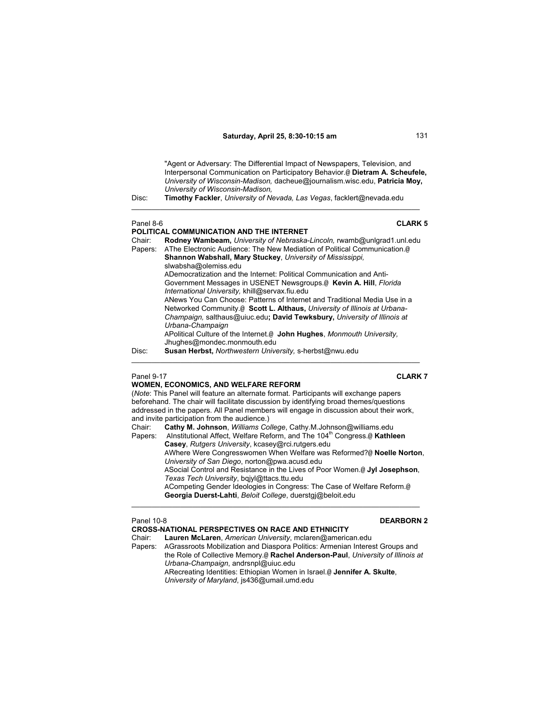"Agent or Adversary: The Differential Impact of Newspapers, Television, and Interpersonal Communication on Participatory Behavior.@ **Dietram A. Scheufele,**  *University of Wisconsin-Madison,* dacheue@journalism.wisc.edu, **Patricia Moy,**  *University of Wisconsin-Madison,*

Disc: **Timothy Fackler**, *University of Nevada, Las Vegas*, facklert@nevada.edu

\_\_\_\_\_\_\_\_\_\_\_\_\_\_\_\_\_\_\_\_\_\_\_\_\_\_\_\_\_\_\_\_\_\_\_\_\_\_\_\_\_\_\_\_\_\_\_\_\_\_\_\_\_\_\_\_\_\_\_\_\_\_\_\_\_\_\_\_\_\_\_

## **POLITICAL COMMUNICATION AND THE INTERNET**

Chair: **Rodney Wambeam,** *University of Nebraska-Lincoln,* rwamb@unlgrad1.unl.edu Papers: AThe Electronic Audience: The New Mediation of Political Communication.@ **Shannon Wabshall, Mary Stuckey**, *University of Mississippi,*  slwabsha@olemiss.edu ADemocratization and the Internet: Political Communication and Anti-Government Messages in USENET Newsgroups.@ **Kevin A. Hill**, *Florida International University,* khill@servax.fiu.edu ANews You Can Choose: Patterns of Internet and Traditional Media Use in a

Networked Community.@ **Scott L. Althaus,** *University of Illinois at Urbana-Champaign,* salthaus@uiuc.edu**; David Tewksbury,** *University of Illinois at Urbana-Champaign* 

APolitical Culture of the Internet.@ **John Hughes**, *Monmouth University,*  Jhughes@mondec.monmouth.edu

 $\mathcal{L}_\text{max}$  , and the set of the set of the set of the set of the set of the set of the set of the set of the set of

Disc: **Susan Herbst,** *Northwestern University,* s-herbst@nwu.edu

### Panel 9-17 **CLARK 7**

## **WOMEN, ECONOMICS, AND WELFARE REFORM**

(*Note*: This Panel will feature an alternate format. Participants will exchange papers beforehand. The chair will facilitate discussion by identifying broad themes/questions addressed in the papers. All Panel members will engage in discussion about their work, and invite participation from the audience.)

Chair: **Cathy M. Johnson**, *Williams College*, Cathy.M.Johnson@williams.edu Papers: AInstitutional Affect, Welfare Reform, and The 104th Congress.@ **Kathleen** 

**Casey**, *Rutgers University*, kcasey@rci.rutgers.edu AWhere Were Congresswomen When Welfare was Reformed?@ **Noelle Norton**, *University of San Diego*, norton@pwa.acusd.edu ASocial Control and Resistance in the Lives of Poor Women.@ **Jyl Josephson**,

*Texas Tech University*, bqjyl@ttacs.ttu.edu

ACompeting Gender Ideologies in Congress: The Case of Welfare Reform.@ **Georgia Duerst-Lahti**, *Beloit College*, duerstgj@beloit.edu  $\mathcal{L}_\text{max}$  , and the set of the set of the set of the set of the set of the set of the set of the set of the set of

## Panel 10-8 **DEARBORN 2**

**CROSS-NATIONAL PERSPECTIVES ON RACE AND ETHNICITY** Chair: **Lauren McLaren**, *American University*, mclaren@american.edu

Papers: AGrassroots Mobilization and Diaspora Politics: Armenian Interest Groups and the Role of Collective Memory.@ **Rachel Anderson-Paul**, *University of Illinois at Urbana-Champaign*, andrsnpl@uiuc.edu

ARecreating Identities: Ethiopian Women in Israel.@ **Jennifer A. Skulte**, *University of Maryland*, js436@umail.umd.edu

Panel 8-6 **CLARK 5**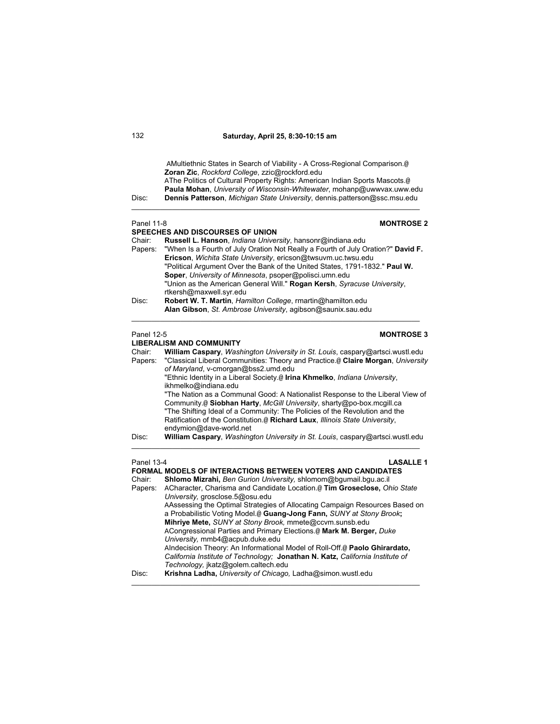| Disc:                                  | AMultiethnic States in Search of Viability - A Cross-Regional Comparison. <sup>@</sup><br>Zoran Zic, Rockford College, zzic@rockford.edu<br>AThe Politics of Cultural Property Rights: American Indian Sports Mascots.@<br>Paula Mohan, University of Wisconsin-Whitewater, mohanp@uwwvax.uww.edu<br>Dennis Patterson, Michigan State University, dennis.patterson@ssc.msu.edu                                                                                                                                                                                                                                                                                                                                                                                                                              |
|----------------------------------------|-------------------------------------------------------------------------------------------------------------------------------------------------------------------------------------------------------------------------------------------------------------------------------------------------------------------------------------------------------------------------------------------------------------------------------------------------------------------------------------------------------------------------------------------------------------------------------------------------------------------------------------------------------------------------------------------------------------------------------------------------------------------------------------------------------------|
| Panel 11-8                             | <b>MONTROSE 2</b><br><b>SPEECHES AND DISCOURSES OF UNION</b>                                                                                                                                                                                                                                                                                                                                                                                                                                                                                                                                                                                                                                                                                                                                                |
| Chair:<br>Papers:                      | Russell L. Hanson, Indiana University, hansonr@indiana.edu<br>"When Is a Fourth of July Oration Not Really a Fourth of July Oration?" David F.<br>Ericson, Wichita State University, ericson@twsuvm.uc.twsu.edu<br>"Political Argument Over the Bank of the United States, 1791-1832." Paul W.<br>Soper, University of Minnesota, psoper@polisci.umn.edu<br>"Union as the American General Will." Rogan Kersh, Syracuse University,<br>rtkersh@maxwell.syr.edu                                                                                                                                                                                                                                                                                                                                              |
| Disc:                                  | Robert W. T. Martin, Hamilton College, rmartin@hamilton.edu<br>Alan Gibson, St. Ambrose University, agibson@saunix.sau.edu                                                                                                                                                                                                                                                                                                                                                                                                                                                                                                                                                                                                                                                                                  |
| <b>Panel 12-5</b>                      | <b>MONTROSE 3</b>                                                                                                                                                                                                                                                                                                                                                                                                                                                                                                                                                                                                                                                                                                                                                                                           |
| Chair:<br>Papers:<br>Disc:             | <b>LIBERALISM AND COMMUNITY</b><br>William Caspary, Washington University in St. Louis, caspary@artsci.wustl.edu<br>"Classical Liberal Communities: Theory and Practice.@ Claire Morgan, University<br>of Maryland, v-cmorgan@bss2.umd.edu<br>"Ethnic Identity in a Liberal Society.@ Irina Khmelko, Indiana University,<br>ikhmelko@indiana.edu<br>"The Nation as a Communal Good: A Nationalist Response to the Liberal View of<br>Community.@ Siobhan Harty, McGill University, sharty@po-box.mcgill.ca<br>"The Shifting Ideal of a Community: The Policies of the Revolution and the<br>Ratification of the Constitution.@ Richard Laux, Illinois State University,<br>endymion@dave-world.net<br><b>William Caspary, Washington University in St. Louis, caspary@artsci.wustl.edu</b>                  |
| <b>Panel 13-4</b><br>Chair:<br>Papers: | <b>LASALLE 1</b><br><b>FORMAL MODELS OF INTERACTIONS BETWEEN VOTERS AND CANDIDATES</b><br>Shlomo Mizrahi, Ben Gurion University, shlomom@bgumail.bgu.ac.il<br>ACharacter, Charisma and Candidate Location.@ Tim Groseclose, Ohio State<br>University, grosclose.5@osu.edu<br>AAssessing the Optimal Strategies of Allocating Campaign Resources Based on<br>a Probabilistic Voting Model.@ Guang-Jong Fann, SUNY at Stony Brook;<br>Mihriye Mete, SUNY at Stony Brook, mmete@ccvm.sunsb.edu<br>ACongressional Parties and Primary Elections.@ Mark M. Berger, Duke<br>University, mmb4@acpub.duke.edu<br>AIndecision Theory: An Informational Model of Roll-Off.@ Paolo Ghirardato,<br>California Institute of Technology; Jonathan N. Katz, California Institute of<br>Technology, jkatz@golem.caltech.edu |
| Disc:                                  | Krishna Ladha, University of Chicago, Ladha@simon.wustl.edu                                                                                                                                                                                                                                                                                                                                                                                                                                                                                                                                                                                                                                                                                                                                                 |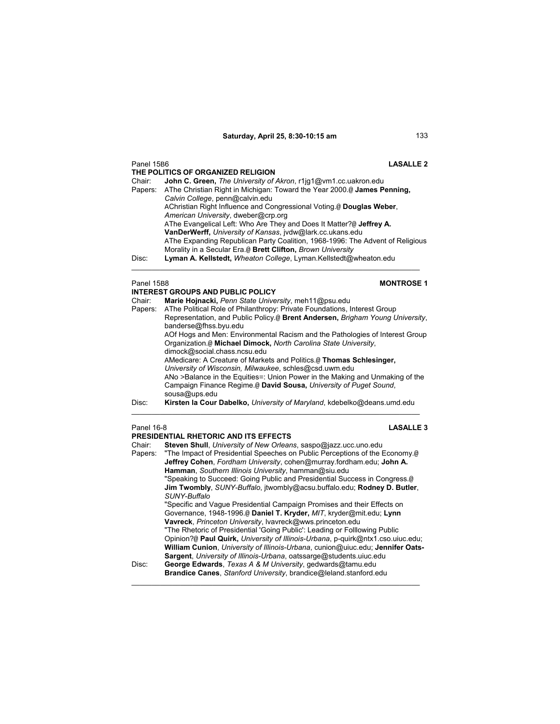Panel 15B6 **LASALLE 2 THE POLITICS OF ORGANIZED RELIGION** Chair: **John C. Green,** *The University of Akron*, r1jg1@vm1.cc.uakron.edu Papers: AThe Christian Right in Michigan: Toward the Year 2000.@ **James Penning,**  *Calvin College*, penn@calvin.edu AChristian Right Influence and Congressional Voting.@ **Douglas Weber**, *American University*, dweber@crp.org AThe Evangelical Left: Who Are They and Does It Matter?@ **Jeffrey A. VanDerWerff,** *University of Kansas*, jvdw@lark.cc.ukans.edu AThe Expanding Republican Party Coalition, 1968-1996: The Advent of Religious Morality in a Secular Era.@ **Brett Clifton,** *Brown University* Disc: **Lyman A. Kellstedt,** *Wheaton College*, Lyman.Kellstedt@wheaton.edu  $\mathcal{L}_\text{max}$  , and the set of the set of the set of the set of the set of the set of the set of the set of the set of Panel 15B8 **MONTROSE 1 INTEREST GROUPS AND PUBLIC POLICY**

| Chair:     | INTEREST SROOFS AND FODER FOEKST<br>Marie Hojnacki, Penn State University, meh11@psu.edu              |  |
|------------|-------------------------------------------------------------------------------------------------------|--|
| Papers:    | AThe Political Role of Philanthropy: Private Foundations, Interest Group                              |  |
|            | Representation, and Public Policy @ Brent Andersen, Brigham Young University,                         |  |
|            | banderse@fhss.byu.edu<br>AOf Hogs and Men: Environmental Racism and the Pathologies of Interest Group |  |
|            | Organization. <sup>®</sup> Michael Dimock, North Carolina State University,                           |  |
|            | dimock@social.chass.ncsu.edu                                                                          |  |
|            | AMedicare: A Creature of Markets and Politics.@ Thomas Schlesinger,                                   |  |
|            | University of Wisconsin, Milwaukee, schles@csd.uwm.edu                                                |  |
|            | ANo >Balance in the Equities=: Union Power in the Making and Unmaking of the                          |  |
|            | Campaign Finance Regime.@ David Sousa, University of Puget Sound.<br>sousa@ups.edu                    |  |
| Disc:      | Kirsten la Cour Dabelko, University of Maryland, kdebelko@deans.umd.edu                               |  |
| Panel 16-8 | <b>LASALLE 3</b>                                                                                      |  |
|            | PRESIDENTIAL RHETORIC AND ITS EFFECTS                                                                 |  |
| Chair:     | Steven Shull, University of New Orleans, saspo@jazz.ucc.uno.edu                                       |  |
|            |                                                                                                       |  |

| Chair:  | <b>Steven Shull, University of New Orleans, saspo@jazz.ucc.uno.edu</b>          |
|---------|---------------------------------------------------------------------------------|
| Papers: | "The Impact of Presidential Speeches on Public Perceptions of the Economy.@     |
|         | Jeffrey Cohen, Fordham University, cohen@murray.fordham.edu; John A.            |
|         | Hamman, Southern Illinois University, hamman@siu.edu                            |
|         | "Speaking to Succeed: Going Public and Presidential Success in Congress.@       |
|         | Jim Twombly, SUNY-Buffalo, jtwombly@acsu.buffalo.edu; Rodney D. Butler,         |
|         | SUNY-Buffalo                                                                    |
|         | "Specific and Vaque Presidential Campaign Promises and their Effects on         |
|         | Governance, 1948-1996.@ Daniel T. Kryder, MIT, kryder@mit.edu: Lynn             |
|         | Vavreck, Princeton University, Ivavreck@wws.princeton.edu                       |
|         | "The Rhetoric of Presidential 'Going Public': Leading or Folllowing Public      |
|         | Opinion?@ Paul Quirk, University of Illinois-Urbana, p-quirk@ntx1.cso.uiuc.edu; |
|         | William Cunion, University of Illinois-Urbana, cunion@uiuc.edu; Jennifer Oats-  |
|         | <b>Sargent</b> , University of Illinois-Urbana, oatssarge@students.uiuc.edu     |
| Disc:   | George Edwards, Texas A & M University, gedwards@tamu.edu                       |
|         | Described Ocean Official University beauties Qlabord stanford adv.              |

**Brandice Canes**, *Stanford University*, brandice@leland.stanford.edu

 $\mathcal{L}_\text{max}$  , and the set of the set of the set of the set of the set of the set of the set of the set of the set of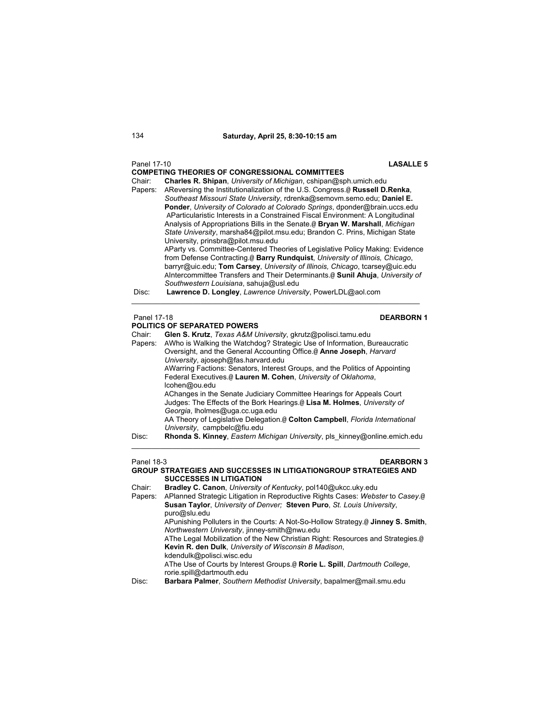| <b>LASALLE 5</b><br>Panel 17-10 |                                                                                                                         |  |
|---------------------------------|-------------------------------------------------------------------------------------------------------------------------|--|
|                                 | <b>COMPETING THEORIES OF CONGRESSIONAL COMMITTEES</b>                                                                   |  |
| Chair:                          | <b>Charles R. Shipan, University of Michigan, cshipan@sph.umich.edu</b>                                                 |  |
| Papers:                         | AReversing the Institutionalization of the U.S. Congress.@ Russell D.Renka,                                             |  |
|                                 | Southeast Missouri State University, rdrenka@semovm.semo.edu; Daniel E.                                                 |  |
|                                 | Ponder, University of Colorado at Colorado Springs, dponder@brain.uccs.edu                                              |  |
|                                 | AParticularistic Interests in a Constrained Fiscal Environment: A Longitudinal                                          |  |
|                                 | Analysis of Appropriations Bills in the Senate. <sup>®</sup> Bryan W. Marshall, Michigan                                |  |
|                                 | State University, marsha84@pilot.msu.edu; Brandon C. Prins, Michigan State                                              |  |
|                                 | University, prinsbra@pilot.msu.edu                                                                                      |  |
|                                 | AParty vs. Committee-Centered Theories of Legislative Policy Making: Evidence                                           |  |
|                                 | from Defense Contracting.@ Barry Rundquist, University of Illinois, Chicago,                                            |  |
|                                 | barryr@uic.edu; Tom Carsey, University of Illinois, Chicago, tcarsey@uic.edu                                            |  |
|                                 | AIntercommittee Transfers and Their Determinants.@ Sunil Ahuja, University of<br>Southwestern Louisiana, sahuja@usl.edu |  |
| Disc:                           | Lawrence D. Longley, Lawrence University, PowerLDL@aol.com                                                              |  |
|                                 |                                                                                                                         |  |
| Panel 17-18                     | <b>DEARBORN1</b>                                                                                                        |  |
|                                 | POLITICS OF SEPARATED POWERS                                                                                            |  |
| Chair:                          | Glen S. Krutz, Texas A&M University, gkrutz@polisci.tamu.edu                                                            |  |
| Papers:                         | AWho is Walking the Watchdog? Strategic Use of Information, Bureaucratic                                                |  |
|                                 | Oversight, and the General Accounting Office.@ Anne Joseph, Harvard                                                     |  |
|                                 | University, ajoseph@fas.harvard.edu                                                                                     |  |
|                                 | AWarring Factions: Senators, Interest Groups, and the Politics of Appointing                                            |  |
|                                 | Federal Executives.@ Lauren M. Cohen, University of Oklahoma,                                                           |  |
|                                 | lcohen@ou.edu                                                                                                           |  |
|                                 | AChanges in the Senate Judiciary Committee Hearings for Appeals Court                                                   |  |
|                                 | Judges: The Effects of the Bork Hearings.@ Lisa M. Holmes, University of                                                |  |

- *Georgia*, lholmes@uga.cc.uga.edu
	- AA Theory of Legislative Delegation.@ **Colton Campbell**, *Florida International University*, campbelc@fiu.edu
- Disc: **Rhonda S. Kinney**, *Eastern Michigan University*, pls\_kinney@online.emich.edu \_\_\_\_\_\_\_\_\_\_\_\_\_\_\_\_\_\_\_\_\_\_\_\_\_\_\_\_\_\_\_\_\_\_\_\_\_\_\_\_\_\_\_\_\_\_\_\_\_\_\_\_\_\_\_\_\_\_\_\_\_\_\_\_\_\_\_\_\_\_\_

## Panel 18-3 **DEARBORN 3**

## **GROUP STRATEGIES AND SUCCESSES IN LITIGATIONGROUP STRATEGIES AND SUCCESSES IN LITIGATION**

- Chair: **Bradley C. Canon**, *University of Kentucky*, pol140@ukcc.uky.edu
- Papers: APlanned Strategic Litigation in Reproductive Rights Cases: *Webster* to *Casey*.@ **Susan Taylor**, *University of Denver;* **Steven Puro**, *St. Louis University*, puro@slu.edu APunishing Polluters in the Courts: A Not-So-Hollow Strategy.@ **Jinney S. Smith**, *Northwestern University*, jinney-smith@nwu.edu AThe Legal Mobilization of the New Christian Right: Resources and Strategies.@ **Kevin R. den Dulk**, *University of Wisconsin* B *Madison*, kdendulk@polisci.wisc.edu AThe Use of Courts by Interest Groups.@ **Rorie L. Spill**, *Dartmouth College*, rorie.spill@dartmouth.edu
- Disc: **Barbara Palmer**, *Southern Methodist University*, bapalmer@mail.smu.edu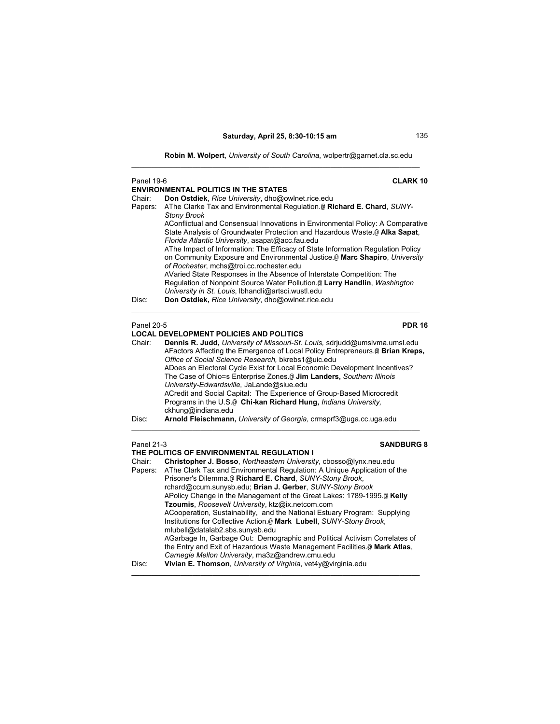$\_$  , and the set of the set of the set of the set of the set of the set of the set of the set of the set of the set of the set of the set of the set of the set of the set of the set of the set of the set of the set of th

**Robin M. Wolpert**, *University of South Carolina*, wolpertr@garnet.cla.sc.edu

|            | <b>CLARK 10</b><br>Panel 19-6                                                                                                                                                                                               |  |
|------------|-----------------------------------------------------------------------------------------------------------------------------------------------------------------------------------------------------------------------------|--|
|            | <b>ENVIRONMENTAL POLITICS IN THE STATES</b>                                                                                                                                                                                 |  |
| Chair:     | Don Ostdiek, Rice University, dho@owlnet.rice.edu                                                                                                                                                                           |  |
| Papers:    | AThe Clarke Tax and Environmental Regulation.@ Richard E. Chard, SUNY-<br><b>Stony Brook</b>                                                                                                                                |  |
|            | AConflictual and Consensual Innovations in Environmental Policy: A Comparative<br>State Analysis of Groundwater Protection and Hazardous Waste. <sup>®</sup> Alka Sapat,<br>Florida Atlantic University, asapat@acc.fau.edu |  |
|            | AThe Impact of Information: The Efficacy of State Information Regulation Policy<br>on Community Exposure and Environmental Justice. <sup>@</sup> Marc Shapiro, University<br>of Rochester, mchs@troi.cc.rochester.edu       |  |
|            | AVaried State Responses in the Absence of Interstate Competition: The                                                                                                                                                       |  |
|            | Regulation of Nonpoint Source Water Pollution.@ Larry Handlin, Washington                                                                                                                                                   |  |
|            | University in St. Louis, Ibhandli@artsci.wustl.edu                                                                                                                                                                          |  |
| Disc:      | Don Ostdiek, Rice University, dho@owlnet.rice.edu                                                                                                                                                                           |  |
| Panel 20-5 | <b>PDR 16</b>                                                                                                                                                                                                               |  |
|            | <b>LOCAL DEVELOPMENT POLICIES AND POLITICS</b>                                                                                                                                                                              |  |
| Chair:     | <b>Dennis R. Judd, University of Missouri-St. Louis, sdriudd@umslyma.umsl.edu</b>                                                                                                                                           |  |
|            | AFactors Affecting the Emergence of Local Policy Entrepreneurs.@ Brian Kreps,                                                                                                                                               |  |
|            | Office of Social Science Research, bkrebs1@uic.edu                                                                                                                                                                          |  |
|            | ADoes an Electoral Cycle Exist for Local Economic Development Incentives?                                                                                                                                                   |  |
|            | The Case of Ohio=s Enterprise Zones.@ Jim Landers, Southern Illinois                                                                                                                                                        |  |
|            | University-Edwardsville, JaLande@siue.edu                                                                                                                                                                                   |  |
|            | ACredit and Social Capital: The Experience of Group-Based Microcredit                                                                                                                                                       |  |

ckhung@indiana.edu

SANDBURG 8

| Panel 21-3 | THE POLITICS OF ENVIRONMENTAL REGULATION I                                 | <b>SANDBURG</b> |
|------------|----------------------------------------------------------------------------|-----------------|
| Chair:     | Christopher J. Bosso, Northeastern University, cbosso@lynx.neu.edu         |                 |
| Papers:    | AThe Clark Tax and Environmental Regulation: A Unique Application of the   |                 |
|            | Prisoner's Dilemma.@ Richard E. Chard, SUNY-Stony Brook,                   |                 |
|            | rchard@ccum.sunysb.edu; Brian J. Gerber, SUNY-Stony Brook                  |                 |
|            | APolicy Change in the Management of the Great Lakes: 1789-1995.@ Kelly     |                 |
|            | Tzoumis, Roosevelt University, ktz@ix.netcom.com                           |                 |
|            | ACooperation, Sustainability, and the National Estuary Program: Supplying  |                 |
|            | Institutions for Collective Action.@ Mark Lubell, SUNY-Stony Brook,        |                 |
|            | mlubell@datalab2.sbs.sunvsb.edu                                            |                 |
|            | AGarbage In, Garbage Out: Demographic and Political Activism Correlates of |                 |
|            | the Entry and Exit of Hazardous Waste Management Facilities.@ Mark Atlas.  |                 |
|            | Carnegie Mellon University, ma3z@andrew.cmu.edu                            |                 |
| Disc:      | Vivian E. Thomson, University of Virginia, vet4y@virginia.edu              |                 |

 $\mathcal{L}_\text{max}$  , and the set of the set of the set of the set of the set of the set of the set of the set of the set of

Programs in the U.S.@ **Chi-kan Richard Hung,** *Indiana University,* 

Disc: **Arnold Fleischmann,** *University of Georgia,* crmsprf3@uga.cc.uga.edu \_\_\_\_\_\_\_\_\_\_\_\_\_\_\_\_\_\_\_\_\_\_\_\_\_\_\_\_\_\_\_\_\_\_\_\_\_\_\_\_\_\_\_\_\_\_\_\_\_\_\_\_\_\_\_\_\_\_\_\_\_\_\_\_\_\_\_\_\_\_\_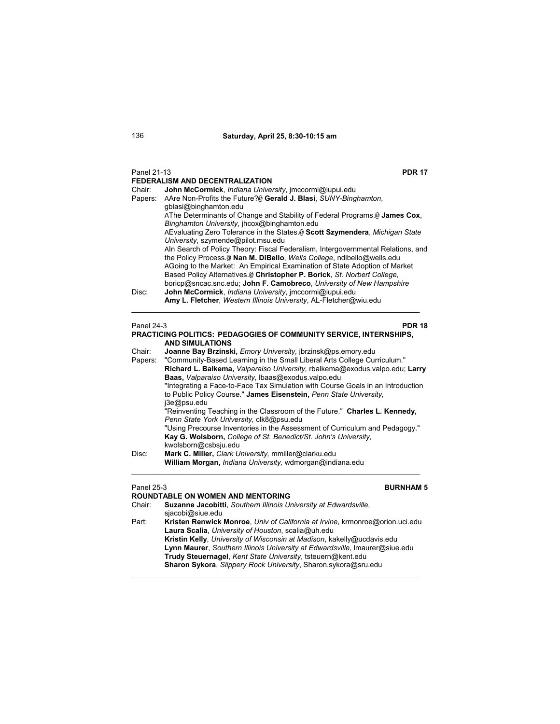### Panel 21-13 **PDR 17**

|         | FEDERALISM AND DECENTRALIZATION                                                         |
|---------|-----------------------------------------------------------------------------------------|
| Chair:  | John McCormick, <i>Indiana University</i> , imccormi@iupui.edu                          |
| Papers: | AAre Non-Profits the Future?@ Gerald J. Blasi, SUNY-Binghamton,                         |
|         | qblasi@binghamton.edu                                                                   |
|         | AThe Determinants of Change and Stability of Federal Programs.@ James Cox,              |
|         | Binghamton University, jhcox@binghamton.edu                                             |
|         | AEvaluating Zero Tolerance in the States. <sup>®</sup> Scott Szymendera, Michigan State |
|         | University, szymende@pilot.msu.edu                                                      |
|         | Aln Search of Policy Theory: Fiscal Federalism, Intergovernmental Relations, and        |
|         | the Policy Process @ Nan M. DiBello, Wells College, ndibello@wells.edu                  |
|         | AGoing to the Market: An Empirical Examination of State Adoption of Market              |
|         | Based Policy Alternatives @ Christopher P. Borick, St. Norbert College,                 |
|         | boricp@sncac.snc.edu; John F. Camobreco, University of New Hampshire                    |
| Disc:   | John McCormick, Indiana University, imccormi@iupui.edu                                  |
|         | Amy L. Fletcher, Western Illinois University, AL-Fletcher@wiu.edu                       |
|         |                                                                                         |

### Panel 24-3 **PDR 18**

## **PRACTICING POLITICS: PEDAGOGIES OF COMMUNITY SERVICE, INTERNSHIPS, AND SIMULATIONS**

\_\_\_\_\_\_\_\_\_\_\_\_\_\_\_\_\_\_\_\_\_\_\_\_\_\_\_\_\_\_\_\_\_\_\_\_\_\_\_\_\_\_\_\_\_\_\_\_\_\_\_\_\_\_\_\_\_\_\_\_\_\_\_\_\_\_\_\_\_\_\_

| Chair:  | Joanne Bay Brzinski, <i>Emory University</i> , jbrzinsk@ps.emory.edu            |
|---------|---------------------------------------------------------------------------------|
| Papers: | "Community-Based Learning in the Small Liberal Arts College Curriculum."        |
|         | Richard L. Balkema, Valparaiso University, rbalkema@exodus.valpo.edu; Larry     |
|         | Baas, Valparaiso University, Ibaas@exodus.valpo.edu                             |
|         | "Integrating a Face-to-Face Tax Simulation with Course Goals in an Introduction |
|         | to Public Policy Course." James Eisenstein, Penn State University.              |
|         | i3e@psu.edu                                                                     |
|         | "Reinventing Teaching in the Classroom of the Future." Charles L. Kennedy,      |
|         | Penn State York University, clk8@psu.edu                                        |
|         | "Using Precourse Inventories in the Assessment of Curriculum and Pedagogy."     |
|         | Kay G. Wolsborn, College of St. Benedict/St. John's University.                 |
|         | kwolsborn@csbsju.edu                                                            |
| Disc:   | Mark C. Miller, Clark University, mmiller@clarku.edu                            |
|         | William Morgan, Indiana University, wdmorgan@indiana.edu                        |
|         |                                                                                 |

## Panel 25-3 **BURNHAM 5**

| <b>ROUNDTABLE ON WOMEN AND MENTORING</b> |                                                                                                                                                                                                                                                                                                                                                                                                                              |  |
|------------------------------------------|------------------------------------------------------------------------------------------------------------------------------------------------------------------------------------------------------------------------------------------------------------------------------------------------------------------------------------------------------------------------------------------------------------------------------|--|
| Chair:                                   | Suzanne Jacobitti, Southern Illinois University at Edwardsville,<br>sjacobi@siue.edu                                                                                                                                                                                                                                                                                                                                         |  |
| Part:                                    | Kristen Renwick Monroe, Univ of California at Irvine, krmonroe@orion.uci.edu<br>Laura Scalia, University of Houston, scalia@uh.edu<br>Kristin Kelly, University of Wisconsin at Madison, kakelly@ucdavis.edu<br>Lynn Maurer, Southern Illinois University at Edwardsville, Imaurer@siue.edu<br>Trudy Steuernagel, Kent State University, tsteuern@kent.edu<br>Sharon Sykora, Slippery Rock University, Sharon sykora@sru.edu |  |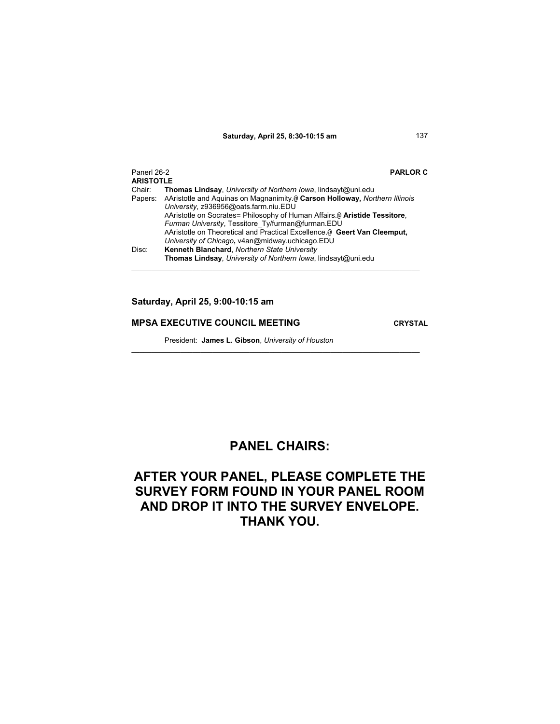Panerl 26-2 **PARLOR C ARISTOTLE** Chair: **Thomas Lindsay**, *University of Northern Iowa*, lindsayt@uni.edu Papers: AAristotle and Aquinas on Magnanimity.@ **Carson Holloway,** *Northern Illinois University*, z936956@oats.farm.niu.EDU AAristotle on Socrates= Philosophy of Human Affairs.@ **Aristide Tessitore**, *Furman University*, Tessitore\_Ty/furman@furman.EDU AAristotle on Theoretical and Practical Excellence.@ **Geert Van Cleemput,**  *University of Chicago***,** v4an@midway.uchicago.EDU Disc: **Kenneth Blanchard**, *Northern State University* **Thomas Lindsay**, *University of Northern Iowa*, lindsayt@uni.edu  $\_$  , and the set of the set of the set of the set of the set of the set of the set of the set of the set of the set of the set of the set of the set of the set of the set of the set of the set of the set of the set of th

**Saturday, April 25, 9:00-10:15 am** 

## **MPSA EXECUTIVE COUNCIL MEETING CRYSTAL**

President: **James L. Gibson**, *University of Houston*

# **PANEL CHAIRS:**

\_\_\_\_\_\_\_\_\_\_\_\_\_\_\_\_\_\_\_\_\_\_\_\_\_\_\_\_\_\_\_\_\_\_\_\_\_\_\_\_\_\_\_\_\_\_\_\_\_\_\_\_\_\_\_\_\_\_\_\_\_\_\_\_\_\_\_\_\_\_\_

# **AFTER YOUR PANEL, PLEASE COMPLETE THE SURVEY FORM FOUND IN YOUR PANEL ROOM AND DROP IT INTO THE SURVEY ENVELOPE. THANK YOU.**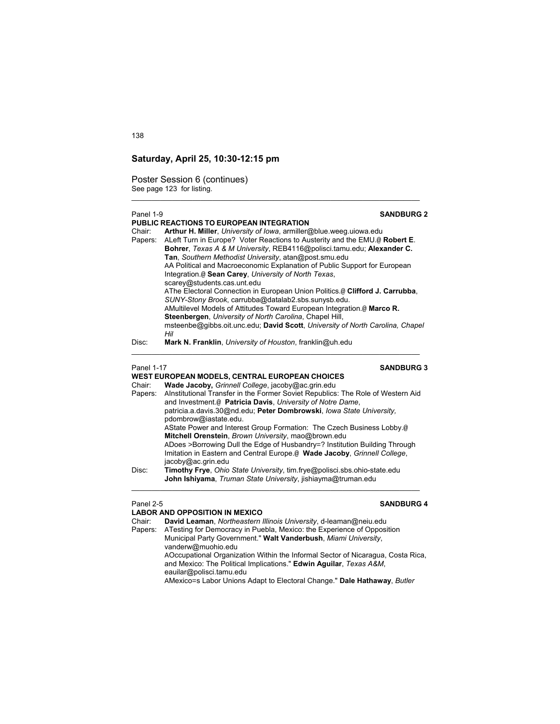## **Saturday, April 25, 10:30-12:15 pm**

Poster Session 6 (continues) See page 123 for listing.

### Panel 1-9 **SANDBURG 2 PUBLIC REACTIONS TO EUROPEAN INTEGRATION** Chair: **Arthur H. Miller**, *University of Iowa*, armiller@blue.weeg.uiowa.edu Papers: ALeft Turn in Europe? Voter Reactions to Austerity and the EMU.@ **Robert E**. **Bohrer**, *Texas A & M University*, REB4116@polisci.tamu.edu; **Alexander C. Tan**, *Southern Methodist University*, atan@post.smu.edu AA Political and Macroeconomic Explanation of Public Support for European Integration.@ **Sean Carey**, *University of North Texas*, scarey@students.cas.unt.edu AThe Electoral Connection in European Union Politics.@ **Clifford J. Carrubba**, *SUNY-Stony Brook*, carrubba@datalab2.sbs.sunysb.edu. AMultilevel Models of Attitudes Toward European Integration.@ **Marco R. Steenbergen**, *University of North Carolina*, Chapel Hill, msteenbe@gibbs.oit.unc.edu; **David Scott**, *University of North Carolina, Chapel Hil* Disc: **Mark N. Franklin**, *University of Houston*, franklin@uh.edu  $\mathcal{L}_\text{G} = \{ \mathcal{L}_\text{G} \mid \mathcal{L}_\text{G} \mid \mathcal{L}_\text{G} \mid \mathcal{L}_\text{G} \mid \mathcal{L}_\text{G} \mid \mathcal{L}_\text{G} \mid \mathcal{L}_\text{G} \mid \mathcal{L}_\text{G} \mid \mathcal{L}_\text{G} \mid \mathcal{L}_\text{G} \mid \mathcal{L}_\text{G} \mid \mathcal{L}_\text{G} \mid \mathcal{L}_\text{G} \mid \mathcal{L}_\text{G} \mid \mathcal{L}_\text{G} \mid \mathcal{L}_\text{G}$

 $\mathcal{L}_\text{max}$  , and the set of the set of the set of the set of the set of the set of the set of the set of the set of

### Panel 1-17 **SANDBURG 3**

|         | WEST EUROPEAN MODELS, CENTRAL EUROPEAN CHOICES                                                                                                            |
|---------|-----------------------------------------------------------------------------------------------------------------------------------------------------------|
| Chair:  | Wade Jacoby, Grinnell College, jacoby@ac.grin.edu                                                                                                         |
| Papers: | Alnstitutional Transfer in the Former Soviet Republics: The Role of Western Aid<br>and Investment. <sup>®</sup> Patricia Davis, University of Notre Dame, |
|         | patricia.a.davis.30@nd.edu; Peter Dombrowski, lowa State University.                                                                                      |
|         | pdombrow@iastate.edu.                                                                                                                                     |
|         | AState Power and Interest Group Formation: The Czech Business Lobby.@                                                                                     |
|         | Mitchell Orenstein, Brown University, mao@brown.edu                                                                                                       |
|         | ADoes >Borrowing Dull the Edge of Husbandry=? Institution Building Through                                                                                |
|         | Imitation in Eastern and Central Europe. <sup>@</sup> Wade Jacoby, Grinnell College,                                                                      |
|         | jacoby@ac.grin.edu                                                                                                                                        |
| Disc:   | Timothy Frye, Ohio State University, tim frye@polisci.sbs.ohio-state.edu                                                                                  |
|         | John Ishiyama, Truman State University, jishiayma@truman.edu                                                                                              |

\_\_\_\_\_\_\_\_\_\_\_\_\_\_\_\_\_\_\_\_\_\_\_\_\_\_\_\_\_\_\_\_\_\_\_\_\_\_\_\_\_\_\_\_\_\_\_\_\_\_\_\_\_\_\_\_\_\_\_\_\_\_\_\_\_\_\_\_\_\_\_

## Panel 2-5 **SANDBURG 4**

**LABOR AND OPPOSITION IN MEXICO** Chair: **David Leaman**, *Northeastern Illinois University*, d-leaman@neiu.edu Papers: ATesting for Democracy in Puebla, Mexico: the Experience of Opposition Municipal Party Government." **Walt Vanderbush**, *Miami University*, vanderw@muohio.edu AOccupational Organization Within the Informal Sector of Nicaragua, Costa Rica, and Mexico: The Political Implications." **Edwin Aguilar**, *Texas A&M*, eauilar@polisci.tamu.edu AMexico=s Labor Unions Adapt to Electoral Change." **Dale Hathaway**, *Butler* 

138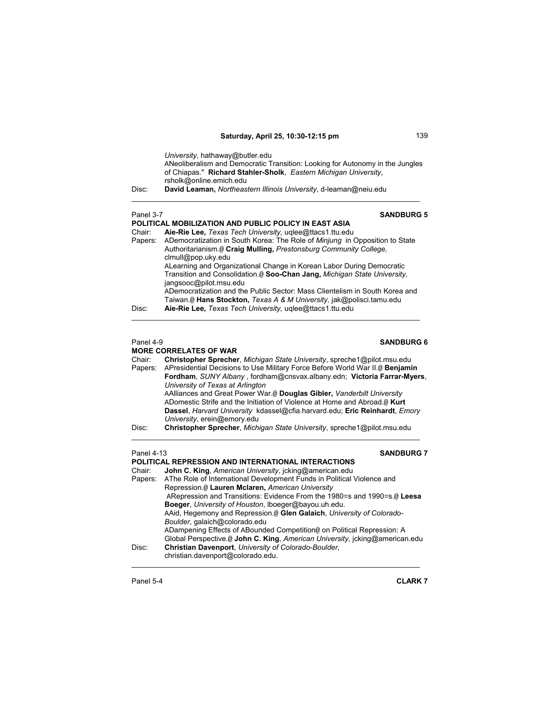## **Saturday, April 25, 10:30-12:15 pm** 139



ADampening Effects of ABounded Competition@ on Political Repression: A Global Perspective.@ **John C. King**, *American University*, jcking@american.edu Disc: **Christian Davenport**, *University of Colorado-Boulder*,

 $\mathcal{L}_\text{G} = \{ \mathcal{L}_\text{G} \mid \mathcal{L}_\text{G} \mid \mathcal{L}_\text{G} \mid \mathcal{L}_\text{G} \mid \mathcal{L}_\text{G} \mid \mathcal{L}_\text{G} \mid \mathcal{L}_\text{G} \mid \mathcal{L}_\text{G} \mid \mathcal{L}_\text{G} \mid \mathcal{L}_\text{G} \mid \mathcal{L}_\text{G} \mid \mathcal{L}_\text{G} \mid \mathcal{L}_\text{G} \mid \mathcal{L}_\text{G} \mid \mathcal{L}_\text{G} \mid \mathcal{L}_\text{G}$ 

christian.davenport@colorado.edu.

Panel 5-4 **CLARK 7**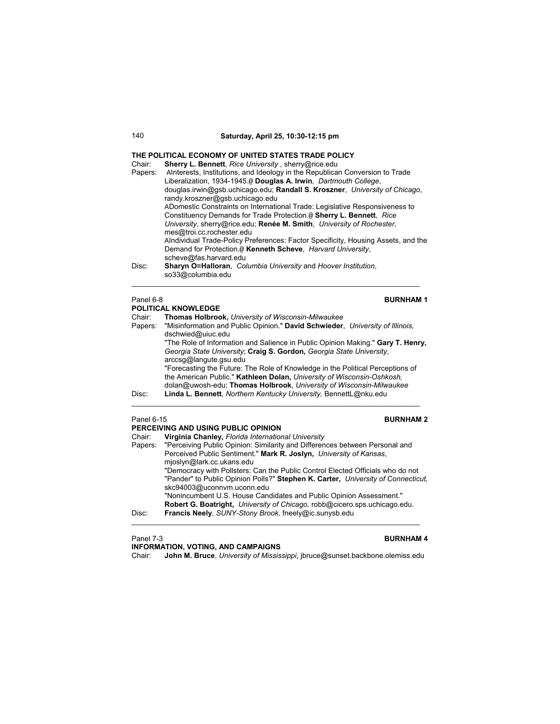## 140 **Saturday, April 25, 10:30-12:15 pm**

| THE POLITICAL ECONOMY OF UNITED STATES TRADE POLICY |                                                                                                                |  |
|-----------------------------------------------------|----------------------------------------------------------------------------------------------------------------|--|
| Chair:                                              | <b>Sherry L. Bennett.</b> Rice University, sherry@rice.edu                                                     |  |
| Papers:                                             | Alnterests, Institutions, and Ideology in the Republican Conversion to Trade                                   |  |
|                                                     | Liberalization, 1934-1945.@ Douglas A. Irwin, Dartmouth College,                                               |  |
|                                                     | douglas.irwin@gsb.uchicago.edu; Randall S. Kroszner, University of Chicago,<br>randy.kroszner@gsb.uchicago.edu |  |
|                                                     | ADomestic Constraints on International Trade: Legislative Responsiveness to                                    |  |
|                                                     | Constituency Demands for Trade Protection @ Sherry L. Bennett, Rice                                            |  |
|                                                     | University, sherry@rice.edu; Renée M. Smith, University of Rochester,                                          |  |
|                                                     | mes@troi.cc.rochester.edu                                                                                      |  |
|                                                     | Alndividual Trade-Policy Preferences: Factor Specificity, Housing Assets, and the                              |  |
|                                                     | Demand for Protection.@ Kenneth Scheve, Harvard University,                                                    |  |
|                                                     | scheve@fas.harvard.edu                                                                                         |  |
| Disc:                                               | <b>Sharyn O=Halloran, Columbia University and Hoover Institution,</b><br>so33@columbia.edu                     |  |
|                                                     |                                                                                                                |  |

## Panel 6-8 **BURNHAM 1**

### **POLITICAL KNOWLEDGE**<br>Chair: **Thomas Holbroo** Chair: **Thomas Holbrook,** *University of Wisconsin-Milwaukee* Papers: "Misinformation and Public Opinion." **David Schwieder**, *University of Illinois,* dschwied@uiuc.edu "The Role of Information and Salience in Public Opinion Making." **Gary T. Henry,**  *Georgia State University*; **Craig S. Gordon,** *Georgia State University*, arccsg@langute.gsu.edu "Forecasting the Future: The Role of Knowledge in the Political Perceptions of the American Public." **Kathleen Dolan,** *University of Wisconsin-Oshkosh,* dolan@uwosh-edu; **Thomas Holbrook**, *University of Wisconsin-Milwaukee* Disc: **Linda L. Bennett**, *Northern Kentucky University,* BennettL@nku.edu

 $\mathcal{L}_\text{max}$  , and the contribution of the contribution of the contribution of the contribution of the contribution of the contribution of the contribution of the contribution of the contribution of the contribution of t

## **Panel 6-15 BURNHAM 2**

|         | PERCEIVING AND USING PUBLIC OPINION                                                             |
|---------|-------------------------------------------------------------------------------------------------|
| Chair:  | Virginia Chanley, Florida International University                                              |
| Papers: | "Perceiving Public Opinion: Similarity and Differences between Personal and                     |
|         | Perceived Public Sentiment." Mark R. Joslyn, University of Kansas,<br>mioslyn@lark.cc.ukans.edu |
|         | "Democracy with Pollsters: Can the Public Control Elected Officials who do not                  |
|         | "Pander" to Public Opinion Polls?" Stephen K. Carter, University of Connecticut.                |
|         | skc94003@uconnvm.uconn.edu                                                                      |
|         | "Nonincumbent U.S. House Candidates and Public Opinion Assessment."                             |
|         | Robert G. Boatright, University of Chicago, robb@cicero.sps.uchicago.edu.                       |
| Disc:   | Francis Neely, SUNY-Stony Brook, fneely@ic.sunysb.edu                                           |
|         |                                                                                                 |

## **Panel 7-3 BURNHAM 4**

**INFORMATION, VOTING, AND CAMPAIGNS**

John M. Bruce, *University of Mississippi*, jbruce@sunset.backbone.olemiss.edu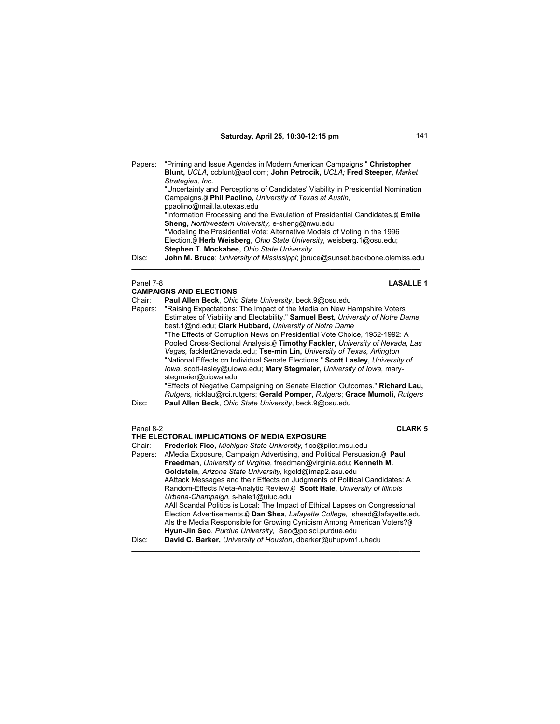| Papers: | "Priming and Issue Agendas in Modern American Campaigns." Christopher<br>Blunt, UCLA, ccblunt@aol.com; John Petrocik, UCLA; Fred Steeper, Market<br>Strategies, Inc.                                                                                                                                                             |
|---------|----------------------------------------------------------------------------------------------------------------------------------------------------------------------------------------------------------------------------------------------------------------------------------------------------------------------------------|
|         | "Uncertainty and Perceptions of Candidates' Viability in Presidential Nomination<br>Campaigns. <sup>®</sup> Phil Paolino, University of Texas at Austin.                                                                                                                                                                         |
|         | ppaolino@mail.la.utexas.edu<br>"Information Processing and the Evaulation of Presidential Candidates. <sup>®</sup> Emile<br>Sheng, Northwestern University, e-sheng@nwu.edu<br>"Modeling the Presidential Vote: Alternative Models of Voting in the 1996<br>Election.@ Herb Weisberg, Ohio State University, weisberg.1@osu.edu; |
|         | Stephen T. Mockabee, Ohio State University                                                                                                                                                                                                                                                                                       |
| Disc:   | John M. Bruce; University of Mississippi; jbruce@sunset.backbone.olemiss.edu                                                                                                                                                                                                                                                     |

### Panel 7-8 **LASALLE 1**

|         | <b>CAMPAIGNS AND ELECTIONS</b>                                                   |
|---------|----------------------------------------------------------------------------------|
| Chair:  | Paul Allen Beck, Ohio State University, beck.9@osu.edu                           |
| Papers: | "Raising Expectations: The Impact of the Media on New Hampshire Voters"          |
|         | Estimates of Viability and Electability." Samuel Best, University of Notre Dame, |
|         | best.1@nd.edu; Clark Hubbard, University of Notre Dame                           |
|         | "The Effects of Corruption News on Presidential Vote Choice, 1952-1992: A        |
|         | Pooled Cross-Sectional Analysis @ Timothy Fackler, University of Nevada, Las     |
|         | Vegas, facklert2nevada.edu; Tse-min Lin, University of Texas, Arlington          |
|         | "National Effects on Individual Senate Elections." Scott Lasley, University of   |
|         | lowa, scott-lasley@uiowa.edu; Mary Stegmaier, University of lowa, mary-          |
|         | stegmaier@uiowa.edu                                                              |
|         | "Effects of Negative Campaigning on Senate Election Outcomes." Richard Lau,      |
|         | Rutgers, ricklau@rci.rutgers; Gerald Pomper, Rutgers; Grace Mumoli, Rutgers      |
| Disc:   | Paul Allen Beck, Ohio State University, beck.9@osu.edu                           |

 $\mathcal{L}_\text{max}$  , and the set of the set of the set of the set of the set of the set of the set of the set of the set of

Panel 8-2 **CLARK 5**

|         | THE ELECTORAL IMPLICATIONS OF MEDIA EXPOSURE                                                   |
|---------|------------------------------------------------------------------------------------------------|
| Chair:  | Frederick Fico, Michigan State University, fico@pilot.msu.edu                                  |
| Papers: | AMedia Exposure, Campaign Advertising, and Political Persuasion. <sup>@</sup> Paul             |
|         | Freedman, University of Virginia, freedman@virginia.edu; Kenneth M.                            |
|         | Goldstein, Arizona State University, kgold@imap2.asu.edu                                       |
|         | AAttack Messages and their Effects on Judgments of Political Candidates: A                     |
|         | Random-Effects Meta-Analytic Review.@ Scott Hale, University of Illinois                       |
|         | Urbana-Champaign, s-hale1@uiuc.edu                                                             |
|         | AAII Scandal Politics is Local: The Impact of Ethical Lapses on Congressional                  |
|         | Election Advertisements. <sup>@</sup> Dan Shea, <i>Lafayette College</i> , shead@lafayette.edu |
|         | Als the Media Responsible for Growing Cynicism Among American Voters?@                         |
|         | Hyun-Jin Seo, Purdue University, Seo@polsci.purdue.edu                                         |
| Disc:   | David C. Barker, University of Houston, dbarker@uhupym1.uhedu                                  |

 $\mathcal{L}_\text{max}$  , and the set of the set of the set of the set of the set of the set of the set of the set of the set of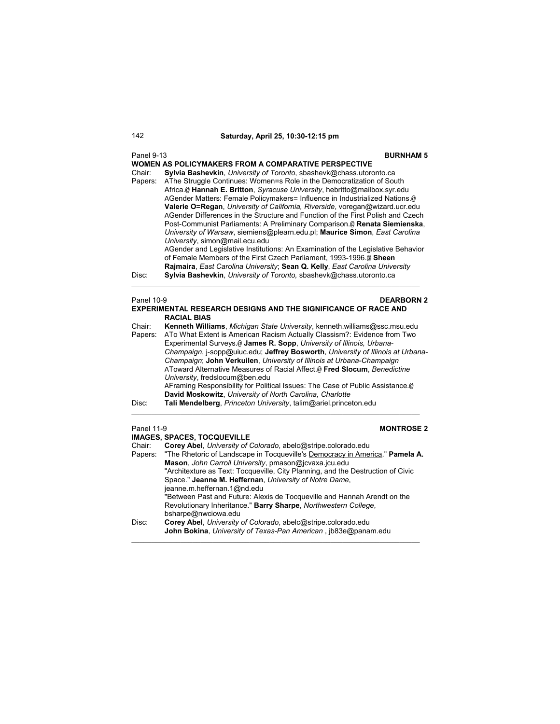| <b>Panel 9-13</b> | <b>BURNHAM 5</b>                                                                                                                                                                                                                                                                                                                                                                                                                                                                                                                                          |
|-------------------|-----------------------------------------------------------------------------------------------------------------------------------------------------------------------------------------------------------------------------------------------------------------------------------------------------------------------------------------------------------------------------------------------------------------------------------------------------------------------------------------------------------------------------------------------------------|
|                   | WOMEN AS POLICYMAKERS FROM A COMPARATIVE PERSPECTIVE                                                                                                                                                                                                                                                                                                                                                                                                                                                                                                      |
| Chair:<br>Papers: | Sylvia Bashevkin, University of Toronto, sbashevk@chass.utoronto.ca<br>AThe Struggle Continues: Women=s Role in the Democratization of South<br>Africa @ Hannah E. Britton, Syracuse University, hebritto@mailbox.syr.edu<br>AGender Matters: Female Policymakers= Influence in Industrialized Nations.@<br>Valerie O=Regan, University of California, Riverside, voregan@wizard.ucr.edu<br>A Gender Differences in the Structure and Function of the First Polish and Czech<br>Post-Communist Parliaments: A Preliminary Comparison.@ Renata Siemienska. |
| Disc:             | University of Warsaw, siemiens@plearn.edu.pl; Maurice Simon, East Carolina<br>University, simon@mail.ecu.edu<br>A Gender and Legislative Institutions: An Examination of the Legislative Behavior<br>of Female Members of the First Czech Parliament, 1993-1996.@ Sheen<br>Rajmaira, East Carolina University; Sean Q. Kelly, East Carolina University<br>Sylvia Bashevkin, University of Toronto, sbashevk@chass.utoronto.ca                                                                                                                             |
|                   |                                                                                                                                                                                                                                                                                                                                                                                                                                                                                                                                                           |

### Panel 10-9 **DEARBORN 2 EXPERIMENTAL RESEARCH DESIGNS AND THE SIGNIFICANCE OF RACE AND RACIAL BIAS**

Chair: **Kenneth Williams**, *Michigan State University*, kenneth.williams@ssc.msu.edu Papers: ATo What Extent is American Racism Actually Classism?: Evidence from Two Experimental Surveys.@ **James R. Sopp**, *University of Illinois, Urbana-Champaign*, j-sopp@uiuc.edu; **Jeffrey Bosworth**, *University of Illinois at Urbana-Champaign*; **John Verkuilen**, *University of Illinois at Urbana-Champaign*  AToward Alternative Measures of Racial Affect.@ **Fred Slocum**, *Benedictine University*, fredslocum@ben.edu AFraming Responsibility for Political Issues: The Case of Public Assistance.@ **David Moskowitz**, *University of North Carolina, Charlotte* Disc: **Tali Mendelberg**, *Princeton University*, talim@ariel.princeton.edu

 $\mathcal{L}_\text{G} = \{ \mathcal{L}_\text{G} \mid \mathcal{L}_\text{G} \mid \mathcal{L}_\text{G} \mid \mathcal{L}_\text{G} \mid \mathcal{L}_\text{G} \mid \mathcal{L}_\text{G} \mid \mathcal{L}_\text{G} \mid \mathcal{L}_\text{G} \mid \mathcal{L}_\text{G} \mid \mathcal{L}_\text{G} \mid \mathcal{L}_\text{G} \mid \mathcal{L}_\text{G} \mid \mathcal{L}_\text{G} \mid \mathcal{L}_\text{G} \mid \mathcal{L}_\text{G} \mid \mathcal{L}_\text{G}$ 

# **Panel 11-9 MONTROSE 2**

|         | <b>IMAGES, SPACES, TOCQUEVILLE</b>                                                  |
|---------|-------------------------------------------------------------------------------------|
| Chair:  | Corey Abel, University of Colorado, abelc@stripe.colorado.edu                       |
| Papers: | "The Rhetoric of Landscape in Tocqueville's Democracy in America." <b>Pamela A.</b> |
|         | Mason, John Carroll University, pmason@jcvaxa.jcu.edu                               |
|         | "Architexture as Text: Tocqueville, City Planning, and the Destruction of Civic     |
|         | Space." Jeanne M. Heffernan, University of Notre Dame,                              |
|         | jeanne.m.heffernan.1@nd.edu                                                         |
|         | "Between Past and Future: Alexis de Tocqueville and Hannah Arendt on the            |
|         | Revolutionary Inheritance." Barry Sharpe, Northwestern College,                     |
|         | bsharpe@nwciowa.edu                                                                 |
| Disc:   | Corey Abel, University of Colorado, abelc@stripe.colorado.edu                       |
|         | <b>John Bokina</b> , University of Texas-Pan American, ib83e@panam.edu              |
|         |                                                                                     |

 $\mathcal{L}_\text{max}$  , and the set of the set of the set of the set of the set of the set of the set of the set of the set of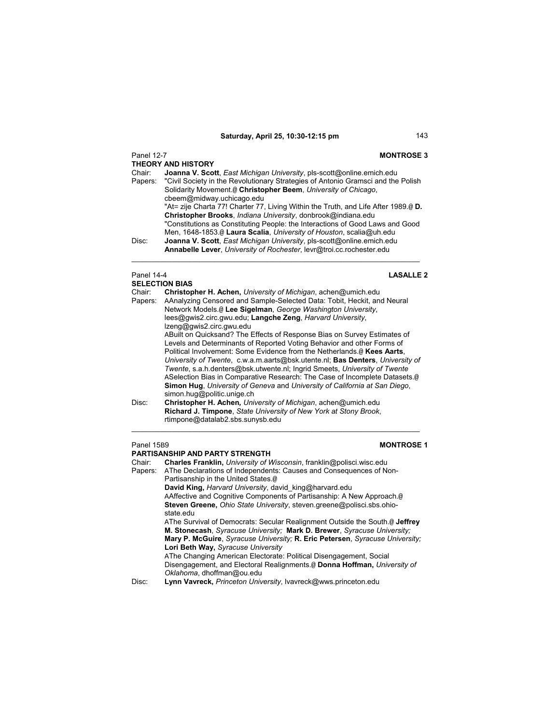**THEORY AND HISTORY**

Panel 12-7 **MONTROSE 3**

| Chair:  | Joanna V. Scott, East Michigan University, pls-scott@online.emich.edu              |
|---------|------------------------------------------------------------------------------------|
| Papers: | "Civil Society in the Revolutionary Strategies of Antonio Gramsci and the Polish   |
|         | Solidarity Movement.@ Christopher Beem, University of Chicago,                     |
|         | cbeem@midway.uchicago.edu                                                          |
|         | "At= zije Charta 77! Charter 77, Living Within the Truth, and Life After 1989.@ D. |
|         | Christopher Brooks, Indiana University, donbrook@indiana.edu                       |
|         | "Constitutions as Constituting People: the Interactions of Good Laws and Good      |
|         | Men, 1648-1853.@ Laura Scalia, University of Houston, scalia@uh.edu                |
| Disc:   | Joanna V. Scott, East Michigan University, pls-scott@online.emich.edu              |
|         | Annabelle Lever, University of Rochester, levr@troi.cc.rochester.edu               |
|         |                                                                                    |

### Panel 14-4 **LASALLE 2**

|         | <b>SELECTION BIAS</b>                                                               |
|---------|-------------------------------------------------------------------------------------|
| Chair:  | Christopher H. Achen, University of Michigan, achen@umich.edu                       |
| Papers: | AAnalyzing Censored and Sample-Selected Data: Tobit, Heckit, and Neural             |
|         | Network Models.@ Lee Sigelman, George Washington University,                        |
|         | lees@qwis2.circ.qwu.edu; Langche Zeng, Harvard University,                          |
|         | Izeng@gwis2.circ.gwu.edu                                                            |
|         | ABuilt on Quicksand? The Effects of Response Bias on Survey Estimates of            |
|         | Levels and Determinants of Reported Voting Behavior and other Forms of              |
|         | Political Involvement: Some Evidence from the Netherlands. <sup>®</sup> Kees Aarts. |
|         | University of Twente, c.w.a.m.aarts@bsk.utente.nl; Bas Denters, University of       |
|         | Twente, s.a.h.denters@bsk.utwente.nl; Ingrid Smeets, University of Twente           |
|         | ASelection Bias in Comparative Research: The Case of Incomplete Datasets.@          |
|         | Simon Hug, University of Geneva and University of California at San Diego,          |
|         | simon.hug@politic.unige.ch                                                          |
| Disc:   | Christopher H. Achen, University of Michigan, achen@umich.edu                       |
|         | Richard J. Timpone, State University of New York at Stony Brook,                    |
|         | rtimpone@datalab2.sbs.sunysb.edu                                                    |
|         |                                                                                     |

\_\_\_\_\_\_\_\_\_\_\_\_\_\_\_\_\_\_\_\_\_\_\_\_\_\_\_\_\_\_\_\_\_\_\_\_\_\_\_\_\_\_\_\_\_\_\_\_\_\_\_\_\_\_\_\_\_\_\_\_\_\_\_\_\_\_\_\_\_\_\_

# Panel 15B9 **MONTROSE 1**

|         | <b>PARTISANSHIP AND PARTY STRENGTH</b>                                       |
|---------|------------------------------------------------------------------------------|
| Chair:  | <b>Charles Franklin, University of Wisconsin, franklin@polisci.wisc.edu</b>  |
| Papers: | AThe Declarations of Independents: Causes and Consequences of Non-           |
|         | Partisanship in the United States.@                                          |
|         | David King, Harvard University, david king@harvard.edu                       |
|         | AAffective and Cognitive Components of Partisanship: A New Approach.@        |
|         | Steven Greene, Ohio State University, steven.greene@polisci.sbs.ohio-        |
|         | state edu                                                                    |
|         | AThe Survival of Democrats: Secular Realignment Outside the South @ Jeffrey  |
|         | M. Stonecash, Syracuse University: Mark D. Brewer, Syracuse University:      |
|         | Mary P. McGuire, Syracuse University; R. Eric Petersen, Syracuse University; |
|         | Lori Beth Way, Syracuse University                                           |
|         | AThe Changing American Electorate: Political Disengagement, Social           |
|         | Disengagement, and Electoral Realignments.@ Donna Hoffman, University of     |
|         | Oklahoma, dhoffman@ou.edu                                                    |
| Disc:   | Lynn Vavreck, Princeton University, Ivavreck@wws.princeton.edu               |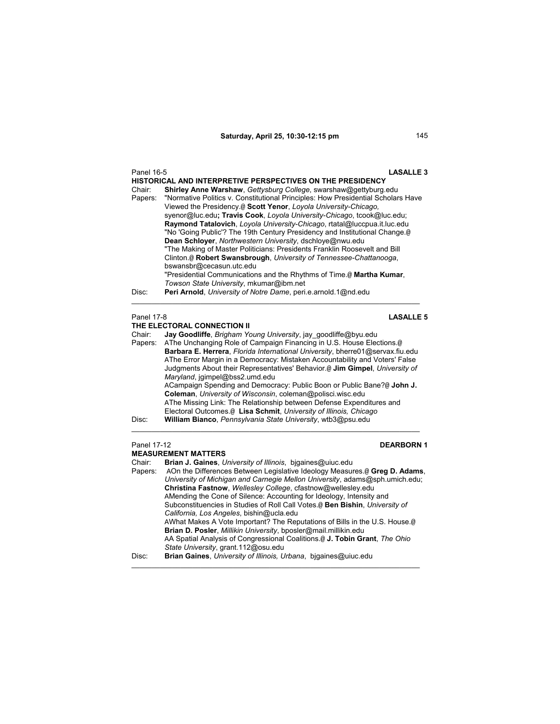### Panel 16-5 **LASALLE 3**

**HISTORICAL AND INTERPRETIVE PERSPECTIVES ON THE PRESIDENCY** Chair: **Shirley Anne Warshaw**, *Gettysburg College*, swarshaw@gettyburg.edu Papers: "Normative Politics v. Constitutional Principles: How Presidential Scholars Have Viewed the Presidency.@ **Scott Yenor**, *Loyola University-Chicago,*  syenor@luc.edu**; Travis Cook**, *Loyola University-Chicago*, tcook@luc.edu; **Raymond Tatalovich**, *Loyola University-Chicago*, rtatal@luccpua.it.luc.edu "No 'Going Public'? The 19th Century Presidency and Institutional Change.@ **Dean Schloyer**, *Northwestern University*, dschloye@nwu.edu "The Making of Master Politicians: Presidents Franklin Roosevelt and Bill Clinton.@ **Robert Swansbrough**, *University of Tennessee-Chattanooga*, bswansbr@cecasun.utc.edu "Presidential Communications and the Rhythms of Time.@ **Martha Kumar**, *Towson State University*, mkumar@ibm.net Disc: **Peri Arnold**, *University of Notre Dame*, peri.e.arnold.1@nd.edu \_\_\_\_\_\_\_\_\_\_\_\_\_\_\_\_\_\_\_\_\_\_\_\_\_\_\_\_\_\_\_\_\_\_\_\_\_\_\_\_\_\_\_\_\_\_\_\_\_\_\_\_\_\_\_\_\_\_\_\_\_\_\_\_\_\_\_\_\_\_\_

### Panel 17-8 **LASALLE 5 THE ELECTORAL CONNECTION II** Chair: **Jay Goodliffe**, *Brigham Young University*, jay\_goodliffe@byu.edu Papers: AThe Unchanging Role of Campaign Financing in U.S. House Elections.@ **Barbara E. Herrera**, *Florida International University*, bherre01@servax.fiu.edu AThe Error Margin in a Democracy: Mistaken Accountability and Voters' False Judgments About their Representatives' Behavior.@ **Jim Gimpel**, *University of Maryland*, jgimpel@bss2.umd.edu ACampaign Spending and Democracy: Public Boon or Public Bane?@ **John J. Coleman**, *University of Wisconsin*, coleman@polisci.wisc.edu AThe Missing Link: The Relationship between Defense Expenditures and Electoral Outcomes.@ **Lisa Schmit**, *University of Illinois, Chicago*

### **MEASUREMENT MATTERS**

Chair: **Brian J. Gaines**, *University of Illinois*, bjgaines@uiuc.edu Papers: AOn the Differences Between Legislative Ideology Measures.@ **Greg D. Adams**, *University of Michigan and Carnegie Mellon University*, adams@sph.umich.edu; **Christina Fastnow**, *Wellesley College*, cfastnow@wellesley.edu AMending the Cone of Silence: Accounting for Ideology, Intensity and Subconstituencies in Studies of Roll Call Votes.@ **Ben Bishin**, *University of California, Los Angeles*, bishin@ucla.edu AWhat Makes A Vote Important? The Reputations of Bills in the U.S. House.@ **Brian D. Posler**, *Millikin University*, bposler@mail.millikin.edu AA Spatial Analysis of Congressional Coalitions.@ **J. Tobin Grant**, *The Ohio State University*, grant.112@osu.edu

\_\_\_\_\_\_\_\_\_\_\_\_\_\_\_\_\_\_\_\_\_\_\_\_\_\_\_\_\_\_\_\_\_\_\_\_\_\_\_\_\_\_\_\_\_\_\_\_\_\_\_\_\_\_\_\_\_\_\_\_\_\_\_\_\_\_\_\_\_\_\_

Disc: **Brian Gaines**, *University of Illinois, Urbana*, bjgaines@uiuc.edu  $\mathcal{L}_\text{max}$  , and the set of the set of the set of the set of the set of the set of the set of the set of the set of

### Panel 17-12 **DEARBORN 1**

Disc: **William Bianco**, *Pennsylvania State University*, wtb3@psu.edu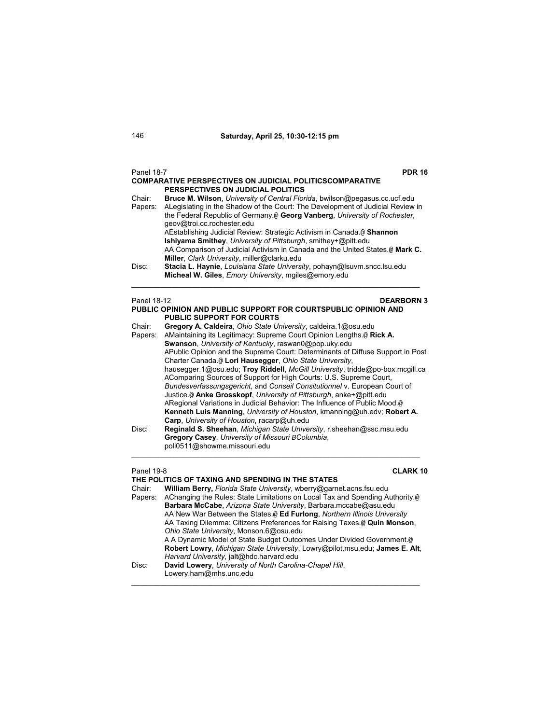| Panel 18-7<br>Chair:<br>Papers:<br>Disc: | <b>PDR 16</b><br><b>COMPARATIVE PERSPECTIVES ON JUDICIAL POLITICSCOMPARATIVE</b><br>PERSPECTIVES ON JUDICIAL POLITICS<br>Bruce M. Wilson, University of Central Florida, bwilson@pegasus.cc.ucf.edu<br>ALegislating in the Shadow of the Court: The Development of Judicial Review in<br>the Federal Republic of Germany.@ Georg Vanberg, University of Rochester,<br>geov@troi.cc.rochester.edu<br>AEstablishing Judicial Review: Strategic Activism in Canada.@ Shannon<br>Ishiyama Smithey, University of Pittsburgh, smithey+@pitt.edu<br>AA Comparison of Judicial Activism in Canada and the United States @ Mark C.<br>Miller, Clark University, miller@clarku.edu<br>Stacia L. Haynie, Louisiana State University, pohayn@lsuvm.sncc.lsu.edu<br>Micheal W. Giles, <i>Emory University</i> , mgiles@emory.edu |
|------------------------------------------|----------------------------------------------------------------------------------------------------------------------------------------------------------------------------------------------------------------------------------------------------------------------------------------------------------------------------------------------------------------------------------------------------------------------------------------------------------------------------------------------------------------------------------------------------------------------------------------------------------------------------------------------------------------------------------------------------------------------------------------------------------------------------------------------------------------------|
|                                          |                                                                                                                                                                                                                                                                                                                                                                                                                                                                                                                                                                                                                                                                                                                                                                                                                      |
| Panel 18-12                              | <b>DEARBORN 3</b><br>PUBLIC OPINION AND PUBLIC SUPPORT FOR COURTSPUBLIC OPINION AND                                                                                                                                                                                                                                                                                                                                                                                                                                                                                                                                                                                                                                                                                                                                  |
|                                          | <b>PUBLIC SUPPORT FOR COURTS</b>                                                                                                                                                                                                                                                                                                                                                                                                                                                                                                                                                                                                                                                                                                                                                                                     |
| Chair:                                   | Gregory A. Caldeira, Ohio State University, caldeira.1@osu.edu                                                                                                                                                                                                                                                                                                                                                                                                                                                                                                                                                                                                                                                                                                                                                       |
| Papers:                                  | AMaintaining its Legitimacy: Supreme Court Opinion Lengths.@ Rick A.                                                                                                                                                                                                                                                                                                                                                                                                                                                                                                                                                                                                                                                                                                                                                 |
|                                          | Swanson, University of Kentucky, raswan0@pop.uky.edu                                                                                                                                                                                                                                                                                                                                                                                                                                                                                                                                                                                                                                                                                                                                                                 |
|                                          | APublic Opinion and the Supreme Court: Determinants of Diffuse Support in Post                                                                                                                                                                                                                                                                                                                                                                                                                                                                                                                                                                                                                                                                                                                                       |
|                                          | Charter Canada.@ Lori Hausegger, Ohio State University,                                                                                                                                                                                                                                                                                                                                                                                                                                                                                                                                                                                                                                                                                                                                                              |
|                                          | hausegger.1@osu.edu; Troy Riddell, McGill University, tridde@po-box.mcgill.ca                                                                                                                                                                                                                                                                                                                                                                                                                                                                                                                                                                                                                                                                                                                                        |
|                                          | AComparing Sources of Support for High Courts: U.S. Supreme Court,                                                                                                                                                                                                                                                                                                                                                                                                                                                                                                                                                                                                                                                                                                                                                   |
|                                          | Bundesverfassungsgericht, and Conseil Consitutionnel v. European Court of                                                                                                                                                                                                                                                                                                                                                                                                                                                                                                                                                                                                                                                                                                                                            |
|                                          | Justice.@ Anke Grosskopf, University of Pittsburgh, anke+@pitt.edu                                                                                                                                                                                                                                                                                                                                                                                                                                                                                                                                                                                                                                                                                                                                                   |
|                                          | ARegional Variations in Judicial Behavior: The Influence of Public Mood.@                                                                                                                                                                                                                                                                                                                                                                                                                                                                                                                                                                                                                                                                                                                                            |
|                                          | Kenneth Luis Manning, University of Houston, kmanning@uh.edv; Robert A.                                                                                                                                                                                                                                                                                                                                                                                                                                                                                                                                                                                                                                                                                                                                              |
|                                          | Carp, University of Houston, racarp@uh.edu                                                                                                                                                                                                                                                                                                                                                                                                                                                                                                                                                                                                                                                                                                                                                                           |
| Disc:                                    | Reginald S. Sheehan, Michigan State University, r.sheehan@ssc.msu.edu                                                                                                                                                                                                                                                                                                                                                                                                                                                                                                                                                                                                                                                                                                                                                |
|                                          | Gregory Casey, University of Missouri BColumbia,                                                                                                                                                                                                                                                                                                                                                                                                                                                                                                                                                                                                                                                                                                                                                                     |
|                                          | poli0511@showme.missouri.edu                                                                                                                                                                                                                                                                                                                                                                                                                                                                                                                                                                                                                                                                                                                                                                                         |
| <b>Panel 19-8</b>                        | <b>CLARK 10</b>                                                                                                                                                                                                                                                                                                                                                                                                                                                                                                                                                                                                                                                                                                                                                                                                      |
|                                          | THE POLITICS OF TAXING AND SPENDING IN THE STATES                                                                                                                                                                                                                                                                                                                                                                                                                                                                                                                                                                                                                                                                                                                                                                    |
| Chair:                                   | William Berry, Florida State University, wberry@garnet.acns.fsu.edu                                                                                                                                                                                                                                                                                                                                                                                                                                                                                                                                                                                                                                                                                                                                                  |
| Papers:                                  | AChanging the Rules: State Limitations on Local Tax and Spending Authority.@                                                                                                                                                                                                                                                                                                                                                                                                                                                                                                                                                                                                                                                                                                                                         |
|                                          | Barbara McCabe, Arizona State University, Barbara.mccabe@asu.edu                                                                                                                                                                                                                                                                                                                                                                                                                                                                                                                                                                                                                                                                                                                                                     |
|                                          | AA New War Between the States.@ Ed Furlong, Northern Illinois University                                                                                                                                                                                                                                                                                                                                                                                                                                                                                                                                                                                                                                                                                                                                             |

AA Taxing Dilemma: Citizens Preferences for Raising Taxes.@ **Quin Monson**,

A A Dynamic Model of State Budget Outcomes Under Divided Government.@ **Robert Lowry**, *Michigan State University*, Lowry@pilot.msu.edu; **James E. Alt**,

\_\_\_\_\_\_\_\_\_\_\_\_\_\_\_\_\_\_\_\_\_\_\_\_\_\_\_\_\_\_\_\_\_\_\_\_\_\_\_\_\_\_\_\_\_\_\_\_\_\_\_\_\_\_\_\_\_\_\_\_\_\_\_\_\_\_\_\_\_\_\_

*Ohio State University*, Monson.6@osu.edu

*Harvard University*, jalt@hdc.harvard.edu Disc: **David Lowery**, *University of North Carolina-Chapel Hill*,

Lowery.ham@mhs.unc.edu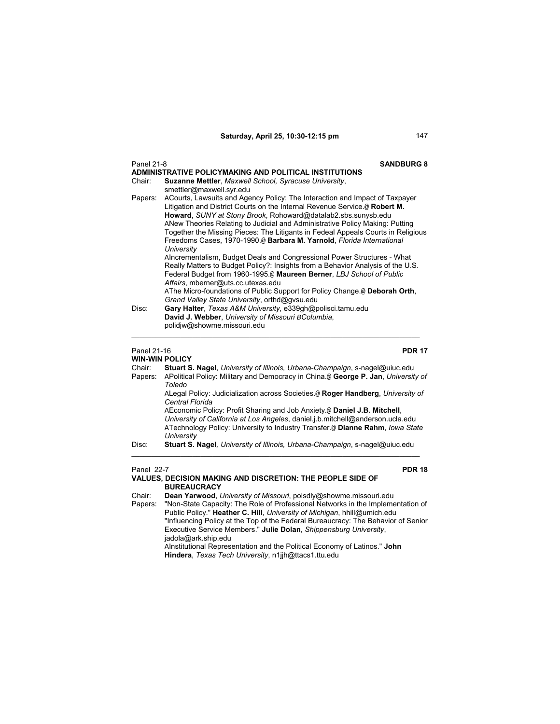| Panel 21-8                                            | <b>SANDBURG 8</b>                                                                                                                                                                                                                                                                                                                                                                                                                                                                      |
|-------------------------------------------------------|----------------------------------------------------------------------------------------------------------------------------------------------------------------------------------------------------------------------------------------------------------------------------------------------------------------------------------------------------------------------------------------------------------------------------------------------------------------------------------------|
|                                                       | ADMINISTRATIVE POLICYMAKING AND POLITICAL INSTITUTIONS                                                                                                                                                                                                                                                                                                                                                                                                                                 |
| Chair:                                                | Suzanne Mettler, Maxwell School, Syracuse University,<br>smettler@maxwell.syr.edu                                                                                                                                                                                                                                                                                                                                                                                                      |
| Papers:                                               | A Courts, Lawsuits and Agency Policy: The Interaction and Impact of Taxpayer<br>Litigation and District Courts on the Internal Revenue Service.@ Robert M.<br>Howard, SUNY at Stony Brook, Rohoward@datalab2.sbs.sunysb.edu<br>ANew Theories Relating to Judicial and Administrative Policy Making: Putting<br>Together the Missing Pieces: The Litigants in Fedeal Appeals Courts in Religious<br>Freedoms Cases, 1970-1990.@ Barbara M. Yarnold, Florida International<br>University |
|                                                       | Alncrementalism, Budget Deals and Congressional Power Structures - What<br>Really Matters to Budget Policy?: Insights from a Behavior Analysis of the U.S.<br>Federal Budget from 1960-1995.@ Maureen Berner, LBJ School of Public<br>Affairs, mberner@uts.cc.utexas.edu<br>AThe Micro-foundations of Public Support for Policy Change @ Deborah Orth,                                                                                                                                 |
|                                                       | Grand Valley State University, orthd@gysu.edu                                                                                                                                                                                                                                                                                                                                                                                                                                          |
| Disc:                                                 | Gary Halter, Texas A&M University, e339qh@polisci.tamu.edu<br>David J. Webber, University of Missouri BColumbia,<br>polidjw@showme.missouri.edu                                                                                                                                                                                                                                                                                                                                        |
| Panel 21-16<br><b>PDR 17</b><br><b>WIN-WIN POLICY</b> |                                                                                                                                                                                                                                                                                                                                                                                                                                                                                        |

| Chair:  | Stuart S. Nagel, University of Illinois, Urbana-Champaign, s-nagel@uiuc.edu                                                                                |
|---------|------------------------------------------------------------------------------------------------------------------------------------------------------------|
| Papers: | APolitical Policy: Military and Democracy in China.@ George P. Jan, University of<br>Toledo                                                                |
|         | ALegal Policy: Judicialization across Societies @ Roger Handberg, University of<br>Central Florida                                                         |
|         | AEconomic Policy: Profit Sharing and Job Anxiety @ Daniel J.B. Mitchell,<br>University of California at Los Angeles, daniel.j.b.mitchell@anderson.ucla.edu |
|         | ATechnology Policy: University to Industry Transfer @ Dianne Rahm, lowa State<br>University                                                                |
| Disc:   | <b>Stuart S. Nagel</b> , University of Illinois, Urbana-Champaign, s-nagel@uiuc.edu                                                                        |

# Panel 22-7 **PDR 18**

**VALUES, DECISION MAKING AND DISCRETION: THE PEOPLE SIDE OF BUREAUCRACY**

Chair: **Dean Yarwood**, *University of Missouri*, polsdly@showme.missouri.edu Papers: "Non-State Capacity: The Role of Professional Networks in the Implementation of Public Policy." **Heather C. Hill**, *University of Michigan*, hhill@umich.edu "Influencing Policy at the Top of the Federal Bureaucracy: The Behavior of Senior Executive Service Members." **Julie Dolan**, *Shippensburg University*, jadola@ark.ship.edu AInstitutional Representation and the Political Economy of Latinos." **John Hindera**, *Texas Tech University*, n1jjh@ttacs1.ttu.edu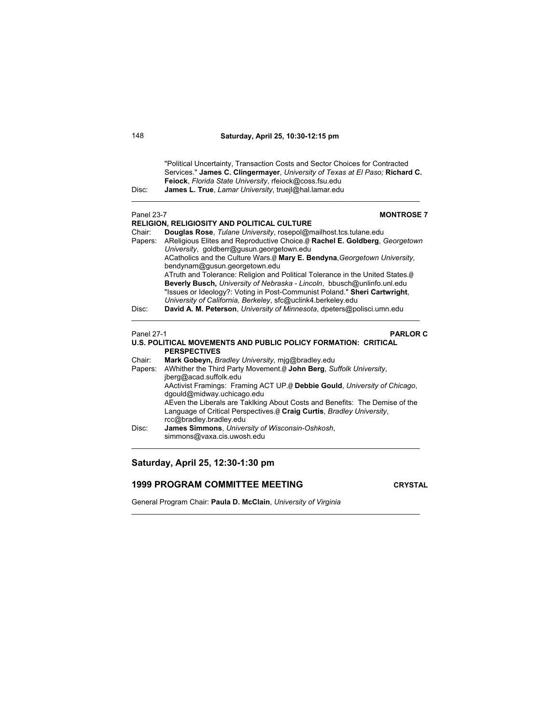| Disc:             | "Political Uncertainty, Transaction Costs and Sector Choices for Contracted<br>Services." James C. Clingermayer, University of Texas at El Paso; Richard C.<br>Feiock, Florida State University, rfeiock@coss.fsu.edu<br>James L. True, Lamar University, truejl@hal.lamar.edu |
|-------------------|--------------------------------------------------------------------------------------------------------------------------------------------------------------------------------------------------------------------------------------------------------------------------------|
| Panel 23-7        | <b>MONTROSE 7</b>                                                                                                                                                                                                                                                              |
|                   | <b>RELIGION, RELIGIOSITY AND POLITICAL CULTURE</b>                                                                                                                                                                                                                             |
| Chair:            | <b>Douglas Rose</b> , Tulane University, rosepol@mailhost.tcs.tulane.edu                                                                                                                                                                                                       |
| Papers:           | AReligious Elites and Reproductive Choice.@ Rachel E. Goldberg, Georgetown<br>University, goldberr@gusun.georgetown.edu                                                                                                                                                        |
|                   | ACatholics and the Culture Wars @ Mary E. Bendyna Georgetown University.<br>bendynam@gusun.georgetown.edu                                                                                                                                                                      |
|                   | ATruth and Tolerance: Religion and Political Tolerance in the United States. <sup>®</sup>                                                                                                                                                                                      |
|                   | Beverly Busch, University of Nebraska - Lincoln, bbusch@unlinfo.unl.edu                                                                                                                                                                                                        |
|                   | "Issues or Ideology?: Voting in Post-Communist Poland." Sheri Cartwright,                                                                                                                                                                                                      |
|                   | University of California, Berkeley, sfc@uclink4.berkeley.edu                                                                                                                                                                                                                   |
| Disc:             | David A. M. Peterson, University of Minnesota, dpeters@polisci.umn.edu                                                                                                                                                                                                         |
| <b>Panel 27-1</b> | <b>PARLOR C</b><br>U.S. POLITICAL MOVEMENTS AND PUBLIC POLICY FORMATION: CRITICAL<br><b>PERSPECTIVES</b>                                                                                                                                                                       |
| Chair:            | Mark Gobeyn, Bradley University, mig@bradley.edu                                                                                                                                                                                                                               |
| Papers:           | AWhither the Third Party Movement.@ John Berg, Suffolk University,                                                                                                                                                                                                             |
|                   | iberg@acad.suffolk.edu<br>AActivist Framings: Framing ACT UP.@ Debbie Gould, University of Chicago,                                                                                                                                                                            |
|                   | dgould@midway.uchicago.edu                                                                                                                                                                                                                                                     |
|                   | AEven the Liberals are Taklking About Costs and Benefits: The Demise of the                                                                                                                                                                                                    |
|                   | Language of Critical Perspectives. <sup>®</sup> Craig Curtis, Bradley University,                                                                                                                                                                                              |
|                   | rcc@bradley.bradley.edu                                                                                                                                                                                                                                                        |
| Disc:             | James Simmons, University of Wisconsin-Oshkosh,                                                                                                                                                                                                                                |
|                   | simmons@vaxa.cis.uwosh.edu                                                                                                                                                                                                                                                     |
|                   |                                                                                                                                                                                                                                                                                |

# **Saturday, April 25, 12:30-1:30 pm**

# **1999 PROGRAM COMMITTEE MEETING CRYSTAL**

General Program Chair: **Paula D. McClain**, *University of Virginia*

 $\mathcal{L}_\text{max}$  , and the set of the set of the set of the set of the set of the set of the set of the set of the set of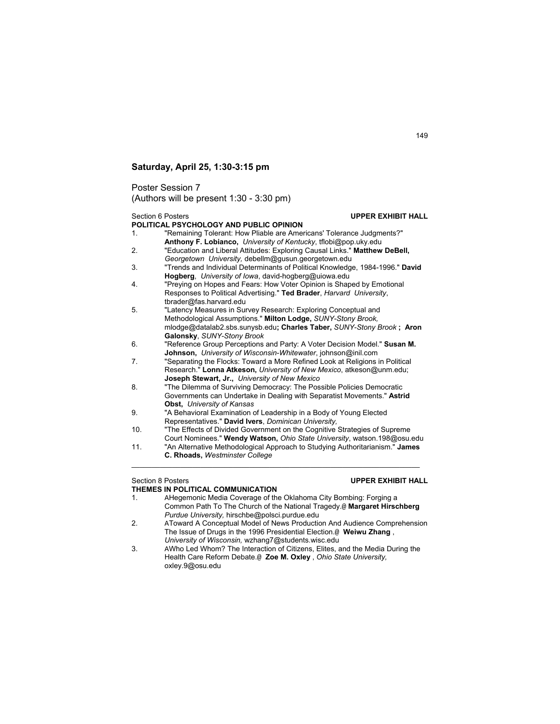Poster Session 7 (Authors will be present 1:30 - 3:30 pm)

Section 6 Posters **UPPER EXHIBIT HALL**

- **POLITICAL PSYCHOLOGY AND PUBLIC OPINION** 1. "Remaining Tolerant: How Pliable are Americans' Tolerance Judgments?" **Anthony F. Lobianco,** *University of Kentucky*, tflobi@pop.uky.edu
- 2. "Education and Liberal Attitudes: Exploring Causal Links." **Matthew DeBell,** *Georgetown University,* debellm@gusun.georgetown.edu
- 3. "Trends and Individual Determinants of Political Knowledge, 1984-1996." **David Hogberg**, *University of Iowa*, david-hogberg@uiowa.edu
- 4. "Preying on Hopes and Fears: How Voter Opinion is Shaped by Emotional Responses to Political Advertising." **Ted Brader**, *Harvard University*, tbrader@fas.harvard.edu
- 5. "Latency Measures in Survey Research: Exploring Conceptual and Methodological Assumptions." **Milton Lodge,** *SUNY-Stony Brook,*  mlodge@datalab2.sbs.sunysb.edu**; Charles Taber,** *SUNY-Stony Brook* **; Aron Galonsky**, *SUNY-Stony Brook*
- 6. "Reference Group Perceptions and Party: A Voter Decision Model." **Susan M. Johnson,** *University of Wisconsin-Whitewater*, johnson@inil.com
- 7. "Separating the Flocks: Toward a More Refined Look at Religions in Political Research." **Lonna Atkeson,** *University of New Mexico*, atkeson@unm.edu; **Joseph Stewart, Jr.,** *University of New Mexico*
- 8. "The Dilemma of Surviving Democracy: The Possible Policies Democratic Governments can Undertake in Dealing with Separatist Movements." **Astrid Obst,** *University of Kansas*
- 9. "A Behavioral Examination of Leadership in a Body of Young Elected Representatives." **David Ivers**, *Dominican University,*
- 10. "The Effects of Divided Government on the Cognitive Strategies of Supreme Court Nominees." **Wendy Watson,** *Ohio State University*, watson.198@osu.edu
- 11. "An Alternative Methodological Approach to Studying Authoritarianism." **James C. Rhoads,** *Westminster College*   $\mathcal{L}_\text{max}$  , and the set of the set of the set of the set of the set of the set of the set of the set of the set of

## Section 8 Posters **UPPER EXHIBIT HALL**

### **THEMES IN POLITICAL COMMUNICATION**

- 1. AHegemonic Media Coverage of the Oklahoma City Bombing: Forging a Common Path To The Church of the National Tragedy.@ **Margaret Hirschberg** *Purdue University,* hirschbe@polsci.purdue.edu
- 2. AToward A Conceptual Model of News Production And Audience Comprehension The Issue of Drugs in the 1996 Presidential Election.@ **Weiwu Zhang** , *University of Wisconsin,* wzhang7@students.wisc.edu
- 3. AWho Led Whom? The Interaction of Citizens, Elites, and the Media During the Health Care Reform Debate.@ **Zoe M. Oxley** , *Ohio State University,*  oxley.9@osu.edu

## 149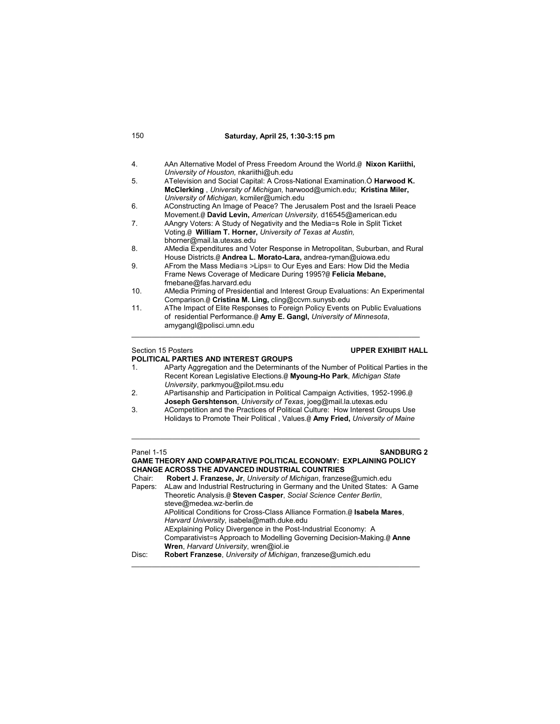| 4.                                                                                                                | AAn Alternative Model of Press Freedom Around the World.@ Nixon Kariithi,                                                                                                                                   |
|-------------------------------------------------------------------------------------------------------------------|-------------------------------------------------------------------------------------------------------------------------------------------------------------------------------------------------------------|
|                                                                                                                   | University of Houston, nkariithi@uh.edu                                                                                                                                                                     |
| 5.                                                                                                                | ATelevision and Social Capital: A Cross-National Examination Ó Harwood K.<br>McClerking, University of Michigan, harwood@umich.edu; Kristina Miler,<br>University of Michigan, kcmiler@umich.edu            |
| 6.                                                                                                                | AConstructing An Image of Peace? The Jerusalem Post and the Israeli Peace<br>Movement.@ David Levin, American University, d16545@american.edu                                                               |
| 7.                                                                                                                | AAngry Voters: A Study of Negativity and the Media=s Role in Split Ticket<br>Voting.@ William T. Horner, University of Texas at Austin,<br>bhorner@mail.la.utexas.edu                                       |
| 8.                                                                                                                | AMedia Expenditures and Voter Response in Metropolitan, Suburban, and Rural<br>House Districts.@ Andrea L. Morato-Lara, andrea-ryman@uiowa.edu                                                              |
| 9.                                                                                                                | AFrom the Mass Media=s > Lips= to Our Eyes and Ears: How Did the Media<br>Frame News Coverage of Medicare During 1995?@ Felicia Mebane,<br>fmebane@fas.harvard.edu                                          |
| 10.                                                                                                               | AMedia Priming of Presidential and Interest Group Evaluations: An Experimental<br>Comparison.@ Cristina M. Ling, cling@ccvm.sunysb.edu                                                                      |
| 11.                                                                                                               | AThe Impact of Elite Responses to Foreign Policy Events on Public Evaluations<br>of residential Performance.@ Amy E. Gangl, University of Minnesota,<br>amygangl@polisci.umn.edu                            |
|                                                                                                                   | Section 15 Posters<br><b>UPPER EXHIBIT HALL</b><br>POLITICAL PARTIES AND INTEREST GROUPS                                                                                                                    |
| 1.                                                                                                                | AParty Aggregation and the Determinants of the Number of Political Parties in the<br>Recent Korean Legislative Elections. <sup>®</sup> Myoung-Ho Park, Michigan State<br>University, parkmyou@pilot.msu.edu |
| 2.                                                                                                                | APartisanship and Participation in Political Campaign Activities, 1952-1996.@<br>Joseph Gershtenson, University of Texas, joeg@mail.la.utexas.edu                                                           |
| 3.                                                                                                                | ACompetition and the Practices of Political Culture: How Interest Groups Use<br>Holidays to Promote Their Political, Values @ Amy Fried, University of Maine                                                |
| <b>Panel 1-15</b><br><b>SANDBURG 2</b><br><b>GAME THEORY AND COMPARATIVE POLITICAL ECONOMY: EXPLAINING POLICY</b> |                                                                                                                                                                                                             |

**CHANGE ACROSS THE ADVANCED INDUSTRIAL COUNTRIES** Chair: **Robert J. Franzese, Jr**, *University of Michigan*, franzese@umich.edu Papers: ALaw and Industrial Restructuring in Germany and the United States: A Game Theoretic Analysis.@ **Steven Casper**, *Social Science Center Berlin*, steve@medea.wz-berlin.de APolitical Conditions for Cross-Class Alliance Formation.@ **Isabela Mares**, *Harvard University*, isabela@math.duke.edu AExplaining Policy Divergence in the Post-Industrial Economy: A Comparativist=s Approach to Modelling Governing Decision-Making.@ **Anne Wren**, *Harvard University*, wren@iol.ie Disc: **Robert Franzese**, *University of Michigan*, franzese@umich.edu

 $\mathcal{L}_\text{max}$  , and the set of the set of the set of the set of the set of the set of the set of the set of the set of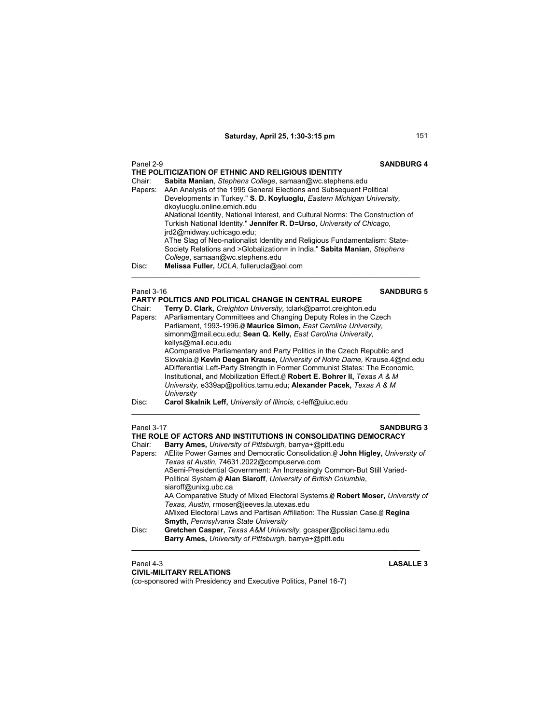| Panel 2-9                              | <b>SANDBURG 4</b><br>THE POLITICIZATION OF ETHNIC AND RELIGIOUS IDENTITY                                                                                                                                                                                                                                                                                                                                                                                                                                                                                                                                                                                                                                                                                                  |
|----------------------------------------|---------------------------------------------------------------------------------------------------------------------------------------------------------------------------------------------------------------------------------------------------------------------------------------------------------------------------------------------------------------------------------------------------------------------------------------------------------------------------------------------------------------------------------------------------------------------------------------------------------------------------------------------------------------------------------------------------------------------------------------------------------------------------|
| Chair:<br>Papers:                      | Sabita Manian, Stephens College, samaan@wc.stephens.edu<br>AAn Analysis of the 1995 General Elections and Subsequent Political<br>Developments in Turkey." S. D. Koyluoglu, Eastern Michigan University,<br>dkoyluoglu.online.emich.edu<br>ANational Identity, National Interest, and Cultural Norms: The Construction of<br>Turkish National Identity." Jennifer R. D=Urso, University of Chicago,<br>jrd2@midway.uchicago.edu;<br>AThe Slag of Neo-nationalist Identity and Religious Fundamentalism: State-<br>Society Relations and >Globalization= in India." Sabita Manian, Stephens                                                                                                                                                                                |
| Disc:                                  | College, samaan@wc.stephens.edu<br>Melissa Fuller, UCLA, fullerucla@aol.com                                                                                                                                                                                                                                                                                                                                                                                                                                                                                                                                                                                                                                                                                               |
| Panel 3-16                             | <b>SANDBURG 5</b>                                                                                                                                                                                                                                                                                                                                                                                                                                                                                                                                                                                                                                                                                                                                                         |
| Chair:<br>Papers:                      | PARTY POLITICS AND POLITICAL CHANGE IN CENTRAL EUROPE<br>Terry D. Clark, Creighton University, tclark@parrot.creighton.edu<br>AParliamentary Committees and Changing Deputy Roles in the Czech<br>Parliament, 1993-1996.@ Maurice Simon, East Carolina University,<br>simonm@mail.ecu.edu; Sean Q. Kelly, East Carolina University,<br>kellys@mail.ecu.edu<br>AComparative Parliamentary and Party Politics in the Czech Republic and<br>Slovakia.@ Kevin Deegan Krause, University of Notre Dame, Krause.4@nd.edu<br>ADifferential Left-Party Strength in Former Communist States: The Economic,<br>Institutional, and Mobilization Effect.@ Robert E. Bohrer II, Texas A & M<br>University, e339ap@politics.tamu.edu; Alexander Pacek, Texas A & M<br><b>University</b> |
| Disc:                                  | Carol Skalnik Leff, University of Illinois, c-leff@uiuc.edu                                                                                                                                                                                                                                                                                                                                                                                                                                                                                                                                                                                                                                                                                                               |
| <b>Panel 3-17</b><br>Chair:<br>Papers: | <b>SANDBURG 3</b><br>THE ROLE OF ACTORS AND INSTITUTIONS IN CONSOLIDATING DEMOCRACY<br>Barry Ames, University of Pittsburgh, barrya+@pitt.edu<br>AElite Power Games and Democratic Consolidation.@ John Higley, University of<br>Texas at Austin, 74631.2022@compuserve.com                                                                                                                                                                                                                                                                                                                                                                                                                                                                                               |
|                                        | ASemi-Presidential Government: An Increasingly Common-But Still Varied-<br>Political System.@ Alan Siaroff, University of British Columbia,<br>siaroff@unixg.ubc.ca<br>AA Comparative Study of Mixed Electoral Systems.@ Robert Moser, University of<br>Texas, Austin, rmoser@jeeves.la.utexas.edu                                                                                                                                                                                                                                                                                                                                                                                                                                                                        |
| Disc:                                  | AMixed Electoral Laws and Partisan Affiliation: The Russian Case.@ Regina<br>Smyth, Pennsylvania State University<br>Gretchen Casper, Texas A&M University, gcasper@polisci.tamu.edu                                                                                                                                                                                                                                                                                                                                                                                                                                                                                                                                                                                      |

**Barry Ames,** *University of Pittsburgh,* barrya+@pitt.edu

Panel 4-3 **LASALLE 3 CIVIL-MILITARY RELATIONS** (co-sponsored with Presidency and Executive Politics, Panel 16-7)

\_\_\_\_\_\_\_\_\_\_\_\_\_\_\_\_\_\_\_\_\_\_\_\_\_\_\_\_\_\_\_\_\_\_\_\_\_\_\_\_\_\_\_\_\_\_\_\_\_\_\_\_\_\_\_\_\_\_\_\_\_\_\_\_\_\_\_\_\_\_\_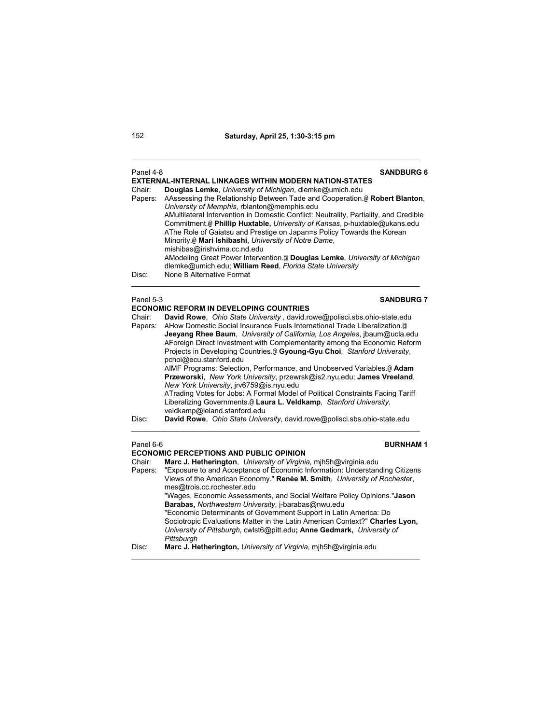$\mathcal{L}_\text{max}$  , and the contribution of the contribution of the contribution of the contribution of the contribution of the contribution of the contribution of the contribution of the contribution of the contribution of t

| Panel 4-8<br>Chair:<br>Papers: | <b>SANDBURG 6</b><br><b>EXTERNAL-INTERNAL LINKAGES WITHIN MODERN NATION-STATES</b><br>Douglas Lemke, University of Michigan, dlemke@umich.edu<br>AAssessing the Relationship Between Tade and Cooperation.@ Robert Blanton,<br>University of Memphis, rblanton@memphis.edu<br>AMultilateral Intervention in Domestic Conflict: Neutrality, Partiality, and Credible<br>Commitment.@ Phillip Huxtable, University of Kansas, p-huxtable@ukans.edu<br>AThe Role of Gaiatsu and Prestige on Japan=s Policy Towards the Korean<br>Minority.@ Mari Ishibashi, University of Notre Dame,                                                                                                                                                                                                                                                                                         |
|--------------------------------|----------------------------------------------------------------------------------------------------------------------------------------------------------------------------------------------------------------------------------------------------------------------------------------------------------------------------------------------------------------------------------------------------------------------------------------------------------------------------------------------------------------------------------------------------------------------------------------------------------------------------------------------------------------------------------------------------------------------------------------------------------------------------------------------------------------------------------------------------------------------------|
| Disc:                          | mishibas@irishvima.cc.nd.edu<br>AModeling Great Power Intervention.@ Douglas Lemke, University of Michigan<br>dlemke@umich.edu; William Reed, Florida State University<br>None B Alternative Format                                                                                                                                                                                                                                                                                                                                                                                                                                                                                                                                                                                                                                                                        |
| Panel 5-3                      | <b>SANDBURG 7</b>                                                                                                                                                                                                                                                                                                                                                                                                                                                                                                                                                                                                                                                                                                                                                                                                                                                          |
| Chair:<br>Papers:              | <b>ECONOMIC REFORM IN DEVELOPING COUNTRIES</b><br>David Rowe, Ohio State University, david.rowe@polisci.sbs.ohio-state.edu<br>A How Domestic Social Insurance Fuels International Trade Liberalization. <sup>®</sup><br>Jeeyang Rhee Baum, University of California, Los Angeles, ibaum@ucla.edu<br>AForeign Direct Investment with Complementarity among the Economic Reform<br>Projects in Developing Countries.@ Gyoung-Gyu Choi, Stanford University,<br>pchoi@ecu.stanford.edu<br>AIMF Programs: Selection, Performance, and Unobserved Variables.@ Adam<br>Przeworski, New York University, przewrsk@is2.nyu.edu; James Vreeland,<br>New York University, jrv6759@is.nyu.edu<br>ATrading Votes for Jobs: A Formal Model of Political Constraints Facing Tariff<br>Liberalizing Governments.@ Laura L. Veldkamp, Stanford University,<br>veldkamp@leland.stanford.edu |
| Disc:                          | David Rowe, <i>Ohio State University</i> , david.rowe@polisci.sbs.ohio-state.edu                                                                                                                                                                                                                                                                                                                                                                                                                                                                                                                                                                                                                                                                                                                                                                                           |
| Panel 6-6                      | <b>BURNHAM1</b><br><b>ECONOMIC BEBCEBTIONS AND BUBLIC OBINION</b>                                                                                                                                                                                                                                                                                                                                                                                                                                                                                                                                                                                                                                                                                                                                                                                                          |

| <b>ECONOMIC PERCEPTIONS AND PUBLIC OPINION</b>                                                         |
|--------------------------------------------------------------------------------------------------------|
| Marc J. Hetherington, University of Virginia, mih5h@virginia.edu                                       |
| Papers: "Exposure to and Acceptance of Economic Information: Understanding Citizens                    |
| Views of the American Economy." Renée M. Smith, University of Rochester,<br>mes@trois.cc.rochester.edu |
| "Wages, Economic Assessments, and Social Welfare Policy Opinions." Jason                               |
| Barabas, Northwestern University, j-barabas@nwu.edu                                                    |
| "Economic Determinants of Government Support in Latin America: Do                                      |
| Sociotropic Evaluations Matter in the Latin American Context?" Charles Lyon,                           |
| University of Pittsburgh, cwlst6@pitt.edu; Anne Gedmark, University of                                 |
| Pittsburgh                                                                                             |
| Marc J. Hetherington, University of Virginia, mih5h@virginia.edu                                       |
|                                                                                                        |

 $\mathcal{L}_\text{max}$  , and the contribution of the contribution of the contribution of the contribution of the contribution of the contribution of the contribution of the contribution of the contribution of the contribution of t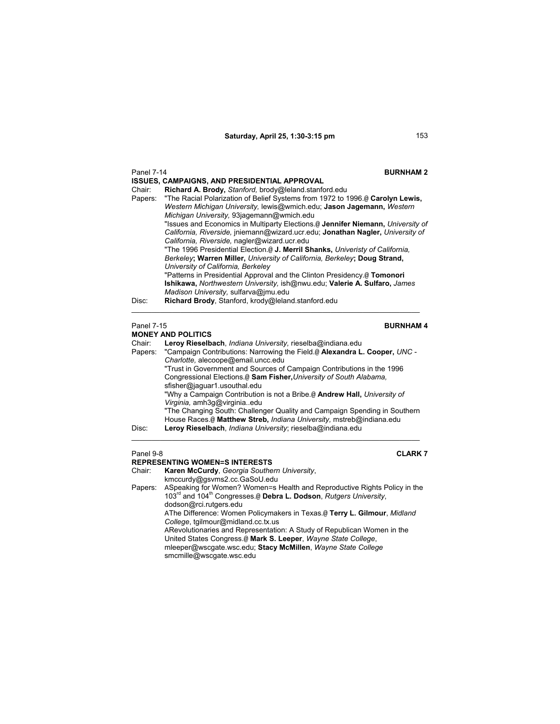# Panel 7-14 **BURNHAM 2**

**ISSUES, CAMPAIGNS, AND PRESIDENTIAL APPROVAL** Chair: **Richard A. Brody,** *Stanford,* brody@leland.stanford.edu Papers: "The Racial Polarization of Belief Systems from 1972 to 1996.@ **Carolyn Lewis,**  *Western Michigan University,* lewis@wmich.edu; **Jason Jagemann,** *Western Michigan University,* 93jagemann@wmich.edu "Issues and Economics in Multiparty Elections.@ **Jennifer Niemann,** *University of California, Riverside,* jniemann@wizard.ucr.edu; **Jonathan Nagler,** *University of California, Riverside,* nagler@wizard.ucr.edu "The 1996 Presidential Election.@ **J. Merril Shanks,** *Univeristy of California, Berkeley***; Warren Miller,** *University of California, Berkeley***; Doug Strand,**  *University of California, Berkeley*  "Patterns in Presidential Approval and the Clinton Presidency.@ **Tomonori Ishikawa,** *Northwestern University,* ish@nwu.edu; **Valerie A. Sulfaro,** *James Madison University,* sulfarva@jmu.edu Disc: **Richard Brody**, Stanford, krody@leland.stanford.edu  $\mathcal{L}_\text{max}$  , and the contribution of the contribution of the contribution of the contribution of the contribution of the contribution of the contribution of the contribution of the contribution of the contribution of t

# **Panel 7-15 BURNHAM 4**

## **MONEY AND POLITICS**

| Chair:  | Leroy Rieselbach, Indiana University, rieselba@indiana.edu                      |
|---------|---------------------------------------------------------------------------------|
| Papers: | "Campaign Contributions: Narrowing the Field.@ Alexandra L. Cooper, UNC -       |
|         | Charlotte, alecoope@email.uncc.edu                                              |
|         | "Trust in Government and Sources of Campaign Contributions in the 1996          |
|         | Congressional Elections. <sup>®</sup> Sam Fisher, University of South Alabama.  |
|         | sfisher@jaquar1.usouthal.edu                                                    |
|         | "Why a Campaign Contribution is not a Bribe.@ Andrew Hall, University of        |
|         | Virginia, amh3q@virginiaedu                                                     |
|         | "The Changing South: Challenger Quality and Campaign Spending in Southern       |
|         | House Races. <sup>®</sup> Matthew Streb, Indiana University, mstreb@indiana.edu |
| Disc:   | Leroy Rieselbach, Indiana University; rieselba@indiana.edu                      |

\_\_\_\_\_\_\_\_\_\_\_\_\_\_\_\_\_\_\_\_\_\_\_\_\_\_\_\_\_\_\_\_\_\_\_\_\_\_\_\_\_\_\_\_\_\_\_\_\_\_\_\_\_\_\_\_\_\_\_\_\_\_\_\_\_\_\_\_\_\_\_

### Panel 9-8 **CLARK 7**

## **REPRESENTING WOMEN=S INTERESTS**

Chair: **Karen McCurdy**, *Georgia Southern University*, kmccurdy@gsvms2.cc.GaSoU.edu Papers: ASpeaking for Women? Women=s Health and Reproductive Rights Policy in the 103rd and 104th Congresses.@ **Debra L. Dodson**, *Rutgers University*, dodson@rci.rutgers.edu AThe Difference: Women Policymakers in Texas.@ **Terry L. Gilmour**, *Midland* 

*College*, tgilmour@midland.cc.tx.us ARevolutionaries and Representation: A Study of Republican Women in the United States Congress.@ **Mark S. Leeper**, *Wayne State College*,

mleeper@wscgate.wsc.edu; **Stacy McMillen**, *Wayne State College* smcmille@wscgate.wsc.edu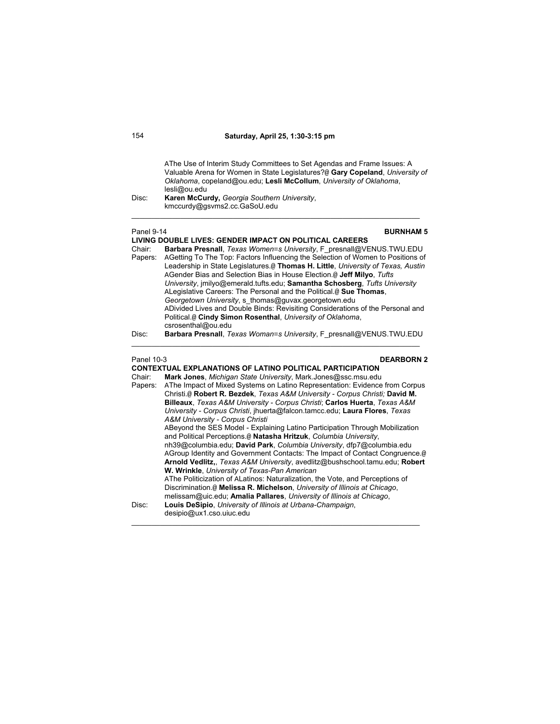| Disc:                                           | AThe Use of Interim Study Committees to Set Agendas and Frame Issues: A<br>Valuable Arena for Women in State Legislatures?@ Gary Copeland, University of<br>Oklahoma, copeland@ou.edu; Lesli McCollum, University of Oklahoma,<br>lesli@ou.edu<br>Karen McCurdy, Georgia Southern University,<br>kmccurdy@gsvms2.cc.GaSoU.edu                                                                                                                                                                                                                                                                                                                                                                                                                                                                                                                                                                                                                                                                                                                                                                                                |
|-------------------------------------------------|------------------------------------------------------------------------------------------------------------------------------------------------------------------------------------------------------------------------------------------------------------------------------------------------------------------------------------------------------------------------------------------------------------------------------------------------------------------------------------------------------------------------------------------------------------------------------------------------------------------------------------------------------------------------------------------------------------------------------------------------------------------------------------------------------------------------------------------------------------------------------------------------------------------------------------------------------------------------------------------------------------------------------------------------------------------------------------------------------------------------------|
| <b>Panel 9-14</b><br>Chair:<br>Papers:<br>Disc: | <b>BURNHAM 5</b><br>LIVING DOUBLE LIVES: GENDER IMPACT ON POLITICAL CAREERS<br>Barbara Presnall, Texas Women=s University, F_presnall@VENUS.TWU.EDU<br>AGetting To The Top: Factors Influencing the Selection of Women to Positions of<br>Leadership in State Legislatures.@ Thomas H. Little, University of Texas, Austin<br>AGender Bias and Selection Bias in House Election.@ Jeff Milyo, Tufts<br>University, jmilyo@emerald.tufts.edu; Samantha Schosberg, Tufts University<br>ALegislative Careers: The Personal and the Political.@ Sue Thomas,<br>Georgetown University, s thomas@guvax.georgetown.edu<br>ADivided Lives and Double Binds: Revisiting Considerations of the Personal and<br>Political.@ Cindy Simon Rosenthal, University of Oklahoma,<br>csrosenthal@ou.edu<br>Barbara Presnall, Texas Woman=s University, F presnall@VENUS.TWU.EDU                                                                                                                                                                                                                                                                |
| <b>Panel 10-3</b><br>Chair:<br>Papers:          | <b>DEARBORN 2</b><br><b>CONTEXTUAL EXPLANATIONS OF LATINO POLITICAL PARTICIPATION</b><br>Mark Jones, Michigan State University, Mark.Jones@ssc.msu.edu<br>AThe Impact of Mixed Systems on Latino Representation: Evidence from Corpus<br>Christi.@ Robert R. Bezdek, Texas A&M University - Corpus Christi; David M.<br>Billeaux, Texas A&M University - Corpus Christi; Carlos Huerta, Texas A&M<br>University - Corpus Christi, jhuerta@falcon.tamcc.edu; Laura Flores, Texas<br>A&M University - Corpus Christi<br>ABeyond the SES Model - Explaining Latino Participation Through Mobilization<br>and Political Perceptions.@ Natasha Hritzuk, Columbia University,<br>nh39@columbia.edu; David Park, Columbia University, dfp7@columbia.edu<br>AGroup Identity and Government Contacts: The Impact of Contact Congruence.@<br>Arnold Vedlitz,, Texas A&M University, avedlitz@bushschool.tamu.edu; Robert<br>W. Wrinkle, University of Texas-Pan American<br>AThe Politicization of ALatinos: Naturalization, the Vote, and Perceptions of<br>Discrimination.@ Melissa R. Michelson, University of Illinois at Chicago, |
| Disc:                                           | melissam@uic.edu; Amalia Pallares, University of Illinois at Chicago,<br>Louis DeSipio, University of Illinois at Urbana-Champaign,<br>desipio@ux1.cso.uiuc.edu                                                                                                                                                                                                                                                                                                                                                                                                                                                                                                                                                                                                                                                                                                                                                                                                                                                                                                                                                              |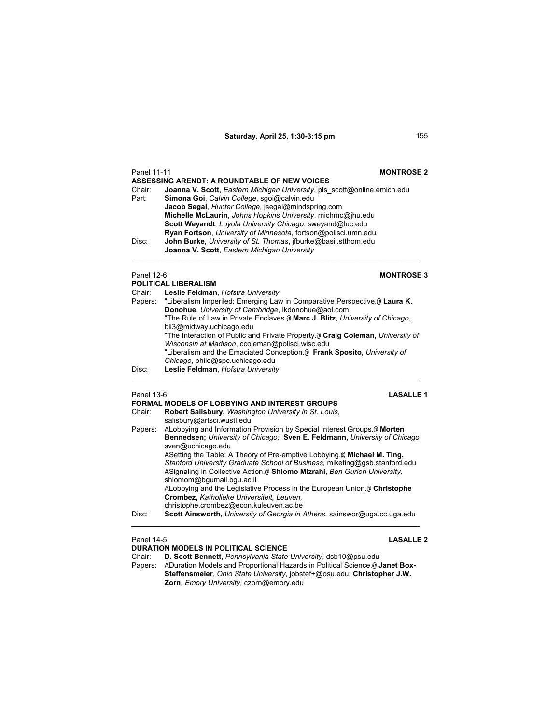# Panel 11-11 **MONTROSE 2**

| ASSESSING ARENDT: A ROUNDTABLE OF NEW VOICES |                                                                                          |  |
|----------------------------------------------|------------------------------------------------------------------------------------------|--|
| Chair:                                       | <b>Joanna V. Scott</b> , <i>Eastern Michigan University</i> , pls scott@online.emich.edu |  |
| Part:                                        | Simona Goi, Calvin College, sgoi@calvin.edu                                              |  |
|                                              | Jacob Segal, Hunter College, jsegal@mindspring.com                                       |  |
|                                              | Michelle McLaurin, Johns Hopkins University, michmc@jhu.edu                              |  |
|                                              | Scott Weyandt, Loyola University Chicago, sweyand@luc.edu                                |  |
|                                              | Ryan Fortson, University of Minnesota, fortson@polisci.umn.edu                           |  |
| Disc:                                        | John Burke, University of St. Thomas, ifburke@basil.stthom.edu                           |  |
|                                              | Joanna V. Scott, Eastern Michigan University                                             |  |

## Panel 12-6 **MONTROSE 3**

|         | <b>POLITICAL LIBERALISM</b>                                                              |
|---------|------------------------------------------------------------------------------------------|
| Chair:  | Leslie Feldman, Hofstra University                                                       |
| Papers: | "Liberalism Imperiled: Emerging Law in Comparative Perspective @ Laura K.                |
|         | Donohue, University of Cambridge, Ikdonohue@aol.com                                      |
|         | "The Rule of Law in Private Enclaves. <sup>@</sup> Marc J. Blitz, University of Chicago, |
|         | bli3@midway.uchicago.edu                                                                 |
|         | "The Interaction of Public and Private Property.@ Craig Coleman, University of           |
|         | Wisconsin at Madison, ccoleman@polisci.wisc.edu                                          |
|         | "Liberalism and the Emaciated Conception.@ Frank Sposito, University of                  |
|         | Chicago, philo@spc.uchicago.edu                                                          |
| Disc:   | Leslie Feldman, Hofstra University                                                       |
|         |                                                                                          |

 $\mathcal{L}_\text{max}$  , and the contribution of the contribution of the contribution of the contribution of the contribution of the contribution of the contribution of the contribution of the contribution of the contribution of t

Panel 13-6 **LASALLE 1**

|         | <b>FORMAL MODELS OF LOBBYING AND INTEREST GROUPS</b>                       |
|---------|----------------------------------------------------------------------------|
| Chair:  | Robert Salisbury, Washington University in St. Louis.                      |
|         | salisbury@artsci.wustl.edu                                                 |
| Papers: | ALobbying and Information Provision by Special Interest Groups.@ Morten    |
|         | Bennedsen; University of Chicago; Sven E. Feldmann, University of Chicago, |
|         | sven@uchicago.edu                                                          |
|         | ASetting the Table: A Theory of Pre-emptive Lobbying @ Michael M. Ting,    |
|         | Stanford University Graduate School of Business, miketing@gsb.stanford.edu |
|         | ASignaling in Collective Action.@ Shlomo Mizrahi, Ben Gurion University.   |
|         | shlomom@bqumail.bqu.ac.il                                                  |
|         | ALobbying and the Legislative Process in the European Union.@ Christophe   |
|         | Crombez, Katholieke Universiteit, Leuven,                                  |
|         | christophe.crombez@econ.kuleuven.ac.be                                     |
| Disc:   | Scott Ainsworth, University of Georgia in Athens, sainswor@uga.cc.uga.edu  |
|         |                                                                            |

# **DURATION MODELS IN POLITICAL SCIENCE**

# Panel 14-5 **LASALLE 2**

Chair: **D. Scott Bennett,** *Pennsylvania State University*, dsb10@psu.edu

Papers: ADuration Models and Proportional Hazards in Political Science.@ **Janet Box-Steffensmeier**, *Ohio State University*, jobstef+@osu.edu; **Christopher J.W. Zorn**, *Emory University*, czorn@emory.edu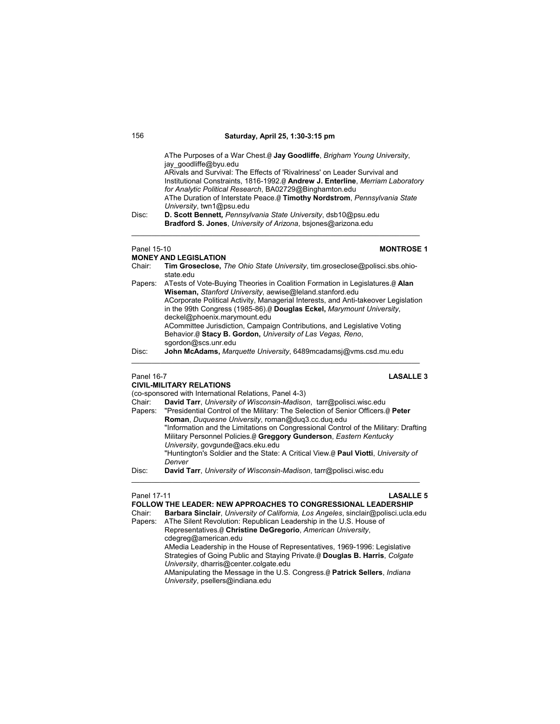AThe Purposes of a War Chest.@ **Jay Goodliffe**, *Brigham Young University*, jay\_goodliffe@byu.edu ARivals and Survival: The Effects of 'Rivalriness' on Leader Survival and Institutional Constraints, 1816-1992.@ **Andrew J. Enterline**, *Merriam Laboratory for Analytic Political Research*, BA02729@Binghamton.edu AThe Duration of Interstate Peace.@ **Timothy Nordstrom**, *Pennsylvania State University*, twn1@psu.edu Disc: **D. Scott Bennett***, Pennsylvania State University*, dsb10@psu.edu

**Bradford S. Jones**, *University of Arizona*, bsjones@arizona.edu

# **MONEY AND LEGISLATION**

### Panel 15-10 **MONTROSE 1**

| Chair:  | Tim Groseclose, The Ohio State University, tim.groseclose@polisci.sbs.ohio-              |
|---------|------------------------------------------------------------------------------------------|
|         | state.edu                                                                                |
| Papers: | ATests of Vote-Buying Theories in Coalition Formation in Legislatures. <sup>®</sup> Alan |
|         | Wiseman, Stanford University, aewise@leland.stanford.edu                                 |
|         | ACorporate Political Activity, Managerial Interests, and Anti-takeover Legislation       |
|         | in the 99th Congress (1985-86).@ Douglas Eckel, Marymount University.                    |
|         | deckel@phoenix.marymount.edu                                                             |
|         | ACommittee Jurisdiction, Campaign Contributions, and Legislative Voting                  |
|         | Behavior @ Stacy B. Gordon, University of Las Vegas, Reno,                               |
|         | sgordon@scs.unr.edu                                                                      |
| Disc:   | John McAdams, Marquette University, 6489mcadamsi@vms.csd.mu.edu                          |

 $\mathcal{L}_\text{max}$  , and the contribution of the contribution of the contribution of the contribution of the contribution of the contribution of the contribution of the contribution of the contribution of the contribution of t

\_\_\_\_\_\_\_\_\_\_\_\_\_\_\_\_\_\_\_\_\_\_\_\_\_\_\_\_\_\_\_\_\_\_\_\_\_\_\_\_\_\_\_\_\_\_\_\_\_\_\_\_\_\_\_\_\_\_\_\_\_\_\_\_\_\_\_\_\_\_\_

### **CIVIL-MILITARY RELATIONS**

# Panel 16-7 **LASALLE 3**

|        | (co-sponsored with International Relations, Panel 4-3)                                  |
|--------|-----------------------------------------------------------------------------------------|
| Chair: | David Tarr, University of Wisconsin-Madison, tarr@polisci.wisc.edu                      |
|        | Papers: "Presidential Control of the Military: The Selection of Senior Officers.@ Peter |
|        | Roman, Duguesne University, roman@dug3.cc.dug.edu                                       |
|        | "Information and the Limitations on Congressional Control of the Military: Drafting     |
|        | Military Personnel Policies.@ Greggory Gunderson, Eastern Kentucky                      |
|        | University, govgunde@acs.eku.edu                                                        |
|        | "Huntington's Soldier and the State: A Critical View.@ Paul Viotti, University of       |
|        | Denver                                                                                  |
| Disc:  | David Tarr, University of Wisconsin-Madison, tarr@polisci.wisc.edu                      |
|        |                                                                                         |

# Panel 17-11 **LASALLE 5**

|         | <b>FOLLOW THE LEADER: NEW APPROACHES TO CONGRESSIONAL LEADERSHIP</b>                  |
|---------|---------------------------------------------------------------------------------------|
| Chair:  | Barbara Sinclair, University of California, Los Angeles, sinclair@polisci.ucla.edu    |
| Papers: | AThe Silent Revolution: Republican Leadership in the U.S. House of                    |
|         | Representatives. <sup>®</sup> Christine DeGregorio, American University,              |
|         | cdegreg@american.edu                                                                  |
|         | AMedia Leadership in the House of Representatives, 1969-1996: Legislative             |
|         | Strategies of Going Public and Staying Private @ Douglas B. Harris, Colgate           |
|         | University, dharris@center.colgate.edu                                                |
|         | AManipulating the Message in the U.S. Congress. <sup>®</sup> Patrick Sellers, Indiana |
|         | University, psellers@indiana.edu                                                      |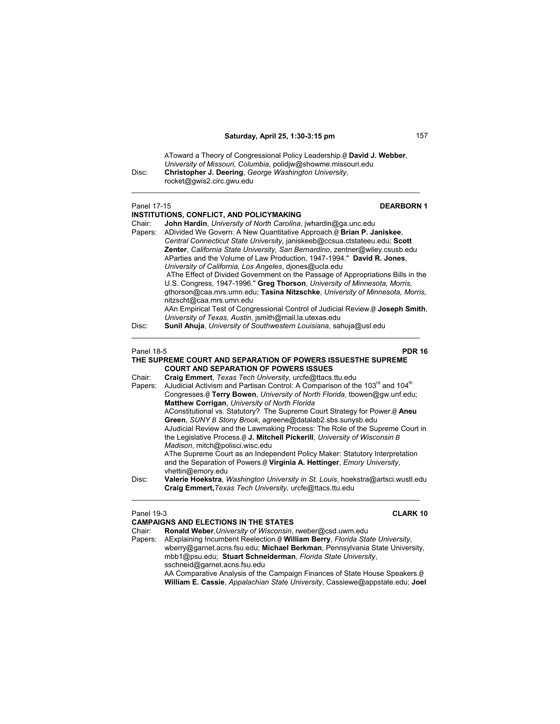AToward a Theory of Congressional Policy Leadership.@ **David J. Webber**, *University of Missouri, Columbia*, polidjw@showme.missouri.edu Disc: **Christopher J. Deering**, *George Washington University*, rocket@gwis2.circ.gwu.edu

| Panel 17-15       | <b>DEARBORN1</b>                                                                                                                                                                                                                                                                                                                                                                                                                                                                                                                                                                                                                                                                                                                                                                                       |
|-------------------|--------------------------------------------------------------------------------------------------------------------------------------------------------------------------------------------------------------------------------------------------------------------------------------------------------------------------------------------------------------------------------------------------------------------------------------------------------------------------------------------------------------------------------------------------------------------------------------------------------------------------------------------------------------------------------------------------------------------------------------------------------------------------------------------------------|
|                   | <b>INSTITUTIONS, CONFLICT, AND POLICYMAKING</b>                                                                                                                                                                                                                                                                                                                                                                                                                                                                                                                                                                                                                                                                                                                                                        |
| Chair:<br>Papers: | John Hardin, University of North Carolina, jwhardin@ga.unc.edu<br>ADivided We Govern: A New Quantitative Approach.@ Brian P. Janiskee,<br>Central Connecticut State University, janiskeeb@ccsua.ctstateeu.edu; Scott<br>Zenter, California State University, San Bernardino, zentner@wiley.csusb.edu<br>AParties and the Volume of Law Production, 1947-1994." David R. Jones,<br>University of California, Los Angeles, djones@ucla.edu<br>AThe Effect of Divided Government on the Passage of Appropriations Bills in the<br>U.S. Congress, 1947-1996." Greg Thorson, University of Minnesota, Morris,<br>gthorson@caa.mrs.umn.edu; Tasina Nitzschke, University of Minnesota, Morris,<br>nitzscht@caa.mrs.umn.edu<br>AAn Empirical Test of Congressional Control of Judicial Review.@ Joseph Smith, |
|                   | University of Texas, Austin, jsmith@mail.la.utexas.edu                                                                                                                                                                                                                                                                                                                                                                                                                                                                                                                                                                                                                                                                                                                                                 |
| Disc:             | Sunil Ahuja, University of Southwestern Louisiana, sahuja@usl.edu                                                                                                                                                                                                                                                                                                                                                                                                                                                                                                                                                                                                                                                                                                                                      |
|                   | THE SUPREME COURT AND SEPARATION OF POWERS ISSUESTHE SUPREME<br><b>COURT AND SEPARATION OF POWERS ISSUES</b>                                                                                                                                                                                                                                                                                                                                                                                                                                                                                                                                                                                                                                                                                           |
| Chair:            | Craig Emmert, Texas Tech University, urcfe@ttacs.ttu.edu                                                                                                                                                                                                                                                                                                                                                                                                                                                                                                                                                                                                                                                                                                                                               |
| Papers:           | AJudicial Activism and Partisan Control: A Comparison of the 103 <sup>rd</sup> and 104 <sup>th</sup><br>Congresses. <sup>®</sup> Terry Bowen, University of North Florida, tbowen@gw.unf.edu;<br>Matthew Corrigan, University of North Florida                                                                                                                                                                                                                                                                                                                                                                                                                                                                                                                                                         |
|                   | AConstitutional vs. Statutory? The Supreme Court Strategy for Power.@ Aneu<br>Green, SUNY B Stony Brook, agreene@datalab2.sbs.sunysb.edu                                                                                                                                                                                                                                                                                                                                                                                                                                                                                                                                                                                                                                                               |
|                   |                                                                                                                                                                                                                                                                                                                                                                                                                                                                                                                                                                                                                                                                                                                                                                                                        |
|                   | AJudicial Review and the Lawmaking Process: The Role of the Supreme Court in<br>the Legislative Process.@ J. Mitchell Pickerill, University of Wisconsin B                                                                                                                                                                                                                                                                                                                                                                                                                                                                                                                                                                                                                                             |
|                   | Madison, mitch@polisci.wisc.edu<br>AThe Supreme Court as an Independent Policy Maker: Statutory Interpretation<br>and the Separation of Powers.@ Virginia A. Hettinger, Emory University,<br>vhettin@emory.edu                                                                                                                                                                                                                                                                                                                                                                                                                                                                                                                                                                                         |

# **CAMPAIGNS AND ELECTIONS IN THE STATES**

## Panel 19-3 **CLARK 10**

Chair: **Ronald Weber**,*University of Wisconsin*, rweber@csd.uwm.edu

Papers: AExplaining Incumbent Reelection.@ **William Berry**, *Florida State University*, wberry@garnet.acns.fsu.edu; **Michael Berkman**, Pennsylvania State University, mbb1@psu.edu; **Stuart Schneiderman**, *Florida State University*, sschneid@garnet.acns.fsu.edu AA Comparative Analysis of the Campaign Finances of State House Speakers.@

**William E. Cassie**, *Appalachian State University*, Cassiewe@appstate.edu; **Joel**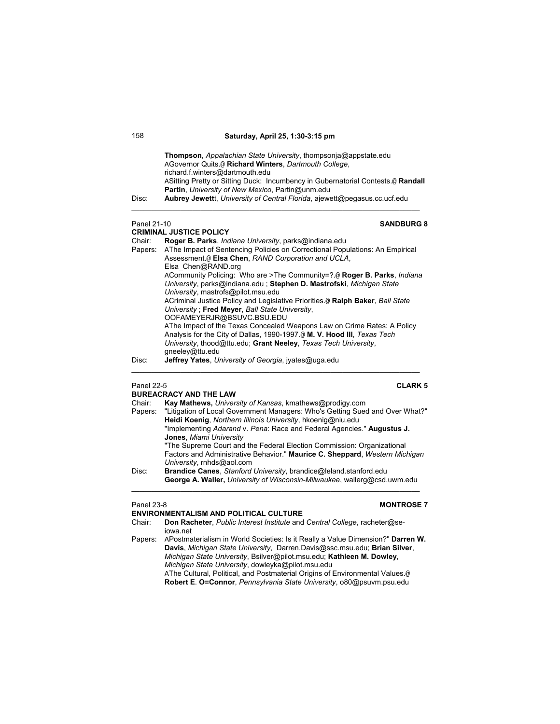| Disc:             | <b>Thompson</b> , Appalachian State University, thompsonja@appstate.edu<br>AGovernor Quits.@ Richard Winters, Dartmouth College,<br>richard f.winters@dartmouth.edu<br>ASitting Pretty or Sitting Duck: Incumbency in Gubernatorial Contests.@ Randall<br>Partin, University of New Mexico, Partin@unm.edu<br>Aubrey Jewettt, University of Central Florida, ajewett@pegasus.cc.ucf.edu |
|-------------------|-----------------------------------------------------------------------------------------------------------------------------------------------------------------------------------------------------------------------------------------------------------------------------------------------------------------------------------------------------------------------------------------|
| Panel 21-10       | <b>SANDBURG 8</b>                                                                                                                                                                                                                                                                                                                                                                       |
|                   | <b>CRIMINAL JUSTICE POLICY</b>                                                                                                                                                                                                                                                                                                                                                          |
| Chair:<br>Papers: | Roger B. Parks, Indiana University, parks@indiana.edu<br>AThe Impact of Sentencing Policies on Correctional Populations: An Empirical<br>Assessment.@ Elsa Chen, RAND Corporation and UCLA,<br>Elsa Chen@RAND.org                                                                                                                                                                       |
|                   | ACommunity Policing: Who are > The Community=? @ Roger B. Parks, Indiana<br>University, parks@indiana.edu; Stephen D. Mastrofski, Michigan State<br>University, mastrofs@pilot.msu.edu                                                                                                                                                                                                  |
|                   | ACriminal Justice Policy and Legislative Priorities.@ Ralph Baker, Ball State<br>University; Fred Meyer, Ball State University,<br>OOFAMEYERJR@BSUVC.BSU.EDU                                                                                                                                                                                                                            |
|                   | AThe Impact of the Texas Concealed Weapons Law on Crime Rates: A Policy<br>Analysis for the City of Dallas, 1990-1997.@ M. V. Hood III, Texas Tech<br>University, thood@ttu.edu; Grant Neeley, Texas Tech University,                                                                                                                                                                   |
| Disc:             | gneeley@ttu.edu<br>Jeffrey Yates, University of Georgia, jyates@uga.edu                                                                                                                                                                                                                                                                                                                 |

# **BUREACRACY AND THE LAW**

## Panel 22-5 **CLARK 5**

|         | <b>BUREAURAUT AND THE LAW</b>                                                |
|---------|------------------------------------------------------------------------------|
| Chair:  | Kay Mathews, University of Kansas, kmathews@prodigy.com                      |
| Papers: | "Litigation of Local Government Managers: Who's Getting Sued and Over What?" |
|         | Heidi Koenig, Northern Illinois University, hkoenig@niu.edu                  |
|         | "Implementing Adarand v. Pena: Race and Federal Agencies." Augustus J.       |
|         | Jones, Miami University                                                      |
|         | "The Supreme Court and the Federal Election Commission: Organizational       |
|         | Factors and Administrative Behavior." Maurice C. Sheppard, Western Michigan  |
|         | University, rnhds@aol.com                                                    |
| Disc:   | Brandice Canes, Stanford University, brandice@leland.stanford.edu            |
|         | George A. Waller, University of Wisconsin-Milwaukee, wallerg@csd.uwm.edu     |
|         |                                                                              |

 $\mathcal{L}_\text{G}$  , and the set of the set of the set of the set of the set of the set of the set of the set of the set of the set of the set of the set of the set of the set of the set of the set of the set of the set of the

### Panel 23-8 **MONTROSE 7**

### **ENVIRONMENTALISM AND POLITICAL CULTURE**<br>Chair: Don Racheter, Public Interest Institute and Chair: **Don Racheter**, *Public Interest Institute* and *Central College*, racheter@se-

iowa.net Papers: APostmaterialism in World Societies: Is it Really a Value Dimension?" **Darren W. Davis**, *Michigan State University*, Darren.Davis@ssc.msu.edu; **Brian Silver**,

*Michigan State University*, Bsilver@pilot.msu.edu; **Kathleen M. Dowley**, *Michigan State University*, dowleyka@pilot.msu.edu AThe Cultural, Political, and Postmaterial Origins of Environmental Values.@

**Robert E**. **O=Connor**, *Pennsylvania State University*, o80@psuvm.psu.edu

| ٠ | ×,<br>٠<br>٠<br>٠<br>i<br>×<br>۰.<br>×<br>۰.<br>× | I<br>۰. |
|---|---------------------------------------------------|---------|
|   |                                                   |         |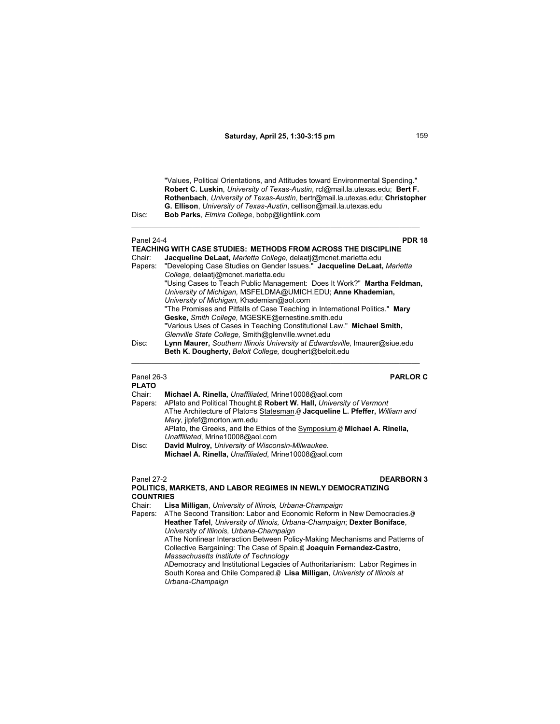"Values, Political Orientations, and Attitudes toward Environmental Spending." **Robert C. Luskin**, *University of Texas-Austin*, rcl@mail.la.utexas.edu; **Bert F. Rothenbach**, *University of Texas-Austin*, bertr@mail.la.utexas.edu; **Christopher G. Ellison**, *University of Texas-Austin*, cellison@mail.la.utexas.edu Disc: **Bob Parks**, *Elmira College*, bobp@lightlink.com  $\mathcal{L}_\text{G}$  , and the set of the set of the set of the set of the set of the set of the set of the set of the set of the set of the set of the set of the set of the set of the set of the set of the set of the set of the Panel 24-4 **PDR 18 TEACHING WITH CASE STUDIES: METHODS FROM ACROSS THE DISCIPLINE** Chair: **Jacqueline DeLaat,** *Marietta College,* delaatj@mcnet.marietta.edu Papers: "Developing Case Studies on Gender Issues." **Jacqueline DeLaat,** *Marietta College,* delaatj@mcnet.marietta.edu "Using Cases to Teach Public Management: Does It Work?" **Martha Feldman,** *University of Michigan,* MSFELDMA@UMICH.EDU; **Anne Khademian,** *University of Michigan,* Khademian@aol.com "The Promises and Pitfalls of Case Teaching in International Politics." **Mary Geske,** *Smith College,* MGESKE@ernestine.smith.edu "Various Uses of Cases in Teaching Constitutional Law." **Michael Smith,** *Glenville State College,* Smith@glenville.wvnet.edu Disc: **Lynn Maurer,** *Southern Illinois University at Edwardsville,* lmaurer@siue.edu **Beth K. Dougherty,** *Beloit College,* doughert@beloit.edu  $\_$  , and the set of the set of the set of the set of the set of the set of the set of the set of the set of the set of the set of the set of the set of the set of the set of the set of the set of the set of the set of th Panel 26-3 **PARLOR C PLATO** Chair: **Michael A. Rinella,** *Unaffiliated*, Mrine10008@aol.com Papers: APlato and Political Thought.@ **Robert W. Hall,** *University of Vermont*  AThe Architecture of Plato=s Statesman.@ **Jacqueline L. Pfeffer,** *William and Mary*, jlpfef@morton.wm.edu APlato, the Greeks, and the Ethics of the Symposium.@ **Michael A. Rinella,** *Unaffiliated*, Mrine10008@aol.com Disc: **David Mulroy,** *University of Wisconsin-Milwaukee.*  **Michael A. Rinella,** *Unaffiliated*, Mrine10008@aol.com  $\mathcal{L}_\text{max}$  , and the contribution of the contribution of the contribution of the contribution of the contribution of the contribution of the contribution of the contribution of the contribution of the contribution of t

### Panel 27-2 **DEARBORN 3**

### **POLITICS, MARKETS, AND LABOR REGIMES IN NEWLY DEMOCRATIZING COUNTRIES**

Chair: **Lisa Milligan**, *University of Illinois, Urbana-Champaign*

Papers: AThe Second Transition: Labor and Economic Reform in New Democracies.@ **Heather Tafel**, *University of Illinois, Urbana-Champaign*; **Dexter Boniface**, *University of Illinois, Urbana-Champaign* AThe Nonlinear Interaction Between Policy-Making Mechanisms and Patterns of Collective Bargaining: The Case of Spain.@ **Joaquin Fernandez-Castro**, *Massachusetts Institute of Technology* ADemocracy and Institutional Legacies of Authoritarianism: Labor Regimes in South Korea and Chile Compared.@ **Lisa Milligan**, *Univeristy of Illinois at* 

*Urbana-Champaign*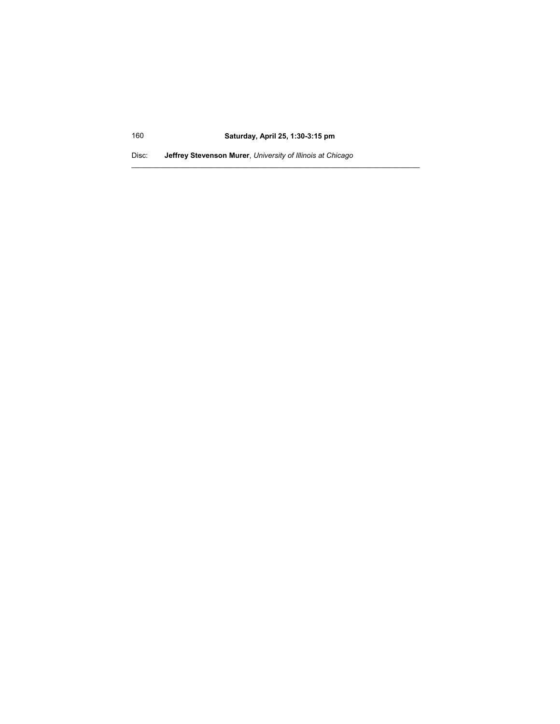$\mathcal{L}_\text{max}$  , and the contribution of the contribution of the contribution of the contribution of the contribution of the contribution of the contribution of the contribution of the contribution of the contribution of t

Disc: **Jeffrey Stevenson Murer**, *University of Illinois at Chicago*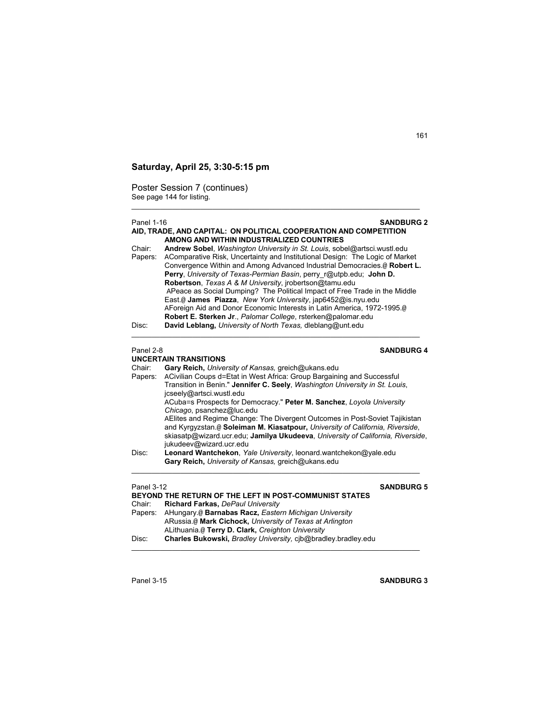Poster Session 7 (continues) See page 144 for listing.

| <b>Panel 1-16</b><br><b>SANDBURG 2</b><br>AID, TRADE, AND CAPITAL: ON POLITICAL COOPERATION AND COMPETITION<br>AMONG AND WITHIN INDUSTRIALIZED COUNTRIES |                                                                                                                                                                                                                                                                                                                                                                                                                                                                                                                                                                                                                                                                |
|----------------------------------------------------------------------------------------------------------------------------------------------------------|----------------------------------------------------------------------------------------------------------------------------------------------------------------------------------------------------------------------------------------------------------------------------------------------------------------------------------------------------------------------------------------------------------------------------------------------------------------------------------------------------------------------------------------------------------------------------------------------------------------------------------------------------------------|
| Chair:<br>Papers:                                                                                                                                        | Andrew Sobel, Washington University in St. Louis, sobel@artsci.wustl.edu<br>AComparative Risk, Uncertainty and Institutional Design: The Logic of Market<br>Convergence Within and Among Advanced Industrial Democracies.@ Robert L.<br>Perry, University of Texas-Permian Basin, perry r@utpb.edu; John D.<br>Robertson, Texas A & M University, irobertson@tamu.edu<br>APeace as Social Dumping? The Political Impact of Free Trade in the Middle<br>East.@ James Piazza, New York University, jap6452@is.nyu.edu<br>AForeign Aid and Donor Economic Interests in Latin America, 1972-1995.@<br>Robert E. Sterken Jr., Palomar College, rsterken@palomar.edu |
| Disc:                                                                                                                                                    | David Leblang, University of North Texas, dleblang@unt.edu                                                                                                                                                                                                                                                                                                                                                                                                                                                                                                                                                                                                     |
| Panel 2-8                                                                                                                                                | <b>SANDBURG 4</b><br><b>UNCERTAIN TRANSITIONS</b>                                                                                                                                                                                                                                                                                                                                                                                                                                                                                                                                                                                                              |
| Chair:<br>Papers:                                                                                                                                        | Gary Reich, University of Kansas, greich@ukans.edu<br>ACivilian Coups d=Etat in West Africa: Group Bargaining and Successful<br>Transition in Benin." Jennifer C. Seely, Washington University in St. Louis,<br>icseely@artsci.wustl.edu<br>ACuba=s Prospects for Democracy." Peter M. Sanchez, Loyola University<br>Chicago, psanchez@luc.edu<br>AElites and Regime Change: The Divergent Outcomes in Post-Soviet Tajikistan                                                                                                                                                                                                                                  |
|                                                                                                                                                          | and Kyrgyzstan.@ Soleiman M. Kiasatpour, University of California, Riverside,<br>skiasatp@wizard.ucr.edu; Jamilya Ukudeeva, University of California, Riverside,                                                                                                                                                                                                                                                                                                                                                                                                                                                                                               |
| Disc:                                                                                                                                                    | jukudeev@wizard.ucr.edu<br>Leonard Wantchekon, Yale University, leonard wantchekon@yale.edu<br>Gary Reich, University of Kansas, greich@ukans.edu                                                                                                                                                                                                                                                                                                                                                                                                                                                                                                              |
| <b>Panel 3-12</b><br>Chair:                                                                                                                              | <b>SANDBURG 5</b><br>BEYOND THE RETURN OF THE LEFT IN POST-COMMUNIST STATES<br>Richard Farkas, DePaul University                                                                                                                                                                                                                                                                                                                                                                                                                                                                                                                                               |
| Papers:                                                                                                                                                  | AHungary.@ Barnabas Racz, Eastern Michigan University<br>ARussia.@ Mark Cichock, University of Texas at Arlington<br>ALithuania.@ Terry D. Clark, Creighton University                                                                                                                                                                                                                                                                                                                                                                                                                                                                                         |
| Disc:                                                                                                                                                    | Charles Bukowski, Bradley University, cib@bradley.bradley.edu                                                                                                                                                                                                                                                                                                                                                                                                                                                                                                                                                                                                  |

 $\mathcal{L}_\text{G}$  , and the set of the set of the set of the set of the set of the set of the set of the set of the set of the set of the set of the set of the set of the set of the set of the set of the set of the set of the

\_\_\_\_\_\_\_\_\_\_\_\_\_\_\_\_\_\_\_\_\_\_\_\_\_\_\_\_\_\_\_\_\_\_\_\_\_\_\_\_\_\_\_\_\_\_\_\_\_\_\_\_\_\_\_\_\_\_\_\_\_\_\_\_\_\_\_\_\_\_\_

Panel 3-15 **SANDBURG 3**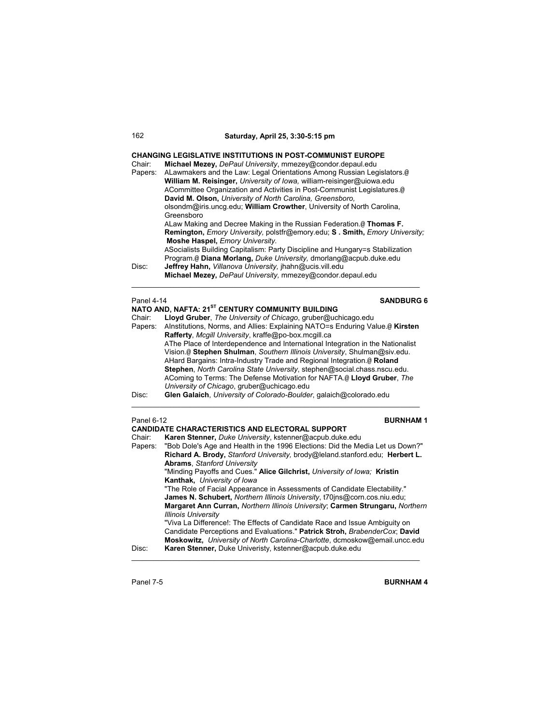| Chair:<br>Papers: | <b>CHANGING LEGISLATIVE INSTITUTIONS IN POST-COMMUNIST EUROPE</b><br>Michael Mezey, DePaul University, mmezey@condor.depaul.edu<br>ALawmakers and the Law: Legal Orientations Among Russian Legislators.@<br>William M. Reisinger, University of Iowa, william-reisinger@uiowa.edu<br>ACommittee Organization and Activities in Post-Communist Legislatures.@<br>David M. Olson, University of North Carolina, Greensboro,<br>olsondm@iris.uncq.edu: William Crowther, University of North Carolina.<br>Greensboro<br>ALaw Making and Decree Making in the Russian Federation. <sup>®</sup> Thomas F.<br>Remington, Emory University, polstfr@emory.edu; S. Smith, Emory University;<br>Moshe Haspel, Emory University.<br>ASocialists Building Capitalism: Party Discipline and Hungary=s Stabilization<br>Program.@ Diana Morlang, Duke University, dmorlang@acpub.duke.edu |
|-------------------|-------------------------------------------------------------------------------------------------------------------------------------------------------------------------------------------------------------------------------------------------------------------------------------------------------------------------------------------------------------------------------------------------------------------------------------------------------------------------------------------------------------------------------------------------------------------------------------------------------------------------------------------------------------------------------------------------------------------------------------------------------------------------------------------------------------------------------------------------------------------------------|
| Disc:             | Jeffrey Hahn, Villanova University, jhahn@ucis.vill.edu<br>Michael Mezey, DePaul University, mmezey@condor.depaul.edu                                                                                                                                                                                                                                                                                                                                                                                                                                                                                                                                                                                                                                                                                                                                                         |
| <b>Panel 4-14</b> | <b>SANDBURG 6</b>                                                                                                                                                                                                                                                                                                                                                                                                                                                                                                                                                                                                                                                                                                                                                                                                                                                             |
|                   | NATO AND, NAFTA: 21 <sup>ST</sup> CENTURY COMMUNITY BUILDING                                                                                                                                                                                                                                                                                                                                                                                                                                                                                                                                                                                                                                                                                                                                                                                                                  |
| Chair:            | Lloyd Gruber, The University of Chicago, gruber@uchicago.edu                                                                                                                                                                                                                                                                                                                                                                                                                                                                                                                                                                                                                                                                                                                                                                                                                  |
| Papers:           | Alnstitutions, Norms, and Allies: Explaining NATO=s Enduring Value.@ Kirsten                                                                                                                                                                                                                                                                                                                                                                                                                                                                                                                                                                                                                                                                                                                                                                                                  |
|                   | Rafferty, Mcgill University, kraffe@po-box.mcgill.ca                                                                                                                                                                                                                                                                                                                                                                                                                                                                                                                                                                                                                                                                                                                                                                                                                          |
|                   | AThe Place of Interdependence and International Integration in the Nationalist                                                                                                                                                                                                                                                                                                                                                                                                                                                                                                                                                                                                                                                                                                                                                                                                |
|                   | Vision.@ Stephen Shulman, Southern Illinois University, Shulman@siv.edu.                                                                                                                                                                                                                                                                                                                                                                                                                                                                                                                                                                                                                                                                                                                                                                                                      |
|                   | AHard Bargains: Intra-Industry Trade and Regional Integration.@ Roland<br>Stephen, North Carolina State University, stephen@social.chass.nscu.edu.                                                                                                                                                                                                                                                                                                                                                                                                                                                                                                                                                                                                                                                                                                                            |
|                   | AComing to Terms: The Defense Motivation for NAFTA.@ Lloyd Gruber, The                                                                                                                                                                                                                                                                                                                                                                                                                                                                                                                                                                                                                                                                                                                                                                                                        |
|                   | University of Chicago, gruber@uchicago.edu                                                                                                                                                                                                                                                                                                                                                                                                                                                                                                                                                                                                                                                                                                                                                                                                                                    |
| Disc:             | Glen Galaich, University of Colorado-Boulder, galaich@colorado.edu                                                                                                                                                                                                                                                                                                                                                                                                                                                                                                                                                                                                                                                                                                                                                                                                            |
| Panel 6-12        | <b>BURNHAM1</b>                                                                                                                                                                                                                                                                                                                                                                                                                                                                                                                                                                                                                                                                                                                                                                                                                                                               |
|                   | <b>CANDIDATE CHARACTERISTICS AND ELECTORAL SUPPORT</b>                                                                                                                                                                                                                                                                                                                                                                                                                                                                                                                                                                                                                                                                                                                                                                                                                        |
| Chair:            | Karen Stenner, Duke University, kstenner@acpub.duke.edu                                                                                                                                                                                                                                                                                                                                                                                                                                                                                                                                                                                                                                                                                                                                                                                                                       |
| Papers:           | "Bob Dole's Age and Health in the 1996 Elections: Did the Media Let us Down?"                                                                                                                                                                                                                                                                                                                                                                                                                                                                                                                                                                                                                                                                                                                                                                                                 |
|                   | Richard A. Brody, Stanford University, brody@leland.stanford.edu; Herbert L.<br><b>Abrams, Stanford University</b>                                                                                                                                                                                                                                                                                                                                                                                                                                                                                                                                                                                                                                                                                                                                                            |
|                   | "Minding Payoffs and Cues." Alice Gilchrist, University of Iowa; Kristin                                                                                                                                                                                                                                                                                                                                                                                                                                                                                                                                                                                                                                                                                                                                                                                                      |
|                   | Kanthak, University of Iowa                                                                                                                                                                                                                                                                                                                                                                                                                                                                                                                                                                                                                                                                                                                                                                                                                                                   |
|                   | "The Role of Facial Appearance in Assessments of Candidate Electability."                                                                                                                                                                                                                                                                                                                                                                                                                                                                                                                                                                                                                                                                                                                                                                                                     |
|                   | James N. Schubert, Northern Illinois University, t70jns@corn.cos.niu.edu;                                                                                                                                                                                                                                                                                                                                                                                                                                                                                                                                                                                                                                                                                                                                                                                                     |
|                   | Margaret Ann Curran, Northern Illinois University; Carmen Strungaru, Northern                                                                                                                                                                                                                                                                                                                                                                                                                                                                                                                                                                                                                                                                                                                                                                                                 |

*Illinois University* "Viva La Difference!: The Effects of Candidate Race and Issue Ambiguity on Candidate Perceptions and Evaluations." **Patrick Stroh,** *BrabenderCox*; **David Moskowitz,** *University of North Carolina-Charlotte*, dcmoskow@email.uncc.edu Disc: **Karen Stenner,** Duke Univeristy, kstenner@acpub.duke.edu

\_\_\_\_\_\_\_\_\_\_\_\_\_\_\_\_\_\_\_\_\_\_\_\_\_\_\_\_\_\_\_\_\_\_\_\_\_\_\_\_\_\_\_\_\_\_\_\_\_\_\_\_\_\_\_\_\_\_\_\_\_\_\_\_\_\_\_\_\_\_\_

Panel 7-5 **BURNHAM 4**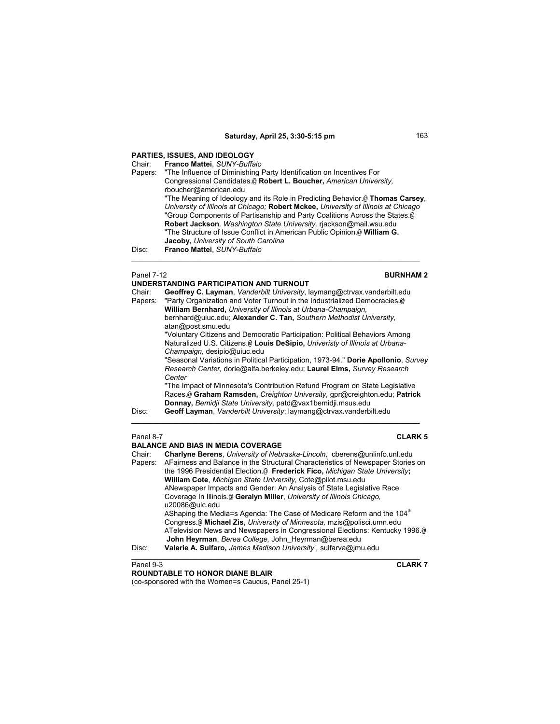### **PARTIES, ISSUES, AND IDEOLOGY**

| Chair:<br>Papers:<br>Disc: | Franco Mattei, SUNY-Buffalo<br>"The Influence of Diminishing Party Identification on Incentives For<br>Congressional Candidates @ Robert L. Boucher, American University.<br>rboucher@american.edu<br>"The Meaning of Ideology and its Role in Predicting Behavior.@ Thomas Carsey,<br>University of Illinois at Chicago: Robert Mckee, University of Illinois at Chicago<br>"Group Components of Partisanship and Party Coalitions Across the States.@<br>Robert Jackson, Washington State University, riackson@mail.wsu.edu |
|----------------------------|-------------------------------------------------------------------------------------------------------------------------------------------------------------------------------------------------------------------------------------------------------------------------------------------------------------------------------------------------------------------------------------------------------------------------------------------------------------------------------------------------------------------------------|
|                            | "The Structure of Issue Conflict in American Public Opinion.@ William G.<br>Jacoby, University of South Carolina<br>Franco Mattei, SUNY-Buffalo                                                                                                                                                                                                                                                                                                                                                                               |

**UNDERSTANDING PARTICIPATION** 

### **Panel 7-12 BURNHAM 2**

|         | UNDERSTANDING PARTICIPATION AND TURNOUT                                                                     |
|---------|-------------------------------------------------------------------------------------------------------------|
| Chair:  | Geoffrey C. Layman, Vanderbilt University, laymang@ctrvax.vanderbilt.edu                                    |
| Papers: | "Party Organization and Voter Turnout in the Industrialized Democracies.@                                   |
|         | William Bernhard, University of Illinois at Urbana-Champaign,                                               |
|         | bernhard@uiuc.edu; Alexander C. Tan, Southern Methodist University,<br>atan@post.smu.edu                    |
|         | "Voluntary Citizens and Democratic Participation: Political Behaviors Among                                 |
|         | Naturalized U.S. Citizens.@ Louis DeSipio, Univeristy of Illinois at Urbana-<br>Champaign, desipio@uiuc.edu |
|         | "Seasonal Variations in Political Participation, 1973-94." Dorie Apollonio, Survey                          |
|         | Research Center, dorie@alfa.berkeley.edu; Laurel Elms, Survey Research<br>Center                            |
|         | "The Impact of Minnesota's Contribution Refund Program on State Legislative                                 |
|         | Races.@ Graham Ramsden, Creighton University, gpr@creighton.edu; Patrick                                    |
|         | Donnay, Bemidji State University, patd@vax1bemidji.msus.edu                                                 |
| Disc:   | Geoff Layman, Vanderbilt University; laymang@ctrvax.vanderbilt.edu                                          |

### Panel 8-7 **CLARK 5**

**BALANCE AND BIAS IN MEDIA COVERAGE**<br>Chair: **Charlyne Berens**, University of Nebr Chair: **Charlyne Berens**, *University of Nebraska-Lincoln,* cberens@unlinfo.unl.edu Papers: AFairness and Balance in the Structural Characteristics of Newspaper Stories on the 1996 Presidential Election.@ **Frederick Fico,** *Michigan State University***; William Cote**, *Michigan State University,* Cote@pilot.msu.edu ANewspaper Impacts and Gender: An Analysis of State Legislative Race Coverage In Illinois.@ **Geralyn Miller**, *University of Illinois Chicago,* u20086@uic.edu AShaping the Media=s Agenda: The Case of Medicare Reform and the 104<sup>th</sup> Congress.@ **Michael Zis**, *University of Minnesota,* mzis@polisci.umn.edu ATelevision News and Newspapers in Congressional Elections: Kentucky 1996.@ **John Heyrman**, *Berea College,* John\_Heyrman@berea.edu Disc: **Valerie A. Sulfaro,** *James Madison University ,* sulfarva@jmu.edu

 $\_$  , and the set of the set of the set of the set of the set of the set of the set of the set of the set of the set of the set of the set of the set of the set of the set of the set of the set of the set of the set of th

**ROUNDTABLE TO HONOR DIANE BLAIR** (co-sponsored with the Women=s Caucus, Panel 25-1)

Panel 9-3 **CLARK 7**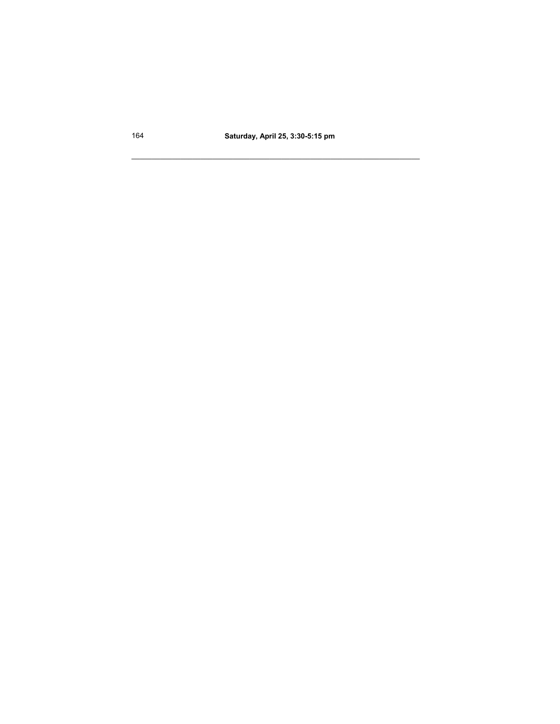164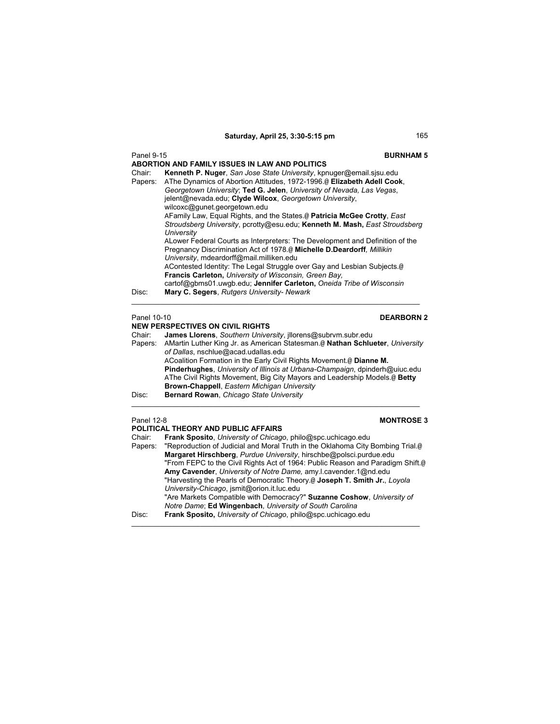| Panel 9-15        | <b>BURNHAM 5</b>                                                                                                                                                                                                                                                                                                                                                                                                                                                                                                                    |
|-------------------|-------------------------------------------------------------------------------------------------------------------------------------------------------------------------------------------------------------------------------------------------------------------------------------------------------------------------------------------------------------------------------------------------------------------------------------------------------------------------------------------------------------------------------------|
| Chair:<br>Papers: | <b>ABORTION AND FAMILY ISSUES IN LAW AND POLITICS</b><br>Kenneth P. Nuger, San Jose State University, kpnuger@email.sjsu.edu<br>AThe Dynamics of Abortion Attitudes, 1972-1996.@ Elizabeth Adell Cook,<br>Georgetown University; Ted G. Jelen, University of Nevada, Las Vegas,<br>jelent@nevada.edu; Clyde Wilcox, Georgetown University,<br>wilcoxc@gunet.georgetown.edu<br>AFamily Law, Equal Rights, and the States @ Patricia McGee Crotty, East<br>Stroudsberg University, pcrotty@esu.edu; Kenneth M. Mash, East Stroudsberg |
|                   | University<br>ALower Federal Courts as Interpreters: The Development and Definition of the<br>Pregnancy Discrimination Act of 1978.@ Michelle D.Deardorff, Millikin<br>University, mdeardorff@mail.milliken.edu<br>AContested Identity: The Legal Struggle over Gay and Lesbian Subjects.@                                                                                                                                                                                                                                          |
| Disc:             | Francis Carleton, University of Wisconsin, Green Bay,<br>cartof@gbms01.uwgb.edu; Jennifer Carleton, Oneida Tribe of Wisconsin<br>Mary C. Segers, Rutgers University- Newark                                                                                                                                                                                                                                                                                                                                                         |
|                   |                                                                                                                                                                                                                                                                                                                                                                                                                                                                                                                                     |

# Panel 10-10 **DEARBORN 2**

### **NEW PERSPECTIVES ON CIVIL RIGHTS**

| Chair:  | James Liorens, Southern University, illorens@subrym.subr.edu                       |
|---------|------------------------------------------------------------------------------------|
| Papers: | AMartin Luther King Jr. as American Statesman.@ Nathan Schlueter, University       |
|         | of Dallas, nschlue@acad.udallas.edu                                                |
|         | ACoalition Formation in the Early Civil Rights Movement.@ Dianne M.                |
|         | <b>Pinderhughes.</b> University of Illinois at Urbana-Champaign, dpinderh@uiuc.edu |
|         | AThe Civil Rights Movement, Big City Mayors and Leadership Models @ Betty          |
|         | <b>Brown-Chappell, Eastern Michigan University</b>                                 |
| Disc:   | Bernard Rowan, Chicago State University                                            |

 $\mathcal{L}_\text{G} = \{ \mathcal{L}_\text{G} \mid \mathcal{L}_\text{G} \mid \mathcal{L}_\text{G} \mid \mathcal{L}_\text{G} \mid \mathcal{L}_\text{G} \mid \mathcal{L}_\text{G} \mid \mathcal{L}_\text{G} \mid \mathcal{L}_\text{G} \mid \mathcal{L}_\text{G} \mid \mathcal{L}_\text{G} \mid \mathcal{L}_\text{G} \mid \mathcal{L}_\text{G} \mid \mathcal{L}_\text{G} \mid \mathcal{L}_\text{G} \mid \mathcal{L}_\text{G} \mid \mathcal{L}_\text{G}$ 

### Panel 12-8 **MONTROSE 3**

**POLITICAL THEORY AND PUBLIC AFFAIRS** Chair: **Frank Sposito**, *University of Chicago*, philo@spc.uchicago.edu Papers: "Reproduction of Judicial and Moral Truth in the Oklahoma City Bombing Trial.@ **Margaret Hirschberg**, *Purdue University*, hirschbe@polsci.purdue.edu "From FEPC to the Civil Rights Act of 1964: Public Reason and Paradigm Shift.@ **Amy Cavender**, *University of Notre Dame,* amy.l.cavender.1@nd.edu "Harvesting the Pearls of Democratic Theory.@ **Joseph T. Smith Jr.**, *Loyola University-Chicago*, jsmit@orion.it.luc.edu "Are Markets Compatible with Democracy?" **Suzanne Coshow**, *University of Notre Dame*; **Ed Wingenbach**, *University of South Carolina* Disc: **Frank Sposito,** *University of Chicago*, philo@spc.uchicago.edu

 $\mathcal{L}_\text{max}$  , and the contribution of the contribution of the contribution of the contribution of the contribution of the contribution of the contribution of the contribution of the contribution of the contribution of t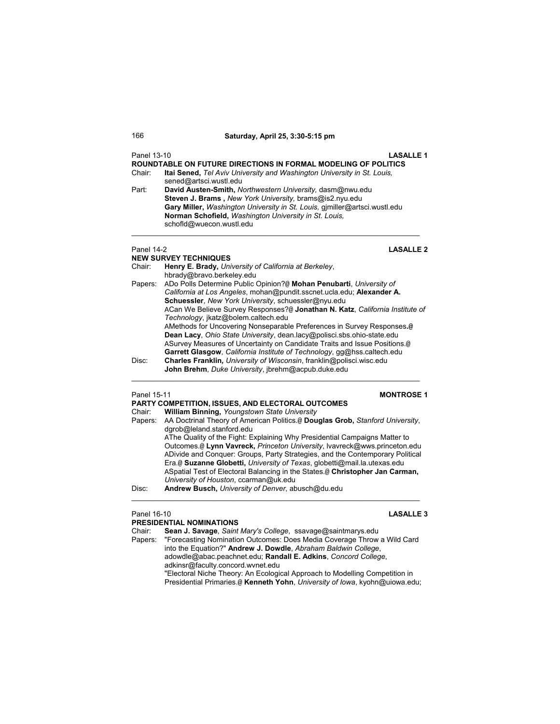Panel 13-10 **LASALLE 1 ROUNDTABLE ON FUTURE DIRECTIONS IN FORMAL MODELING OF POLITICS** Chair: **Itai Sened,** *Tel Aviv University and Washington University in St. Louis,*  sened@artsci.wustl.edu Part: **David Austen-Smith,** *Northwestern University,* dasm@nwu.edu **Steven J. Brams ,** *New York University,* brams@is2.nyu.edu **Gary Miller,** *Washington University in St. Louis,* gjmiller@artsci.wustl.edu **Norman Schofield,** *Washington University in St. Louis,*  schofld@wuecon.wustl.edu  $\mathcal{L}_\text{max}$  , and the contribution of the contribution of the contribution of the contribution of the contribution of the contribution of the contribution of the contribution of the contribution of the contribution of t

### Panel 14-2 **LASALLE 2**

|         | <b>NEW SURVEY TECHNIQUES</b>                                                          |
|---------|---------------------------------------------------------------------------------------|
| Chair:  | Henry E. Brady, University of California at Berkeley,                                 |
|         | hbrady@bravo.berkeley.edu                                                             |
| Papers: | ADo Polls Determine Public Opinion?@ Mohan Penubarti, University of                   |
|         | California at Los Angeles, mohan@pundit.sscnet.ucla.edu; Alexander A.                 |
|         | <b>Schuessler</b> , New York University, schuessler@nyu.edu                           |
|         | ACan We Believe Survey Responses?@ Jonathan N. Katz, California Institute of          |
|         | Technology, jkatz@bolem.caltech.edu                                                   |
|         | AMethods for Uncovering Nonseparable Preferences in Survey Responses.@                |
|         | Dean Lacy, Ohio State University, dean lacy@polisci.sbs.ohio-state.edu                |
|         | ASurvey Measures of Uncertainty on Candidate Traits and Issue Positions. <sup>@</sup> |
|         | Garrett Glasgow, California Institute of Technology, gg@hss.caltech.edu               |
| Disc:   | Charles Franklin, University of Wisconsin, franklin@polisci.wisc.edu                  |
|         | John Brehm, Duke University, jbrehm@acpub.duke.edu                                    |
|         |                                                                                       |

### **Panel 15-11 MONTROSE 1**

### **PARTY COMPETITION, ISSUES, AND ELECTORAL OUTCOMES** Chair: **William Binning,** *Youngstown State University* Papers: AA Doctrinal Theory of American Politics.@ **Douglas Grob,** *Stanford University*, dgrob@leland.stanford.edu AThe Quality of the Fight: Explaining Why Presidential Campaigns Matter to Outcomes.@ **Lynn Vavreck,** *Princeton University*, lvavreck@wws.princeton.edu ADivide and Conquer: Groups, Party Strategies, and the Contemporary Political Era.@ **Suzanne Globetti,** *University of Texas*, globetti@mail.la.utexas.edu ASpatial Test of Electoral Balancing in the States.@ **Christopher Jan Carman,**  *University of Houston*, ccarman@uk.edu Disc: **Andrew Busch,** *University of Denver*, abusch@du.edu \_\_\_\_\_\_\_\_\_\_\_\_\_\_\_\_\_\_\_\_\_\_\_\_\_\_\_\_\_\_\_\_\_\_\_\_\_\_\_\_\_\_\_\_\_\_\_\_\_\_\_\_\_\_\_\_\_\_\_\_\_\_\_\_\_\_\_\_\_\_\_

### Panel 16-10 **LASALLE 3**

# **PRESIDENTIAL NOMINATIONS**

Chair: **Sean J. Savage**, *Saint Mary's College*, ssavage@saintmarys.edu Papers: "Forecasting Nomination Outcomes: Does Media Coverage Throw a Wild Card into the Equation?" **Andrew J. Dowdle**, *Abraham Baldwin College*, adowdle@abac.peachnet.edu; **Randall E. Adkins**, *Concord College*, adkinsr@faculty.concord.wvnet.edu "Electoral Niche Theory: An Ecological Approach to Modelling Competition in Presidential Primaries.@ **Kenneth Yohn**, *University of Iowa*, kyohn@uiowa.edu;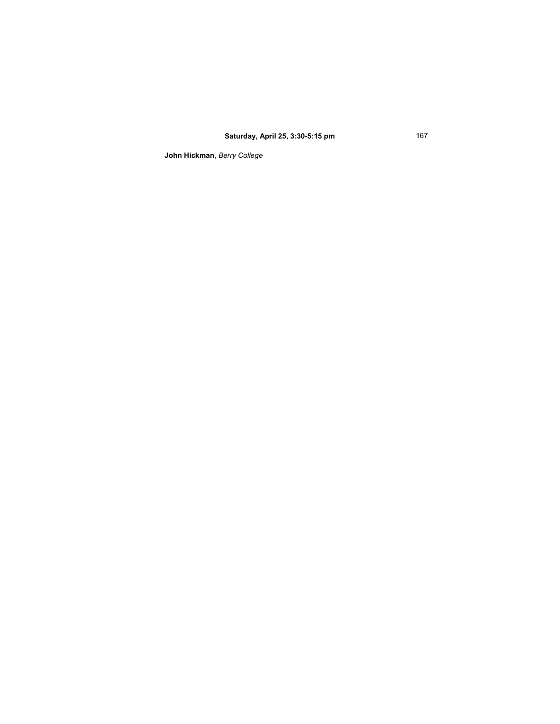**John Hickman**, *Berry College*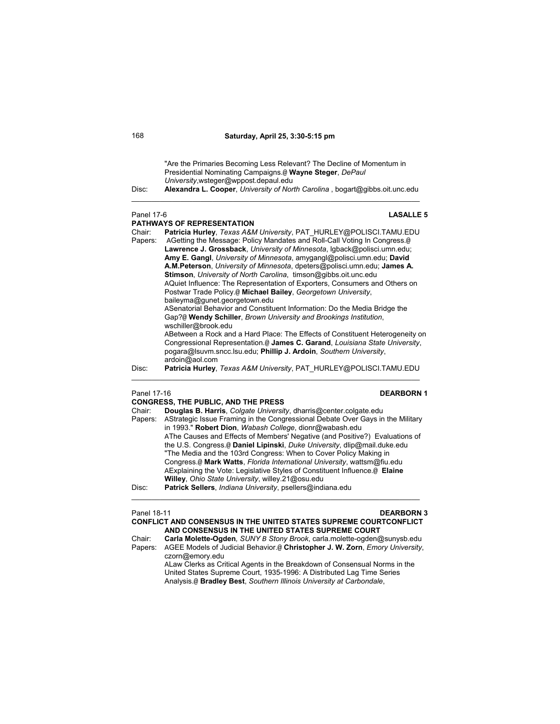"Are the Primaries Becoming Less Relevant? The Decline of Momentum in Presidential Nominating Campaigns.@ **Wayne Steger**, *DePaul University*,wsteger@wppost.depaul.edu

Disc: **Alexandra L. Cooper**, *University of North Carolina* , bogart@gibbs.oit.unc.edu \_\_\_\_\_\_\_\_\_\_\_\_\_\_\_\_\_\_\_\_\_\_\_\_\_\_\_\_\_\_\_\_\_\_\_\_\_\_\_\_\_\_\_\_\_\_\_\_\_\_\_\_\_\_\_\_\_\_\_\_\_\_\_\_\_\_\_\_\_\_\_

### Panel 17-6 **LASALLE 5**

### **PATHWAYS OF REPRESENTATION**

Chair: **Patricia Hurley**, *Texas A&M University*, PAT\_HURLEY@POLISCI.TAMU.EDU AGetting the Message: Policy Mandates and Roll-Call Voting In Congress.@ **Lawrence J. Grossback**, *University of Minnesota*, lgback@polisci.umn.edu; **Amy E. Gangl**, *University of Minnesota*, amygangl@polisci.umn.edu; **David A.M.Peterson**, *University of Minnesota*, dpeters@polisci.umn.edu; **James A. Stimson**, *University of North Carolina*, timson@gibbs.oit.unc.edu AQuiet Influence: The Representation of Exporters, Consumers and Others on Postwar Trade Policy.@ **Michael Bailey**, *Georgetown University*, baileyma@gunet.georgetown.edu ASenatorial Behavior and Constituent Information: Do the Media Bridge the Gap?@ **Wendy Schiller**, *Brown University and Brookings Institution*, wschiller@brook.edu ABetween a Rock and a Hard Place: The Effects of Constituent Heterogeneity on Congressional Representation.@ **James C. Garand**, *Louisiana State University*, pogara@lsuvm.sncc.lsu.edu; **Phillip J. Ardoin**, *Southern University*, ardoin@aol.com

Disc: **Patricia Hurley**, *Texas A&M University*, PAT\_HURLEY@POLISCI.TAMU.EDU \_\_\_\_\_\_\_\_\_\_\_\_\_\_\_\_\_\_\_\_\_\_\_\_\_\_\_\_\_\_\_\_\_\_\_\_\_\_\_\_\_\_\_\_\_\_\_\_\_\_\_\_\_\_\_\_\_\_\_\_\_\_\_\_\_\_\_\_\_\_\_

## Panel 17-16 **DEARBORN 1**

| <b>CONGRESS, THE PUBLIC, AND THE PRESS</b>                                             |
|----------------------------------------------------------------------------------------|
| Douglas B. Harris, Colgate University, dharris@center.colgate.edu                      |
| AStrategic Issue Framing in the Congressional Debate Over Gays in the Military         |
| in 1993." Robert Dion, Wabash College, dionr@wabash.edu                                |
| AThe Causes and Effects of Members' Negative (and Positive?) Evaluations of            |
| the U.S. Congress @ Daniel Lipinski, Duke University, dlip@mail.duke.edu               |
| "The Media and the 103rd Congress: When to Cover Policy Making in                      |
| Congress.@ Mark Watts, Florida International University, wattsm@fiu.edu                |
| AExplaining the Vote: Legislative Styles of Constituent Influence. <sup>®</sup> Elaine |
| Willey, Ohio State University, willey.21@osu.edu                                       |
| Patrick Sellers, Indiana University, psellers@indiana.edu                              |
|                                                                                        |

Panel 18-11 **DEARBORN 3**

### **CONFLICT AND CONSENSUS IN THE UNITED STATES SUPREME COURTCONFLICT AND CONSENSUS IN THE UNITED STATES SUPREME COURT**

Chair: **Carla Molette-Ogden***, SUNY* B *Stony Brook*, carla.molette-ogden@sunysb.edu Papers: AGEE Models of Judicial Behavior.@ **Christopher J. W. Zorn**, *Emory University*, czorn@emory.edu

ALaw Clerks as Critical Agents in the Breakdown of Consensual Norms in the United States Supreme Court, 1935-1996: A Distributed Lag Time Series Analysis.@ **Bradley Best**, *Southern Illinois University at Carbondale*,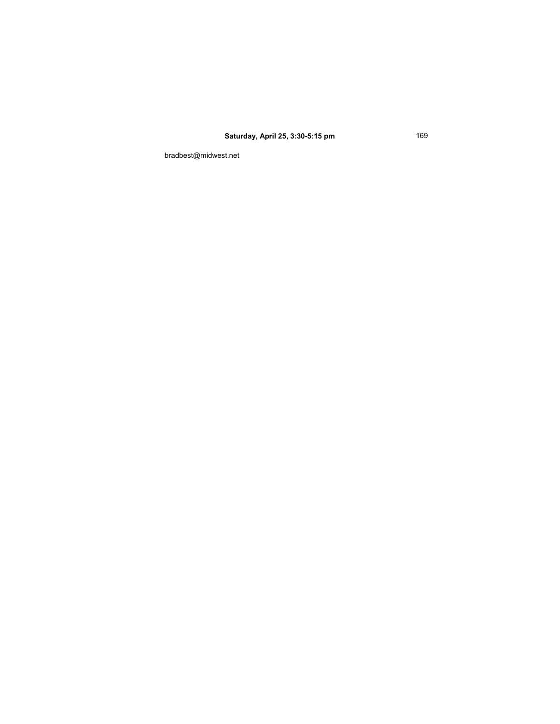bradbest@midwest.net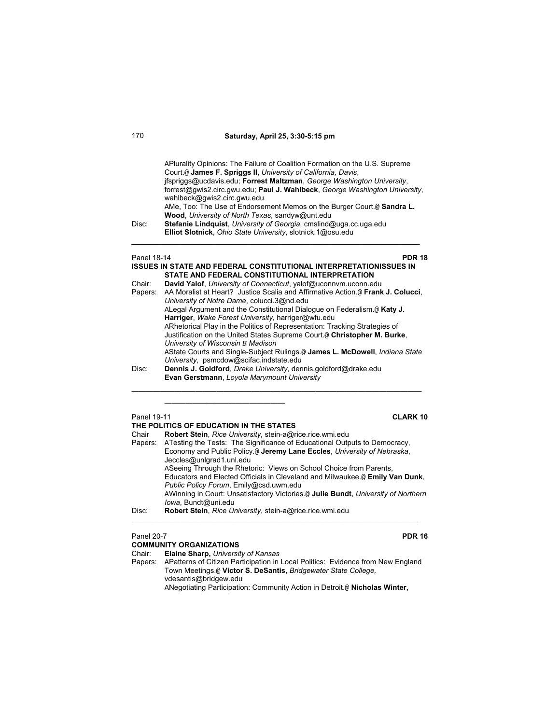|       | APIurality Opinions: The Failure of Coalition Formation on the U.S. Supreme |
|-------|-----------------------------------------------------------------------------|
|       | Court.@ James F. Spriggs II, University of California, Davis,               |
|       | ifspriggs@ucdavis.edu; Forrest Maltzman, George Washington University,      |
|       | forrest@gwis2.circ.gwu.edu; Paul J. Wahlbeck, George Washington University, |
|       | wahlbeck@gwis2.circ.gwu.edu                                                 |
|       | AMe, Too: The Use of Endorsement Memos on the Burger Court @ Sandra L.      |
|       | Wood, University of North Texas, sandyw@unt.edu                             |
| Disc: | Stefanie Lindquist, University of Georgia, cmslind@uga.cc.uga.edu           |
|       | Elliot Slotnick, Ohio State University, slotnick.1@osu.edu                  |
|       |                                                                             |

### Panel 18-14 **PDR 18**

**ISSUES IN STATE AND FEDERAL CONSTITUTIONAL INTERPRETATIONISSUES IN** 

|         | STATE AND FEDERAL CONSTITUTIONAL INTERPRETATION                                             |
|---------|---------------------------------------------------------------------------------------------|
| Chair:  | David Yalof, University of Connecticut, yalof@uconnym.uconn.edu                             |
| Papers: | AA Moralist at Heart? Justice Scalia and Affirmative Action. <sup>@</sup> Frank J. Colucci. |
|         | University of Notre Dame, colucci.3@nd.edu                                                  |
|         | ALegal Argument and the Constitutional Dialogue on Federalism @ Katy J.                     |
|         | Harriger, Wake Forest University, harriger@wfu.edu                                          |
|         | ARhetorical Play in the Politics of Representation: Tracking Strategies of                  |
|         | Justification on the United States Supreme Court @ Christopher M. Burke.                    |
|         | University of Wisconsin B Madison                                                           |
|         | AState Courts and Single-Subject Rulings.@ James L. McDowell, Indiana State                 |
|         | University, psmcdow@scifac.indstate.edu                                                     |
| Disc:   | Dennis J. Goldford, Drake University, dennis goldford@drake.edu                             |
|         | Evan Gerstmann, Loyola Marymount University                                                 |

**\_\_\_\_\_\_\_\_\_\_\_\_\_\_\_\_\_\_\_\_\_\_\_\_\_\_\_\_\_\_\_\_\_\_\_\_\_\_\_\_\_**

**\_\_\_\_\_\_\_\_\_\_\_\_\_\_\_\_\_**

## Panel 19-11 **CLARK 10**

|         | THE POLITICS OF EDUCATION IN THE STATES                                                                                            |
|---------|------------------------------------------------------------------------------------------------------------------------------------|
| Chair   | Robert Stein, Rice University, stein-a@rice.rice.wmi.edu                                                                           |
| Papers: | A Testing the Tests: The Significance of Educational Outputs to Democracy,                                                         |
|         | Economy and Public Policy @ Jeremy Lane Eccles, University of Nebraska,<br>Jeccles@unlgrad1.unl.edu                                |
|         | ASeeing Through the Rhetoric: Views on School Choice from Parents,                                                                 |
|         | Educators and Elected Officials in Cleveland and Milwaukee. <sup>®</sup> Emily Van Dunk,<br>Public Policy Forum, Emily@csd.uwm.edu |
|         | AWinning in Court: Unsatisfactory Victories @ Julie Bundt, University of Northern<br>lowa, Bundt@uni.edu                           |
| Disc:   | Robert Stein, Rice University, stein-a@rice.rice.wmi.edu                                                                           |

# Panel 20-7 **PDR 16**

**COMMUNITY ORGANIZATIONS**<br>Chair: Elaine Sharp, Universit Chair: **Elaine Sharp,** *University of Kansas* Papers: APatterns of Citizen Participation in Local Politics: Evidence from New England Town Meetings.@ **Victor S. DeSantis,** *Bridgewater State College,*  vdesantis@bridgew.edu ANegotiating Participation: Community Action in Detroit.@ **Nicholas Winter,**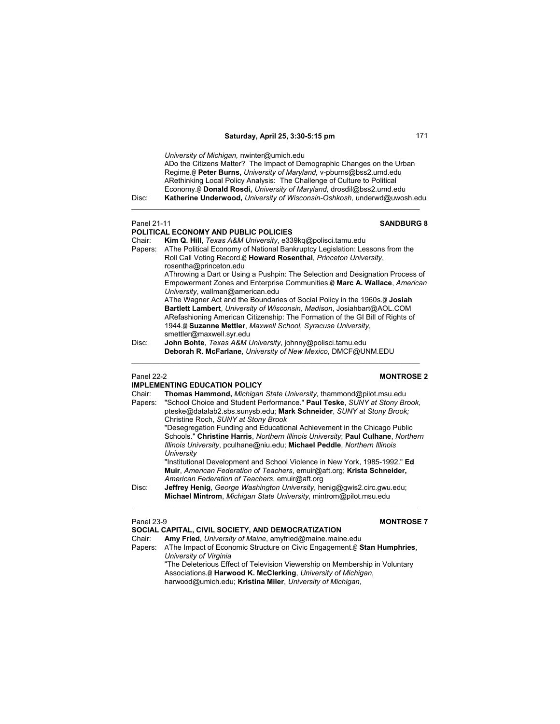*University of Michigan,* nwinter@umich.edu

| ADo the Citizens Matter? The Impact of Demographic Changes on the Urban  |
|--------------------------------------------------------------------------|
| Regime.@ Peter Burns, University of Maryland, v-pburns@bss2.umd.edu      |
| ARethinking Local Policy Analysis: The Challenge of Culture to Political |
| Economy @ Donald Rosdi, University of Maryland, drosdil@bss2.umd.edu     |
| Katherine Underwood, University of Wisconsin-Oshkosh, underwd@uwosh.edu  |
|                                                                          |

 $\mathcal{L}_\text{max}$  , and the set of the set of the set of the set of the set of the set of the set of the set of the set of

### Panel 21-11 **SANDBURG 8**

**POLITICAL ECONOMY AND PUBLIC POLICIES** Chair: **Kim Q. Hill**, *Texas A&M University*, e339kq@polisci.tamu.edu Papers: AThe Political Economy of National Bankruptcy Legislation: Lessons from the Roll Call Voting Record.@ **Howard Rosenthal**, *Princeton University*, rosentha@princeton.edu AThrowing a Dart or Using a Pushpin: The Selection and Designation Process of Empowerment Zones and Enterprise Communities.@ **Marc A. Wallace**, *American University*, wallman@american.edu AThe Wagner Act and the Boundaries of Social Policy in the 1960s.@ **Josiah Bartlett Lambert**, *University of Wisconsin, Madison*, Josiahbart@AOL.COM ARefashioning American Citizenship: The Formation of the GI Bill of Rights of 1944.@ **Suzanne Mettler**, *Maxwell School, Syracuse University*, smettler@maxwell.syr.edu Disc: **John Bohte**, *Texas A&M University*, johnny@polisci.tamu.edu

**Deborah R. McFarlane**, *University of New Mexico*, DMCF@UNM.EDU  $\mathcal{L}_\text{max}$  , and the set of the set of the set of the set of the set of the set of the set of the set of the set of

### Panel 22-2 **MONTROSE 2**

**IMPLEMENTING EDUCATION POLICY** Chair: **Thomas Hammond,** *Michigan State University,* thammond@pilot.msu.edu Papers: "School Choice and Student Performance." **Paul Teske**, *SUNY at Stony Brook,* pteske@datalab2.sbs.sunysb.edu; **Mark Schneider**, *SUNY at Stony Brook;* Christine Roch, *SUNY at Stony Brook*  "Desegregation Funding and Educational Achievement in the Chicago Public Schools." **Christine Harris**, *Northern Illinois University*; **Paul Culhane**, *Northern Illinois University*, pculhane@niu.edu; **Michael Peddle**, *Northern Illinois University*  "Institutional Development and School Violence in New York, 1985-1992." **Ed Muir**, *American Federation of Teachers*, emuir@aft.org; **Krista Schneider,**  *American Federation of Teachers*, emuir@aft.org Disc: **Jeffrey Henig**, *George Washington University*, henig@gwis2.circ.gwu.edu;

**Michael Mintrom**, *Michigan State University*, mintrom@pilot.msu.edu  $\mathcal{L}_\text{max}$  , and the set of the set of the set of the set of the set of the set of the set of the set of the set of

### Panel 23-9 **MONTROSE 7**

**SOCIAL CAPITAL, CIVIL SOCIETY, AND DEMOCRATIZATION** Chair: **Amy Fried**, *University of Maine*, amyfried@maine.maine.edu

Papers: AThe Impact of Economic Structure on Civic Engagement.@ **Stan Humphries**, *University of Virginia*

"The Deleterious Effect of Television Viewership on Membership in Voluntary Associations.@ **Harwood K. McClerking**, *University of Michigan*, harwood@umich.edu; **Kristina Miler**, *University of Michigan*,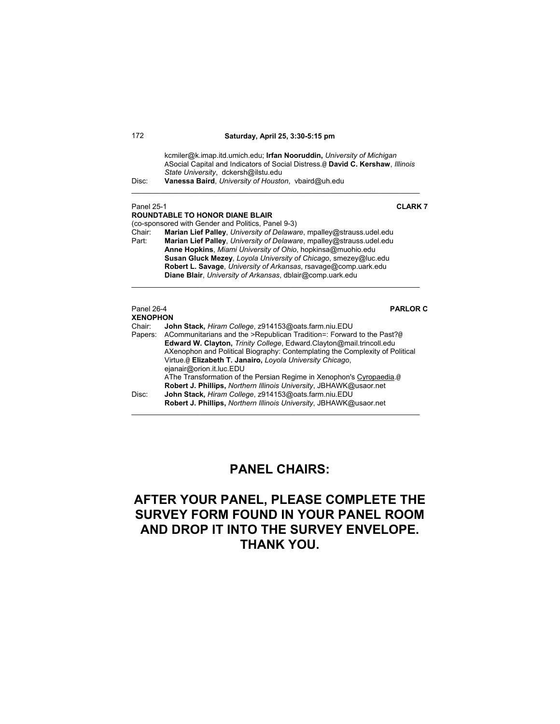| Disc:                                              | kcmiler@k.imap.itd.umich.edu; Irfan Nooruddin, University of Michigan<br>ASocial Capital and Indicators of Social Distress.@ David C. Kershaw, Illinois<br>State University, dckersh@ilstu.edu<br>Vanessa Baird, University of Houston, vbaird@uh.edu                                                                                                                                                                                                                                                                            |
|----------------------------------------------------|----------------------------------------------------------------------------------------------------------------------------------------------------------------------------------------------------------------------------------------------------------------------------------------------------------------------------------------------------------------------------------------------------------------------------------------------------------------------------------------------------------------------------------|
| <b>Panel 25-1</b><br>Chair:<br>Part:               | <b>CLARK 7</b><br><b>ROUNDTABLE TO HONOR DIANE BLAIR</b><br>(co-sponsored with Gender and Politics, Panel 9-3)<br>Marian Lief Palley, University of Delaware, mpalley@strauss.udel.edu<br>Marian Lief Palley, University of Delaware, mpalley@strauss.udel.edu<br>Anne Hopkins, Miami University of Ohio, hopkinsa@muohio.edu<br>Susan Gluck Mezey, Loyola University of Chicago, smezey@luc.edu<br>Robert L. Savage, University of Arkansas, rsavage@comp.uark.edu<br>Diane Blair, University of Arkansas, dblair@comp.uark.edu |
| Panel 26-4<br><b>XENOPHON</b><br>Chair:<br>Papers: | <b>PARLOR C</b><br>John Stack, Hiram College, z914153@oats.farm.niu.EDU<br>ACommunitarians and the >Republican Tradition=: Forward to the Past?@<br>Edward W. Clayton, Trinity College, Edward.Clayton@mail.trincoll.edu<br>AXenophon and Political Biography: Contemplating the Complexity of Political<br>Virtue.@ Elizabeth T. Janairo, Loyola University Chicago,<br>ejanair@orion.it.luc.EDU<br>AThe Transformation of the Persian Regime in Xenophon's Cyropaedia.@                                                        |

Disc: **John Stack,** *Hiram College*, z914153@oats.farm.niu.EDU

# **PANEL CHAIRS:**

**Robert J. Phillips,** *Northern Illinois University*, JBHAWK@usaor.net

**Robert J. Phillips,** *Northern Illinois University*, JBHAWK@usaor.net \_\_\_\_\_\_\_\_\_\_\_\_\_\_\_\_\_\_\_\_\_\_\_\_\_\_\_\_\_\_\_\_\_\_\_\_\_\_\_\_\_\_\_\_\_\_\_\_\_\_\_\_\_\_\_\_\_\_\_\_\_\_\_\_\_\_\_\_\_\_\_

# **AFTER YOUR PANEL, PLEASE COMPLETE THE SURVEY FORM FOUND IN YOUR PANEL ROOM AND DROP IT INTO THE SURVEY ENVELOPE. THANK YOU.**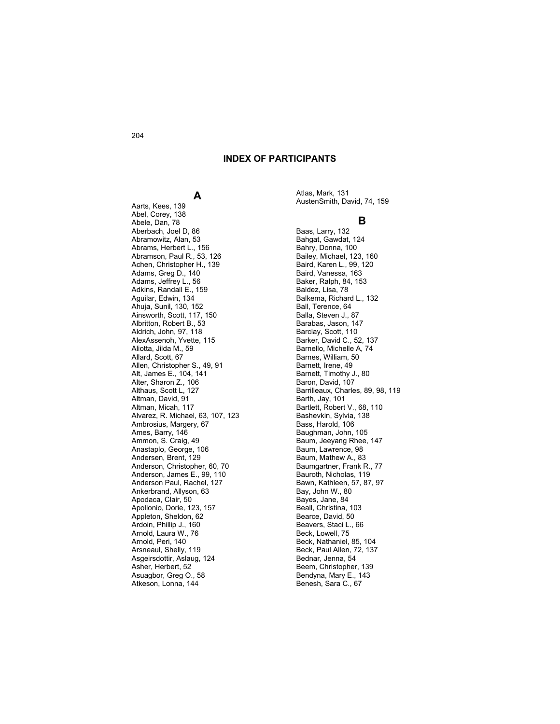### **INDEX OF PARTICIPANTS**

# **A**

Aarts, Kees, 139 Abel, Corey, 138 Abele, Dan, 78 Aberbach, Joel D, 86 Abramowitz, Alan, 53 Abrams, Herbert L., 156 Abramson, Paul R., 53, 126 Achen, Christopher H., 139 Adams, Greg D., 140 Adams, Jeffrey L., 56 Adkins, Randall E., 159 Aguilar, Edwin, 134 Ahuja, Sunil, 130, 152 Ainsworth, Scott, 117, 150 Albritton, Robert B., 53 Aldrich, John, 97, 118 AlexAssenoh, Yvette, 115 Aliotta, Jilda M., 59 Allard, Scott, 67 Allen, Christopher S., 49, 91 Alt, James E., 104, 141 Alter, Sharon Z., 106 Althaus, Scott L, 127 Altman, David, 91 Altman, Micah, 117 Alvarez, R. Michael, 63, 107, 123 Ambrosius, Margery, 67 Ames, Barry, 146 Ammon, S. Craig, 49 Anastaplo, George, 106 Andersen, Brent, 129 Anderson, Christopher, 60, 70 Anderson, James E., 99, 110 Anderson Paul, Rachel, 127 Ankerbrand, Allyson, 63 Apodaca, Clair, 50 Apollonio, Dorie, 123, 157 Appleton, Sheldon, 62 Ardoin, Phillip J., 160 Arnold, Laura W., 76 Arnold, Peri, 140 Arsneaul, Shelly, 119 Asgeirsdottir, Aslaug, 124 Asher, Herbert, 52 Asuagbor, Greg O., 58 Atkeson, Lonna, 144

Atlas, Mark, 131 AustenSmith, David, 74, 159

# **B**

Baas, Larry, 132 Bahgat, Gawdat, 124 Bahry, Donna, 100 Bailey, Michael, 123, 160 Baird, Karen L., 99, 120 Baird, Vanessa, 163 Baker, Ralph, 84, 153 Baldez, Lisa, 78 Balkema, Richard L., 132 Ball, Terence, 64 Balla, Steven J., 87 Barabas, Jason, 147 Barclay, Scott, 110 Barker, David C., 52, 137 Barnello, Michelle A, 74 Barnes, William, 50 Barnett, Irene, 49 Barnett, Timothy J., 80 Baron, David, 107 Barrilleaux, Charles, 89, 98, 119 Barth, Jay, 101 Bartlett, Robert V., 68, 110 Bashevkin, Sylvia, 138 Bass, Harold, 106 Baughman, John, 105 Baum, Jeeyang Rhee, 147 Baum, Lawrence, 98 Baum, Mathew A., 83 Baumgartner, Frank R., 77 Bauroth, Nicholas, 119 Bawn, Kathleen, 57, 87, 97 Bay, John W., 80 Bayes, Jane, 84 Beall, Christina, 103 Bearce, David, 50 Beavers, Staci L., 66 Beck, Lowell, 75 Beck, Nathaniel, 85, 104 Beck, Paul Allen, 72, 137 Bednar, Jenna, 54 Beem, Christopher, 139 Bendyna, Mary E., 143 Benesh, Sara C., 67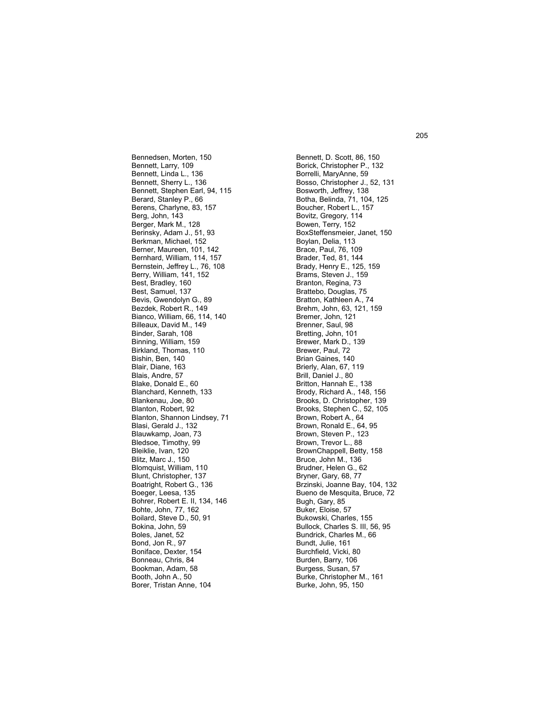Bennett, Larry, 109 Bennett, Linda L., 136 Bennett, Sherry L., 136 Bennett, Stephen Earl, 94, 115 Berard, Stanley P., 66 Berens, Charlyne, 83, 157 Berg, John, 143 Berger, Mark M., 128 Berinsky, Adam J., 51, 93 Berkman, Michael, 152 Berner, Maureen, 101, 142 Bernhard, William, 114, 157 Bernstein, Jeffrey L., 76, 108 Berry, William, 141, 152 Best, Bradley, 160 Best, Samuel, 137 Bevis, Gwendolyn G., 89 Bezdek, Robert R., 149 Bianco, William, 66, 114, 140 Billeaux, David M., 149 Binder, Sarah, 108 Binning, William, 159 Birkland, Thomas, 110 Bishin, Ben, 140 Blair, Diane, 163 Blais, Andre, 57 Blake, Donald E., 60 Blanchard, Kenneth, 133 Blankenau, Joe, 80 Blanton, Robert, 92 Blanton, Shannon Lindsey, 71 Blasi, Gerald J., 132 Blauwkamp, Joan, 73 Bledsoe, Timothy, 99 Bleiklie, Ivan, 120 Blitz, Marc J., 150 Blomquist, William, 110 Blunt, Christopher, 137 Boatright, Robert G., 136 Boeger, Leesa, 135 Bohrer, Robert E. II, 134, 146 Bohte, John, 77, 162 Boilard, Steve D., 50, 91 Bokina, John, 59 Boles, Janet, 52 Bond, Jon R., 97 Boniface, Dexter, 154 Bonneau, Chris, 84 Bookman, Adam, 58 Booth, John A., 50 Borer, Tristan Anne, 104

Bennedsen, Morten, 150 Bennett, D. Scott, 86, 150 Borick, Christopher P., 132 Borrelli, MaryAnne, 59 Bosso, Christopher J., 52, 131 Bosworth, Jeffrey, 138 Botha, Belinda, 71, 104, 125 Boucher, Robert L., 157 Bovitz, Gregory, 114 Bowen, Terry, 152 BoxSteffensmeier, Janet, 150 Boylan, Delia, 113 Brace, Paul, 76, 109 Brader, Ted, 81, 144 Brady, Henry E., 125, 159 Brams, Steven J., 159 Branton, Regina, 73 Brattebo, Douglas, 75 Bratton, Kathleen A., 74 Brehm, John, 63, 121, 159 Bremer, John, 121 Brenner, Saul, 98 Bretting, John, 101 Brewer, Mark D., 139 Brewer, Paul, 72 Brian Gaines, 140 Brierly, Alan, 67, 119 Brill, Daniel J., 80 Britton, Hannah E., 138 Brody, Richard A., 148, 156 Brooks, D. Christopher, 139 Brooks, Stephen C., 52, 105 Brown, Robert A., 64 Brown, Ronald E., 64, 95 Brown, Steven P., 123 Brown, Trevor L., 88 BrownChappell, Betty, 158 Bruce, John M., 136 Brudner, Helen G., 62 Bryner, Gary, 68, 77 Brzinski, Joanne Bay, 104, 132 Bueno de Mesquita, Bruce, 72 Bugh, Gary, 85 Buker, Eloise, 57 Bukowski, Charles, 155 Bullock, Charles S. III, 56, 95 Bundrick, Charles M., 66 Bundt, Julie, 161 Burchfield, Vicki, 80 Burden, Barry, 106 Burgess, Susan, 57 Burke, Christopher M., 161 Burke, John, 95, 150

205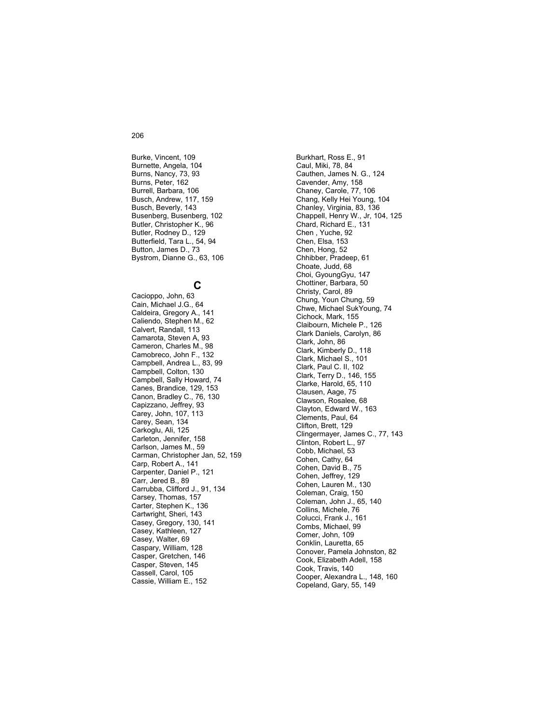### Burke, Vincent, 109 Burkhart, Ross E., 91 Burnette, Angela, 104 Burns, Nancy, 73, 93 Burns, Peter, 162 Burrell, Barbara, 106 Busch, Andrew, 117, 159 Busch, Beverly, 143 Busenberg, Busenberg, 102 Butler, Christopher K., 96 Butler, Rodney D., 129 Butterfield, Tara L., 54, 94 Button, James D., 73 Bystrom, Dianne G., 63, 106

# **C**

Cacioppo, John, 63 Cain, Michael J.G., 64 Caldeira, Gregory A., 141 Caliendo, Stephen M., 62 Calvert, Randall, 113 Camarota, Steven A, 93 Cameron, Charles M., 98 Camobreco, John F., 132 Campbell, Andrea L., 83, 99 Campbell, Colton, 130 Campbell, Sally Howard, 74 Canes, Brandice, 129, 153 Canon, Bradley C., 76, 130 Capizzano, Jeffrey, 93 Carey, John, 107, 113 Carey, Sean, 134 Carkoglu, Ali, 125 Carleton, Jennifer, 158 Carlson, James M., 59 Carman, Christopher Jan, 52, 159 Carp, Robert A., 141 Carpenter, Daniel P., 121 Carr, Jered B., 89 Carrubba, Clifford J., 91, 134 Carsey, Thomas, 157 Carter, Stephen K., 136 Cartwright, Sheri, 143 Casey, Gregory, 130, 141 Casey, Kathleen, 127 Casey, Walter, 69 Caspary, William, 128 Casper, Gretchen, 146 Casper, Steven, 145 Cassell, Carol, 105 Cassie, William E., 152

Caul, Miki, 78, 84 Cauthen, James N. G., 124 Cavender, Amy, 158 Chaney, Carole, 77, 106 Chang, Kelly Hei Young, 104 Chanley, Virginia, 83, 136 Chappell, Henry W., Jr, 104, 125 Chard, Richard E., 131 Chen , Yuche, 92 Chen, Elsa, 153 Chen, Hong, 52 Chhibber, Pradeep, 61 Choate, Judd, 68 Choi, GyoungGyu, 147 Chottiner, Barbara, 50 Christy, Carol, 89 Chung, Youn Chung, 59 Chwe, Michael SukYoung, 74 Cichock, Mark, 155 Claibourn, Michele P., 126 Clark Daniels, Carolyn, 86 Clark, John, 86 Clark, Kimberly D., 118 Clark, Michael S., 101 Clark, Paul C. II, 102 Clark, Terry D., 146, 155 Clarke, Harold, 65, 110 Clausen, Aage, 75 Clawson, Rosalee, 68 Clayton, Edward W., 163 Clements, Paul, 64 Clifton, Brett, 129 Clingermayer, James C., 77, 143 Clinton, Robert L., 97 Cobb, Michael, 53 Cohen, Cathy, 64 Cohen, David B., 75 Cohen, Jeffrey, 129 Cohen, Lauren M., 130 Coleman, Craig, 150 Coleman, John J., 65, 140 Collins, Michele, 76 Colucci, Frank J., 161 Combs, Michael, 99 Comer, John, 109 Conklin, Lauretta, 65 Conover, Pamela Johnston, 82 Cook, Elizabeth Adell, 158 Cook, Travis, 140 Cooper, Alexandra L., 148, 160 Copeland, Gary, 55, 149

## 206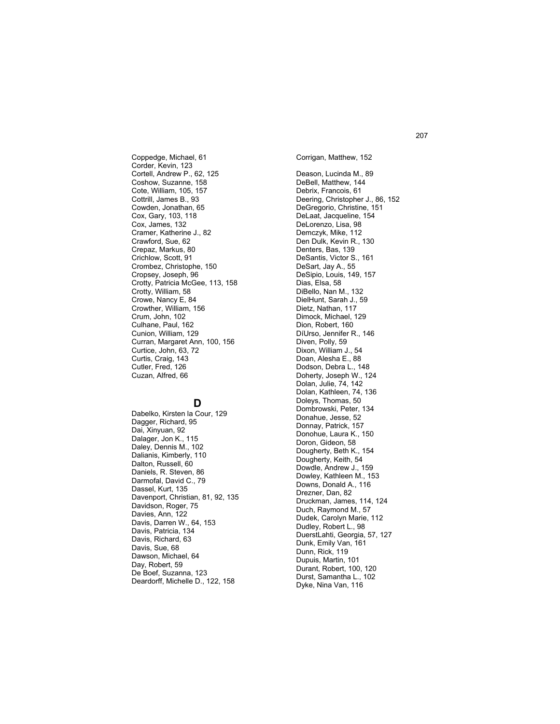Coppedge, Michael, 61 Corder, Kevin, 123 Cortell, Andrew P., 62, 125 Coshow, Suzanne, 158 Cote, William, 105, 157 Cottrill, James B., 93 Cowden, Jonathan, 65 Cox, Gary, 103, 118 Cox, James, 132 Cramer, Katherine J., 82 Crawford, Sue, 62 Crepaz, Markus, 80 Crichlow, Scott, 91 Crombez, Christophe, 150 Cropsey, Joseph, 96 Crotty, Patricia McGee, 113, 158 Crotty, William, 58 Crowe, Nancy E, 84 Crowther, William, 156 Crum, John, 102 Culhane, Paul, 162 Cunion, William, 129 Curran, Margaret Ann, 100, 156 Curtice, John, 63, 72 Curtis, Craig, 143 Cutler, Fred, 126 Cuzan, Alfred, 66

#### **D**

Dabelko, Kirsten la Cour, 129 Dagger, Richard, 95 Dai, Xinyuan, 92 Dalager, Jon K., 115 Daley, Dennis M., 102 Dalianis, Kimberly, 110 Dalton, Russell, 60 Daniels, R. Steven, 86 Darmofal, David C., 79 Dassel, Kurt, 135 Davenport, Christian, 81, 92, 135 Davidson, Roger, 75 Davies, Ann, 122 Davis, Darren W., 64, 153 Davis, Patricia, 134 Davis, Richard, 63 Davis, Sue, 68 Dawson, Michael, 64 Day, Robert, 59 De Boef, Suzanna, 123 Deardorff, Michelle D., 122, 158

Corrigan, Matthew, 152 Deason, Lucinda M., 89 DeBell, Matthew, 144 Debrix, Francois, 61 Deering, Christopher J., 86, 152 DeGregorio, Christine, 151 DeLaat, Jacqueline, 154 DeLorenzo, Lisa, 98 Demczyk, Mike, 112 Den Dulk, Kevin R., 130 Denters, Bas, 139 DeSantis, Victor S., 161 DeSart, Jay A., 55 DeSipio, Louis, 149, 157 Dias, Elsa, 58 DiBello, Nan M., 132 DielHunt, Sarah J., 59 Dietz, Nathan, 117 Dimock, Michael, 129 Dion, Robert, 160 DíUrso, Jennifer R., 146 Diven, Polly, 59 Dixon, William J., 54 Doan, Alesha E., 88 Dodson, Debra L., 148 Doherty, Joseph W., 124 Dolan, Julie, 74, 142 Dolan, Kathleen, 74, 136 Doleys, Thomas, 50 Dombrowski, Peter, 134 Donahue, Jesse, 52 Donnay, Patrick, 157 Donohue, Laura K., 150 Doron, Gideon, 58 Dougherty, Beth K., 154 Dougherty, Keith, 54 Dowdle, Andrew J., 159 Dowley, Kathleen M., 153 Downs, Donald A., 116 Drezner, Dan, 82 Druckman, James, 114, 124 Duch, Raymond M., 57 Dudek, Carolyn Marie, 112 Dudley, Robert L., 98 DuerstLahti, Georgia, 57, 127 Dunk, Emily Van, 161 Dunn, Rick, 119 Dupuis, Martin, 101 Durant, Robert, 100, 120 Durst, Samantha L., 102 Dyke, Nina Van, 116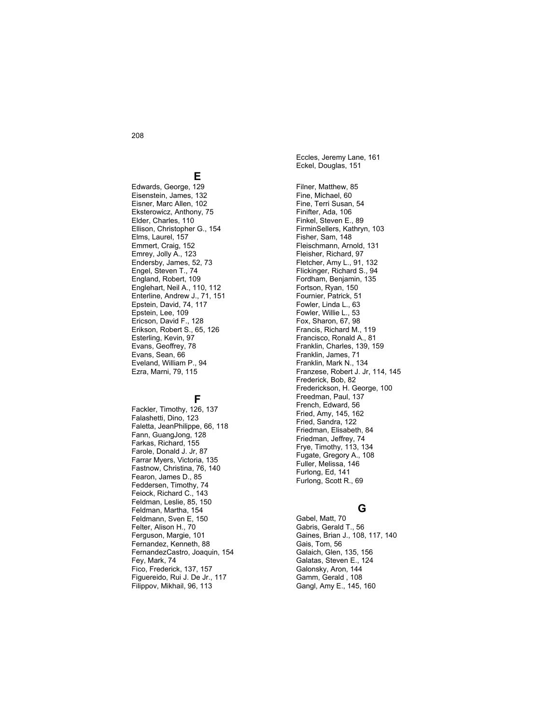**E** Edwards, George, 129 Eisenstein, James, 132 Eisner, Marc Allen, 102 Eksterowicz, Anthony, 75 Elder, Charles, 110 Ellison, Christopher G., 154 Elms, Laurel, 157 Emmert, Craig, 152 Emrey, Jolly A., 123 Endersby, James, 52, 73 Engel, Steven T., 74 England, Robert, 109 Englehart, Neil A., 110, 112 Enterline, Andrew J., 71, 151 Epstein, David, 74, 117 Epstein, Lee, 109 Ericson, David F., 128 Erikson, Robert S., 65, 126 Esterling, Kevin, 97 Evans, Geoffrey, 78 Evans, Sean, 66 Eveland, William P., 94 Ezra, Marni, 79, 115

#### **F**

Fackler, Timothy, 126, 137 Falashetti, Dino, 123 Faletta, JeanPhilippe, 66, 118 Fann, GuangJong, 128 Farkas, Richard, 155 Farole, Donald J. Jr, 87 Farrar Myers, Victoria, 135 Fastnow, Christina, 76, 140 Fearon, James D., 85 Feddersen, Timothy, 74 Feiock, Richard C., 143 Feldman, Leslie, 85, 150 Feldman, Martha, 154 Feldmann, Sven E, 150 Felter, Alison H., 70 Ferguson, Margie, 101 Fernandez, Kenneth, 88 FernandezCastro, Joaquin, 154 Fey, Mark, 74 Fico, Frederick, 137, 157 Figuereido, Rui J. De Jr., 117 Filippov, Mikhail, 96, 113

Eccles, Jeremy Lane, 161 Eckel, Douglas, 151

Filner, Matthew, 85 Fine, Michael, 60 Fine, Terri Susan, 54 Finifter, Ada, 106 Finkel, Steven E., 89 FirminSellers, Kathryn, 103 Fisher, Sam, 148 Fleischmann, Arnold, 131 Fleisher, Richard, 97 Fletcher, Amy L., 91, 132 Flickinger, Richard S., 94 Fordham, Benjamin, 135 Fortson, Ryan, 150 Fournier, Patrick, 51 Fowler, Linda L., 63 Fowler, Willie L., 53 Fox, Sharon, 67, 98 Francis, Richard M., 119 Francisco, Ronald A., 81 Franklin, Charles, 139, 159 Franklin, James, 71 Franklin, Mark N., 134 Franzese, Robert J. Jr, 114, 145 Frederick, Bob, 82 Frederickson, H. George, 100 Freedman, Paul, 137 French, Edward, 56 Fried, Amy, 145, 162 Fried, Sandra, 122 Friedman, Elisabeth, 84 Friedman, Jeffrey, 74 Frye, Timothy, 113, 134 Fugate, Gregory A., 108 Fuller, Melissa, 146 Furlong, Ed, 141 Furlong, Scott R., 69

#### **G**

Gabel, Matt, 70 Gabris, Gerald T., 56 Gaines, Brian J., 108, 117, 140 Gais, Tom, 56 Galaich, Glen, 135, 156 Galatas, Steven E., 124 Galonsky, Aron, 144 Gamm, Gerald , 108 Gangl, Amy E., 145, 160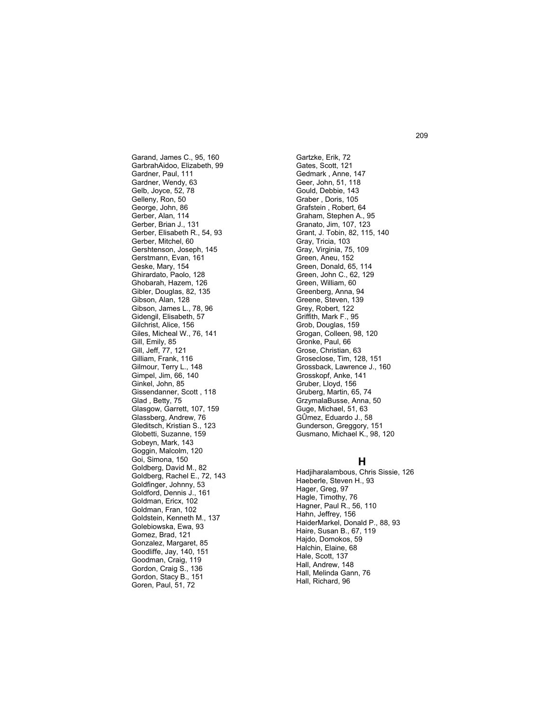Garand, James C., 95, 160 GarbrahAidoo, Elizabeth, 99 Gardner, Paul, 111 Gardner, Wendy, 63 Gelb, Joyce, 52, 78 Gelleny, Ron, 50 George, John, 86 Gerber, Alan, 114 Gerber, Brian J., 131 Gerber, Elisabeth R., 54, 93 Gerber, Mitchel, 60 Gershtenson, Joseph, 145 Gerstmann, Evan, 161 Geske, Mary, 154 Ghirardato, Paolo, 128 Ghobarah, Hazem, 126 Gibler, Douglas, 82, 135 Gibson, Alan, 128 Gibson, James L., 78, 96 Gidengil, Elisabeth, 57 Gilchrist, Alice, 156 Giles, Micheal W., 76, 141 Gill, Emily, 85 Gill, Jeff, 77, 121 Gilliam, Frank, 116 Gilmour, Terry L., 148 Gimpel, Jim, 66, 140 Ginkel, John, 85 Gissendanner, Scott , 118 Glad , Betty, 75 Glasgow, Garrett, 107, 159 Glassberg, Andrew, 76 Gleditsch, Kristian S., 123 Globetti, Suzanne, 159 Gobeyn, Mark, 143 Goggin, Malcolm, 120 Goi, Simona, 150 Goldberg, David M., 82 Goldberg, Rachel E., 72, 143 Goldfinger, Johnny, 53 Goldford, Dennis J., 161 Goldman, Ericx, 102 Goldman, Fran, 102 Goldstein, Kenneth M., 137 Golebiowska, Ewa, 93 Gomez, Brad, 121 Gonzalez, Margaret, 85 Goodliffe, Jay, 140, 151 Goodman, Craig, 119 Gordon, Craig S., 136 Gordon, Stacy B., 151 Goren, Paul, 51, 72

Gartzke, Erik, 72 Gates, Scott, 121 Gedmark , Anne, 147 Geer, John, 51, 118 Gould, Debbie, 143 Graber , Doris, 105 Grafstein , Robert, 64 Graham, Stephen A., 95 Granato, Jim, 107, 123 Grant, J. Tobin, 82, 115, 140 Gray, Tricia, 103 Gray, Virginia, 75, 109 Green, Aneu, 152 Green, Donald, 65, 114 Green, John C., 62, 129 Green, William, 60 Greenberg, Anna, 94 Greene, Steven, 139 Grey, Robert, 122 Griffith, Mark F., 95 Grob, Douglas, 159 Grogan, Colleen, 98, 120 Gronke, Paul, 66 Grose, Christian, 63 Groseclose, Tim, 128, 151 Grossback, Lawrence J., 160 Grosskopf, Anke, 141 Gruber, Lloyd, 156 Gruberg, Martin, 65, 74 GrzymalaBusse, Anna, 50 Guge, Michael, 51, 63 GÛmez, Eduardo J., 58 Gunderson, Greggory, 151 Gusmano, Michael K., 98, 120

#### **H**

Hadjiharalambous, Chris Sissie, 126 Haeberle, Steven H., 93 Hager, Greg, 97 Hagle, Timothy, 76 Hagner, Paul R., 56, 110 Hahn, Jeffrey, 156 HaiderMarkel, Donald P., 88, 93 Haire, Susan B., 67, 119 Hajdo, Domokos, 59 Halchin, Elaine, 68 Hale, Scott, 137 Hall, Andrew, 148 Hall, Melinda Gann, 76 Hall, Richard, 96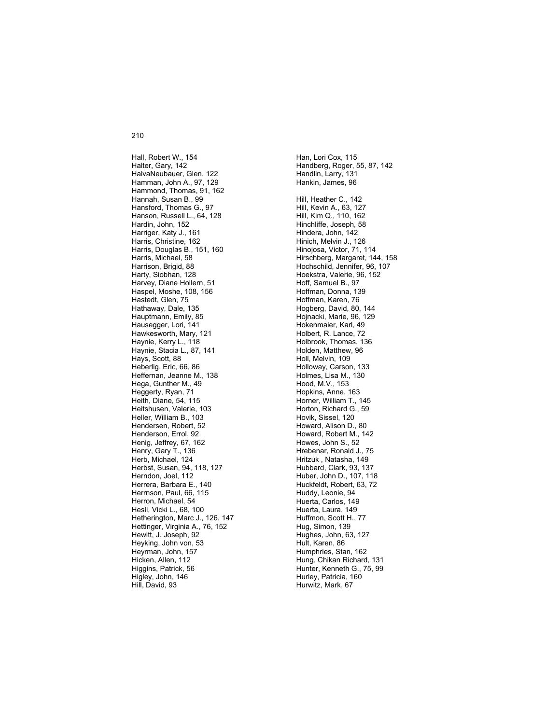Hall, Robert W., 154 Halter, Gary, 142 HalvaNeubauer, Glen, 122 Hamman, John A., 97, 129 Hammond, Thomas, 91, 162 Hannah, Susan B., 99 Hansford, Thomas G., 97 Hanson, Russell L., 64, 128 Hardin, John, 152 Harriger, Katy J., 161 Harris, Christine, 162 Harris, Douglas B., 151, 160 Harris, Michael, 58 Harrison, Brigid, 88 Harty, Siobhan, 128 Harvey, Diane Hollern, 51 Haspel, Moshe, 108, 156 Hastedt, Glen, 75 Hathaway, Dale, 135 Hauptmann, Emily, 85 Hausegger, Lori, 141 Hawkesworth, Mary, 121 Haynie, Kerry L., 118 Haynie, Stacia L., 87, 141 Hays, Scott, 88 Heberlig, Eric, 66, 86 Heffernan, Jeanne M., 138 Hega, Gunther M., 49 Heggerty, Ryan, 71 Heith, Diane, 54, 115 Heitshusen, Valerie, 103 Heller, William B., 103 Hendersen, Robert, 52 Henderson, Errol, 92 Henig, Jeffrey, 67, 162 Henry, Gary T., 136 Herb, Michael, 124 Herbst, Susan, 94, 118, 127 Herndon, Joel, 112 Herrera, Barbara E., 140 Herrnson, Paul, 66, 115 Herron, Michael, 54 Hesli, Vicki L., 68, 100 Hetherington, Marc J., 126, 147 Hettinger, Virginia A., 76, 152 Hewitt, J. Joseph, 92 Heyking, John von, 53 Heyrman, John, 157 Hicken, Allen, 112 Higgins, Patrick, 56 Higley, John, 146 Hill, David, 93

Han, Lori Cox, 115 Handberg, Roger, 55, 87, 142 Handlin, Larry, 131 Hankin, James, 96 Hill, Heather C., 142 Hill, Kevin A., 63, 127 Hill, Kim Q., 110, 162 Hinchliffe, Joseph, 58 Hindera, John, 142 Hinich, Melvin J., 126 Hinojosa, Victor, 71, 114 Hirschberg, Margaret, 144, 158 Hochschild, Jennifer, 96, 107 Hoekstra, Valerie, 96, 152 Hoff, Samuel B., 97 Hoffman, Donna, 139 Hoffman, Karen, 76 Hogberg, David, 80, 144 Hojnacki, Marie, 96, 129 Hokenmaier, Karl, 49 Holbert, R. Lance, 72 Holbrook, Thomas, 136 Holden, Matthew, 96 Holl, Melvin, 109 Holloway, Carson, 133 Holmes, Lisa M., 130 Hood, M.V., 153 Hopkins, Anne, 163 Horner, William T., 145 Horton, Richard G., 59 Hovik, Sissel, 120 Howard, Alison D., 80 Howard, Robert M., 142 Howes, John S., 52 Hrebenar, Ronald J., 75 Hritzuk , Natasha, 149 Hubbard, Clark, 93, 137 Huber, John D., 107, 118 Huckfeldt, Robert, 63, 72 Huddy, Leonie, 94 Huerta, Carlos, 149 Huerta, Laura, 149 Huffmon, Scott H., 77 Hug, Simon, 139 Hughes, John, 63, 127 Hult, Karen, 86 Humphries, Stan, 162 Hung, Chikan Richard, 131 Hunter, Kenneth G., 75, 99 Hurley, Patricia, 160 Hurwitz, Mark, 67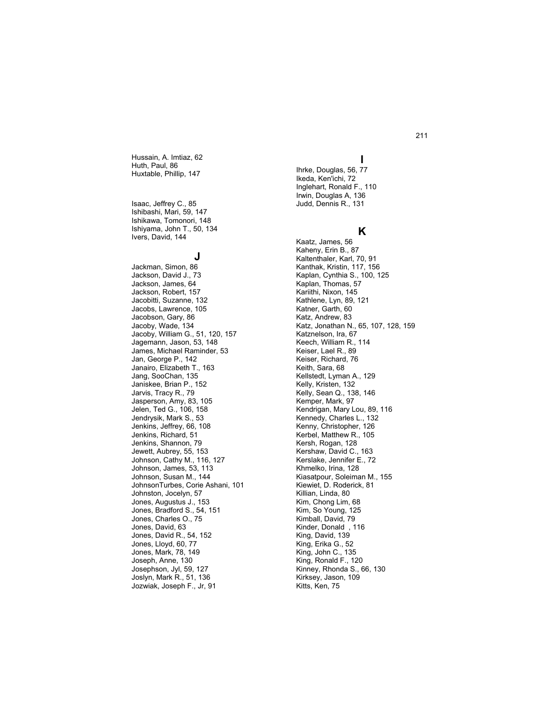Hussain, A. Imtiaz, 62 Huth, Paul, 86 Huxtable, Phillip, 147

Isaac, Jeffrey C., 85 Ishibashi, Mari, 59, 147 Ishikawa, Tomonori, 148 Ishiyama, John T., 50, 134 Ivers, David, 144

#### **J**

Jackman, Simon, 86 Jackson, David J., 73 Jackson, James, 64 Jackson, Robert, 157 Jacobitti, Suzanne, 132 Jacobs, Lawrence, 105 Jacobson, Gary, 86 Jacoby, Wade, 134 Jacoby, William G., 51, 120, 157 Jagemann, Jason, 53, 148 James, Michael Raminder, 53 Jan, George P., 142 Janairo, Elizabeth T., 163 Jang, SooChan, 135 Janiskee, Brian P., 152 Jarvis, Tracy R., 79 Jasperson, Amy, 83, 105 Jelen, Ted G., 106, 158 Jendrysik, Mark S., 53 Jenkins, Jeffrey, 66, 108 Jenkins, Richard, 51 Jenkins, Shannon, 79 Jewett, Aubrey, 55, 153 Johnson, Cathy M., 116, 127 Johnson, James, 53, 113 Johnson, Susan M., 144 JohnsonTurbes, Corie Ashani, 101 Johnston, Jocelyn, 57 Jones, Augustus J., 153 Jones, Bradford S., 54, 151 Jones, Charles O., 75 Jones, David, 63 Jones, David R., 54, 152 Jones, Lloyd, 60, 77 Jones, Mark, 78, 149 Joseph, Anne, 130 Josephson, Jyl, 59, 127 Joslyn, Mark R., 51, 136 Jozwiak, Joseph F., Jr, 91

**I** Ihrke, Douglas, 56, 77 Ikeda, Ken'ichi, 72 Inglehart, Ronald F., 110 Irwin, Douglas A, 136

Judd, Dennis R., 131

#### **K**

Kaatz, James, 56 Kaheny, Erin B., 87 Kaltenthaler, Karl, 70, 91 Kanthak, Kristin, 117, 156 Kaplan, Cynthia S., 100, 125 Kaplan, Thomas, 57 Kariithi, Nixon, 145 Kathlene, Lyn, 89, 121 Katner, Garth, 60 Katz, Andrew, 83 Katz, Jonathan N., 65, 107, 128, 159 Katznelson, Ira, 67 Keech, William R., 114 Keiser, Lael R., 89 Keiser, Richard, 76 Keith, Sara, 68 Kellstedt, Lyman A., 129 Kelly, Kristen, 132 Kelly, Sean Q., 138, 146 Kemper, Mark, 97 Kendrigan, Mary Lou, 89, 116 Kennedy, Charles L., 132 Kenny, Christopher, 126 Kerbel, Matthew R., 105 Kersh, Rogan, 128 Kershaw, David C., 163 Kerslake, Jennifer E., 72 Khmelko, Irina, 128 Kiasatpour, Soleiman M., 155 Kiewiet, D. Roderick, 81 Killian, Linda, 80 Kim, Chong Lim, 68 Kim, So Young, 125 Kimball, David, 79 Kinder, Donald , 116 King, David, 139 King, Erika G., 52 King, John C., 135 King, Ronald F., 120 Kinney, Rhonda S., 66, 130 Kirksey, Jason, 109 Kitts, Ken, 75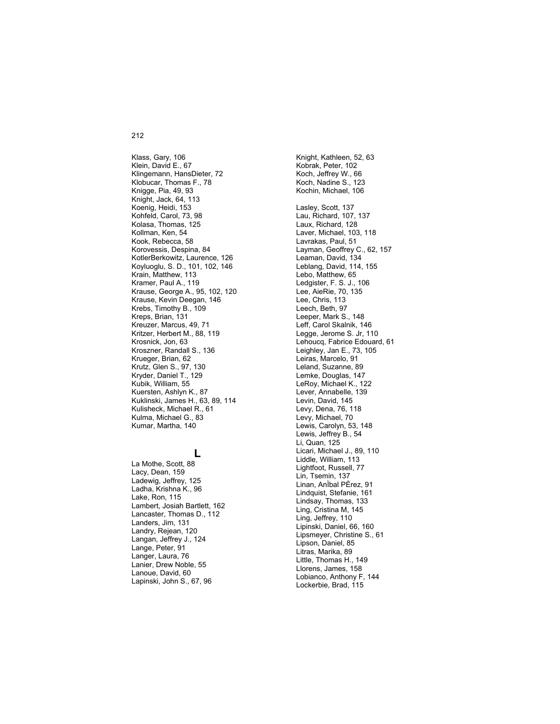#### 212

Klass, Gary, 106 Klein, David E., 67 Klingemann, HansDieter, 72 Klobucar, Thomas F., 78 Knigge, Pia, 49, 93 Knight, Jack, 64, 113 Koenig, Heidi, 153 Kohfeld, Carol, 73, 98 Kolasa, Thomas, 125 Kollman, Ken, 54 Kook, Rebecca, 58 Korovessis, Despina, 84 KotlerBerkowitz, Laurence, 126 Koyluoglu, S. D., 101, 102, 146 Krain, Matthew, 113 Kramer, Paul A., 119 Krause, George A., 95, 102, 120 Krause, Kevin Deegan, 146 Krebs, Timothy B., 109 Kreps, Brian, 131 Kreuzer, Marcus, 49, 71 Kritzer, Herbert M., 88, 119 Krosnick, Jon, 63 Kroszner, Randall S., 136 Krueger, Brian, 62 Krutz, Glen S., 97, 130 Kryder, Daniel T., 129 Kubik, William, 55 Kuersten, Ashlyn K., 87 Kuklinski, James H., 63, 89, 114 Kulisheck, Michael R., 61 Kulma, Michael G., 83 Kumar, Martha, 140

#### **L**

La Mothe, Scott, 88 Lacy, Dean, 159 Ladewig, Jeffrey, 125 Ladha, Krishna K., 96 Lake, Ron, 115 Lambert, Josiah Bartlett, 162 Lancaster, Thomas D., 112 Landers, Jim, 131 Landry, Rejean, 120 Langan, Jeffrey J., 124 Lange, Peter, 91 Langer, Laura, 76 Lanier, Drew Noble, 55 Lanoue, David, 60 Lapinski, John S., 67, 96

Knight, Kathleen, 52, 63 Kobrak, Peter, 102 Koch, Jeffrey W., 66 Koch, Nadine S., 123 Kochin, Michael, 106 Lasley, Scott, 137 Lau, Richard, 107, 137 Laux, Richard, 128 Laver, Michael, 103, 118 Lavrakas, Paul, 51 Layman, Geoffrey C., 62, 157 Leaman, David, 134 Leblang, David, 114, 155 Lebo, Matthew, 65 Ledgister, F. S. J., 106 Lee, AieRie, 70, 135 Lee, Chris, 113 Leech, Beth, 97 Leeper, Mark S., 148 Leff, Carol Skalnik, 146 Legge, Jerome S. Jr, 110 Lehoucq, Fabrice Edouard, 61 Leighley, Jan E., 73, 105 Leiras, Marcelo, 91 Leland, Suzanne, 89 Lemke, Douglas, 147 LeRoy, Michael K., 122 Lever, Annabelle, 139 Levin, David, 145 Levy, Dena, 76, 118 Levy, Michael, 70 Lewis, Carolyn, 53, 148 Lewis, Jeffrey B., 54 Li, Quan, 125 Licari, Michael J., 89, 110 Liddle, William, 113 Lightfoot, Russell, 77 Lin, Tsemin, 137 Linan, AnÌbal PÈrez, 91 Lindquist, Stefanie, 161 Lindsay, Thomas, 133 Ling, Cristina M, 145 Ling, Jeffrey, 110 Lipinski, Daniel, 66, 160 Lipsmeyer, Christine S., 61 Lipson, Daniel, 85 Litras, Marika, 89 Little, Thomas H., 149 Llorens, James, 158 Lobianco, Anthony F, 144 Lockerbie, Brad, 115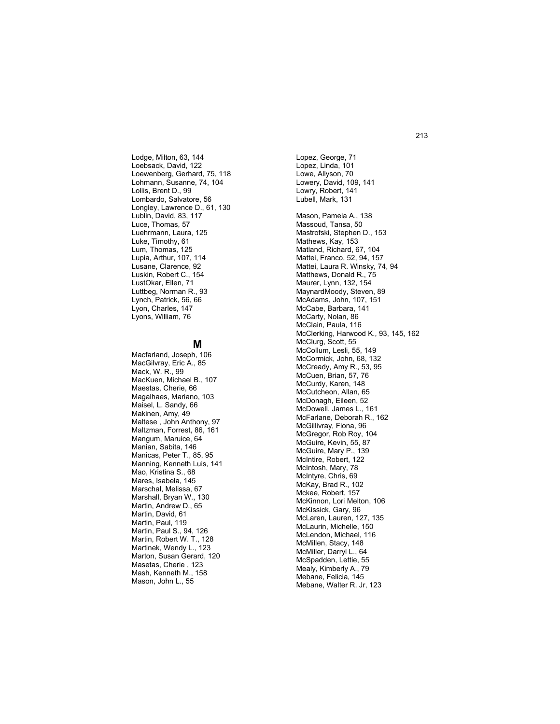Lodge, Milton, 63, 144 Loebsack, David, 122 Loewenberg, Gerhard, 75, 118 Lohmann, Susanne, 74, 104 Lollis, Brent D., 99 Lombardo, Salvatore, 56 Longley, Lawrence D., 61, 130 Lublin, David, 83, 117 Luce, Thomas, 57 Luehrmann, Laura, 125 Luke, Timothy, 61 Lum, Thomas, 125 Lupia, Arthur, 107, 114 Lusane, Clarence, 92 Luskin, Robert C., 154 LustOkar, Ellen, 71 Luttbeg, Norman R., 93 Lynch, Patrick, 56, 66 Lyon, Charles, 147 Lyons, William, 76

#### **M**

Macfarland, Joseph, 106 MacGilvray, Eric A., 85 Mack, W. R., 99 MacKuen, Michael B., 107 Maestas, Cherie, 66 Magalhaes, Mariano, 103 Maisel, L. Sandy, 66 Makinen, Amy, 49 Maltese , John Anthony, 97 Maltzman, Forrest, 86, 161 Mangum, Maruice, 64 Manian, Sabita, 146 Manicas, Peter T., 85, 95 Manning, Kenneth Luis, 141 Mao, Kristina S., 68 Mares, Isabela, 145 Marschal, Melissa, 67 Marshall, Bryan W., 130 Martin, Andrew D., 65 Martin, David, 61 Martin, Paul, 119 Martin, Paul S., 94, 126 Martin, Robert W. T., 128 Martinek, Wendy L., 123 Marton, Susan Gerard, 120 Masetas, Cherie , 123 Mash, Kenneth M., 158 Mason, John L., 55

Lopez, George, 71 Lopez, Linda, 101 Lowe, Allyson, 70 Lowery, David, 109, 141 Lowry, Robert, 141 Lubell, Mark, 131 Mason, Pamela A., 138 Massoud, Tansa, 50 Mastrofski, Stephen D., 153 Mathews, Kay, 153 Matland, Richard, 67, 104 Mattei, Franco, 52, 94, 157 Mattei, Laura R. Winsky, 74, 94 Matthews, Donald R., 75 Maurer, Lynn, 132, 154 MaynardMoody, Steven, 89 McAdams, John, 107, 151 McCabe, Barbara, 141 McCarty, Nolan, 86 McClain, Paula, 116 McClerking, Harwood K., 93, 145, 162 McClurg, Scott, 55 McCollum, Lesli, 55, 149 McCormick, John, 68, 132 McCready, Amy R., 53, 95 McCuen, Brian, 57, 76 McCurdy, Karen, 148 McCutcheon, Allan, 65 McDonagh, Eileen, 52 McDowell, James L., 161 McFarlane, Deborah R., 162 McGillivray, Fiona, 96 McGregor, Rob Roy, 104 McGuire, Kevin, 55, 87 McGuire, Mary P., 139 McIntire, Robert, 122 McIntosh, Mary, 78 McIntyre, Chris, 69 McKay, Brad R., 102 Mckee, Robert, 157 McKinnon, Lori Melton, 106 McKissick, Gary, 96 McLaren, Lauren, 127, 135 McLaurin, Michelle, 150 McLendon, Michael, 116 McMillen, Stacy, 148 McMiller, Darryl L., 64 McSpadden, Lettie, 55 Mealy, Kimberly A., 79 Mebane, Felicia, 145 Mebane, Walter R. Jr, 123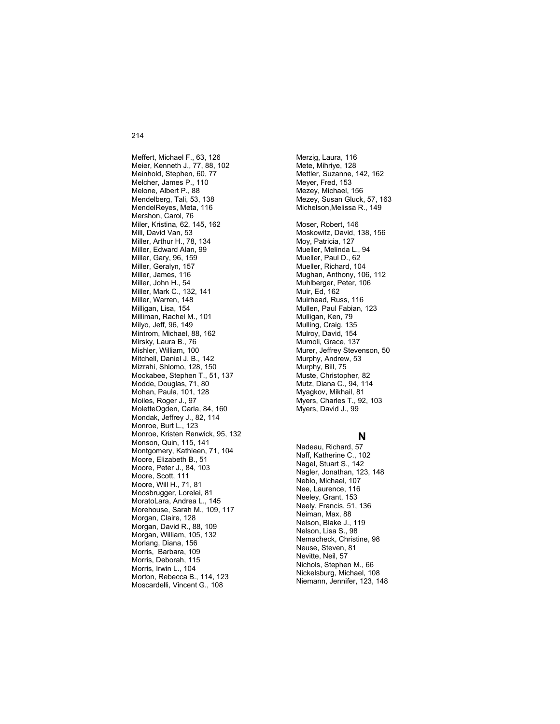Meffert, Michael F., 63, 126 Meier, Kenneth J., 77, 88, 102 Meinhold, Stephen, 60, 77 Melcher, James P., 110 Melone, Albert P., 88 Mendelberg, Tali, 53, 138 MendelReyes, Meta, 116 Mershon, Carol, 76 Miler, Kristina, 62, 145, 162 Mill, David Van, 53 Miller, Arthur H., 78, 134 Miller, Edward Alan, 99 Miller, Gary, 96, 159 Miller, Geralyn, 157 Miller, James, 116 Miller, John H., 54 Miller, Mark C., 132, 141 Miller, Warren, 148 Milligan, Lisa, 154 Milliman, Rachel M., 101 Milyo, Jeff, 96, 149 Mintrom, Michael, 88, 162 Mirsky, Laura B., 76 Mishler, William, 100 Mitchell, Daniel J. B., 142 Mizrahi, Shlomo, 128, 150 Mockabee, Stephen T., 51, 137 Modde, Douglas, 71, 80 Mohan, Paula, 101, 128 Moiles, Roger J., 97 MoletteOgden, Carla, 84, 160 Mondak, Jeffrey J., 82, 114 Monroe, Burt L., 123 Monroe, Kristen Renwick, 95, 132 Monson, Quin, 115, 141 Montgomery, Kathleen, 71, 104 Moore, Elizabeth B., 51 Moore, Peter J., 84, 103 Moore, Scott, 111 Moore, Will H., 71, 81 Moosbrugger, Lorelei, 81 MoratoLara, Andrea L., 145 Morehouse, Sarah M., 109, 117 Morgan, Claire, 128 Morgan, David R., 88, 109 Morgan, William, 105, 132 Morlang, Diana, 156 Morris, Barbara, 109 Morris, Deborah, 115 Morris, Irwin L., 104 Morton, Rebecca B., 114, 123 Moscardelli, Vincent G., 108

Merzig, Laura, 116 Mete, Mihriye, 128 Mettler, Suzanne, 142, 162 Meyer, Fred, 153 Mezey, Michael, 156 Mezey, Susan Gluck, 57, 163 Michelson,Melissa R., 149 Moser, Robert, 146 Moskowitz, David, 138, 156 Moy, Patricia, 127 Mueller, Melinda L., 94 Mueller, Paul D., 62 Mueller, Richard, 104 Mughan, Anthony, 106, 112 Muhlberger, Peter, 106 Muir, Ed, 162 Muirhead, Russ, 116 Mullen, Paul Fabian, 123 Mulligan, Ken, 79 Mulling, Craig, 135 Mulroy, David, 154 Mumoli, Grace, 137 Murer, Jeffrey Stevenson, 50 Murphy, Andrew, 53 Murphy, Bill, 75 Muste, Christopher, 82 Mutz, Diana C., 94, 114 Myagkov, Mikhail, 81 Myers, Charles T., 92, 103 Myers, David J., 99

#### **N**

Nadeau, Richard, 57 Naff, Katherine C., 102 Nagel, Stuart S., 142 Nagler, Jonathan, 123, 148 Neblo, Michael, 107 Nee, Laurence, 116 Neeley, Grant, 153 Neely, Francis, 51, 136 Neiman, Max, 88 Nelson, Blake J., 119 Nelson, Lisa S., 98 Nemacheck, Christine, 98 Neuse, Steven, 81 Nevitte, Neil, 57 Nichols, Stephen M., 66 Nickelsburg, Michael, 108 Niemann, Jennifer, 123, 148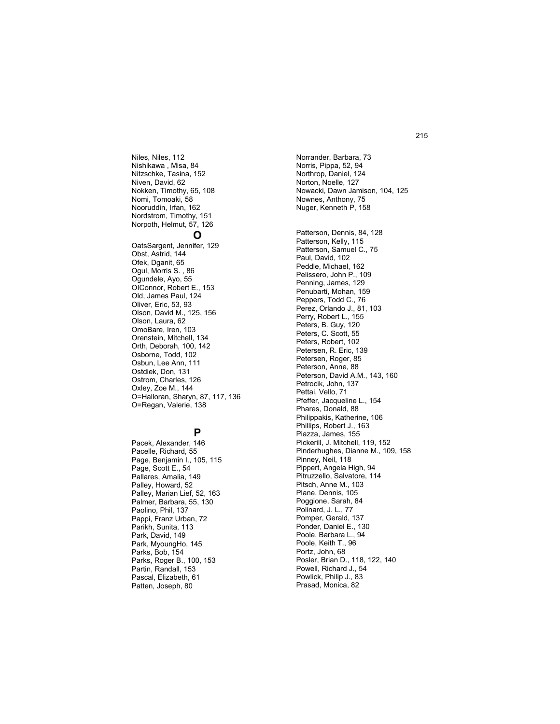Niles, Niles, 112 Nishikawa , Misa, 84 Nitzschke, Tasina, 152 Niven, David, 62 Nokken, Timothy, 65, 108 Nomi, Tomoaki, 58 Nooruddin, Irfan, 162 Nordstrom, Timothy, 151 Norpoth, Helmut, 57, 126

#### **O**

OatsSargent, Jennifer, 129 Obst, Astrid, 144 Ofek, Dganit, 65 Ogul, Morris S. , 86 Ogundele, Ayo, 55 OíConnor, Robert E., 153 Old, James Paul, 124 Oliver, Eric, 53, 93 Olson, David M., 125, 156 Olson, Laura, 62 OmoBare, Iren, 103 Orenstein, Mitchell, 134 Orth, Deborah, 100, 142 Osborne, Todd, 102 Osbun, Lee Ann, 111 Ostdiek, Don, 131 Ostrom, Charles, 126 Oxley, Zoe M., 144<br>O=Halloran, Sharyn, 87, 117, 136<br>O=Regan, Valerie, 138

#### **P**

Pacek, Alexander, 146 Pacelle, Richard, 55 Page, Benjamin I., 105, 115 Page, Scott E., 54 Pallares, Amalia, 149 Palley, Howard, 52 Palley, Marian Lief, 52, 163 Palmer, Barbara, 55, 130 Paolino, Phil, 137 Pappi, Franz Urban, 72 Parikh, Sunita, 113 Park, David, 149 Park, MyoungHo, 145 Parks, Bob, 154 Parks, Roger B., 100, 153 Partin, Randall, 153 Pascal, Elizabeth, 61 Patten, Joseph, 80

Norrander, Barbara, 73 Norris, Pippa, 52, 94 Northrop, Daniel, 124 Norton, Noelle, 127 Nowacki, Dawn Jamison, 104, 125 Nownes, Anthony, 75 Nuger, Kenneth P, 158

Patterson, Dennis, 84, 128 Patterson, Kelly, 115 Patterson, Samuel C., 75 Paul, David, 102 Peddle, Michael, 162 Pelissero, John P., 109 Penning, James, 129 Penubarti, Mohan, 159 Peppers, Todd C., 76 Perez, Orlando J., 81, 103 Perry, Robert L., 155 Peters, B. Guy, 120 Peters, C. Scott, 55 Peters, Robert, 102 Petersen, R. Eric, 139 Petersen, Roger, 85 Peterson, Anne, 88 Peterson, David A.M., 143, 160 Petrocik, John, 137 Pettai, Vello, 71 Pfeffer, Jacqueline L., 154 Phares, Donald, 88 Philippakis, Katherine, 106 Phillips, Robert J., 163 Piazza, James, 155 Pickerill, J. Mitchell, 119, 152 Pinderhughes, Dianne M., 109, 158 Pinney, Neil, 118 Pippert, Angela High, 94 Pitruzzello, Salvatore, 114 Pitsch, Anne M., 103 Plane, Dennis, 105 Poggione, Sarah, 84 Polinard, J. L., 77 Pomper, Gerald, 137 Ponder, Daniel E., 130 Poole, Barbara L., 94 Poole, Keith T., 96 Portz, John, 68 Posler, Brian D., 118, 122, 140 Powell, Richard J., 54 Powlick, Philip J., 83 Prasad, Monica, 82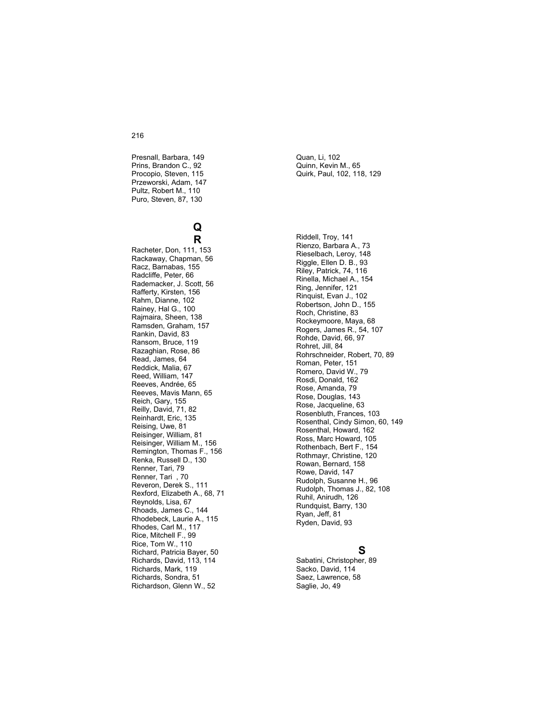# Presnall, Barbara, 149

216

Prins, Brandon C., 92 Procopio, Steven, 115 Przeworski, Adam, 147 Pultz, Robert M., 110 Puro, Steven, 87, 130

#### **Q R**

Racheter, Don, 111, 153 Rackaway, Chapman, 56 Racz, Barnabas, 155 Radcliffe, Peter, 66 Rademacker, J. Scott, 56 Rafferty, Kirsten, 156 Rahm, Dianne, 102 Rainey, Hal G., 100 Rajmaira, Sheen, 138 Ramsden, Graham, 157 Rankin, David, 83 Ransom, Bruce, 119 Razaghian, Rose, 86 Read, James, 64 Reddick, Malia, 67 Reed, William, 147 Reeves, Andrée, 65 Reeves, Mavis Mann, 65 Reich, Gary, 155 Reilly, David, 71, 82 Reinhardt, Eric, 135 Reising, Uwe, 81 Reisinger, William, 81 Reisinger, William M., 156 Remington, Thomas F., 156 Renka, Russell D., 130 Renner, Tari, 79 Renner, Tari , 70 Reveron, Derek S., 111 Rexford, Elizabeth A., 68, 71 Reynolds, Lisa, 67 Rhoads, James C., 144 Rhodebeck, Laurie A., 115 Rhodes, Carl M., 117 Rice, Mitchell F., 99 Rice, Tom W., 110 Richard, Patricia Bayer, 50 Richards, David, 113, 114 Richards, Mark, 119 Richards, Sondra, 51 Richardson, Glenn W., 52

Quan, Li, 102 Quinn, Kevin M., 65 Quirk, Paul, 102, 118, 129

Riddell, Troy, 141 Rienzo, Barbara A., 73 Rieselbach, Leroy, 148 Riggle, Ellen D. B., 93 Riley, Patrick, 74, 116 Rinella, Michael A., 154 Ring, Jennifer, 121 Rinquist, Evan J., 102 Robertson, John D., 155 Roch, Christine, 83 Rockeymoore, Maya, 68 Rogers, James R., 54, 107 Rohde, David, 66, 97 Rohret, Jill, 84 Rohrschneider, Robert, 70, 89 Roman, Peter, 151 Romero, David W., 79 Rosdi, Donald, 162 Rose, Amanda, 79 Rose, Douglas, 143 Rose, Jacqueline, 63 Rosenbluth, Frances, 103 Rosenthal, Cindy Simon, 60, 149 Rosenthal, Howard, 162 Ross, Marc Howard, 105 Rothenbach, Bert F., 154 Rothmayr, Christine, 120 Rowan, Bernard, 158 Rowe, David, 147 Rudolph, Susanne H., 96 Rudolph, Thomas J., 82, 108 Ruhil, Anirudh, 126 Rundquist, Barry, 130 Ryan, Jeff, 81 Ryden, David, 93

### **S**

Sabatini, Christopher, 89 Sacko, David, 114 Saez, Lawrence, 58 Saglie, Jo, 49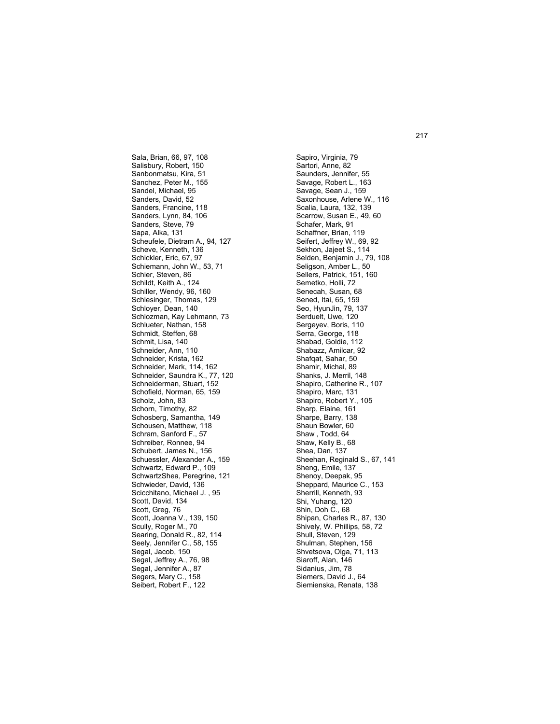Sala, Brian, 66, 97, 108 Salisbury, Robert, 150 Sanbonmatsu, Kira, 51 Sanchez, Peter M., 155 Sandel, Michael, 95 Sanders, David, 52 Sanders, Francine, 118 Sanders, Lynn, 84, 106 Sanders, Steve, 79 Sapa, Alka, 131 Scheufele, Dietram A., 94, 127 Scheve, Kenneth, 136 Schickler, Eric, 67, 97 Schiemann, John W., 53, 71 Schier, Steven, 86 Schildt, Keith A., 124 Schiller, Wendy, 96, 160 Schlesinger, Thomas, 129 Schloyer, Dean, 140 Schlozman, Kay Lehmann, 73 Schlueter, Nathan, 158 Schmidt, Steffen, 68 Schmit, Lisa, 140 Schneider, Ann, 110 Schneider, Krista, 162 Schneider, Mark, 114, 162 Schneider, Saundra K., 77, 120 Schneiderman, Stuart, 152 Schofield, Norman, 65, 159 Scholz, John, 83 Schorn, Timothy, 82 Schosberg, Samantha, 149 Schousen, Matthew, 118 Schram, Sanford F., 57 Schreiber, Ronnee, 94 Schubert, James N., 156 Schuessler, Alexander A., 159 Schwartz, Edward P., 109 SchwartzShea, Peregrine, 121 Schwieder, David, 136 Scicchitano, Michael J. , 95 Scott, David, 134 Scott, Greg, 76 Scott, Joanna V., 139, 150 Scully, Roger M., 70 Searing, Donald R., 82, 114 Seely, Jennifer C., 58, 155 Segal, Jacob, 150 Segal, Jeffrey A., 76, 98 Segal, Jennifer A., 87 Segers, Mary C., 158 Seibert, Robert F., 122

Sapiro, Virginia, 79 Sartori, Anne, 82 Saunders, Jennifer, 55 Savage, Robert L., 163 Savage, Sean J., 159 Saxonhouse, Arlene W., 116 Scalia, Laura, 132, 139 Scarrow, Susan E., 49, 60 Schafer, Mark, 91 Schaffner, Brian, 119 Seifert, Jeffrey W., 69, 92 Sekhon, Jajeet S., 114 Selden, Benjamin J., 79, 108 Seligson, Amber L., 50 Sellers, Patrick, 151, 160 Semetko, Holli, 72 Senecah, Susan, 68 Sened, Itai, 65, 159 Seo, HyunJin, 79, 137 Serduelt, Uwe, 120 Sergeyev, Boris, 110 Serra, George, 118 Shabad, Goldie, 112 Shabazz, Amilcar, 92 Shafqat, Sahar, 50 Shamir, Michal, 89 Shanks, J. Merril, 148 Shapiro, Catherine R., 107 Shapiro, Marc, 131 Shapiro, Robert Y., 105 Sharp, Elaine, 161 Sharpe, Barry, 138 Shaun Bowler, 60 Shaw , Todd, 64 Shaw, Kelly B., 68 Shea, Dan, 137 Sheehan, Reginald S., 67, 141 Sheng, Emile, 137 Shenoy, Deepak, 95 Sheppard, Maurice C., 153 Sherrill, Kenneth, 93 Shi, Yuhang, 120 Shin, Doh C., 68 Shipan, Charles R., 87, 130 Shively, W. Phillips, 58, 72 Shull, Steven, 129 Shulman, Stephen, 156 Shvetsova, Olga, 71, 113 Siaroff, Alan, 146 Sidanius, Jim, 78 Siemers, David J., 64 Siemienska, Renata, 138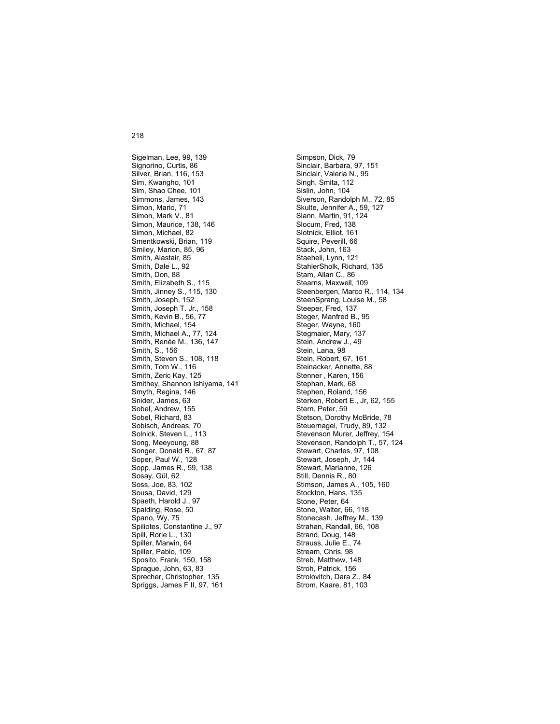Sigelman, Lee, 99, 139 Signorino, Curtis, 86 Silver, Brian, 116, 153 Sim, Kwangho, 101 Sim, Shao Chee, 101 Simmons, James, 143 Simon, Mario, 71 Simon, Mark V., 81 Simon, Maurice, 138, 146 Simon, Michael, 82 Smentkowski, Brian, 119 Smiley, Marion, 85, 96 Smith, Alastair, 85 Smith, Dale L., 92 Smith, Don, 88 Smith, Elizabeth S., 115 Smith, Jinney S., 115, 130 Smith, Joseph, 152 Smith, Joseph T. Jr., 158 Smith, Kevin B., 56, 77 Smith, Michael, 154 Smith, Michael A., 77, 124 Smith, Renée M., 136, 147 Smith, S., 156 Smith, Steven S., 108, 118 Smith, Tom W., 116 Smith, Zeric Kay, 125 Smithey, Shannon Ishiyama, 141 Smyth, Regina, 146 Snider, James, 63 Sobel, Andrew, 155 Sobel, Richard, 83 Sobisch, Andreas, 70 Solnick, Steven L., 113 Song, Meeyoung, 88 Songer, Donald R., 67, 87 Soper, Paul W., 128 Sopp, James R., 59, 138 Sosay, Gül, 62 Soss, Joe, 83, 102 Sousa, David, 129 Spaeth, Harold J., 97 Spalding, Rose, 50 Spano, Wy, 75 Spiliotes, Constantine J., 97 Spill, Rorie L., 130 Spiller, Marwin, 64 Spiller, Pablo, 109 Sposito, Frank, 150, 158 Sprague, John, 63, 83 Sprecher, Christopher, 135 Spriggs, James F II, 97, 161

Simpson, Dick, 79 Sinclair, Barbara, 97, 151 Sinclair, Valeria N., 95 Singh, Smita, 112 Sislin, John, 104 Siverson, Randolph M., 72, 85 Skulte, Jennifer A., 59, 127 Slann, Martin, 91, 124 Slocum, Fred, 138 Slotnick, Elliot, 161 Squire, Peverill, 66 Stack, John, 163 Staeheli, Lynn, 121 StahlerSholk, Richard, 135 Stam, Allan C., 86 Stearns, Maxwell, 109 Steenbergen, Marco R., 114, 134 SteenSprang, Louise M., 58 Steeper, Fred, 137 Steger, Manfred B., 95 Steger, Wayne, 160 Stegmaier, Mary, 137 Stein, Andrew J., 49 Stein, Lana, 98 Stein, Robert, 67, 161 Steinacker, Annette, 88 Stenner, Karen, 156 Stephan, Mark, 68 Stephen, Roland, 156 Sterken, Robert E., Jr, 62, 155 Stern, Peter, 59 Stetson, Dorothy McBride, 78 Steuernagel, Trudy, 89, 132 Stevenson Murer, Jeffrey, 154 Stevenson, Randolph T., 57, 124 Stewart, Charles, 97, 108 Stewart, Joseph, Jr, 144 Stewart, Marianne, 126 Still, Dennis R., 80 Stimson, James A., 105, 160 Stockton, Hans, 135 Stone, Peter, 64 Stone, Walter, 66, 118 Stonecash, Jeffrey M., 139 Strahan, Randall, 66, 108 Strand, Doug, 148 Strauss, Julie E., 74 Stream, Chris, 98 Streb, Matthew, 148 Stroh, Patrick, 156 Strolovitch, Dara Z., 84 Strom, Kaare, 81, 103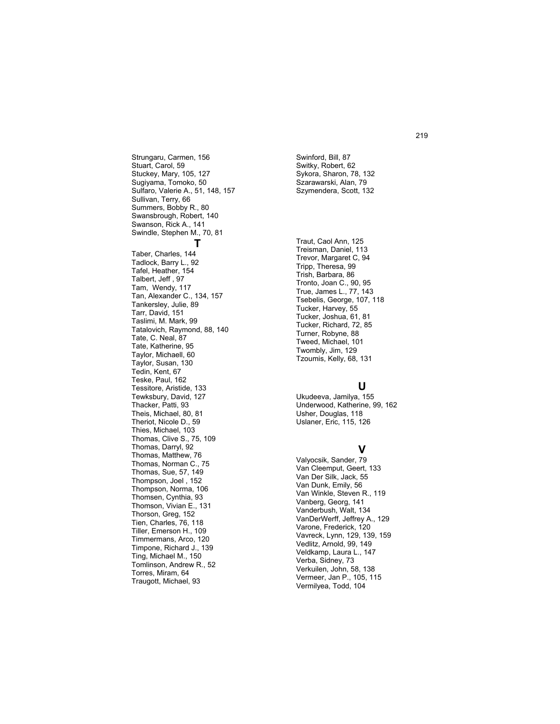Strungaru, Carmen, 156 Stuart, Carol, 59 Stuckey, Mary, 105, 127 Sugiyama, Tomoko, 50 Sulfaro, Valerie A., 51, 148, 157 Sullivan, Terry, 66 Summers, Bobby R., 80 Swansbrough, Robert, 140 Swanson, Rick A., 141 Swindle, Stephen M., 70, 81 **T** Taber, Charles, 144 Tadlock, Barry L., 92 Tafel, Heather, 154 Talbert, Jeff , 97 Tam, Wendy, 117 Tan, Alexander C., 134, 157 Tankersley, Julie, 89 Tarr, David, 151 Taslimi, M. Mark, 99 Tatalovich, Raymond, 88, 140 Tate, C. Neal, 87 Tate, Katherine, 95 Taylor, Michaell, 60 Taylor, Susan, 130 Tedin, Kent, 67 Teske, Paul, 162 Tessitore, Aristide, 133 Tewksbury, David, 127 Thacker, Patti, 93 Theis, Michael, 80, 81 Theriot, Nicole D., 59 Thies, Michael, 103 Thomas, Clive S., 75, 109 Thomas, Darryl, 92 Thomas, Matthew, 76 Thomas, Norman C., 75 Thomas, Sue, 57, 149 Thompson, Joel , 152 Thompson, Norma, 106 Thomsen, Cynthia, 93 Thomson, Vivian E., 131 Thorson, Greg, 152 Tien, Charles, 76, 118 Tiller, Emerson H., 109 Timmermans, Arco, 120 Timpone, Richard J., 139 Ting, Michael M., 150 Tomlinson, Andrew R., 52 Torres, Miram, 64 Traugott, Michael, 93

Swinford, Bill, 87 Switky, Robert, 62 Sykora, Sharon, 78, 132 Szarawarski, Alan, 79 Szymendera, Scott, 132

Traut, Caol Ann, 125 Treisman, Daniel, 113 Trevor, Margaret C, 94 Tripp, Theresa, 99 Trish, Barbara, 86 Tronto, Joan C., 90, 95 True, James L., 77, 143 Tsebelis, George, 107, 118 Tucker, Harvey, 55 Tucker, Joshua, 61, 81 Tucker, Richard, 72, 85 Turner, Robyne, 88 Tweed, Michael, 101 Twombly, Jim, 129 Tzoumis, Kelly, 68, 131

#### **U**

Ukudeeva, Jamilya, 155 Underwood, Katherine, 99, 162 Usher, Douglas, 118 Uslaner, Eric, 115, 126

#### **V**

Valyocsik, Sander, 79 Van Cleemput, Geert, 133 Van Der Silk, Jack, 55 Van Dunk, Emily, 56 Van Winkle, Steven R., 119 Vanberg, Georg, 141 Vanderbush, Walt, 134 VanDerWerff, Jeffrey A., 129 Varone, Frederick, 120 Vavreck, Lynn, 129, 139, 159 Vedlitz, Arnold, 99, 149 Veldkamp, Laura L., 147 Verba, Sidney, 73 Verkuilen, John, 58, 138 Vermeer, Jan P., 105, 115 Vermilyea, Todd, 104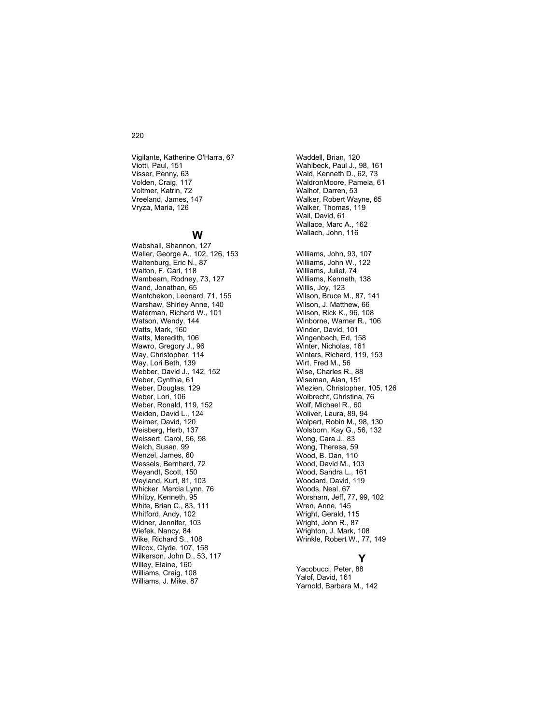#### 220

Vigilante, Katherine O'Harra, 67 Viotti, Paul, 151 Visser, Penny, 63 Volden, Craig, 117 Voltmer, Katrin, 72 Vreeland, James, 147 Vryza, Maria, 126

#### **W**

Wabshall, Shannon, 127 Waller, George A., 102, 126, 153 Waltenburg, Eric N., 87 Walton, F. Carl, 118 Wambeam, Rodney, 73, 127 Wand, Jonathan, 65 Wantchekon, Leonard, 71, 155 Warshaw, Shirley Anne, 140 Waterman, Richard W., 101 Watson, Wendy, 144 Watts, Mark, 160 Watts, Meredith, 106 Wawro, Gregory J., 96 Way, Christopher, 114 Way, Lori Beth, 139 Webber, David J., 142, 152 Weber, Cynthia, 61 Weber, Douglas, 129 Weber, Lori, 106 Weber, Ronald, 119, 152 Weiden, David L., 124 Weimer, David, 120 Weisberg, Herb, 137 Weissert, Carol, 56, 98 Welch, Susan, 99 Wenzel, James, 60 Wessels, Bernhard, 72 Weyandt, Scott, 150 Weyland, Kurt, 81, 103 Whicker, Marcia Lynn, 76 Whitby, Kenneth, 95 White, Brian C., 83, 111 Whitford, Andy, 102 Widner, Jennifer, 103 Wiefek, Nancy, 84 Wike, Richard S., 108 Wilcox, Clyde, 107, 158 Wilkerson, John D., 53, 117 Willey, Elaine, 160 Williams, Craig, 108 Williams, J. Mike, 87

Waddell, Brian, 120 Wahlbeck, Paul J., 98, 161 Wald, Kenneth D., 62, 73 WaldronMoore, Pamela, 61 Walhof, Darren, 53 Walker, Robert Wayne, 65 Walker, Thomas, 119 Wall, David, 61 Wallace, Marc A., 162 Wallach, John, 116

Williams, John, 93, 107 Williams, John W., 122 Williams, Juliet, 74 Williams, Kenneth, 138 Willis, Joy, 123 Wilson, Bruce M., 87, 141 Wilson, J. Matthew, 66 Wilson, Rick K., 96, 108 Winborne, Warner R., 106 Winder, David, 101 Wingenbach, Ed, 158 Winter, Nicholas, 161 Winters, Richard, 119, 153 Wirt, Fred M., 56 Wise, Charles R., 88 Wiseman, Alan, 151 Wlezien, Christopher, 105, 126 Wolbrecht, Christina, 76 Wolf, Michael R., 60 Woliver, Laura, 89, 94 Wolpert, Robin M., 98, 130 Wolsborn, Kay G., 56, 132 Wong, Cara J., 83 Wong, Theresa, 59 Wood, B. Dan, 110 Wood, David M., 103 Wood, Sandra L., 161 Woodard, David, 119 Woods, Neal, 67 Worsham, Jeff, 77, 99, 102 Wren, Anne, 145 Wright, Gerald, 115 Wright, John R., 87 Wrighton, J. Mark, 108 Wrinkle, Robert W., 77, 149

#### **Y**

Yacobucci, Peter, 88 Yalof, David, 161 Yarnold, Barbara M., 142